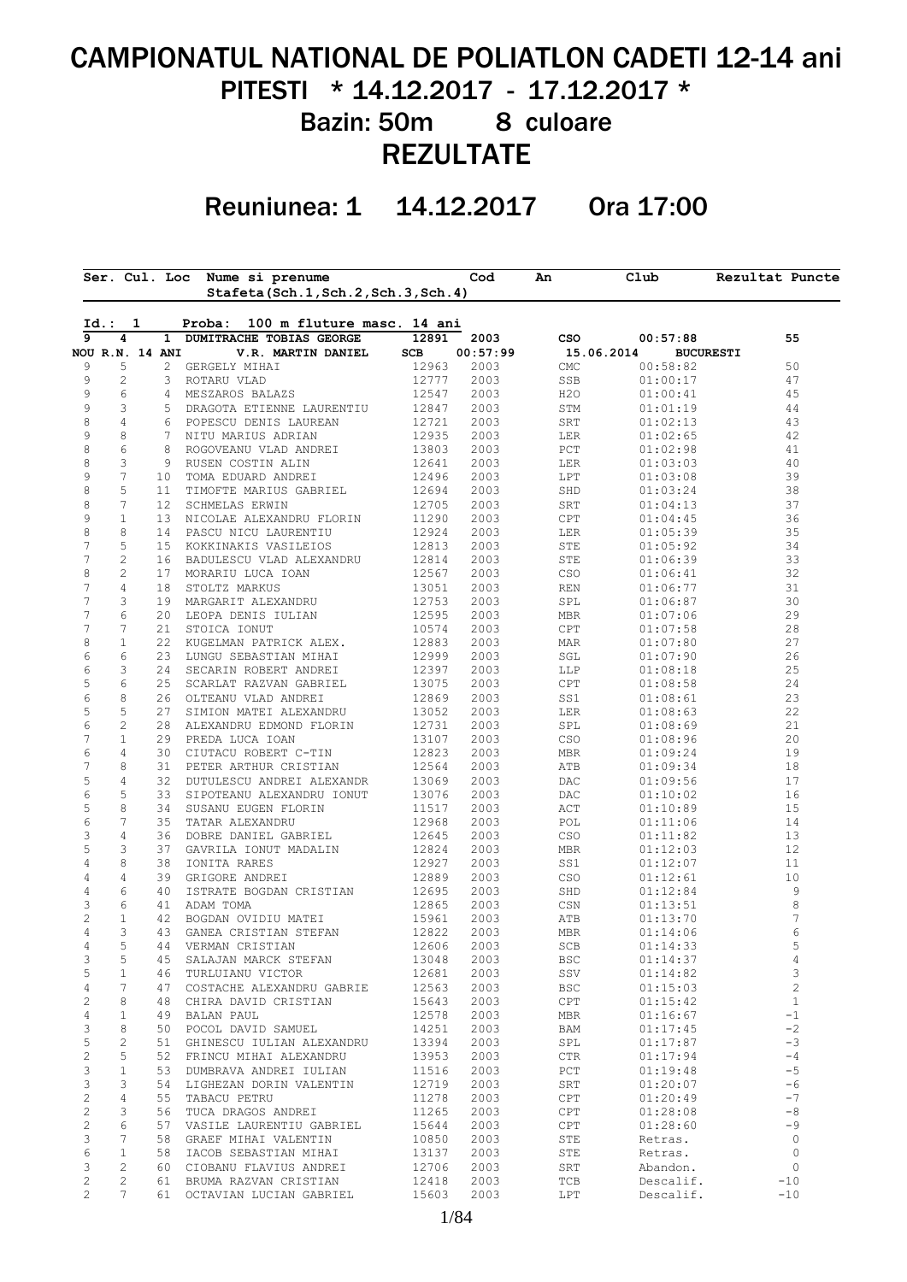# CAMPIONATUL NATIONAL DE POLIATLON CADETI 12-14 ani PITESTI \* 14.12.2017 - 17.12.2017 \* Bazin: 50m 8 culoare

# **REZULTATE**

Reuniunea: 1 14.12.2017 Ora 17:00

|                |                 |   |              | Ser. Cul. Loc Nume si prenume<br>Stafeta(Sch.1, Sch.2, Sch.3, Sch.4) |       | Cod      | An                              | Club                           | Rezultat Puncte |
|----------------|-----------------|---|--------------|----------------------------------------------------------------------|-------|----------|---------------------------------|--------------------------------|-----------------|
|                | Id.:            | 1 |              | 100 m fluture masc. 14 ani<br>Proba:                                 |       |          |                                 |                                |                 |
| 9              | 4               |   |              | 1 DUMITRACHE TOBIAS GEORGE                                           | 12891 | 2003     | cso                             | 00:57:88                       | 55              |
|                | NOU R.N. 14 ANI |   |              | V.R. MARTIN DANIEL                                                   | SCB   | 00:57:99 |                                 | 15.06.2014<br><b>BUCURESTI</b> |                 |
| 9              | 5               |   | $\mathbf{2}$ | GERGELY MIHAI                                                        | 12963 | 2003     | $\mathop{\rm CMC}$              | 00:58:82                       | 50              |
| 9              | 2               |   |              | 3 ROTARU VLAD                                                        | 12777 | 2003     | SSB                             | 01:00:17                       | 47              |
| 9              | 6               |   |              | 4 MESZAROS BALAZS                                                    | 12547 | 2003     | H2O                             | 01:00:41                       | 45              |
| 9              | 3               |   |              | 5 DRAGOTA ETIENNE LAURENTIU                                          | 12847 | 2003     | $\operatorname{STM}$            | 01:01:19                       | 44              |
| 8              | $\overline{4}$  |   |              | 6 POPESCU DENIS LAUREAN                                              | 12721 | 2003     | SRT                             | 01:02:13                       | 43              |
|                |                 |   |              |                                                                      |       |          |                                 |                                |                 |
| 9              | 8               |   |              | 7 NITU MARIUS ADRIAN                                                 | 12935 | 2003     | LER                             | 01:02:65                       | 42              |
| 8              | 6               |   | 8            | ROGOVEANU VLAD ANDREI                                                | 13803 | 2003     | $_{\rm PCT}$                    | 01:02:98                       | 41              |
| 8              | 3               |   | 9            | RUSEN COSTIN ALIN                                                    | 12641 | 2003     | LER                             | 01:03:03                       | 40              |
| 9              | 7               |   | 10           | TOMA EDUARD ANDREI                                                   | 12496 | 2003     | LPT                             | 01:03:08                       | 39              |
| 8              | 5               |   | 11           | TIMOFTE MARIUS GABRIEL                                               | 12694 | 2003     | SHD                             | 01:03:24                       | 38              |
| 8              | 7               |   | 12           | SCHMELAS ERWIN                                                       | 12705 | 2003     | SRT                             | 01:04:13                       | 37              |
| 9              | $\mathbf{1}$    |   |              | 13 NICOLAE ALEXANDRU FLORIN                                          | 11290 | 2003     | CPT                             | 01:04:45                       | 36              |
| 8              | 8               |   |              | 14 PASCU NICU LAURENTIU                                              | 12924 | 2003     | LER                             | 01:05:39                       | 35              |
| 7              | 5               |   |              | 15 KOKKINAKIS VASILEIOS                                              | 12813 | 2003     | STE                             | 01:05:92                       | 34              |
| 7              | $\mathbf{2}$    |   |              | 16 BADULESCU VLAD ALEXANDRU                                          | 12814 | 2003     | STE                             | 01:06:39                       | 33              |
| 8              | $\mathbf{2}$    |   | 17           | MORARIU LUCA IOAN                                                    | 12567 | 2003     | <b>CSO</b>                      | 01:06:41                       | 32              |
| 7              | $\overline{4}$  |   |              | 18 STOLTZ MARKUS                                                     | 13051 | 2003     | REN                             | 01:06:77                       | 31              |
| 7              | 3               |   | 19           | MARGARIT ALEXANDRU                                                   | 12753 | 2003     | SPL                             | 01:06:87                       | 30              |
| 7              | 6               |   | 20           | LEOPA DENIS IULIAN                                                   | 12595 | 2003     | $\operatorname{\mathsf{MBR}}$   | 01:07:06                       | 29              |
| 7              | 7               |   | 21           | STOICA IONUT                                                         | 10574 | 2003     | $\mathtt{CPT}$                  | 01:07:58                       | 28              |
| 8              | $\mathbf{1}$    |   |              | 22 KUGELMAN PATRICK ALEX.                                            |       |          |                                 | 01:07:80                       |                 |
|                |                 |   |              |                                                                      | 12883 | 2003     | $\mathtt{MAR}$                  |                                | 27              |
| 6              | 6               |   | 23           | LUNGU SEBASTIAN MIHAI                                                | 12999 | 2003     | SGL                             | 01:07:90                       | 26              |
| 6              | 3               |   | 24           | SECARIN ROBERT ANDREI                                                | 12397 | 2003     | LLP                             | 01:08:18                       | 25              |
| 5              | 6               |   | 25           | SCARLAT RAZVAN GABRIEL                                               | 13075 | 2003     | $\mathtt{CPT}$                  | 01:08:58                       | 24              |
| 6              | $\,8\,$         |   | 26           | OLTEANU VLAD ANDREI                                                  | 12869 | 2003     | SS1                             | 01:08:61                       | 23              |
| 5              | 5               |   | 27           | SIMION MATEI ALEXANDRU                                               | 13052 | 2003     | LER                             | 01:08:63                       | 22              |
| $\overline{6}$ | $\overline{c}$  |   | 28           | ALEXANDRU EDMOND FLORIN                                              | 12731 | 2003     | ${\tt SPL}$                     | 01:08:69                       | 21              |
| $\overline{7}$ | $\mathbf{1}$    |   | 29           | PREDA LUCA IOAN                                                      | 13107 | 2003     | $_{\tiny{\mbox{\texttt{CSO}}}}$ | 01:08:96                       | 20              |
| $\epsilon$     | 4               |   | 30           | CIUTACU ROBERT C-TIN                                                 | 12823 | 2003     | $\operatorname{\mathsf{MBR}}$   | 01:09:24                       | 19              |
| $\overline{7}$ | 8               |   | 31           | PETER ARTHUR CRISTIAN                                                | 12564 | 2003     | ATB                             | 01:09:34                       | 18              |
| 5              | $\overline{4}$  |   | 32           | DUTULESCU ANDREI ALEXANDR                                            | 13069 | 2003     | DAC                             | 01:09:56                       | 17              |
| $\epsilon$     | 5               |   | 33           | SIPOTEANU ALEXANDRU IONUT                                            | 13076 | 2003     | DAC                             | 01:10:02                       | 16              |
| 5              | $\,8\,$         |   | 34           | SUSANU EUGEN FLORIN                                                  | 11517 | 2003     | $\mathop{\rm ACT}$              | 01:10:89                       | 15              |
| $\epsilon$     | 7               |   | 35           | TATAR ALEXANDRU                                                      | 12968 | 2003     | POL                             | 01:11:06                       | 14              |
| 3              | 4               |   | 36           | DOBRE DANIEL GABRIEL                                                 | 12645 | 2003     | $_{\tiny{\mbox{\texttt{CSO}}}}$ | 01:11:82                       | 13              |
| 5              | 3               |   |              |                                                                      |       |          |                                 |                                |                 |
|                |                 |   | 37           | GAVRILA IONUT MADALIN                                                | 12824 | 2003     | MBR                             | 01:12:03                       | 12              |
| $\sqrt{4}$     | $\,8\,$         |   | 38           | IONITA RARES                                                         | 12927 | 2003     | SS1                             | 01:12:07                       | 11              |
| $\sqrt{4}$     | 4               |   | 39           | GRIGORE ANDREI                                                       | 12889 | 2003     | CSO                             | 01:12:61                       | 10              |
| $\sqrt{4}$     | 6               |   | 40           | ISTRATE BOGDAN CRISTIAN                                              | 12695 | 2003     | SHD                             | 01:12:84                       | 9               |
| 3              | 6               |   | 41           | ADAM TOMA                                                            | 12865 | 2003     | CSN                             | 01:13:51                       | 8               |
| $\overline{c}$ | $\mathbf{1}$    |   | 42           | BOGDAN OVIDIU MATEI                                                  | 15961 | 2003     | ATB                             | 01:13:70                       | 7               |
| 4              | 3               |   | 43           | GANEA CRISTIAN STEFAN                                                | 12822 | 2003     | MBR                             | 01:14:06                       | 6               |
| 4              | 5               |   |              | 44 VERMAN CRISTIAN                                                   | 12606 | 2003     | SCB                             | 01:14:33                       | 5               |
| 3              | 5               |   | 45           | SALAJAN MARCK STEFAN                                                 | 13048 | 2003     | BSC                             | 01:14:37                       | 4               |
| 5              | 1               |   | 46           | TURLUIANU VICTOR                                                     | 12681 | 2003     | SSV                             | 01:14:82                       | 3               |
| 4              | 7               |   | 47           | COSTACHE ALEXANDRU GABRIE                                            | 12563 | 2003     | <b>BSC</b>                      | 01:15:03                       | 2               |
| $\mathbf{2}$   | 8               |   | 48           | CHIRA DAVID CRISTIAN                                                 | 15643 | 2003     | CPT                             | 01:15:42                       | $\mathbf{1}$    |
| 4              | 1               |   | 49           | <b>BALAN PAUL</b>                                                    | 12578 | 2003     | MBR                             | 01:16:67                       | $-1$            |
|                |                 |   |              |                                                                      |       |          |                                 |                                |                 |
| 3              | 8               |   | 50           | POCOL DAVID SAMUEL                                                   | 14251 | 2003     | BAM                             | 01:17:45                       | $-2$            |
| 5              | 2               |   | 51           | GHINESCU IULIAN ALEXANDRU                                            | 13394 | 2003     | SPL                             | 01:17:87                       | $-3$            |
| $\sqrt{2}$     | 5               |   | 52           | FRINCU MIHAI ALEXANDRU                                               | 13953 | 2003     | CTR                             | 01:17:94                       | $-4$            |
| 3              | 1               |   | 53           | DUMBRAVA ANDREI IULIAN                                               | 11516 | 2003     | PCT                             | 01:19:48                       | $-5$            |
| 3              | 3               |   | 54           | LIGHEZAN DORIN VALENTIN                                              | 12719 | 2003     | SRT                             | 01:20:07                       | $-6$            |
| $\mathbf{2}$   | 4               |   | 55           | TABACU PETRU                                                         | 11278 | 2003     | CPT                             | 01:20:49                       | $-7$            |
| $\mathbf{2}$   | 3               |   | 56           | TUCA DRAGOS ANDREI                                                   | 11265 | 2003     | CPT                             | 01:28:08                       | -8              |
| $\mathbf{2}$   | 6               |   | 57           | VASILE LAURENTIU GABRIEL                                             | 15644 | 2003     | CPT                             | 01:28:60                       | -9              |
| 3              | 7               |   | 58           | GRAEF MIHAI VALENTIN                                                 | 10850 | 2003     | STE                             | Retras.                        | 0               |
| 6              | $\mathbf{1}$    |   | 58           | IACOB SEBASTIAN MIHAI                                                | 13137 | 2003     | STE                             | Retras.                        | $\circ$         |
| 3              | 2               |   | 60           | CIOBANU FLAVIUS ANDREI                                               | 12706 | 2003     | SRT                             | Abandon.                       | $\circ$         |
|                | 2               |   | 61           | BRUMA RAZVAN CRISTIAN                                                | 12418 | 2003     | TCB                             | Descalif.                      | $-10$           |
| $\sqrt{2}$     |                 |   |              |                                                                      |       |          |                                 |                                |                 |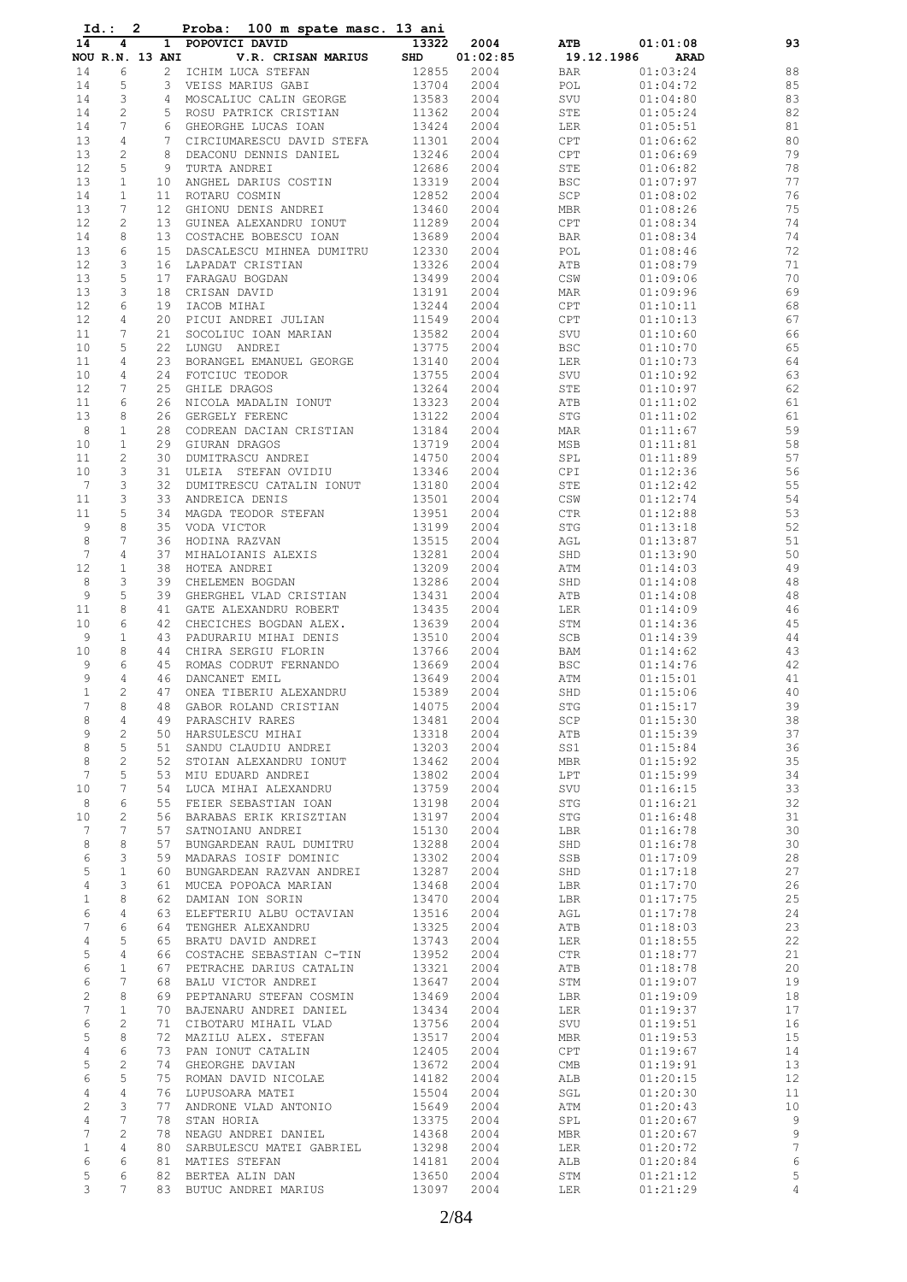| 14                               | 4                               | NOU R.N. 13 ANI | 1 POPOVICI DAVID<br>V.R. CRISAN MARIUS                                                                                                                                                                                                       | 13322<br>SHD                                         | 2004<br>01:02:85 | ATB<br>19.12.1986           | 01:01:08<br><b>ARAD</b> | 93              |
|----------------------------------|---------------------------------|-----------------|----------------------------------------------------------------------------------------------------------------------------------------------------------------------------------------------------------------------------------------------|------------------------------------------------------|------------------|-----------------------------|-------------------------|-----------------|
| 14                               | 6                               |                 | 2 ICHIM LUCA STEFAN                                                                                                                                                                                                                          | 12855                                                | 2004             | BAR                         | 01:03:24                | 88              |
| 14                               | 5                               | 3               | VEISS MARIUS GABI                                                                                                                                                                                                                            | 13704                                                | 2004             | POL                         | 01:04:72                | 85              |
| 14                               | 3                               | $\overline{4}$  | MOSCALIUC CALIN GEORGE                                                                                                                                                                                                                       | 13583                                                | 2004             | SVU                         | 01:04:80                | 83              |
| 14                               | 2                               | 5               | ROSU PATRICK CRISTIAN<br>GHEORGHE LUCAS IOAN                                                                                                                                                                                                 | 11362                                                | 2004             | STE                         | 01:05:24                | 82              |
| 14<br>13                         | 7                               | 6<br>7          |                                                                                                                                                                                                                                              | 13424                                                | 2004             | LER                         | 01:05:51                | 81<br>80        |
| 13                               | 4<br>2                          | 8               | CIRCIUMARESCU DAVID STEFA<br>DEACONU DENNIS DANIEL                                                                                                                                                                                           | 11301<br>13246                                       | 2004<br>2004     | CPT<br>CPT                  | 01:06:62<br>01:06:69    | 79              |
| 12                               | 5                               | 9               | TURTA ANDREI                                                                                                                                                                                                                                 | 12686                                                | 2004             | STE                         | 01:06:82                | 78              |
| 13                               | $\mathbf{1}$                    | 10              | ANGHEL DARIUS COSTIN                                                                                                                                                                                                                         | 13319                                                | 2004             | BSC                         | 01:07:97                | 77              |
| 14                               | $\mathbf{1}$                    | 11              | ROTARU COSMIN                                                                                                                                                                                                                                | 12852                                                | 2004             | SCP                         | 01:08:02                | 76              |
| 13                               | 7                               | 12 <sup>°</sup> | GHIONU DENIS ANDREI                                                                                                                                                                                                                          | 13460                                                | 2004             | MBR                         | 01:08:26                | 75              |
| 12                               | $\mathbf{2}$                    | 13              | GUINEA ALEXANDRU IONUT                                                                                                                                                                                                                       | 11289                                                | 2004             | CPT                         | 01:08:34                | 74              |
| 14                               | 8                               | 13              | COSTACHE BOBESCU IOAN                                                                                                                                                                                                                        | 13689                                                | 2004             | BAR                         | 01:08:34                | 74              |
| 13                               | 6                               | 15              | DASCALESCU MIHNEA DUMITRU                                                                                                                                                                                                                    | 12330                                                | 2004             | POL                         | 01:08:46                | 72              |
| 12                               | 3                               | 16              | LAPADAT CRISTIAN                                                                                                                                                                                                                             | 13326                                                | 2004             | ATB                         | 01:08:79                | 71              |
| 13<br>13                         | 5<br>3                          | 17<br>18        | FARAGAU BOGDAN<br>CRISAN DAVID                                                                                                                                                                                                               | 13499<br>13191                                       | 2004<br>2004     | CSW<br>MAR                  | 01:09:06<br>01:09:96    | 70<br>69        |
| 12                               | 6                               | 19              | IACOB MIHAI                                                                                                                                                                                                                                  | 13244                                                | 2004             | CPT                         | 01:10:11                | 68              |
| 12                               | 4                               | 20              | PICUI ANDREI JULIAN                                                                                                                                                                                                                          | 11549                                                | 2004             | CPT                         | 01:10:13                | 67              |
| 11                               | 7                               | 21              | SOCOLIUC IOAN MARIAN                                                                                                                                                                                                                         | 13582                                                | 2004             | SVU                         | 01:10:60                | 66              |
| 10                               | 5                               | 22              | LUNGU ANDREI                                                                                                                                                                                                                                 | 13775                                                | 2004             | <b>BSC</b>                  | 01:10:70                | 65              |
| 11                               | 4                               | 23              | BORANGEL EMANUEL GEORGE                                                                                                                                                                                                                      | 13140                                                | 2004             | LER                         | 01:10:73                | 64              |
| 10                               | 4                               | 24              | FOTCIUC TEODOR                                                                                                                                                                                                                               | 13755                                                | 2004             | SVU                         | 01:10:92                | 63              |
| 12                               | 7                               | 25              | GHILE DRAGOS                                                                                                                                                                                                                                 | 13264                                                | 2004             | STE                         | 01:10:97                | 62              |
| 11                               | 6                               | 26              | NICOLA MADALIN IONUT                                                                                                                                                                                                                         | 13323                                                | 2004             | ATB                         | 01:11:02                | 61              |
| 13<br>8                          | 8<br>$\mathbf{1}$               | 26<br>28        | GERGELY FERENC<br>CODREAN DACIAN CRISTIAN                                                                                                                                                                                                    | 13122<br>13184                                       | 2004<br>2004     | STG<br>MAR                  | 01:11:02<br>01:11:67    | 61<br>59        |
| 10                               | $\mathbf{1}$                    | 29              | GIURAN DRAGOS                                                                                                                                                                                                                                | 13719                                                | 2004             | MSB                         | 01:11:81                | 58              |
| 11                               | $\mathbf{2}$                    | 30              | DUMITRASCU ANDREI                                                                                                                                                                                                                            | 14750                                                | 2004             | SPL                         | 01:11:89                | 57              |
| 10                               | 3                               | 31              | ULEIA STEFAN OVIDIU                                                                                                                                                                                                                          | 13346                                                | 2004             | CPI                         | 01:12:36                | 56              |
| 7                                | 3                               | 32              | DUMITRESCU CATALIN IONUT                                                                                                                                                                                                                     | 13180                                                | 2004             | STE                         | 01:12:42                | 55              |
| 11                               | 3                               | 33              | ANDREICA DENIS                                                                                                                                                                                                                               | 13501                                                | 2004             | CSW                         | 01:12:74                | 54              |
| 11                               | 5                               | 34              | MAGDA TEODOR STEFAN                                                                                                                                                                                                                          | 13951                                                | 2004             | CTR                         | 01:12:88                | 53              |
| 9                                | 8                               | 35              | VODA VICTOR                                                                                                                                                                                                                                  | 13199                                                | 2004             | STG                         | 01:13:18                | 52              |
| 8                                | $\overline{7}$                  | 36              | HODINA RAZVAN                                                                                                                                                                                                                                | 13515                                                | 2004             | AGL                         | 01:13:87                | 51              |
| 7                                | 4                               | 37              | MIHALOIANIS ALEXIS                                                                                                                                                                                                                           | 13281                                                | 2004             | SHD                         | 01:13:90                | 50<br>49        |
| 12<br>8                          | $\mathbf{1}$<br>3               | 38<br>39        | HOTEA ANDREI<br>CHELEMEN BOGDAN                                                                                                                                                                                                              | 13209<br>13286                                       | 2004<br>2004     | ATM<br>SHD                  | 01:14:03<br>01:14:08    | 48              |
| 9                                | 5                               | 39              | GHERGHEL VLAD CRISTIAN                                                                                                                                                                                                                       | 13431                                                | 2004             | ATB                         | 01:14:08                | 48              |
| 11                               | 8                               | 41              | GATE ALEXANDRU ROBERT                                                                                                                                                                                                                        | 13435                                                | 2004             | LER                         | 01:14:09                | 46              |
| 10                               | 6                               | 42              | CHECICHES BOGDAN ALEX.                                                                                                                                                                                                                       | 13639                                                | 2004             | STM                         | 01:14:36                | 45              |
| 9                                | $\mathbf{1}$                    | 43              | PADURARIU MIHAI DENIS                                                                                                                                                                                                                        | 13510                                                | 2004             | SCB                         | 01:14:39                | 44              |
| 10                               | 8                               | 44              | CHIRA SERGIU FLORIN                                                                                                                                                                                                                          | 13766                                                | 2004             | BAM                         | 01:14:62                | 43              |
| 9                                | 6                               | 45              | ROMAS CODRUT FERNANDO                                                                                                                                                                                                                        | 13669                                                | 2004             | <b>BSC</b>                  | 01:14:76                | 42              |
| 9                                | $\overline{4}$                  | 46              | DANCANET EMIL                                                                                                                                                                                                                                | 13649                                                | 2004             | ATM                         | 01:15:01                | 41              |
| $\mathbf{1}$                     | $\overline{c}$<br>8             |                 | 47 ONEA TIBERIU ALEXANDRU                                                                                                                                                                                                                    | 15389 2004                                           |                  | SHD                         | 01:15:06<br>01:15:17    | 40<br>39        |
| 7<br>8                           | 4                               |                 | 48 GABOR ROLAND CRISTIAN<br>49 PARASCHIV RARES                                                                                                                                                                                               | 14075 2004<br>13481 2004<br>13318 2004<br>13203 2004 |                  | STG<br>SCP                  | 01:15:30                | 38              |
| 9                                | $\overline{2}$                  |                 |                                                                                                                                                                                                                                              |                                                      |                  | ATB                         | 01:15:39                | 37              |
| 8                                | 5                               |                 | 50 HARSULESCU MIHAI<br>51 SANDU CLAUDIU ANDREI                                                                                                                                                                                               |                                                      |                  | SS1                         | 01:15:84                | 36              |
| 8                                | $\overline{c}$                  |                 | 52 STOIAN ALEXANDRU IONUT                                                                                                                                                                                                                    |                                                      | 2004             | MBR                         | 01:15:92                | 35              |
| $7\phantom{.0}$                  | 5                               |                 | 53 MIU EDUARD ANDREI                                                                                                                                                                                                                         | 13462<br>13802                                       | 2004             | LPT                         | 01:15:99                | 34              |
| 10                               | $7^{\circ}$                     | 54              | LUCA MIHAI ALEXANDRU                                                                                                                                                                                                                         | 13759<br>13198                                       | 2004             | SVU                         | 01:16:15                | 33              |
| 8                                | 6                               |                 | 55 FEIER SEBASTIAN IOAN                                                                                                                                                                                                                      |                                                      | 2004             | STG                         | 01:16:21                | 32              |
| 10                               | $\overline{2}$                  |                 | 56 BARABAS ERIK KRISZTIAN                                                                                                                                                                                                                    | 13197                                                | 2004             | STG                         | 01:16:48                | 31              |
| $7^{\circ}$                      | $7\overline{ }$<br>8            | 57              | 57 SATNOIANU ANDREI<br>BUNGARDEAN RAUL DUMITRU                                                                                                                                                                                               | 15130                                                | 2004             | LBR                         | 01:16:78                | 30<br>30        |
| 8<br>6                           | $\mathfrak{Z}$                  |                 | 59 MADARAS IOSIF DOMINIC                                                                                                                                                                                                                     | 13288<br>13302                                       | 2004<br>2004     | SHD<br>SSB                  | 01:16:78<br>01:17:09    | 28              |
| 5                                | $\mathbf{1}$                    |                 | 60 BUNGARDEAN RAZVAN ANDREI 13287                                                                                                                                                                                                            |                                                      | 2004             | SHD                         | 01:17:18                | 27              |
| $\overline{4}$                   | 3                               |                 | 61 MUCEA POPOACA MARIAN                                                                                                                                                                                                                      | 13468                                                | 2004             | LBR                         | 01:17:70                | 26              |
| $\mathbf{1}$                     | 8                               |                 | 62 DAMIAN ION SORIN                                                                                                                                                                                                                          | 13470                                                | 2004             | LBR                         | 01:17:75                | 25              |
| 6                                | $\overline{4}$                  |                 | 63 ELEFTERIU ALBU OCTAVIAN                                                                                                                                                                                                                   | 13516                                                | 2004             | AGL                         | 01:17:78                | 24              |
| $7\phantom{.}$                   | 6                               |                 | 64 TENGHER ALEXANDRU                                                                                                                                                                                                                         | 13325                                                | 2004             | ATB                         | 01:18:03                | 23              |
| $\overline{4}$                   | 5                               |                 | 65 BRATU DAVID ANDREI                                                                                                                                                                                                                        | 13743                                                | 2004             | LER                         | 01:18:55                | 22              |
| 5                                | $\overline{4}$                  |                 | 00 BALLY BILL ------<br>66 COSTACHE SEBASTIAN C-TIN<br>27 DESAGUE DARIUS CATALIN                                                                                                                                                             | 13952                                                | 2004             | CTR                         | 01:18:77                | 21              |
| 6<br>6                           | $\mathbf{1}$<br>$7\overline{ }$ |                 | 67 PETRACHE DARIUS CATALIN<br>68 BALU VICTOR ANDREI                                                                                                                                                                                          | 13321<br>13647                                       | 2004<br>2004     | ATB<br>STM                  | 01:18:78<br>01:19:07    | 20<br>19        |
| $\overline{c}$                   | 8                               |                 | 69 PEPTANARU STEFAN COSMIN                                                                                                                                                                                                                   | 13469                                                | 2004             | LBR                         | 01:19:09                | 18              |
| 7 <sup>1</sup>                   | $\mathbf{1}$                    |                 | 70 BAJENARU ANDREI DANIEL                                                                                                                                                                                                                    | 13434                                                | 2004             | LER                         | 01:19:37                | 17              |
| 6                                | $\overline{c}$                  |                 | 71 CIBOTARU MIHAIL VLAD                                                                                                                                                                                                                      | 13756                                                | 2004             | SVU                         | 01:19:51                | 16              |
| 5                                | 8                               |                 | 72 MAZILU ALEX. STEFAN                                                                                                                                                                                                                       | 13517                                                | 2004             | MBR                         | 01:19:53                | 15              |
| $\overline{4}$                   | 6                               |                 | 73 PAN JONUT CATALIN<br>74 GHEORGHE DAVIAN 13672 2<br>75 ROMAN DAVID NICOLAE 14182 2<br>76 LUPUSOARA MATEI 15504 :<br>77 ANDRONE VLAD ANTONIO 15649<br>78 STAN HORIA 13375<br>78 NEAGU ANDREI DANIEL 14368<br>80 SARBULESCU MATEI GABRIEL 13 |                                                      | 2004             | CPT                         | 01:19:67                | 14              |
| 5                                | $\overline{c}$                  |                 |                                                                                                                                                                                                                                              |                                                      | 2004             | $\mathop{\rm CMB}\nolimits$ | 01:19:91                | 13              |
| 6                                | 5                               |                 |                                                                                                                                                                                                                                              |                                                      | 2004             | ALB                         | 01:20:15                | 12              |
| 4                                | $\overline{4}$                  |                 |                                                                                                                                                                                                                                              |                                                      | 2004             | SGL                         | 01:20:30                | 11              |
| 2                                | 3                               |                 |                                                                                                                                                                                                                                              |                                                      | 2004             | ATM                         | 01:20:43                | 10              |
| $\overline{4}$<br>$7\phantom{.}$ | $7\overline{ }$<br>$\mathbf{2}$ |                 |                                                                                                                                                                                                                                              |                                                      | 2004<br>2004     | SPL<br>MBR                  | 01:20:67<br>01:20:67    | 9<br>9          |
| $\mathbf{1}$                     | $\overline{4}$                  |                 |                                                                                                                                                                                                                                              |                                                      | 2004             | LER                         | 01:20:72                | $\overline{7}$  |
| 6                                | 6                               |                 |                                                                                                                                                                                                                                              |                                                      | 2004             | ALB                         | 01:20:84                | $6\overline{6}$ |
| 5                                | 6                               |                 | 82 BERTEA ALIN DAN<br>83 BUTUC ANDREI MARIUS                                                                                                                                                                                                 | 13650                                                | 2004             | STM                         | 01:21:12                | $5^{\circ}$     |
| 3                                | 7                               |                 |                                                                                                                                                                                                                                              |                                                      | 13097 2004       | LER                         | 01:21:29                | $\overline{4}$  |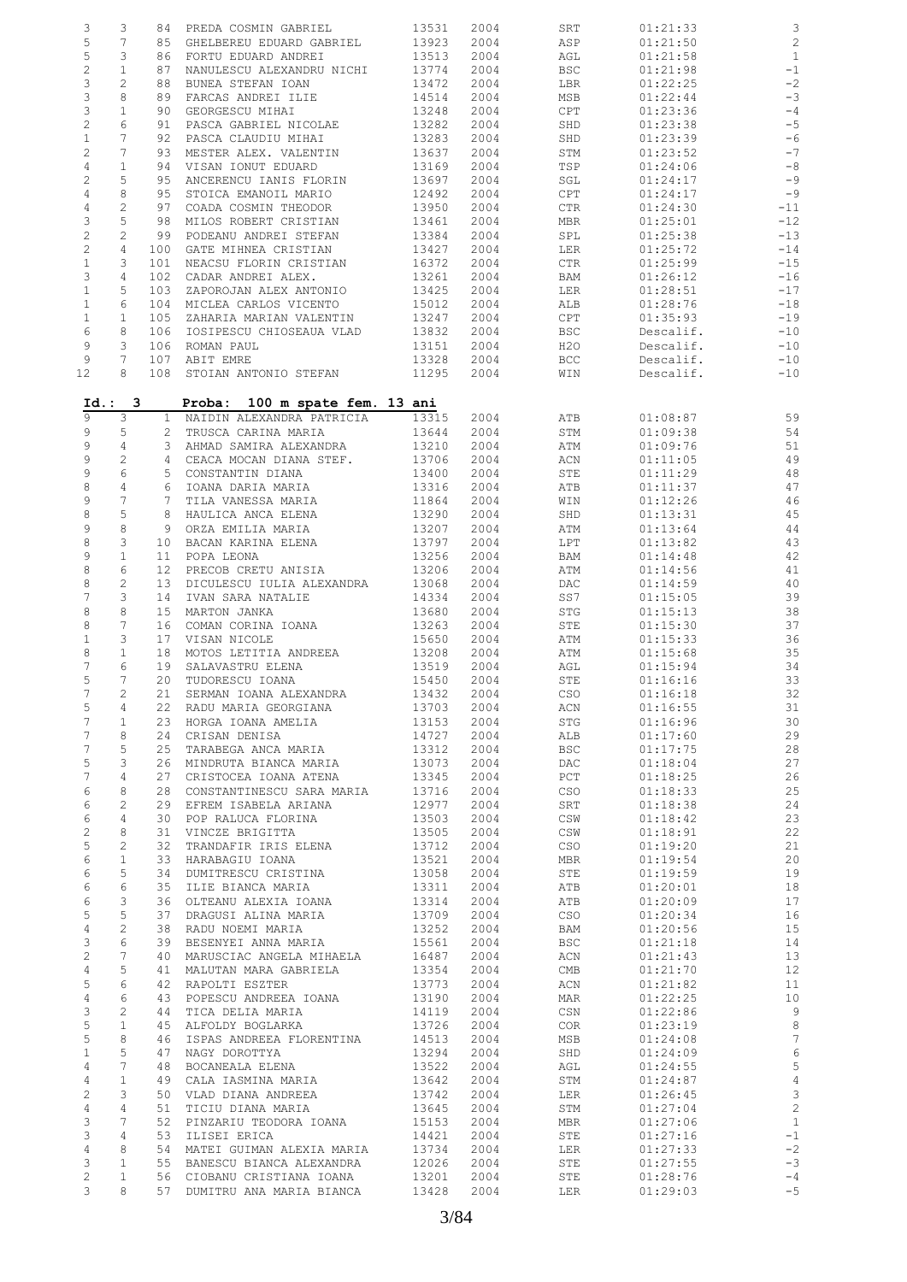| 3              | 3              | 84              | PREDA COSMIN GABRIEL           | 13531 | 2004 | SRT               | 01:21:33  | $\ensuremath{\mathsf{3}}$ |
|----------------|----------------|-----------------|--------------------------------|-------|------|-------------------|-----------|---------------------------|
| 5              | 7              | 85              | GHELBEREU EDUARD GABRIEL       | 13923 | 2004 | ASP               | 01:21:50  | $\sqrt{2}$                |
| 5              | 3              | 86              | FORTU EDUARD ANDREI            | 13513 | 2004 | AGL               | 01:21:58  | $\mathbf{1}$              |
| 2              | $\mathbf{1}$   | 87              | NANULESCU ALEXANDRU NICHI      | 13774 | 2004 | <b>BSC</b>        | 01:21:98  | $-1$                      |
|                |                |                 |                                |       |      |                   |           |                           |
| 3              | 2              | 88              | BUNEA STEFAN IOAN              | 13472 | 2004 | LBR               | 01:22:25  | $^{\rm -2}$               |
| 3              | 8              | 89              | FARCAS ANDREI ILIE             | 14514 | 2004 | MSB               | 01:22:44  | $-3$                      |
| 3              | $\mathbf{1}$   | 90              | GEORGESCU MIHAI                | 13248 | 2004 | CPT               | 01:23:36  | $-4$                      |
| $\sqrt{2}$     | 6              | 91              | PASCA GABRIEL NICOLAE          | 13282 | 2004 | SHD               | 01:23:38  | $-5$                      |
| $\mathbf{1}$   | 7              | 92              | PASCA CLAUDIU MIHAI            | 13283 | 2004 | SHD               | 01:23:39  | $-6$                      |
| $\mathbf{2}$   | 7              | 93              | MESTER ALEX. VALENTIN          | 13637 | 2004 | STM               | 01:23:52  | $-7$                      |
|                |                |                 |                                |       |      |                   |           |                           |
| $\overline{4}$ | $\mathbf{1}$   | 94              | VISAN IONUT EDUARD             | 13169 | 2004 | TSP               | 01:24:06  | $-\,8$                    |
| $\sqrt{2}$     | 5              | 95              | ANCERENCU IANIS FLORIN         | 13697 | 2004 | SGL               | 01:24:17  | $-9$                      |
| $\overline{4}$ | 8              | 95              | STOICA EMANOIL MARIO           | 12492 | 2004 | CPT               | 01:24:17  | $-9$                      |
| $\overline{4}$ | $\mathbf{2}$   | 97              | COADA COSMIN THEODOR           | 13950 | 2004 | <b>CTR</b>        | 01:24:30  | $-11$                     |
| 3              | 5              | 98              | MILOS ROBERT CRISTIAN          | 13461 | 2004 | MBR               | 01:25:01  | $-12$                     |
| $\mathbf{2}$   | $\overline{c}$ | 99              | PODEANU ANDREI STEFAN          | 13384 | 2004 | SPL               | 01:25:38  | $-13$                     |
|                |                |                 |                                |       |      |                   |           |                           |
| $\mathbf{2}$   | $\overline{4}$ | 100             | GATE MIHNEA CRISTIAN           | 13427 | 2004 | LER               | 01:25:72  | $-14$                     |
| $\mathbf 1$    | 3              | 101             | NEACSU FLORIN CRISTIAN         | 16372 | 2004 | CTR               | 01:25:99  | $-15$                     |
| 3              | 4              | 102             | CADAR ANDREI ALEX.             | 13261 | 2004 | BAM               | 01:26:12  | $-16$                     |
| $\mathbf{1}$   | 5              | 103             | ZAPOROJAN ALEX ANTONIO         | 13425 | 2004 | LER               | 01:28:51  | $-17$                     |
| $\mathbf{1}$   | 6              | 104             | MICLEA CARLOS VICENTO          | 15012 | 2004 | ALB               | 01:28:76  | $-18$                     |
| $\mathbf{1}$   | $\mathbf{1}$   | 105             | ZAHARIA MARIAN VALENTIN        | 13247 | 2004 | CPT               | 01:35:93  | $-19$                     |
|                | 8              |                 |                                | 13832 |      |                   |           |                           |
| 6              |                | 106             | IOSIPESCU CHIOSEAUA VLAD       |       | 2004 | <b>BSC</b>        | Descalif. | $-10$                     |
| 9              | 3              | 106             | ROMAN PAUL                     | 13151 | 2004 | H2O               | Descalif. | $-10$                     |
| 9              | 7              | 107             | ABIT EMRE                      | 13328 | 2004 | $_{\mathrm{BCC}}$ | Descalif. | $-10$                     |
| 12             | 8              | 108             | STOIAN ANTONIO STEFAN          | 11295 | 2004 | WIN               | Descalif. | $-10$                     |
|                |                |                 |                                |       |      |                   |           |                           |
|                |                |                 |                                |       |      |                   |           |                           |
|                | Id.: 3         |                 | Proba: 100 m spate fem. 13 ani |       |      |                   |           |                           |
| 9              | 3              | 1               | NAIDIN ALEXANDRA PATRICIA      | 13315 | 2004 | ATB               | 01:08:87  | 59                        |
| 9              | 5              | 2               | TRUSCA CARINA MARIA            | 13644 | 2004 | STM               | 01:09:38  | 54                        |
| 9              | $\overline{4}$ | 3               | AHMAD SAMIRA ALEXANDRA         | 13210 | 2004 | ATM               | 01:09:76  | 51                        |
| 9              | $\mathbf{2}$   | 4               | CEACA MOCAN DIANA STEF.        | 13706 | 2004 | ACN               | 01:11:05  | 49                        |
| 9              | 6              | 5               |                                |       | 2004 |                   |           |                           |
|                |                |                 | CONSTANTIN DIANA               | 13400 |      | STE               | 01:11:29  | 48                        |
| 8              | $\overline{4}$ | 6               | IOANA DARIA MARIA              | 13316 | 2004 | ATB               | 01:11:37  | 47                        |
| 9              | $\overline{7}$ | $7\phantom{.0}$ | TILA VANESSA MARIA             | 11864 | 2004 | WIN               | 01:12:26  | 46                        |
| 8              | 5              | 8               | HAULICA ANCA ELENA             | 13290 | 2004 | SHD               | 01:13:31  | 45                        |
| 9              | 8              | 9               | ORZA EMILIA MARIA              | 13207 | 2004 | ATM               | 01:13:64  | 44                        |
| 8              | 3              | 10 <sup>°</sup> | BACAN KARINA ELENA             | 13797 | 2004 | LPT               | 01:13:82  | 43                        |
| 9              | $\mathbf{1}$   | 11              | POPA LEONA                     | 13256 | 2004 | BAM               | 01:14:48  | 42                        |
|                |                |                 |                                |       |      |                   |           |                           |
| 8              | 6              | 12 <sup>°</sup> | PRECOB CRETU ANISIA            | 13206 | 2004 | ATM               | 01:14:56  | 41                        |
| 8              | $\overline{c}$ | 13              | DICULESCU IULIA ALEXANDRA      | 13068 | 2004 | DAC               | 01:14:59  | 40                        |
| $\overline{7}$ | 3              | 14              | IVAN SARA NATALIE              | 14334 | 2004 | SS7               | 01:15:05  | 39                        |
| 8              | 8              | 15              | MARTON JANKA                   | 13680 | 2004 | STG               | 01:15:13  | 38                        |
| 8              | 7              | 16              | COMAN CORINA IOANA             | 13263 | 2004 | STE               | 01:15:30  | 37                        |
|                | 3              | 17              | VISAN NICOLE                   | 15650 | 2004 | ATM               |           | 36                        |
| $\mathbf 1$    |                |                 |                                |       |      |                   | 01:15:33  |                           |
| 8              | $\mathbf{1}$   | 18              | MOTOS LETITIA ANDREEA          | 13208 | 2004 | ATM               | 01:15:68  | 35                        |
| 7              | 6              | 19              | SALAVASTRU ELENA               | 13519 | 2004 | AGL               | 01:15:94  | 34                        |
| 5              | 7              | 20              | TUDORESCU IOANA                | 15450 | 2004 | STE               | 01:16:16  | 33                        |
| $\overline{7}$ | $\overline{c}$ | 21              | SERMAN IOANA ALEXANDRA         | 13432 | 2004 | CSO               | 01:16:18  | 32                        |
| 5              | 4              | 22              | RADU MARIA GEORGIANA           | 13703 | 2004 | ACN               | 01:16:55  | 31                        |
|                |                |                 |                                |       |      |                   |           |                           |
| $\overline{7}$ | $\mathbf{1}$   | 23              | HORGA IOANA AMELIA             | 13153 | 2004 | STG               | 01:16:96  | 30                        |
| $\overline{7}$ | 8              | 24              | CRISAN DENISA                  | 14727 | 2004 | ALB               | 01:17:60  | 29                        |
| $\overline{7}$ | 5              | 25              | TARABEGA ANCA MARIA            | 13312 | 2004 | <b>BSC</b>        | 01:17:75  | 28                        |
| 5              | 3              | 26              | MINDRUTA BIANCA MARIA          | 13073 | 2004 | DAC               | 01:18:04  | 27                        |
| 7              | 4              | 27              | CRISTOCEA IOANA ATENA          | 13345 | 2004 | PCT               | 01:18:25  | 26                        |
| 6              | 8              | 28              | CONSTANTINESCU SARA MARIA      | 13716 | 2004 | CSO               | 01:18:33  | 25                        |
| 6              | $\overline{c}$ | 29              | EFREM ISABELA ARIANA           | 12977 | 2004 | SRT               | 01:18:38  | 24                        |
|                |                |                 |                                |       |      |                   |           |                           |
| 6              | $\overline{4}$ | 30              | POP RALUCA FLORINA             | 13503 | 2004 | CSW               | 01:18:42  | 23                        |
| 2              | 8              | 31              | VINCZE BRIGITTA                | 13505 | 2004 | CSW               | 01:18:91  | 22                        |
| 5              | $\overline{c}$ | 32              | TRANDAFIR IRIS ELENA           | 13712 | 2004 | CSO               | 01:19:20  | 21                        |
| 6              | $\mathbf{1}$   | 33              | HARABAGIU IOANA                | 13521 | 2004 | MBR               | 01:19:54  | 20                        |
| 6              | 5              | 34              | DUMITRESCU CRISTINA            | 13058 | 2004 | STE               | 01:19:59  | 19                        |
| 6              | 6              | 35              | ILIE BIANCA MARIA              | 13311 | 2004 | ATB               | 01:20:01  | 18                        |
| 6              | 3              | 36              | OLTEANU ALEXIA IOANA           | 13314 | 2004 | ATB               | 01:20:09  | 17                        |
|                |                |                 |                                |       |      |                   |           |                           |
| 5              | 5              | 37              | DRAGUSI ALINA MARIA            | 13709 | 2004 | CSO               | 01:20:34  | 16                        |
| $\overline{4}$ | $\overline{c}$ | 38              | RADU NOEMI MARIA               | 13252 | 2004 | BAM               | 01:20:56  | 15                        |
| 3              | 6              | 39              | BESENYEI ANNA MARIA            | 15561 | 2004 | <b>BSC</b>        | 01:21:18  | 14                        |
| $\mathbf{2}$   | 7              | 40              | MARUSCIAC ANGELA MIHAELA       | 16487 | 2004 | ACN               | 01:21:43  | 13                        |
| $\overline{4}$ | 5              | 41              | MALUTAN MARA GABRIELA          | 13354 | 2004 | $\mathbb{CMB}$    | 01:21:70  | 12                        |
| 5              | 6              | 42              | RAPOLTI ESZTER                 | 13773 | 2004 | ACN               | 01:21:82  | 11                        |
| $\overline{4}$ | 6              | 43              |                                | 13190 | 2004 | MAR               |           | 10                        |
|                |                |                 | POPESCU ANDREEA IOANA          |       |      |                   | 01:22:25  |                           |
| 3              | $\mathbf{2}$   | 44              | TICA DELIA MARIA               | 14119 | 2004 | CSN               | 01:22:86  | 9                         |
| 5              | $\mathbf{1}$   | 45              | ALFOLDY BOGLARKA               | 13726 | 2004 | COR               | 01:23:19  | $\,8\,$                   |
| 5              | 8              | 46              | ISPAS ANDREEA FLORENTINA       | 14513 | 2004 | MSB               | 01:24:08  | $7\phantom{.0}$           |
| $\mathbf 1$    | 5              | 47              | NAGY DOROTTYA                  | 13294 | 2004 | SHD               | 01:24:09  | $\sqrt{6}$                |
| 4              | 7              | 48              | BOCANEALA ELENA                | 13522 | 2004 | AGL               | 01:24:55  | $\mathsf S$               |
|                | $\mathbf{1}$   | 49              |                                |       |      |                   |           | $\overline{4}$            |
| 4              |                |                 | CALA IASMINA MARIA             | 13642 | 2004 | STM               | 01:24:87  |                           |
| $\mathbf{2}$   | 3              | 50              | VLAD DIANA ANDREEA             | 13742 | 2004 | LER               | 01:26:45  | $\mathfrak{Z}$            |
| $\overline{4}$ | 4              | 51              | TICIU DIANA MARIA              | 13645 | 2004 | STM               | 01:27:04  | $\sqrt{2}$                |
| 3              | 7              | 52              | PINZARIU TEODORA IOANA         | 15153 | 2004 | MBR               | 01:27:06  | $\mathbf{1}$              |
| 3              | 4              | 53              | ILISEI ERICA                   | 14421 | 2004 | STE               | 01:27:16  | $-1$                      |
| $\overline{4}$ | 8              | 54              | MATEI GUIMAN ALEXIA MARIA      | 13734 | 2004 | LER               | 01:27:33  | $-2$                      |
| 3              | $\mathbf{1}$   | 55              |                                |       |      |                   |           | $-3$                      |
|                |                |                 | BANESCU BIANCA ALEXANDRA       | 12026 | 2004 | STE               | 01:27:55  |                           |
| 2              | $\mathbf{1}$   | 56              | CIOBANU CRISTIANA IOANA        | 13201 | 2004 | STE               | 01:28:76  | $-4$                      |
| 3              | 8              | 57              | DUMITRU ANA MARIA BIANCA       | 13428 | 2004 | LER               | 01:29:03  | $-5$                      |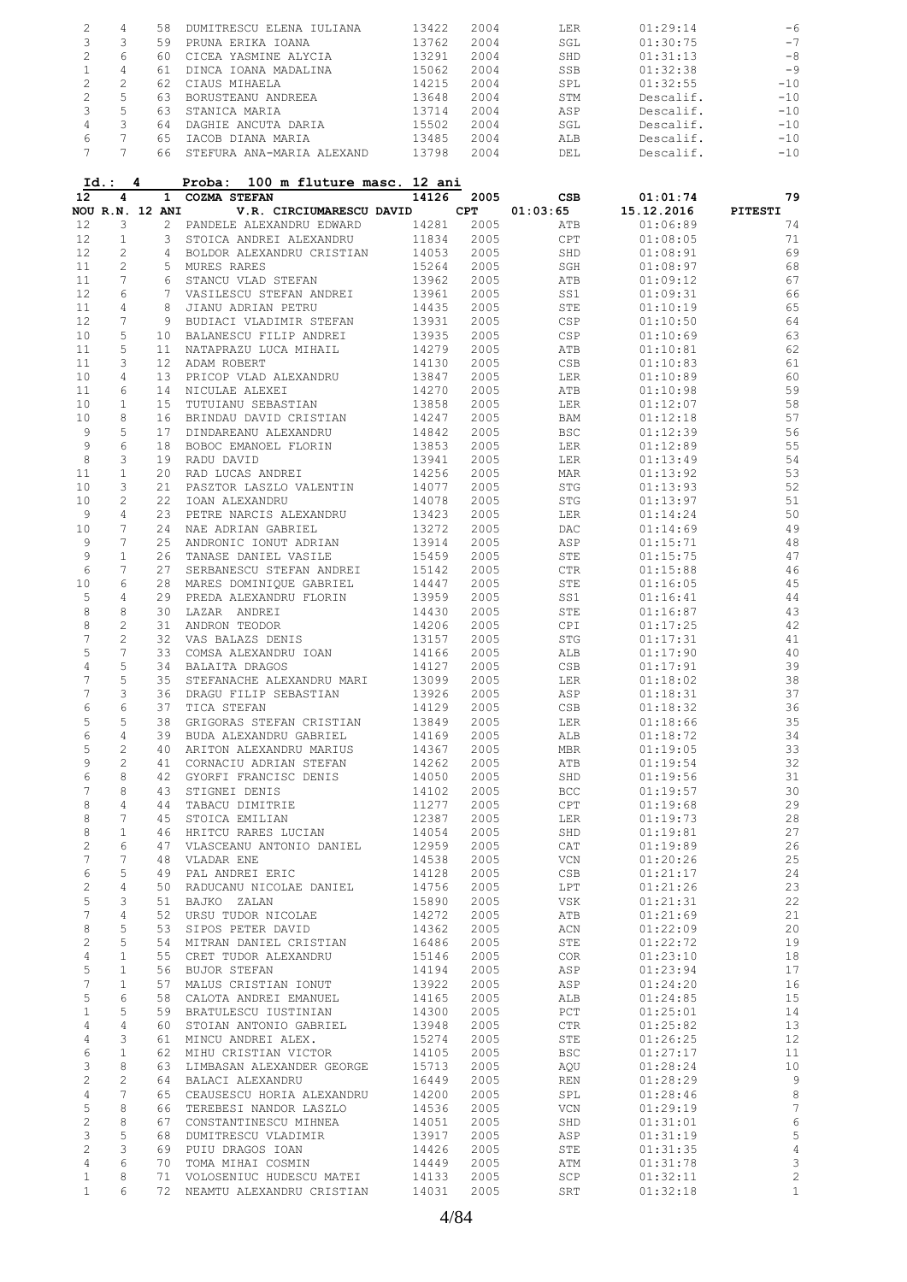| $\mathbf{2}$<br>3                                                                                                  |                   |                 |                                                        |                |              |              |                      |                                |
|--------------------------------------------------------------------------------------------------------------------|-------------------|-----------------|--------------------------------------------------------|----------------|--------------|--------------|----------------------|--------------------------------|
|                                                                                                                    | 4                 | 58              | DUMITRESCU ELENA IULIANA                               | 13422          | 2004         | LER          | 01:29:14             | $-6$                           |
|                                                                                                                    | 3                 | 59              | PRUNA ERIKA IOANA                                      | 13762          | 2004         | SGL          | 01:30:75             | $-7$                           |
|                                                                                                                    |                   |                 |                                                        |                |              |              |                      |                                |
| $\sqrt{2}$                                                                                                         | 6                 | 60              | CICEA YASMINE ALYCIA                                   | 13291          | 2004         | SHD          | 01:31:13             | $-8$                           |
| $\mathbf 1$                                                                                                        | 4                 | 61              | DINCA IOANA MADALINA                                   | 15062          | 2004         | SSB          | 01:32:38             | $-9$                           |
| $\mathbf{2}$                                                                                                       | 2                 | 62              | CIAUS MIHAELA                                          | 14215          | 2004         | SPL          | 01:32:55             | $-10$                          |
|                                                                                                                    |                   |                 |                                                        |                |              |              |                      |                                |
| $\mathfrak{2}% _{T}=\mathfrak{2}_{T}\!\left( a,b\right) ,\ \mathfrak{2}_{T}=\mathfrak{2}_{T}\!\left( a,b\right) ,$ | 5                 | 63              | BORUSTEANU ANDREEA                                     | 13648          | 2004         | STM          | Descalif.            | $-10$                          |
| 3                                                                                                                  | 5                 | 63              | STANICA MARIA                                          | 13714          | 2004         | ASP          | Descalif.            | $-10$                          |
|                                                                                                                    |                   |                 |                                                        |                |              |              |                      |                                |
| $\overline{4}$                                                                                                     | 3                 | 64              | DAGHIE ANCUTA DARIA                                    | 15502          | 2004         | SGL          | Descalif.            | $-10$                          |
| 6                                                                                                                  | 7                 | 65              | IACOB DIANA MARIA                                      | 13485          | 2004         | ALB          | Descalif.            | $-10$                          |
| 7                                                                                                                  | 7                 | 66              | STEFURA ANA-MARIA ALEXAND                              | 13798          | 2004         | DEL          | Descalif.            | $-10$                          |
|                                                                                                                    |                   |                 |                                                        |                |              |              |                      |                                |
| $12 \overline{ }$                                                                                                  | $Id.$ :<br>4<br>4 |                 | 100 m fluture masc. 12 ani<br>Proba:<br>1 COZMA STEFAN | 14126          | 2005         | CSB          | 01:01:74             | 79                             |
|                                                                                                                    |                   | NOU R.N. 12 ANI | V.R. CIRCIUMARESCU DAVID                               |                | CPT          | 01:03:65     | 15.12.2016           | <b>PITESTI</b>                 |
| 12                                                                                                                 | 3                 | $\overline{2}$  | PANDELE ALEXANDRU EDWARD                               | 14281          | 2005         | ATB          | 01:06:89             | 74                             |
|                                                                                                                    |                   |                 |                                                        |                |              |              |                      |                                |
| 12                                                                                                                 | $\mathbf{1}$      | 3               | STOICA ANDREI ALEXANDRU                                | 11834          | 2005         | CPT          | 01:08:05             | 71                             |
| 12                                                                                                                 | $\mathbf{2}$      | 4               | BOLDOR ALEXANDRU CRISTIAN                              | 14053          | 2005         | SHD          | 01:08:91             | 69                             |
| 11                                                                                                                 | $\overline{c}$    | 5               | MURES RARES                                            | 15264          | 2005         | SGH          | 01:08:97             | 68                             |
|                                                                                                                    |                   |                 |                                                        |                |              |              |                      |                                |
| 11                                                                                                                 | 7                 | 6               | STANCU VLAD STEFAN                                     | 13962          | 2005         | ATB          | 01:09:12             | 67                             |
| 12                                                                                                                 | 6                 | 7               | VASILESCU STEFAN ANDREI                                | 13961          | 2005         | SS1          | 01:09:31             | 66                             |
| 11                                                                                                                 | 4                 | 8               | JIANU ADRIAN PETRU                                     | 14435          | 2005         | STE          | 01:10:19             | 65                             |
| 12                                                                                                                 | 7                 | 9               | BUDIACI VLADIMIR STEFAN                                | 13931          | 2005         | CSP          | 01:10:50             | 64                             |
|                                                                                                                    |                   |                 |                                                        |                |              |              |                      |                                |
| 10                                                                                                                 | 5                 | 10              | BALANESCU FILIP ANDREI                                 | 13935          | 2005         | CSP          | 01:10:69             | 63                             |
| 11                                                                                                                 | 5                 | 11              | NATAPRAZU LUCA MIHAIL                                  | 14279          | 2005         | ATB          | 01:10:81             | 62                             |
|                                                                                                                    | 3                 | 12 <sup>7</sup> | ADAM ROBERT                                            |                | 2005         | CSB          |                      | 61                             |
| 11                                                                                                                 |                   |                 |                                                        | 14130          |              |              | 01:10:83             |                                |
| 10                                                                                                                 | 4                 | 13              | PRICOP VLAD ALEXANDRU                                  | 13847          | 2005         | LER          | 01:10:89             | 60                             |
| 11                                                                                                                 | 6                 | 14              | NICULAE ALEXEI                                         | 14270          | 2005         | ATB          | 01:10:98             | 59                             |
| 10                                                                                                                 | $\mathbf{1}$      | 15              | TUTUIANU SEBASTIAN                                     | 13858          | 2005         | LER          | 01:12:07             | 58                             |
|                                                                                                                    |                   |                 |                                                        |                |              |              |                      |                                |
| 10                                                                                                                 | 8                 | 16              | BRINDAU DAVID CRISTIAN                                 | 14247          | 2005         | BAM          | 01:12:18             | 57                             |
| 9                                                                                                                  | 5                 | 17              | DINDAREANU ALEXANDRU                                   | 14842          | 2005         | <b>BSC</b>   | 01:12:39             | 56                             |
| 9                                                                                                                  | 6                 | 18              | BOBOC EMANOEL FLORIN                                   | 13853          | 2005         | LER          | 01:12:89             | 55                             |
|                                                                                                                    |                   |                 |                                                        |                |              |              |                      |                                |
| 8                                                                                                                  | 3                 | 19              | RADU DAVID                                             | 13941          | 2005         | LER          | 01:13:49             | 54                             |
| 11                                                                                                                 | $\mathbf{1}$      | 20              | RAD LUCAS ANDREI                                       | 14256          | 2005         | MAR          | 01:13:92             | 53                             |
| 10                                                                                                                 | 3                 | 21              | PASZTOR LASZLO VALENTIN                                | 14077          | 2005         | STG          | 01:13:93             | 52                             |
|                                                                                                                    |                   |                 |                                                        |                |              |              |                      |                                |
| 10                                                                                                                 | 2                 | 22              | IOAN ALEXANDRU                                         | 14078          | 2005         | STG          | 01:13:97             | 51                             |
| 9                                                                                                                  | 4                 | 23              | PETRE NARCIS ALEXANDRU                                 | 13423          | 2005         | LER          | 01:14:24             | 50                             |
| 10                                                                                                                 | 7                 | 24              | NAE ADRIAN GABRIEL                                     | 13272          | 2005         | DAC          | 01:14:69             | 49                             |
|                                                                                                                    |                   |                 |                                                        |                |              |              |                      |                                |
| 9                                                                                                                  | 7                 | 25              | ANDRONIC IONUT ADRIAN                                  | 13914          | 2005         | ASP          | 01:15:71             | 48                             |
| 9                                                                                                                  | $\mathbf{1}$      | 26              | TANASE DANIEL VASILE                                   | 15459          | 2005         | STE          | 01:15:75             | 47                             |
| 6                                                                                                                  | 7                 | 27              | SERBANESCU STEFAN ANDREI                               | 15142          | 2005         | $_{\rm CTR}$ | 01:15:88             | 46                             |
|                                                                                                                    |                   |                 |                                                        |                |              |              |                      |                                |
| 10                                                                                                                 | 6                 | 28              | MARES DOMINIQUE GABRIEL                                | 14447          | 2005         | STE          | 01:16:05             | 45                             |
| 5                                                                                                                  | 4                 | 29              | PREDA ALEXANDRU FLORIN                                 | 13959          | 2005         | SS1          | 01:16:41             | 44                             |
| 8                                                                                                                  | 8                 | 30              | LAZAR ANDREI                                           | 14430          | 2005         | STE          | 01:16:87             | 43                             |
|                                                                                                                    |                   |                 |                                                        |                |              |              |                      |                                |
| 8                                                                                                                  | 2                 | 31              | ANDRON TEODOR                                          | 14206          | 2005         | <b>CPI</b>   | 01:17:25             | 42                             |
| $\overline{7}$                                                                                                     | $\overline{c}$    | 32              | VAS BALAZS DENIS                                       | 13157          | 2005         | STG          | 01:17:31             | 41                             |
| 5                                                                                                                  | 7                 | 33              | COMSA ALEXANDRU IOAN                                   | 14166          | 2005         | ALB          | 01:17:90             | 40                             |
|                                                                                                                    |                   |                 |                                                        |                |              |              |                      |                                |
| $\overline{4}$                                                                                                     | 5                 | 34              | BALAITA DRAGOS                                         | 14127          | 2005         | $_{\tt CSB}$ | 01:17:91             | 39                             |
| 7                                                                                                                  | 5                 | 35              | STEFANACHE ALEXANDRU MARI                              | 13099          | 2005         | LER          | 01:18:02             | 38                             |
| 7                                                                                                                  | 3                 | 36              | DRAGU FILIP SEBASTIAN                                  | 13926          | 2005         | ASP          | 01:18:31             | 37                             |
|                                                                                                                    |                   |                 |                                                        |                |              |              |                      |                                |
| 6                                                                                                                  | 6                 | 37              | TICA STEFAN                                            | 14129          | 2005         | $_{\tt CSB}$ | 01:18:32             | 36                             |
| 5                                                                                                                  | 5                 | 38              | GRIGORAS STEFAN CRISTIAN                               | 13849          | 2005         | LER          | 01:18:66             | 35                             |
| 6                                                                                                                  | 4                 | 39              | BUDA ALEXANDRU GABRIEL                                 | 14169          | 2005         | ALB          | 01:18:72             | 34                             |
|                                                                                                                    |                   |                 |                                                        | 14367          |              |              |                      |                                |
|                                                                                                                    |                   |                 | ARITON ALEXANDRU MARIUS                                |                | 2005         | MBR          |                      |                                |
| 5                                                                                                                  | $\mathbf{2}$      | 40              |                                                        |                |              |              | 01:19:05             | 33                             |
| 9                                                                                                                  | 2                 | 41              | CORNACIU ADRIAN STEFAN                                 | 14262          | 2005         | ATB          | 01:19:54             | 32                             |
|                                                                                                                    |                   |                 |                                                        |                |              |              |                      |                                |
| 6                                                                                                                  | 8                 | 42              | GYORFI FRANCISC DENIS                                  | 14050          | 2005         | SHD          | 01:19:56             | 31                             |
| 7                                                                                                                  | 8                 | 43              | STIGNEI DENIS                                          | 14102          | 2005         | <b>BCC</b>   | 01:19:57             | 30                             |
| 8                                                                                                                  | 4                 | 44              | TABACU DIMITRIE                                        | 11277          | 2005         | CPT          | 01:19:68             | 29                             |
|                                                                                                                    |                   |                 |                                                        |                |              |              |                      |                                |
| 8                                                                                                                  | 7                 | 45              | STOICA EMILIAN                                         | 12387          | 2005         | LER          | 01:19:73             | 28                             |
| 8                                                                                                                  | $\mathbf{1}$      | 46              | HRITCU RARES LUCIAN                                    | 14054          | 2005         | SHD          | 01:19:81             | 27                             |
| 2                                                                                                                  | 6                 | 47              | VLASCEANU ANTONIO DANIEL                               | 12959          | 2005         | CAT          | 01:19:89             | 26                             |
| 7                                                                                                                  | 7                 | 48              | VLADAR ENE                                             |                |              | VCN          |                      |                                |
|                                                                                                                    |                   |                 |                                                        | 14538          | 2005         |              | 01:20:26             | 25                             |
| 6                                                                                                                  | 5                 | 49              | PAL ANDREI ERIC                                        | 14128          | 2005         | CSB          | 01:21:17             | 24                             |
| 2                                                                                                                  | $\overline{4}$    | 50              | RADUCANU NICOLAE DANIEL                                | 14756          | 2005         | LPT          | 01:21:26             | 23                             |
| 5                                                                                                                  | 3                 | 51              | BAJKO ZALAN                                            | 15890          | 2005         | VSK          | 01:21:31             | 22                             |
|                                                                                                                    |                   |                 |                                                        |                |              |              |                      |                                |
| 7                                                                                                                  | $\overline{4}$    | 52              | URSU TUDOR NICOLAE                                     | 14272          | 2005         | ATB          | 01:21:69             | 21                             |
| 8                                                                                                                  | 5                 | 53              | SIPOS PETER DAVID                                      | 14362          | 2005         | ACN          | 01:22:09             | 20                             |
| 2                                                                                                                  | 5                 | 54              | MITRAN DANIEL CRISTIAN                                 | 16486          | 2005         | STE          | 01:22:72             | 19                             |
|                                                                                                                    |                   |                 |                                                        |                |              |              |                      |                                |
| $\overline{4}$                                                                                                     | $\mathbf{1}$      | 55              | CRET TUDOR ALEXANDRU                                   | 15146          | 2005         | COR          | 01:23:10             | 18                             |
| 5                                                                                                                  | $\mathbf{1}$      | 56              | BUJOR STEFAN                                           | 14194          | 2005         | ASP          | 01:23:94             | 17                             |
| 7                                                                                                                  | $\mathbf{1}$      | 57              | MALUS CRISTIAN IONUT                                   | 13922          | 2005         | ASP          | 01:24:20             | 16                             |
|                                                                                                                    |                   |                 |                                                        |                |              |              |                      |                                |
| 5                                                                                                                  | 6                 | 58              | CALOTA ANDREI EMANUEL                                  | 14165          | 2005         | ALB          | 01:24:85             | 15                             |
| $\mathbf{1}$                                                                                                       | 5                 | 59              | BRATULESCU IUSTINIAN                                   | 14300          | 2005         | PCT          | 01:25:01             | 14                             |
| $\overline{4}$                                                                                                     | 4                 | 60              | STOIAN ANTONIO GABRIEL                                 | 13948          | 2005         | CTR          | 01:25:82             | 13                             |
|                                                                                                                    |                   |                 |                                                        |                |              |              |                      |                                |
| $\overline{4}$                                                                                                     | 3                 | 61              | MINCU ANDREI ALEX.                                     | 15274          | 2005         | STE          | 01:26:25             | 12                             |
| 6                                                                                                                  | $\mathbf{1}$      | 62              | MIHU CRISTIAN VICTOR                                   | 14105          | 2005         | <b>BSC</b>   | 01:27:17             | 11                             |
| 3                                                                                                                  | 8                 | 63              | LIMBASAN ALEXANDER GEORGE                              | 15713          | 2005         | AQU          | 01:28:24             | 10                             |
|                                                                                                                    |                   |                 |                                                        |                |              |              |                      |                                |
| 2                                                                                                                  | $\overline{c}$    | 64              | BALACI ALEXANDRU                                       | 16449          | 2005         | REN          | 01:28:29             | 9                              |
| $\overline{4}$                                                                                                     | 7                 | 65              | CEAUSESCU HORIA ALEXANDRU                              | 14200          | 2005         | SPL          | 01:28:46             | $\,8\,$                        |
| 5                                                                                                                  | 8                 | 66              | TEREBESI NANDOR LASZLO                                 | 14536          | 2005         | VCN          | 01:29:19             | $\sqrt{ }$                     |
|                                                                                                                    |                   |                 |                                                        |                |              |              |                      |                                |
| $\overline{c}$                                                                                                     | 8                 | 67              | CONSTANTINESCU MIHNEA                                  | 14051          | 2005         | SHD          | 01:31:01             | $\sqrt{6}$                     |
| 3                                                                                                                  | 5                 | 68              | DUMITRESCU VLADIMIR                                    | 13917          | 2005         | ASP          | 01:31:19             | $\mathsf S$                    |
| $\overline{c}$                                                                                                     | 3                 | 69              | PUIU DRAGOS IOAN                                       | 14426          | 2005         | STE          | 01:31:35             | $\overline{4}$                 |
|                                                                                                                    | 6                 | 70              | TOMA MIHAI COSMIN                                      | 14449          | 2005         | ATM          | 01:31:78             | $\mathcal{S}$                  |
| 4                                                                                                                  |                   |                 |                                                        |                |              |              |                      |                                |
| $\mathbf{1}$<br>$\mathbf{1}$                                                                                       | 8<br>6            | 71<br>72        | VOLOSENIUC HUDESCU MATEI<br>NEAMTU ALEXANDRU CRISTIAN  | 14133<br>14031 | 2005<br>2005 | SCP<br>SRT   | 01:32:11<br>01:32:18 | $\overline{c}$<br>$\mathbf{1}$ |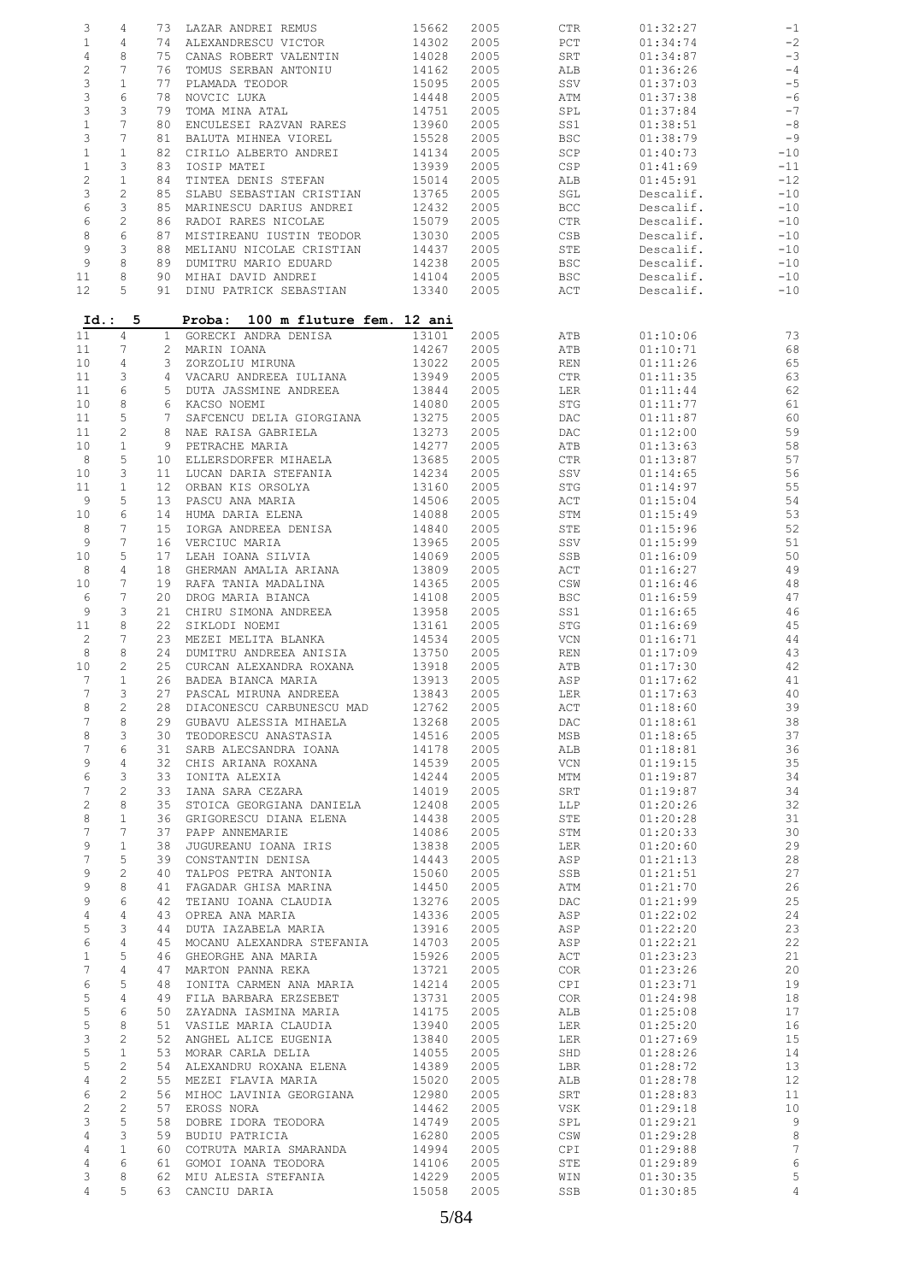| 3                                                                                                                  | 4              | 73                    | LAZAR ANDREI REMUS        | 15662 | 2005 | CTR            | 01:32:27  | $-1$            |
|--------------------------------------------------------------------------------------------------------------------|----------------|-----------------------|---------------------------|-------|------|----------------|-----------|-----------------|
| $\mathbf 1$                                                                                                        | 4              | 74                    | ALEXANDRESCU VICTOR       | 14302 | 2005 | PCT            | 01:34:74  | $^{\rm -2}$     |
| $\overline{4}$                                                                                                     | $\,8\,$        | 75                    | CANAS ROBERT VALENTIN     | 14028 | 2005 | SRT            | 01:34:87  | $-3$            |
|                                                                                                                    |                |                       |                           |       |      |                |           |                 |
| $\mathbf{2}$                                                                                                       | 7              | 76                    | TOMUS SERBAN ANTONIU      | 14162 | 2005 | ALB            | 01:36:26  | $- \, 4$        |
| 3                                                                                                                  | $\mathbf{1}$   | 77                    | PLAMADA TEODOR            | 15095 | 2005 | SSV            | 01:37:03  | $-5$            |
| 3                                                                                                                  | 6              | 78                    | NOVCIC LUKA               | 14448 | 2005 | ATM            | 01:37:38  | $-6$            |
| 3                                                                                                                  | 3              | 79                    | TOMA MINA ATAL            | 14751 | 2005 | SPL            | 01:37:84  | $-7$            |
| $\mathbf{1}$                                                                                                       | 7              | 80                    | ENCULESEI RAZVAN RARES    | 13960 | 2005 | SS1            | 01:38:51  | $-8$            |
|                                                                                                                    |                |                       |                           |       |      |                |           |                 |
| 3                                                                                                                  | 7              | 81                    | BALUTA MIHNEA VIOREL      | 15528 | 2005 | <b>BSC</b>     | 01:38:79  | $-9$            |
| $1\,$                                                                                                              | $\mathbf{1}$   | 82                    | CIRILO ALBERTO ANDREI     | 14134 | 2005 | SCP            | 01:40:73  | $-10$           |
| $1\,$                                                                                                              | 3              | 83                    | IOSIP MATEI               | 13939 | 2005 | CSP            | 01:41:69  | $-11$           |
| $\mathfrak{2}% _{T}=\mathfrak{2}_{T}\!\left( a,b\right) ,\ \mathfrak{2}_{T}=\mathfrak{2}_{T}\!\left( a,b\right) ,$ | $\mathbf{1}$   | 84                    | TINTEA DENIS STEFAN       | 15014 | 2005 | ALB            | 01:45:91  | $-12$           |
|                                                                                                                    |                |                       |                           |       |      |                |           |                 |
| 3                                                                                                                  | 2              | 85                    | SLABU SEBASTIAN CRISTIAN  | 13765 | 2005 | SGL            | Descalif. | $-10$           |
| $\epsilon$                                                                                                         | 3              | 85                    | MARINESCU DARIUS ANDREI   | 12432 | 2005 | <b>BCC</b>     | Descalif. | $-10$           |
| 6                                                                                                                  | $\mathbf{2}$   | 86                    | RADOI RARES NICOLAE       | 15079 | 2005 | CTR            | Descalif. | $-10$           |
| 8                                                                                                                  | 6              | 87                    | MISTIREANU IUSTIN TEODOR  | 13030 | 2005 | CSB            | Descalif. | $-10$           |
| 9                                                                                                                  | 3              | 88                    | MELIANU NICOLAE CRISTIAN  | 14437 | 2005 | ${\tt STE}$    | Descalif. | $-10$           |
|                                                                                                                    |                |                       |                           |       |      |                |           |                 |
| 9                                                                                                                  | 8              | 89                    | DUMITRU MARIO EDUARD      | 14238 | 2005 | <b>BSC</b>     | Descalif. | $-10$           |
| 11                                                                                                                 | 8              | 90                    | MIHAI DAVID ANDREI        | 14104 | 2005 | <b>BSC</b>     | Descalif. | $-10$           |
| 12                                                                                                                 | 5              | 91                    | DINU PATRICK SEBASTIAN    | 13340 | 2005 | ACT            | Descalif. | $-10$           |
|                                                                                                                    |                |                       |                           |       |      |                |           |                 |
| Id.:                                                                                                               | 5              |                       | 100 m fluture fem. 12 ani |       |      |                |           |                 |
|                                                                                                                    |                |                       | Proba:                    |       |      |                |           |                 |
| 11                                                                                                                 | 4              | $\mathbf{1}$          | GORECKI ANDRA DENISA      | 13101 | 2005 | ATB            | 01:10:06  | 73              |
| 11                                                                                                                 | 7              | $\mathbf{2}^{\prime}$ | MARIN IOANA               | 14267 | 2005 | ATB            | 01:10:71  | 68              |
| 10                                                                                                                 | 4              | 3                     | ZORZOLIU MIRUNA           | 13022 | 2005 | REN            | 01:11:26  | 65              |
| 11                                                                                                                 | 3              | 4                     |                           | 13949 | 2005 | $_{\rm CTR}$   |           | 63              |
|                                                                                                                    |                |                       | VACARU ANDREEA IULIANA    |       |      |                | 01:11:35  |                 |
| 11                                                                                                                 | 6              | 5                     | DUTA JASSMINE ANDREEA     | 13844 | 2005 | LER            | 01:11:44  | 62              |
| 10                                                                                                                 | 8              | 6                     | KACSO NOEMI               | 14080 | 2005 | STG            | 01:11:77  | 61              |
| 11                                                                                                                 | 5              | 7                     | SAFCENCU DELIA GIORGIANA  | 13275 | 2005 | DAC            | 01:11:87  | 60              |
| 11                                                                                                                 | 2              | 8                     | NAE RAISA GABRIELA        | 13273 | 2005 | DAC            | 01:12:00  | 59              |
|                                                                                                                    |                |                       |                           |       |      |                |           |                 |
| 10                                                                                                                 | $\mathbf{1}$   | 9                     | PETRACHE MARIA            | 14277 | 2005 | ATB            | 01:13:63  | 58              |
| 8                                                                                                                  | 5              | 10                    | ELLERSDORFER MIHAELA      | 13685 | 2005 | CTR            | 01:13:87  | 57              |
| 10                                                                                                                 | 3              | 11                    | LUCAN DARIA STEFANIA      | 14234 | 2005 | SSV            | 01:14:65  | 56              |
| 11                                                                                                                 | $\mathbf{1}$   | 12 <sub>2</sub>       | ORBAN KIS ORSOLYA         | 13160 | 2005 | STG            | 01:14:97  | 55              |
|                                                                                                                    |                |                       |                           |       |      |                |           |                 |
| 9                                                                                                                  | 5              | 13                    | PASCU ANA MARIA           | 14506 | 2005 | ACT            | 01:15:04  | 54              |
| 10                                                                                                                 | 6              | 14                    | HUMA DARIA ELENA          | 14088 | 2005 | STM            | 01:15:49  | 53              |
| 8                                                                                                                  | 7              | 15 <sub>1</sub>       | IORGA ANDREEA DENISA      | 14840 | 2005 | STE            | 01:15:96  | 52              |
| 9                                                                                                                  | 7              | 16                    | VERCIUC MARIA             | 13965 | 2005 | SSV            | 01:15:99  | 51              |
| 10                                                                                                                 | 5              | 17                    | LEAH IOANA SILVIA         | 14069 | 2005 | SSB            | 01:16:09  | 50              |
|                                                                                                                    |                |                       |                           |       |      |                |           |                 |
| 8                                                                                                                  | 4              | 18                    | GHERMAN AMALIA ARIANA     | 13809 | 2005 | ACT            | 01:16:27  | 49              |
| 10                                                                                                                 | 7              | 19                    | RAFA TANIA MADALINA       | 14365 | 2005 | CSW            | 01:16:46  | 48              |
| 6                                                                                                                  | 7              | 20                    | DROG MARIA BIANCA         | 14108 | 2005 | <b>BSC</b>     | 01:16:59  | 47              |
| 9                                                                                                                  | 3              | 21                    | CHIRU SIMONA ANDREEA      | 13958 | 2005 | SS1            | 01:16:65  | 46              |
| 11                                                                                                                 | 8              | 22                    | SIKLODI NOEMI             | 13161 | 2005 | STG            | 01:16:69  | 45              |
|                                                                                                                    |                |                       |                           |       |      |                |           |                 |
| $\mathbf{2}$                                                                                                       | 7              | 23                    | MEZEI MELITA BLANKA       | 14534 | 2005 | VCN            | 01:16:71  | 44              |
| 8                                                                                                                  | 8              | 24                    | DUMITRU ANDREEA ANISIA    | 13750 | 2005 | REN            | 01:17:09  | 43              |
| 10                                                                                                                 | $\overline{c}$ | 25                    | CURCAN ALEXANDRA ROXANA   | 13918 | 2005 | ATB            | 01:17:30  | $4\sqrt{2}$     |
| 7                                                                                                                  | $\mathbf{1}$   | 26                    | BADEA BIANCA MARIA        | 13913 | 2005 | ASP            | 01:17:62  | 41              |
| 7                                                                                                                  | 3              | 27                    | PASCAL MIRUNA ANDREEA     |       |      |                |           | 40              |
|                                                                                                                    |                |                       |                           | 13843 | 2005 | LER            | 01:17:63  |                 |
| 8                                                                                                                  | 2              | 28                    | DIACONESCU CARBUNESCU MAD | 12762 | 2005 | $\mathtt{ACT}$ | 01:18:60  | 39              |
| $\overline{7}$                                                                                                     | 8              | 29                    | GUBAVU ALESSIA MIHAELA    | 13268 | 2005 | DAC            | 01:18:61  | 38              |
| 8                                                                                                                  | 3              | 30                    | TEODORESCU ANASTASIA      | 14516 | 2005 | MSB            | 01:18:65  | 37              |
| 7                                                                                                                  | 6              | 31                    | SARB ALECSANDRA IOANA     | 14178 | 2005 | ALB            | 01:18:81  | 36              |
|                                                                                                                    | 4              |                       |                           |       |      |                |           |                 |
| 9                                                                                                                  |                | 32                    | CHIS ARIANA ROXANA        | 14539 | 2005 | VCN            | 01:19:15  | 35              |
| 6                                                                                                                  | 3              | 33                    | IONITA ALEXIA             | 14244 | 2005 | MTM            | 01:19:87  | 34              |
| 7                                                                                                                  | $\overline{c}$ | 33                    | IANA SARA CEZARA          | 14019 | 2005 | SRT            | 01:19:87  | 34              |
| 2                                                                                                                  | 8              | 35                    | STOICA GEORGIANA DANIELA  | 12408 | 2005 | LLP            | 01:20:26  | 32              |
| 8                                                                                                                  | $\mathbf{1}$   | 36                    | GRIGORESCU DIANA ELENA    | 14438 | 2005 | STE            | 01:20:28  | 31              |
| 7                                                                                                                  | 7              | 37                    |                           |       |      |                |           | 30              |
|                                                                                                                    |                |                       | PAPP ANNEMARIE            | 14086 | 2005 | STM            | 01:20:33  |                 |
| 9                                                                                                                  | $\mathbf{1}$   | 38                    | JUGUREANU IOANA IRIS      | 13838 | 2005 | LER            | 01:20:60  | 29              |
| 7                                                                                                                  | 5              | 39                    | CONSTANTIN DENISA         | 14443 | 2005 | ASP            | 01:21:13  | 28              |
| 9                                                                                                                  | $\overline{c}$ | 40                    | TALPOS PETRA ANTONIA      | 15060 | 2005 | SSB            | 01:21:51  | 27              |
| 9                                                                                                                  | 8              | 41                    | FAGADAR GHISA MARINA      | 14450 | 2005 | ATM            | 01:21:70  | 26              |
| 9                                                                                                                  | 6              | 42                    | TEIANU IOANA CLAUDIA      | 13276 | 2005 | DAC            | 01:21:99  | 25              |
|                                                                                                                    |                |                       |                           |       |      |                |           |                 |
| $\overline{4}$                                                                                                     | $\overline{4}$ | 43                    | OPREA ANA MARIA           | 14336 | 2005 | ASP            | 01:22:02  | 24              |
| 5                                                                                                                  | 3              | 44                    | DUTA IAZABELA MARIA       | 13916 | 2005 | ASP            | 01:22:20  | 23              |
| 6                                                                                                                  | $\overline{4}$ | 45                    | MOCANU ALEXANDRA STEFANIA | 14703 | 2005 | ASP            | 01:22:21  | 22              |
| $\mathbf{1}$                                                                                                       | 5              | 46                    | GHEORGHE ANA MARIA        | 15926 | 2005 | ACT            | 01:23:23  | 21              |
| 7                                                                                                                  | $\overline{4}$ | 47                    | MARTON PANNA REKA         | 13721 | 2005 | COR            | 01:23:26  | 20              |
|                                                                                                                    |                |                       |                           |       |      |                |           |                 |
| 6                                                                                                                  | 5              | 48                    | IONITA CARMEN ANA MARIA   | 14214 | 2005 | CPI            | 01:23:71  | 19              |
| 5                                                                                                                  | $\overline{4}$ | 49                    | FILA BARBARA ERZSEBET     | 13731 | 2005 | COR            | 01:24:98  | 18              |
| 5                                                                                                                  | 6              | 50                    | ZAYADNA IASMINA MARIA     | 14175 | 2005 | ALB            | 01:25:08  | 17              |
| 5                                                                                                                  | 8              | 51                    | VASILE MARIA CLAUDIA      | 13940 | 2005 | LER            | 01:25:20  | 16              |
| 3                                                                                                                  | $\mathbf{2}$   | 52                    | ANGHEL ALICE EUGENIA      | 13840 | 2005 | LER            | 01:27:69  | 15              |
|                                                                                                                    |                |                       |                           |       |      |                |           |                 |
| 5                                                                                                                  | $\mathbf{1}$   | 53                    | MORAR CARLA DELIA         | 14055 | 2005 | SHD            | 01:28:26  | 14              |
| 5                                                                                                                  | $\mathbf{2}$   | 54                    | ALEXANDRU ROXANA ELENA    | 14389 | 2005 | LBR            | 01:28:72  | 13              |
| $\overline{4}$                                                                                                     | $\overline{c}$ | 55                    | MEZEI FLAVIA MARIA        | 15020 | 2005 | ALB            | 01:28:78  | 12              |
| $\epsilon$                                                                                                         | $\mathbf{2}$   | 56                    | MIHOC LAVINIA GEORGIANA   | 12980 | 2005 | SRT            | 01:28:83  | 11              |
| $\overline{c}$                                                                                                     | $\mathbf{2}$   | 57                    | EROSS NORA                | 14462 | 2005 | VSK            | 01:29:18  | 10              |
|                                                                                                                    |                |                       |                           |       |      |                |           |                 |
| 3                                                                                                                  | 5              | 58                    | DOBRE IDORA TEODORA       | 14749 | 2005 | SPL            | 01:29:21  | 9               |
| $\overline{4}$                                                                                                     | 3              | 59                    | BUDIU PATRICIA            | 16280 | 2005 | CSW            | 01:29:28  | 8               |
| 4                                                                                                                  | $\mathbf{1}$   | 60                    | COTRUTA MARIA SMARANDA    | 14994 | 2005 | CPI            | 01:29:88  | $7\phantom{.0}$ |
| 4                                                                                                                  | 6              | 61                    | GOMOI IOANA TEODORA       | 14106 | 2005 | STE            | 01:29:89  | $\sqrt{6}$      |
|                                                                                                                    | 8              | 62                    | MIU ALESIA STEFANIA       | 14229 | 2005 | WIN            | 01:30:35  | 5               |
|                                                                                                                    |                |                       |                           |       |      |                |           |                 |
| 3<br>4                                                                                                             | 5              | 63                    | CANCIU DARIA              | 15058 | 2005 | SSB            | 01:30:85  | $\overline{4}$  |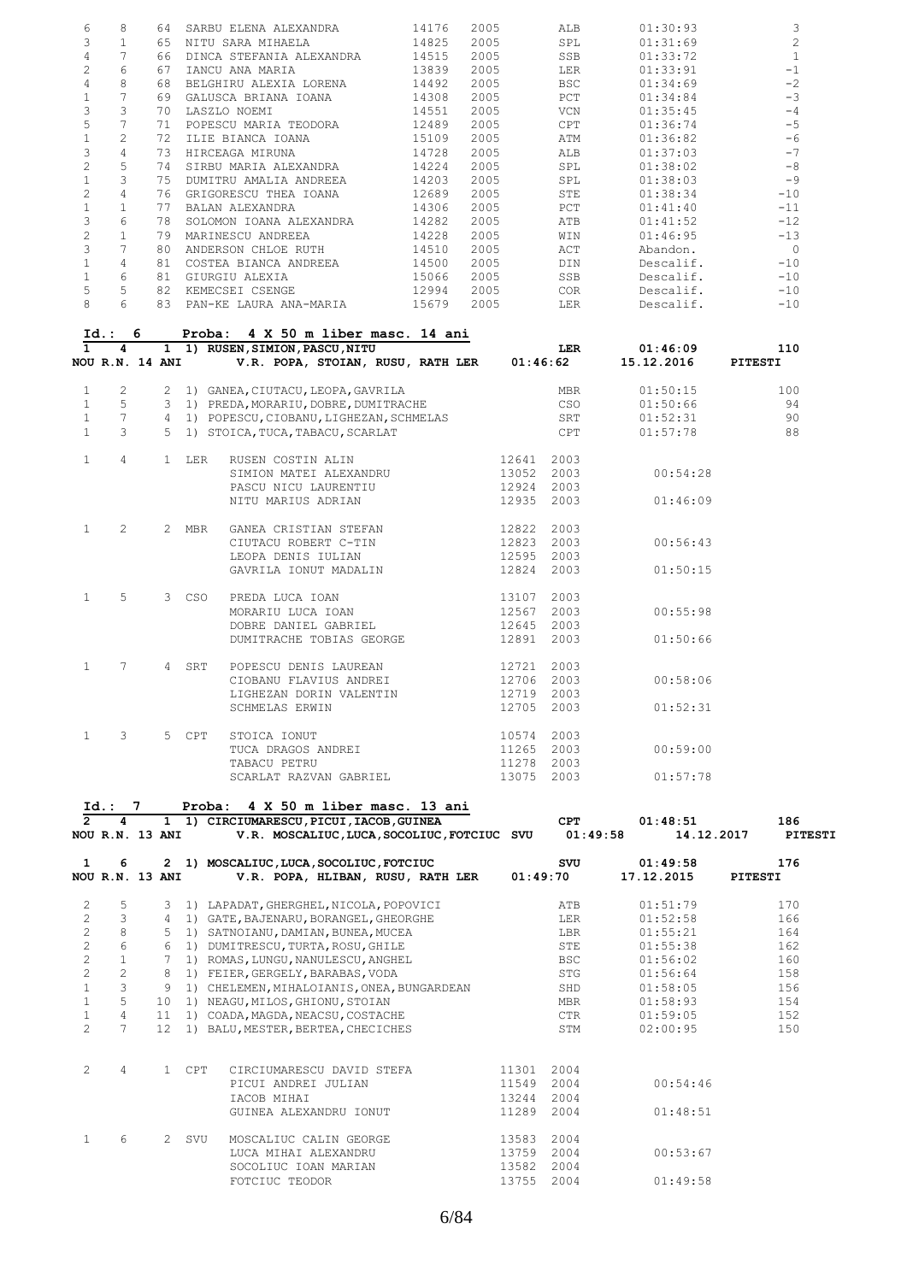| 6              | 8               |                        |       |                                                                                                                                                                                                                                                                                                                                                      |  |                          |            | 01:30:93                 | 3                                               |
|----------------|-----------------|------------------------|-------|------------------------------------------------------------------------------------------------------------------------------------------------------------------------------------------------------------------------------------------------------------------------------------------------------------------------------------------------------|--|--------------------------|------------|--------------------------|-------------------------------------------------|
| 3              | $\mathbf{1}$    |                        |       |                                                                                                                                                                                                                                                                                                                                                      |  |                          |            | 01:31:69                 | 2                                               |
| $\overline{4}$ | $7\phantom{.0}$ |                        |       |                                                                                                                                                                                                                                                                                                                                                      |  |                          |            | $01:33:72$<br>$01:33:91$ | $\overline{1}$                                  |
| $\mathbf{2}$   | 6               |                        |       |                                                                                                                                                                                                                                                                                                                                                      |  |                          |            |                          | $-1$                                            |
| $\overline{4}$ | 8               |                        |       |                                                                                                                                                                                                                                                                                                                                                      |  |                          |            |                          | $-2$                                            |
|                |                 |                        |       |                                                                                                                                                                                                                                                                                                                                                      |  |                          |            | 01:34:69<br>01:34:84     |                                                 |
| $\mathbf{1}$   | 7               |                        |       |                                                                                                                                                                                                                                                                                                                                                      |  |                          |            |                          | $-3$                                            |
| 3              | 3               |                        |       |                                                                                                                                                                                                                                                                                                                                                      |  |                          |            | $01:35:45$<br>$01:36:74$ | $-4$                                            |
| 5              | $7\overline{ }$ |                        |       |                                                                                                                                                                                                                                                                                                                                                      |  |                          |            |                          | $-5$                                            |
| $\mathbf{1}$   | $\overline{2}$  |                        |       |                                                                                                                                                                                                                                                                                                                                                      |  |                          |            |                          | $-6$                                            |
|                |                 |                        |       |                                                                                                                                                                                                                                                                                                                                                      |  |                          |            | $01:36:82$<br>$01:37:03$ |                                                 |
| 3              | $\overline{4}$  |                        |       |                                                                                                                                                                                                                                                                                                                                                      |  |                          |            |                          | $-7$                                            |
| $\overline{2}$ | 5               |                        |       |                                                                                                                                                                                                                                                                                                                                                      |  |                          |            | 01:38:02                 | $-8$                                            |
| $\mathbf{1}$   | 3               |                        |       |                                                                                                                                                                                                                                                                                                                                                      |  |                          |            | 01:38:03                 | $-9$                                            |
|                |                 |                        |       |                                                                                                                                                                                                                                                                                                                                                      |  |                          |            |                          |                                                 |
| $\overline{2}$ | $\overline{4}$  |                        |       |                                                                                                                                                                                                                                                                                                                                                      |  |                          |            | 01:38:34                 | $-10$                                           |
| $\mathbf{1}$   | $\mathbf{1}$    |                        |       |                                                                                                                                                                                                                                                                                                                                                      |  |                          |            | 01:41:40                 | $-11$                                           |
| 3              | 6               |                        |       |                                                                                                                                                                                                                                                                                                                                                      |  |                          |            | 01:41:52<br>01:46:95     | $-12$<br>$-13$                                  |
| $\overline{2}$ | $\mathbf{1}$    |                        |       |                                                                                                                                                                                                                                                                                                                                                      |  |                          |            |                          |                                                 |
|                |                 |                        |       |                                                                                                                                                                                                                                                                                                                                                      |  |                          |            |                          |                                                 |
| 3              | $7\overline{ }$ |                        |       |                                                                                                                                                                                                                                                                                                                                                      |  |                          |            |                          | Abandon. 0<br>Descalif. -10                     |
| $\mathbf{1}$   | $\overline{4}$  |                        |       |                                                                                                                                                                                                                                                                                                                                                      |  |                          |            |                          |                                                 |
| 1              | 6               |                        |       |                                                                                                                                                                                                                                                                                                                                                      |  |                          |            |                          |                                                 |
| 5 <sup>1</sup> |                 | $5 -$                  |       |                                                                                                                                                                                                                                                                                                                                                      |  |                          |            |                          | Descalif. -10<br>Descalif. -10<br>Descalif. -10 |
|                |                 |                        |       |                                                                                                                                                                                                                                                                                                                                                      |  |                          |            |                          |                                                 |
|                | 8               | $6 \qquad$             |       | 83 PAN-KE LAURA ANA-MARIA 15679 2005 LER                                                                                                                                                                                                                                                                                                             |  |                          |            |                          | Descalif. -10                                   |
|                |                 |                        |       |                                                                                                                                                                                                                                                                                                                                                      |  |                          |            |                          |                                                 |
|                |                 |                        |       |                                                                                                                                                                                                                                                                                                                                                      |  |                          |            |                          |                                                 |
|                |                 |                        |       | 10.: 6 Proba: 4 X 50 m liber masc. 14 ani<br>1 4 1 1) RUSEN, SIMION, PASCU, NITU<br>NOUR.N. 14 ANI V.R. POPA, STOIAN, RUSU, RATH LER 01:46:62 15.12.2016 PITESTI                                                                                                                                                                                     |  |                          |            |                          |                                                 |
|                |                 |                        |       |                                                                                                                                                                                                                                                                                                                                                      |  |                          |            |                          |                                                 |
|                |                 |                        |       |                                                                                                                                                                                                                                                                                                                                                      |  |                          |            |                          |                                                 |
|                |                 |                        |       |                                                                                                                                                                                                                                                                                                                                                      |  |                          |            |                          |                                                 |
| $\mathbf{1}$   |                 |                        |       | 2 2 1) GANEA, CIUTACU, LEOPA, GAVRILA MBR 01:50:15<br>5 3 1) PREDA, MORARIU, DOBRE, DUMITRACHE CSO 01:50:66<br>7 4 1) POPESCU, CIOBANU, LIGHEZAN, SCHMELAS SRT 01:52:31<br>5 1) STOICA, TUCA, TABACU, SCARLAT CPT 01:57:78                                                                                                                           |  |                          |            | $01:50:15$ 100           |                                                 |
| $\mathbf{1}$   |                 |                        |       |                                                                                                                                                                                                                                                                                                                                                      |  |                          |            | 01:50:66                 | 94                                              |
|                |                 |                        |       |                                                                                                                                                                                                                                                                                                                                                      |  |                          |            |                          |                                                 |
| $\mathbf{1}$   |                 |                        |       |                                                                                                                                                                                                                                                                                                                                                      |  |                          |            |                          | 90                                              |
| 1              |                 |                        |       |                                                                                                                                                                                                                                                                                                                                                      |  |                          |            |                          | $01:57:78$ 88                                   |
|                |                 |                        |       |                                                                                                                                                                                                                                                                                                                                                      |  |                          |            |                          |                                                 |
| 1              |                 | $4 \quad \blacksquare$ |       |                                                                                                                                                                                                                                                                                                                                                      |  |                          |            |                          |                                                 |
|                |                 |                        |       |                                                                                                                                                                                                                                                                                                                                                      |  |                          |            |                          |                                                 |
|                |                 |                        |       |                                                                                                                                                                                                                                                                                                                                                      |  |                          |            |                          |                                                 |
|                |                 |                        |       |                                                                                                                                                                                                                                                                                                                                                      |  |                          |            |                          |                                                 |
|                |                 |                        |       |                                                                                                                                                                                                                                                                                                                                                      |  |                          |            |                          |                                                 |
|                |                 |                        |       | $\begin{tabular}{lcccc} 1 & LER & RUSEN COSTIN ALIN & & & & 12641 & 2003 \\  \texttt{SIMION MATEI ALEXAMPLE} & & & & 13052 & 2003 & & 00:54:28 \\  \texttt{PASCU NICU LAURENTIU} & & & & 12924 & 2003 & & 01:46:09 \\  \texttt{MITU MARIUS ADRIAN} & & & & 12935 & 2003 & & 01:46:09 \\ \end{tabular}$<br>PASCU NICU LAURENTIU<br>NITU MARIUS ADRIAN |  |                          |            |                          |                                                 |
|                |                 |                        |       |                                                                                                                                                                                                                                                                                                                                                      |  |                          |            |                          |                                                 |
|                |                 |                        |       | $\begin{tabular}{llllll} 1 & 2 & 2 MBR & GANEA CRISTIAN STEFAN & 12822 & 2003 \\ & CIUTACU ROBERT C-TIN & 12823 & 2003 \\ & LEOPA DENIS IULIAN & 12595 & 2003 \\ & GAVRILA IONUT MADALIN & 12824 & 2003 \\ \end{tabular}$                                                                                                                            |  |                          |            |                          |                                                 |
|                |                 |                        |       |                                                                                                                                                                                                                                                                                                                                                      |  |                          |            | 00:56:43                 |                                                 |
|                |                 |                        |       |                                                                                                                                                                                                                                                                                                                                                      |  |                          |            |                          |                                                 |
|                |                 |                        |       |                                                                                                                                                                                                                                                                                                                                                      |  |                          |            |                          |                                                 |
|                |                 |                        |       |                                                                                                                                                                                                                                                                                                                                                      |  |                          |            | 01:50:15                 |                                                 |
|                |                 |                        |       |                                                                                                                                                                                                                                                                                                                                                      |  |                          |            |                          |                                                 |
| $1 \quad \Box$ |                 | $5 -$                  |       |                                                                                                                                                                                                                                                                                                                                                      |  |                          |            |                          |                                                 |
|                |                 |                        |       |                                                                                                                                                                                                                                                                                                                                                      |  |                          |            |                          |                                                 |
|                |                 |                        |       |                                                                                                                                                                                                                                                                                                                                                      |  |                          |            | 00:55:98                 |                                                 |
|                |                 |                        |       |                                                                                                                                                                                                                                                                                                                                                      |  |                          |            |                          |                                                 |
|                |                 |                        |       | 3 CSO PREDA LUCA IOAN 13107 2003<br>MORARIU LUCA IOAN 12567 2003<br>DOBRE DANIEL GABRIEL 12645 2003<br>DUMITRACHE TOBIAS GEORGE 12891 2003                                                                                                                                                                                                           |  |                          |            | 01:50:66                 |                                                 |
|                |                 |                        |       |                                                                                                                                                                                                                                                                                                                                                      |  |                          |            |                          |                                                 |
|                |                 |                        |       | POPESCU DENIS LAUREAN 12721 2003<br>CIOBANU FLAVIUS ANDREI 12706 2003 00:58:06                                                                                                                                                                                                                                                                       |  |                          |            |                          |                                                 |
| 1              |                 |                        |       | 7 4 SRT POPESCU DENIS LAUREAN                                                                                                                                                                                                                                                                                                                        |  |                          |            |                          |                                                 |
|                |                 |                        |       |                                                                                                                                                                                                                                                                                                                                                      |  |                          |            |                          |                                                 |
|                |                 |                        |       | LIGHEZAN DORIN VALENTIN                                                                                                                                                                                                                                                                                                                              |  |                          | 12719 2003 |                          |                                                 |
|                |                 |                        |       | SCHMELAS ERWIN                                                                                                                                                                                                                                                                                                                                       |  |                          | 12705 2003 | 01:52:31                 |                                                 |
|                |                 |                        |       |                                                                                                                                                                                                                                                                                                                                                      |  |                          |            |                          |                                                 |
|                |                 |                        |       |                                                                                                                                                                                                                                                                                                                                                      |  |                          |            |                          |                                                 |
| $\mathbf{1}$   | $\mathcal{S}$   |                        | 5 CPT | STOICA IONUT                                                                                                                                                                                                                                                                                                                                         |  |                          | 10574 2003 |                          |                                                 |
|                |                 |                        |       | TUCA DRAGOS ANDREI                                                                                                                                                                                                                                                                                                                                   |  |                          | 11265 2003 | 00:59:00                 |                                                 |
|                |                 |                        |       | TABACU PETRU                                                                                                                                                                                                                                                                                                                                         |  | 11278 2003               |            |                          |                                                 |
|                |                 |                        |       |                                                                                                                                                                                                                                                                                                                                                      |  |                          |            |                          |                                                 |
|                |                 |                        |       | SCARLAT RAZVAN GABRIEL                                                                                                                                                                                                                                                                                                                               |  | 13075 2003               |            | 01:57:78                 |                                                 |
|                |                 |                        |       |                                                                                                                                                                                                                                                                                                                                                      |  |                          |            |                          |                                                 |
|                | Id.: 7          |                        |       | Proba: 4 X 50 m liber masc. 13 ani                                                                                                                                                                                                                                                                                                                   |  |                          |            |                          |                                                 |
| $\mathbf{2}$   | 4               |                        |       | 1 1) CIRCIUMARESCU, PICUI, IACOB, GUINEA                                                                                                                                                                                                                                                                                                             |  |                          | CPT        | 01:48:51                 | 186                                             |
|                | NOU R.N. 13 ANI |                        |       | V.R. MOSCALIUC, LUCA, SOCOLIUC, FOTCIUC SVU                                                                                                                                                                                                                                                                                                          |  |                          | 01:49:58   | 14.12.2017               | PITESTI                                         |
|                |                 |                        |       |                                                                                                                                                                                                                                                                                                                                                      |  |                          |            |                          |                                                 |
| $\mathbf{1}$   | 6               |                        |       | 2 1) MOSCALIUC, LUCA, SOCOLIUC, FOTCIUC                                                                                                                                                                                                                                                                                                              |  |                          | SVU        | 01:49:58                 | 176                                             |
|                | NOU R.N. 13 ANI |                        |       | V.R. POPA, HLIBAN, RUSU, RATH LER                                                                                                                                                                                                                                                                                                                    |  |                          | 01:49:70   | 17.12.2015               | <b>PITESTI</b>                                  |
|                |                 |                        |       |                                                                                                                                                                                                                                                                                                                                                      |  |                          |            |                          |                                                 |
|                |                 |                        |       |                                                                                                                                                                                                                                                                                                                                                      |  |                          |            |                          |                                                 |
| $\overline{c}$ | 5               |                        |       | 3 1) LAPADAT, GHERGHEL, NICOLA, POPOVICI                                                                                                                                                                                                                                                                                                             |  |                          | ATB        | 01:51:79                 | 170                                             |
| $\overline{c}$ | 3               |                        |       | 4 1) GATE, BAJENARU, BORANGEL, GHEORGHE                                                                                                                                                                                                                                                                                                              |  |                          | LER        | 01:52:58                 | 166                                             |
| $\mathbf{2}$   | 8               |                        |       | 5 1) SATNOIANU, DAMIAN, BUNEA, MUCEA                                                                                                                                                                                                                                                                                                                 |  |                          | LBR        | 01:55:21                 | 164                                             |
| $\overline{c}$ |                 |                        |       |                                                                                                                                                                                                                                                                                                                                                      |  |                          |            |                          |                                                 |
|                | 6               |                        |       | 6 1) DUMITRESCU, TURTA, ROSU, GHILE                                                                                                                                                                                                                                                                                                                  |  |                          | STE        | 01:55:38                 | 162                                             |
|                |                 |                        |       | 7 1) ROMAS, LUNGU, NANULESCU, ANGHEL                                                                                                                                                                                                                                                                                                                 |  |                          | BSC        | 01:56:02                 | 160                                             |
| $\overline{c}$ | $\mathbf{1}$    |                        |       | 8 1) FEIER, GERGELY, BARABAS, VODA                                                                                                                                                                                                                                                                                                                   |  |                          | STG        | 01:56:64                 | 158                                             |
| $\overline{c}$ | $\overline{2}$  |                        |       | 9 1) CHELEMEN, MIHALOIANIS, ONEA, BUNGARDEAN                                                                                                                                                                                                                                                                                                         |  |                          | SHD        | 01:58:05                 | 156                                             |
|                |                 |                        |       |                                                                                                                                                                                                                                                                                                                                                      |  |                          |            |                          |                                                 |
| $\mathbf{1}$   | 3               |                        |       |                                                                                                                                                                                                                                                                                                                                                      |  |                          | MBR        | 01:58:93                 | 154                                             |
| $\mathbf{1}$   | 5               |                        |       | 10 1) NEAGU, MILOS, GHIONU, STOIAN                                                                                                                                                                                                                                                                                                                   |  |                          |            |                          |                                                 |
| $\mathbf{1}$   | 4               |                        |       | 11 1) COADA, MAGDA, NEACSU, COSTACHE                                                                                                                                                                                                                                                                                                                 |  |                          | CTR        | 01:59:05                 | 152                                             |
| $\overline{2}$ | $7^{\circ}$     |                        |       | 12 1) BALU, MESTER, BERTEA, CHECICHES                                                                                                                                                                                                                                                                                                                |  |                          | STM        | 02:00:95                 | 150                                             |
|                |                 |                        |       |                                                                                                                                                                                                                                                                                                                                                      |  |                          |            |                          |                                                 |
|                |                 |                        |       |                                                                                                                                                                                                                                                                                                                                                      |  |                          |            |                          |                                                 |
|                |                 |                        |       |                                                                                                                                                                                                                                                                                                                                                      |  |                          |            |                          |                                                 |
| $\overline{2}$ | 4               |                        | 1 CPT | CIRCIUMARESCU DAVID STEFA                                                                                                                                                                                                                                                                                                                            |  | 11301 2004               |            |                          |                                                 |
|                |                 |                        |       | PICUI ANDREI JULIAN                                                                                                                                                                                                                                                                                                                                  |  | 11549 2004               |            | 00:54:46                 |                                                 |
|                |                 |                        |       |                                                                                                                                                                                                                                                                                                                                                      |  |                          |            |                          |                                                 |
|                |                 |                        |       | IACOB MIHAI                                                                                                                                                                                                                                                                                                                                          |  | 13244 2004               |            |                          |                                                 |
|                |                 |                        |       | GUINEA ALEXANDRU IONUT                                                                                                                                                                                                                                                                                                                               |  | 11289 2004               |            | 01:48:51                 |                                                 |
|                |                 |                        |       |                                                                                                                                                                                                                                                                                                                                                      |  |                          |            |                          |                                                 |
| $\mathbf{1}$   | 6               |                        | 2 SVU | MOSCALIUC CALIN GEORGE                                                                                                                                                                                                                                                                                                                               |  | 13583 2004               |            |                          |                                                 |
|                |                 |                        |       | LUCA MIHAI ALEXANDRU                                                                                                                                                                                                                                                                                                                                 |  | 13759 2004               |            | 00:53:67                 |                                                 |
|                |                 |                        |       |                                                                                                                                                                                                                                                                                                                                                      |  |                          |            |                          |                                                 |
|                |                 |                        |       | SOCOLIUC IOAN MARIAN<br>FOTCIUC TEODOR                                                                                                                                                                                                                                                                                                               |  | 13582 2004<br>13755 2004 |            | 01:49:58                 |                                                 |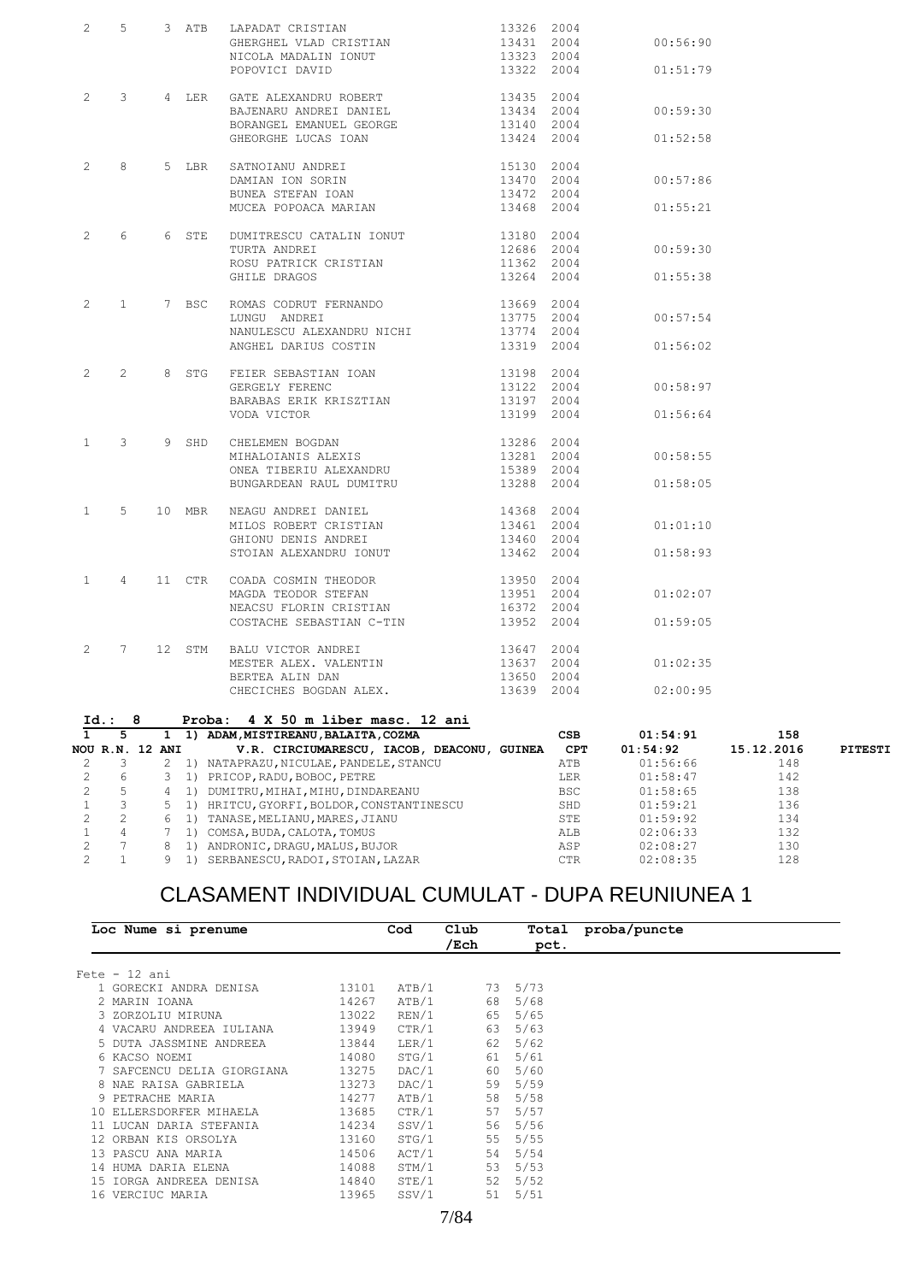| $\begin{tabular}{lllllllllllll} 2 & 5 & 3 & ATB & LAPADAT CRISTIAN & 13326 & 2004 \\ & \texttt{GHERGHEL VLAD CRISTIAN} & 13431 & 2004 & 00:56:90 \\ & NICOLA MADALIN IONUT & 13323 & 2004 & 01:51:79 \\ & POPOVICI DAVID & 13322 & 2004 & 01:51:79 \\ \end{tabular}$<br>$\begin{tabular}{cccccc} 2 & 3 & 4 & LER & GATE ALEXANDRU ROBERT & & & 13435 & 2004 \\ & BAJENARU ANDREI DANIEL & & & 13434 & 2004 \\ & BORANGEL EMANUEL GEORGE & & & 13140 & 2004 \\ & GHEORGHE LUCAS IOAN & & & 13424 & 2004 \\ \end{tabular} \hspace{1cm} \begin{tabular}{cccccc} 01:52:58 & & & & & \\ 02:59:30 & & & & & \\ 03:52:58 & & & & & \\ 04:52:58 & & & & & \\ 05:21:58 & & &$<br>$\begin{tabular}{cccccc} 2 & 8 & 5 LBR & SATIONIANU ANDREI & & & & 15130 & 2004 \\ & DAMIAN ION SORIN & & & & 13470 & 2004 \\ & BUNEA STEFAN IOAN & & & & 13472 & 2004 \\ & MUCEA POPOACA MARIAN & & & & 13468 & 2004 \\ \end{tabular} \hspace{1.5cm} 00:57:86$<br>$\begin{tabular}{ccccc} 2 & 6 & 6 & STE & DUMITRESCU CATALIN & 10NUT & & 13180 & 2004 \\ & TURTA ANDREI & & & 12686 & 2004 & & 00:59:30 \\ & ROSU PATRICK CRISTIAN & & 11362 & 2004 & & 01:55:38 \\ & GHILE DRAGOS & & & 13264 & 2004 & & 01:55:38 \\ \end{tabular}$<br>2 1 7 BSC ROMAS CODRUT FERNANDO<br>LUNGU ANDREI 13775 2004 00:57:54<br>$\begin{tabular}{ccccc} 2 & 2 & 8 & \text{STG} & \text{FEIER SEBASTIAN IOAN} & & & & & 13198 & 2004 \\ & \text{GERGELY FERENC} & & & & 13122 & 2004 & & 00:58:97 \\ & \text{BARABAS ERIK KRISZTIAN} & & & 13197 & 2004 & & 01:56:64 \\ & \text{VODA VICTOR} & & & & 13199 & 2004 & & 01:56:64 \\ \end{tabular}$<br>$\begin{tabular}{cccccc} 1 & 3 & 9 & SHD & CHELEMEN BOGDAN & & & & & 13286 & 2004 \\ & MHALOIANIS ALEXIS & & & & 13281 & 2004 & & 00:58:55 \\ & ONEA TIBERIU ALEXANDRU & & & 15389 & 2004 & & & 01:58:05 \\ & BUNGARDEAN RAUL DUMITRU & & & 13288 & 2004 & & & 01:58:05 \\ \end{tabular}$<br>$\begin{tabular}{ccccc} 1 & 5 & 10& \text{MBR} & \text{NEAGU ANDREI DANIEL} & & & & 14368 & 2004 \\ & & & & & \text{MILOS ROBERT CRISTIAN} & & & 13461 & 2004 \\ & & & & & \text{GHIONU DENIS ANDREI} & & & 13460 & 2004 \\ & & & & & \text{STOIAN ALEXANDRU IDNUT} & & & 13462 & 2004 & & 01:58:93 \\ \end{tabular}$<br>$\begin{tabular}{ccccc} 1 & 4 & 11 & CTR & COADA COSMIN THEODOR & & & & 13950 & 2004 \\ \hline MAGDA TEODOR STEFAN & & & & 13951 & 2004 \\ NEACSU FLORIN CRISTIAN & & & 16372 & 2004 \\ COSTACHE SEBASTIAN C-TIN & & & 13952 & 2004 \\ \end{tabular} \hspace{1.5cm} 01:02:07 \\ 01:59:05 \\ \end{tabular}$<br>2 7 12 STM BALU VICTOR ANDREI<br>Proba: 4 X 50 m liber masc. 12 ani<br>Id.: 8<br>5<br>1 1) ADAM, MISTIREANU, BALAITA, COZMA<br>CSB<br>01:54:91<br>158<br>NOU R.N. 12 ANI<br>V.R. CIRCIUMARESCU, IACOB, DEACONU, GUINEA<br><b>CPT</b><br>01:54:92<br>15.12.2016<br>PITESTI<br>3<br>2 1) NATAPRAZU, NICULAE, PANDELE, STANCU<br>ATB<br>01:56:66<br>148<br>6<br>1) PRICOP, RADU, BOBOC, PETRE<br><b>LER</b><br>01:58:47<br>142<br>3<br>5<br>1) DUMITRU, MIHAI, MIHU, DINDAREANU<br><b>BSC</b><br>01:58:65<br>138<br>4<br>3<br>1) HRITCU, GYORFI, BOLDOR, CONSTANTINESCU<br>01:59:21<br>136<br>5<br>SHD<br>2<br>1) TANASE, MELIANU, MARES, JIANU<br>6<br>STE<br>01:59:92<br>134<br>$\overline{4}$<br>1) COMSA, BUDA, CALOTA, TOMUS<br>02:06:33<br>132<br>7<br>ALB<br>$7\overline{ }$<br>8 1) ANDRONIC, DRAGU, MALUS, BUJOR |                |  |  |     |          |     |  |
|-------------------------------------------------------------------------------------------------------------------------------------------------------------------------------------------------------------------------------------------------------------------------------------------------------------------------------------------------------------------------------------------------------------------------------------------------------------------------------------------------------------------------------------------------------------------------------------------------------------------------------------------------------------------------------------------------------------------------------------------------------------------------------------------------------------------------------------------------------------------------------------------------------------------------------------------------------------------------------------------------------------------------------------------------------------------------------------------------------------------------------------------------------------------------------------------------------------------------------------------------------------------------------------------------------------------------------------------------------------------------------------------------------------------------------------------------------------------------------------------------------------------------------------------------------------------------------------------------------------------------------------------------------------------------------------------------------------------------------------------------------------------------------------------------------------------------------------------------------------------------------------------------------------------------------------------------------------------------------------------------------------------------------------------------------------------------------------------------------------------------------------------------------------------------------------------------------------------------------------------------------------------------------------------------------------------------------------------------------------------------------------------------------------------------------------------------------------------------------------------------------------------------------------------------------------------------------------------------------------------------------------------------------------------------------------------------------------------------------------------------------------------------------------------------------------------------------------------------------------------------------------------------------------------------------------------------------------------------------------------------------------------------------------------------------------------------------------------------------------------------------------------------------------------------------------------------------------------------------------------------------------------------------------------------------------------------------------------------------------------------|----------------|--|--|-----|----------|-----|--|
|                                                                                                                                                                                                                                                                                                                                                                                                                                                                                                                                                                                                                                                                                                                                                                                                                                                                                                                                                                                                                                                                                                                                                                                                                                                                                                                                                                                                                                                                                                                                                                                                                                                                                                                                                                                                                                                                                                                                                                                                                                                                                                                                                                                                                                                                                                                                                                                                                                                                                                                                                                                                                                                                                                                                                                                                                                                                                                                                                                                                                                                                                                                                                                                                                                                                                                                                                                         |                |  |  |     |          |     |  |
|                                                                                                                                                                                                                                                                                                                                                                                                                                                                                                                                                                                                                                                                                                                                                                                                                                                                                                                                                                                                                                                                                                                                                                                                                                                                                                                                                                                                                                                                                                                                                                                                                                                                                                                                                                                                                                                                                                                                                                                                                                                                                                                                                                                                                                                                                                                                                                                                                                                                                                                                                                                                                                                                                                                                                                                                                                                                                                                                                                                                                                                                                                                                                                                                                                                                                                                                                                         |                |  |  |     |          |     |  |
|                                                                                                                                                                                                                                                                                                                                                                                                                                                                                                                                                                                                                                                                                                                                                                                                                                                                                                                                                                                                                                                                                                                                                                                                                                                                                                                                                                                                                                                                                                                                                                                                                                                                                                                                                                                                                                                                                                                                                                                                                                                                                                                                                                                                                                                                                                                                                                                                                                                                                                                                                                                                                                                                                                                                                                                                                                                                                                                                                                                                                                                                                                                                                                                                                                                                                                                                                                         |                |  |  |     |          |     |  |
|                                                                                                                                                                                                                                                                                                                                                                                                                                                                                                                                                                                                                                                                                                                                                                                                                                                                                                                                                                                                                                                                                                                                                                                                                                                                                                                                                                                                                                                                                                                                                                                                                                                                                                                                                                                                                                                                                                                                                                                                                                                                                                                                                                                                                                                                                                                                                                                                                                                                                                                                                                                                                                                                                                                                                                                                                                                                                                                                                                                                                                                                                                                                                                                                                                                                                                                                                                         |                |  |  |     |          |     |  |
|                                                                                                                                                                                                                                                                                                                                                                                                                                                                                                                                                                                                                                                                                                                                                                                                                                                                                                                                                                                                                                                                                                                                                                                                                                                                                                                                                                                                                                                                                                                                                                                                                                                                                                                                                                                                                                                                                                                                                                                                                                                                                                                                                                                                                                                                                                                                                                                                                                                                                                                                                                                                                                                                                                                                                                                                                                                                                                                                                                                                                                                                                                                                                                                                                                                                                                                                                                         |                |  |  |     |          |     |  |
|                                                                                                                                                                                                                                                                                                                                                                                                                                                                                                                                                                                                                                                                                                                                                                                                                                                                                                                                                                                                                                                                                                                                                                                                                                                                                                                                                                                                                                                                                                                                                                                                                                                                                                                                                                                                                                                                                                                                                                                                                                                                                                                                                                                                                                                                                                                                                                                                                                                                                                                                                                                                                                                                                                                                                                                                                                                                                                                                                                                                                                                                                                                                                                                                                                                                                                                                                                         |                |  |  |     |          |     |  |
|                                                                                                                                                                                                                                                                                                                                                                                                                                                                                                                                                                                                                                                                                                                                                                                                                                                                                                                                                                                                                                                                                                                                                                                                                                                                                                                                                                                                                                                                                                                                                                                                                                                                                                                                                                                                                                                                                                                                                                                                                                                                                                                                                                                                                                                                                                                                                                                                                                                                                                                                                                                                                                                                                                                                                                                                                                                                                                                                                                                                                                                                                                                                                                                                                                                                                                                                                                         |                |  |  |     |          |     |  |
|                                                                                                                                                                                                                                                                                                                                                                                                                                                                                                                                                                                                                                                                                                                                                                                                                                                                                                                                                                                                                                                                                                                                                                                                                                                                                                                                                                                                                                                                                                                                                                                                                                                                                                                                                                                                                                                                                                                                                                                                                                                                                                                                                                                                                                                                                                                                                                                                                                                                                                                                                                                                                                                                                                                                                                                                                                                                                                                                                                                                                                                                                                                                                                                                                                                                                                                                                                         |                |  |  |     |          |     |  |
|                                                                                                                                                                                                                                                                                                                                                                                                                                                                                                                                                                                                                                                                                                                                                                                                                                                                                                                                                                                                                                                                                                                                                                                                                                                                                                                                                                                                                                                                                                                                                                                                                                                                                                                                                                                                                                                                                                                                                                                                                                                                                                                                                                                                                                                                                                                                                                                                                                                                                                                                                                                                                                                                                                                                                                                                                                                                                                                                                                                                                                                                                                                                                                                                                                                                                                                                                                         |                |  |  |     |          |     |  |
|                                                                                                                                                                                                                                                                                                                                                                                                                                                                                                                                                                                                                                                                                                                                                                                                                                                                                                                                                                                                                                                                                                                                                                                                                                                                                                                                                                                                                                                                                                                                                                                                                                                                                                                                                                                                                                                                                                                                                                                                                                                                                                                                                                                                                                                                                                                                                                                                                                                                                                                                                                                                                                                                                                                                                                                                                                                                                                                                                                                                                                                                                                                                                                                                                                                                                                                                                                         |                |  |  |     |          |     |  |
|                                                                                                                                                                                                                                                                                                                                                                                                                                                                                                                                                                                                                                                                                                                                                                                                                                                                                                                                                                                                                                                                                                                                                                                                                                                                                                                                                                                                                                                                                                                                                                                                                                                                                                                                                                                                                                                                                                                                                                                                                                                                                                                                                                                                                                                                                                                                                                                                                                                                                                                                                                                                                                                                                                                                                                                                                                                                                                                                                                                                                                                                                                                                                                                                                                                                                                                                                                         |                |  |  |     |          |     |  |
|                                                                                                                                                                                                                                                                                                                                                                                                                                                                                                                                                                                                                                                                                                                                                                                                                                                                                                                                                                                                                                                                                                                                                                                                                                                                                                                                                                                                                                                                                                                                                                                                                                                                                                                                                                                                                                                                                                                                                                                                                                                                                                                                                                                                                                                                                                                                                                                                                                                                                                                                                                                                                                                                                                                                                                                                                                                                                                                                                                                                                                                                                                                                                                                                                                                                                                                                                                         |                |  |  |     |          |     |  |
|                                                                                                                                                                                                                                                                                                                                                                                                                                                                                                                                                                                                                                                                                                                                                                                                                                                                                                                                                                                                                                                                                                                                                                                                                                                                                                                                                                                                                                                                                                                                                                                                                                                                                                                                                                                                                                                                                                                                                                                                                                                                                                                                                                                                                                                                                                                                                                                                                                                                                                                                                                                                                                                                                                                                                                                                                                                                                                                                                                                                                                                                                                                                                                                                                                                                                                                                                                         |                |  |  |     |          |     |  |
|                                                                                                                                                                                                                                                                                                                                                                                                                                                                                                                                                                                                                                                                                                                                                                                                                                                                                                                                                                                                                                                                                                                                                                                                                                                                                                                                                                                                                                                                                                                                                                                                                                                                                                                                                                                                                                                                                                                                                                                                                                                                                                                                                                                                                                                                                                                                                                                                                                                                                                                                                                                                                                                                                                                                                                                                                                                                                                                                                                                                                                                                                                                                                                                                                                                                                                                                                                         |                |  |  |     |          |     |  |
|                                                                                                                                                                                                                                                                                                                                                                                                                                                                                                                                                                                                                                                                                                                                                                                                                                                                                                                                                                                                                                                                                                                                                                                                                                                                                                                                                                                                                                                                                                                                                                                                                                                                                                                                                                                                                                                                                                                                                                                                                                                                                                                                                                                                                                                                                                                                                                                                                                                                                                                                                                                                                                                                                                                                                                                                                                                                                                                                                                                                                                                                                                                                                                                                                                                                                                                                                                         |                |  |  |     |          |     |  |
|                                                                                                                                                                                                                                                                                                                                                                                                                                                                                                                                                                                                                                                                                                                                                                                                                                                                                                                                                                                                                                                                                                                                                                                                                                                                                                                                                                                                                                                                                                                                                                                                                                                                                                                                                                                                                                                                                                                                                                                                                                                                                                                                                                                                                                                                                                                                                                                                                                                                                                                                                                                                                                                                                                                                                                                                                                                                                                                                                                                                                                                                                                                                                                                                                                                                                                                                                                         |                |  |  |     |          |     |  |
|                                                                                                                                                                                                                                                                                                                                                                                                                                                                                                                                                                                                                                                                                                                                                                                                                                                                                                                                                                                                                                                                                                                                                                                                                                                                                                                                                                                                                                                                                                                                                                                                                                                                                                                                                                                                                                                                                                                                                                                                                                                                                                                                                                                                                                                                                                                                                                                                                                                                                                                                                                                                                                                                                                                                                                                                                                                                                                                                                                                                                                                                                                                                                                                                                                                                                                                                                                         |                |  |  |     |          |     |  |
|                                                                                                                                                                                                                                                                                                                                                                                                                                                                                                                                                                                                                                                                                                                                                                                                                                                                                                                                                                                                                                                                                                                                                                                                                                                                                                                                                                                                                                                                                                                                                                                                                                                                                                                                                                                                                                                                                                                                                                                                                                                                                                                                                                                                                                                                                                                                                                                                                                                                                                                                                                                                                                                                                                                                                                                                                                                                                                                                                                                                                                                                                                                                                                                                                                                                                                                                                                         |                |  |  |     |          |     |  |
|                                                                                                                                                                                                                                                                                                                                                                                                                                                                                                                                                                                                                                                                                                                                                                                                                                                                                                                                                                                                                                                                                                                                                                                                                                                                                                                                                                                                                                                                                                                                                                                                                                                                                                                                                                                                                                                                                                                                                                                                                                                                                                                                                                                                                                                                                                                                                                                                                                                                                                                                                                                                                                                                                                                                                                                                                                                                                                                                                                                                                                                                                                                                                                                                                                                                                                                                                                         |                |  |  |     |          |     |  |
|                                                                                                                                                                                                                                                                                                                                                                                                                                                                                                                                                                                                                                                                                                                                                                                                                                                                                                                                                                                                                                                                                                                                                                                                                                                                                                                                                                                                                                                                                                                                                                                                                                                                                                                                                                                                                                                                                                                                                                                                                                                                                                                                                                                                                                                                                                                                                                                                                                                                                                                                                                                                                                                                                                                                                                                                                                                                                                                                                                                                                                                                                                                                                                                                                                                                                                                                                                         |                |  |  |     |          |     |  |
|                                                                                                                                                                                                                                                                                                                                                                                                                                                                                                                                                                                                                                                                                                                                                                                                                                                                                                                                                                                                                                                                                                                                                                                                                                                                                                                                                                                                                                                                                                                                                                                                                                                                                                                                                                                                                                                                                                                                                                                                                                                                                                                                                                                                                                                                                                                                                                                                                                                                                                                                                                                                                                                                                                                                                                                                                                                                                                                                                                                                                                                                                                                                                                                                                                                                                                                                                                         |                |  |  |     |          |     |  |
|                                                                                                                                                                                                                                                                                                                                                                                                                                                                                                                                                                                                                                                                                                                                                                                                                                                                                                                                                                                                                                                                                                                                                                                                                                                                                                                                                                                                                                                                                                                                                                                                                                                                                                                                                                                                                                                                                                                                                                                                                                                                                                                                                                                                                                                                                                                                                                                                                                                                                                                                                                                                                                                                                                                                                                                                                                                                                                                                                                                                                                                                                                                                                                                                                                                                                                                                                                         |                |  |  |     |          |     |  |
|                                                                                                                                                                                                                                                                                                                                                                                                                                                                                                                                                                                                                                                                                                                                                                                                                                                                                                                                                                                                                                                                                                                                                                                                                                                                                                                                                                                                                                                                                                                                                                                                                                                                                                                                                                                                                                                                                                                                                                                                                                                                                                                                                                                                                                                                                                                                                                                                                                                                                                                                                                                                                                                                                                                                                                                                                                                                                                                                                                                                                                                                                                                                                                                                                                                                                                                                                                         |                |  |  |     |          |     |  |
|                                                                                                                                                                                                                                                                                                                                                                                                                                                                                                                                                                                                                                                                                                                                                                                                                                                                                                                                                                                                                                                                                                                                                                                                                                                                                                                                                                                                                                                                                                                                                                                                                                                                                                                                                                                                                                                                                                                                                                                                                                                                                                                                                                                                                                                                                                                                                                                                                                                                                                                                                                                                                                                                                                                                                                                                                                                                                                                                                                                                                                                                                                                                                                                                                                                                                                                                                                         |                |  |  |     |          |     |  |
|                                                                                                                                                                                                                                                                                                                                                                                                                                                                                                                                                                                                                                                                                                                                                                                                                                                                                                                                                                                                                                                                                                                                                                                                                                                                                                                                                                                                                                                                                                                                                                                                                                                                                                                                                                                                                                                                                                                                                                                                                                                                                                                                                                                                                                                                                                                                                                                                                                                                                                                                                                                                                                                                                                                                                                                                                                                                                                                                                                                                                                                                                                                                                                                                                                                                                                                                                                         |                |  |  |     |          |     |  |
|                                                                                                                                                                                                                                                                                                                                                                                                                                                                                                                                                                                                                                                                                                                                                                                                                                                                                                                                                                                                                                                                                                                                                                                                                                                                                                                                                                                                                                                                                                                                                                                                                                                                                                                                                                                                                                                                                                                                                                                                                                                                                                                                                                                                                                                                                                                                                                                                                                                                                                                                                                                                                                                                                                                                                                                                                                                                                                                                                                                                                                                                                                                                                                                                                                                                                                                                                                         |                |  |  |     |          |     |  |
|                                                                                                                                                                                                                                                                                                                                                                                                                                                                                                                                                                                                                                                                                                                                                                                                                                                                                                                                                                                                                                                                                                                                                                                                                                                                                                                                                                                                                                                                                                                                                                                                                                                                                                                                                                                                                                                                                                                                                                                                                                                                                                                                                                                                                                                                                                                                                                                                                                                                                                                                                                                                                                                                                                                                                                                                                                                                                                                                                                                                                                                                                                                                                                                                                                                                                                                                                                         |                |  |  |     |          |     |  |
|                                                                                                                                                                                                                                                                                                                                                                                                                                                                                                                                                                                                                                                                                                                                                                                                                                                                                                                                                                                                                                                                                                                                                                                                                                                                                                                                                                                                                                                                                                                                                                                                                                                                                                                                                                                                                                                                                                                                                                                                                                                                                                                                                                                                                                                                                                                                                                                                                                                                                                                                                                                                                                                                                                                                                                                                                                                                                                                                                                                                                                                                                                                                                                                                                                                                                                                                                                         |                |  |  |     |          |     |  |
|                                                                                                                                                                                                                                                                                                                                                                                                                                                                                                                                                                                                                                                                                                                                                                                                                                                                                                                                                                                                                                                                                                                                                                                                                                                                                                                                                                                                                                                                                                                                                                                                                                                                                                                                                                                                                                                                                                                                                                                                                                                                                                                                                                                                                                                                                                                                                                                                                                                                                                                                                                                                                                                                                                                                                                                                                                                                                                                                                                                                                                                                                                                                                                                                                                                                                                                                                                         |                |  |  |     |          |     |  |
|                                                                                                                                                                                                                                                                                                                                                                                                                                                                                                                                                                                                                                                                                                                                                                                                                                                                                                                                                                                                                                                                                                                                                                                                                                                                                                                                                                                                                                                                                                                                                                                                                                                                                                                                                                                                                                                                                                                                                                                                                                                                                                                                                                                                                                                                                                                                                                                                                                                                                                                                                                                                                                                                                                                                                                                                                                                                                                                                                                                                                                                                                                                                                                                                                                                                                                                                                                         |                |  |  |     |          |     |  |
|                                                                                                                                                                                                                                                                                                                                                                                                                                                                                                                                                                                                                                                                                                                                                                                                                                                                                                                                                                                                                                                                                                                                                                                                                                                                                                                                                                                                                                                                                                                                                                                                                                                                                                                                                                                                                                                                                                                                                                                                                                                                                                                                                                                                                                                                                                                                                                                                                                                                                                                                                                                                                                                                                                                                                                                                                                                                                                                                                                                                                                                                                                                                                                                                                                                                                                                                                                         |                |  |  |     |          |     |  |
|                                                                                                                                                                                                                                                                                                                                                                                                                                                                                                                                                                                                                                                                                                                                                                                                                                                                                                                                                                                                                                                                                                                                                                                                                                                                                                                                                                                                                                                                                                                                                                                                                                                                                                                                                                                                                                                                                                                                                                                                                                                                                                                                                                                                                                                                                                                                                                                                                                                                                                                                                                                                                                                                                                                                                                                                                                                                                                                                                                                                                                                                                                                                                                                                                                                                                                                                                                         |                |  |  |     |          |     |  |
|                                                                                                                                                                                                                                                                                                                                                                                                                                                                                                                                                                                                                                                                                                                                                                                                                                                                                                                                                                                                                                                                                                                                                                                                                                                                                                                                                                                                                                                                                                                                                                                                                                                                                                                                                                                                                                                                                                                                                                                                                                                                                                                                                                                                                                                                                                                                                                                                                                                                                                                                                                                                                                                                                                                                                                                                                                                                                                                                                                                                                                                                                                                                                                                                                                                                                                                                                                         |                |  |  |     |          |     |  |
|                                                                                                                                                                                                                                                                                                                                                                                                                                                                                                                                                                                                                                                                                                                                                                                                                                                                                                                                                                                                                                                                                                                                                                                                                                                                                                                                                                                                                                                                                                                                                                                                                                                                                                                                                                                                                                                                                                                                                                                                                                                                                                                                                                                                                                                                                                                                                                                                                                                                                                                                                                                                                                                                                                                                                                                                                                                                                                                                                                                                                                                                                                                                                                                                                                                                                                                                                                         |                |  |  |     |          |     |  |
|                                                                                                                                                                                                                                                                                                                                                                                                                                                                                                                                                                                                                                                                                                                                                                                                                                                                                                                                                                                                                                                                                                                                                                                                                                                                                                                                                                                                                                                                                                                                                                                                                                                                                                                                                                                                                                                                                                                                                                                                                                                                                                                                                                                                                                                                                                                                                                                                                                                                                                                                                                                                                                                                                                                                                                                                                                                                                                                                                                                                                                                                                                                                                                                                                                                                                                                                                                         |                |  |  |     |          |     |  |
|                                                                                                                                                                                                                                                                                                                                                                                                                                                                                                                                                                                                                                                                                                                                                                                                                                                                                                                                                                                                                                                                                                                                                                                                                                                                                                                                                                                                                                                                                                                                                                                                                                                                                                                                                                                                                                                                                                                                                                                                                                                                                                                                                                                                                                                                                                                                                                                                                                                                                                                                                                                                                                                                                                                                                                                                                                                                                                                                                                                                                                                                                                                                                                                                                                                                                                                                                                         |                |  |  |     |          |     |  |
|                                                                                                                                                                                                                                                                                                                                                                                                                                                                                                                                                                                                                                                                                                                                                                                                                                                                                                                                                                                                                                                                                                                                                                                                                                                                                                                                                                                                                                                                                                                                                                                                                                                                                                                                                                                                                                                                                                                                                                                                                                                                                                                                                                                                                                                                                                                                                                                                                                                                                                                                                                                                                                                                                                                                                                                                                                                                                                                                                                                                                                                                                                                                                                                                                                                                                                                                                                         |                |  |  |     |          |     |  |
|                                                                                                                                                                                                                                                                                                                                                                                                                                                                                                                                                                                                                                                                                                                                                                                                                                                                                                                                                                                                                                                                                                                                                                                                                                                                                                                                                                                                                                                                                                                                                                                                                                                                                                                                                                                                                                                                                                                                                                                                                                                                                                                                                                                                                                                                                                                                                                                                                                                                                                                                                                                                                                                                                                                                                                                                                                                                                                                                                                                                                                                                                                                                                                                                                                                                                                                                                                         |                |  |  |     |          |     |  |
|                                                                                                                                                                                                                                                                                                                                                                                                                                                                                                                                                                                                                                                                                                                                                                                                                                                                                                                                                                                                                                                                                                                                                                                                                                                                                                                                                                                                                                                                                                                                                                                                                                                                                                                                                                                                                                                                                                                                                                                                                                                                                                                                                                                                                                                                                                                                                                                                                                                                                                                                                                                                                                                                                                                                                                                                                                                                                                                                                                                                                                                                                                                                                                                                                                                                                                                                                                         |                |  |  |     |          |     |  |
|                                                                                                                                                                                                                                                                                                                                                                                                                                                                                                                                                                                                                                                                                                                                                                                                                                                                                                                                                                                                                                                                                                                                                                                                                                                                                                                                                                                                                                                                                                                                                                                                                                                                                                                                                                                                                                                                                                                                                                                                                                                                                                                                                                                                                                                                                                                                                                                                                                                                                                                                                                                                                                                                                                                                                                                                                                                                                                                                                                                                                                                                                                                                                                                                                                                                                                                                                                         |                |  |  |     |          |     |  |
|                                                                                                                                                                                                                                                                                                                                                                                                                                                                                                                                                                                                                                                                                                                                                                                                                                                                                                                                                                                                                                                                                                                                                                                                                                                                                                                                                                                                                                                                                                                                                                                                                                                                                                                                                                                                                                                                                                                                                                                                                                                                                                                                                                                                                                                                                                                                                                                                                                                                                                                                                                                                                                                                                                                                                                                                                                                                                                                                                                                                                                                                                                                                                                                                                                                                                                                                                                         |                |  |  |     |          |     |  |
|                                                                                                                                                                                                                                                                                                                                                                                                                                                                                                                                                                                                                                                                                                                                                                                                                                                                                                                                                                                                                                                                                                                                                                                                                                                                                                                                                                                                                                                                                                                                                                                                                                                                                                                                                                                                                                                                                                                                                                                                                                                                                                                                                                                                                                                                                                                                                                                                                                                                                                                                                                                                                                                                                                                                                                                                                                                                                                                                                                                                                                                                                                                                                                                                                                                                                                                                                                         |                |  |  |     |          |     |  |
|                                                                                                                                                                                                                                                                                                                                                                                                                                                                                                                                                                                                                                                                                                                                                                                                                                                                                                                                                                                                                                                                                                                                                                                                                                                                                                                                                                                                                                                                                                                                                                                                                                                                                                                                                                                                                                                                                                                                                                                                                                                                                                                                                                                                                                                                                                                                                                                                                                                                                                                                                                                                                                                                                                                                                                                                                                                                                                                                                                                                                                                                                                                                                                                                                                                                                                                                                                         |                |  |  |     |          |     |  |
|                                                                                                                                                                                                                                                                                                                                                                                                                                                                                                                                                                                                                                                                                                                                                                                                                                                                                                                                                                                                                                                                                                                                                                                                                                                                                                                                                                                                                                                                                                                                                                                                                                                                                                                                                                                                                                                                                                                                                                                                                                                                                                                                                                                                                                                                                                                                                                                                                                                                                                                                                                                                                                                                                                                                                                                                                                                                                                                                                                                                                                                                                                                                                                                                                                                                                                                                                                         |                |  |  |     |          |     |  |
|                                                                                                                                                                                                                                                                                                                                                                                                                                                                                                                                                                                                                                                                                                                                                                                                                                                                                                                                                                                                                                                                                                                                                                                                                                                                                                                                                                                                                                                                                                                                                                                                                                                                                                                                                                                                                                                                                                                                                                                                                                                                                                                                                                                                                                                                                                                                                                                                                                                                                                                                                                                                                                                                                                                                                                                                                                                                                                                                                                                                                                                                                                                                                                                                                                                                                                                                                                         | $\mathbf{1}$   |  |  |     |          |     |  |
|                                                                                                                                                                                                                                                                                                                                                                                                                                                                                                                                                                                                                                                                                                                                                                                                                                                                                                                                                                                                                                                                                                                                                                                                                                                                                                                                                                                                                                                                                                                                                                                                                                                                                                                                                                                                                                                                                                                                                                                                                                                                                                                                                                                                                                                                                                                                                                                                                                                                                                                                                                                                                                                                                                                                                                                                                                                                                                                                                                                                                                                                                                                                                                                                                                                                                                                                                                         |                |  |  |     |          |     |  |
|                                                                                                                                                                                                                                                                                                                                                                                                                                                                                                                                                                                                                                                                                                                                                                                                                                                                                                                                                                                                                                                                                                                                                                                                                                                                                                                                                                                                                                                                                                                                                                                                                                                                                                                                                                                                                                                                                                                                                                                                                                                                                                                                                                                                                                                                                                                                                                                                                                                                                                                                                                                                                                                                                                                                                                                                                                                                                                                                                                                                                                                                                                                                                                                                                                                                                                                                                                         | 2              |  |  |     |          |     |  |
|                                                                                                                                                                                                                                                                                                                                                                                                                                                                                                                                                                                                                                                                                                                                                                                                                                                                                                                                                                                                                                                                                                                                                                                                                                                                                                                                                                                                                                                                                                                                                                                                                                                                                                                                                                                                                                                                                                                                                                                                                                                                                                                                                                                                                                                                                                                                                                                                                                                                                                                                                                                                                                                                                                                                                                                                                                                                                                                                                                                                                                                                                                                                                                                                                                                                                                                                                                         | $\overline{c}$ |  |  |     |          |     |  |
|                                                                                                                                                                                                                                                                                                                                                                                                                                                                                                                                                                                                                                                                                                                                                                                                                                                                                                                                                                                                                                                                                                                                                                                                                                                                                                                                                                                                                                                                                                                                                                                                                                                                                                                                                                                                                                                                                                                                                                                                                                                                                                                                                                                                                                                                                                                                                                                                                                                                                                                                                                                                                                                                                                                                                                                                                                                                                                                                                                                                                                                                                                                                                                                                                                                                                                                                                                         | $\overline{c}$ |  |  |     |          |     |  |
|                                                                                                                                                                                                                                                                                                                                                                                                                                                                                                                                                                                                                                                                                                                                                                                                                                                                                                                                                                                                                                                                                                                                                                                                                                                                                                                                                                                                                                                                                                                                                                                                                                                                                                                                                                                                                                                                                                                                                                                                                                                                                                                                                                                                                                                                                                                                                                                                                                                                                                                                                                                                                                                                                                                                                                                                                                                                                                                                                                                                                                                                                                                                                                                                                                                                                                                                                                         | $\mathbf{1}$   |  |  |     |          |     |  |
|                                                                                                                                                                                                                                                                                                                                                                                                                                                                                                                                                                                                                                                                                                                                                                                                                                                                                                                                                                                                                                                                                                                                                                                                                                                                                                                                                                                                                                                                                                                                                                                                                                                                                                                                                                                                                                                                                                                                                                                                                                                                                                                                                                                                                                                                                                                                                                                                                                                                                                                                                                                                                                                                                                                                                                                                                                                                                                                                                                                                                                                                                                                                                                                                                                                                                                                                                                         | $\overline{c}$ |  |  |     |          |     |  |
|                                                                                                                                                                                                                                                                                                                                                                                                                                                                                                                                                                                                                                                                                                                                                                                                                                                                                                                                                                                                                                                                                                                                                                                                                                                                                                                                                                                                                                                                                                                                                                                                                                                                                                                                                                                                                                                                                                                                                                                                                                                                                                                                                                                                                                                                                                                                                                                                                                                                                                                                                                                                                                                                                                                                                                                                                                                                                                                                                                                                                                                                                                                                                                                                                                                                                                                                                                         | $\mathbf{1}$   |  |  |     |          |     |  |
|                                                                                                                                                                                                                                                                                                                                                                                                                                                                                                                                                                                                                                                                                                                                                                                                                                                                                                                                                                                                                                                                                                                                                                                                                                                                                                                                                                                                                                                                                                                                                                                                                                                                                                                                                                                                                                                                                                                                                                                                                                                                                                                                                                                                                                                                                                                                                                                                                                                                                                                                                                                                                                                                                                                                                                                                                                                                                                                                                                                                                                                                                                                                                                                                                                                                                                                                                                         | $\overline{2}$ |  |  | ASP | 02:08:27 | 130 |  |

#### CLASAMENT INDIVIDUAL CUMULAT - DUPA REUNIUNEA 1

2 1 9 1) SERBANESCU, RADOI, STOIAN, LAZAR CTR 02:08:35 128

| Loc Nume si prenume        |       | Cod   | Club | Total   | proba/puncte |
|----------------------------|-------|-------|------|---------|--------------|
|                            |       |       | /Ech | pct.    |              |
| $Fete - 12 ani$            |       |       |      |         |              |
| 1 GORECKI ANDRA DENISA     | 13101 | ATB/1 |      | 73 5/73 |              |
| 2 MARIN IOANA              | 14267 | ATB/1 | 68   | 5/68    |              |
| 3 ZORZOLIU MIRUNA          | 13022 | REN/1 | 65   | 5/65    |              |
| 4 VACARU ANDREEA IULIANA   | 13949 | CTR/1 | 63   | 5/63    |              |
| 5 DUTA JASSMINE ANDREEA    | 13844 | LER/1 | 62   | 5/62    |              |
| 6 KACSO NOEMI              | 14080 | STG/1 | 61   | 5/61    |              |
| 7 SAFCENCU DELIA GIORGIANA | 13275 | DAC/1 | 60   | 5/60    |              |
| 8 NAE RAISA GABRIELA       | 13273 | DAC/1 | 59   | 5/59    |              |
| 9 PETRACHE MARIA           | 14277 | ATB/1 | 58   | 5/58    |              |
| 10 ELLERSDORFER MIHAELA    | 13685 | CTR/1 | 57   | 5/57    |              |
| 11 LUCAN DARIA STEFANIA    | 14234 | SSV/1 | 56   | 5/56    |              |
| 12 ORBAN KIS ORSOLYA       | 13160 | STG/1 | 55   | 5/55    |              |
| 13 PASCU ANA MARIA         | 14506 | ACT/1 | 54   | 5/54    |              |
| 14 HUMA DARIA ELENA        | 14088 | STM/1 | 53   | 5/53    |              |
| 15 IORGA ANDREEA DENISA    | 14840 | STE/1 | 52   | 5/52    |              |
| 16 VERCIUC MARIA           | 13965 | SSV/1 | 51   | 5/51    |              |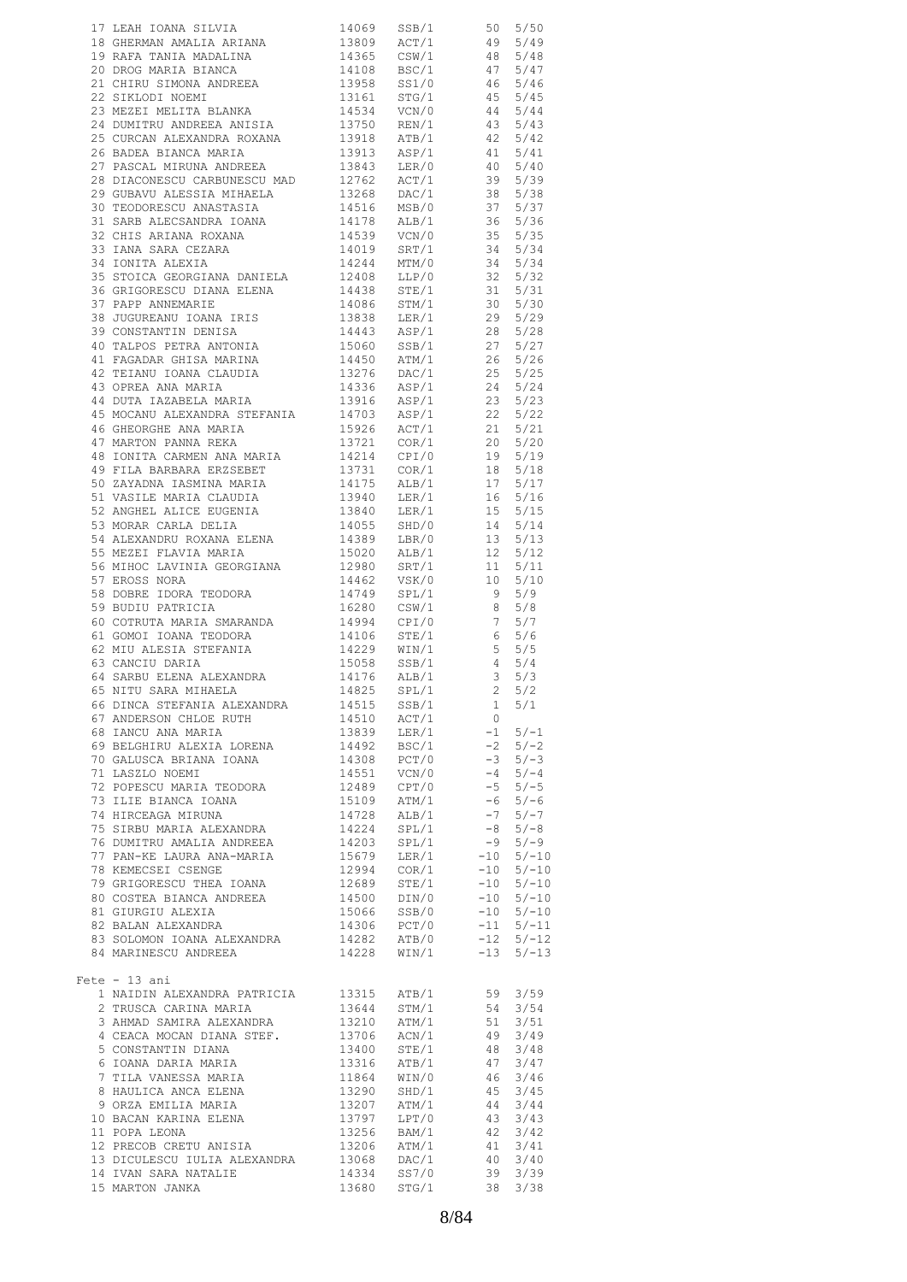| 17 IEAN TORRA STEUTA ARRAINA 14906 SSP/1 50 3781<br>18 OBERNAN RANLIRA RIANA 19609 SCP/1 50 3750<br>19 GBERNAN RANLIRA RIANA 19609 SCP/1 69 5/49<br>20 DROG BARLA BLANCA 19758 SSP/1 66 5/46<br>20 DROG BARLA BLANCA 19758 SSP/1 66 3746<br>     |                                           |                                                            |                 |
|--------------------------------------------------------------------------------------------------------------------------------------------------------------------------------------------------------------------------------------------------|-------------------------------------------|------------------------------------------------------------|-----------------|
|                                                                                                                                                                                                                                                  |                                           |                                                            |                 |
|                                                                                                                                                                                                                                                  |                                           |                                                            |                 |
|                                                                                                                                                                                                                                                  |                                           |                                                            |                 |
|                                                                                                                                                                                                                                                  |                                           |                                                            |                 |
|                                                                                                                                                                                                                                                  |                                           |                                                            |                 |
|                                                                                                                                                                                                                                                  |                                           |                                                            |                 |
|                                                                                                                                                                                                                                                  |                                           |                                                            |                 |
|                                                                                                                                                                                                                                                  |                                           |                                                            |                 |
|                                                                                                                                                                                                                                                  |                                           |                                                            |                 |
|                                                                                                                                                                                                                                                  |                                           |                                                            |                 |
|                                                                                                                                                                                                                                                  |                                           |                                                            |                 |
|                                                                                                                                                                                                                                                  |                                           |                                                            |                 |
|                                                                                                                                                                                                                                                  |                                           |                                                            |                 |
|                                                                                                                                                                                                                                                  |                                           |                                                            |                 |
|                                                                                                                                                                                                                                                  |                                           |                                                            |                 |
|                                                                                                                                                                                                                                                  |                                           |                                                            |                 |
|                                                                                                                                                                                                                                                  |                                           |                                                            |                 |
|                                                                                                                                                                                                                                                  |                                           |                                                            |                 |
|                                                                                                                                                                                                                                                  |                                           |                                                            |                 |
|                                                                                                                                                                                                                                                  |                                           |                                                            |                 |
|                                                                                                                                                                                                                                                  |                                           |                                                            |                 |
|                                                                                                                                                                                                                                                  |                                           |                                                            |                 |
|                                                                                                                                                                                                                                                  |                                           |                                                            |                 |
|                                                                                                                                                                                                                                                  |                                           |                                                            |                 |
|                                                                                                                                                                                                                                                  |                                           |                                                            |                 |
|                                                                                                                                                                                                                                                  |                                           |                                                            |                 |
|                                                                                                                                                                                                                                                  |                                           |                                                            |                 |
|                                                                                                                                                                                                                                                  |                                           |                                                            |                 |
|                                                                                                                                                                                                                                                  |                                           |                                                            |                 |
|                                                                                                                                                                                                                                                  |                                           |                                                            |                 |
|                                                                                                                                                                                                                                                  |                                           | $1 \t 5/1$                                                 |                 |
|                                                                                                                                                                                                                                                  |                                           |                                                            |                 |
|                                                                                                                                                                                                                                                  |                                           |                                                            |                 |
|                                                                                                                                                                                                                                                  |                                           |                                                            |                 |
|                                                                                                                                                                                                                                                  |                                           |                                                            |                 |
|                                                                                                                                                                                                                                                  |                                           |                                                            |                 |
|                                                                                                                                                                                                                                                  |                                           |                                                            |                 |
|                                                                                                                                                                                                                                                  |                                           |                                                            |                 |
| 66 DINCA STEFANIA ALEXANDRA<br>67 ANDERSON CHLOE RUTH<br>68 IANCU ANA MARIA<br>69 BELGHIRU ALEXIA LORENA<br>70 GALUSCA BRIANA IORENA<br>71 LASZLO NOEMI<br>72 POPESCU MARIA TEODORA<br>72 POPESCU MARIA TEODORA<br>73 TLTE BTANCA IOANA<br>73 TL |                                           |                                                            |                 |
|                                                                                                                                                                                                                                                  |                                           |                                                            |                 |
|                                                                                                                                                                                                                                                  |                                           |                                                            |                 |
|                                                                                                                                                                                                                                                  |                                           |                                                            |                 |
| 73 ILIE BIANCA IOANA<br>74 HIRCEAGA MIRUNA<br>75 SIRBU MARIA ALEXANDRA                                                                                                                                                                           | 14728 ALB/1<br>14224 SPL/1                |                                                            | $-8$ 5/ $-8$    |
|                                                                                                                                                                                                                                                  | 14203 SPL/1<br>15679 LER/1                |                                                            | $-9$ 5/ $-9$    |
|                                                                                                                                                                                                                                                  |                                           |                                                            | $-10$ $5/-10$   |
| 76 DUMITRU AMALIA ANDREEA<br>77 PAN-KE LAURA ANA-MARIA<br>78 KEMECSEI CSENCE                                                                                                                                                                     |                                           |                                                            |                 |
| 78 KEMECSEI CSENGE                                                                                                                                                                                                                               |                                           |                                                            | $-10$ 5/-10     |
| 79 GRIGORESCU THEA IOANA                                                                                                                                                                                                                         | 12994 COR/1<br>12689 STE/1                |                                                            | $-10$ $5/-10$   |
|                                                                                                                                                                                                                                                  |                                           |                                                            |                 |
| 80 COSTEA BIANCA ANDREEA $14500$ $DIN/0$ $-10$ $5/-10$<br>81 GIURGIU ALEXIA $15066$ SSB/0 $-10$ $5/-10$                                                                                                                                          |                                           |                                                            |                 |
| 81 GIURGIU ALEXIA<br>82 BALAN ALEXANDRA                                                                                                                                                                                                          |                                           |                                                            |                 |
|                                                                                                                                                                                                                                                  |                                           |                                                            |                 |
| 83 SOLOMON IOANA ALEXANDRA 14282 ATB/0 -12 5/-12<br>84 MARINESCU ANDREEA 14228 WIN/1 -13 5/-13                                                                                                                                                   |                                           | $14306$ $PCT/0$ -11 $5/-11$<br>$14282$ $ATB/0$ -12 $5/-12$ |                 |
|                                                                                                                                                                                                                                                  |                                           |                                                            |                 |
|                                                                                                                                                                                                                                                  |                                           |                                                            |                 |
|                                                                                                                                                                                                                                                  |                                           |                                                            |                 |
| $Fete - 13 ani$                                                                                                                                                                                                                                  |                                           |                                                            |                 |
|                                                                                                                                                                                                                                                  |                                           |                                                            |                 |
|                                                                                                                                                                                                                                                  |                                           |                                                            |                 |
|                                                                                                                                                                                                                                                  |                                           |                                                            |                 |
| $\begin{tabular}{lcccc} 1 & NAIDIN ALEXANDRA PARTRICIA & 13315 & ATB/1 & 59 & 3/59 \\ 2 & TRUSCA CARINA MARIA & 13644 & STM/1 & 54 & 3/54 \\ 3 & AHMAD SAMIRA ALEXANDRA & 13210 ATM/1 & 51 & 3/51 \\ \end{tabular}$                              |                                           |                                                            |                 |
| 4 CEACA MOCAN DIANA STEF. $13706$ ACN/1<br>5 CONSTANTIN DIANA $13400$ STE/1                                                                                                                                                                      |                                           | 49                                                         | 3/49            |
| 5 CONSTANTIN DIANA<br>6 IOANA DARIA MARIA                                                                                                                                                                                                        |                                           |                                                            | 48 3/48         |
|                                                                                                                                                                                                                                                  |                                           |                                                            |                 |
|                                                                                                                                                                                                                                                  | 13316 ATB/1                               |                                                            | 47 3/47         |
| 7 TILA VANESSA MARIA                                                                                                                                                                                                                             | 11864 WIN/0                               |                                                            | 46 3/46         |
| 8 HAULICA ANCA ELENA                                                                                                                                                                                                                             | 13290 SHD/1<br>13207 ATM/1<br>13797 LPT/0 |                                                            | 45 3/45         |
|                                                                                                                                                                                                                                                  |                                           | 44                                                         | 3/44            |
| 9 ORZA EMILIA MARIA<br>10 BACAN KARINA ELENA                                                                                                                                                                                                     |                                           |                                                            |                 |
|                                                                                                                                                                                                                                                  |                                           |                                                            | $43 \quad 3/43$ |
| 11 POPA LEONA                                                                                                                                                                                                                                    | 13256 BAM/1                               |                                                            | $42 \quad 3/42$ |
| 12 PRECOB CRETU ANISIA                                                                                                                                                                                                                           | 13206 ATM/1                               | 41                                                         | 3/41            |
|                                                                                                                                                                                                                                                  |                                           |                                                            |                 |
|                                                                                                                                                                                                                                                  |                                           |                                                            | 40 3/40         |
| 13 DICULESCU IULIA ALEXANDRA 13068 DAC/1<br>14 IVAN SARA NATALIE 14334 SS7/0<br>14 IVAN SARA NATALIE                                                                                                                                             |                                           |                                                            | 39 3/39         |
| 15 MARTON JANKA                                                                                                                                                                                                                                  | 13680 STG/1                               | 38                                                         | 3/38            |
|                                                                                                                                                                                                                                                  |                                           |                                                            |                 |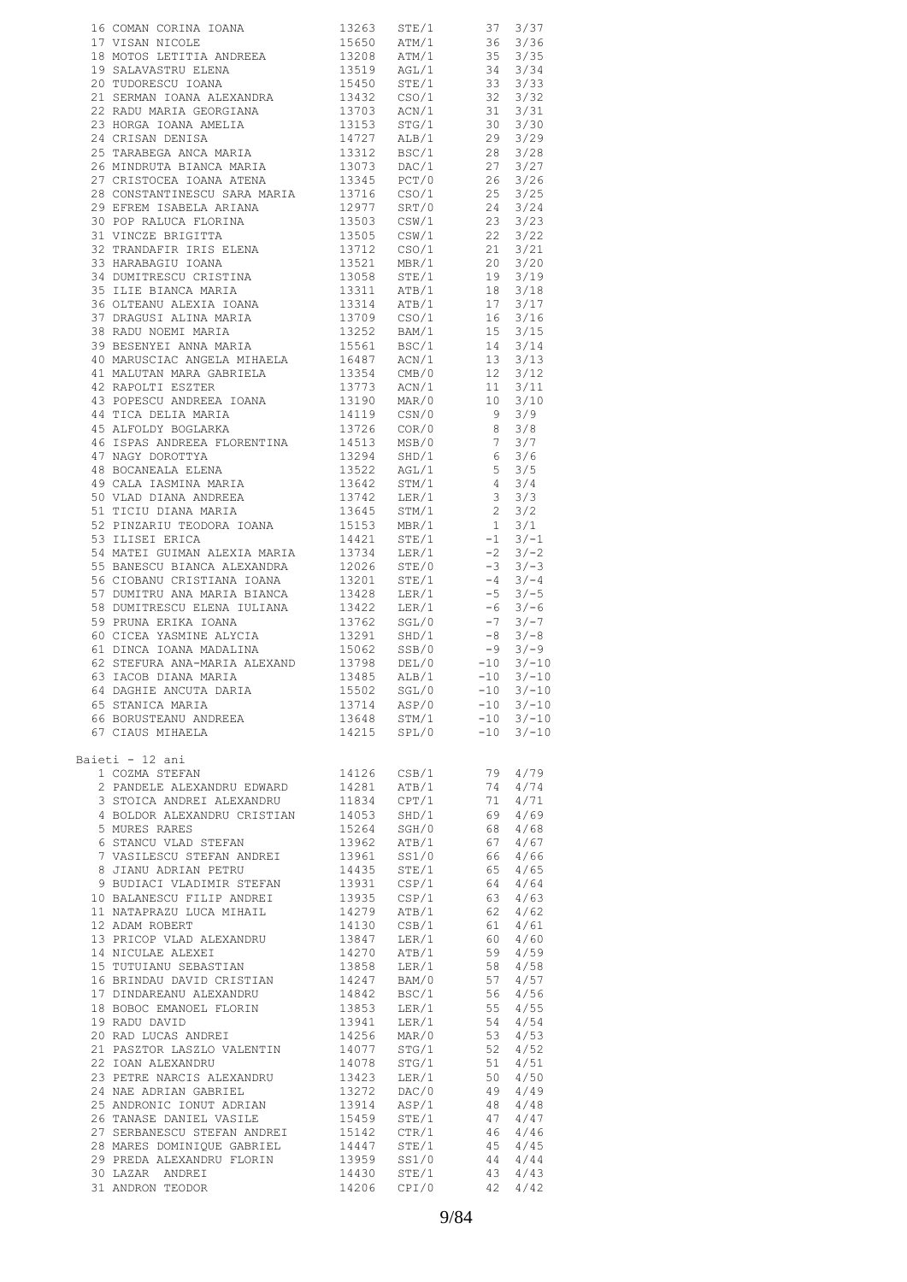| 16 COMM CONTROL TOWARD 1926 STEV 11 27 1/27 11<br>16 COMM CONTROL 11 2003 STEV 11 27 1/27 11 2003<br>13 MOND LETTER AND MARK 11550 NTR/L 15 3/356 NTR/L 16 3/36<br>19 MOND COMM LETTER AND MARK 11551 NGC 11 201 223<br>22 SEMUNAL MOND C      |                                                                                                                  |                                            |  |
|------------------------------------------------------------------------------------------------------------------------------------------------------------------------------------------------------------------------------------------------|------------------------------------------------------------------------------------------------------------------|--------------------------------------------|--|
|                                                                                                                                                                                                                                                |                                                                                                                  |                                            |  |
|                                                                                                                                                                                                                                                |                                                                                                                  |                                            |  |
|                                                                                                                                                                                                                                                |                                                                                                                  |                                            |  |
|                                                                                                                                                                                                                                                |                                                                                                                  |                                            |  |
|                                                                                                                                                                                                                                                |                                                                                                                  |                                            |  |
|                                                                                                                                                                                                                                                |                                                                                                                  |                                            |  |
|                                                                                                                                                                                                                                                |                                                                                                                  |                                            |  |
|                                                                                                                                                                                                                                                |                                                                                                                  |                                            |  |
|                                                                                                                                                                                                                                                |                                                                                                                  |                                            |  |
|                                                                                                                                                                                                                                                |                                                                                                                  |                                            |  |
|                                                                                                                                                                                                                                                |                                                                                                                  |                                            |  |
|                                                                                                                                                                                                                                                |                                                                                                                  |                                            |  |
|                                                                                                                                                                                                                                                |                                                                                                                  |                                            |  |
|                                                                                                                                                                                                                                                |                                                                                                                  |                                            |  |
|                                                                                                                                                                                                                                                |                                                                                                                  |                                            |  |
|                                                                                                                                                                                                                                                |                                                                                                                  |                                            |  |
|                                                                                                                                                                                                                                                |                                                                                                                  |                                            |  |
|                                                                                                                                                                                                                                                |                                                                                                                  |                                            |  |
|                                                                                                                                                                                                                                                |                                                                                                                  |                                            |  |
|                                                                                                                                                                                                                                                |                                                                                                                  |                                            |  |
|                                                                                                                                                                                                                                                |                                                                                                                  |                                            |  |
|                                                                                                                                                                                                                                                |                                                                                                                  |                                            |  |
|                                                                                                                                                                                                                                                |                                                                                                                  |                                            |  |
|                                                                                                                                                                                                                                                |                                                                                                                  |                                            |  |
|                                                                                                                                                                                                                                                |                                                                                                                  |                                            |  |
|                                                                                                                                                                                                                                                |                                                                                                                  |                                            |  |
|                                                                                                                                                                                                                                                |                                                                                                                  |                                            |  |
|                                                                                                                                                                                                                                                |                                                                                                                  |                                            |  |
|                                                                                                                                                                                                                                                |                                                                                                                  |                                            |  |
|                                                                                                                                                                                                                                                |                                                                                                                  |                                            |  |
|                                                                                                                                                                                                                                                |                                                                                                                  |                                            |  |
|                                                                                                                                                                                                                                                |                                                                                                                  |                                            |  |
|                                                                                                                                                                                                                                                |                                                                                                                  |                                            |  |
|                                                                                                                                                                                                                                                |                                                                                                                  |                                            |  |
|                                                                                                                                                                                                                                                |                                                                                                                  |                                            |  |
|                                                                                                                                                                                                                                                |                                                                                                                  |                                            |  |
|                                                                                                                                                                                                                                                |                                                                                                                  |                                            |  |
|                                                                                                                                                                                                                                                |                                                                                                                  |                                            |  |
|                                                                                                                                                                                                                                                |                                                                                                                  |                                            |  |
|                                                                                                                                                                                                                                                |                                                                                                                  |                                            |  |
|                                                                                                                                                                                                                                                |                                                                                                                  |                                            |  |
|                                                                                                                                                                                                                                                |                                                                                                                  |                                            |  |
|                                                                                                                                                                                                                                                |                                                                                                                  |                                            |  |
|                                                                                                                                                                                                                                                |                                                                                                                  |                                            |  |
|                                                                                                                                                                                                                                                |                                                                                                                  |                                            |  |
|                                                                                                                                                                                                                                                |                                                                                                                  |                                            |  |
|                                                                                                                                                                                                                                                |                                                                                                                  |                                            |  |
|                                                                                                                                                                                                                                                |                                                                                                                  |                                            |  |
|                                                                                                                                                                                                                                                |                                                                                                                  |                                            |  |
|                                                                                                                                                                                                                                                |                                                                                                                  |                                            |  |
|                                                                                                                                                                                                                                                |                                                                                                                  |                                            |  |
|                                                                                                                                                                                                                                                |                                                                                                                  |                                            |  |
|                                                                                                                                                                                                                                                |                                                                                                                  |                                            |  |
|                                                                                                                                                                                                                                                |                                                                                                                  |                                            |  |
|                                                                                                                                                                                                                                                |                                                                                                                  |                                            |  |
|                                                                                                                                                                                                                                                |                                                                                                                  |                                            |  |
|                                                                                                                                                                                                                                                |                                                                                                                  |                                            |  |
|                                                                                                                                                                                                                                                |                                                                                                                  |                                            |  |
|                                                                                                                                                                                                                                                |                                                                                                                  |                                            |  |
|                                                                                                                                                                                                                                                |                                                                                                                  |                                            |  |
|                                                                                                                                                                                                                                                |                                                                                                                  |                                            |  |
| 65 STANICA MARIA                                                                                                                                                                                                                               |                                                                                                                  |                                            |  |
|                                                                                                                                                                                                                                                |                                                                                                                  |                                            |  |
| 66 BORUSTEANU ANDREEA<br>67 ANNE MILLES                                                                                                                                                                                                        | $13714$ $\overline{ABP}/0$ -10 3/-10<br>13648 $\overline{STM}/1$ -10 3/-10<br>14215 $\overline{SPL}/0$ -10 3/-10 |                                            |  |
| 67 CIAUS MIHAELA                                                                                                                                                                                                                               |                                                                                                                  |                                            |  |
|                                                                                                                                                                                                                                                |                                                                                                                  |                                            |  |
| Baieti - 12 ani                                                                                                                                                                                                                                |                                                                                                                  |                                            |  |
|                                                                                                                                                                                                                                                |                                                                                                                  |                                            |  |
| 1 COZMA STEFAN                                                                                                                                                                                                                                 |                                                                                                                  |                                            |  |
|                                                                                                                                                                                                                                                |                                                                                                                  |                                            |  |
|                                                                                                                                                                                                                                                |                                                                                                                  |                                            |  |
|                                                                                                                                                                                                                                                |                                                                                                                  |                                            |  |
|                                                                                                                                                                                                                                                |                                                                                                                  |                                            |  |
|                                                                                                                                                                                                                                                |                                                                                                                  |                                            |  |
|                                                                                                                                                                                                                                                |                                                                                                                  |                                            |  |
|                                                                                                                                                                                                                                                |                                                                                                                  |                                            |  |
|                                                                                                                                                                                                                                                |                                                                                                                  |                                            |  |
|                                                                                                                                                                                                                                                |                                                                                                                  |                                            |  |
|                                                                                                                                                                                                                                                |                                                                                                                  |                                            |  |
|                                                                                                                                                                                                                                                |                                                                                                                  |                                            |  |
|                                                                                                                                                                                                                                                |                                                                                                                  |                                            |  |
|                                                                                                                                                                                                                                                |                                                                                                                  |                                            |  |
|                                                                                                                                                                                                                                                |                                                                                                                  |                                            |  |
|                                                                                                                                                                                                                                                |                                                                                                                  |                                            |  |
|                                                                                                                                                                                                                                                |                                                                                                                  |                                            |  |
|                                                                                                                                                                                                                                                |                                                                                                                  |                                            |  |
|                                                                                                                                                                                                                                                |                                                                                                                  |                                            |  |
|                                                                                                                                                                                                                                                |                                                                                                                  |                                            |  |
|                                                                                                                                                                                                                                                |                                                                                                                  |                                            |  |
|                                                                                                                                                                                                                                                |                                                                                                                  |                                            |  |
|                                                                                                                                                                                                                                                |                                                                                                                  |                                            |  |
|                                                                                                                                                                                                                                                |                                                                                                                  |                                            |  |
|                                                                                                                                                                                                                                                |                                                                                                                  |                                            |  |
|                                                                                                                                                                                                                                                |                                                                                                                  |                                            |  |
|                                                                                                                                                                                                                                                |                                                                                                                  |                                            |  |
|                                                                                                                                                                                                                                                |                                                                                                                  |                                            |  |
|                                                                                                                                                                                                                                                |                                                                                                                  |                                            |  |
|                                                                                                                                                                                                                                                |                                                                                                                  |                                            |  |
|                                                                                                                                                                                                                                                |                                                                                                                  |                                            |  |
|                                                                                                                                                                                                                                                |                                                                                                                  |                                            |  |
|                                                                                                                                                                                                                                                |                                                                                                                  |                                            |  |
|                                                                                                                                                                                                                                                |                                                                                                                  |                                            |  |
|                                                                                                                                                                                                                                                |                                                                                                                  |                                            |  |
|                                                                                                                                                                                                                                                |                                                                                                                  |                                            |  |
| 24 NAE ADRIAN GABRIEL<br>25 ANDRONIC IONUT ADRIAN<br>25 ANDRONIC IONUT ADRIAN<br>26 TANASE DANIEL VASILE<br>26 TANASE DANIEL VASILE<br>27 SERBANESCU STEFAN ANDREI<br>28 MARES DOMINIQUE GABRIEL<br>28 MARES DOMINIQUE GABRIEL<br>28 PREDA ALE |                                                                                                                  |                                            |  |
| 30 LAZAR ANDREI                                                                                                                                                                                                                                |                                                                                                                  | 14430 STE/1 43 4/43<br>14206 CPI/0 42 4/42 |  |
| 31 ANDRON TEODOR                                                                                                                                                                                                                               |                                                                                                                  |                                            |  |
|                                                                                                                                                                                                                                                |                                                                                                                  |                                            |  |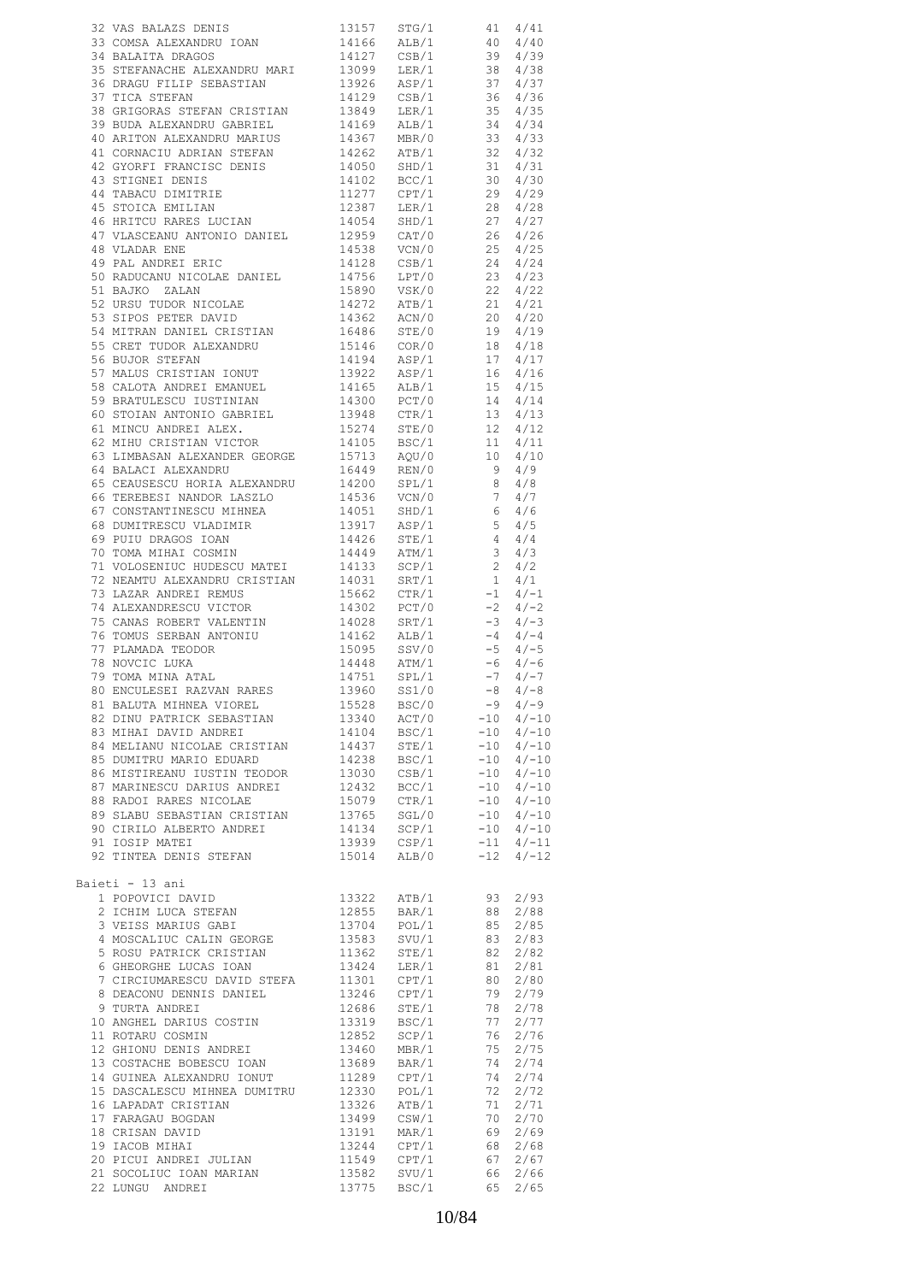| 32 VAS BALAXS BRNITS (1974)<br>33 COMSA ALEXANDER TOAN 114166 ATLA/1 4 4/41<br>34 COMSA ALEXANDER TOAN 114166 ATLA/1 4 4/41<br>35 STRANGA PERIMPORT MART<br>35 STRANGA PERIMPORT MART<br>35 STRANGA PERIMPORT MART<br>35 STRANGA PERIMPOR |                            |    |             |
|-------------------------------------------------------------------------------------------------------------------------------------------------------------------------------------------------------------------------------------------|----------------------------|----|-------------|
|                                                                                                                                                                                                                                           |                            |    |             |
|                                                                                                                                                                                                                                           |                            |    |             |
|                                                                                                                                                                                                                                           |                            |    |             |
|                                                                                                                                                                                                                                           |                            |    |             |
|                                                                                                                                                                                                                                           |                            |    |             |
|                                                                                                                                                                                                                                           |                            |    |             |
|                                                                                                                                                                                                                                           |                            |    |             |
|                                                                                                                                                                                                                                           |                            |    |             |
|                                                                                                                                                                                                                                           |                            |    |             |
|                                                                                                                                                                                                                                           |                            |    |             |
|                                                                                                                                                                                                                                           |                            |    |             |
|                                                                                                                                                                                                                                           |                            |    |             |
|                                                                                                                                                                                                                                           |                            |    |             |
|                                                                                                                                                                                                                                           |                            |    |             |
|                                                                                                                                                                                                                                           |                            |    |             |
|                                                                                                                                                                                                                                           |                            |    |             |
|                                                                                                                                                                                                                                           |                            |    |             |
|                                                                                                                                                                                                                                           |                            |    |             |
|                                                                                                                                                                                                                                           |                            |    |             |
|                                                                                                                                                                                                                                           |                            |    |             |
|                                                                                                                                                                                                                                           |                            |    |             |
|                                                                                                                                                                                                                                           |                            |    |             |
|                                                                                                                                                                                                                                           |                            |    |             |
|                                                                                                                                                                                                                                           |                            |    |             |
|                                                                                                                                                                                                                                           |                            |    |             |
|                                                                                                                                                                                                                                           |                            |    |             |
|                                                                                                                                                                                                                                           |                            |    |             |
|                                                                                                                                                                                                                                           |                            |    |             |
|                                                                                                                                                                                                                                           |                            |    |             |
|                                                                                                                                                                                                                                           |                            |    |             |
|                                                                                                                                                                                                                                           |                            |    |             |
|                                                                                                                                                                                                                                           |                            |    |             |
|                                                                                                                                                                                                                                           |                            |    |             |
|                                                                                                                                                                                                                                           |                            |    |             |
|                                                                                                                                                                                                                                           |                            |    |             |
|                                                                                                                                                                                                                                           |                            |    |             |
|                                                                                                                                                                                                                                           |                            |    |             |
|                                                                                                                                                                                                                                           |                            |    |             |
|                                                                                                                                                                                                                                           |                            |    |             |
|                                                                                                                                                                                                                                           |                            |    |             |
|                                                                                                                                                                                                                                           |                            |    |             |
|                                                                                                                                                                                                                                           |                            |    |             |
|                                                                                                                                                                                                                                           |                            |    |             |
|                                                                                                                                                                                                                                           |                            |    |             |
|                                                                                                                                                                                                                                           |                            |    |             |
| Baieti - 13 ani                                                                                                                                                                                                                           |                            |    |             |
|                                                                                                                                                                                                                                           |                            |    |             |
|                                                                                                                                                                                                                                           |                            |    |             |
| 13322 ATB/1 93 2/93<br>2 ICHIM LUCA STEFAN 12855 BAR/1 88 2/88                                                                                                                                                                            |                            |    |             |
|                                                                                                                                                                                                                                           |                            |    |             |
|                                                                                                                                                                                                                                           |                            |    |             |
|                                                                                                                                                                                                                                           |                            |    |             |
|                                                                                                                                                                                                                                           |                            |    |             |
|                                                                                                                                                                                                                                           |                            |    |             |
|                                                                                                                                                                                                                                           |                            |    |             |
|                                                                                                                                                                                                                                           |                            |    |             |
|                                                                                                                                                                                                                                           |                            |    |             |
| 2 ICHIM LUCA STEFAN 12855 BAR/1 00 2/00<br>3 VEISS MARIUS GABI 13704 POL/1 85 2/85<br>4 MOSCALIUC CALIN GEORGE 13583 SVU/1 83 2/83<br>5 ROSU PATRICK CRISTIAN 11362 STE/1 82 2/82<br>6 GHEORGHE LUCAS IOAN 13424 LER/1 81 2/81<br>7 CIRC  |                            |    |             |
| 10 ANGHEL DARIUS COSTIN                                                                                                                                                                                                                   | 12686 STE/1<br>13319 BSC/1 |    | 77 2/77     |
| 11 ROTARU COSMIN                                                                                                                                                                                                                          |                            |    | 76 2/76     |
| 12 GHIONU DENIS ANDREI<br>13 COSTACHE - CA                                                                                                                                                                                                | 12852 SCP/1<br>13460 MBR/1 |    |             |
|                                                                                                                                                                                                                                           |                            |    | 75 2/75     |
| 13 COSTACHE BOBESCU IOAN<br>14 GUINEA ALEXANDRU IONUT                                                                                                                                                                                     | 13689 BAR/1<br>11289 CPT/1 |    | 74 2/74     |
|                                                                                                                                                                                                                                           |                            |    | 74 2/74     |
| 14 GOINER REEMBRUING 10001<br>15 DASCALESCU MIHNEA DUMITRU 12330 POL/1<br>16 LAPADAT CRISTIAN 13326 ATB/1                                                                                                                                 |                            |    | 72 2/72     |
|                                                                                                                                                                                                                                           |                            |    |             |
|                                                                                                                                                                                                                                           |                            |    | $71 \t2/71$ |
|                                                                                                                                                                                                                                           |                            |    | 70 2/70     |
|                                                                                                                                                                                                                                           |                            |    | 69 2/69     |
|                                                                                                                                                                                                                                           |                            |    |             |
|                                                                                                                                                                                                                                           |                            |    | 68 2/68     |
| 16 LAPADAT CRISTIAN 13326 ATB/1<br>17 FARAGAU BOGDAN 13499 CSW/1<br>18 CRISAN DAVID 13191 MAR/1<br>19 IACOB MIHAI 13244 CPT/1<br>20 PICUI ANDREI JULIAN 11549 CPT/1                                                                       |                            | 67 | 2/67        |
| 21 SOCOLIUC IOAN MARIAN                                                                                                                                                                                                                   | 13582 SVU/1<br>13775 BSC/1 |    | 66 2/66     |
|                                                                                                                                                                                                                                           |                            |    |             |
| 22 LUNGU ANDREI                                                                                                                                                                                                                           |                            | 65 | 2/65        |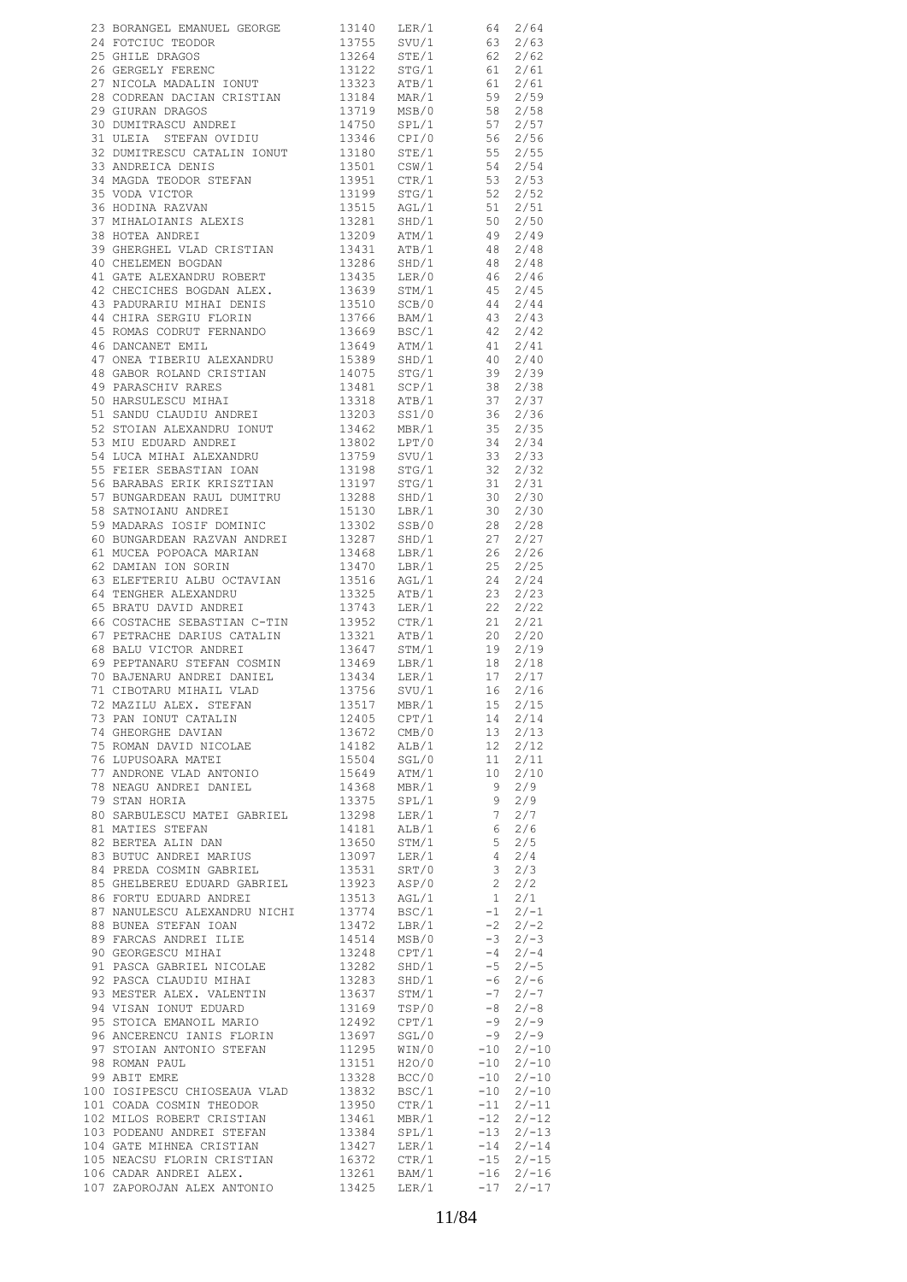| 23 normatic Renoval (1971 - 13740)<br>12755 29<br>vv/11 10 1 1 140 1 178 (1974)<br>12755 2977/4 128 22/62<br>138 contra Renoval (1975)<br>                                                                                                     |  |  |
|------------------------------------------------------------------------------------------------------------------------------------------------------------------------------------------------------------------------------------------------|--|--|
|                                                                                                                                                                                                                                                |  |  |
|                                                                                                                                                                                                                                                |  |  |
|                                                                                                                                                                                                                                                |  |  |
|                                                                                                                                                                                                                                                |  |  |
|                                                                                                                                                                                                                                                |  |  |
|                                                                                                                                                                                                                                                |  |  |
|                                                                                                                                                                                                                                                |  |  |
|                                                                                                                                                                                                                                                |  |  |
|                                                                                                                                                                                                                                                |  |  |
|                                                                                                                                                                                                                                                |  |  |
|                                                                                                                                                                                                                                                |  |  |
|                                                                                                                                                                                                                                                |  |  |
|                                                                                                                                                                                                                                                |  |  |
|                                                                                                                                                                                                                                                |  |  |
|                                                                                                                                                                                                                                                |  |  |
|                                                                                                                                                                                                                                                |  |  |
|                                                                                                                                                                                                                                                |  |  |
|                                                                                                                                                                                                                                                |  |  |
|                                                                                                                                                                                                                                                |  |  |
|                                                                                                                                                                                                                                                |  |  |
|                                                                                                                                                                                                                                                |  |  |
|                                                                                                                                                                                                                                                |  |  |
|                                                                                                                                                                                                                                                |  |  |
|                                                                                                                                                                                                                                                |  |  |
|                                                                                                                                                                                                                                                |  |  |
|                                                                                                                                                                                                                                                |  |  |
|                                                                                                                                                                                                                                                |  |  |
|                                                                                                                                                                                                                                                |  |  |
|                                                                                                                                                                                                                                                |  |  |
|                                                                                                                                                                                                                                                |  |  |
|                                                                                                                                                                                                                                                |  |  |
|                                                                                                                                                                                                                                                |  |  |
|                                                                                                                                                                                                                                                |  |  |
|                                                                                                                                                                                                                                                |  |  |
|                                                                                                                                                                                                                                                |  |  |
|                                                                                                                                                                                                                                                |  |  |
| 90 GEORGESCU MHAIT<br>90 GEORGESCU MHAIT<br>90 GEORGESCU MHAIT<br>91 PASCA GABRIEL NICOLAE<br>92 PASCA CLAUDIU MHAIT<br>93 MESTER ALEX. VALEMTIN<br>93 MESTER ALEX. VALEMTIN<br>93 MESTER ALEX. VALEMTIN<br>94 VISAN IONUT EDUARD<br>97 STOICA |  |  |
|                                                                                                                                                                                                                                                |  |  |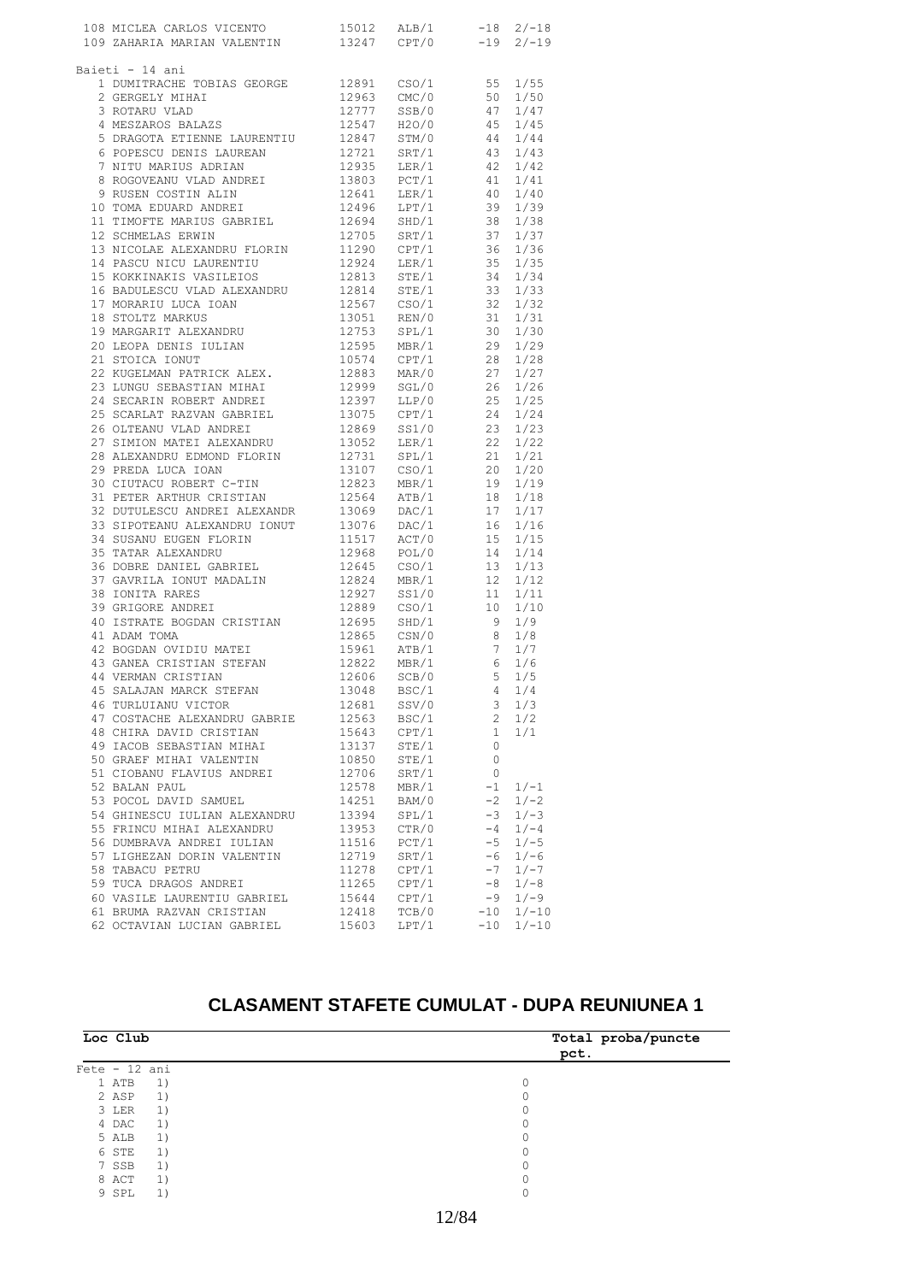| 108 MICLEA CARLOS VICENTO $15012$ ALB/1 $-18$ 2/-18<br>109 ZAHARIA MARIAN VALENTIN 13247 CPT/0 $-19$ 2/-19 |                |                |                         |                  |
|------------------------------------------------------------------------------------------------------------|----------------|----------------|-------------------------|------------------|
|                                                                                                            |                |                |                         |                  |
|                                                                                                            |                |                |                         |                  |
| Baieti - 14 ani                                                                                            |                |                |                         | 1/55             |
| 1 DUMITRACHE TOBIAS GEORGE 12891 CSO/1 55<br>2 GERGELY MIHAI 12963 CMC/0 50                                |                |                |                         |                  |
|                                                                                                            |                |                |                         |                  |
|                                                                                                            |                |                |                         |                  |
|                                                                                                            |                |                |                         |                  |
|                                                                                                            |                |                |                         |                  |
|                                                                                                            |                |                |                         |                  |
|                                                                                                            |                |                |                         |                  |
|                                                                                                            |                |                |                         |                  |
|                                                                                                            |                |                |                         |                  |
|                                                                                                            |                |                |                         |                  |
|                                                                                                            |                |                |                         |                  |
|                                                                                                            |                |                |                         |                  |
|                                                                                                            |                |                |                         |                  |
|                                                                                                            |                |                |                         |                  |
|                                                                                                            |                |                |                         |                  |
|                                                                                                            |                |                |                         |                  |
|                                                                                                            |                |                |                         |                  |
|                                                                                                            |                |                |                         |                  |
|                                                                                                            |                |                |                         |                  |
|                                                                                                            |                |                |                         |                  |
|                                                                                                            |                |                |                         |                  |
|                                                                                                            |                |                |                         |                  |
|                                                                                                            |                |                |                         |                  |
|                                                                                                            |                |                |                         |                  |
|                                                                                                            |                |                |                         |                  |
|                                                                                                            |                |                |                         |                  |
|                                                                                                            |                |                |                         |                  |
|                                                                                                            |                |                |                         |                  |
|                                                                                                            |                |                |                         |                  |
|                                                                                                            |                |                |                         |                  |
|                                                                                                            |                |                |                         |                  |
|                                                                                                            |                |                |                         |                  |
|                                                                                                            |                |                |                         |                  |
|                                                                                                            |                |                |                         |                  |
|                                                                                                            |                |                |                         |                  |
|                                                                                                            |                |                |                         |                  |
|                                                                                                            |                |                |                         |                  |
|                                                                                                            |                |                |                         |                  |
|                                                                                                            |                |                |                         |                  |
|                                                                                                            |                |                |                         |                  |
| 46 TURLUIANU VICTOR                                                                                        | 12681          | SSV/0          | 3                       | 1/3              |
| 47 COSTACHE ALEXANDRU GABRIE                                                                               | 12563          | BSC/1          | 2                       | 1/2              |
| 48 CHIRA DAVID CRISTIAN<br>49 IACOB SEBASTIAN MIHAI                                                        | 15643<br>13137 | CPT/1<br>STE/1 | $\mathbf{1}$<br>$\circ$ | 1/1              |
| 50 GRAEF MIHAI VALENTIN                                                                                    | 10850          | STE/1          | 0                       |                  |
| 51 CIOBANU FLAVIUS ANDREI                                                                                  | 12706          | SRT/1          | 0                       |                  |
| 52 BALAN PAUL                                                                                              | 12578          | MBR/1          | $-1$                    | $1/-1$           |
| 53 POCOL DAVID SAMUEL                                                                                      | 14251          | BAM/0          | $-2$                    | $1/-2$           |
| 54 GHINESCU IULIAN ALEXANDRU                                                                               | 13394          | SPL/1          | $-3$                    | $1/-3$           |
| 55 FRINCU MIHAI ALEXANDRU                                                                                  | 13953          | CTR/0          | $-4$                    | $1/-4$           |
| 56 DUMBRAVA ANDREI IULIAN                                                                                  | 11516          | PCT/1          | $-5$                    | $1/-5$           |
| 57 LIGHEZAN DORIN VALENTIN                                                                                 | 12719          | SRT/1          | -6                      | $1/-6$           |
| 58 TABACU PETRU                                                                                            | 11278<br>11265 | CPT/1          | $-7$                    | $1/-7$           |
| 59 TUCA DRAGOS ANDREI<br>60 VASILE LAURENTIU GABRIEL                                                       | 15644          | CPT/1<br>CPT/1 | -8<br>-9                | $1/-8$<br>$1/-9$ |
| 61 BRUMA RAZVAN CRISTIAN                                                                                   | 12418          | TCB/0          | -10                     | $1/-10$          |
| 62 OCTAVIAN LUCIAN GABRIEL                                                                                 | 15603          | LPT/1          | $-10$                   | $1/-10$          |
|                                                                                                            |                |                |                         |                  |

#### **CLASAMENT STAFETE CUMULAT - DUPA REUNIUNEA 1**

| Loc Club              | Total proba/puncte<br>pct. |
|-----------------------|----------------------------|
| $Fete - 12 ani$       |                            |
| <sup>1</sup><br>1 ATB |                            |
| 2 ASP<br>1)           |                            |
| 1)<br>3 LER           |                            |
| 1)<br>4 DAC           |                            |
| 1)<br>5 ALB           |                            |
| 1)<br>6 STE           |                            |
| 1)<br>7 SSB           |                            |
| 1)<br>8 ACT           |                            |
| 1)<br>9 SPL           |                            |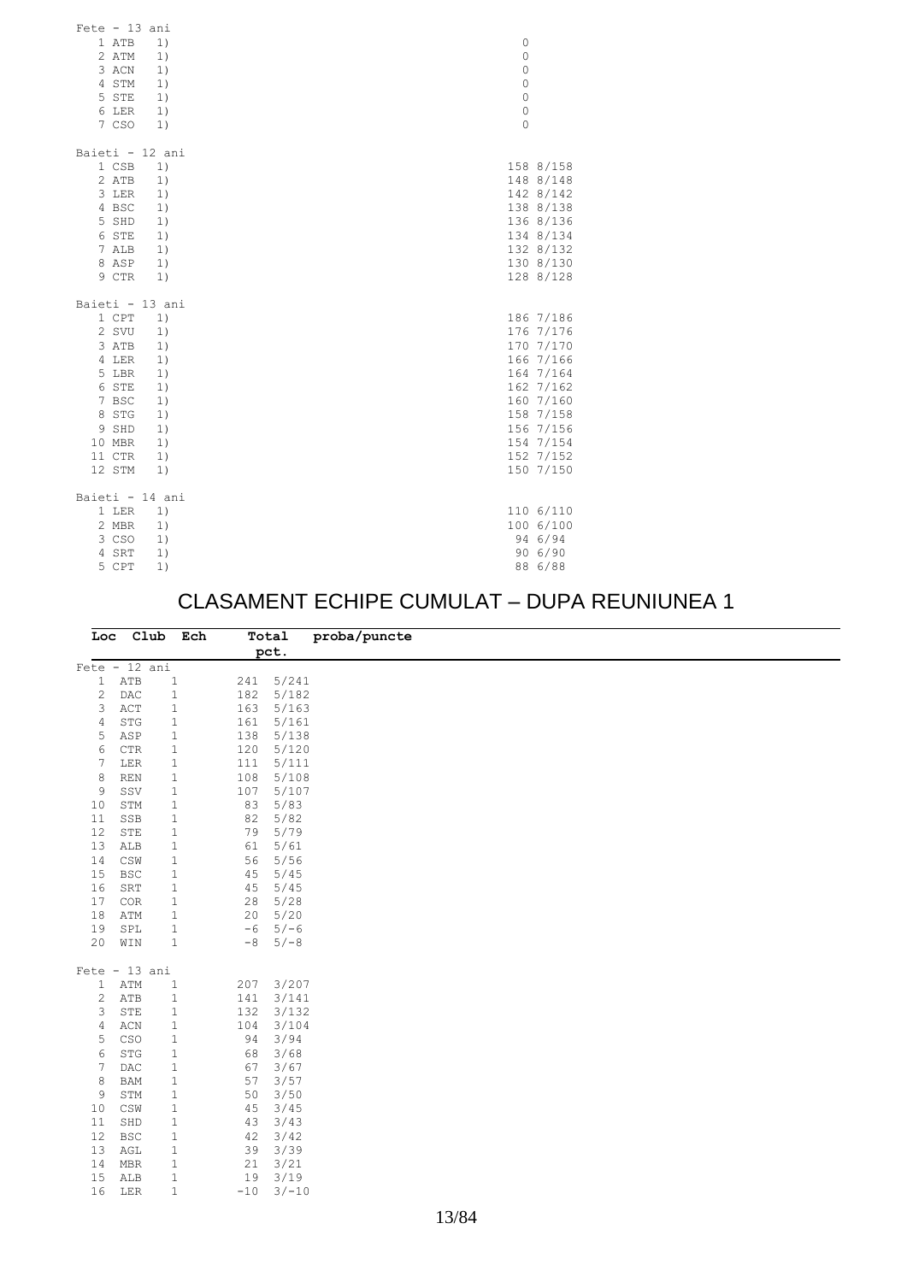| $Fete - 13 ani$      |                     |           |
|----------------------|---------------------|-----------|
| 1 ATB<br>1)          | $\mathbb O$         |           |
| 2 ATM<br>1)          | $\mathbb O$         |           |
| 3 ACN<br>1)          | $\mathbb O$         |           |
| 4 STM<br>1)          | $\mathsf{O}\xspace$ |           |
| 5 STE<br>1)          | $\mathbf 0$         |           |
| 6 LER<br>1)          | $\mathbf 0$         |           |
| 7 CSO<br>1)          | $\mathbf 0$         |           |
|                      |                     |           |
| Baieti - 12 ani      |                     |           |
| 1 CSB<br>1)          |                     | 158 8/158 |
| 2 ATB<br>1)          |                     | 148 8/148 |
| 3 LER<br>1)          |                     | 142 8/142 |
| 4 BSC<br>1)          |                     | 138 8/138 |
| 5 SHD<br>1)          |                     | 136 8/136 |
| 6 STE<br>1)          |                     | 134 8/134 |
| 7 ALB<br>1)          |                     | 132 8/132 |
| 8 ASP<br>1)          |                     | 130 8/130 |
| 9 CTR<br>1)          |                     | 128 8/128 |
| Baieti - 13 ani      |                     |           |
| 1 CPT<br>1)          |                     | 186 7/186 |
| 2 SVU<br>1)          |                     | 176 7/176 |
| 3 ATB<br>1)          |                     | 170 7/170 |
| 4 LER                |                     | 166 7/166 |
| 1)<br>5 LBR<br>1)    |                     | 164 7/164 |
|                      |                     |           |
| 6 STE<br>1)<br>7 BSC |                     | 162 7/162 |
| 1)                   |                     | 160 7/160 |
| 8 STG<br>1)          |                     | 158 7/158 |
| 9 SHD<br>1)          |                     | 156 7/156 |
| 10 MBR<br>1)         |                     | 154 7/154 |
| 11 CTR<br>1)         |                     | 152 7/152 |
| 12 STM<br>1)         |                     | 150 7/150 |
| Baieti - 14 ani      |                     |           |
| 1 LER<br>1)          |                     | 110 6/110 |
| 2 MBR<br>1)          |                     | 100 6/100 |
| 3 CSO<br>1)          |                     | 94 6/94   |
| 4 SRT<br>1)          |                     | 90 6/90   |
| 5 CPT<br>1)          |                     | 88 6/88   |
|                      |                     |           |

## CLASAMENT ECHIPE CUMULAT – DUPA REUNIUNEA 1

|                 |                                  | Loc Club Ech |       | Total   | proba/puncte |
|-----------------|----------------------------------|--------------|-------|---------|--------------|
|                 |                                  |              |       | pct.    |              |
| $Fete - 12 ani$ |                                  |              |       |         |              |
| $\mathbf{1}$    | ATB                              | $1\,$        | 241   | 5/241   |              |
| $\mathbf{2}$    | DAC                              | $\mathbf 1$  | 182   | 5/182   |              |
| 3               | $\mathbb{A}\mathbb{C}\mathbb{T}$ | $\mathbf 1$  | 163   | 5/163   |              |
| $\overline{4}$  | STG                              | $\mathbf 1$  | 161   | 5/161   |              |
| 5               | ASP                              | $\mathbf 1$  | 138   | 5/138   |              |
| 6               | <b>CTR</b>                       | $\mathbf 1$  | 120   | 5/120   |              |
| 7               | LER                              | $\mathbf 1$  | 111   | 5/111   |              |
| 8               | $\mathop{\mathrm{REN}}$          | $\mathbf 1$  | 108   | 5/108   |              |
| 9               | SSV                              | $\mathbf 1$  | 107   | 5/107   |              |
| 10              | STM                              | $\mathbf 1$  | 83    | 5/83    |              |
| 11              | SSB                              | $\mathbf 1$  | 82    | 5/82    |              |
| 12              | STE                              | $\mathbf 1$  | 79    | 5/79    |              |
| 13              | ALB                              | $\mathbf 1$  | 61    | 5/61    |              |
| 14              | CSW                              | $\mathbf 1$  | 56    | $5/56$  |              |
| 15              | <b>BSC</b>                       | $\mathbf 1$  | 45    | 5/45    |              |
| 16              | SRT                              | $\mathbf 1$  | 45    | 5/45    |              |
| 17              | COR                              | $\mathbf 1$  | 28    | 5/28    |              |
| 18              | ATM                              | $\mathbf 1$  | 20    | 5/20    |              |
| 19              | SPL                              | $1\,$        | $-6$  | $5/-6$  |              |
| 20              | WIN                              | $\,1\,$      | $-8$  | $5/-8$  |              |
|                 |                                  |              |       |         |              |
| Fete $-13$ ani  |                                  |              |       |         |              |
| $\mathbf{1}$    | ATM                              | $1\,$        | 207   | 3/207   |              |
| $\overline{c}$  | ATB                              | $\mathbf 1$  | 141   | 3/141   |              |
| 3               | STE                              | $\mathbf 1$  | 132   | 3/132   |              |
| 4               | ACN                              | $\mathbf 1$  | 104   | 3/104   |              |
| 5               | CSO                              | $\mathbf 1$  | 94    | 3/94    |              |
| 6               | STG                              | $\mathbf 1$  | 68    | 3/68    |              |
| 7               | $\mathop{\rm DAC}$               | $\mathbf 1$  | 67    | 3/67    |              |
| 8               | <b>BAM</b>                       | $\,1\,$      | 57    | 3/57    |              |
| 9               | STM                              | $\,1\,$      | 50    | 3/50    |              |
| 10              | CSW                              | $\,1$        | 45    | 3/45    |              |
| 11              | SHD                              | $\,1$        | 43    | 3/43    |              |
| 12              | <b>BSC</b>                       | $1\,$        | 42    | 3/42    |              |
| 13              | AGL                              | $\mathbf 1$  | 39    | 3/39    |              |
| 14              | <b>MBR</b>                       | $\mathbf 1$  | 21    | 3/21    |              |
| 15              | ALB                              | $\mathbf 1$  | 19    | 3/19    |              |
| 16              | LER                              | $1\,$        | $-10$ | $3/-10$ |              |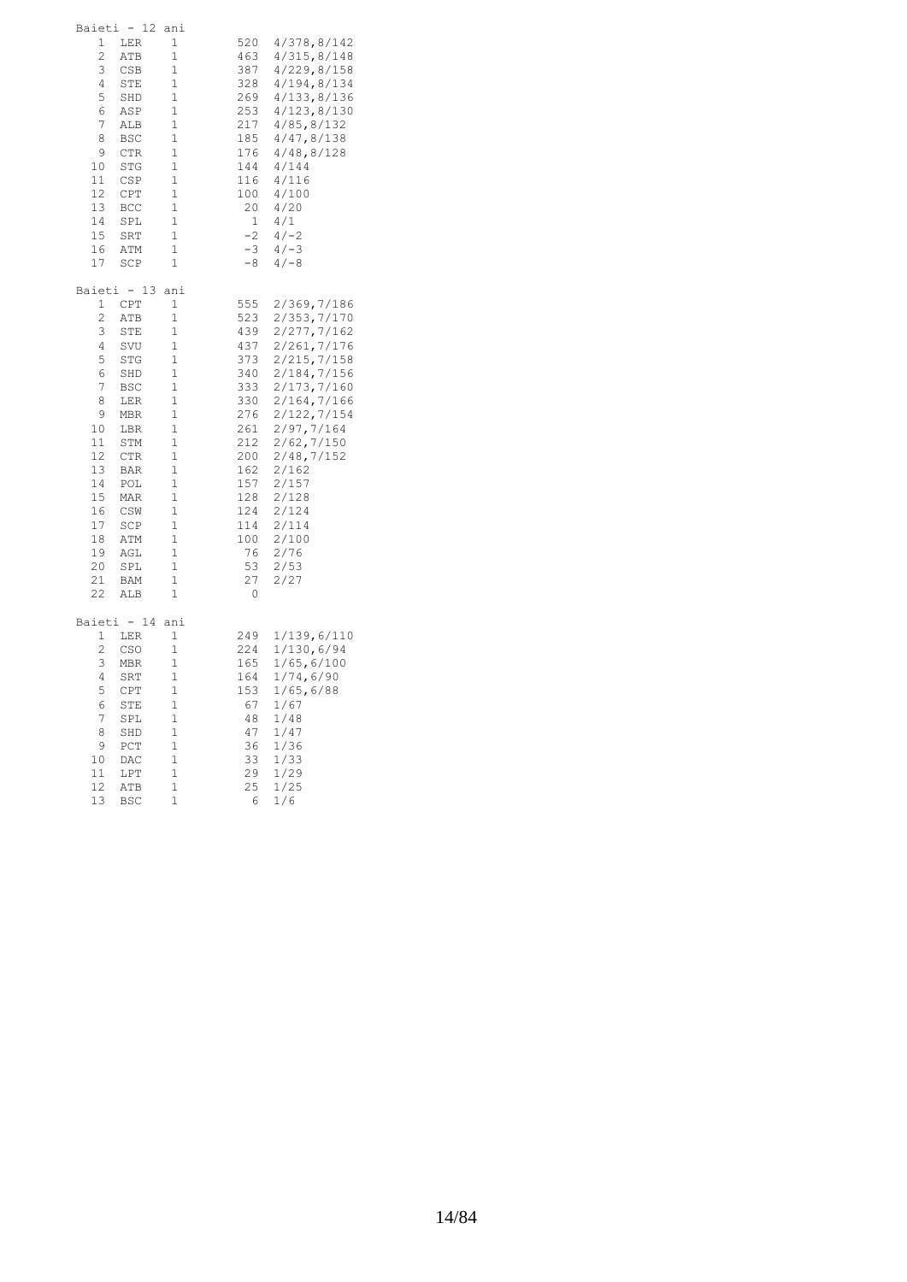| Baieti -       | 12                | ani            |     |      |              |
|----------------|-------------------|----------------|-----|------|--------------|
| 1              | LER               | 1              | 520 |      | 4/378, 8/142 |
| 2              | ATB               | 1              | 463 |      | 4/315, 8/148 |
| 3              | CSB               | $\mathbf{1}$   | 387 |      | 4/229, 8/158 |
| 4              | STE               | 1              | 328 |      | 4/194,8/134  |
| 5              | SHD               | 1              | 269 |      | 4/133,8/136  |
| 6              | ASP               | $\overline{1}$ | 253 |      | 4/123,8/130  |
| 7              | ALB               | 1              | 217 |      | 4/85, 8/132  |
| 8              | <b>BSC</b>        | 1              | 185 |      | 4/47, 8/138  |
| 9              | CTR               | 1              | 176 |      | 4/48, 8/128  |
| 10             | <b>STG</b>        | 1              | 144 |      | 4/144        |
| 11             | CSP               | 1              | 116 |      | 4/116        |
| 12             | CPT               | 1              | 100 |      | 4/100        |
| 13             | <b>BCC</b>        | 1              |     | 20   | 4/20         |
| 14             | SPL               | 1              |     | 1    | 4/1          |
| 15             | SRT               | 1              |     | $-2$ | $4/-2$       |
| 16             | ATM               | $\mathbf{1}$   |     | $-3$ | $4/-3$       |
| 17             | SCP               | 1              |     | $-8$ | $4/-8$       |
|                |                   |                |     |      |              |
|                | Baieti - 13       | ani            |     |      |              |
| 1              | CPT               | 1              | 555 |      | 2/369,7/186  |
| 2              | ATB               | 1              | 523 |      | 2/353,7/170  |
| 3              | STE               | 1              | 439 |      | 2/277,7/162  |
| 4              | SVU               | $\mathbf{1}$   | 437 |      | 2/261,7/176  |
| 5              | <b>STG</b>        | 1              | 373 |      | 2/215,7/158  |
| 6              | SHD               | 1              | 340 |      | 2/184,7/156  |
| 7              | BSC               | 1              | 333 |      | 2/173,7/160  |
| 8              | LER               | 1              | 330 |      | 2/164,7/166  |
| 9              | <b>MBR</b>        | $\mathbf{1}$   | 276 |      | 2/122,7/154  |
| 10             | LBR               | 1              | 261 |      | 2/97,7/164   |
| 11             | STM               | 1              | 212 |      | 2/62, 7/150  |
| 12             | CTR               | 1              | 200 |      | 2/48, 7/152  |
| 13             | $_{\rm BAR}$      | 1              | 162 |      | 2/162        |
| 14             | POL               | 1              | 157 |      | 2/157        |
| 15             | <b>MAR</b>        | $\mathbf{1}$   | 128 |      | 2/128        |
| 16             | CSW               | 1              | 124 |      | 2/124        |
| 17             | SCP               | 1              | 114 |      | 2/114        |
| 18             | ATM               | 1              | 100 |      | 2/100        |
| 19             | AGL               | 1              |     | 76   | 2/76         |
| 20             |                   | 1              |     | 53   | 2/53         |
| 21             | SPL               | 1              |     | 27   | 2/27         |
| 22             | <b>BAM</b><br>ALB | 1              |     | 0    |              |
|                |                   |                |     |      |              |
|                | Baieti - 14       | ani            |     |      |              |
| 1              | LER               | 1              | 249 |      | 1/139,6/110  |
| $\overline{c}$ | CSO               | 1              | 224 |      | 1/130,6/94   |
| 3              | <b>MBR</b>        | 1              | 165 |      | 1/65,6/100   |
| 4              | <b>SRT</b>        | $\mathbf{1}$   | 164 |      | 1/74,6/90    |
| 5              | CPT               | 1              | 153 |      | 1/65,6/88    |
| 6              | STE               | 1              |     | 67   | 1/67         |
| 7              | SPL               | $\overline{1}$ |     | 48   | 1/48         |
| 8              | SHD               | 1              |     | 47   | 1/47         |
| 9              | PCT               | 1              |     | 36   | 1/36         |
| 10             | DAC               | 1              |     | 33   | 1/33         |
| 11             | LPT               | 1              |     | 29   | 1/29         |
| 12             | ATB               | 1              |     | 25   | 1/25         |
| 13             | BSC               | 1              |     | 6    | 1/6          |
|                |                   |                |     |      |              |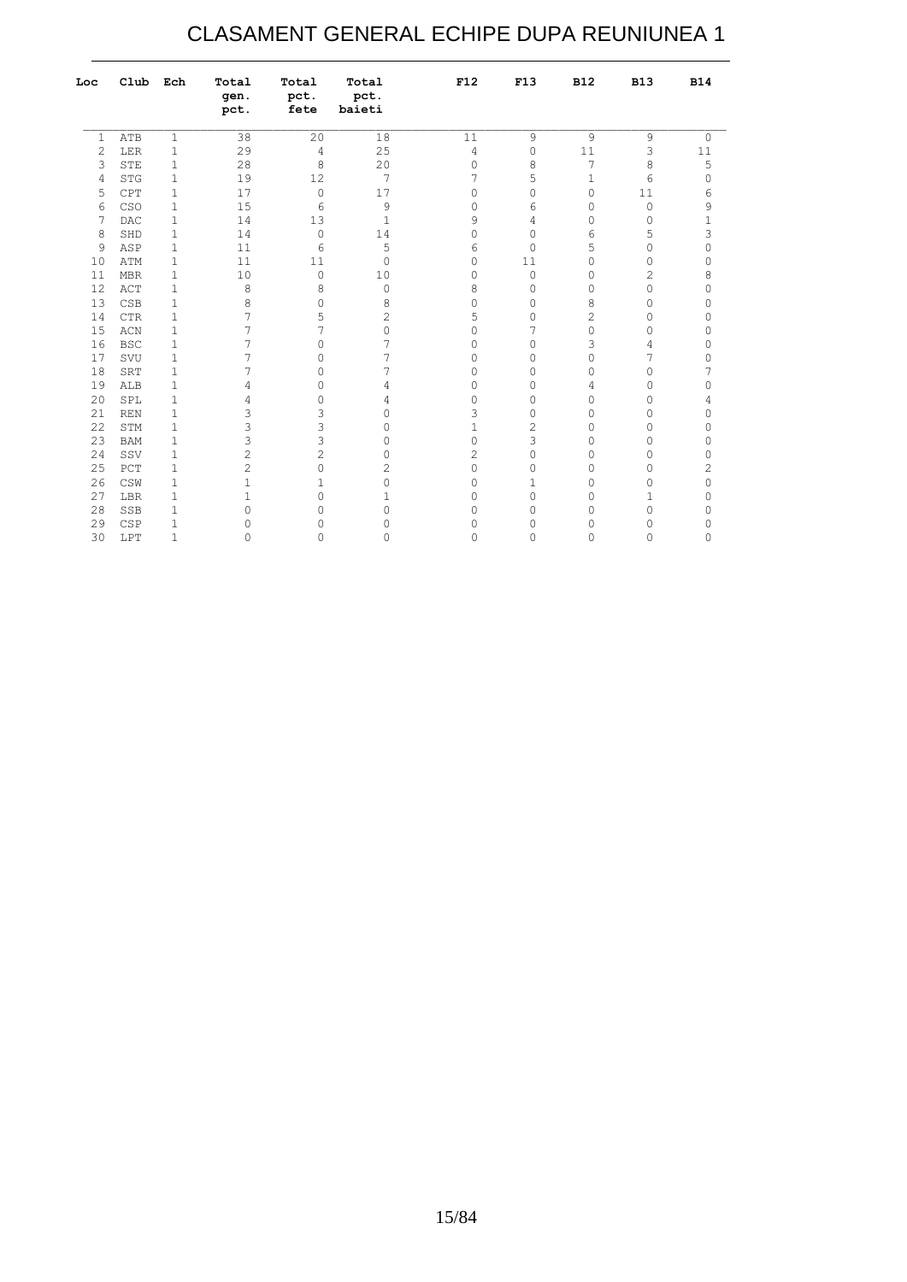## CLASAMENT GENERAL ECHIPE DUPA REUNIUNEA 1

| Loc            | Club       | Ech          | Total<br>gen.<br>pct. | Total<br>pct.<br>fete | Total<br>pct.<br>baieti | F12            | F13                 | <b>B12</b>     | <b>B13</b>     | <b>B14</b> |
|----------------|------------|--------------|-----------------------|-----------------------|-------------------------|----------------|---------------------|----------------|----------------|------------|
| $\mathbf{1}$   | ATB        | 1            | 38                    | 20                    | 18                      | 11             | 9                   | 9              | 9              | 0          |
| $\overline{c}$ | LER        | 1            | 29                    | $\overline{4}$        | 25                      | $\overline{4}$ | 0                   | 11             | 3              | 11         |
| 3              | STE        | $\mathbf 1$  | 28                    | 8                     | 20                      | $\mathbb O$    | 8                   | $\overline{7}$ | 8              | 5          |
| 4              | <b>STG</b> | 1            | 19                    | 12                    | 7                       | 7              | 5                   | $\mathbf{1}$   | 6              | 0          |
| 5              | CPT        | 1            | 17                    | $\circ$               | 17                      | $\mathbf{0}$   | $\mathsf{O}\xspace$ | $\mathbf{0}$   | 11             | 6          |
| 6              | CSO        | 1            | 15                    | 6                     | 9                       | $\mathbf 0$    | 6                   | $\mathbf{0}$   | 0              | 9          |
| 7              | DAC        | 1            | 14                    | 13                    | $\mathbf{1}$            | 9              | 4                   | $\mathbb O$    | 0              | 1          |
| 8              | SHD        | 1            | 14                    | $\circ$               | 14                      | $\mathbb O$    | $\circ$             | 6              | 5              | 3          |
| 9              | ASP        | $\mathbf{1}$ | 11                    | 6                     | 5                       | 6              | 0                   | 5              | 0              | 0          |
| 10             | ATM        | 1            | 11                    | 11                    | 0                       | 0              | 11                  | 0              | 0              | 0          |
| 11             | <b>MBR</b> | 1            | 10                    | $\circ$               | 10                      | 0              | 0                   | $\mathbb O$    | $\overline{c}$ | 8          |
| 12             | ACT        | 1            | 8                     | 8                     | $\circ$                 | 8              | 0                   | $\mathbb O$    | 0              | 0          |
| 13             | CSB        | 1            | 8                     | $\mathbf 0$           | 8                       | $\mathbb O$    | 0                   | 8              | 0              | 0          |
| 14             | <b>CTR</b> | 1            | 7                     | 5                     | $\overline{c}$          | 5              | 0                   | $\overline{c}$ | 0              | 0          |
| 15             | ACN        | 1            | 7                     | 7                     | $\mathbf 0$             | 0              | 7                   | $\mathbf{0}$   | 0              | 0          |
| 16             | <b>BSC</b> | 1            | 7                     | $\mathbf 0$           | 7                       | 0              | $\circ$             | 3              | 4              | 0          |
| 17             | SVU        | $1\,$        | 7                     | 0                     | 7                       | 0              | 0                   | $\mathbb O$    | 7              | $\Omega$   |
| 18             | SRT        | $\mathbf 1$  | 7                     | 0                     | 7                       | 0              | 0                   | $\mathbb O$    | 0              | 7          |
| 19             | ALB        | $\mathbf 1$  | 4                     | $\circ$               | 4                       | 0              | 0                   | 4              | 0              | 0          |
| 20             | SPL        | $\mathbf 1$  | 4                     | $\circ$               | 4                       | 0              | 0                   | 0              | 0              | 4          |
| 21             | <b>REN</b> | 1            | 3                     | 3                     | 0                       | 3              | 0                   | $\mathbb O$    | 0              | 0          |
| 22             | STM        | 1            | 3                     | 3                     | $\Omega$                | $\mathbf{1}$   | $\overline{c}$      | 0              | 0              | 0          |
| 23             | <b>BAM</b> | 1            | 3                     | 3                     | $\Omega$                | $\mathbb O$    | 3                   | $\mathbf{0}$   | $\Omega$       | 0          |
| 24             | SSV        | $\mathbf 1$  | $\overline{c}$        | $\mathbf{2}$          | 0                       | $\mathbf{2}$   | $\mathsf{O}\xspace$ | $\mathbf{0}$   | 0              | 0          |
| 25             | PCT        | $\mathbf{1}$ | $\overline{c}$        | $\mathbf 0$           | $\overline{c}$          | 0              | 0                   | $\mathbf{0}$   | 0              | 2          |
| 26             | CSW        | 1            | $\mathbf{1}$          | 1                     | 0                       | 0              | 1                   | $\circ$        | 0              | 0          |
| 27             | LBR        | 1            | $\mathbf{1}$          | $\mathbf 0$           | 1                       | 0              | 0                   | $\mathbf{0}$   | 1              | 0          |
| 28             | SSB        | 1            | 0                     | $\mathbf 0$           | 0                       | 0              | 0                   | 0              | 0              | 0          |
| 29             | CSP        | 1            | 0                     | 0                     | 0                       | 0              | 0                   | $\mathbb O$    | 0              | 0          |
| 30             | LPT        | 1            | 0                     | $\mathbf 0$           | 0                       | $\mathbf 0$    | 0                   | $\mathbf{0}$   | $\circ$        | 0          |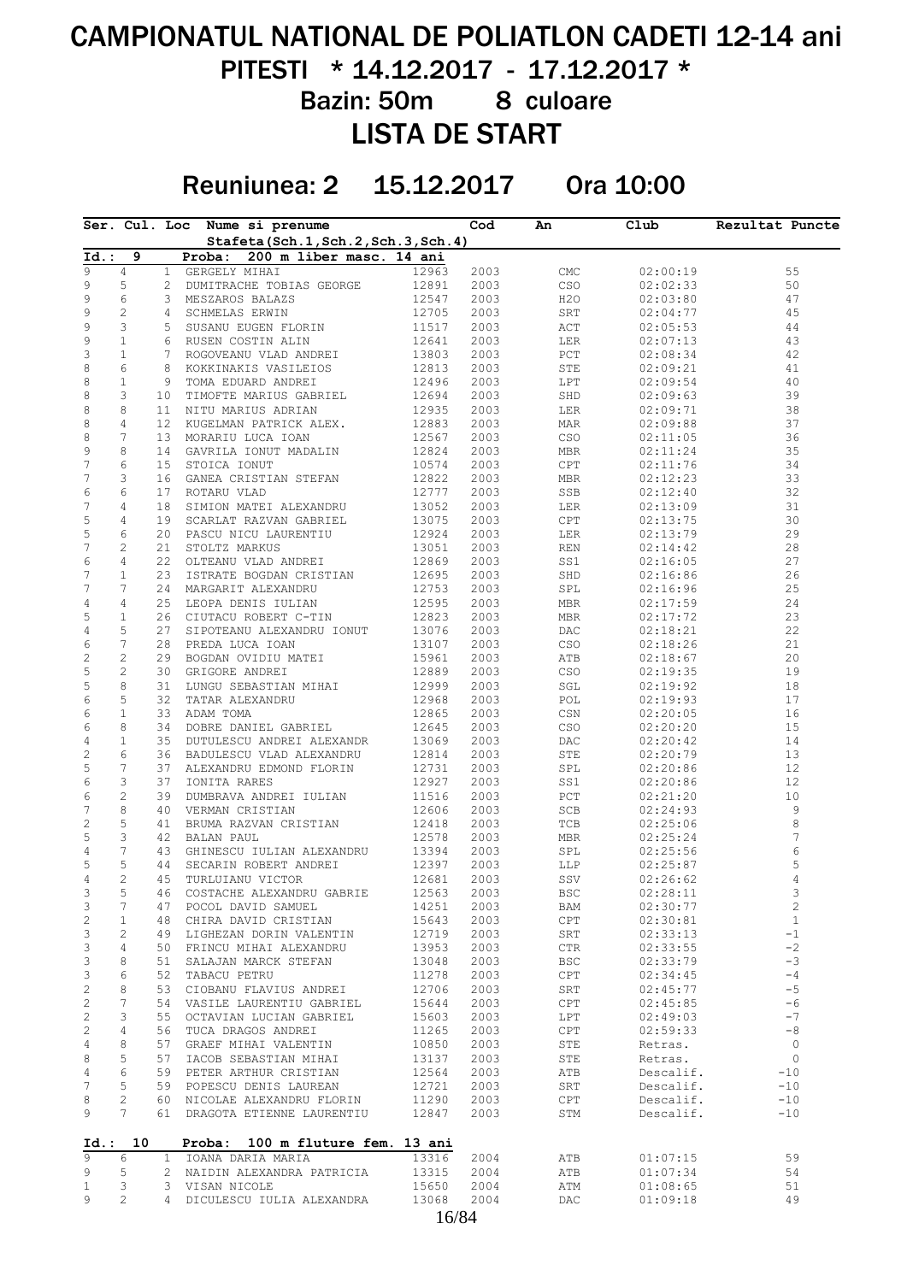# CAMPIONATUL NATIONAL DE POLIATLON CADETI 12-14 ani PITESTI \* 14.12.2017 - 17.12.2017 \* Bazin: 50m 8 culoare

LISTA DE START

## Reuniunea: 2 15.12.2017 Ora 10:00

|                |                |              | Ser. Cul. Loc Nume si prenume       |       | Cod  | An                               | Club      | Rezultat Puncte |
|----------------|----------------|--------------|-------------------------------------|-------|------|----------------------------------|-----------|-----------------|
|                |                |              | Stafeta(Sch.1, Sch.2, Sch.3, Sch.4) |       |      |                                  |           |                 |
| $Id.$ :        | 9              |              | 200 m liber masc. 14 ani<br>Proba:  |       |      |                                  |           |                 |
| 9              | $\overline{4}$ | 1            | GERGELY MIHAI                       | 12963 | 2003 | CMC                              | 02:00:19  | 55              |
| 9              | 5              | 2            | DUMITRACHE TOBIAS GEORGE            | 12891 | 2003 | CSO                              | 02:02:33  | 50              |
| 9              | 6              | 3            | MESZAROS BALAZS                     | 12547 | 2003 | H2O                              | 02:03:80  | 47              |
| 9              | $\mathbf{2}$   | 4            | <b>SCHMELAS ERWIN</b>               | 12705 | 2003 | SRT                              | 02:04:77  | 45              |
| 9              | 3              | 5            | SUSANU EUGEN FLORIN                 | 11517 | 2003 | $\mathop{\rm ACT}$               | 02:05:53  | 44              |
| 9              | 1              | 6            | RUSEN COSTIN ALIN                   | 12641 | 2003 | LER                              | 02:07:13  | 43              |
| 3              | 1              | $7^{\circ}$  | ROGOVEANU VLAD ANDREI               | 13803 | 2003 | $_{\rm PCT}$                     | 02:08:34  | 42              |
| 8              |                | 8            | KOKKINAKIS VASILEIOS                |       |      |                                  |           |                 |
|                | 6              |              |                                     | 12813 | 2003 | STE                              | 02:09:21  | 41              |
| 8              | $\mathbf{1}$   | 9            | TOMA EDUARD ANDREI                  | 12496 | 2003 | LPT                              | 02:09:54  | 40              |
| 8              | 3              | 10           | TIMOFTE MARIUS GABRIEL              | 12694 | 2003 | $_{\rm SHD}$                     | 02:09:63  | 39              |
| 8              | 8              | 11           | NITU MARIUS ADRIAN                  | 12935 | 2003 | $_{\rm LER}$                     | 02:09:71  | 38              |
| 8              | 4              |              | 12 KUGELMAN PATRICK ALEX.           | 12883 | 2003 | MAR                              | 02:09:88  | 37              |
| 8              | 7              | 13           | MORARIU LUCA IOAN                   | 12567 | 2003 | CSO                              | 02:11:05  | 36              |
| 9              | 8              | 14           | GAVRILA IONUT MADALIN               | 12824 | 2003 | MBR                              | 02:11:24  | 35              |
| 7              | 6              | 15           | STOICA IONUT                        | 10574 | 2003 | $\mathtt{CPT}$                   | 02:11:76  | 34              |
| 7              | 3              | 16           | GANEA CRISTIAN STEFAN               | 12822 | 2003 | MBR                              | 02:12:23  | 33              |
| 6              | 6              | 17           | ROTARU VLAD                         | 12777 | 2003 | SSB                              | 02:12:40  | 32              |
| $\overline{7}$ | 4              |              |                                     |       |      |                                  |           |                 |
|                |                | 18           | SIMION MATEI ALEXANDRU              | 13052 | 2003 | LER                              | 02:13:09  | 31              |
| 5              | 4              | 19           | SCARLAT RAZVAN GABRIEL              | 13075 | 2003 | CPT                              | 02:13:75  | 30              |
| 5              | 6              |              | 20 PASCU NICU LAURENTIU             | 12924 | 2003 | LER                              | 02:13:79  | 29              |
| 7              | $\mathbf{2}$   | 21           | STOLTZ MARKUS                       | 13051 | 2003 | REN                              | 02:14:42  | 28              |
| 6              | 4              | 22           | OLTEANU VLAD ANDREI                 | 12869 | 2003 | SS1                              | 02:16:05  | 27              |
| 7              | $\mathbf{1}$   | 23           | ISTRATE BOGDAN CRISTIAN             | 12695 | 2003 | SHD                              | 02:16:86  | 26              |
| 7              | 7              |              | 24 MARGARIT ALEXANDRU               | 12753 | 2003 | SPL                              | 02:16:96  | 25              |
| $\sqrt{4}$     | 4              |              | 25 LEOPA DENIS IULIAN               | 12595 | 2003 | MBR                              | 02:17:59  | 24              |
| 5              | $\mathbf{1}$   |              |                                     |       |      |                                  |           |                 |
|                |                |              | 26 CIUTACU ROBERT C-TIN             | 12823 | 2003 | MBR                              | 02:17:72  | 23              |
| $\sqrt{4}$     | 5              | 27           | SIPOTEANU ALEXANDRU IONUT           | 13076 | 2003 | DAC                              | 02:18:21  | 22              |
| $\epsilon$     | 7              |              | 28 PREDA LUCA IOAN                  | 13107 | 2003 | $_{\tiny{\mbox{\textsf{CSO}}}}$  | 02:18:26  | 21              |
| $\overline{c}$ | 2              | 29           | BOGDAN OVIDIU MATEI                 | 15961 | 2003 | ATB                              | 02:18:67  | 20              |
| 5              | $\overline{c}$ |              | 30 GRIGORE ANDREI                   | 12889 | 2003 | $_{\tiny{\mbox{\texttt{CSO}}}}$  | 02:19:35  | 19              |
| 5              | 8              | 31           | LUNGU SEBASTIAN MIHAI               | 12999 | 2003 | SGL                              | 02:19:92  | 18              |
| $\epsilon$     | 5              | 32           | TATAR ALEXANDRU                     | 12968 | 2003 | $\ensuremath{\text{POL}}\xspace$ | 02:19:93  | 17              |
| 6              | $\mathbf{1}$   | 33           | ADAM TOMA                           | 12865 | 2003 | $\mathbb{C}\,\mathsf{SN}$        | 02:20:05  | 16              |
| 6              |                |              |                                     |       |      |                                  |           |                 |
|                | 8              | 34           | DOBRE DANIEL GABRIEL                | 12645 | 2003 | $_{\tiny{\mbox{\texttt{CSO}}}}$  | 02:20:20  | 15              |
| $\sqrt{4}$     | $\mathbf{1}$   | 35           | DUTULESCU ANDREI ALEXANDR           | 13069 | 2003 | $\mathtt{DAC}$                   | 02:20:42  | 14              |
| $\overline{c}$ | 6              | 36           | BADULESCU VLAD ALEXANDRU            | 12814 | 2003 | ${\tt STE}$                      | 02:20:79  | 13              |
| 5              | 7              | 37           | ALEXANDRU EDMOND FLORIN             | 12731 | 2003 | ${\tt SPL}$                      | 02:20:86  | 12              |
| 6              | 3              | 37           | IONITA RARES                        | 12927 | 2003 | SS1                              | 02:20:86  | 12              |
| 6              | $\mathbf{2}$   | 39           | DUMBRAVA ANDREI IULIAN              | 11516 | 2003 | $_{\rm PCT}$                     | 02:21:20  | 10              |
| 7              | $\,8\,$        | 40           | VERMAN CRISTIAN                     | 12606 | 2003 | $_{\rm SCB}$                     | 02:24:93  | $\mathsf 9$     |
| $\overline{c}$ | 5              | 41           | BRUMA RAZVAN CRISTIAN               | 12418 | 2003 | TCB                              | 02:25:06  | 8               |
| 5              | 3              |              |                                     |       | 2003 |                                  |           | $\overline{7}$  |
|                |                | 42           | BALAN PAUL                          | 12578 |      | MBR                              | 02:25:24  |                 |
| 4              | 7              |              | 43 GHINESCU IULIAN ALEXANDRU        | 13394 | 2003 | SPL                              | 02:25:56  | 6               |
| 5              | 5              | 44           | SECARIN ROBERT ANDREI               | 12397 | 2003 | LLP                              | 02:25:87  | 5               |
| 4              | 2              | 45           | TURLUIANU VICTOR                    | 12681 | 2003 | SSV                              | 02:26:62  | 4               |
| 3              | 5              | 46           | COSTACHE ALEXANDRU GABRIE           | 12563 | 2003 | <b>BSC</b>                       | 02:28:11  | 3               |
| 3              | 7              | 47           | POCOL DAVID SAMUEL                  | 14251 | 2003 | BAM                              | 02:30:77  | 2               |
| $\sqrt{2}$     | 1              | 48           | CHIRA DAVID CRISTIAN                | 15643 | 2003 | CPT                              | 02:30:81  | $\mathbf{1}$    |
| 3              | 2              | 49           | LIGHEZAN DORIN VALENTIN             | 12719 | 2003 | SRT                              | 02:33:13  | $-1$            |
| 3              | 4              | 50           | FRINCU MIHAI ALEXANDRU              | 13953 | 2003 | CTR                              | 02:33:55  | $-2$            |
|                |                |              |                                     |       |      |                                  |           |                 |
| 3              | 8              | 51           | SALAJAN MARCK STEFAN                | 13048 | 2003 | <b>BSC</b>                       | 02:33:79  | $-3$            |
| 3              | 6              | 52           | TABACU PETRU                        | 11278 | 2003 | CPT                              | 02:34:45  | $-4$            |
| $\sqrt{2}$     | 8              | 53           | CIOBANU FLAVIUS ANDREI              | 12706 | 2003 | SRT                              | 02:45:77  | $-5$            |
| $\sqrt{2}$     | 7              | 54           | VASILE LAURENTIU GABRIEL            | 15644 | 2003 | CPT                              | 02:45:85  | $-6$            |
| $\sqrt{2}$     | 3              | 55           | OCTAVIAN LUCIAN GABRIEL             | 15603 | 2003 | LPT                              | 02:49:03  | $-7$            |
| $\mathbf{2}$   | 4              | 56           | TUCA DRAGOS ANDREI                  | 11265 | 2003 | CPT                              | 02:59:33  | $-8$            |
| 4              | 8              | 57           | GRAEF MIHAI VALENTIN                | 10850 | 2003 | STE                              | Retras.   | 0               |
| 8              | 5              | 57           | IACOB SEBASTIAN MIHAI               | 13137 | 2003 | STE                              | Retras.   | $\circ$         |
|                |                |              |                                     |       |      |                                  |           |                 |
| 4              | 6              | 59           | PETER ARTHUR CRISTIAN               | 12564 | 2003 | ATB                              | Descalif. | $-10$           |
| $\overline{7}$ | 5              | 59           | POPESCU DENIS LAUREAN               | 12721 | 2003 | SRT                              | Descalif. | $-10$           |
| 8              | 2              | 60.          | NICOLAE ALEXANDRU FLORIN            | 11290 | 2003 | CPT                              | Descalif. | $-10$           |
| 9              | 7              | 61           | DRAGOTA ETIENNE LAURENTIU           | 12847 | 2003 | STM                              | Descalif. | $-10$           |
| Id.:           | 10             |              | Proba:<br>100 m fluture fem. 13 ani |       |      |                                  |           |                 |
| 9              | 6              | $\mathbf{1}$ | IOANA DARIA MARIA                   | 13316 | 2004 | ATB                              | 01:07:15  | 59              |
| 9              | 5              | 2            | NAIDIN ALEXANDRA PATRICIA           | 13315 | 2004 | ATB                              | 01:07:34  | 54              |
|                |                |              | VISAN NICOLE                        |       |      |                                  |           |                 |
| $\mathbf{1}$   | 3              | 3            |                                     | 15650 | 2004 | ATM                              | 01:08:65  | 51              |
| 9              | $\overline{c}$ | 4            | DICULESCU IULIA ALEXANDRA           | 13068 | 2004 | DAC                              | 01:09:18  | 49              |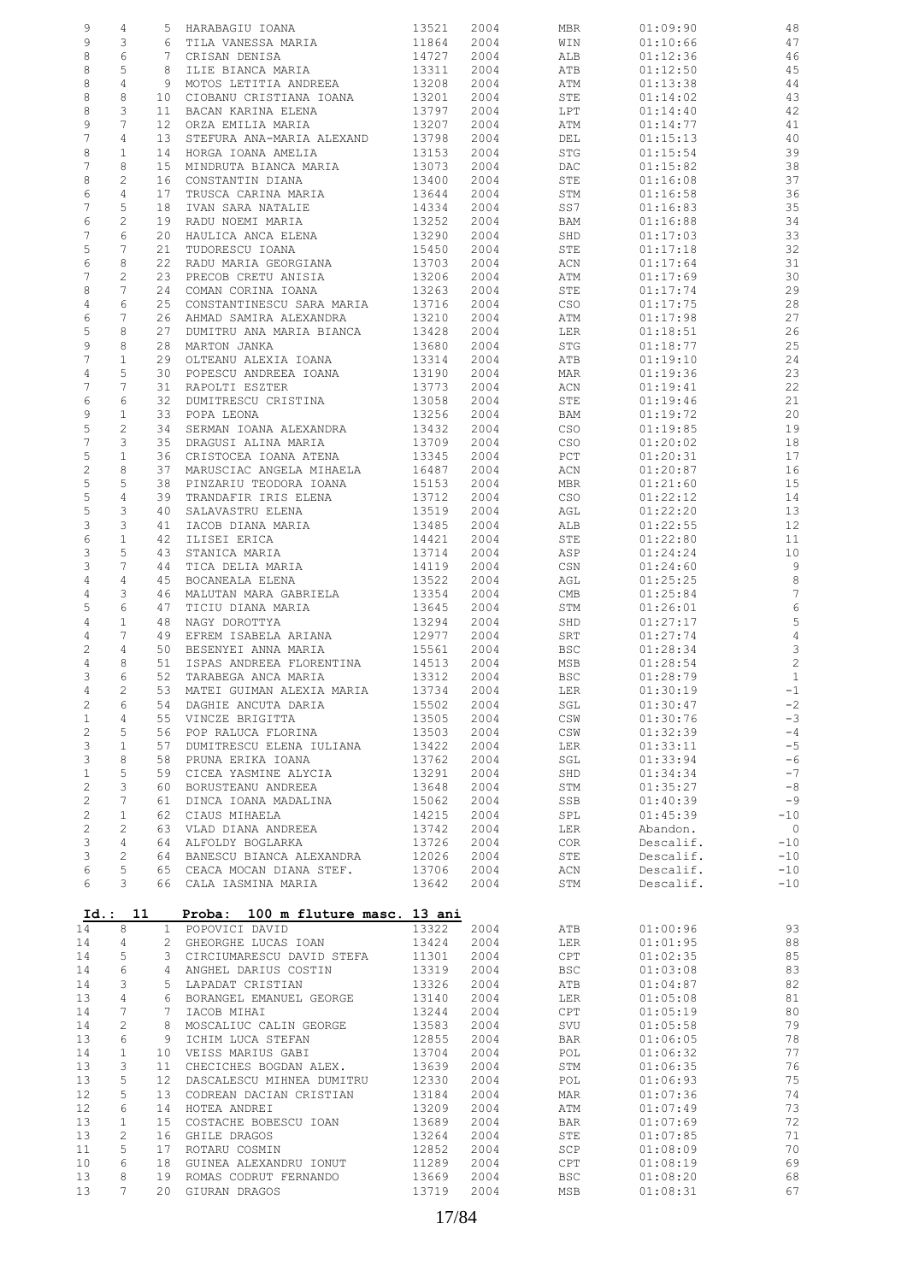| 9               | 4                   | 5.              | HARABAGIU IOANA                              | 13521          | 2004         | MBR            | 01:09:90             | 48                        |
|-----------------|---------------------|-----------------|----------------------------------------------|----------------|--------------|----------------|----------------------|---------------------------|
| 9               | 3                   | 6               | TILA VANESSA MARIA                           | 11864          | 2004         | WIN            | 01:10:66             | 47                        |
| 8               | 6                   | 7               | CRISAN DENISA                                | 14727          | 2004         | ALB            | 01:12:36             | 46                        |
| 8               | 5                   | 8               | ILIE BIANCA MARIA                            | 13311          | 2004         | ATB            | 01:12:50             | 45                        |
| 8               | 4                   | 9               | MOTOS LETITIA ANDREEA                        | 13208          | 2004         | ATM            | 01:13:38             | 44                        |
| 8               | 8                   | 10              | CIOBANU CRISTIANA IOANA                      | 13201          | 2004         | STE            | 01:14:02             | 43                        |
| 8               | 3                   | 11              | BACAN KARINA ELENA                           | 13797          | 2004         | LPT            | 01:14:40             | 42                        |
| 9               | 7                   | 12 <sup>°</sup> | ORZA EMILIA MARIA                            | 13207          | 2004         | ATM            | 01:14:77             | 41                        |
|                 |                     |                 |                                              |                |              |                |                      |                           |
| $\overline{7}$  | 4                   | 13 <sup>°</sup> | STEFURA ANA-MARIA ALEXAND                    | 13798          | 2004         | DEL            | 01:15:13             | 40                        |
| 8               | $\mathbf{1}$        | 14              | HORGA IOANA AMELIA                           | 13153          | 2004         | STG            | 01:15:54             | 39                        |
| $\overline{7}$  | 8                   | 15              | MINDRUTA BIANCA MARIA                        | 13073          | 2004         | DAC            | 01:15:82             | 38                        |
| 8               | $\overline{c}$      | 16              | CONSTANTIN DIANA                             | 13400          | 2004         | STE            | 01:16:08             | 37                        |
| 6               | 4                   | 17              | TRUSCA CARINA MARIA                          | 13644          | 2004         | STM            | 01:16:58             | 36                        |
| $\overline{7}$  | 5                   | 18              | IVAN SARA NATALIE                            | 14334          | 2004         | SS7            | 01:16:83             | 35                        |
| 6               | $\mathbf{2}$        | 19              | RADU NOEMI MARIA                             | 13252          | 2004         | BAM            | 01:16:88             | 34                        |
| $\overline{7}$  | 6                   | 20              | HAULICA ANCA ELENA                           | 13290          | 2004         | SHD            | 01:17:03             | 33                        |
| 5               | 7                   | 21              | TUDORESCU IOANA                              | 15450          | 2004         | STE            | 01:17:18             | 32                        |
| 6               | 8                   | 22              | RADU MARIA GEORGIANA                         | 13703          | 2004         | ACN            | 01:17:64             | 31                        |
| $\overline{7}$  | $\mathbf{2}$        | 23              | PRECOB CRETU ANISIA                          | 13206          | 2004         | ATM            | 01:17:69             | 30                        |
| 8               | $\overline{7}$      | 24              | COMAN CORINA IOANA                           | 13263          | 2004         | STE            | 01:17:74             | 29                        |
|                 |                     |                 |                                              |                |              |                |                      | 28                        |
| $\overline{4}$  | 6                   | 25              | CONSTANTINESCU SARA MARIA                    | 13716          | 2004         | CSO            | 01:17:75             |                           |
| 6               | $\overline{7}$      | 26              | AHMAD SAMIRA ALEXANDRA                       | 13210          | 2004         | ATM            | 01:17:98             | 27                        |
| 5               | 8                   | 27              | DUMITRU ANA MARIA BIANCA                     | 13428          | 2004         | LER            | 01:18:51             | 26                        |
| 9               | 8                   | 28              | MARTON JANKA                                 | 13680          | 2004         | STG            | 01:18:77             | 25                        |
| 7               | $\mathbf{1}$        | 29              | OLTEANU ALEXIA IOANA                         | 13314          | 2004         | ATB            | 01:19:10             | 24                        |
| $\overline{4}$  | 5                   | 30              | POPESCU ANDREEA IOANA                        | 13190          | 2004         | MAR            | 01:19:36             | 23                        |
| $\overline{7}$  | 7                   | 31              | RAPOLTI ESZTER                               | 13773          | 2004         | ACN            | 01:19:41             | 22                        |
| $\epsilon$      | 6                   | 32              | DUMITRESCU CRISTINA                          | 13058          | 2004         | STE            | 01:19:46             | 21                        |
| 9               | $\mathbf{1}$        | 33              | POPA LEONA                                   | 13256          | 2004         | BAM            | 01:19:72             | 20                        |
| 5               | $\mathbf{2}$        | 34              | SERMAN IOANA ALEXANDRA                       | 13432          | 2004         | CSO            | 01:19:85             | 19                        |
| $\overline{7}$  | 3                   | 35              | DRAGUSI ALINA MARIA                          | 13709          | 2004         | CSO            | 01:20:02             | 18                        |
| 5               | $\mathbf{1}$        | 36              |                                              |                | 2004         | PCT            |                      | 17                        |
|                 |                     |                 | CRISTOCEA IOANA ATENA                        | 13345          |              |                | 01:20:31             |                           |
| $\overline{c}$  | 8                   | 37              | MARUSCIAC ANGELA MIHAELA                     | 16487          | 2004         | ACN            | 01:20:87             | 16                        |
| 5               | 5                   | 38              | PINZARIU TEODORA IOANA                       | 15153          | 2004         | MBR            | 01:21:60             | 15                        |
| 5               | 4                   | 39              | TRANDAFIR IRIS ELENA                         | 13712          | 2004         | CSO            | 01:22:12             | 14                        |
| 5               | 3                   | 40              | SALAVASTRU ELENA                             | 13519          | 2004         | AGL            | 01:22:20             | 13                        |
| 3               | 3                   | 41              | IACOB DIANA MARIA                            | 13485          | 2004         | ALB            | 01:22:55             | 12                        |
| 6               | $\mathbf{1}$        | 42              | ILISEI ERICA                                 | 14421          | 2004         | STE            | 01:22:80             | 11                        |
| 3               | 5                   | 43              | STANICA MARIA                                | 13714          | 2004         | ASP            | 01:24:24             | 10                        |
| 3               | 7                   | 44              | TICA DELIA MARIA                             | 14119          | 2004         | CSN            | 01:24:60             | $\mathsf 9$               |
| $\overline{4}$  | 4                   | 45              | BOCANEALA ELENA                              | 13522          | 2004         | AGL            | 01:25:25             | $\,8\,$                   |
| $\overline{4}$  | 3                   | 46              | MALUTAN MARA GABRIELA                        | 13354          | 2004         | CMB            | 01:25:84             | $7\phantom{.0}$           |
| 5               | 6                   | 47              | TICIU DIANA MARIA                            | 13645          | 2004         | STM            | 01:26:01             | $\epsilon$                |
|                 |                     |                 |                                              |                |              |                |                      |                           |
|                 |                     |                 |                                              |                |              |                |                      |                           |
| $\overline{4}$  | $\mathbf{1}$        | 48              | NAGY DOROTTYA                                | 13294          | 2004         | SHD            | 01:27:17             | $\mathsf S$               |
| $\overline{4}$  | 7                   | 49              | EFREM ISABELA ARIANA                         | 12977          | 2004         | SRT            | 01:27:74             | $\overline{4}$            |
| 2               | 4                   | 50              | BESENYEI ANNA MARIA                          | 15561          | 2004         | <b>BSC</b>     | 01:28:34             | $\ensuremath{\mathsf{3}}$ |
| $\overline{4}$  | 8                   | 51              | ISPAS ANDREEA FLORENTINA                     | 14513          | 2004         | MSB            | 01:28:54             | $\sqrt{2}$                |
| 3               | 6                   | 52              | TARABEGA ANCA MARIA                          | 13312          | 2004         | <b>BSC</b>     | 01:28:79             | $\mathbf{1}$              |
| 4               | 2                   | 53              | MATEI GUIMAN ALEXIA MARIA                    | 13734          | 2004         | LER            | 01:30:19             | $-1$                      |
|                 | 6                   | 54              |                                              | 15502          |              |                |                      | $-2$                      |
| 2               |                     |                 | DAGHIE ANCUTA DARIA                          |                | 2004         | SGL            | 01:30:47             |                           |
| $\mathbf{1}$    | 4                   |                 | 55 VINCZE BRIGITTA                           | 13505          | 2004         | $\mathbb{CSW}$ | 01:30:76             | $-3$                      |
| $\overline{c}$  | 5                   | 56              | POP RALUCA FLORINA                           | 13503          | 2004         | CSW            | 01:32:39             | $-4$                      |
| 3               | $\mathbf{1}$        | 57              | DUMITRESCU ELENA IULIANA                     | 13422          | 2004         | LER            | 01:33:11             | $-5$                      |
| 3               | 8                   | 58              | PRUNA ERIKA IOANA                            | 13762          | 2004         | SGL            | 01:33:94             | $-6$                      |
| $\mathbf 1$     | 5                   | 59              | CICEA YASMINE ALYCIA                         | 13291          | 2004         | SHD            | 01:34:34             | $-7$                      |
| $\overline{c}$  | 3                   | 60              | BORUSTEANU ANDREEA                           | 13648          | 2004         | STM            | 01:35:27             | $-8$                      |
| $\mathbf{2}$    | 7                   | 61              | DINCA IOANA MADALINA                         | 15062          | 2004         | SSB            | 01:40:39             | $-9$                      |
| $\overline{c}$  | $\mathbf{1}$        | 62              | CIAUS MIHAELA                                | 14215          | 2004         | SPL            | 01:45:39             | $-10$                     |
| $\mathbf{2}$    | 2                   | 63              | VLAD DIANA ANDREEA                           | 13742          | 2004         | LER            | Abandon.             | $\overline{0}$            |
| 3               | $\overline{4}$      | 64              | ALFOLDY BOGLARKA                             | 13726          | 2004         | COR            | Descalif.            | $-10$                     |
| $\mathcal{S}$   | 2                   |                 | 64 BANESCU BIANCA ALEXANDRA                  | 12026          | 2004         | STE            | Descalif.            | $-10$                     |
|                 |                     | 65              |                                              |                |              |                |                      |                           |
| $6\overline{6}$ | 5                   |                 | CEACA MOCAN DIANA STEF.                      | 13706          | 2004         | ACN            | Descalif.            | $-10$                     |
| 6               | 3                   |                 | 66 CALA IASMINA MARIA                        | 13642          | 2004         | STM            | Descalif.            | $-10$                     |
|                 |                     |                 |                                              |                |              |                |                      |                           |
| $Id.$ :         | 11                  |                 | Proba:<br>100 m fluture masc. 13 ani         |                |              |                |                      |                           |
| 14              | 8                   |                 | 1 POPOVICI DAVID                             | 13322          | 2004         | ATB            | 01:00:96             | 93                        |
| 14              | 4                   | $2^{\circ}$     | GHEORGHE LUCAS IOAN                          | 13424          | 2004         | LER            | 01:01:95             | 88                        |
| 14              | 5                   | $\mathbf{3}$    | CIRCIUMARESCU DAVID STEFA                    | 11301          | 2004         | CPT            | 01:02:35             |                           |
|                 |                     | 4               |                                              |                |              |                |                      | 85                        |
| 14              | 6                   |                 | ANGHEL DARIUS COSTIN                         | 13319          | 2004         | <b>BSC</b>     | 01:03:08             | 83                        |
| 14              | 3                   | 5               | LAPADAT CRISTIAN                             | 13326          | 2004         | ATB            | 01:04:87             | 82                        |
| 13              | 4                   | 6               | BORANGEL EMANUEL GEORGE                      | 13140          | 2004         | LER            | 01:05:08             | 81                        |
| 14              | 7                   | $7^{\circ}$     | IACOB MIHAI                                  | 13244          | 2004         | CPT            | 01:05:19             | 80                        |
| 14              | $\overline{c}$      | 8               | MOSCALIUC CALIN GEORGE                       | 13583          | 2004         | SVU            | 01:05:58             | 79                        |
| 13              | 6                   | 9               | ICHIM LUCA STEFAN                            | 12855          | 2004         | <b>BAR</b>     | 01:06:05             | 78                        |
| 14              | $\mathbf{1}$        | 10              | VEISS MARIUS GABI                            | 13704          | 2004         | POL            | 01:06:32             | 77                        |
| 13              | 3                   | 11              | CHECICHES BOGDAN ALEX.                       | 13639          | 2004         | STM            | 01:06:35             | 76                        |
| 13              | 5                   | 12              | DASCALESCU MIHNEA DUMITRU                    | 12330          | 2004         | POL            | 01:06:93             | 75                        |
| 12              | 5                   | 13              | CODREAN DACIAN CRISTIAN                      | 13184          | 2004         | MAR            | 01:07:36             | 74                        |
|                 |                     |                 |                                              |                |              |                |                      |                           |
| 12              | 6                   | 14              | HOTEA ANDREI                                 | 13209          | 2004         | ATM            | 01:07:49             | 73                        |
| 13              | $\mathbf{1}$        | 15              | COSTACHE BOBESCU IOAN                        | 13689          | 2004         | BAR            | 01:07:69             | 72                        |
| 13              | $\overline{c}$      |                 | 16 GHILE DRAGOS                              | 13264          | 2004         | STE            | 01:07:85             | 71                        |
| 11              | 5                   | 17              | ROTARU COSMIN                                | 12852          | 2004         | SCP            | 01:08:09             | 70                        |
| 10              | 6                   | 18              | GUINEA ALEXANDRU IONUT                       | 11289          | 2004         | CPT            | 01:08:19             | 69                        |
| 13<br>13        | 8<br>$7\phantom{.}$ |                 | 19 ROMAS CODRUT FERNANDO<br>20 GIURAN DRAGOS | 13669<br>13719 | 2004<br>2004 | BSC            | 01:08:20<br>01:08:31 | 68<br>67                  |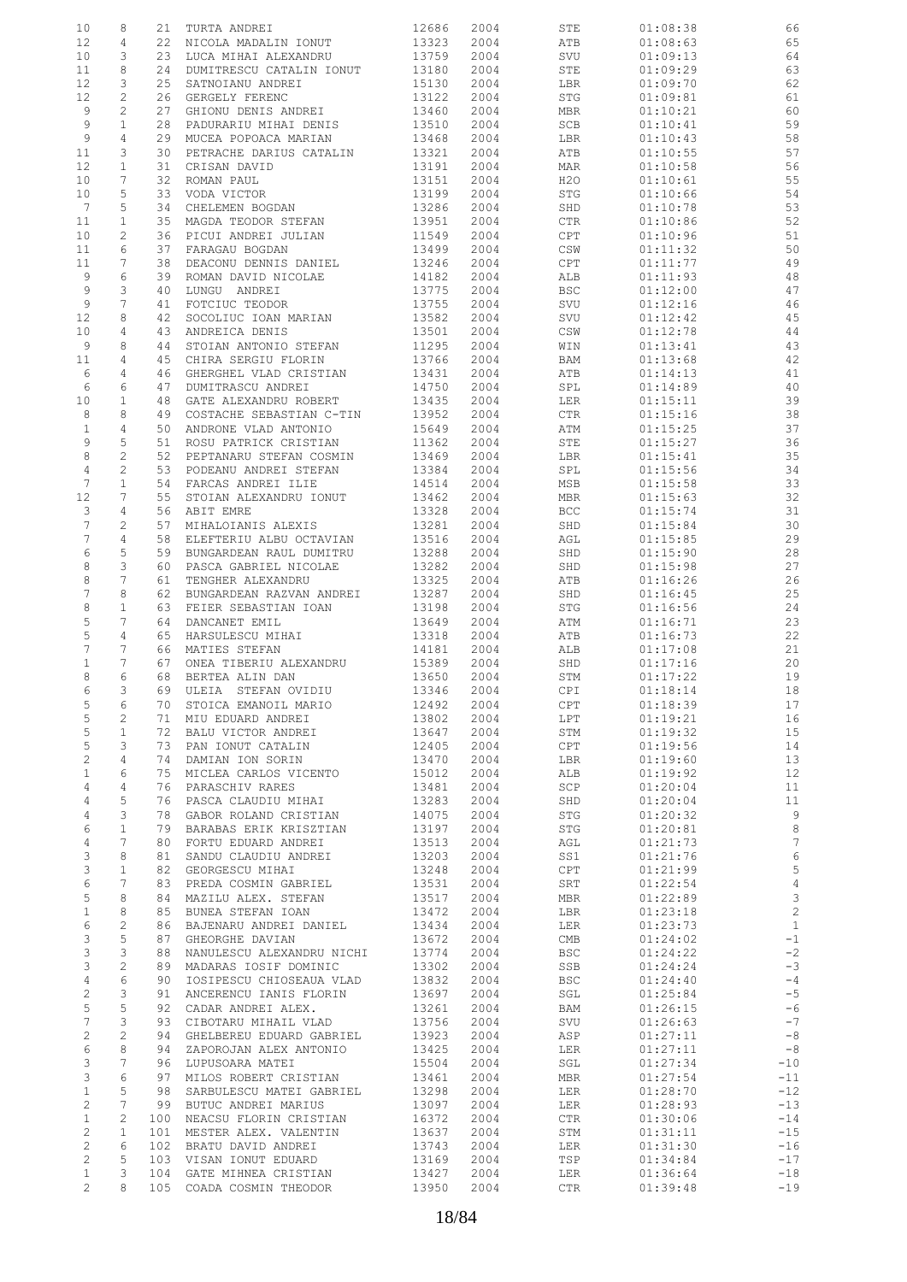| 10             | 8               | 21  | TURTA ANDREI              | 12686                                                                | 2004 | STE            | 01:08:38 | 66              |
|----------------|-----------------|-----|---------------------------|----------------------------------------------------------------------|------|----------------|----------|-----------------|
| 12             | 4               | 22  | NICOLA MADALIN IONUT      | 13323                                                                | 2004 | ATB            | 01:08:63 | 65              |
| 10             | 3               | 23  | LUCA MIHAI ALEXANDRU      | 13759                                                                | 2004 | SVU            | 01:09:13 | 64              |
| 11             | 8               | 24  | DUMITRESCU CATALIN IONUT  | 13180                                                                | 2004 | STE            | 01:09:29 | 63              |
|                |                 |     |                           |                                                                      |      |                |          |                 |
| 12             | 3               | 25  | SATNOIANU ANDREI          | 15130                                                                | 2004 | LBR            | 01:09:70 | 62              |
| 12             | 2               | 26  | GERGELY FERENC            | 13122                                                                | 2004 | STG            | 01:09:81 | 61              |
| 9              | 2               | 27  | GHIONU DENIS ANDREI       | 13460                                                                | 2004 | MBR            | 01:10:21 | 60              |
| 9              | $\mathbf{1}$    | 28  | PADURARIU MIHAI DENIS     | 13510                                                                | 2004 | SCB            | 01:10:41 | 59              |
| 9              | $\overline{4}$  | 29  | MUCEA POPOACA MARIAN      | 13468                                                                | 2004 | LBR            | 01:10:43 | 58              |
| 11             | 3               | 30  | PETRACHE DARIUS CATALIN   | 13321                                                                | 2004 | ATB            | 01:10:55 | 57              |
|                |                 |     |                           |                                                                      |      |                |          |                 |
| 12             | $\mathbf{1}$    | 31  | CRISAN DAVID              | 13191                                                                | 2004 | MAR            | 01:10:58 | 56              |
| 10             | $\overline{7}$  | 32  | ROMAN PAUL                | 13151                                                                | 2004 | H2O            | 01:10:61 | 55              |
| 10             | 5               | 33  | VODA VICTOR               | 13199                                                                | 2004 | STG            | 01:10:66 | 54              |
| 7              | 5               | 34  | CHELEMEN BOGDAN           | 13286                                                                | 2004 | SHD            | 01:10:78 | 53              |
| 11             | $\mathbf{1}$    | 35  | MAGDA TEODOR STEFAN       | 13951                                                                | 2004 | CTR            | 01:10:86 | 52              |
| 10             | $\overline{c}$  | 36  | PICUI ANDREI JULIAN       | 11549                                                                | 2004 | CPT            | 01:10:96 | 51              |
|                |                 |     |                           |                                                                      |      |                |          |                 |
| 11             | 6               | 37  | FARAGAU BOGDAN            | 13499                                                                | 2004 | $\mathbb{CSW}$ | 01:11:32 | 50              |
| 11             | $\overline{7}$  | 38  | DEACONU DENNIS DANIEL     | 13246                                                                | 2004 | CPT            | 01:11:77 | 49              |
| 9              | 6               | 39  | ROMAN DAVID NICOLAE       | 14182                                                                | 2004 | ALB            | 01:11:93 | 48              |
| 9              | 3               | 40  | LUNGU ANDREI              | 13775                                                                | 2004 | <b>BSC</b>     | 01:12:00 | 47              |
| 9              | 7               | 41  | FOTCIUC TEODOR            | 13755                                                                | 2004 | SVU            | 01:12:16 | 46              |
| 12             | 8               | 42  |                           |                                                                      |      |                |          | 45              |
|                |                 |     | SOCOLIUC IOAN MARIAN      | 13582                                                                | 2004 | SVU            | 01:12:42 |                 |
| 10             | 4               | 43  | ANDREICA DENIS            | 13501                                                                | 2004 | CSW            | 01:12:78 | 44              |
| 9              | 8               | 44  | STOIAN ANTONIO STEFAN     | 11295                                                                | 2004 | WIN            | 01:13:41 | 43              |
| 11             | 4               | 45  | CHIRA SERGIU FLORIN       | 13766                                                                | 2004 | BAM            | 01:13:68 | 42              |
| 6              | 4               | 46  | GHERGHEL VLAD CRISTIAN    | 13431                                                                | 2004 | ATB            | 01:14:13 | 41              |
| 6              | 6               | 47  | DUMITRASCU ANDREI         | 14750                                                                | 2004 | SPL            | 01:14:89 | 40              |
|                |                 |     |                           |                                                                      |      |                |          |                 |
| 10             | $\mathbf{1}$    | 48  | GATE ALEXANDRU ROBERT     | 13435                                                                | 2004 | LER            | 01:15:11 | 39              |
| 8              | 8               | 49  | COSTACHE SEBASTIAN C-TIN  | 13952                                                                | 2004 | $_{\rm CTR}$   | 01:15:16 | 38              |
| $\mathbf{1}$   | 4               | 50  | ANDRONE VLAD ANTONIO      | 15649                                                                | 2004 | ATM            | 01:15:25 | 37              |
| 9              | 5               | 51  | ROSU PATRICK CRISTIAN     | 11362                                                                | 2004 | STE            | 01:15:27 | 36              |
| 8              | $\overline{c}$  | 52  | PEPTANARU STEFAN COSMIN   | 13469                                                                | 2004 | LBR            | 01:15:41 | 35              |
|                |                 |     |                           |                                                                      |      |                |          |                 |
| 4              | 2               | 53  | PODEANU ANDREI STEFAN     | 13384                                                                | 2004 | SPL            | 01:15:56 | 34              |
| 7              | $\mathbf{1}$    | 54  | FARCAS ANDREI ILIE        | 14514                                                                | 2004 | MSB            | 01:15:58 | 33              |
| $12\,$         | $\overline{7}$  | 55  | STOIAN ALEXANDRU IONUT    | 13462                                                                | 2004 | MBR            | 01:15:63 | 32              |
| 3              | 4               | 56  | ABIT EMRE                 | 13328                                                                | 2004 | <b>BCC</b>     | 01:15:74 | 31              |
| 7              | 2               | 57  | MIHALOIANIS ALEXIS        | 13281                                                                | 2004 | SHD            | 01:15:84 | 30              |
|                |                 |     |                           |                                                                      |      |                |          |                 |
| 7              | 4               | 58  | ELEFTERIU ALBU OCTAVIAN   | 13516                                                                | 2004 | AGL            | 01:15:85 | 29              |
| 6              | 5               | 59  | BUNGARDEAN RAUL DUMITRU   | 13288                                                                | 2004 | SHD            | 01:15:90 | 28              |
| 8              | 3               | 60  | PASCA GABRIEL NICOLAE     | 13282                                                                | 2004 | SHD            | 01:15:98 | 27              |
| 8              | 7               | 61  | TENGHER ALEXANDRU         | 13325                                                                | 2004 | ATB            | 01:16:26 | 26              |
| $\overline{7}$ | 8               | 62  | BUNGARDEAN RAZVAN ANDREI  | 13287                                                                | 2004 | SHD            | 01:16:45 | 25              |
| 8              | $\mathbf{1}$    | 63  | FEIER SEBASTIAN IOAN      | 13198                                                                | 2004 | STG            | 01:16:56 | 24              |
|                |                 |     |                           |                                                                      |      |                |          |                 |
| 5              | 7               | 64  | DANCANET EMIL             | 13649                                                                | 2004 | ATM            | 01:16:71 | 23              |
| 5              | 4               | 65  | HARSULESCU MIHAI          | 13318                                                                | 2004 | ATB            | 01:16:73 | 22              |
| 7              | 7               | 66  | MATIES STEFAN             | 14181                                                                | 2004 | ALB            | 01:17:08 | 21              |
| 1              | 7               | 67  | ONEA TIBERIU ALEXANDRU    | 15389                                                                | 2004 | SHD            | 01:17:16 | 20              |
| 8              | 6               | 68  | BERTEA ALIN DAN           | 13650                                                                | 2004 | STM            | 01:17:22 | 19              |
|                |                 |     |                           |                                                                      |      |                |          |                 |
| 6              | 3               | 69  | ULEIA STEFAN OVIDIU       | 13346                                                                | 2004 | CPI            | 01:18:14 | 18              |
| 5              | 6               | 70  | STOICA EMANOIL MARIO      | 12492                                                                | 2004 | CPT            | 01:18:39 | 17              |
| 5              | 2               | 71  | MIU EDUARD ANDREI         | 13802                                                                | 2004 | LPT            | 01:19:21 | 16              |
| 5              | $\mathbf{1}$    | 72  | BALU VICTOR ANDREI        | 13647<br>12405                                                       | 2004 | STM            | 01:19:32 | 15              |
| 5              | 3               | 73  | PAN IONUT CATALIN         |                                                                      | 2004 | CPT            | 01:19:56 | 14              |
| $\mathbf{2}$   | $\overline{4}$  | 74  |                           |                                                                      | 2004 | LBR            | 01:19:60 | 13              |
|                |                 |     | DAMIAN ION SORIN          | $\begin{array}{c}\n 13470 \\  15012 \\ \hline\n 13401\n \end{array}$ |      |                |          |                 |
| $\mathbf{1}$   | 6               | 75  | MICLEA CARLOS VICENTO     |                                                                      | 2004 | ALB            | 01:19:92 | 12              |
| 4              | $\overline{4}$  | 76  | PARASCHIV RARES           | 13481                                                                | 2004 | SCP            | 01:20:04 | 11              |
| 4              | 5               |     | 76 PASCA CLAUDIU MIHAI    | 13283                                                                | 2004 | SHD            | 01:20:04 | 11              |
| $\overline{4}$ | 3               | 78  | GABOR ROLAND CRISTIAN     | 14075                                                                | 2004 | STG            | 01:20:32 | 9               |
| 6              | $\mathbf{1}$    | 79  | BARABAS ERIK KRISZTIAN    | 13197                                                                | 2004 | STG            |          | 8               |
|                |                 |     |                           |                                                                      |      |                | 01:20:81 |                 |
| $\overline{4}$ | $7\phantom{.0}$ | 80  | FORTU EDUARD ANDREI       | 13513                                                                | 2004 | AGL            | 01:21:73 | $7\overline{ }$ |
| $\mathfrak{Z}$ | 8               | 81  | SANDU CLAUDIU ANDREI      | 13203                                                                | 2004 | SS1            | 01:21:76 | $6\,$           |
| $\mathfrak{Z}$ | $\mathbf{1}$    | 82  | GEORGESCU MIHAI           | 13248                                                                | 2004 | CPT            | 01:21:99 | $5\phantom{.0}$ |
| 6              | $7\phantom{.0}$ | 83  | PREDA COSMIN GABRIEL      | 13531                                                                | 2004 | SRT            | 01:22:54 | $\overline{4}$  |
| 5              | 8               | 84  | MAZILU ALEX. STEFAN       | 13517                                                                | 2004 | MBR            | 01:22:89 | $\mathbf{3}$    |
| $\mathbf{1}$   | 8               | 85  |                           |                                                                      |      |                |          | 2               |
|                |                 |     | BUNEA STEFAN IOAN         | 13472                                                                | 2004 | LBR            | 01:23:18 |                 |
| 6              | $\overline{c}$  | 86  | BAJENARU ANDREI DANIEL    | 13434                                                                | 2004 | LER            | 01:23:73 | $\mathbf{1}$    |
| $\mathfrak{Z}$ | 5               | 87  | GHEORGHE DAVIAN           | 13672                                                                | 2004 | CMB            | 01:24:02 | $-1$            |
| $\mathcal{S}$  | 3               | 88  | NANULESCU ALEXANDRU NICHI | 13774                                                                | 2004 | BSC            | 01:24:22 | $-2$            |
| $\mathfrak{Z}$ | $\overline{c}$  | 89  | MADARAS IOSIF DOMINIC     | 13302                                                                | 2004 | SSB            | 01:24:24 | $-3$            |
| $\overline{4}$ | 6               | 90  | IOSIPESCU CHIOSEAUA VLAD  | 13832                                                                | 2004 | <b>BSC</b>     | 01:24:40 | $-4$            |
|                |                 |     |                           |                                                                      |      |                |          |                 |
| $\overline{c}$ | 3               | 91  | ANCERENCU IANIS FLORIN    | 13697                                                                | 2004 | SGL            | 01:25:84 | $-5$            |
| 5              | 5               | 92  | CADAR ANDREI ALEX.        | 13261                                                                | 2004 | BAM            | 01:26:15 | $-6$            |
| $7\phantom{.}$ | $\mathcal{E}$   | 93  | CIBOTARU MIHAIL VLAD      | 13756                                                                | 2004 | SVU            | 01:26:63 | $-7$            |
| $\overline{c}$ | 2               | 94  | GHELBEREU EDUARD GABRIEL  | 13923                                                                | 2004 | ASP            | 01:27:11 | $-8$            |
| 6              | 8               | 94  | ZAPOROJAN ALEX ANTONIO    | 13425                                                                | 2004 | LER            | 01:27:11 | $-8$            |
|                |                 |     |                           |                                                                      |      |                |          |                 |
| 3              | 7               | 96  | LUPUSOARA MATEI           | 15504                                                                | 2004 | SGL            | 01:27:34 | $-10$           |
| $\mathsf 3$    | 6               | 97  | MILOS ROBERT CRISTIAN     | 13461                                                                | 2004 | MBR            | 01:27:54 | $-11$           |
| $\mathbf{1}$   | 5               | 98  | SARBULESCU MATEI GABRIEL  | 13298                                                                | 2004 | LER            | 01:28:70 | $-12$           |
| $\overline{c}$ | 7               | 99  | BUTUC ANDREI MARIUS       | 13097                                                                | 2004 | LER            | 01:28:93 | $-13$           |
| $\mathbf{1}$   | $\overline{c}$  | 100 | NEACSU FLORIN CRISTIAN    | 16372                                                                | 2004 | CTR            | 01:30:06 | $-14$           |
| $\overline{c}$ | $\mathbf{1}$    | 101 | MESTER ALEX. VALENTIN     | 13637                                                                | 2004 | STM            |          | $-15$           |
|                |                 |     |                           |                                                                      |      |                | 01:31:11 |                 |
| $\overline{c}$ | 6               | 102 | BRATU DAVID ANDREI        | 13743                                                                | 2004 | LER            | 01:31:30 | $-16$           |
| $\overline{c}$ | 5               |     | 103 VISAN IONUT EDUARD    | 13169                                                                | 2004 | TSP            | 01:34:84 | $-17$           |
| $\mathbf{1}$   | 3               | 104 | GATE MIHNEA CRISTIAN      | 13427                                                                | 2004 | LER            | 01:36:64 | $-18$           |
| $\overline{c}$ | 8               |     | 105 COADA COSMIN THEODOR  | 13950                                                                | 2004 | CTR            | 01:39:48 | $-19$           |
|                |                 |     |                           |                                                                      |      |                |          |                 |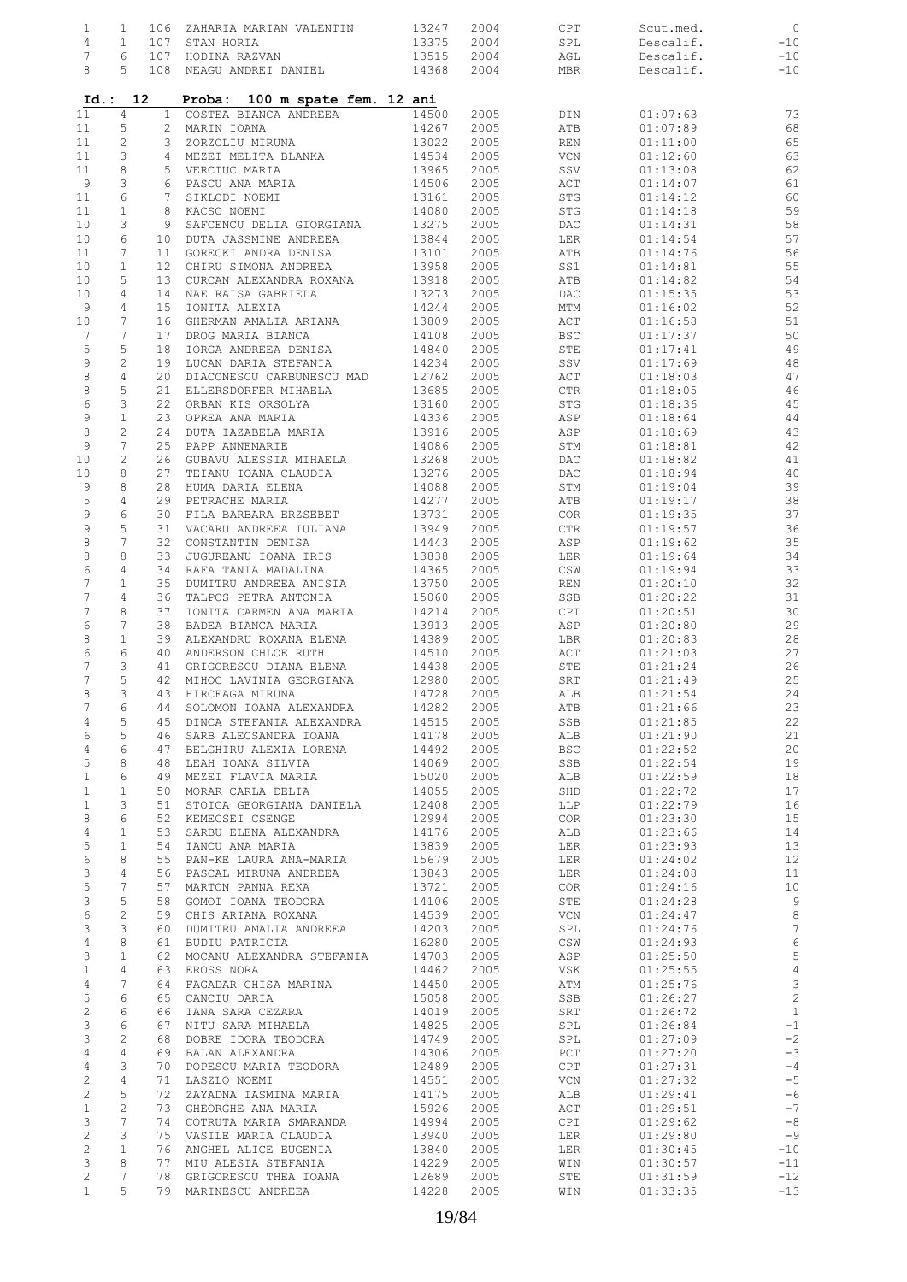| $\mathbf{1}$        | 1                 | 106                   | ZAHARIA MARIAN VALENTIN                             | 13247          | 2004         | CPT        | Scut.med.            | $\overline{0}$  |
|---------------------|-------------------|-----------------------|-----------------------------------------------------|----------------|--------------|------------|----------------------|-----------------|
| $\overline{4}$      | $\mathbf{1}$      | 107                   | STAN HORIA                                          | 13375          | 2004         | SPL        | Descalif.            | $-10$           |
| 7 <sup>1</sup>      | 6                 | 107                   | HODINA RAZVAN                                       | 13515          | 2004         | AGL        | Descalif.            | $-10$           |
| 8                   | 5                 | 108                   | NEAGU ANDREI DANIEL                                 | 14368          | 2004         | MBR        | Descalif.            | $-10$           |
|                     |                   |                       |                                                     |                |              |            |                      |                 |
| $Id.$ :             |                   | 12                    | Proba:<br>100 m spate fem. 12 ani                   |                |              |            |                      |                 |
| 11                  | 4                 | $\mathbf{1}$          | COSTEA BIANCA ANDREEA                               | 14500          | 2005         | DIN        | 01:07:63             | 73              |
| 11                  | 5                 | $\mathbf{2}^{\prime}$ | MARIN IOANA                                         | 14267          | 2005         | ATB        | 01:07:89             | 68              |
| 11                  | $\overline{c}$    | 3                     | ZORZOLIU MIRUNA                                     | 13022          | 2005         | REN        | 01:11:00             | 65              |
| 11                  | 3                 | 4                     | MEZEI MELITA BLANKA                                 | 14534          | 2005         | VCN        | 01:12:60             | 63              |
| 11                  | 8                 | 5                     | VERCIUC MARIA                                       | 13965          | 2005         | SSV        | 01:13:08             | 62              |
| 9                   | 3                 | 6                     | PASCU ANA MARIA                                     | 14506          | 2005         | ACT        | 01:14:07             | 61              |
| 11<br>11            | $\epsilon$        | $7\phantom{.0}$       | SIKLODI NOEMI                                       | 13161          | 2005         | STG        | 01:14:12             | 60              |
| 10                  | $\mathbf{1}$<br>3 | 8<br>9                | KACSO NOEMI<br>SAFCENCU DELIA GIORGIANA             | 14080<br>13275 | 2005<br>2005 | STG<br>DAC | 01:14:18<br>01:14:31 | 59<br>58        |
| 10                  | 6                 | 10 <sub>o</sub>       | DUTA JASSMINE ANDREEA                               | 13844          | 2005         | LER        | 01:14:54             | 57              |
| 11                  | 7                 | 11                    | GORECKI ANDRA DENISA                                | 13101          | 2005         | ATB        | 01:14:76             | 56              |
| 10                  | $\mathbf{1}$      | 12 <sup>°</sup>       | CHIRU SIMONA ANDREEA                                | 13958          | 2005         | SS1        | 01:14:81             | 55              |
| 10                  | 5                 | 13                    | CURCAN ALEXANDRA ROXANA                             | 13918          | 2005         | ATB        | 01:14:82             | 54              |
| 10                  | 4                 | 14                    | NAE RAISA GABRIELA                                  | 13273          | 2005         | DAC        | 01:15:35             | 53              |
| 9                   | 4                 | 15 <sub>1</sub>       | IONITA ALEXIA                                       | 14244          | 2005         | MTM        | 01:16:02             | 52              |
| 10                  | 7                 | 16                    | GHERMAN AMALIA ARIANA                               | 13809          | 2005         | ACT        | 01:16:58             | 51              |
| 7                   | 7                 | 17                    | DROG MARIA BIANCA                                   | 14108          | 2005         | <b>BSC</b> | 01:17:37             | 50              |
| 5                   | 5                 | 18                    | IORGA ANDREEA DENISA                                | 14840          | 2005         | STE        | 01:17:41             | 49              |
| 9                   | $\mathbf{2}$      | 19                    | LUCAN DARIA STEFANIA                                | 14234          | 2005         | SSV        | 01:17:69             | 48              |
| 8                   | $\overline{4}$    | 20                    | DIACONESCU CARBUNESCU MAD                           | 12762          | 2005         | ACT        | 01:18:03             | 47              |
| 8                   | 5                 | 21                    | ELLERSDORFER MIHAELA                                | 13685          | 2005         | CTR        | 01:18:05             | 46              |
| 6                   | 3                 | 22                    | ORBAN KIS ORSOLYA                                   | 13160          | 2005         | STG        | 01:18:36             | 45              |
| 9                   | $\mathbf{1}$      | 23                    | OPREA ANA MARIA                                     | 14336          | 2005         | ASP        | 01:18:64             | 44              |
| 8                   | $\overline{c}$    | 24                    | DUTA IAZABELA MARIA                                 | 13916          | 2005         | ASP        | 01:18:69             | 43              |
| 9                   | 7                 | 25                    | PAPP ANNEMARIE                                      | 14086          | 2005         | STM        | 01:18:81             | 42              |
| 10                  | $\mathbf{2}$      | 26                    | GUBAVU ALESSIA MIHAELA                              | 13268          | 2005         | DAC        | 01:18:82             | 41              |
| 10                  | 8                 | 27                    | TEIANU IOANA CLAUDIA                                | 13276          | 2005         | DAC        | 01:18:94             | 40              |
| 9                   | 8                 | 28                    | HUMA DARIA ELENA                                    | 14088          | 2005         | STM        | 01:19:04             | 39              |
| 5                   | 4                 | 29                    | PETRACHE MARIA                                      | 14277          | 2005         | ATB        | 01:19:17             | 38              |
| 9                   | $\epsilon$        | 30                    | FILA BARBARA ERZSEBET                               | 13731          | 2005         | COR        | 01:19:35             | 37              |
| 9                   | 5                 | 31                    | VACARU ANDREEA IULIANA                              | 13949          | 2005         | CTR        | 01:19:57             | 36              |
| 8                   | 7                 | 32                    | CONSTANTIN DENISA                                   | 14443          | 2005         | ASP        | 01:19:62             | 35              |
| 8                   | 8                 | 33                    | JUGUREANU IOANA IRIS                                | 13838          | 2005         | LER        | 01:19:64             | 34              |
| 6                   | 4                 | 34                    | RAFA TANIA MADALINA                                 | 14365          | 2005         | CSW        | 01:19:94             | 33              |
| 7                   | $\mathbf{1}$      | 35                    | DUMITRU ANDREEA ANISIA                              | 13750          | 2005         | REN        | 01:20:10             | 32              |
| 7                   | 4                 | 36                    | TALPOS PETRA ANTONIA                                | 15060          | 2005         | SSB        | 01:20:22             | 31              |
| 7                   | 8                 | 37                    | IONITA CARMEN ANA MARIA                             | 14214          | 2005         | CPI        | 01:20:51             | 30              |
| 6                   | 7                 | 38                    | BADEA BIANCA MARIA                                  | 13913          | 2005         | ASP        | 01:20:80             | 29              |
| 8                   | $\mathbf{1}$      | 39                    | ALEXANDRU ROXANA ELENA                              | 14389          | 2005         | LBR        | 01:20:83             | 28              |
| 6                   | 6                 | 40                    | ANDERSON CHLOE RUTH                                 | 14510          | 2005         | ACT        | 01:21:03             | 27              |
| 7                   | 3                 | 41                    | GRIGORESCU DIANA ELENA                              | 14438          | 2005         | STE        | 01:21:24             | 26              |
| 7                   | 5<br>3            | 42                    | MIHOC LAVINIA GEORGIANA                             | 12980          | 2005         | SRT        | 01:21:49             | 25              |
| 8                   |                   | 43                    | HIRCEAGA MIRUNA                                     | 14728          | 2005         | ALB        | 01:21:54             | 24              |
| 7                   | 6<br>5            | 44<br>45              | SOLOMON IOANA ALEXANDRA<br>DINCA STEFANIA ALEXANDRA | 14282<br>14515 | 2005<br>2005 | ATB<br>SSB | 01:21:66             | 23<br>22        |
| $\overline{4}$<br>6 | 5                 | 46                    | SARB ALECSANDRA IOANA                               | 14178          | 2005         | ALB        | 01:21:85<br>01:21:90 | 21              |
| $\overline{4}$      | 6                 | 47                    | BELGHIRU ALEXIA LORENA                              | 14492          | 2005         | <b>BSC</b> | 01:22:52             | 20              |
| 5                   | 8                 | 48                    | LEAH IOANA SILVIA                                   | 14069          | 2005         | SSB        | 01:22:54             | 19              |
| $\mathbf{1}$        | 6                 | 49                    | MEZEI FLAVIA MARIA                                  | 15020          | 2005         | ALB        | 01:22:59             | 18              |
| $\mathbf 1$         | $1\,$             | 50                    | MORAR CARLA DELIA                                   | 14055          | 2005         | SHD        | 01:22:72             | 17              |
| $\mathbf{1}$        | 3                 | 51                    | STOICA GEORGIANA DANIELA                            | 12408          | 2005         | LLP        | 01:22:79             | 16              |
| 8                   | 6                 | 52                    | KEMECSEI CSENGE                                     | 12994          | 2005         | COR        | 01:23:30             | 15              |
| 4                   | $\mathbf{1}$      | 53                    | SARBU ELENA ALEXANDRA                               | 14176          | 2005         | ALB        | 01:23:66             | 14              |
| 5                   | $\mathbf{1}$      | 54                    | IANCU ANA MARIA                                     | 13839          | 2005         | LER        | 01:23:93             | 13              |
| 6                   | 8                 | 55                    | PAN-KE LAURA ANA-MARIA                              | 15679          | 2005         | LER        | 01:24:02             | 12              |
| 3                   | $\overline{4}$    | 56                    | PASCAL MIRUNA ANDREEA                               | 13843          | 2005         | LER        | 01:24:08             | 11              |
| 5                   | 7                 | 57                    | MARTON PANNA REKA                                   | 13721          | 2005         | COR        | 01:24:16             | 10              |
| 3                   | 5                 | 58                    | GOMOI IOANA TEODORA                                 | 14106          | 2005         | STE        | 01:24:28             | 9               |
| 6                   | $\overline{c}$    | 59                    | CHIS ARIANA ROXANA                                  | 14539          | 2005         | VCN        | 01:24:47             | 8               |
| 3                   | 3                 | 60                    | DUMITRU AMALIA ANDREEA                              | 14203          | 2005         | SPL        | 01:24:76             | $7\phantom{.0}$ |
| $\overline{4}$      | 8                 | 61                    | BUDIU PATRICIA                                      | 16280          | 2005         | CSW        | 01:24:93             | 6               |
| 3                   | $\mathbf{1}$      | 62                    | MOCANU ALEXANDRA STEFANIA                           | 14703          | 2005         | ASP        | 01:25:50             | $\mathbb 5$     |
| $\mathbf{1}$        | $\overline{4}$    | 63                    | EROSS NORA                                          | 14462          | 2005         | VSK        | 01:25:55             | $\overline{4}$  |
| $\overline{4}$      | 7                 | 64                    | FAGADAR GHISA MARINA                                | 14450          | 2005         | ATM        | 01:25:76             | $\mathsf 3$     |
| 5                   | 6                 | 65                    | CANCIU DARIA                                        | 15058          | 2005         | SSB        | 01:26:27             | $\sqrt{2}$      |
| $\mathbf{2}$        | 6                 | 66                    | IANA SARA CEZARA                                    | 14019          | 2005         | SRT        | 01:26:72             | $\,1\,$         |
| 3                   | 6                 | 67                    | NITU SARA MIHAELA                                   | 14825          | 2005         | SPL        | 01:26:84             | $-1$            |
| 3                   | $\overline{c}$    | 68                    | DOBRE IDORA TEODORA                                 | 14749          | 2005         | SPL        | 01:27:09             | $-2$            |
| $\overline{4}$      | 4                 | 69                    | BALAN ALEXANDRA                                     | 14306          | 2005         | PCT        | 01:27:20             | $-3$            |
| $\overline{4}$      | 3                 | 70                    | POPESCU MARIA TEODORA                               | 12489          | 2005         | CPT        | 01:27:31             | $-4$            |
| $\overline{c}$      | 4                 | 71                    | LASZLO NOEMI                                        | 14551          | 2005         | VCN        | 01:27:32             | $-5$            |
| $\overline{c}$      | 5                 | 72                    | ZAYADNA IASMINA MARIA                               | 14175          | 2005         | ALB        | 01:29:41             | $-6$            |
| $\mathbf{1}$        | $\overline{c}$    | 73                    | GHEORGHE ANA MARIA                                  | 15926          | 2005         | ACT        | 01:29:51             | $-7$            |
| 3                   | 7                 | 74                    | COTRUTA MARIA SMARANDA                              | 14994          | 2005         | CPI        | 01:29:62             | $-8$            |
| $\overline{c}$      | 3                 | 75                    | VASILE MARIA CLAUDIA                                | 13940          | 2005         | LER        | 01:29:80             | $-9$            |
| $\overline{c}$      | $\mathbf{1}$      | 76                    | ANGHEL ALICE EUGENIA                                | 13840          | 2005         | LER        | 01:30:45             | $-10$           |
| 3                   | 8                 | 77                    | MIU ALESIA STEFANIA                                 | 14229          | 2005         | WIN        | 01:30:57             | $-11$           |
| $\overline{c}$      | 7                 | 78                    | GRIGORESCU THEA IOANA                               | 12689          | 2005         | STE        | 01:31:59             | $-12$           |
| $\mathbf{1}$        | 5                 | 79                    | MARINESCU ANDREEA                                   | 14228          | 2005         | WIN        | 01:33:35             | $-13$           |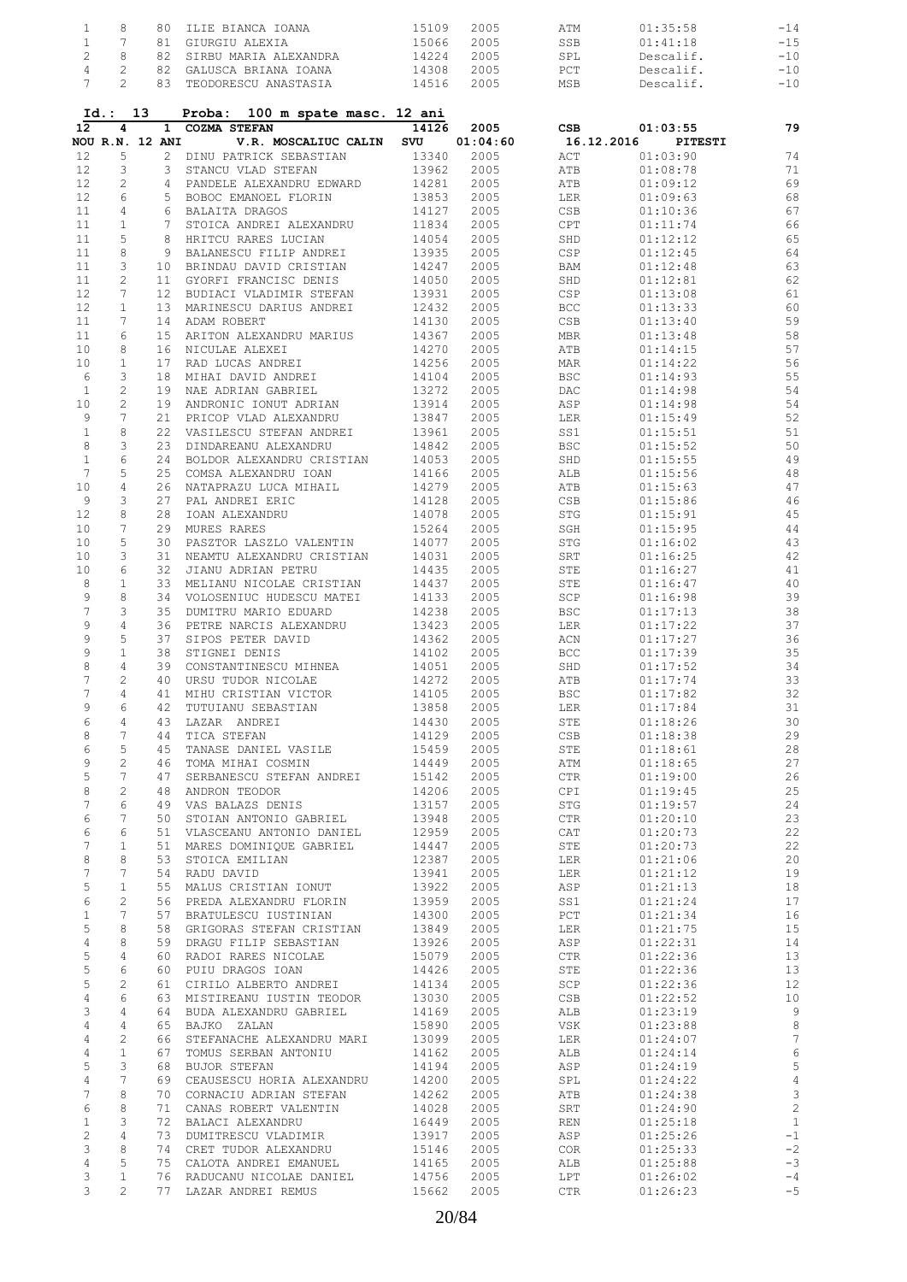| 1               | 8                     | 80              | ILIE BIANCA IOANA                                    | 15109 | 2005     | ATM          | 01:35:58  | $-14$          |
|-----------------|-----------------------|-----------------|------------------------------------------------------|-------|----------|--------------|-----------|----------------|
| $\mathbf 1$     | 7                     | 81              | GIURGIU ALEXIA                                       | 15066 | 2005     | SSB          | 01:41:18  | $-15$          |
| $\overline{c}$  | 8                     | 82              | SIRBU MARIA ALEXANDRA                                | 14224 | 2005     | SPL          | Descalif. | $-10$          |
| $\overline{4}$  | $\overline{c}$        |                 | 82 GALUSCA BRIANA IOANA                              | 14308 | 2005     | PCT          | Descalif. | $-10$          |
| 7 <sup>1</sup>  | $\overline{2}$        | 83              | TEODORESCU ANASTASIA                                 | 14516 | 2005     | MSB          | Descalif. | $-10$          |
|                 |                       |                 |                                                      |       |          |              |           |                |
| 12              | Id.: 13<br>4          |                 | Proba:<br>100 m spate masc. 12 ani<br>1 COZMA STEFAN | 14126 | 2005     | CSB          | 01:03:55  | 79             |
| NOU R.N. 12 ANI |                       |                 | V.R. MOSCALIUC CALIN                                 | SVU   | 01:04:60 | 16.12.2016   | PITESTI   |                |
| 12              | 5                     | $\overline{2}$  | DINU PATRICK SEBASTIAN                               | 13340 | 2005     | ACT          | 01:03:90  | 74             |
| 12              | 3                     | 3               | STANCU VLAD STEFAN                                   | 13962 | 2005     | ATB          | 01:08:78  | 71             |
| 12              | $\overline{c}$        | 4               | PANDELE ALEXANDRU EDWARD                             | 14281 | 2005     | ATB          | 01:09:12  | 69             |
| 12              | 6                     | 5               | BOBOC EMANOEL FLORIN                                 | 13853 | 2005     | LER          | 01:09:63  | 68             |
| 11              | $\overline{4}$        | 6               | BALAITA DRAGOS                                       | 14127 | 2005     | CSB          | 01:10:36  | 67             |
| 11              | $\mathbf{1}$          | $7^{\circ}$     | STOICA ANDREI ALEXANDRU                              | 11834 | 2005     | CPT          | 01:11:74  | 66             |
| 11              | 5                     | 8               | HRITCU RARES LUCIAN                                  | 14054 | 2005     | SHD          | 01:12:12  | 65             |
| 11              | 8                     | 9               | BALANESCU FILIP ANDREI                               | 13935 | 2005     | CSP          | 01:12:45  | 64             |
| 11              | 3                     | 10              | BRINDAU DAVID CRISTIAN                               | 14247 | 2005     | BAM          | 01:12:48  | 63             |
| 11              | 2                     | 11              | GYORFI FRANCISC DENIS                                | 14050 | 2005     | SHD          | 01:12:81  | 62             |
| 12              | 7                     | 12              | BUDIACI VLADIMIR STEFAN                              | 13931 | 2005     | CSP          | 01:13:08  | 61             |
| 12              | $\mathbf{1}$          | 13 <sup>7</sup> | MARINESCU DARIUS ANDREI                              | 12432 | 2005     | BCC          | 01:13:33  | 60             |
| 11              | 7                     | 14              | ADAM ROBERT                                          | 14130 | 2005     | CSB          | 01:13:40  | 59             |
| 11              | 6                     | 15              | ARITON ALEXANDRU MARIUS                              | 14367 | 2005     | MBR          | 01:13:48  | 58             |
| 10              | 8                     | 16              | NICULAE ALEXEI                                       | 14270 | 2005     | ATB          | 01:14:15  | 57             |
| 10              | $\mathbf{1}$          | 17              | RAD LUCAS ANDREI                                     | 14256 | 2005     | MAR          | 01:14:22  | 56             |
| 6               | 3                     | 18              | MIHAI DAVID ANDREI                                   | 14104 | 2005     | <b>BSC</b>   | 01:14:93  | 55             |
| $\mathbf{1}$    | 2                     | 19              | NAE ADRIAN GABRIEL                                   | 13272 | 2005     | DAC          | 01:14:98  | 54             |
| 10              | $\overline{c}$        | 19              | ANDRONIC IONUT ADRIAN                                | 13914 | 2005     | ASP          | 01:14:98  | 54             |
| 9               | 7                     | 21              | PRICOP VLAD ALEXANDRU                                | 13847 | 2005     | LER          | 01:15:49  | 52             |
| $1\,$           | 8                     | 22              | VASILESCU STEFAN ANDREI                              | 13961 | 2005     | SS1          | 01:15:51  | 51             |
| 8               | 3                     | 23              | DINDAREANU ALEXANDRU                                 | 14842 | 2005     | <b>BSC</b>   | 01:15:52  | 50             |
| $\mathbf{1}$    | $\epsilon$            | 24              | BOLDOR ALEXANDRU CRISTIAN                            | 14053 | 2005     | SHD          | 01:15:55  | 49             |
| 7               | 5                     | 25              | COMSA ALEXANDRU IOAN                                 | 14166 | 2005     | ALB          | 01:15:56  | 48             |
| 10              | $\overline{4}$        | 26              | NATAPRAZU LUCA MIHAIL                                | 14279 | 2005     | ATB          | 01:15:63  | 47             |
| 9               | 3                     | 27              | PAL ANDREI ERIC                                      | 14128 | 2005     | CSB          | 01:15:86  | 46             |
| 12              | 8                     | 28              | IOAN ALEXANDRU                                       | 14078 | 2005     | STG          | 01:15:91  | 45             |
| 10              | 7                     | 29              | MURES RARES                                          | 15264 | 2005     | SGH          | 01:15:95  | 44             |
| 10              | 5                     | 30              | PASZTOR LASZLO VALENTIN                              | 14077 | 2005     | STG          | 01:16:02  | 43             |
| 10              | 3                     | 31              | NEAMTU ALEXANDRU CRISTIAN                            | 14031 | 2005     | SRT          | 01:16:25  | 42             |
| 10              | $6\,$                 | 32              | JIANU ADRIAN PETRU                                   | 14435 | 2005     | STE          | 01:16:27  | 41             |
| 8               | $\mathbf{1}$          | 33              | MELIANU NICOLAE CRISTIAN                             | 14437 | 2005     | STE          | 01:16:47  | 40             |
| 9               | 8                     | 34              | VOLOSENIUC HUDESCU MATEI                             | 14133 | 2005     | SCP          | 01:16:98  | 39             |
| $\overline{7}$  | 3                     | 35              | DUMITRU MARIO EDUARD                                 | 14238 | 2005     | <b>BSC</b>   | 01:17:13  | 38             |
| 9               | $\overline{4}$        | 36              | PETRE NARCIS ALEXANDRU                               | 13423 | 2005     | LER          | 01:17:22  | 37             |
| 9               | 5                     | 37              | SIPOS PETER DAVID                                    | 14362 | 2005     | ACN          | 01:17:27  | 36             |
| 9               | $\mathbf{1}$          | 38              | STIGNEI DENIS                                        | 14102 | 2005     | $_{\rm BCC}$ | 01:17:39  | 35             |
| 8               | $\overline{4}$        | 39              | CONSTANTINESCU MIHNEA                                | 14051 | 2005     | SHD          | 01:17:52  | 34             |
| 7               | $\overline{c}$        | 40              | URSU TUDOR NICOLAE                                   | 14272 | 2005     | ATB          | 01:17:74  | 33             |
| 7               | $\overline{4}$        | 41              | MIHU CRISTIAN VICTOR                                 | 14105 | 2005     | $_{\rm BSC}$ | 01:17:82  | 32             |
| 9               | 6                     | 42              | TUTUIANU SEBASTIAN                                   | 13858 | 2005     | LER          | 01:17:84  | 31             |
| 6               | 4                     | 43              | LAZAR ANDREI                                         | 14430 | 2005     | STE          | 01:18:26  | 30             |
| 8               | 7                     | 44              | TICA STEFAN                                          | 14129 | 2005     | CSB          | 01:18:38  | 29             |
| 6               | 5                     | 45              | TANASE DANIEL VASILE                                 | 15459 | 2005     | STE          | 01:18:61  | 28             |
| 9               | $\overline{c}$        | 46              | TOMA MIHAI COSMIN                                    | 14449 | 2005     | ATM          | 01:18:65  | 27             |
| 5               | 7                     | 47              | SERBANESCU STEFAN ANDREI                             | 15142 | 2005     | CTR          | 01:19:00  | 26             |
| 8               | $\overline{c}$        | 48              | ANDRON TEODOR                                        | 14206 | 2005     | CPI          | 01:19:45  | 25             |
| 7               | 6                     | 49              | VAS BALAZS DENIS                                     | 13157 | 2005     | STG          | 01:19:57  | 24             |
| 6               | 7                     | 50              | STOIAN ANTONIO GABRIEL                               | 13948 | 2005     | CTR          | 01:20:10  | 23             |
| 6               | 6                     | 51              | VLASCEANU ANTONIO DANIEL                             | 12959 | 2005     | CAT          | 01:20:73  | 22             |
| 7               | $\mathbf{1}$          | 51              | MARES DOMINIQUE GABRIEL                              | 14447 | 2005     | STE          | 01:20:73  | 22             |
| 8               | 8                     | 53              | STOICA EMILIAN                                       | 12387 | 2005     | LER          | 01:21:06  | 20             |
| 7               | 7                     | 54              | RADU DAVID                                           | 13941 | 2005     | LER          | 01:21:12  | 19             |
| 5               | $\mathbf{1}$          | 55              | MALUS CRISTIAN IONUT                                 | 13922 | 2005     | ASP          | 01:21:13  | 18             |
| 6               | 2                     | 56              | PREDA ALEXANDRU FLORIN                               | 13959 | 2005     | SS1          | 01:21:24  | 17             |
| $\mathbf{1}$    | 7                     | 57              | BRATULESCU IUSTINIAN                                 | 14300 | 2005     | PCT          | 01:21:34  | 16             |
| 5               | 8                     | 58              | GRIGORAS STEFAN CRISTIAN                             | 13849 | 2005     | LER          | 01:21:75  | 15             |
| 4               | 8                     | 59              | DRAGU FILIP SEBASTIAN                                | 13926 | 2005     | ASP          | 01:22:31  | 14             |
| 5               | $\overline{4}$        | 60              | RADOI RARES NICOLAE                                  | 15079 | 2005     | CTR          | 01:22:36  | 13             |
| 5               | 6                     | 60              | PUIU DRAGOS IOAN                                     | 14426 | 2005     | STE          | 01:22:36  | 13             |
| 5               | $\mathbf{2}^{\prime}$ | 61              | CIRILO ALBERTO ANDREI                                | 14134 | 2005     | SCP          | 01:22:36  | 12             |
| $\overline{4}$  | 6                     | 63              | MISTIREANU IUSTIN TEODOR                             | 13030 | 2005     | CSB          | 01:22:52  | 10             |
| 3               | $\overline{4}$        | 64              | BUDA ALEXANDRU GABRIEL                               | 14169 | 2005     | ALB          | 01:23:19  | 9              |
| $\overline{4}$  | $\overline{4}$        | 65              | BAJKO ZALAN                                          | 15890 | 2005     | VSK          | 01:23:88  | 8              |
| $\overline{4}$  | 2                     | 66              | STEFANACHE ALEXANDRU MARI                            | 13099 | 2005     | LER          | 01:24:07  | $\overline{7}$ |
| $\overline{4}$  | $\mathbf{1}$          | 67              | TOMUS SERBAN ANTONIU                                 | 14162 | 2005     | ALB          | 01:24:14  | 6              |
| 5               | 3                     | 68              | BUJOR STEFAN                                         | 14194 | 2005     | ASP          | 01:24:19  | 5              |
| $\overline{4}$  | 7                     | 69              | CEAUSESCU HORIA ALEXANDRU                            | 14200 | 2005     | SPL          | 01:24:22  | $\overline{4}$ |
| 7               | 8                     | 70              | CORNACIU ADRIAN STEFAN                               | 14262 | 2005     | ATB          | 01:24:38  | $\overline{3}$ |
| 6               | 8                     | 71              | CANAS ROBERT VALENTIN                                | 14028 | 2005     | SRT          | 01:24:90  | $\overline{c}$ |
| $\mathbf{1}$    | 3                     | 72              | BALACI ALEXANDRU                                     | 16449 | 2005     | REN          | 01:25:18  | $\mathbf{1}$   |
| 2               | $\overline{4}$        | 73              | DUMITRESCU VLADIMIR                                  | 13917 | 2005     | ASP          | 01:25:26  | $-1$           |
| 3               | 8                     | 74              | CRET TUDOR ALEXANDRU                                 | 15146 | 2005     | COR          | 01:25:33  | $-2$           |
| $\overline{4}$  | 5                     | 75              | CALOTA ANDREI EMANUEL                                | 14165 | 2005     | ALB          | 01:25:88  | $-3$           |
| 3               | $\mathbf{1}$          | 76              | RADUCANU NICOLAE DANIEL                              | 14756 | 2005     | LPT          | 01:26:02  | $-4$           |
| 3               | $\overline{2}$        |                 | 77 LAZAR ANDREI REMUS                                | 15662 | 2005     | CTR          | 01:26:23  | $-5$           |
|                 |                       |                 |                                                      |       |          |              |           |                |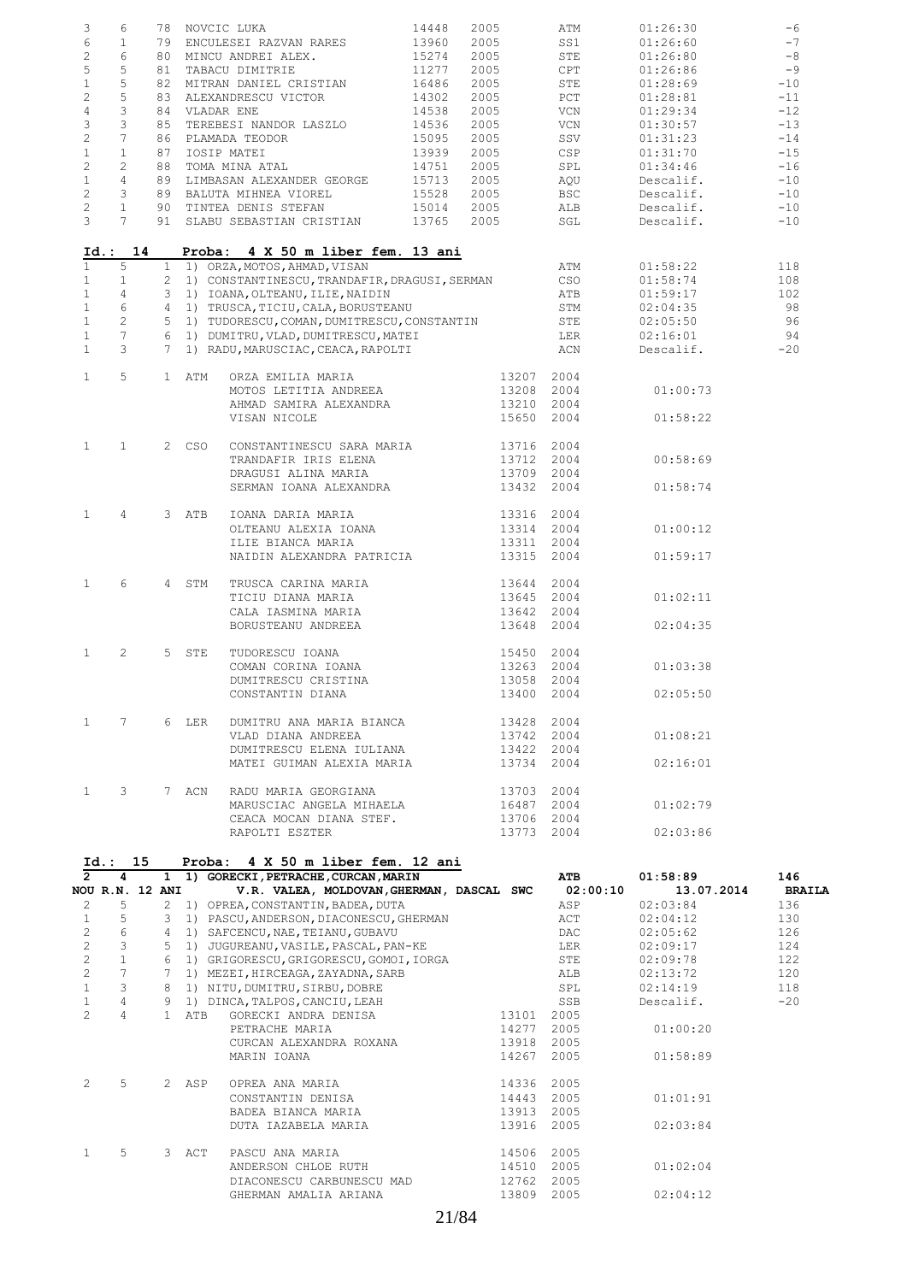| 3<br>6                       | 6<br>$\mathbf{1}$              |                   |       | 78 NOVCIC LUKA<br>79 ENCULESEI RAZVAN RARES                                       | 14448<br>13960 | 2005<br>2005             | ATM<br>SS1    | 01:26:30<br>01:26:60   | -6<br>$-7$     |
|------------------------------|--------------------------------|-------------------|-------|-----------------------------------------------------------------------------------|----------------|--------------------------|---------------|------------------------|----------------|
| $\overline{c}$               | 6                              |                   |       | 80 MINCU ANDREI ALEX.                                                             | 15274          | 2005                     | STE           | 01:26:80               | $-8$           |
| 5                            | 5                              |                   |       | 81 TABACU DIMITRIE                                                                | 11277          | 2005                     | CPT           | 01:26:86               | $-9$           |
| $\mathbf{1}$                 | 5                              |                   |       | 81 IADROOF DELLET<br>82 MITRAN DANIEL CRISTIAN                                    | 16486          | 2005                     | STE           | 01:28:69               | $-10$          |
| $\overline{2}$               | 5                              |                   |       | 83 ALEXANDRESCU VICTOR                                                            | 14302          | 2005                     | PCT           | 01:28:81               | $-11$          |
| $\overline{4}$               | 3                              |                   |       | 84 VLADAR ENE                                                                     | 14538          | 2005                     | VCN           | 01:29:34               | $-12$          |
| 3                            | 3                              |                   |       | 85 TEREBESI NANDOR LASZLO                                                         | 14536          | 2005                     | VCN           | 01:30:57               | $-13$          |
| $\overline{2}$               | $7^{\circ}$                    |                   |       | 86 PLAMADA TEODOR                                                                 | 15095          | 2005                     | SSV           | 01:31:23               | $-14$          |
| $\mathbf{1}$                 | $\mathbf{1}$                   |                   |       | 87 IOSIP MATEI                                                                    | 13939          | 2005                     | CSP           | 01:31:70               | $-15$          |
| $\overline{c}$               | $\overline{2}$                 |                   |       | 88 TOMA MINA ATAL                                                                 | 14751          | 2005                     | SPL           | 01:34:46               | $-16$          |
| $\mathbf{1}$                 | $\overline{4}$                 |                   |       | 89 LIMBASAN ALEXANDER GEORGE                                                      | 15713          | 2005                     | AQU           | Descalif.              | $-10$          |
| $\mathbf{2}$<br>$\mathbf{2}$ | 3<br>$\mathbf{1}$              |                   |       | 89 BALUTA MIHNEA VIOREL<br>90 TINTEA DENIS STEFAN                                 | 15528<br>15014 | 2005                     | <b>BSC</b>    | Descalif.              | $-10$<br>$-10$ |
| $\mathbf{3}$                 | $7^{\circ}$                    |                   |       | 91 SLABU SEBASTIAN CRISTIAN 13765                                                 |                | 2005<br>2005             | ALB<br>SGL    | Descalif.<br>Descalif. | $-10$          |
|                              |                                |                   |       |                                                                                   |                |                          |               |                        |                |
|                              |                                | Id.: 14           |       | Proba: 4 X 50 m liber fem. 13 ani                                                 |                |                          |               |                        |                |
| $\mathbf{1}$                 | 5                              |                   |       | 1 1) ORZA, MOTOS, AHMAD, VISAN<br>2 1) CONSTANTINESCU, TRANDAFIR, DRAGUSI, SERMAN |                |                          | ATM<br>$\csc$ | 01:58:22               | 118            |
| $\mathbf{1}$<br>$\mathbf{1}$ | $\mathbf{1}$<br>$\overline{4}$ |                   |       |                                                                                   |                |                          | ATB           | 01:58:74               | 108<br>102     |
| $\mathbf{1}$                 | 6                              |                   |       | 3 1) IOANA, OLTEANU, ILIE, NAIDIN<br>4 1) TRUSCA, TICIU, CALA, BORUSTEANU         |                |                          | STM           | 01:59:17<br>02:04:35   | 98             |
| $\mathbf{1}$                 | $\overline{2}$                 |                   |       | 5 1) TUDORESCU, COMAN, DUMITRESCU, CONSTANTIN STE                                 |                |                          |               | 02:05:50               | 96             |
| $\mathbf{1}$                 | $7\overline{ }$                |                   |       | 6 1) DUMITRU, VLAD, DUMITRESCU, MATEI                                             |                |                          | LER           | 02:16:01               | 94             |
| $\mathbf{1}$                 | 3                              |                   |       | 7 1) RADU, MARUSCIAC, CEACA, RAPOLTI                                              |                |                          |               | Descalif.              | $-20$          |
|                              |                                |                   |       |                                                                                   |                |                          |               |                        |                |
| $\mathbf{1}$                 | 5                              |                   | 1 ATM | ORZA EMILIA MARIA 13207 2004<br>MOTOS LETITIA ANDREEA 13208 2004                  |                |                          |               |                        |                |
|                              |                                |                   |       |                                                                                   |                |                          |               | 01:00:73               |                |
|                              |                                |                   |       | AHMAD SAMIRA ALEXANDRA<br>VISAN NICOLE                                            |                | 13210 2004<br>15650 2004 |               | 01:58:22               |                |
|                              |                                |                   |       |                                                                                   |                |                          |               |                        |                |
| $\mathbf{1}$                 |                                | $1 \qquad \qquad$ | 2 CSO | CONSTANTINESCU SARA MARIA 13716 2004                                              |                |                          |               |                        |                |
|                              |                                |                   |       | TRANDAFIR IRIS ELENA                                                              |                | 13712 2004               |               | 00:58:69               |                |
|                              |                                |                   |       | DRAGUSI ALINA MARIA                                                               |                | 13709 2004               |               |                        |                |
|                              |                                |                   |       | SERMAN IOANA ALEXANDRA 13432 2004                                                 |                |                          |               | 01:58:74               |                |
|                              |                                |                   |       |                                                                                   |                |                          |               |                        |                |
| $\mathbf{1}$                 | $4 \quad$                      |                   | 3 ATB | IOANA DARIA MARIA                                                                 |                | 13316 2004<br>13314 2004 |               |                        |                |
|                              |                                |                   |       | OLTEANU ALEXIA IOANA<br>ILIE BIANCA MARIA                                         |                | 13311 2004               |               | 01:00:12               |                |
|                              |                                |                   |       | NAIDIN ALEXANDRA PATRICIA                                                         |                | 13315 2004               |               | 01:59:17               |                |
|                              |                                |                   |       |                                                                                   |                |                          |               |                        |                |
| $\mathbf{1}$                 | 6                              |                   | 4 STM | TRUSCA CARINA MARIA                                                               |                | 13644 2004               |               |                        |                |
|                              |                                |                   |       | TICIU DIANA MARIA                                                                 |                | 13645 2004               |               | 01:02:11               |                |
|                              |                                |                   |       | CALA IASMINA MARIA<br>BORUSTEANU ANDREEA                                          |                | 13642 2004               |               |                        |                |
|                              |                                |                   |       |                                                                                   |                | 13648 2004               |               | 02:04:35               |                |
| $\mathbf{1}$                 | $\mathbf{2}$                   |                   | 5 STE |                                                                                   |                |                          |               |                        |                |
|                              |                                |                   |       |                                                                                   |                |                          |               | 01:03:38               |                |
|                              |                                |                   |       |                                                                                   |                |                          |               |                        |                |
|                              |                                |                   |       |                                                                                   |                |                          |               | 02:05:50               |                |
|                              |                                |                   |       |                                                                                   |                |                          |               |                        |                |
|                              |                                |                   |       |                                                                                   |                |                          |               |                        |                |
| $\mathbf{1}$                 | $7^{\circ}$                    |                   | 6 LER | DUMITRU ANA MARIA BIANCA                                                          |                | 13428 2004               |               |                        |                |
|                              |                                |                   |       | VLAD DIANA ANDREEA                                                                |                | 13742 2004               |               | 01:08:21               |                |
|                              |                                |                   |       | DUMITRESCU ELENA IULIANA                                                          |                | 13422 2004               |               |                        |                |
|                              |                                |                   |       | MATEI GUIMAN ALEXIA MARIA                                                         |                | 13734 2004               |               | 02:16:01               |                |
| 1                            | $3 -$                          |                   | 7 ACN |                                                                                   |                | 13703 2004               |               |                        |                |
|                              |                                |                   |       | RADU MARIA GEORGIANA<br>MARUSCIAC ANGELA MIHAELA                                  |                | 16487 2004               |               | 01:02:79               |                |
|                              |                                |                   |       | CEACA MOCAN DIANA STEF.                                                           |                | 13706 2004               |               |                        |                |
|                              |                                |                   |       | RAPOLTI ESZTER                                                                    |                | 13773 2004               |               | 02:03:86               |                |
|                              |                                |                   |       |                                                                                   |                |                          |               |                        |                |
| 2                            | Id.: 15<br>4                   |                   |       | Proba: 4 X 50 m liber fem. 12 ani<br>1 1) GORECKI, PETRACHE, CURCAN, MARIN        |                |                          | ATB           | 01:58:89               | 146            |
|                              |                                | NOU R.N. 12 ANI   |       | V.R. VALEA, MOLDOVAN, GHERMAN, DASCAL SWC                                         |                |                          | 02:00:10      | 13.07.2014             | <b>BRAILA</b>  |
| $\overline{2}$               | 5                              |                   |       | 2 1) OPREA, CONSTANTIN, BADEA, DUTA                                               |                |                          | ASP           | 02:03:84               | 136            |
| $\mathbf{1}$                 | 5                              |                   |       | 3 1) PASCU, ANDERSON, DIACONESCU, GHERMAN                                         |                |                          | ACT           | 02:04:12               | 130            |
| $\mathbf{2}$                 | $\epsilon$                     |                   |       | 4 1) SAFCENCU, NAE, TEIANU, GUBAVU                                                |                |                          | <b>DAC</b>    | 02:05:62               | 126            |
| $\overline{2}$               | $\mathbf{3}$                   |                   |       | 5 1) JUGUREANU, VASILE, PASCAL, PAN-KE                                            |                |                          | LER           | 02:09:17               | 124            |
| $\overline{2}$               | $\mathbf{1}$                   |                   |       | 6 1) GRIGORESCU, GRIGORESCU, GOMOI, IORGA                                         |                |                          | STE           | 02:09:78               | 122            |
| $\overline{2}$               | $7\phantom{.0}$                |                   |       | 7 1) MEZEI, HIRCEAGA, ZAYADNA, SARB                                               |                |                          | ALB           | 02:13:72               | 120            |
| 1                            | $\mathbf{3}$                   |                   |       | 8 1) NITU, DUMITRU, SIRBU, DOBRE                                                  |                |                          | SPL           | 02:14:19               | 118            |
| 1                            | $\overline{4}$                 |                   |       | 9 1) DINCA, TALPOS, CANCIU, LEAH                                                  |                |                          | SSB           | Descalif.              | $-20$          |
| $\overline{2}$               | $\overline{4}$                 |                   | 1 ATB | GORECKI ANDRA DENISA                                                              |                | 13101 2005               |               |                        |                |
|                              |                                |                   |       | PETRACHE MARIA                                                                    |                | 14277 2005               |               | 01:00:20               |                |
|                              |                                |                   |       | CURCAN ALEXANDRA ROXANA                                                           |                | 13918 2005               |               |                        |                |
|                              |                                |                   |       | MARIN IOANA                                                                       |                |                          | 14267 2005    | 01:58:89               |                |
| $\mathbf{2}$                 | 5                              |                   | 2 ASP | OPREA ANA MARIA                                                                   |                |                          | 14336 2005    |                        |                |
|                              |                                |                   |       | CONSTANTIN DENISA                                                                 |                | 14443 2005               |               | 01:01:91               |                |
|                              |                                |                   |       | BADEA BIANCA MARIA                                                                |                | 13913 2005               |               |                        |                |
|                              |                                |                   |       | DUTA IAZABELA MARIA                                                               |                | 13916 2005               |               | 02:03:84               |                |
| $\mathbf{1}$                 | 5                              |                   | 3 ACT | PASCU ANA MARIA                                                                   |                | 14506 2005               |               |                        |                |
|                              |                                |                   |       | ANDERSON CHLOE RUTH                                                               |                |                          | 14510 2005    | 01:02:04               |                |
|                              |                                |                   |       | DIACONESCU CARBUNESCU MAD<br>GHERMAN AMALIA ARIANA                                |                | 12762 2005               | 13809 2005    | 02:04:12               |                |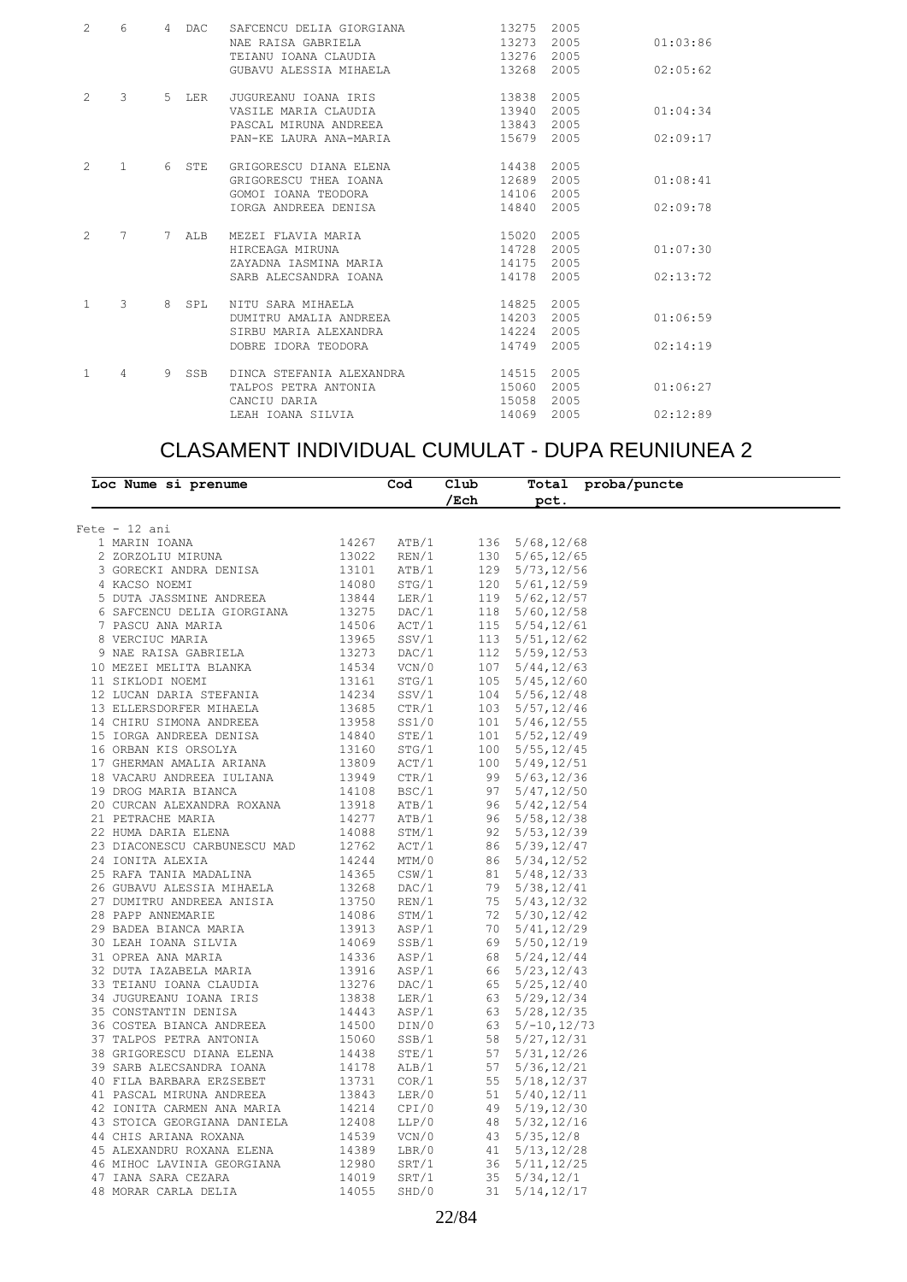| $\mathfrak{D}$ | 6              | $\overline{4}$ | DAC   | SAFCENCU DELIA GIORGIANA<br>NAE RAISA GABRIELA<br>TEIANU IOANA CLAUDIA<br>GUBAVU ALESSIA MIHAELA | 13275<br>13273<br>13276<br>13268 | 2005<br>2005<br>2005<br>2005 | 01:03:86<br>02:05:62 |
|----------------|----------------|----------------|-------|--------------------------------------------------------------------------------------------------|----------------------------------|------------------------------|----------------------|
| $\mathfrak{D}$ | 3              |                | 5 LER | JUGUREANU IOANA IRIS<br>VASILE MARIA CLAUDIA<br>PASCAL MIRUNA ANDREEA<br>PAN-KE LAURA ANA-MARIA  | 13838<br>13940<br>13843<br>15679 | 2005<br>2005<br>2005<br>2005 | 01:04:34<br>02:09:17 |
| $\overline{2}$ | $\mathbf{1}$   |                | 6 STE | GRIGORESCU DIANA ELENA<br>GRIGORESCU THEA IOANA<br>GOMOT TOANA TEODORA<br>IORGA ANDREEA DENISA   | 14438<br>12689<br>14106<br>14840 | 2005<br>2005<br>2005<br>2005 | 01:08:41<br>02:09:78 |
| 2              | $\overline{7}$ | 7              | ALB   | MEZEI FLAVIA MARIA<br>HIRCEAGA MIRUNA<br>ZAYADNA TASMINA MARIA<br>SARB ALECSANDRA IOANA          | 15020<br>14728<br>14175<br>14178 | 2005<br>2005<br>2005<br>2005 | 01:07:30<br>02:13:72 |
| $\mathbf{1}$   | 3              |                | 8 SPL | NITU SARA MIHAELA<br>DUMITRU AMALIA ANDREEA<br>STRBU MARTA ALEXANDRA<br>DOBRE IDORA TEODORA      | 14825<br>14203<br>14224<br>14749 | 2005<br>2005<br>2005<br>2005 | 01:06:59<br>02:14:19 |
| $\mathbf{1}$   | 4              | 9              | SSB   | DINCA STEFANIA ALEXANDRA<br>TALPOS PETRA ANTONIA<br>CANCIU DARIA<br>LEAH IOANA SILVIA            | 14515<br>15060<br>15058<br>14069 | 2005<br>2005<br>2005<br>2005 | 01:06:27<br>02:12:89 |

#### CLASAMENT INDIVIDUAL CUMULAT - DUPA REUNIUNEA 2

| Loc Nume si prenume          |                | Cod   | Club |                                                 | Total proba/puncte |
|------------------------------|----------------|-------|------|-------------------------------------------------|--------------------|
|                              |                |       | /Ech | pct.                                            |                    |
|                              |                |       |      |                                                 |                    |
| $Fete - 12 ani$              |                |       |      |                                                 |                    |
| 1 MARIN IOANA                | 14267          | ATB/1 |      | 136 5/68, 12/68                                 |                    |
| 2 ZORZOLIU MIRUNA            | 13022          | REN/1 |      | $130 \quad 5/65, 12/65$                         |                    |
| 3 GORECKI ANDRA DENISA       | 13101          | ATB/1 |      | 129 5/73, 12/56                                 |                    |
| 4 KACSO NOEMI                | 14080          | STG/1 |      | 120 5/61, 12/59                                 |                    |
| 5 DUTA JASSMINE ANDREEA      | 13844          | LER/1 |      | 119 5/62, 12/57                                 |                    |
| 6 SAFCENCU DELIA GIORGIANA   | 13275          | DAC/1 |      | 118 5/60, 12/58                                 |                    |
| 7 PASCU ANA MARIA            | 14506          | ACT/1 |      | $115 \quad 5/54, 12/61$                         |                    |
| 8 VERCIUC MARIA              | 13965          | SSV/1 |      | $113 \quad 5/51, 12/62$                         |                    |
| 9 NAE RAISA GABRIELA         | 13273          | DAC/1 |      | $112 \quad 5/59, 12/53$                         |                    |
| 10 MEZEI MELITA BLANKA       | 14534          | VCN/0 |      | $107 \quad 5/44, 12/63$                         |                    |
| 11 SIKLODI NOEMI             | 13161          | STG/1 |      | 105 5/45, 12/60                                 |                    |
| 12 LUCAN DARIA STEFANIA      | 14234          | SSV/1 |      | $104 \quad 5/56, 12/48$                         |                    |
| 13 ELLERSDORFER MIHAELA      | 13685          | CTR/1 |      | 103 5/57, 12/46                                 |                    |
| 14 CHIRU SIMONA ANDREEA      | 13958          | SS1/0 |      | $101 \quad 5/46, 12/55$                         |                    |
| 15 IORGA ANDREEA DENISA      | 14840          | STE/1 |      | 101 5/52, 12/49                                 |                    |
| 16 ORBAN KIS ORSOLYA         | 13160          | STG/1 |      | $100 \quad 5/55, 12/45$                         |                    |
| 17 GHERMAN AMALIA ARIANA     | 13809          | ACT/1 |      | $100 \quad 5/49, 12/51$                         |                    |
| 18 VACARU ANDREEA IULIANA    | 13949          | CTR/1 |      | 99 5/63, 12/36                                  |                    |
| 19 DROG MARIA BIANCA         | 14108          | BSC/1 |      | 97 5/47, 12/50                                  |                    |
| 20 CURCAN ALEXANDRA ROXANA   | 13918          | ATB/1 |      | $96 \quad 5/42, 12/54$                          |                    |
| 21 PETRACHE MARIA            | 14277          | ATB/1 |      | $96 \quad 5/58, 12/38$                          |                    |
| 22 HUMA DARIA ELENA          | 14088          | STM/1 |      | 92 5/53, 12/39                                  |                    |
| 23 DIACONESCU CARBUNESCU MAD | 12762          | ACT/1 |      | 86 5/39, 12/47                                  |                    |
| 24 IONITA ALEXIA             | 14244          | MTM/0 |      | $86 \quad 5/34, 12/52$                          |                    |
| 25 RAFA TANIA MADALINA       | 14365          | CSW/1 |      | $81 \quad 5/48, 12/33$                          |                    |
| 26 GUBAVU ALESSIA MIHAELA    | 13268          | DAC/1 |      | 79 5/38, 12/41                                  |                    |
| 27 DUMITRU ANDREEA ANISIA    | 13750          | REN/1 |      | $75 \quad 5/43, 12/32$                          |                    |
| 28 PAPP ANNEMARIE            | 14086          | STM/1 |      | $72 \quad 5/30, 12/42$                          |                    |
| 29 BADEA BIANCA MARIA        | 13913          | ASP/1 |      | 70 5/41, 12/29                                  |                    |
| 30 LEAH IOANA SILVIA         | 14069          | SSB/1 |      | 69 5/50, 12/19                                  |                    |
| 31 OPREA ANA MARIA           | 14336          | ASP/1 |      | 68 5/24, 12/44                                  |                    |
| 32 DUTA IAZABELA MARIA       | 13916          | ASP/1 |      | 66 5/23, 12/43                                  |                    |
|                              | 13276          |       |      |                                                 |                    |
| 33 TEIANU IOANA CLAUDIA      |                | DAC/1 |      | 65 5/25, 12/40                                  |                    |
| 34 JUGUREANU IOANA IRIS      | 13838          | LER/1 |      | $63 \quad 5/29, 12/34$                          |                    |
| 35 CONSTANTIN DENISA         | 14443          | ASP/1 |      | $63 \quad 5/28, 12/35$                          |                    |
| 36 COSTEA BIANCA ANDREEA     | 14500          | DIN/0 |      | $63 \quad 5/-10, 12/73$                         |                    |
| 37 TALPOS PETRA ANTONIA      | 15060          | SSB/1 |      | 58 5/27, 12/31                                  |                    |
| 38 GRIGORESCU DIANA ELENA    | 14438          | STE/1 |      | 57 5/31, 12/26                                  |                    |
| 39 SARB ALECSANDRA IOANA     | 14178          | ALB/1 |      | $57 \quad 5/36, 12/21$                          |                    |
| 40 FILA BARBARA ERZSEBET     | 13731          | COR/1 |      | $55 \quad 5/18, 12/37$                          |                    |
| 41 PASCAL MIRUNA ANDREEA     | 13843          | LER/0 |      | 51 5/40, 12/11                                  |                    |
| 42 IONITA CARMEN ANA MARIA   | 14214          | CPI/0 |      | 49 5/19, 12/30                                  |                    |
| 43 STOICA GEORGIANA DANIELA  | 12408          | LLP/0 |      | 48 5/32, 12/16                                  |                    |
| 44 CHIS ARIANA ROXANA        | 14539          | VCN/0 |      | 43 5/35, 12/8                                   |                    |
|                              | 14389          | LBR/0 |      | $41 \quad 5/13, 12/28$                          |                    |
| 45 ALEXANDRU ROXANA ELENA    |                |       |      |                                                 |                    |
| 46 MIHOC LAVINIA GEORGIANA   | 12980          | SRT/1 |      | 36 5/11, 12/25                                  |                    |
| 47 IANA SARA CEZARA          | 14019<br>14055 | SRT/1 |      | $35 \quad 5/34, 12/1$<br>$31 \quad 5/14, 12/17$ |                    |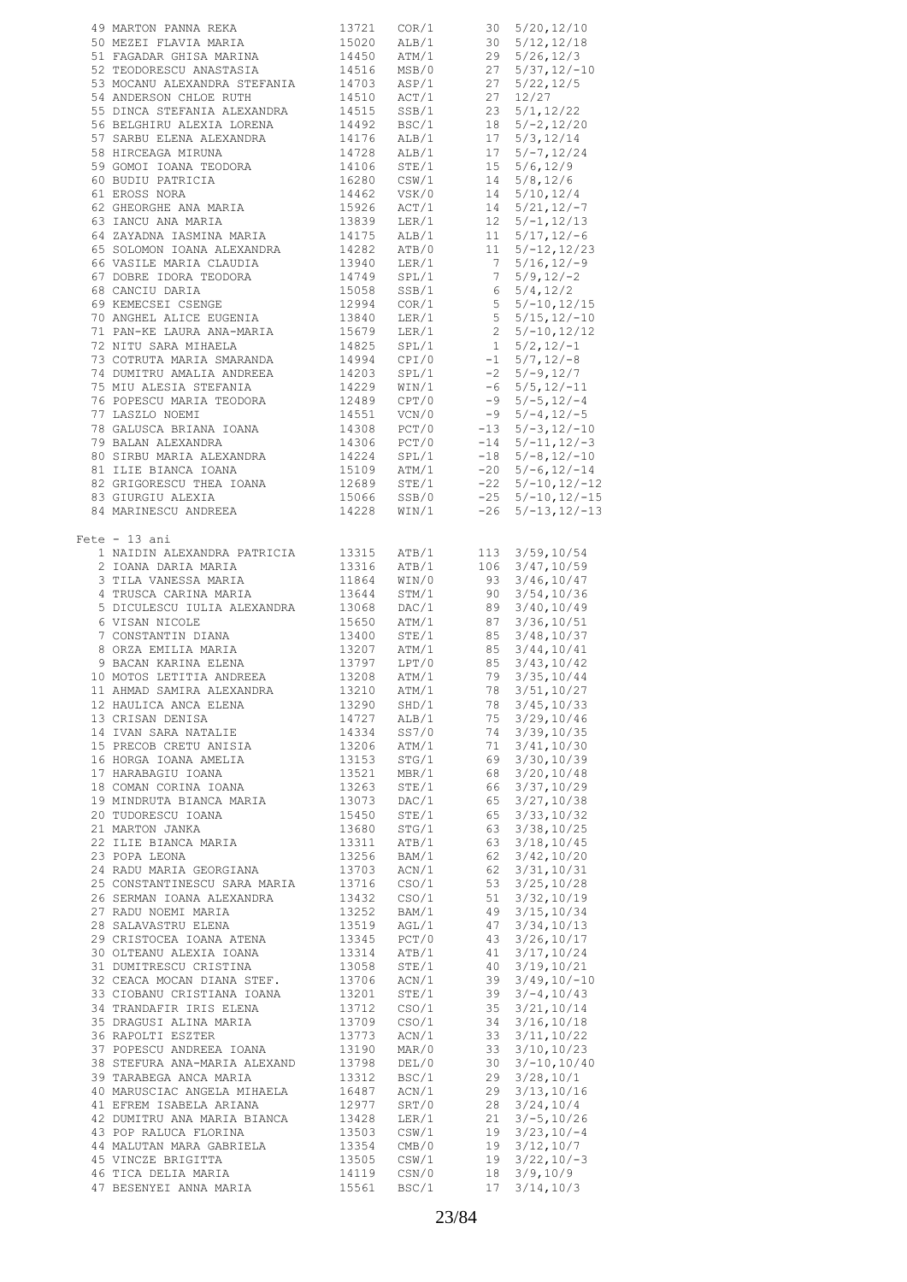| 49 MARTON PANNA REKA 13721 COR/1 30 5/20,12/10                                                                                 |                                                          |                  |           |                                                                                                                         |
|--------------------------------------------------------------------------------------------------------------------------------|----------------------------------------------------------|------------------|-----------|-------------------------------------------------------------------------------------------------------------------------|
|                                                                                                                                |                                                          |                  |           |                                                                                                                         |
| 50 MEZEI FLAVIA MARIA                                                                                                          |                                                          |                  |           | 15020 ALB/1 30 5/12,12/18<br>14450 ATM/1 29 5/26,12/3<br>14516 MSB/0 27 5/37,12/-10<br>14703 ASP/1 27 5/22,12/5         |
| 51 FAGADAR GHISA MARINA                                                                                                        |                                                          |                  |           |                                                                                                                         |
| 52 TEODORESCU ANASTASIA                                                                                                        |                                                          |                  |           |                                                                                                                         |
|                                                                                                                                |                                                          |                  |           |                                                                                                                         |
| 53 MOCANU ALEXANDRA STEFANIA                                                                                                   | 14703 ASP/1<br>14510 ACT/1                               |                  |           |                                                                                                                         |
| 54 ANDERSON CHLOE RUTH                                                                                                         |                                                          |                  |           | 27 12/27                                                                                                                |
| 55 DINCA STEFANIA ALEXANDRA 14515<br>56 BELGHIRU ALEXIA LORENA 14492                                                           |                                                          |                  |           | SSB/1 23 5/1,12/22<br>BSC/1 18 5/-2,12/20<br>ALB/1 17 5/3,12/14<br>ALB/1 17 5/-7,12/24<br>17 5/-7,12/24                 |
|                                                                                                                                |                                                          |                  |           |                                                                                                                         |
|                                                                                                                                |                                                          |                  |           |                                                                                                                         |
| $\begin{tabular}{lllllllllll} 57 & SARBU & ELENA & ALEXANDRA & & & 14176 \\ 58 & HIRCEAGA & MIRUNA & & 14728 \\ \end{tabular}$ |                                                          |                  |           |                                                                                                                         |
| 58 HIRCEAGA MIRUNA                                                                                                             |                                                          |                  |           |                                                                                                                         |
| 59 GOMOI IOANA TEODORA                                                                                                         |                                                          |                  |           | $15 \quad 5/6, 12/9$                                                                                                    |
|                                                                                                                                | 14106<br>16280                                           | STE/1<br>CSW/1   |           | $14 \quad 5/8, 12/6$                                                                                                    |
| 60 BUDIU PATRICIA<br>61 FROGO MORA                                                                                             |                                                          |                  |           |                                                                                                                         |
| 61 EROSS NORA                                                                                                                  | 14462<br>15926                                           | VSK/0<br>ACT/1   |           | 14 5/10, 12/4                                                                                                           |
| 62 GHEORGHE ANA MARIA                                                                                                          |                                                          |                  |           | 14 5/10,12/4<br>14 5/21,12/-7                                                                                           |
|                                                                                                                                |                                                          |                  |           |                                                                                                                         |
| 63 IANCU ANA MARIA<br>64 ZAYADNA IASMINA MARIA                                                                                 |                                                          |                  |           | 1992<br>1839 LER/1 12 5/-1,12/13<br>14175 ALB/1 11 5/17,12/-6<br>14282 ATB/0 11 5/-12,12/23<br>19040 LEP/1 7 5/16,12/-9 |
|                                                                                                                                |                                                          |                  |           |                                                                                                                         |
| 65 SOLOMON IOANA ALEXANDRA<br>66 VASILE MARIA CLAUDIA                                                                          | 14282 ATB/0<br>13940 LER/1<br>14749 SPL/1<br>15058 SSB/1 |                  |           | $11 \quad 5/-12,12/23$                                                                                                  |
|                                                                                                                                |                                                          |                  |           | $7\quad 5/16, 12/-9$                                                                                                    |
|                                                                                                                                |                                                          |                  |           |                                                                                                                         |
| 67 DOBRE IDORA TEODORA                                                                                                         |                                                          |                  |           | $7 \quad 5/9, 12/-2$<br>6 $5/4, 12/2$<br>$5/9, 12/-2$                                                                   |
| 68 CANCIU DARIA                                                                                                                |                                                          |                  |           |                                                                                                                         |
| 69 KEMECSEI CSENGE<br>70 ANGHEL ALICE EUGENIA                                                                                  | 12994<br>13840                                           | $COR/1$<br>LER/1 |           | 5 $5/-10, 12/15$<br>5 $5/15, 12/-10$                                                                                    |
|                                                                                                                                |                                                          |                  |           |                                                                                                                         |
|                                                                                                                                |                                                          |                  |           |                                                                                                                         |
| 71 PAN-KE LAURA ANA-MARIA                                                                                                      |                                                          |                  |           |                                                                                                                         |
| 72 NITU SARA MIHAELA                                                                                                           |                                                          |                  |           |                                                                                                                         |
| 72 NITU SARA FILITILIST.<br>73 COTRUTA MARIA SMARANDA<br>12 AMPREDIA                                                           |                                                          |                  |           |                                                                                                                         |
|                                                                                                                                |                                                          |                  |           |                                                                                                                         |
| 74 DUMITRU AMALIA ANDREEA                                                                                                      |                                                          |                  |           |                                                                                                                         |
| 75 MIU ALESIA STEFANIA<br>76 POPESCU MARIA TEODORA                                                                             |                                                          |                  |           |                                                                                                                         |
|                                                                                                                                |                                                          |                  |           |                                                                                                                         |
|                                                                                                                                |                                                          |                  |           |                                                                                                                         |
| 77 LASZLO NOEMI                                                                                                                |                                                          |                  |           |                                                                                                                         |
| 78 GALUSCA BRIANA IOANA                                                                                                        |                                                          |                  |           |                                                                                                                         |
| 79 BALAN ALEXANDRA                                                                                                             |                                                          |                  |           |                                                                                                                         |
|                                                                                                                                |                                                          |                  |           |                                                                                                                         |
| 80 SIRBU MARIA ALEXANDRA                                                                                                       |                                                          |                  |           |                                                                                                                         |
| 81 ILIE BIANCA IOANA                                                                                                           |                                                          |                  |           |                                                                                                                         |
|                                                                                                                                |                                                          |                  |           |                                                                                                                         |
| 82 GRIGORESCU THEA IOANA<br>83 GIURGIU ALEXIA<br>84 MARINESCU ANDREEA                                                          |                                                          |                  |           |                                                                                                                         |
|                                                                                                                                |                                                          |                  |           |                                                                                                                         |
|                                                                                                                                | 14228                                                    | WIN/1            | $-26$     | $5/-13$ , $12/-13$                                                                                                      |
|                                                                                                                                |                                                          |                  |           |                                                                                                                         |
| $Fete - 13 ani$                                                                                                                |                                                          |                  |           |                                                                                                                         |
|                                                                                                                                |                                                          |                  |           |                                                                                                                         |
| 1 NAIDIN ALEXANDRA PATRICIA 13315                                                                                              |                                                          |                  | ATB/1 113 | 3/59, 10/54                                                                                                             |
| 2 IOANA DARIA MARIA                                                                                                            |                                                          |                  | 106       | 3/47, 10/59                                                                                                             |
| 3 TILA VANESSA MARIA                                                                                                           | 13316 ATB/1<br>11864 WIN/0                               |                  | 93        | 3/46, 10/47                                                                                                             |
|                                                                                                                                |                                                          |                  |           |                                                                                                                         |
| 4 TRUSCA CARINA MARIA                                                                                                          | 13644                                                    |                  |           | STM/1 90 3/54,10/36<br>DAC/1 89 3/40,10/49                                                                              |
| 5 DICULESCU IULIA ALEXANDRA 13068                                                                                              |                                                          |                  |           |                                                                                                                         |
|                                                                                                                                | 15650                                                    |                  |           |                                                                                                                         |
| 6 VISAN NICOLE<br>7 CONSTANTIN DIANA                                                                                           | 13400                                                    |                  |           | ATM/1 87 3/36,10/51<br>STE/1 85 3/48,10/37                                                                              |
|                                                                                                                                |                                                          |                  |           |                                                                                                                         |
|                                                                                                                                |                                                          |                  |           |                                                                                                                         |
|                                                                                                                                |                                                          |                  |           |                                                                                                                         |
|                                                                                                                                |                                                          |                  |           |                                                                                                                         |
|                                                                                                                                |                                                          |                  |           |                                                                                                                         |
|                                                                                                                                |                                                          |                  |           |                                                                                                                         |
| 12 HAULICA ANCA ELENA                                                                                                          | 13290 SHD/1                                              |                  |           | 78 3/45,10/33                                                                                                           |
| 13 CRISAN DENISA                                                                                                               | 14727                                                    | ALB/1            | 75        | 3/29, 10/46                                                                                                             |
|                                                                                                                                |                                                          |                  |           |                                                                                                                         |
| 14 IVAN SARA NATALIE                                                                                                           | 14334                                                    | SS7/0            |           | 74 3/39, 10/35                                                                                                          |
| 15 PRECOB CRETU ANISIA                                                                                                         | 13206                                                    | ATM/1            |           | 71 3/41,10/30                                                                                                           |
| 16 HORGA IOANA AMELIA                                                                                                          | 13153                                                    | STG/1            |           | 69 3/30, 10/39                                                                                                          |
|                                                                                                                                |                                                          |                  |           |                                                                                                                         |
| 17 HARABAGIU IOANA                                                                                                             | 13521                                                    | MBR/1            | 68        | 3/20, 10/48                                                                                                             |
| 18 COMAN CORINA IOANA                                                                                                          | 13263                                                    | STE/1            | 66        | 3/37, 10/29                                                                                                             |
| 19 MINDRUTA BIANCA MARIA                                                                                                       | 13073                                                    | DAC/1            | 65        | 3/27, 10/38                                                                                                             |
| 20 TUDORESCU IOANA                                                                                                             | 15450                                                    | STE/1            | 65        | 3/33, 10/32                                                                                                             |
|                                                                                                                                |                                                          |                  |           |                                                                                                                         |
| 21 MARTON JANKA                                                                                                                | 13680                                                    | STG/1            | 63        | 3/38, 10/25                                                                                                             |
| 22 ILIE BIANCA MARIA                                                                                                           | 13311                                                    | ATB/1            | 63        | 3/18, 10/45                                                                                                             |
| 23 POPA LEONA                                                                                                                  | 13256                                                    | BAM/1            | 62        | 3/42, 10/20                                                                                                             |
| 24 RADU MARIA GEORGIANA                                                                                                        | 13703                                                    | ACN/1            |           |                                                                                                                         |
|                                                                                                                                |                                                          |                  | 62        | 3/31, 10/31                                                                                                             |
| 25 CONSTANTINESCU SARA MARIA                                                                                                   | 13716                                                    | $\text{CSO}/1$   | 53        | 3/25, 10/28                                                                                                             |
| 26 SERMAN IOANA ALEXANDRA                                                                                                      | 13432                                                    | CSO/1            | 51        | 3/32, 10/19                                                                                                             |
| 27 RADU NOEMI MARIA                                                                                                            | 13252                                                    | BAM/1            | 49        | 3/15, 10/34                                                                                                             |
|                                                                                                                                |                                                          |                  |           |                                                                                                                         |
| 28 SALAVASTRU ELENA                                                                                                            | 13519                                                    | AGL/1            | 47        | 3/34, 10/13                                                                                                             |
| 29 CRISTOCEA IOANA ATENA                                                                                                       | 13345                                                    | PCT/0            | 43        | 3/26, 10/17                                                                                                             |
| 30 OLTEANU ALEXIA IOANA                                                                                                        | 13314                                                    | ATB/1            | 41        | 3/17, 10/24                                                                                                             |
|                                                                                                                                |                                                          | STE/1            |           |                                                                                                                         |
|                                                                                                                                |                                                          |                  | 40        | 3/19, 10/21                                                                                                             |
| 31 DUMITRESCU CRISTINA                                                                                                         | 13058                                                    |                  |           |                                                                                                                         |
| 32 CEACA MOCAN DIANA STEF.                                                                                                     | 13706                                                    | ACN/1            | 39        | $3/49, 10/-10$                                                                                                          |
|                                                                                                                                |                                                          |                  |           |                                                                                                                         |
| 33 CIOBANU CRISTIANA IOANA                                                                                                     | 13201                                                    | STE/1            | 39        | $3/-4, 10/43$                                                                                                           |
| 34 TRANDAFIR IRIS ELENA                                                                                                        | 13712                                                    | CSO/1            | 35        | 3/21, 10/14                                                                                                             |
| 35 DRAGUSI ALINA MARIA                                                                                                         | 13709                                                    | CSO/1            | 34        | 3/16, 10/18                                                                                                             |
|                                                                                                                                |                                                          |                  |           |                                                                                                                         |
| 36 RAPOLTI ESZTER                                                                                                              | 13773                                                    | ACN/1            | 33        | 3/11, 10/22                                                                                                             |
| 37 POPESCU ANDREEA IOANA                                                                                                       | 13190                                                    | MAR/0            | 33        | 3/10, 10/23                                                                                                             |
| 38 STEFURA ANA-MARIA ALEXAND                                                                                                   | 13798                                                    | DEL/0            | 30        | $3/-10,10/40$                                                                                                           |
|                                                                                                                                |                                                          |                  |           |                                                                                                                         |
| 39 TARABEGA ANCA MARIA                                                                                                         | 13312                                                    | BSC/1            | 29        | 3/28, 10/1                                                                                                              |
| 40 MARUSCIAC ANGELA MIHAELA                                                                                                    | 16487                                                    | ACN/1            | 29        | 3/13, 10/16                                                                                                             |
| 41 EFREM ISABELA ARIANA                                                                                                        | 12977                                                    | SRT/0            | 28        | 3/24, 10/4                                                                                                              |
|                                                                                                                                |                                                          |                  |           |                                                                                                                         |
| 42 DUMITRU ANA MARIA BIANCA                                                                                                    | 13428                                                    | LER/1            | 21        | $3/-5, 10/26$                                                                                                           |
| 43 POP RALUCA FLORINA                                                                                                          | 13503                                                    | CSW/1            | 19        | $3/23, 10/-4$                                                                                                           |
| 44 MALUTAN MARA GABRIELA                                                                                                       | 13354                                                    | CMB/0            | 19        | 3/12, 10/7                                                                                                              |
| 45 VINCZE BRIGITTA                                                                                                             | 13505                                                    | CSW/1            | 19        | $3/22, 10/-3$                                                                                                           |
|                                                                                                                                |                                                          |                  |           |                                                                                                                         |
| 46 TICA DELIA MARIA<br>47 BESENYEI ANNA MARIA                                                                                  | 14119<br>15561                                           | CSN/0<br>BSC/1   | 18<br>17  | 3/9, 10/9<br>3/14, 10/3                                                                                                 |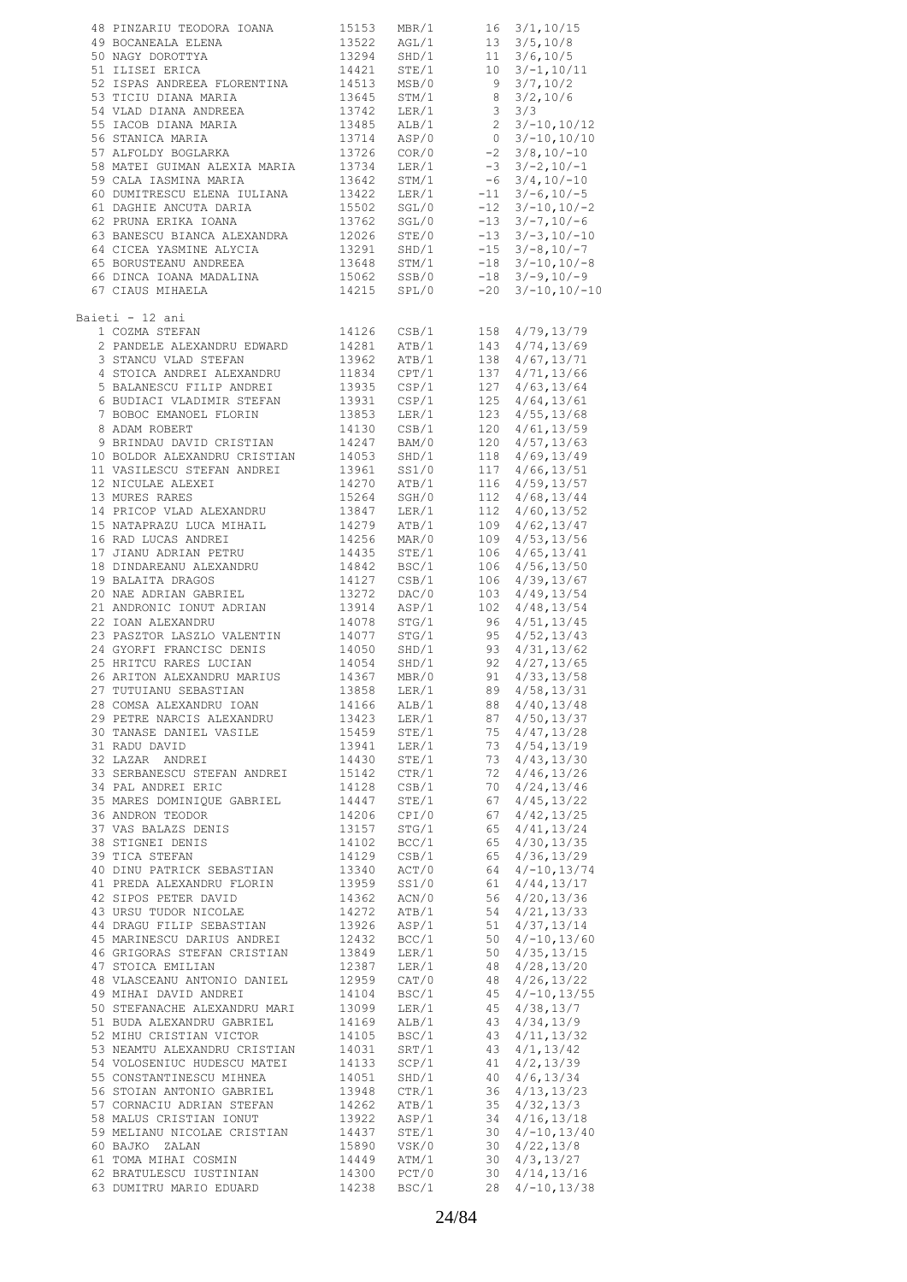| 48 PINZARIU TEODORA IOANA 15153                                                                                         |                |                                                             |                      | MBR/1 16 3/1,10/15                                                                                                                                                                                                    |
|-------------------------------------------------------------------------------------------------------------------------|----------------|-------------------------------------------------------------|----------------------|-----------------------------------------------------------------------------------------------------------------------------------------------------------------------------------------------------------------------|
| 49 BOCANEALA ELENA                                                                                                      | 13522          |                                                             |                      |                                                                                                                                                                                                                       |
| 50 NAGY DOROTTYA<br>51 ILISEI ERICA                                                                                     | 13294          |                                                             |                      |                                                                                                                                                                                                                       |
|                                                                                                                         | 14421<br>14513 |                                                             |                      |                                                                                                                                                                                                                       |
| 52 ISPAS ANDREEA FLORENTINA<br>53 TICIU DIANA MARIA                                                                     | 13645          |                                                             |                      | AGL/1 13 3/5,10/15<br>AGL/1 13 3/5,10/8<br>SHD/1 11 3/6,10/5<br>STE/1 10 3/-1,10/11<br>MSB/0 9 3/7,10/2<br>STM/1 8 3/2,10/6                                                                                           |
| 54 VLAD DIANA ANDREEA                                                                                                   | 13742          |                                                             |                      | 3/3                                                                                                                                                                                                                   |
| 55 IACOB DIANA MARIA                                                                                                    | 13485          |                                                             | LER/1 $3$<br>ALB/1 2 | $3/-10,10/12$                                                                                                                                                                                                         |
| 56 STANICA MARIA                                                                                                        | 13714          |                                                             |                      | ASP/0 $0$ $3/-10,10/10$<br>COR/0 $-2$ $3/8,10/-10$<br>$-3/8,10/-10$<br>$0 \quad 3/-10,10/10$                                                                                                                          |
| 57 ALFOLDY BOGLARKA                                                                                                     | 13726          |                                                             |                      |                                                                                                                                                                                                                       |
| 58 MATEI GUIMAN ALEXIA MARIA                                                                                            | 13734          |                                                             |                      | LER/1 $-3$ $3/-2,10/-1$<br>STM/1 $-6$ $3/4,10/-10$                                                                                                                                                                    |
| 59 CALA IASMINA MARIA                                                                                                   | 13642          |                                                             |                      |                                                                                                                                                                                                                       |
| 60 DUMITRESCU ELENA IULIANA                                                                                             | 13422<br>15502 |                                                             |                      | LER/1 $-11$ $3/-6$ , $10/-5$<br>SGL/0 $-12$ $3/-10$ , $10/-2$                                                                                                                                                         |
| 61 DAGHIE ANCUTA DARIA                                                                                                  |                |                                                             |                      |                                                                                                                                                                                                                       |
|                                                                                                                         |                |                                                             |                      |                                                                                                                                                                                                                       |
| 64 CICEA YASMINE ALYCIA<br>65 BORUSTEANU ANDREEA                                                                        |                |                                                             |                      |                                                                                                                                                                                                                       |
| 65 BORUSTEANU ANDREEA                                                                                                   |                |                                                             |                      |                                                                                                                                                                                                                       |
| 66 DINCA IOANA MADALINA                                                                                                 |                |                                                             |                      | $\begin{array}{cccc} 13291 & 8 \text{HD}/1 & -15 & 3/-8, 10/-7 \\ 13648 & 8 \text{TM}/1 & -18 & 3/-10, 10/-8 \\ 15062 & 8 \text{SB}/0 & -18 & 3/-9, 10/-9 \\ 14215 & 8 \text{PL}/0 & -20 & 3/-10, 10/-10 \end{array}$ |
| 67 CIAUS MIHAELA                                                                                                        |                |                                                             |                      | $3/-10, 10/-10$                                                                                                                                                                                                       |
|                                                                                                                         |                |                                                             |                      |                                                                                                                                                                                                                       |
| Baieti - 12 ani<br>1 COZMA STEFAN                                                                                       | 14126          |                                                             |                      | 158 4/79,13/79                                                                                                                                                                                                        |
| 2 PANDELE ALEXANDRU EDWARD 14281                                                                                        |                | CSB/1<br>ATB/1                                              |                      | 143 4/74,13/69                                                                                                                                                                                                        |
|                                                                                                                         |                |                                                             |                      | 138 4/67, 13/71                                                                                                                                                                                                       |
| 3 STANCU VLAD STEFAN 13962 ATB/1<br>4 STOICA ANDREI ALEXANDRU 11834 CPT/1                                               |                |                                                             |                      | 137 4/71, 13/66                                                                                                                                                                                                       |
| 5 BALANESCU FILIP ANDREI 13935<br>6 BUDIACI VLADIMIR STEFAN 13931                                                       |                |                                                             |                      | CSP/1 127 4/63,13/64<br>CSP/1 125 4/64,13/61                                                                                                                                                                          |
|                                                                                                                         |                |                                                             |                      |                                                                                                                                                                                                                       |
| T BOBOC EMANOEL FLORIN 13853<br>8 ADAM ROBERT 14130                                                                     |                | LER/1<br>CSB/1<br>BAM/0<br>SHD/1<br>SS1/0<br>ATB/1<br>ATB/1 |                      | 123 4/55,13/68                                                                                                                                                                                                        |
|                                                                                                                         |                |                                                             |                      | 120 4/61, 13/59                                                                                                                                                                                                       |
| 9 BRINDAU DAVID CRISTIAN<br>10 BOLDOR ALEXANDRU CRISTIAN                                                                | 14247<br>14053 |                                                             |                      | $120 \quad 4/57, 13/63$<br>118 4/69,13/49                                                                                                                                                                             |
|                                                                                                                         |                |                                                             |                      | $117 \quad 4/66, 13/51$                                                                                                                                                                                               |
| $\begin{tabular}{lllllll} 11 & VASILESCU STEFAN ANDREI & & & 13961 \\ 12 & NICULAE ALEXEI & & & 14270 \\ \end{tabular}$ |                |                                                             | 116                  | 4/59, 13/57                                                                                                                                                                                                           |
| 12 NICULAE ALEXEI<br>13 MURES RARES                                                                                     | 15264          |                                                             | 112                  | 4/68, 13/44                                                                                                                                                                                                           |
| 14 PRICOP VLAD ALEXANDRU                                                                                                | 13847          |                                                             | 112                  | 4/60, 13/52                                                                                                                                                                                                           |
| 15 NATAPRAZU LUCA MIHAIL                                                                                                | 14279          |                                                             | 109                  | 4/62, 13/47                                                                                                                                                                                                           |
| 16 RAD LUCAS ANDREI                                                                                                     | 14256          | SGH/0<br>LER/1<br>ATB/1<br>MAR/0<br>STE/1<br>BSC/1<br>BSC/1 | 109                  | 4/53, 13/56                                                                                                                                                                                                           |
| 17 JIANU ADRIAN PETRU                                                                                                   | 14435          |                                                             | 106                  | 4/65, 13/41                                                                                                                                                                                                           |
| 18 DINDAREANU ALEXANDRU<br>19 BALAITA DRAGOS                                                                            | 14842<br>14127 |                                                             | 106                  | 4/56, 13/50                                                                                                                                                                                                           |
| 20 NAE ADRIAN GABRIEL                                                                                                   | 13272          |                                                             |                      | CSB/1 106 4/39,13/67<br>DAC/0 103 4/49,13/54<br>ASP/1 102 4/48,13/54<br>ASP/1 02 4/48,13/54                                                                                                                           |
| 21 ANDRONIC IONUT ADRIAN                                                                                                | 13914          |                                                             |                      |                                                                                                                                                                                                                       |
| 22 IOAN ALEXANDRU                                                                                                       | 14078          |                                                             |                      | 96 4/51,13/45                                                                                                                                                                                                         |
| 23 PASZTOR LASZLO VALENTIN                                                                                              | 14077          | STG/1<br>STG/1<br>SHD/1                                     |                      | 95 4/52,13/43                                                                                                                                                                                                         |
| 24 GYORFI FRANCISC DENIS                                                                                                | 14050          |                                                             |                      | 93 4/31,13/62                                                                                                                                                                                                         |
| 25 HRITCU RARES LUCIAN                                                                                                  |                |                                                             |                      | 14054 SHD/1 92 4/27,13/65<br>14367 MBR/0 91 4/33,13/58<br>13858 LER/1 89 4/58,13/31                                                                                                                                   |
| 26 ARITON ALEXANDRU MARIUS                                                                                              |                |                                                             |                      |                                                                                                                                                                                                                       |
| 27 TUTUIANU SEBASTIAN<br>28 COMSA ALEXANDRU IOAN                                                                        | 14166 ALB/1    |                                                             |                      | 88 4/40,13/48                                                                                                                                                                                                         |
| 29 PETRE NARCIS ALEXANDRU                                                                                               | 13423          | LER/1                                                       |                      | $87 \quad 4/50, 13/37$                                                                                                                                                                                                |
| 30 TANASE DANIEL VASILE                                                                                                 | 15459          | STE/1                                                       |                      | 75 4/47, 13/28                                                                                                                                                                                                        |
| 31 RADU DAVID                                                                                                           | 13941          | LER/1                                                       |                      | 73 4/54,13/19                                                                                                                                                                                                         |
| 32 LAZAR ANDREI                                                                                                         | 14430          | STE/1                                                       | 73                   | 4/43, 13/30                                                                                                                                                                                                           |
| 33 SERBANESCU STEFAN ANDREI                                                                                             | 15142          | CTR/1                                                       | 72                   | 4/46, 13/26                                                                                                                                                                                                           |
| 34 PAL ANDREI ERIC                                                                                                      | 14128          | CSB/1                                                       |                      | $70 \quad 4/24, 13/46$                                                                                                                                                                                                |
| 35 MARES DOMINIQUE GABRIEL                                                                                              | 14447          | STE/1                                                       | 67                   | 4/45, 13/22                                                                                                                                                                                                           |
| 36 ANDRON TEODOR<br>37 VAS BALAZS DENIS                                                                                 | 14206<br>13157 | CPI/0<br>STG/1                                              | 67<br>65             | 4/42, 13/25<br>4/41, 13/24                                                                                                                                                                                            |
| 38 STIGNEI DENIS                                                                                                        | 14102          | BCC/1                                                       | 65                   | 4/30, 13/35                                                                                                                                                                                                           |
| 39 TICA STEFAN                                                                                                          | 14129          | CSB/1                                                       | 65                   | 4/36, 13/29                                                                                                                                                                                                           |
| 40 DINU PATRICK SEBASTIAN                                                                                               | 13340          | ACT/0                                                       | 64                   | $4/-10,13/74$                                                                                                                                                                                                         |
| 41 PREDA ALEXANDRU FLORIN                                                                                               | 13959          | SS1/0                                                       | 61                   | 4/44, 13/17                                                                                                                                                                                                           |
| 42 SIPOS PETER DAVID                                                                                                    | 14362          | ACN/0                                                       | 56                   | 4/20, 13/36                                                                                                                                                                                                           |
| 43 URSU TUDOR NICOLAE                                                                                                   | 14272          | ATB/1                                                       | 54                   | 4/21, 13/33                                                                                                                                                                                                           |
| 44 DRAGU FILIP SEBASTIAN<br>45 MARINESCU DARIUS ANDREI                                                                  | 13926<br>12432 | ASP/1<br>BCC/1                                              | 51                   | 4/37, 13/14<br>50 $4/-10, 13/60$                                                                                                                                                                                      |
| 46 GRIGORAS STEFAN CRISTIAN                                                                                             | 13849          | LER/1                                                       |                      | $50 \quad 4/35, 13/15$                                                                                                                                                                                                |
| 47 STOICA EMILIAN                                                                                                       | 12387          | LER/1                                                       | 48                   | 4/28, 13/20                                                                                                                                                                                                           |
| 48 VLASCEANU ANTONIO DANIEL                                                                                             | 12959          | CAT/0                                                       | 48                   | 4/26, 13/22                                                                                                                                                                                                           |
| 49 MIHAI DAVID ANDREI                                                                                                   | 14104          | BSC/1                                                       | 45                   | $4/-10, 13/55$                                                                                                                                                                                                        |
| 50 STEFANACHE ALEXANDRU MARI                                                                                            | 13099          | LER/1                                                       | 45                   | 4/38, 13/7                                                                                                                                                                                                            |
| 51 BUDA ALEXANDRU GABRIEL                                                                                               | 14169          | ALB/1                                                       | 43                   | 4/34, 13/9                                                                                                                                                                                                            |
| 52 MIHU CRISTIAN VICTOR                                                                                                 | 14105          | BSC/1                                                       | 43                   | 4/11, 13/32                                                                                                                                                                                                           |
| 53 NEAMTU ALEXANDRU CRISTIAN<br>54 VOLOSENIUC HUDESCU MATEI                                                             | 14031<br>14133 | SRT/1<br>SCP/1                                              | 43                   | 4/1, 13/42<br>$41 \quad 4/2, 13/39$                                                                                                                                                                                   |
| 55 CONSTANTINESCU MIHNEA                                                                                                | 14051          | SHD/1                                                       | 40                   | $4/6$ , 13/34                                                                                                                                                                                                         |
| 56 STOIAN ANTONIO GABRIEL                                                                                               | 13948          | CTR/1                                                       | 36                   | 4/13, 13/23                                                                                                                                                                                                           |
| 57 CORNACIU ADRIAN STEFAN                                                                                               | 14262          | ATB/1                                                       | 35                   | 4/32, 13/3                                                                                                                                                                                                            |
| 58 MALUS CRISTIAN IONUT                                                                                                 | 13922          | ASP/1                                                       | 34                   | 4/16, 13/18                                                                                                                                                                                                           |
| 59 MELIANU NICOLAE CRISTIAN                                                                                             | 14437          | STE/1                                                       | 30                   | $4/-10,13/40$                                                                                                                                                                                                         |
| 60 BAJKO ZALAN                                                                                                          | 15890          | VSK/0                                                       | 30                   | 4/22, 13/8                                                                                                                                                                                                            |
| 61 TOMA MIHAI COSMIN<br>62 BRATULESCU IUSTINIAN                                                                         | 14449<br>14300 | ATM/1<br>PCT/0                                              | 30<br>30             | 4/3, 13/27<br>4/14, 13/16                                                                                                                                                                                             |
| 63 DUMITRU MARIO EDUARD                                                                                                 | 14238          | BSC/1                                                       | 28                   | $4/-10, 13/38$                                                                                                                                                                                                        |
|                                                                                                                         |                |                                                             |                      |                                                                                                                                                                                                                       |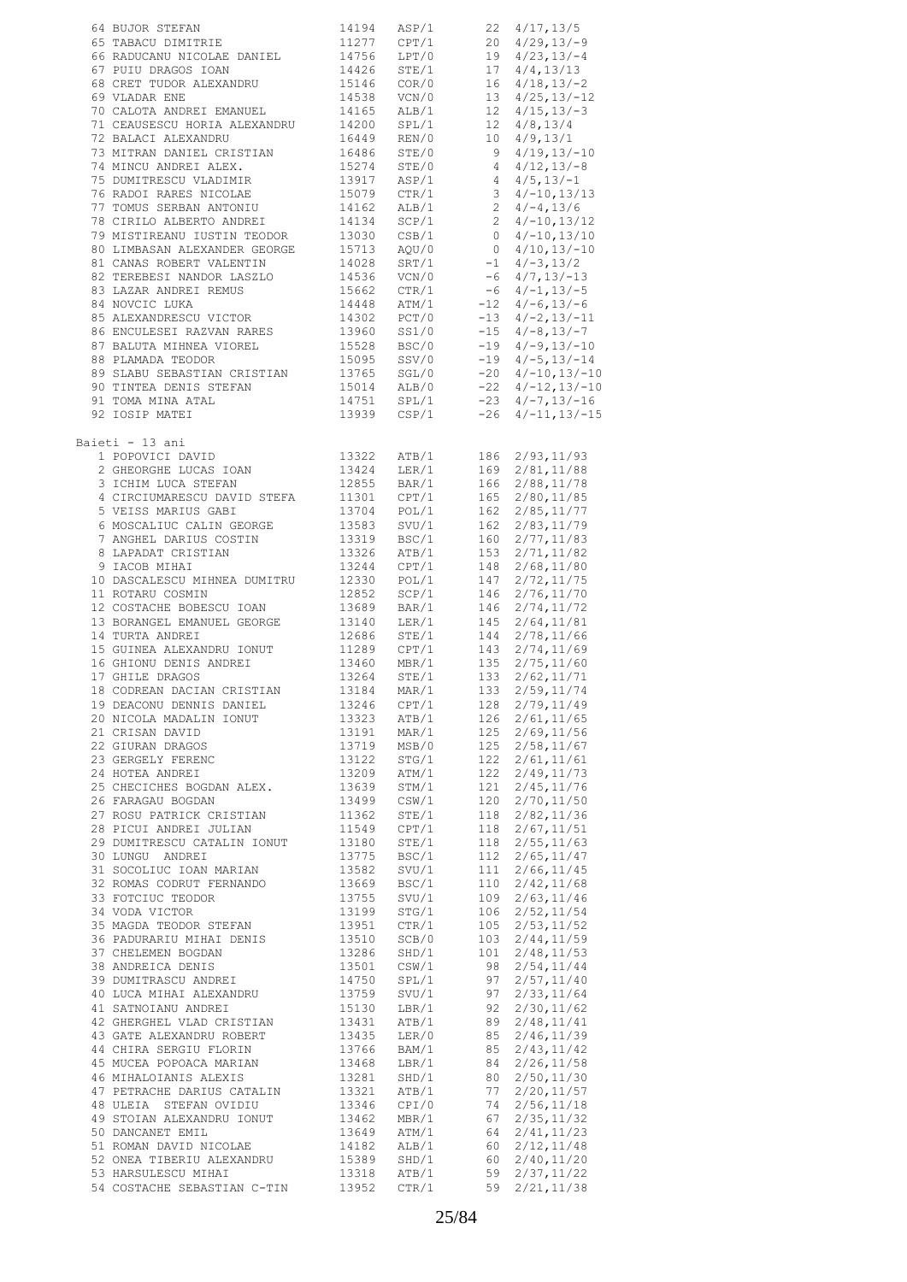| 64 BUJOR STEFAN                                                | 14194                                                                                                  | ASP/1                                     |                         | $22 \quad 4/17, 13/5$                                                                             |
|----------------------------------------------------------------|--------------------------------------------------------------------------------------------------------|-------------------------------------------|-------------------------|---------------------------------------------------------------------------------------------------|
| 65 TABACU DIMITRIE                                             | 11277                                                                                                  | CPT/1                                     |                         | $20 \quad 4/29, 13/-9$                                                                            |
| 66 RADUCANU NICOLAE DANIEL                                     | 14756                                                                                                  | LPT/0                                     |                         | $19 \quad 4/23, 13/-4$                                                                            |
| 67 PUIU DRAGOS IOAN                                            | 14426                                                                                                  | STE/1                                     |                         | $17 \quad 4/4, 13/13$                                                                             |
| 68 CRET TUDOR ALEXANDRU                                        | 15146                                                                                                  | COR/0                                     | 16                      | $4/18, 13/-2$                                                                                     |
| 69 VLADAR ENE                                                  | 14538                                                                                                  | VCN/0                                     |                         | $13 \quad 4/25, 13/-12$                                                                           |
| 70 CALOTA ANDREI EMANUEL                                       | 14165                                                                                                  | ALB/1                                     | 12                      | $4/15$ , 13/-3                                                                                    |
| 71 CEAUSESCU HORIA ALEXANDRU 14200                             |                                                                                                        | SPL/1                                     | 12                      | 4/8, 13/4                                                                                         |
| 72 BALACI ALEXANDRU                                            | 16449                                                                                                  | REN/0                                     | 10                      | 4/9, 13/1                                                                                         |
| 73 MITRAN DANIEL CRISTIAN 16486                                |                                                                                                        | STE/0                                     | 9                       | $4/19, 13/-10$                                                                                    |
| 74 MINCU ANDREI ALEX.                                          | 15274                                                                                                  | STE/0                                     |                         | $4/12, 13/-8$                                                                                     |
| 75 DUMITRESCU VLADIMIR                                         | 13917                                                                                                  | ASP/1                                     | $4\overline{4}$         | $4/5, 13/ - 1$                                                                                    |
| 76 RADOI RARES NICOLAE                                         | 15079                                                                                                  | $\texttt{CTR}/\texttt{1}$<br>ALB/1        | $\overline{\mathbf{3}}$ | $4/-10, 13/13$                                                                                    |
| 77 TOMUS SERBAN ANTONIU<br>78 CIRILO ALBERTO ANDREI            | 14162                                                                                                  |                                           | $\overline{2}$          | $4/-4, 13/6$                                                                                      |
| 79 MISTIREANU IUSTIN TEODOR 13030                              | 14134                                                                                                  | SCP/1<br>CSB/1                            | 2                       | $4/-10, 13/12$<br>$0 \quad 4/-10,13/10$                                                           |
| 80 LIMBASAN ALEXANDER GEORGE                                   | 15713                                                                                                  | AQU/0                                     |                         | $0 \quad 4/10, 13/-10$                                                                            |
| 81 CANAS ROBERT VALENTIN                                       | 14028                                                                                                  | SRT/1                                     |                         | $-1$ 4/-3, 13/2                                                                                   |
|                                                                |                                                                                                        | VCN/0                                     |                         | $-6$ 4/7, 13/-13                                                                                  |
| 82 TEREBESI NANDOR LASZLO<br>83 LAZAR ANDREI REMUS             | 14536<br>15662                                                                                         | CTR/1                                     |                         | $-6$ 4/-1, 13/-5                                                                                  |
| 84 NOVCIC LUKA                                                 | 14448                                                                                                  | ATM/1                                     |                         | $-12 \quad 4/-6, 13/-6$                                                                           |
| 85 ALEXANDRESCU VICTOR                                         | 14302                                                                                                  |                                           | $PCT/0$ -13             | $4/-2$ , 13/-11                                                                                   |
| 86 ENCULESEI RAZVAN RARES                                      | 13960                                                                                                  | SS1/0                                     |                         | $-15$ $4/-8$ , 13/-7                                                                              |
| 87 BALUTA MIHNEA VIOREL                                        | 15528                                                                                                  | BSC/0                                     |                         | $-19$ $4/-9$ , $13/-10$                                                                           |
| 88 PLAMADA TEODOR                                              | 15095                                                                                                  |                                           |                         |                                                                                                   |
| 88 PLAMADA TEODOR 15095<br>89 SLABU SEBASTIAN CRISTIAN 13765   |                                                                                                        |                                           |                         | $SSV/0 \qquad \qquad -19 \quad \  4/-5,13/-14$<br>$SGL/0 \qquad \qquad -20 \quad \  4/-10,13/-10$ |
|                                                                | 15014                                                                                                  |                                           |                         |                                                                                                   |
| 90 TINTEA DENIS STEFAN<br>91 TOMA MINA ATAL<br>92 IOSIP MATEI  | 14751                                                                                                  |                                           |                         | ALB/0 -22 4/-12,13/-10<br>SPL/1 -23 4/-7,13/-16                                                   |
|                                                                | 13939                                                                                                  |                                           |                         | $CSP/1$ -26 $4/-11, 13/-15$                                                                       |
|                                                                |                                                                                                        |                                           |                         |                                                                                                   |
| Baieti - 13 ani                                                |                                                                                                        |                                           |                         |                                                                                                   |
| 1 POPOVICI DAVID                                               | 13322                                                                                                  |                                           | ATB/1 186               | 2/93, 11/93                                                                                       |
| 1 FUEUVILL LICAS IOAN<br>2 GHEORGHE LUCAS IOAN                 | 13424                                                                                                  | LER/1<br>BAR/1                            |                         | 169  2/81,11/88<br>166  2/88,11/78                                                                |
| 3 ICHIM LUCA STEFAN                                            | 12855                                                                                                  |                                           |                         |                                                                                                   |
| 4 CIRCIUMARESCU DAVID STEFA 11301<br>5 VEISS MARIUS GABI 13704 |                                                                                                        | CPT/1<br>POL/1<br>SVU/1<br>BSC/1<br>Amp/1 |                         | 165  2/80,11/85<br>162  2/85,11/77                                                                |
|                                                                |                                                                                                        |                                           |                         |                                                                                                   |
| 6 MOSCALIUC CALIN GEORGE                                       | 13583<br>13319                                                                                         |                                           |                         | $162 \t2/83, 11/79$                                                                               |
| 7 ANGHEL DARIUS COSTIN                                         |                                                                                                        |                                           | 160                     | 2/77, 11/83                                                                                       |
| 8 LAPADAT CRISTIAN                                             | 13326                                                                                                  | ATB/1<br>CPT/1                            |                         | 153 2/71,11/82                                                                                    |
| 9 IACOB MIHAI                                                  | 13244                                                                                                  |                                           | 148                     | 2/68, 11/80                                                                                       |
| 10 DASCALESCU MIHNEA DUMITRU 12330                             |                                                                                                        |                                           | 147                     | 2/72, 11/75                                                                                       |
| 11 ROTARU COSMIN<br>12 COSTACHE BOBESCU IOAN                   |                                                                                                        |                                           | 146                     | 2/76, 11/70                                                                                       |
| 13 BORANGEL EMANUEL GEORGE                                     | 12330 POL/1<br>12852 SCP/1<br>13689 BAR/1<br>13140 LER/1<br>1289 CPT/1<br>1249 MPP/1<br>13689<br>13140 |                                           | 146<br>145              | 2/74, 11/72<br>2/64, 11/81                                                                        |
| 14 TURTA ANDREI                                                |                                                                                                        |                                           | 144                     | 2/78, 11/66                                                                                       |
| 15 GUINEA ALEXANDRU IONUT                                      |                                                                                                        |                                           | 143                     | 2/74, 11/69                                                                                       |
| 16 GHIONU DENIS ANDREI                                         |                                                                                                        |                                           |                         |                                                                                                   |
| 17 GHILE DRAGOS                                                | 13460<br>13264                                                                                         |                                           |                         | MBR/1 135 2/75,11/60<br>STE/1 133 2/62,11/71                                                      |
| 18 CODREAN DACIAN CRISTIAN                                     | 13184                                                                                                  | MAR/1                                     | 133                     | 2/59, 11/74                                                                                       |
| 19 DEACONU DENNIS DANIEL                                       |                                                                                                        | 13246 CPT/1                               |                         | 128 2/79,11/49                                                                                    |
| 20 NICOLA MADALIN IONUT                                        | 13323                                                                                                  | ATB/1                                     | 126                     | 2/61, 11/65                                                                                       |
| 21 CRISAN DAVID                                                | 13191                                                                                                  | MAR/1                                     |                         | 125 2/69, 11/56                                                                                   |
| 22 GIURAN DRAGOS                                               | 13719                                                                                                  | MSB/0                                     | 125                     | 2/58, 11/67                                                                                       |
| 23 GERGELY FERENC                                              | 13122                                                                                                  | STG/1                                     | 122                     | 2/61, 11/61                                                                                       |
| 24 HOTEA ANDREI                                                | 13209                                                                                                  | ATM/1                                     | 122                     | 2/49, 11/73                                                                                       |
| 25 CHECICHES BOGDAN ALEX.                                      | 13639                                                                                                  | STM/1                                     | 121                     | 2/45, 11/76                                                                                       |
| 26 FARAGAU BOGDAN                                              | 13499                                                                                                  | $\texttt{CSW}/1$                          | 120                     | 2/70, 11/50                                                                                       |
| 27 ROSU PATRICK CRISTIAN                                       | 11362                                                                                                  | STE/1                                     | 118                     | 2/82, 11/36                                                                                       |
| 28 PICUI ANDREI JULIAN                                         | 11549                                                                                                  | CPT/1                                     | 118                     | 2/67, 11/51                                                                                       |
| 29 DUMITRESCU CATALIN IONUT                                    | 13180                                                                                                  | STE/1                                     | 118                     | 2/55, 11/63                                                                                       |
| 30 LUNGU ANDREI                                                | 13775                                                                                                  | BSC/1                                     | 112                     | 2/65, 11/47                                                                                       |
| 31 SOCOLIUC IOAN MARIAN                                        | 13582                                                                                                  | SVU/1                                     | 111                     | 2/66, 11/45                                                                                       |
| 32 ROMAS CODRUT FERNANDO                                       | 13669                                                                                                  | BSC/1                                     | 110                     | 2/42, 11/68                                                                                       |
| 33 FOTCIUC TEODOR                                              | 13755                                                                                                  | SVU/1                                     | 109                     | 2/63, 11/46                                                                                       |
| 34 VODA VICTOR                                                 | 13199                                                                                                  | STG/1                                     | 106                     | 2/52, 11/54                                                                                       |
| 35 MAGDA TEODOR STEFAN                                         | 13951                                                                                                  | CTR/1                                     | 105                     | 2/53, 11/52                                                                                       |
| 36 PADURARIU MIHAI DENIS<br>37 CHELEMEN BOGDAN                 | 13510<br>13286                                                                                         | SCB/0<br>SHD/1                            | 103<br>101              | 2/44, 11/59                                                                                       |
| 38 ANDREICA DENIS                                              | 13501                                                                                                  | $\texttt{CSW}/1$                          | 98                      | 2/48, 11/53<br>2/54, 11/44                                                                        |
| 39 DUMITRASCU ANDREI                                           | 14750                                                                                                  | SPL/1                                     | 97                      | 2/57, 11/40                                                                                       |
| 40 LUCA MIHAI ALEXANDRU                                        | 13759                                                                                                  | SVU/1                                     | 97                      | 2/33, 11/64                                                                                       |
| 41 SATNOIANU ANDREI                                            | 15130                                                                                                  | LBR/1                                     | 92                      | 2/30, 11/62                                                                                       |
| 42 GHERGHEL VLAD CRISTIAN                                      | 13431                                                                                                  | ATB/1                                     | 89                      | 2/48, 11/41                                                                                       |
| 42 GATE ALEXANDRU ROBERT<br>43 GATE ALEXANDRU ROBERT           |                                                                                                        | LER/0                                     | 85                      | 2/46, 11/39                                                                                       |
| 44 CHIRA SERGIU FLORIN                                         | 13435<br>13766                                                                                         | BAM/1                                     | 85                      | 2/43, 11/42                                                                                       |
|                                                                | 13468                                                                                                  | LBR/1                                     | 84                      | 2/26, 11/58                                                                                       |
| 45 MUCEA POPOACA MARIAN<br>46 MIHALOIANIS ALEXIS               | 13281                                                                                                  | SHD/1                                     | 80                      | 2/50, 11/30                                                                                       |
|                                                                |                                                                                                        | ATB/1                                     | 77                      | 2/20, 11/57                                                                                       |
| 47 PETRACHE DARIUS CATALIN<br>48 ULEIA STEFAN OVIDIU           | 13321<br>13346                                                                                         | CPI/0                                     | 74                      | 2/56, 11/18                                                                                       |
| 49 STOIAN ALEXANDRU IONUT                                      | 13462<br>13649                                                                                         | MBR/1                                     |                         | $67$ $2/35$ , $11/32$                                                                             |
| 50 DANCANET EMIL                                               |                                                                                                        | ATM/1                                     | 64                      | 2/41, 11/23                                                                                       |
| 51 ROMAN DAVID NICOLAE                                         | 14182                                                                                                  | ALB/1                                     |                         | $60 \quad 2/12, 11/48$                                                                            |
| 52 ONEA TIBERIU ALEXANDRU                                      | 15389                                                                                                  | SHD/1                                     | 60                      | 2/40, 11/20                                                                                       |
| 53 HARSULESCU MIHAI                                            | 13318                                                                                                  | ATB/1                                     |                         | 59 2/37, 11/22                                                                                    |
| 54 COSTACHE SEBASTIAN C-TIN                                    | 13952                                                                                                  | CTR/1                                     | 59                      | 2/21, 11/38                                                                                       |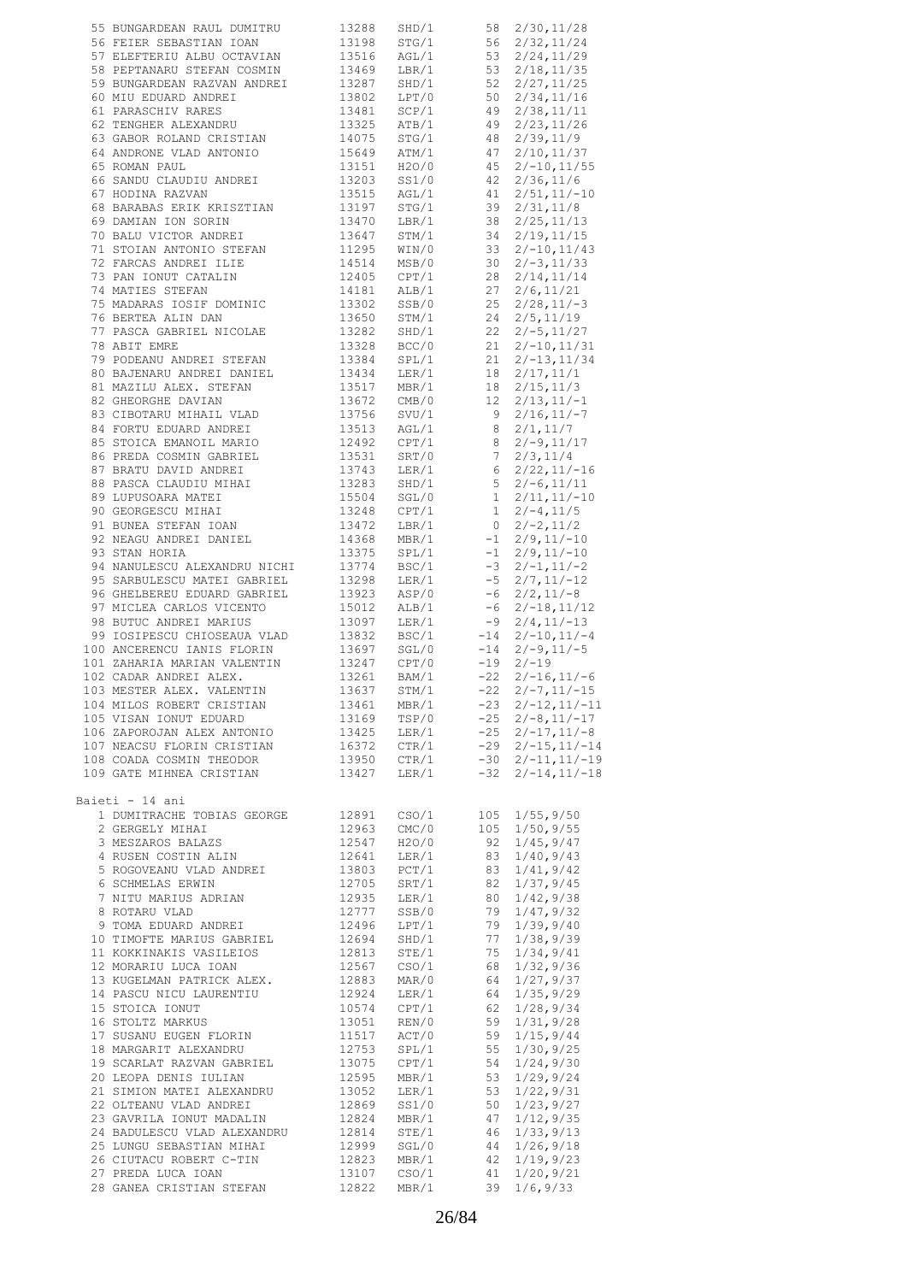| 55 BUNGARDEAN RAUL DUMITRU                                                                                                                | 13288<br>13198             | SHD/1                      | 58              | 2/30, 11/28              |
|-------------------------------------------------------------------------------------------------------------------------------------------|----------------------------|----------------------------|-----------------|--------------------------|
| 56 FEIER SEBASTIAN IOAN                                                                                                                   |                            | STG/1                      | 56              | 2/32, 11/24              |
|                                                                                                                                           |                            | AGL/1                      | 53              | 2/24, 11/29              |
| 57 ELEFTERIU ALBU OCTAVIAN<br>58 PEPTANARU STEFAN COSMIN                                                                                  | 13516<br>13469             | LBR/1                      | 53              | 2/18, 11/35              |
|                                                                                                                                           |                            | SHD/1                      |                 | $52 \quad 2/27, 11/25$   |
| 59 BUNGARDEAN RAZVAN ANDREI 13287<br>60 MIU EDUARD ANDREI 13802                                                                           |                            |                            |                 |                          |
|                                                                                                                                           |                            | LPT/0                      | 50              | 2/34, 11/16              |
| 61 PARASCHIV RARES                                                                                                                        | 13481<br>13325             | SCP/1                      |                 | 49 2/38, 11/11           |
| 62 TENGHER ALEXANDRU                                                                                                                      |                            | ATB/1                      |                 | 49 2/23, 11/26           |
| 63 GABOR ROLAND CRISTIAN                                                                                                                  | 14075<br>15649             | STG/1                      |                 | 48 2/39, 11/9            |
| 64 ANDRONE VLAD ANTONIO                                                                                                                   |                            | ATM/1                      |                 | 47 2/10, 11/37           |
| 65 ROMAN PAUL                                                                                                                             | 13151                      | H2O/0                      |                 | $45 \quad 2/-10, 11/55$  |
| 66 SANDU CLAUDIU ANDREI                                                                                                                   | 13203                      | SS1/0                      | 42              | 2/36, 11/6               |
|                                                                                                                                           |                            |                            |                 |                          |
| 67 HODINA RAZVAN                                                                                                                          | 13515                      | AGL/1                      | 41              | $2/51, 11/ -10$          |
| 68 BARABAS ERIK KRISZTIAN                                                                                                                 | 13197                      | STG/1                      | 39              | 2/31, 11/8               |
| 69 DAMIAN ION SORIN                                                                                                                       |                            | LBR/1                      | 38              | 2/25, 11/13              |
| 70 BALU VICTOR ANDREI                                                                                                                     | 13470<br>13647             | STM/1                      | 34              | 2/19, 11/15              |
| 71 STOIAN ANTONIO STEFAN                                                                                                                  |                            | WIN/0                      | 33              | $2/-10, 11/43$           |
| 72 FARCAS ANDREI ILIE                                                                                                                     | 11295<br>14514             | MSB/0                      | 30              | $2/-3, 11/33$            |
| 73 PAN IONUT CATALIN                                                                                                                      | 12405                      | CPT/1                      | 28              | 2/14, 11/14              |
|                                                                                                                                           |                            |                            |                 |                          |
| 74 MATIES STEFAN                                                                                                                          | 14181                      | ALB/1                      | 27              | 2/6, 11/21               |
| 75 MADARAS IOSIF DOMINIC                                                                                                                  | 13302<br>13650             | SSB/0                      | 25              | $2/28, 11/ - 3$          |
| 76 BERTEA ALIN DAN                                                                                                                        |                            | STM/1                      | 24              | 2/5, 11/19               |
| 77 PASCA GABRIEL NICOLAE                                                                                                                  | 13282                      | SHD/1                      | 22              | $2/-5, 11/27$            |
| 78 ABIT EMRE                                                                                                                              | 13328                      | BCC/0                      | 21              | $2/-10, 11/31$           |
| 79 PODEANU ANDREI STEFAN                                                                                                                  |                            | SPL/1                      | 21              | $2/-13, 11/34$           |
| 80 BAJENARU ANDREI DANIEL                                                                                                                 | 13384<br>13434             |                            |                 |                          |
|                                                                                                                                           |                            | $\rm LER/1$                | 18              | 2/17, 11/1               |
| 81 MAZILU ALEX. STEFAN                                                                                                                    | 13517                      | MBR/1                      | 18              | 2/15, 11/3               |
| 82 GHEORGHE DAVIAN                                                                                                                        | 13672                      | $\texttt{CMB}/\texttt{0}$  | 12              | $2/13, 11/-1$            |
| 83 CIBOTARU MIHAIL VLAD                                                                                                                   | 13756<br>13513             | SVU/1                      | 9               | $2/16, 11/ -7$           |
| 84 FORTU EDUARD ANDREI                                                                                                                    |                            | AGL/1                      | 8               | 2/1, 11/7                |
| 85 STOICA EMANOIL MARIO                                                                                                                   | 12492                      | CPT/1                      | - 8             | $2/-9, 11/17$            |
|                                                                                                                                           |                            |                            |                 |                          |
| 86 PREDA COSMIN GABRIEL                                                                                                                   | 13531                      | SRT/0                      | $7\phantom{.0}$ | 2/3, 11/4                |
| 87 BRATU DAVID ANDREI                                                                                                                     | 13743                      | LER/1                      | 6               | $2/22, 11/ - 16$         |
| 88 PASCA CLAUDIU MIHAI                                                                                                                    | 13283                      | SHD/1                      | 5 <sub>1</sub>  | $2/-6, 11/11$            |
| 89 LUPUSOARA MATEI                                                                                                                        | 15504                      | SGL/0                      | 1               | $2/11, 11/-10$           |
| 90 GEORGESCU MIHAI                                                                                                                        | 13248                      | CPT/1                      | $\mathbf{1}$    | $2/-4, 11/5$             |
| 91 BUNEA STEFAN IOAN                                                                                                                      | 13472                      | LBR/1                      | $\overline{0}$  | $2/-2, 11/2$             |
|                                                                                                                                           |                            |                            |                 |                          |
| 92 NEAGU ANDREI DANIEL                                                                                                                    | 14368                      | MBR/1                      | $-1$            | $2/9, 11/ - 10$          |
| 93 STAN HORIA                                                                                                                             | 13375                      | SPL/1                      | $-1$            | $2/9, 11/ - 10$          |
| 94 NANULESCU ALEXANDRU NICHI                                                                                                              | 13774                      | BSC/1                      | $-3$            | $2/-1, 11/-2$            |
| 95 SARBULESCU MATEI GABRIEL                                                                                                               | 13298                      | $\rm LER/1$                | $-5$            | $2/7, 11/ - 12$          |
|                                                                                                                                           |                            | ASP/0                      | $-6$            | $2/2, 11/ - 8$           |
| 96 GHELBEREU EDUARD GABRIEL<br>97 MICLEA CARLOS VICENTO                                                                                   | 13923<br>15012             | ALB/1                      |                 | $-6$ 2/-18, 11/12        |
|                                                                                                                                           |                            |                            |                 |                          |
| 98 BUTUC ANDREI MARIUS 13097<br>99 IOSIPESCU CHIOSEAUA VLAD 13832                                                                         |                            | LER/1                      |                 | $-9$ $2/4$ , 11/-13      |
| 1983<br>101 ZAHARIA MARIAN VALENTIN 13697<br>102 CADAR ANDREI ALEX. 13247<br>103 MESTER ALEX. VALENTIN 13637<br>104 MILOS ROBERT CRISTIAN |                            | BSC/1                      |                 | $-14$ $2/-10$ , $11/-4$  |
|                                                                                                                                           |                            | SGL/0                      |                 | $-14$ $2/-9$ , $11/-5$   |
|                                                                                                                                           |                            | CPT/0                      |                 | $-19$ $2/-19$            |
|                                                                                                                                           |                            | BAM/1                      | $-22$           | $2/-16$ , 11/-6          |
|                                                                                                                                           |                            | STM/1                      | $-22$           | $2/-7, 11/-15$           |
|                                                                                                                                           |                            |                            |                 | $-23$ $2/-12$ , $11/-11$ |
|                                                                                                                                           | 13461                      | MBR/1                      |                 |                          |
| 105 VISAN IONUT EDUARD                                                                                                                    | 13169                      | TSP/0                      |                 | $-25$ $2/-8$ , 11/-17    |
| 106 ZAPOROJAN ALEX ANTONIO<br>107 NEACSU FLORIN CRISTIAN                                                                                  | 13425 LER/1<br>16372 CTR/1 | $\mathtt{LER}/1$           |                 | $-25$ $2/-17$ , $11/-8$  |
|                                                                                                                                           |                            |                            |                 | $-29$ $2/-15$ , 11/-14   |
| 108 COADA COSMIN THEODOR                                                                                                                  |                            |                            |                 | $-30$ $2/-11$ , $11/-19$ |
| 109 GATE MIHNEA CRISTIAN                                                                                                                  |                            | 13950 CTR/1<br>13427 LER/1 |                 | $-32$ $2/-14$ , $11/-18$ |
|                                                                                                                                           |                            |                            |                 |                          |
| Baieti - 14 ani                                                                                                                           |                            |                            |                 |                          |
| 1 DUMITRACHE TOBIAS GEORGE                                                                                                                | 12891                      | $\text{CSO}/1$             | 105             | 1/55, 9/50               |
| 2 GERGELY MIHAI                                                                                                                           | 12963                      | CMC/0                      | 105             | 1/50, 9/55               |
| 3 MESZAROS BALAZS                                                                                                                         |                            |                            |                 |                          |
|                                                                                                                                           | 12547                      | H2O/0                      | 92              | 1/45, 9/47               |
| 4 RUSEN COSTIN ALIN                                                                                                                       | 12641                      | LER/1                      | 83              | 1/40, 9/43               |
| 5 ROGOVEANU VLAD ANDREI                                                                                                                   | 13803                      | PCT/1                      | 83              | 1/41, 9/42               |
| 6 SCHMELAS ERWIN                                                                                                                          | 12705                      | SRT/1                      | 82              | 1/37, 9/45               |
| 7 NITU MARIUS ADRIAN                                                                                                                      | 12935                      | $\text{LER}/1$             | 80              | 1/42, 9/38               |
| 8 ROTARU VLAD                                                                                                                             | 12777                      | SSB/0                      | 79              | 1/47, 9/32               |
| 9 TOMA EDUARD ANDREI                                                                                                                      | 12496                      | LPT/1                      | 79              | 1/39, 9/40               |
|                                                                                                                                           |                            |                            |                 |                          |
| 10 TIMOFTE MARIUS GABRIEL                                                                                                                 | 12694                      | SHD/1                      | 77              | 1/38, 9/39               |
| 11 KOKKINAKIS VASILEIOS                                                                                                                   | 12813                      | $\texttt{STE}/\texttt{1}$  | 75              | 1/34, 9/41               |
| 12 MORARIU LUCA IOAN                                                                                                                      | 12567 CSO/1                |                            | 68              | 1/32, 9/36               |
| 13 KUGELMAN PATRICK ALEX.                                                                                                                 | 12883                      | MAR/0                      | 64              | 1/27, 9/37               |
| 14 PASCU NICU LAURENTIU                                                                                                                   | 12924                      | LER/1                      | 64              | 1/35,9/29                |
| 15 STOICA IONUT                                                                                                                           | 10574                      | CPT/1                      | 62              | 1/28, 9/34               |
|                                                                                                                                           |                            |                            |                 |                          |
| 16 STOLTZ MARKUS                                                                                                                          | 13051                      | REN/0                      | 59              | 1/31, 9/28               |
| 17 SUSANU EUGEN FLORIN                                                                                                                    | 11517                      | ACT/0                      | 59              | 1/15, 9/44               |
| 18 MARGARIT ALEXANDRU                                                                                                                     | 12753                      | SPL/1                      | 55              | 1/30, 9/25               |
| 19 SCARLAT RAZVAN GABRIEL                                                                                                                 | 13075                      | $\texttt{CPT}/1$           | 54              | 1/24, 9/30               |
| 20 LEOPA DENIS IULIAN                                                                                                                     | 12595                      | MBR/1                      | 53              | 1/29, 9/24               |
| 21 SIMION MATEI ALEXANDRU                                                                                                                 | 13052                      | LER/1                      | 53              | 1/22, 9/31               |
|                                                                                                                                           |                            |                            |                 |                          |
| 22 OLTEANU VLAD ANDREI                                                                                                                    | 12869                      | SS1/0                      | 50              | 1/23, 9/27               |
| 23 GAVRILA IONUT MADALIN                                                                                                                  | 12824                      | MBR/1                      | 47              | 1/12, 9/35               |
| 24 BADULESCU VLAD ALEXANDRU                                                                                                               | 12814                      | STE/1                      | 46              | 1/33, 9/13               |
| 25 LUNGU SEBASTIAN MIHAI                                                                                                                  | 12999 SGL/0                |                            | 44              | 1/26, 9/18               |
| 26 CIUTACU ROBERT C-TIN                                                                                                                   | 12823                      | MBR/1                      | 42              | 1/19, 9/23               |
| 27 PREDA LUCA IOAN                                                                                                                        |                            | 13107 CSO/1                | 41              | 1/20, 9/21               |
| 28 GANEA CRISTIAN STEFAN                                                                                                                  | 12822                      | MBR/1                      | 39              | 1/6, 9/33                |
|                                                                                                                                           |                            |                            |                 |                          |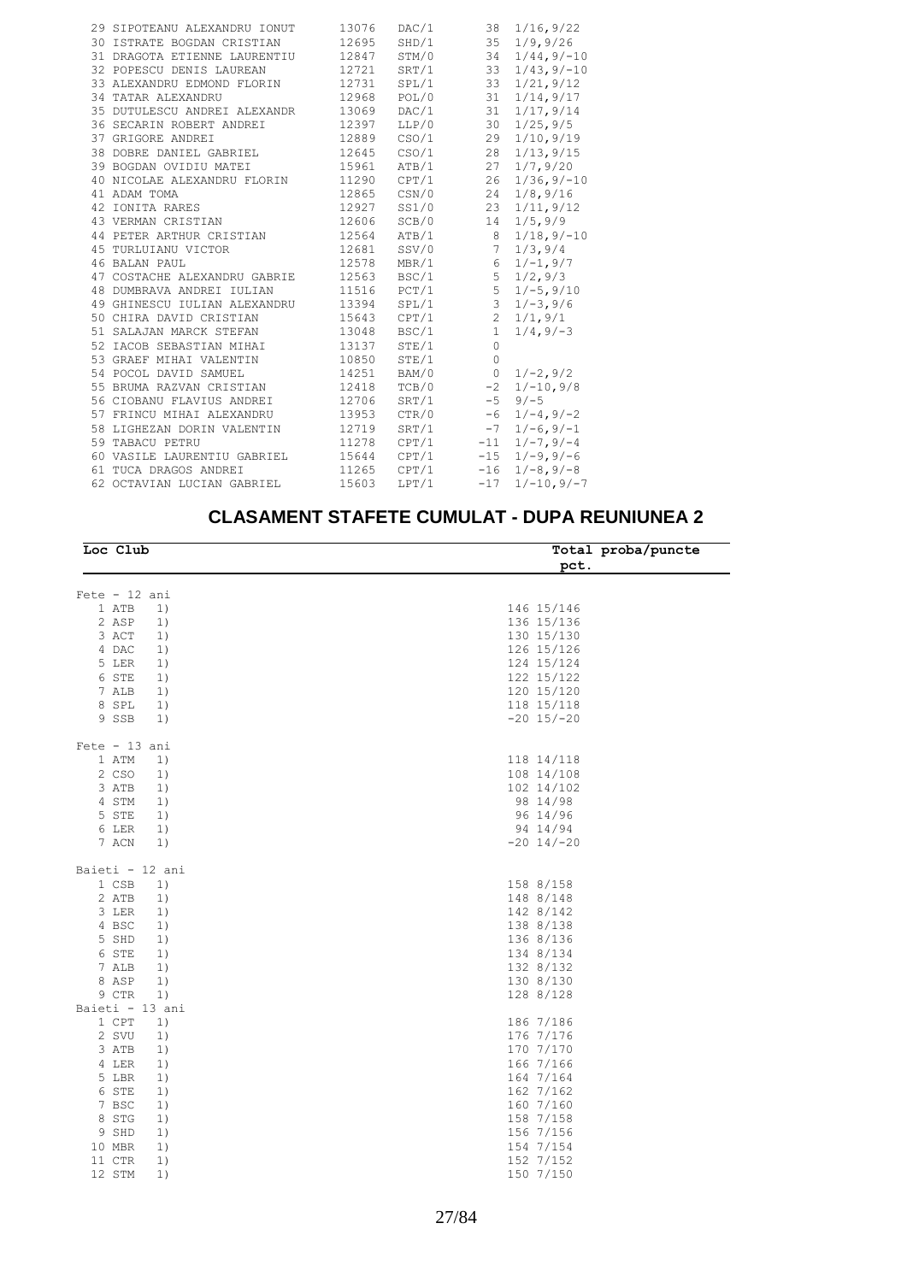| 29 SIPOTEANU ALEXANDRU IONUT | 13076 | DAC/1 | 38           | 1/16, 9/22              |
|------------------------------|-------|-------|--------------|-------------------------|
| 30 ISTRATE BOGDAN CRISTIAN   | 12695 | SHD/1 |              | $35 \quad 1/9, 9/26$    |
| 31 DRAGOTA ETIENNE LAURENTIU | 12847 | STM/0 |              | $34 \quad 1/44$ , 9/-10 |
| 32 POPESCU DENIS LAUREAN     | 12721 | SRT/1 |              | $33 \t1/43, 9/-10$      |
| 33 ALEXANDRU EDMOND FLORIN   | 12731 | SPL/1 | 33           | 1/21, 9/12              |
| 34 TATAR ALEXANDRU           | 12968 | POL/0 | 31           | 1/14, 9/17              |
| 35 DUTULESCU ANDREI ALEXANDR | 13069 | DAC/1 | 31           | 1/17, 9/14              |
| 36 SECARIN ROBERT ANDREI     | 12397 | LLP/0 | 30           | 1/25, 9/5               |
| 37 GRIGORE ANDREI            | 12889 | CSO/1 | 29           | 1/10, 9/19              |
| 38 DOBRE DANIEL GABRIEL      | 12645 | CSO/1 | 28           | 1/13, 9/15              |
| 39 BOGDAN OVIDIU MATEI       | 15961 | ATB/1 | 27           | 1/7,9/20                |
| 40 NICOLAE ALEXANDRU FLORIN  | 11290 | CPT/1 | 26           | $1/36, 9/-10$           |
| 41 ADAM TOMA                 | 12865 | CSN/0 | 24           | 1/8, 9/16               |
| 42 IONITA RARES              | 12927 | SS1/0 |              | $23 \quad 1/11, 9/12$   |
| 43 VERMAN CRISTIAN           | 12606 | SCB/0 | 14           | 1/5, 9/9                |
| 44 PETER ARTHUR CRISTIAN     | 12564 | ATB/1 | 8            | $1/18, 9/-10$           |
| 45 TURLUIANU VICTOR          | 12681 | SSV/0 | 7            | 1/3, 9/4                |
| 46 BALAN PAUL                | 12578 | MBR/1 | 6            | $1/-1,9/7$              |
| 47 COSTACHE ALEXANDRU GABRIE | 12563 | BSC/1 | 5            | 1/2, 9/3                |
| 48 DUMBRAVA ANDREI IULIAN    | 11516 | PCT/1 |              | $5 \t1/-5, 9/10$        |
| 49 GHINESCU IULIAN ALEXANDRU | 13394 | SPL/1 |              | $3 \t1/-3,9/6$          |
| 50 CHIRA DAVID CRISTIAN      | 15643 | CPT/1 |              | $2 \t1/1,9/1$           |
| 51 SALAJAN MARCK STEFAN      | 13048 | BSC/1 |              | $1 \quad 1/4, 9/-3$     |
| 52 IACOB SEBASTIAN MIHAI     | 13137 | STE/1 | $\circ$      |                         |
| 53 GRAEF MIHAI VALENTIN      | 10850 | STE/1 | $\mathbf{0}$ |                         |
| 54 POCOL DAVID SAMUEL        | 14251 | BAM/0 |              | $0 \t1/-2,9/2$          |
| 55 BRUMA RAZVAN CRISTIAN     | 12418 | TCB/0 |              | $-2$ $1/-10,9/8$        |
| 56 CIOBANU FLAVIUS ANDREI    | 12706 | SRT/1 | $-5$         | $9/-5$                  |
| 57 FRINCU MIHAI ALEXANDRU    | 13953 | CTR/0 | $-6$         | $1/-4, 9/-2$            |
| 58 LIGHEZAN DORIN VALENTIN   | 12719 | SRT/1 |              | $-7$ 1/-6,9/-1          |
| 59 TABACU PETRU              | 11278 | CPT/1 |              | $-11$ $1/-7, 9/-4$      |
| 60 VASILE LAURENTIU GABRIEL  | 15644 | CPT/1 |              | $-15 \t1/-9.9/-6$       |
| 61 TUCA DRAGOS ANDREI        | 11265 | CPT/1 |              | $-16$ $1/-8$ , 9/-8     |
| 62 OCTAVIAN LUCIAN GABRIEL   | 15603 | LPT/1 | $-17$        | $1/-10, 9/-7$           |
|                              |       |       |              |                         |

#### **CLASAMENT STAFETE CUMULAT - DUPA REUNIUNEA 2**

 $\sim 10^{-10}$ 

| Loc Club        | Total proba/puncte |  |  |  |
|-----------------|--------------------|--|--|--|
|                 | pct.               |  |  |  |
|                 |                    |  |  |  |
| Fete $-12$ ani  |                    |  |  |  |
| 1 ATB<br>1)     | 146 15/146         |  |  |  |
| 2 ASP<br>1)     | 136 15/136         |  |  |  |
| 3 ACT<br>1)     | 130 15/130         |  |  |  |
| 4 DAC<br>1)     | 126 15/126         |  |  |  |
| 5 LER<br>1)     | 124 15/124         |  |  |  |
| 6 STE<br>1)     | 122 15/122         |  |  |  |
| 7 ALB<br>1)     | 120 15/120         |  |  |  |
| 8 SPL<br>1)     | 118 15/118         |  |  |  |
| 9 SSB<br>1)     | $-20$ 15/ $-20$    |  |  |  |
| $Fete - 13 ani$ |                    |  |  |  |
| 1 ATM<br>1)     | 118 14/118         |  |  |  |
| 2 CSO<br>1)     | 108 14/108         |  |  |  |
| 3 ATB<br>1)     | 102 14/102         |  |  |  |
| 4 STM<br>1)     | 98 14/98           |  |  |  |
| 5 STE<br>1)     | 96 14/96           |  |  |  |
| 6 LER<br>1)     | 94 14/94           |  |  |  |
| 7 ACN<br>1)     | $-20$ 14/ $-20$    |  |  |  |
|                 |                    |  |  |  |
| Baieti - 12 ani |                    |  |  |  |
| 1 CSB<br>1)     | 158 8/158          |  |  |  |
| 2 ATB<br>1)     | 148 8/148          |  |  |  |
| 3 LER<br>1)     | 142 8/142          |  |  |  |
| 4 BSC<br>1)     | 138 8/138          |  |  |  |
| 5 SHD<br>1)     | 136 8/136          |  |  |  |
| 6 STE<br>1)     | 134 8/134          |  |  |  |
| 7 ALB<br>1)     | 132 8/132          |  |  |  |
| 8 ASP<br>1)     | 130 8/130          |  |  |  |
| 9 CTR<br>1)     | 128 8/128          |  |  |  |
| Baieti - 13 ani |                    |  |  |  |
| 1)<br>1 CPT     | 186 7/186          |  |  |  |
| 2 SVU<br>1)     | 176 7/176          |  |  |  |
| 3 ATB<br>1)     | 170 7/170          |  |  |  |
| 4 LER<br>1)     | 166 7/166          |  |  |  |
| 5 LBR<br>1)     | 164 7/164          |  |  |  |
| 6 STE<br>1)     | 162 7/162          |  |  |  |
| 7 BSC<br>1)     | 160 7/160          |  |  |  |
| 8 STG<br>1)     | 158 7/158          |  |  |  |
| 9 SHD<br>1)     | 156 7/156          |  |  |  |
| 10 MBR          | 154 7/154          |  |  |  |
| 1)<br>11 CTR    |                    |  |  |  |
| 1)              | 152 7/152          |  |  |  |
| 12 STM<br>1)    | 150 7/150          |  |  |  |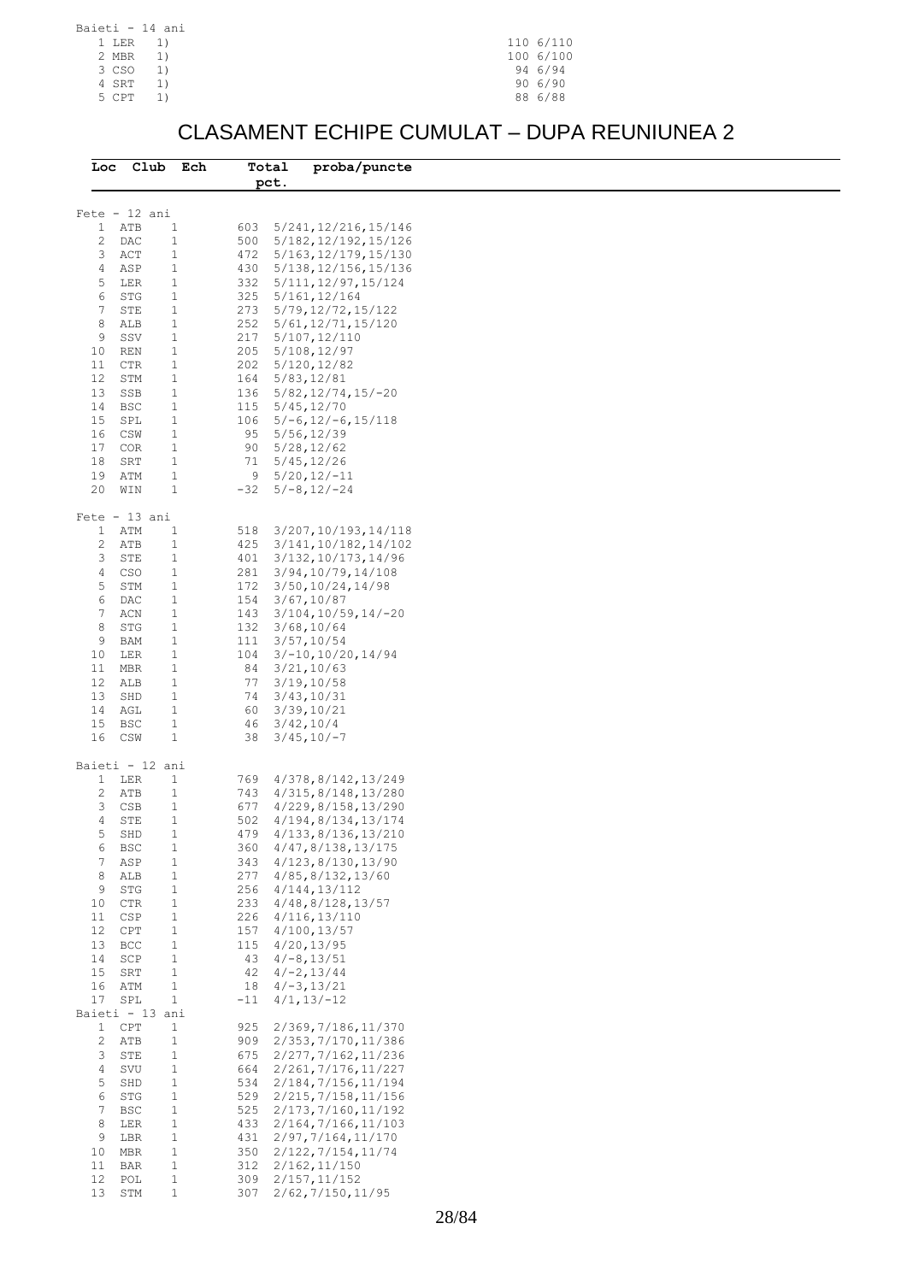|  |       | Baieti - 14 ani |           |
|--|-------|-----------------|-----------|
|  | 1 LER | 1)              | 110 6/110 |
|  | 2 MBR | 1)              | 100 6/100 |
|  | 3 CSO | 1)              | 94 6/94   |
|  | 4 SRT | 1)              | 906/90    |
|  | 5 CPT | 1)              | 88 6/88   |
|  |       |                 |           |

### CLASAMENT ECHIPE CUMULAT – DUPA REUNIUNEA 2

| Loc               | $_{\texttt{Club}}$ | Ech                          | Total<br>pct. | proba/puncte                                       |  |
|-------------------|--------------------|------------------------------|---------------|----------------------------------------------------|--|
|                   |                    |                              |               |                                                    |  |
| $Fete - 12$ ani   |                    |                              |               |                                                    |  |
| $\mathbf{1}$<br>2 | ATB<br>DAC         | $\mathbf{1}$<br>$\mathbf{1}$ | 500           | 603 5/241, 12/216, 15/146<br>5/182, 12/192, 15/126 |  |
| 3                 | ACT                | $\mathbf{1}$                 | 472           | 5/163, 12/179, 15/130                              |  |
| 4                 | ASP                | $\mathbf{1}$                 | 430           | $5/138$ , $12/156$ , $15/136$                      |  |
| 5                 | LER                | $\mathbf{1}$                 | 332           | 5/111, 12/97, 15/124                               |  |
| 6                 | STG                | $\mathbf{1}$                 | 325           | 5/161, 12/164                                      |  |
| 7<br>8            | STE<br>ALB         | $\mathbf{1}$<br>$\mathbf{1}$ | 273<br>252    | 5/79, 12/72, 15/122<br>5/61, 12/71, 15/120         |  |
| 9                 | SSV                | $\mathbf{1}$                 | 217           | 5/107, 12/110                                      |  |
| 10                | REN                | $\mathbf{1}$                 | 205           | 5/108, 12/97                                       |  |
| 11                | <b>CTR</b>         | $\mathbf{1}$                 | 202           | 5/120, 12/82                                       |  |
| 12                | STM                | $\mathbf{1}$                 | 164           | 5/83, 12/81                                        |  |
| 13<br>14          | SSB<br>BSC         | $\mathbf{1}$<br>$\mathbf{1}$ | 136<br>115    | $5/82$ , 12/74, 15/-20<br>5/45, 12/70              |  |
| 15                | SPL                | $\mathbf{1}$                 | 106           | $5/-6$ , $12/-6$ , $15/118$                        |  |
| 16                | CSW                | $\mathbf{1}$                 | 95            | 5/56, 12/39                                        |  |
| 17                | COR                | $\mathbf{1}$                 | 90            | 5/28, 12/62                                        |  |
| 18                | SRT                | $\mathbf{1}$                 | 71            | 5/45, 12/26                                        |  |
| 19                | ATM                | $\mathbf{1}$                 | 9             | $5/20, 12/-11$                                     |  |
| 20                | WIN                | $\mathbf{1}$                 | $-32$         | $5/-8$ , 12/-24                                    |  |
| $Fete - 13 ani$   |                    |                              |               |                                                    |  |
| $\mathbf{1}$      | ATM                | $\mathbf{1}$                 | 518           | 3/207, 10/193, 14/118                              |  |
| 2                 | ATB                | $\mathbf{1}$                 | 425           | 3/141, 10/182, 14/102                              |  |
| 3                 | STE                | $\mathbf{1}$                 | 401           | 3/132, 10/173, 14/96                               |  |
| 4                 | CSO                | $\mathbf{1}$                 | 281           | 3/94,10/79,14/108                                  |  |
| 5<br>6            | STM<br>DAC         | $\mathbf{1}$<br>$\mathbf{1}$ | 172<br>154    | 3/50, 10/24, 14/98<br>3/67, 10/87                  |  |
| 7                 | ACN                | $\mathbf{1}$                 | 143           | $3/104, 10/59, 14/-20$                             |  |
| 8                 | STG                | $\mathbf{1}$                 | 132           | 3/68, 10/64                                        |  |
| 9                 | BAM                | $\mathbf{1}$                 | 111           | 3/57, 10/54                                        |  |
| 10                | LER                | $\mathbf{1}$                 | 104           | $3/-10, 10/20, 14/94$                              |  |
| 11                | MBR                | $\mathbf{1}$                 | 84            | 3/21, 10/63                                        |  |
| 12                | ALB                | $\mathbf{1}$                 | 77            | 3/19, 10/58                                        |  |
| 13<br>14          | SHD<br>AGL         | $\mathbf{1}$<br>$\mathbf{1}$ | 74<br>60      | 3/43, 10/31<br>3/39,10/21                          |  |
| 15                | BSC                | $\mathbf{1}$                 | 46            | 3/42, 10/4                                         |  |
| 16                | CSW                | $\mathbf{1}$                 | 38            | $3/45, 10/-7$                                      |  |
|                   |                    |                              |               |                                                    |  |
| Baieti - 12 ani   |                    |                              |               |                                                    |  |
| 1 LER<br>2        | ATB                | $\mathbf{1}$<br>$\mathbf{1}$ | 769           | 4/378,8/142,13/249<br>743 4/315,8/148,13/280       |  |
| 3                 | CSB                | $\mathbf{1}$                 | 677           | 4/229, 8/158, 13/290                               |  |
| 4                 | STE                | $\mathbf{1}$                 | 502           | 4/194, 8/134, 13/174                               |  |
| 5                 | SHD                | 1                            |               | 479 4/133,8/136,13/210                             |  |
| 6                 | BSC                | $\mathbf{1}$                 | 360           | 4/47,8/138,13/175                                  |  |
| 7                 | ASP                | $\mathbf{1}$                 | 343           | 4/123, 8/130, 13/90                                |  |
| 8<br>9            | ALB<br>STG         | $\mathbf{1}$<br>$\mathbf{1}$ | 277<br>256    | 4/85, 8/132, 13/60<br>4/144, 13/112                |  |
| 10                | <b>CTR</b>         | $\mathbf{1}$                 | 233           | 4/48, 8/128, 13/57                                 |  |
| 11                | CSP                | $\mathbf{1}$                 | 226           | 4/116, 13/110                                      |  |
| 12                | CPT                | $\mathbf{1}$                 | 157           | 4/100, 13/57                                       |  |
| 13                | BCC                | $\mathbf{1}$                 | 115           | 4/20, 13/95                                        |  |
| 14                | SCP                | $\mathbf{1}$                 | 43            | $4/-8, 13/51$                                      |  |
| 15                | SRT                | $\mathbf{1}$                 | 42            | $4/-2, 13/44$                                      |  |
| 16<br>17          | ATM                | $\mathbf{1}$                 | 18            | $4/-3, 13/21$                                      |  |
| Baieti - 13 ani   | SPL                | $\mathbf{1}$                 | $-11$         | $4/1, 13/-12$                                      |  |
| $\mathbf{1}$      | CPT                | $\mathbf{1}$                 | 925           | 2/369, 7/186, 11/370                               |  |
| 2                 | ATB                | $\mathbf{1}$                 | 909           | 2/353,7/170,11/386                                 |  |
| 3                 | STE                | $\mathbf{1}$                 | 675           | 2/277, 7/162, 11/236                               |  |
| 4                 | SVU                | $\mathbf{1}$                 | 664           | 2/261, 7/176, 11/227                               |  |
| 5                 | SHD                | $\mathbf{1}$                 | 534           | 2/184, 7/156, 11/194                               |  |
| 6                 | STG                | $\mathbf{1}$                 | 529           | 2/215, 7/158, 11/156                               |  |
| 7<br>8            | BSC<br>LER         | $\mathbf{1}$<br>$\mathbf{1}$ | 525<br>433    | 2/173,7/160,11/192<br>2/164, 7/166, 11/103         |  |
| 9                 | LBR                | $\mathbf{1}$                 | 431           | 2/97,7/164,11/170                                  |  |
| 10                | MBR                | $\mathbf{1}$                 | 350           | 2/122, 7/154, 11/74                                |  |
| 11                | BAR                | $\mathbf{1}$                 | 312           | 2/162, 11/150                                      |  |
| 12                | POL                | $\mathbf{1}$                 | 309           | 2/157, 11/152                                      |  |
| 13                | STM                | $\mathbf{1}$                 | 307           | 2/62, 7/150, 11/95                                 |  |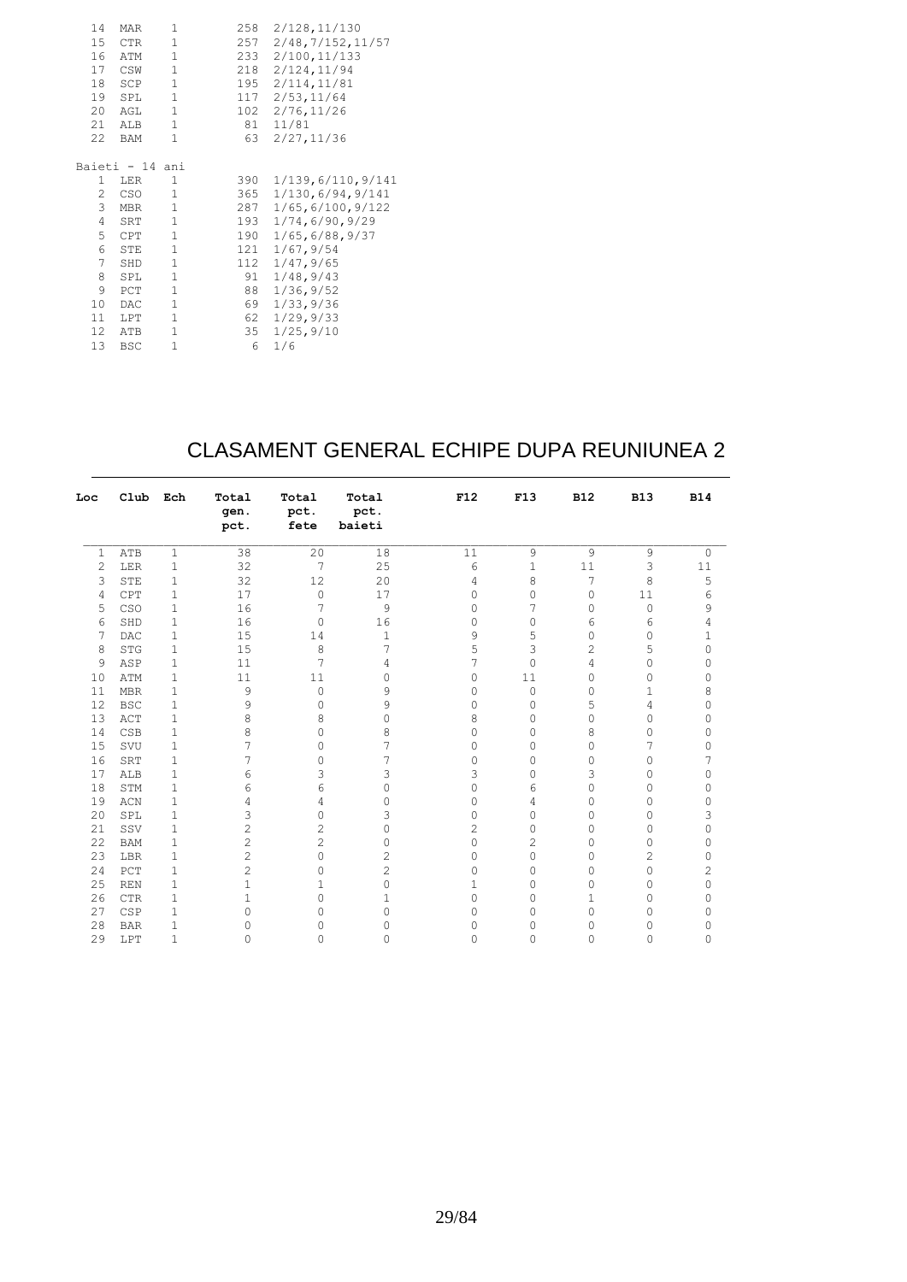| 14              | MAR              | 1            | 258 | 2/128, 11/130       |
|-----------------|------------------|--------------|-----|---------------------|
| 15              | CTR              | 1            | 257 | 2/48, 7/152, 11/57  |
| 16              | ATM              | 1            | 233 | 2/100, 11/133       |
| 17              | CSW              | 1            | 218 | 2/124, 11/94        |
| 18              | SCP              | 1            | 195 | 2/114, 11/81        |
| 19              | SPL              | $\mathbf{1}$ | 117 | 2/53, 11/64         |
| 20              | AGL              | $\mathbf{1}$ | 102 | 2/76, 11/26         |
| 21              | ALB              | 1            |     | 81 11/81            |
| 22              | BAM              | $\mathbf{1}$ | 63  | 2/27, 11/36         |
|                 |                  |              |     |                     |
| Baieti - 14 ani |                  |              |     |                     |
| 1               | LER              | 1            | 390 | 1/139, 6/110, 9/141 |
| $\mathbf{2}$    | CSO <sub>2</sub> | $\mathbf{1}$ | 365 | 1/130, 6/94, 9/141  |
| 3               | MBR              | $\mathbf 1$  | 287 | 1/65, 6/100, 9/122  |
| 4               | SRT              | $\mathbf{1}$ | 193 | 1/74, 6/90, 9/29    |
| 5               | CPT              | $\mathbf{1}$ | 190 | 1/65, 6/88, 9/37    |
| 6               | STE              | $\mathbf{1}$ | 121 | 1/67, 9/54          |
| $7\phantom{.}$  | SHD              | $\mathbf 1$  | 112 | 1/47, 9/65          |
| 8               | SPL              | $\mathbf{1}$ | 91  | 1/48, 9/43          |
| 9               | PCT              | $\mathbf{1}$ | 88  | 1/36, 9/52          |
| 10              | DAC              | $\mathbf{1}$ | 69  | 1/33,9/36           |
| 11              | LPT              | $\mathbf{1}$ | 62  | 1/29, 9/33          |
| 12 <sup>7</sup> | ATB              | $\mathbf{1}$ | 35  | 1/25, 9/10          |
| 13              | <b>BSC</b>       | $\mathbf{1}$ | 6   | 1/6                 |

### CLASAMENT GENERAL ECHIPE DUPA REUNIUNEA 2

| Loc            | Club Ech   |              | Total<br>gen.<br>pct. | Total<br>pct.<br>fete | Total<br>pct.<br>baieti | F12            | F13            | <b>B12</b>  | <b>B13</b>     | <b>B14</b>     |
|----------------|------------|--------------|-----------------------|-----------------------|-------------------------|----------------|----------------|-------------|----------------|----------------|
| $\mathbf{1}$   | ATB        | $\,1$        | 38                    | 20                    | 18                      | 11             | 9              | 9           | 9              | $\Omega$       |
| $\overline{c}$ | LER        | $\mathbf 1$  | 32                    | 7                     | 25                      | 6              | 1              | 11          | 3              | 11             |
| 3              | STE        | $\mathbf 1$  | 32                    | 12                    | 20                      | 4              | 8              | 7           | 8              | 5              |
| 4              | CPT        | $1\,$        | 17                    | $\circ$               | 17                      | 0              | 0              | 0           | 11             | 6              |
| 5              | CSO        | $\mathbf{1}$ | 16                    | 7                     | 9                       | 0              | 7              | 0           | $\mathbf{0}$   | 9              |
| 6              | SHD        | $\mathbf{1}$ | 16                    | 0                     | 16                      | 0              | 0              | 6           | 6              | 4              |
| 7              | DAC        | $\mathbf{1}$ | 15                    | 14                    | 1                       | 9              | 5              | 0           | 0              | 1              |
| 8              | <b>STG</b> | $\mathbf{1}$ | 15                    | 8                     | 7                       | 5              | 3              | 2           | 5              | $\Omega$       |
| 9              | ASP        | $\mathbf{1}$ | 11                    | 7                     | 4                       | 7              | 0              | 4           | $\Omega$       | $\Omega$       |
| 10             | ATM        | $1\,$        | 11                    | 11                    | $\Omega$                | 0              | 11             | 0           | 0              | $\Omega$       |
| 11             | <b>MBR</b> | $\mathbf{1}$ | 9                     | $\circ$               | 9                       | $\circ$        | $\mathbb O$    | $\circ$     | 1              | 8              |
| 12             | <b>BSC</b> | $\mathbf{1}$ | 9                     | $\circ$               | 9                       | $\circ$        | 0              | 5           | 4              | 0              |
| 13             | ACT        | $1\,$        | 8                     | 8                     | 0                       | 8              | 0              | 0           | $\circ$        | 0              |
| 14             | CSB        | $\mathbf{1}$ | 8                     | 0                     | 8                       | $\circ$        | 0              | 8           | $\Omega$       | $\Omega$       |
| 15             | SVU        | $\mathbf{1}$ | 7                     | 0                     | 7                       | $\circ$        | 0              | $\Omega$    | 7              | $\Omega$       |
| 16             | SRT        | $1\,$        | 7                     | 0                     | 7                       | 0              | 0              | 0           | 0              | 7              |
| 17             | ALB        | $\mathbf{1}$ | 6                     | 3                     | 3                       | 3              | 0              | 3           | 0              | 0              |
| 18             | STM        | $\mathbf{1}$ | 6                     | 6                     | 0                       | 0              | 6              | 0           | 0              | 0              |
| 19             | ACN        | $\mathbf 1$  | 4                     | 4                     | 0                       | $\mathbf 0$    | 4              | 0           | 0              | 0              |
| 20             | SPL        | $1\,$        | 3                     | 0                     | 3                       | 0              | 0              | 0           | 0              | 3              |
| 21             | SSV        | $\mathbf{1}$ | $\overline{c}$        | $\overline{c}$        | 0                       | $\overline{c}$ | 0              | 0           | $\mathbf{0}$   | 0              |
| 22             | <b>BAM</b> | $1\,$        | $\overline{c}$        | $\overline{c}$        | 0                       | $\mathbb O$    | $\overline{c}$ | 0           | 0              | 0              |
| 23             | LBR        | $\mathbf{1}$ | $\overline{c}$        | 0                     | 2                       | $\mathbf 0$    | 0              | 0           | $\overline{c}$ | 0              |
| 24             | PCT        | $\mathbf{1}$ | $\overline{c}$        | 0                     | 2                       | 0              | 0              | 0           | $\mathbf 0$    | $\overline{c}$ |
| 25             | <b>REN</b> | $\mathbf{1}$ | $\mathbf{1}$          | 1                     | $\Omega$                | $\mathbf{1}$   | 0              | 0           | 0              | 0              |
| 26             | <b>CTR</b> | $\mathbf{1}$ | $\mathbf{1}$          | 0                     | 1                       | 0              | 0              | 1           | 0              | 0              |
| 27             | CSP        | $\mathbf{1}$ | 0                     | 0                     | 0                       | 0              | 0              | $\mathbf 0$ | $\mathbf 0$    | 0              |
| 28             | <b>BAR</b> | $\mathbf 1$  | $\Omega$              | 0                     | 0                       | 0              | 0              | 0           | 0              | $\Omega$       |
| 29             | LPT        | $1\,$        | 0                     | 0                     | 0                       | $\mathbf 0$    | 0              | 0           | $\mathbf 0$    | $\Omega$       |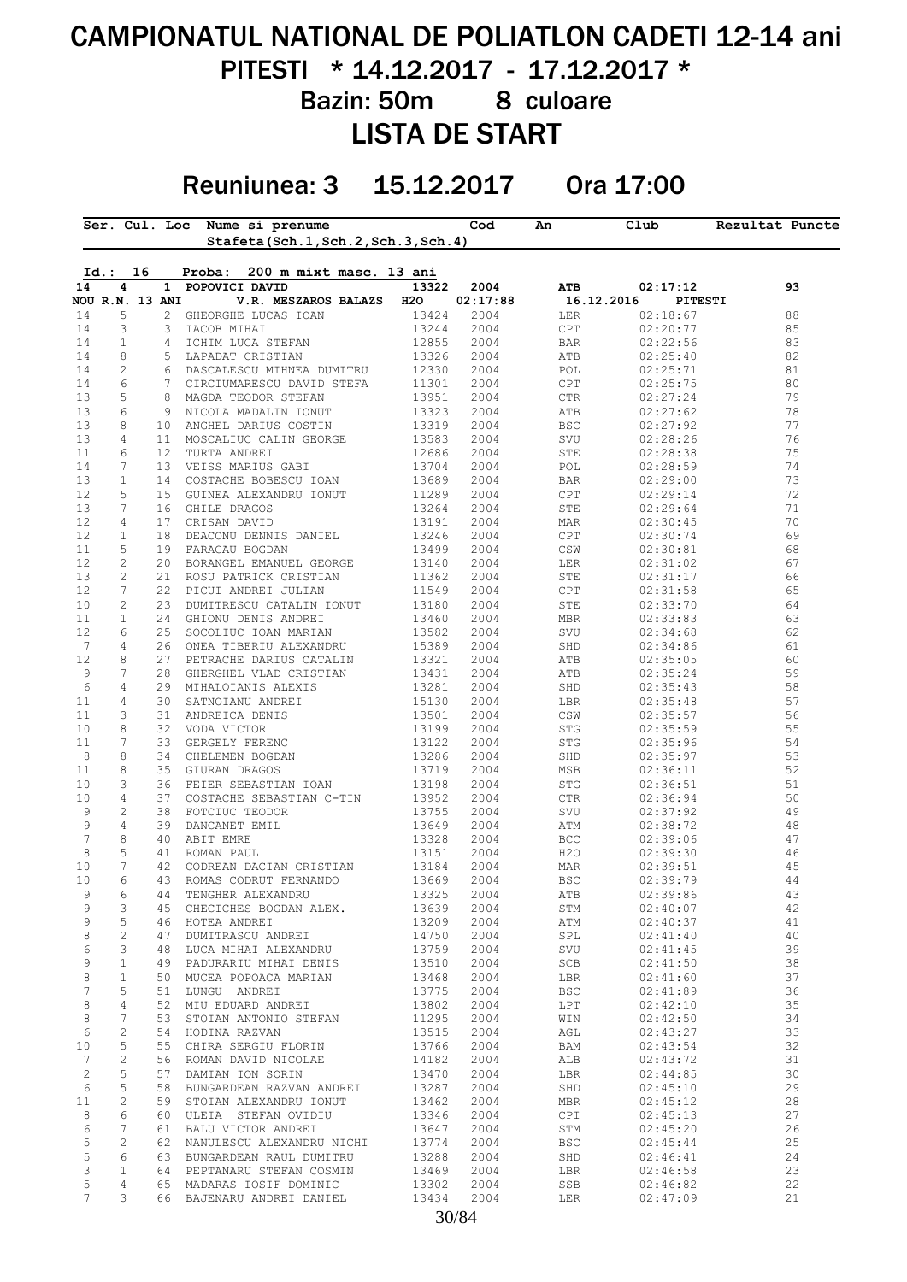# CAMPIONATUL NATIONAL DE POLIATLON CADETI 12-14 ani PITESTI \* 14.12.2017 - 17.12.2017 \* Bazin: 50m 8 culoare

LISTA DE START

### Reuniunea: 3 15.12.2017 Ora 17:00

|                  |                |                   | Ser. Cul. Loc Nume si prenume     |       | Cod      | An                            | Club                  | Rezultat Puncte |
|------------------|----------------|-------------------|-----------------------------------|-------|----------|-------------------------------|-----------------------|-----------------|
|                  |                |                   | Stafeta(Sch.1,Sch.2,Sch.3,Sch.4)  |       |          |                               |                       |                 |
| Id.:             | 16             |                   | 200 m mixt masc. 13 ani<br>Proba: |       |          |                               |                       |                 |
| 14               | 4              |                   | 1 POPOVICI DAVID                  | 13322 | 2004     | ATB                           | 02:17:12              | 93              |
|                  |                | NOU R.N. 13 ANI   | V.R. MESZAROS BALAZS              | H2O   | 02:17:88 |                               | 16.12.2016<br>PITESTI |                 |
| 14               | 5              | $2^{\circ}$       | GHEORGHE LUCAS IOAN               | 13424 | 2004     | LER                           | 02:18:67              | 88              |
| 14               | 3              |                   | 3 IACOB MIHAI                     | 13244 | 2004     | $\mathtt{CPT}$                | 02:20:77              | 85              |
| 14               | 1              |                   | 4 ICHIM LUCA STEFAN               | 12855 | 2004     | <b>BAR</b>                    | 02:22:56              | 83              |
| 14               | 8              |                   | 5 LAPADAT CRISTIAN                | 13326 | 2004     | ATB                           | 02:25:40              | 82              |
| 14               | $\mathbf{2}$   |                   | 6 DASCALESCU MIHNEA DUMITRU       | 12330 | 2004     | POL                           | 02:25:71              | 81              |
| 14               | 6              |                   | 7 CIRCIUMARESCU DAVID STEFA       | 11301 | 2004     | $\mathtt{CPT}$                | 02:25:75              | 80              |
| 13               | 5              |                   | 8 MAGDA TEODOR STEFAN             | 13951 | 2004     | $_{\rm CTR}$                  | 02:27:24              | 79              |
| 13               | 6              |                   | 9 NICOLA MADALIN IONUT            | 13323 | 2004     | $_{\rm{ATB}}$                 | 02:27:62              | 78              |
| 13               | 8              | 10                | ANGHEL DARIUS COSTIN              | 13319 | 2004     | $_{\rm BSC}$                  | 02:27:92              | 77              |
| 13               | 4              | 11                | MOSCALIUC CALIN GEORGE            | 13583 | 2004     | $\operatorname{SVU}$          | 02:28:26              | 76              |
| 11               | 6              | $12 \overline{ }$ | TURTA ANDREI                      | 12686 | 2004     | ${\tt STE}$                   | 02:28:38              | 75              |
| 14               | 7              | 13                | VEISS MARIUS GABI                 | 13704 | 2004     | $\mathtt{POL}$                | 02:28:59              | 74              |
| 13               | $\mathbf{1}$   | 14                | COSTACHE BOBESCU IOAN             | 13689 | 2004     | BAR                           | 02:29:00              | 73              |
| 12               | 5              |                   | 15 GUINEA ALEXANDRU IONUT         | 11289 | 2004     | CPT                           | 02:29:14              | 72              |
| 13               | 7              |                   | 16 GHILE DRAGOS                   | 13264 | 2004     | STE                           | 02:29:64              | 71              |
| 12               | 4              | 17                | CRISAN DAVID                      | 13191 | 2004     | MAR                           | 02:30:45              | 70              |
| 12               | 1              |                   | 18 DEACONU DENNIS DANIEL          | 13246 | 2004     | CPT                           | 02:30:74              | 69              |
| 11               | 5              |                   | 19 FARAGAU BOGDAN                 | 13499 | 2004     | CSW                           | 02:30:81              | 68              |
| 12               | $\mathbf{2}$   |                   | 20 BORANGEL EMANUEL GEORGE        | 13140 | 2004     | LER                           | 02:31:02              | 67              |
| 13               | $\mathbf{2}$   |                   | 21 ROSU PATRICK CRISTIAN          | 11362 | 2004     | ${\tt STE}$                   | 02:31:17              | 66              |
| 12               | 7              |                   | 22 PICUI ANDREI JULIAN            | 11549 | 2004     | CPT                           | 02:31:58              | 65              |
| 10               | $\mathbf{2}$   |                   | 23 DUMITRESCU CATALIN IONUT       | 13180 | 2004     | ${\tt STE}$                   | 02:33:70              | 64              |
| 11               | $\mathbf{1}$   |                   | 24 GHIONU DENIS ANDREI            | 13460 | 2004     | MBR                           | 02:33:83              | 63              |
| 12               | 6              | 25                | SOCOLIUC IOAN MARIAN              | 13582 | 2004     | $\operatorname{SVU}$          | 02:34:68              | 62              |
| $7\phantom{.0}$  | $\overline{4}$ |                   | 26 ONEA TIBERIU ALEXANDRU         | 15389 | 2004     | SHD                           | 02:34:86              | 61              |
| 12               | 8              | 27                | PETRACHE DARIUS CATALIN           | 13321 | 2004     | ATB                           | 02:35:05              | 60              |
| 9                | 7              |                   | 28 GHERGHEL VLAD CRISTIAN         | 13431 | 2004     | $_{\rm{ATB}}$                 | 02:35:24              | 59              |
| 6                | 4              |                   | 29 MIHALOIANIS ALEXIS             | 13281 | 2004     | $_{\rm SHD}$                  | 02:35:43              | 58              |
| 11               | 4              | 30                | SATNOIANU ANDREI                  | 15130 | 2004     | $_{\rm LBR}$                  | 02:35:48              | 57              |
| 11               | 3              | 31                | ANDREICA DENIS                    | 13501 | 2004     | $\mathbb{CSW}$                | 02:35:57              | 56              |
| 10               | $\,8\,$        | 32                | VODA VICTOR                       | 13199 | 2004     | $_{\mathrm{STG}}$             | 02:35:59              | 55              |
| 11               | 7              | 33                | GERGELY FERENC                    | 13122 | 2004     | $\operatorname{\mathsf{STG}}$ | 02:35:96              | 54              |
| 8                | $\,8\,$        |                   | 34 CHELEMEN BOGDAN                | 13286 | 2004     | $_{\rm SHD}$                  | 02:35:97              | 53              |
| 11               | 8              | 35                | GIURAN DRAGOS                     | 13719 | 2004     | $\ensuremath{\mathsf{MSB}}$   | 02:36:11              | 52              |
| 10               | 3              | 36                | FEIER SEBASTIAN IOAN              | 13198 | 2004     | $_{\mathrm{STG}}$             | 02:36:51              | 51              |
| 10               | 4              | 37                | COSTACHE SEBASTIAN C-TIN          | 13952 | 2004     | $_{\rm CTR}$                  | 02:36:94              | 50              |
| $\mathsf 9$      | $\mathbf{2}$   | 38                | FOTCIUC TEODOR                    | 13755 | 2004     | $\operatorname{SVU}$          | 02:37:92              | 49              |
| 9                | 4              | 39                | DANCANET EMIL                     | 13649 | 2004     | ATM                           | 02:38:72              | 48              |
| $\boldsymbol{7}$ | $\,8\,$        | 40                | ABIT EMRE                         | 13328 | 2004     | BCC                           | 02:39:06              | 47              |
| 8                | 5              | 41                | ROMAN PAUL                        | 13151 | 2004     | H2O                           | 02:39:30              | 46              |
| 10               | 7              | 42                | CODREAN DACIAN CRISTIAN           | 13184 | 2004     | MAR                           | 02:39:51              | 45              |
| 10               | 6              | 43                | ROMAS CODRUT FERNANDO             | 13669 | 2004     | $_{\rm BSC}$                  | 02:39:79              | 44              |
| 9                | 6              | 44                | TENGHER ALEXANDRU                 | 13325 | 2004     | ATB                           | 02:39:86              | 43              |
| 9                | 3              | 45                | CHECICHES BOGDAN ALEX.            | 13639 | 2004     | STM                           | 02:40:07              | 42              |
| 9                | 5              | 46                | HOTEA ANDREI                      | 13209 | 2004     | ATM                           | 02:40:37              | 41              |
| 8                | 2              | 47                | DUMITRASCU ANDREI                 | 14750 | 2004     | SPL                           | 02:41:40              | 40              |
| 6                | 3              | 48                | LUCA MIHAI ALEXANDRU              | 13759 | 2004     | SVU                           | 02:41:45              | 39              |
| 9                | $\mathbf{1}$   | 49                | PADURARIU MIHAI DENIS             | 13510 | 2004     | SCB                           | 02:41:50              | 38              |
| 8                | 1              | 50                | MUCEA POPOACA MARIAN              | 13468 | 2004     | LBR                           | 02:41:60              | 37              |
| 7                | 5              | 51                | LUNGU ANDREI                      | 13775 | 2004     | <b>BSC</b>                    | 02:41:89              | 36              |
| 8                | 4              | 52                | MIU EDUARD ANDREI                 | 13802 | 2004     | LPT                           | 02:42:10              | 35              |
| 8                | 7              | 53                | STOIAN ANTONIO STEFAN             | 11295 | 2004     | WIN                           | 02:42:50              | 34              |
| 6                | 2              | 54                | HODINA RAZVAN                     | 13515 | 2004     | AGL                           | 02:43:27              | 33              |
| 10               | 5              | 55                | CHIRA SERGIU FLORIN               | 13766 | 2004     | BAM                           | 02:43:54              | 32              |
| 7                | 2              | 56                | ROMAN DAVID NICOLAE               | 14182 | 2004     | ALB                           | 02:43:72              | 31              |
| $\mathbf{2}$     | 5              | 57                | DAMIAN ION SORIN                  | 13470 | 2004     | LBR                           | 02:44:85              | 30              |
| 6                | 5              | 58                | BUNGARDEAN RAZVAN ANDREI          | 13287 | 2004     | SHD                           | 02:45:10              | 29              |
|                  | 2              |                   |                                   |       |          |                               |                       | 28              |
| 11               |                | 59                | STOIAN ALEXANDRU IONUT            | 13462 | 2004     | MBR                           | 02:45:12              |                 |
| 8                | 6              | 60                | ULEIA STEFAN OVIDIU               | 13346 | 2004     | CPI                           | 02:45:13              | 27              |
| 6                | 7              | 61                | BALU VICTOR ANDREI                | 13647 | 2004     | STM                           | 02:45:20              | 26              |
| 5                | 2              | 62                | NANULESCU ALEXANDRU NICHI         | 13774 | 2004     | <b>BSC</b>                    | 02:45:44              | 25              |
| 5                | 6              | 63.               | BUNGARDEAN RAUL DUMITRU           | 13288 | 2004     | SHD                           | 02:46:41              | 24              |
| 3                | 1              | 64                | PEPTANARU STEFAN COSMIN           | 13469 | 2004     | LBR                           | 02:46:58              | 23              |
|                  |                |                   | 65 MADARAS IOSIF DOMINIC          | 13302 | 2004     | SSB                           | 02:46:82              | 22              |
| 5<br>7           | 4<br>3         | 66                | BAJENARU ANDREI DANIEL            | 13434 | 2004     | LER                           | 02:47:09              | 21              |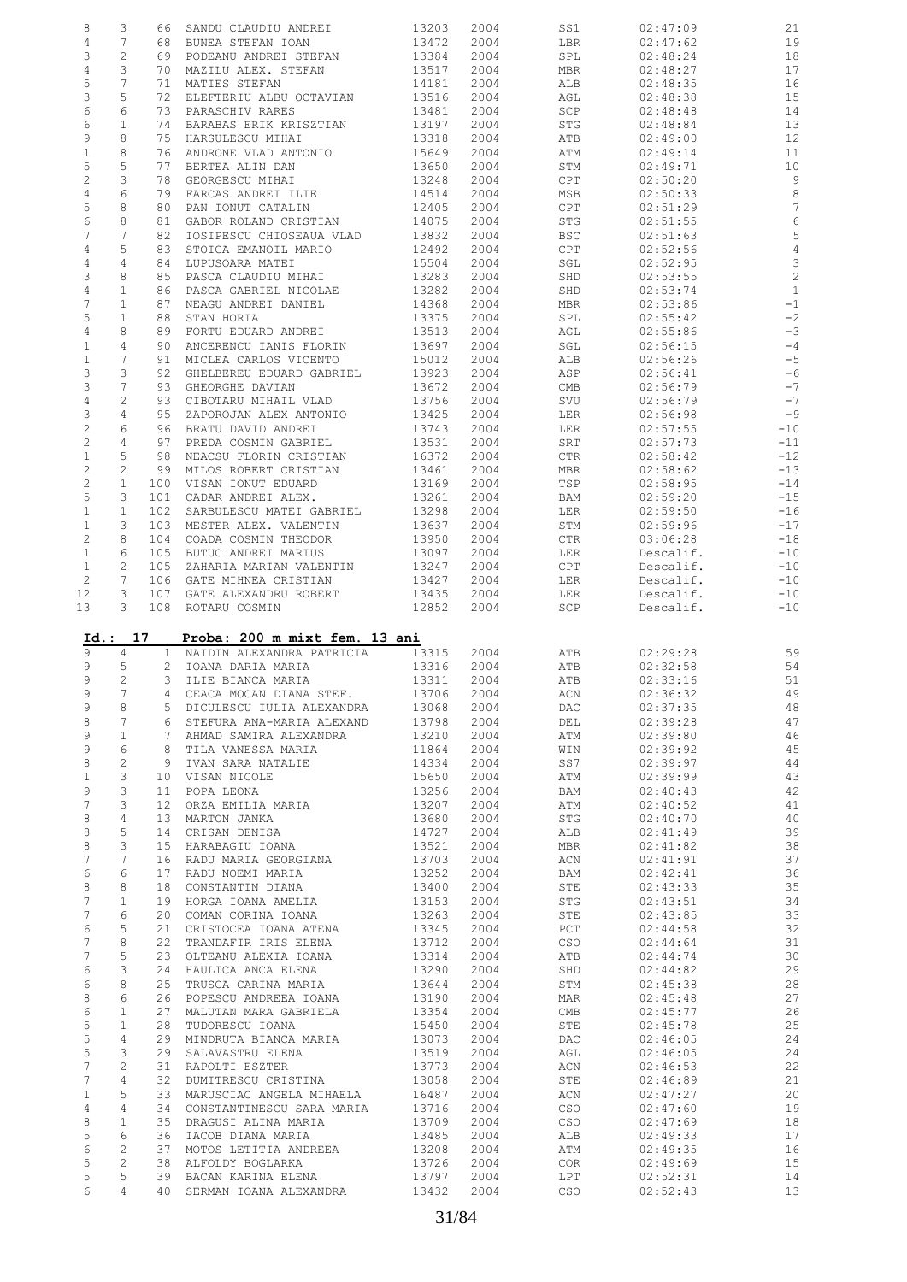| 8              | 3               | 66              | SANDU CLAUDIU ANDREI              | 13203 | 2004 | SS1            | 02:47:09  | 21              |
|----------------|-----------------|-----------------|-----------------------------------|-------|------|----------------|-----------|-----------------|
| $\overline{4}$ | 7               | 68              | BUNEA STEFAN IOAN                 | 13472 | 2004 | LBR            | 02:47:62  | 19              |
|                |                 |                 |                                   |       |      |                |           |                 |
| 3              | $\mathbf{2}$    |                 | 69 PODEANU ANDREI STEFAN          | 13384 | 2004 | SPL            | 02:48:24  | 18              |
| $\overline{4}$ | 3               | 70              | MAZILU ALEX. STEFAN               | 13517 | 2004 | MBR            | 02:48:27  | 17              |
| 5              | 7               | 71              | MATIES STEFAN                     | 14181 | 2004 | ALB            | 02:48:35  | 16              |
|                |                 |                 |                                   |       |      |                |           |                 |
| 3              | 5               | 72              | ELEFTERIU ALBU OCTAVIAN           | 13516 | 2004 | AGL            | 02:48:38  | 15              |
| 6              | 6               | 73              | PARASCHIV RARES                   | 13481 | 2004 | SCP            | 02:48:48  | 14              |
| 6              | 1               | 74              | BARABAS ERIK KRISZTIAN            | 13197 | 2004 | STG            | 02:48:84  | 13              |
|                |                 |                 |                                   |       |      |                |           |                 |
| 9              | 8               | 75              | HARSULESCU MIHAI                  | 13318 | 2004 | ATB            | 02:49:00  | 12              |
| $\mathbf{1}$   | 8               | 76              | ANDRONE VLAD ANTONIO              | 15649 | 2004 | ATM            | 02:49:14  | 11              |
| 5              | 5               | 77              | BERTEA ALIN DAN                   | 13650 | 2004 | STM            | 02:49:71  | 10              |
|                |                 |                 |                                   |       |      |                |           |                 |
| 2              | 3               | 78              | GEORGESCU MIHAI                   | 13248 | 2004 | CPT            | 02:50:20  | 9               |
| $\overline{4}$ | 6               | 79              | FARCAS ANDREI ILIE                | 14514 | 2004 | MSB            | 02:50:33  | $\,8\,$         |
| 5              | 8               | 80              | PAN IONUT CATALIN                 | 12405 | 2004 | CPT            | 02:51:29  | $7\phantom{.0}$ |
| 6              | 8               | 81              | GABOR ROLAND CRISTIAN             | 14075 | 2004 | STG            | 02:51:55  | $\sqrt{6}$      |
|                |                 |                 |                                   |       |      |                |           |                 |
| 7              | 7               | 82              | IOSIPESCU CHIOSEAUA VLAD          | 13832 | 2004 | <b>BSC</b>     | 02:51:63  | $\mathsf S$     |
| $\overline{4}$ | 5               | 83              | STOICA EMANOIL MARIO              | 12492 | 2004 | CPT            | 02:52:56  | $\sqrt{4}$      |
| $\overline{4}$ | 4               | 84              | LUPUSOARA MATEI                   | 15504 | 2004 | SGL            | 02:52:95  |                 |
| 3              | 8               | 85              | PASCA CLAUDIU MIHAI               | 13283 | 2004 | SHD            | 02:53:55  | $\frac{3}{2}$   |
|                |                 |                 |                                   |       |      |                |           |                 |
| $\overline{4}$ | $\mathbf{1}$    | 86              | PASCA GABRIEL NICOLAE             | 13282 | 2004 | SHD            | 02:53:74  | $\mathbf 1$     |
| 7              | $\mathbf{1}$    | 87              | NEAGU ANDREI DANIEL               | 14368 | 2004 | MBR            | 02:53:86  | $-1$            |
| 5              | $\mathbf{1}$    | 88              | STAN HORIA                        | 13375 | 2004 | SPL            | 02:55:42  | $-2$            |
| $\overline{4}$ | 8               | 89              |                                   |       |      |                |           | $-3$            |
|                |                 |                 | FORTU EDUARD ANDREI               | 13513 | 2004 | AGL            | 02:55:86  |                 |
| $\mathbf{1}$   | 4               | 90              | ANCERENCU IANIS FLORIN            | 13697 | 2004 | SGL            | 02:56:15  | $-4$            |
| $\mathbf{1}$   | 7               | 91              | MICLEA CARLOS VICENTO             | 15012 | 2004 | ALB            | 02:56:26  | $-5$            |
| 3              | 3               | 92              | GHELBEREU EDUARD GABRIEL          | 13923 | 2004 | ASP            | 02:56:41  | $-6$            |
|                |                 |                 |                                   |       |      |                |           |                 |
| 3              | 7               | 93              | GHEORGHE DAVIAN                   | 13672 | 2004 | CMB            | 02:56:79  | $-7$            |
| $\overline{4}$ | $\mathbf{2}$    | 93              | CIBOTARU MIHAIL VLAD              | 13756 | 2004 | SVU            | 02:56:79  | $-7$            |
| 3              | $\overline{4}$  | 95              | ZAPOROJAN ALEX ANTONIO            | 13425 | 2004 | LER            | 02:56:98  | $-9$            |
|                |                 |                 |                                   |       |      |                |           |                 |
| $\mathbf{2}$   | 6               | 96              | BRATU DAVID ANDREI                | 13743 | 2004 | LER            | 02:57:55  | $-10$           |
| $\overline{c}$ | 4               | 97              | PREDA COSMIN GABRIEL              | 13531 | 2004 | SRT            | 02:57:73  | $-11$           |
| $\mathbf{1}$   | 5               | 98              | NEACSU FLORIN CRISTIAN            | 16372 | 2004 | CTR            | 02:58:42  | $-12$           |
|                |                 |                 |                                   |       |      |                |           |                 |
| 2              | 2               | 99              | MILOS ROBERT CRISTIAN             | 13461 | 2004 | MBR            | 02:58:62  | $-13$           |
| $\overline{c}$ | $\mathbf{1}$    | 100             | VISAN IONUT EDUARD                | 13169 | 2004 | TSP            | 02:58:95  | $-14$           |
| 5              | 3               | 101             | CADAR ANDREI ALEX.                | 13261 | 2004 | BAM            | 02:59:20  | $-15$           |
|                |                 |                 |                                   |       |      |                |           |                 |
| $\mathbf{1}$   | $\mathbf{1}$    | 102             | SARBULESCU MATEI GABRIEL          | 13298 | 2004 | LER            | 02:59:50  | $-16$           |
| $\mathbf{1}$   | 3               | 103             | MESTER ALEX. VALENTIN             | 13637 | 2004 | STM            | 02:59:96  | $-17$           |
| $\overline{c}$ | 8               | 104             | COADA COSMIN THEODOR              | 13950 | 2004 | $_{\rm CTR}$   | 03:06:28  | $-18$           |
| $\mathbf{1}$   | 6               | 105             | BUTUC ANDREI MARIUS               | 13097 | 2004 | LER            | Descalif. | $-10$           |
|                |                 |                 |                                   |       |      |                |           |                 |
| $\mathbf{1}$   | $\overline{c}$  | 105             | ZAHARIA MARIAN VALENTIN           | 13247 | 2004 | CPT            | Descalif. | $-10$           |
| $\overline{c}$ | 7               | 106             | GATE MIHNEA CRISTIAN              | 13427 | 2004 | LER            | Descalif. | $-10$           |
| 12             | 3               | 107             | GATE ALEXANDRU ROBERT             | 13435 | 2004 | LER.           | Descalif. | $-10$           |
| 13             | 3               | 108             | ROTARU COSMIN                     | 12852 | 2004 | SCP            | Descalif. | $-10$           |
|                |                 |                 |                                   |       |      |                |           |                 |
|                |                 |                 |                                   |       |      |                |           |                 |
|                |                 |                 |                                   |       |      |                |           |                 |
|                |                 |                 |                                   |       |      |                |           |                 |
| Id.:           |                 | 17              | Proba: 200 m mixt fem. 13 ani     |       |      |                |           |                 |
| 9              | 4               | 1               | NAIDIN ALEXANDRA PATRICIA         | 13315 | 2004 | ATB            | 02:29:28  | 59              |
| 9              | 5               | 2               | IOANA DARIA MARIA                 | 13316 | 2004 | ATB            | 02:32:58  | 54              |
|                |                 |                 |                                   |       |      |                |           |                 |
| 9              | 2               | 3               | ILIE BIANCA MARIA                 | 13311 | 2004 | ATB            | 02:33:16  | 51              |
| 9              | $7\phantom{.0}$ | 4               | CEACA MOCAN DIANA STEF.           | 13706 | 2004 | ACN            | 02:36:32  | 49              |
| 9              | 8               | 5.              | DICULESCU IULIA ALEXANDRA         | 13068 | 2004 | $\mathtt{DAC}$ | 02:37:35  | 48              |
|                | 7               | 6               |                                   |       |      |                |           |                 |
| 8              |                 |                 | STEFURA ANA-MARIA ALEXAND         | 13798 | 2004 | DEL            | 02:39:28  | 47              |
| 9              | $\mathbf{1}$    | 7               | AHMAD SAMIRA ALEXANDRA            | 13210 | 2004 | ATM            | 02:39:80  | 46              |
| 9              | 6               | 8               | TILA VANESSA MARIA                | 11864 | 2004 | WIN            | 02:39:92  | 45              |
| 8              | $\overline{c}$  | 9               | IVAN SARA NATALIE                 | 14334 | 2004 | SS7            | 02:39:97  | 44              |
|                |                 |                 |                                   |       |      |                |           |                 |
| $\mathbf{1}$   | 3               |                 | 10 VISAN NICOLE                   | 15650 | 2004 | ATM            | 02:39:99  | 43              |
| 9              | 3               | 11              | POPA LEONA                        | 13256 | 2004 | BAM            | 02:40:43  | 42              |
| 7              | 3               | 12 <sup>7</sup> |                                   | 13207 | 2004 | ATM            | 02:40:52  | 41              |
| 8              | $\overline{4}$  | 13              | ORZA EMILIA MARIA<br>MARTON JANKA | 13680 | 2004 | STG            | 02:40:70  | 40              |
|                |                 |                 |                                   |       |      |                |           |                 |
| 8              | 5               | 14              | CRISAN DENISA                     | 14727 | 2004 | ALB            | 02:41:49  | 39              |
| 8              | 3               | 15              | HARABAGIU IOANA                   | 13521 | 2004 | MBR            | 02:41:82  | 38              |
| 7              | 7               |                 | 16 RADU MARIA GEORGIANA           | 13703 | 2004 | ACN            | 02:41:91  | 37              |
| 6              | 6               | 17              | RADU NOEMI MARIA                  | 13252 | 2004 | BAM            | 02:42:41  | 36              |
|                |                 |                 |                                   |       |      |                |           |                 |
| 8              | 8               | 18              | CONSTANTIN DIANA                  | 13400 | 2004 | STE            | 02:43:33  | 35              |
| 7              | $\mathbf{1}$    | 19              | HORGA IOANA AMELIA                | 13153 | 2004 | STG            | 02:43:51  | 34              |
| 7              | 6               | 20              | COMAN CORINA IOANA                | 13263 | 2004 | STE            | 02:43:85  | 33              |
|                |                 | 21              |                                   |       |      |                |           |                 |
| 6              | 5               |                 | CRISTOCEA IOANA ATENA             | 13345 | 2004 | PCT            | 02:44:58  | 32              |
| 7              | 8               | 22              | TRANDAFIR IRIS ELENA              | 13712 | 2004 | CSO            | 02:44:64  | 31              |
| 7              | 5               | 23              | OLTEANU ALEXIA IOANA              | 13314 | 2004 | ATB            | 02:44:74  | 30              |
| 6              | 3               | 24              | HAULICA ANCA ELENA                | 13290 | 2004 | SHD            | 02:44:82  | 29              |
|                |                 |                 |                                   |       |      |                |           |                 |
| 6              | 8               | 25              | TRUSCA CARINA MARIA               | 13644 | 2004 | STM            | 02:45:38  | 28              |
| 8              | 6               | 26              | POPESCU ANDREEA IOANA             | 13190 | 2004 | MAR            | 02:45:48  | 27              |
| 6              | $\mathbf{1}$    | 27              | MALUTAN MARA GABRIELA             | 13354 | 2004 | CMB            | 02:45:77  | 26              |
| 5              | $\mathbf{1}$    | 28              | TUDORESCU IOANA                   | 15450 | 2004 | STE            | 02:45:78  | 25              |
|                |                 |                 |                                   |       |      |                |           |                 |
| 5              | $\overline{4}$  | 29              | MINDRUTA BIANCA MARIA             | 13073 | 2004 | DAC            | 02:46:05  | 24              |
| 5              | 3               | 29              | SALAVASTRU ELENA                  | 13519 | 2004 | AGL            | 02:46:05  | 24              |
| 7              | $\mathbf{2}$    | 31              | RAPOLTI ESZTER                    | 13773 | 2004 | ACN            | 02:46:53  | 22              |
| 7              | $\overline{4}$  | 32              | DUMITRESCU CRISTINA               | 13058 | 2004 | STE            | 02:46:89  | 21              |
|                |                 |                 |                                   |       |      |                |           |                 |
| $\mathbf{1}$   | 5               | 33              | MARUSCIAC ANGELA MIHAELA          | 16487 | 2004 | ACN            | 02:47:27  | 20              |
| $\overline{4}$ | $\overline{4}$  | 34              | CONSTANTINESCU SARA MARIA         | 13716 | 2004 | CSO            | 02:47:60  | 19              |
| 8              | $\mathbf{1}$    | 35              | DRAGUSI ALINA MARIA               | 13709 | 2004 | CSO            | 02:47:69  | 18              |
|                |                 | 36              |                                   |       |      |                |           |                 |
| 5              | 6               |                 | IACOB DIANA MARIA                 | 13485 | 2004 | ALB            | 02:49:33  | 17              |
| 6              | $\mathbf{2}$    | 37              | MOTOS LETITIA ANDREEA             | 13208 | 2004 | ATM            | 02:49:35  | 16              |
| 5              | $\mathbf{2}$    | 38              | ALFOLDY BOGLARKA                  | 13726 | 2004 | COR            | 02:49:69  | 15              |
| 5              | 5               | 39              | BACAN KARINA ELENA                | 13797 | 2004 | LPT            | 02:52:31  | 14              |
| 6              | $\overline{4}$  | 40              | SERMAN IOANA ALEXANDRA            | 13432 | 2004 | CSO            | 02:52:43  | 13              |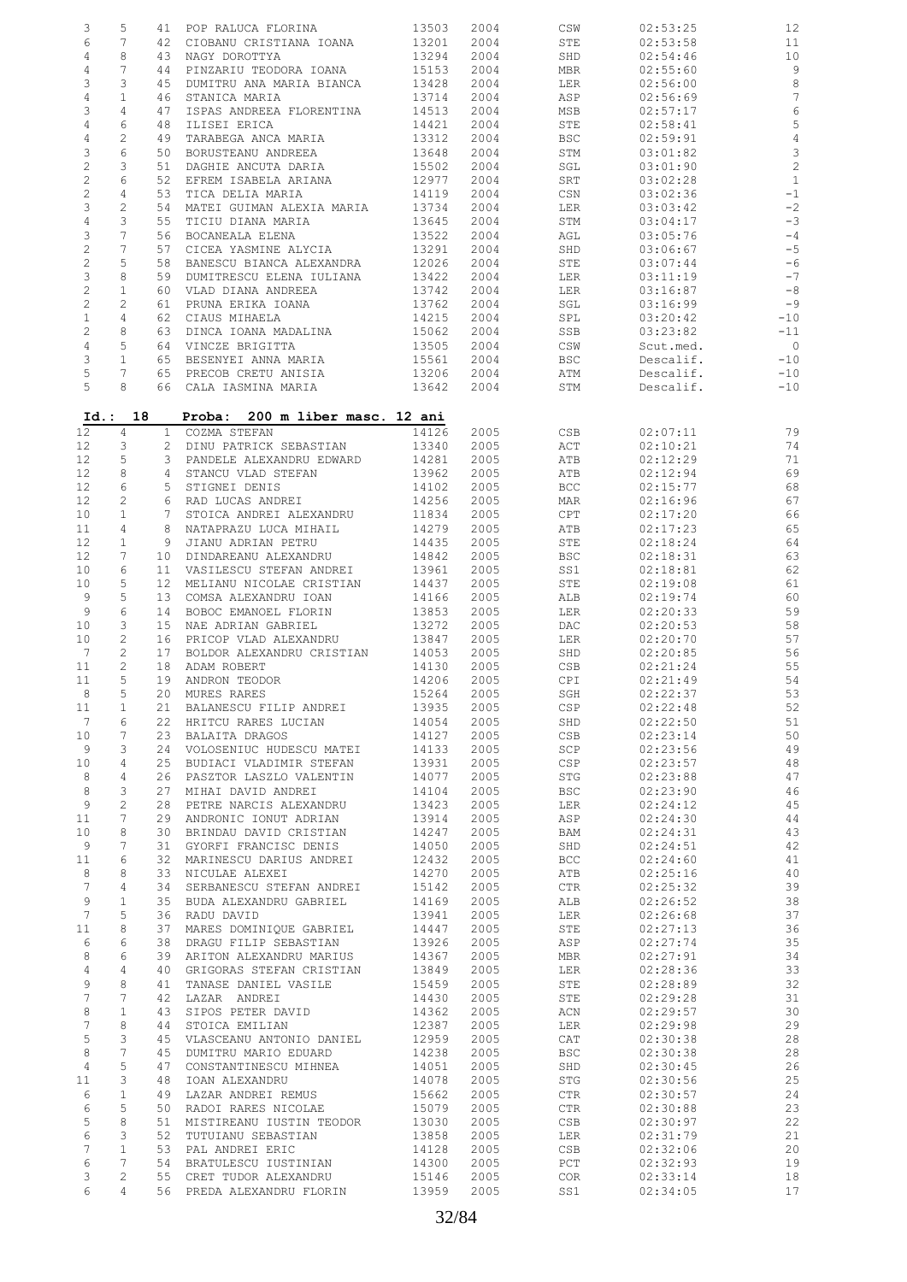| 3               | 5                                | 41              | POP RALUCA FLORINA                             | 13503          | 2004         | $\mathbb{CSW}$ | 02:53:25             | 12                                    |
|-----------------|----------------------------------|-----------------|------------------------------------------------|----------------|--------------|----------------|----------------------|---------------------------------------|
| 6               | 7                                | 42              | CIOBANU CRISTIANA IOANA                        | 13201          | 2004         | STE            | 02:53:58             | 11                                    |
| $\overline{4}$  | 8                                | 43              | NAGY DOROTTYA                                  | 13294          | 2004         | SHD            | 02:54:46             | $10$                                  |
| $\overline{4}$  | 7                                | 44              | PINZARIU TEODORA IOANA                         | 15153          | 2004         | MBR            | 02:55:60             | $\,9$                                 |
| 3               | 3                                | 45              |                                                | 13428          | 2004         | LER            | 02:56:00             | $\,8\,$                               |
|                 |                                  |                 | DUMITRU ANA MARIA BIANCA                       |                |              |                |                      |                                       |
| $\sqrt{4}$      | $\mathbf{1}$                     | 46              | STANICA MARIA                                  | 13714          | 2004         | ASP            | 02:56:69             | $\boldsymbol{7}$                      |
| 3               | 4                                | 47              | ISPAS ANDREEA FLORENTINA                       | 14513          | 2004         | MSB            | 02:57:17             | $\epsilon$                            |
| $\sqrt{4}$      | 6                                | 48              | ILISEI ERICA                                   | 14421          | 2004         | STE            | 02:58:41             | $\mathbb S$                           |
| $\overline{4}$  | $\mathbf{2}$                     | 49              | TARABEGA ANCA MARIA                            | 13312          | 2004         | <b>BSC</b>     | 02:59:91             | $\sqrt{4}$                            |
| 3               | $\epsilon$                       | 50              | BORUSTEANU ANDREEA                             | 13648          | 2004         | STM            | 03:01:82             |                                       |
| $\overline{c}$  | 3                                | 51              |                                                |                | 2004         |                |                      | $\begin{array}{c} 3 \\ 2 \end{array}$ |
|                 |                                  |                 | DAGHIE ANCUTA DARIA                            | 15502          |              | SGL            | 03:01:90             |                                       |
| $\overline{c}$  | 6                                | 52              | EFREM ISABELA ARIANA                           | 12977          | 2004         | SRT            | 03:02:28             | $\,1\,$                               |
| $\overline{c}$  | 4                                | 53              | TICA DELIA MARIA                               | 14119          | 2004         | CSN            | 03:02:36             | $-1$                                  |
| 3               | $\mathbf{2}$                     | 54              | MATEI GUIMAN ALEXIA MARIA                      | 13734          | 2004         | LER            | 03:03:42             | $-2$                                  |
| $\overline{4}$  | 3                                | 55              | TICIU DIANA MARIA                              | 13645          | 2004         | STM            | 03:04:17             | $-3$                                  |
| 3               | $\overline{7}$                   | 56              | BOCANEALA ELENA                                | 13522          | 2004         | AGL            | 03:05:76             | $-4$                                  |
|                 | 7                                |                 |                                                |                |              |                |                      | $-5$                                  |
| $\overline{c}$  |                                  | 57              | CICEA YASMINE ALYCIA                           | 13291          | 2004         | SHD            | 03:06:67             |                                       |
| $\overline{c}$  | 5                                | 58              | BANESCU BIANCA ALEXANDRA                       | 12026          | 2004         | STE            | 03:07:44             | $-6$                                  |
| 3               | 8                                | 59              | DUMITRESCU ELENA IULIANA                       | 13422          | 2004         | LER            | 03:11:19             | $-7$                                  |
| $\overline{c}$  | $\mathbf{1}$                     | 60              | VLAD DIANA ANDREEA                             | 13742          | 2004         | LER            | 03:16:87             | $-8$                                  |
| $\overline{c}$  | 2                                | 61              | PRUNA ERIKA IOANA                              | 13762          | 2004         | SGL            | 03:16:99             | $-9$                                  |
| $\mathbf{1}$    | 4                                | 62              | CIAUS MIHAELA                                  | 14215          | 2004         | SPL            | 03:20:42             | $-10$                                 |
|                 | 8                                |                 |                                                |                |              |                |                      |                                       |
| $\overline{c}$  |                                  | 63              | DINCA IOANA MADALINA                           | 15062          | 2004         | SSB            | 03:23:82             | $-11$                                 |
| $\overline{4}$  | 5                                | 64              | VINCZE BRIGITTA                                | 13505          | 2004         | CSW            | Scut.med.            | $\overline{0}$                        |
| 3               | $\mathbf{1}$                     | 65              | BESENYEI ANNA MARIA                            | 15561          | 2004         | <b>BSC</b>     | Descalif.            | $-10$                                 |
| 5               | 7                                | 65              | PRECOB CRETU ANISIA                            | 13206          | 2004         | ATM            | Descalif.            | $-10$                                 |
| 5               | 8                                | 66              | CALA IASMINA MARIA                             | 13642          | 2004         | STM            | Descalif.            | $-10$                                 |
|                 |                                  |                 |                                                |                |              |                |                      |                                       |
|                 |                                  |                 |                                                |                |              |                |                      |                                       |
| $Id.$ :         | 18                               |                 | Proba:<br>200 m liber masc. 12 ani             |                |              |                |                      |                                       |
| 12              | 4                                | $\mathbf{1}$    | COZMA STEFAN                                   | 14126          | 2005         | CSB            | 02:07:11             | 79                                    |
| 12              | 3                                | 2               | DINU PATRICK SEBASTIAN                         | 13340          | 2005         | ACT            | 02:10:21             | 74                                    |
| 12              | 5                                | 3               | PANDELE ALEXANDRU EDWARD                       | 14281          | 2005         | ATB            | 02:12:29             | 71                                    |
| 12              | 8                                | $\overline{4}$  | STANCU VLAD STEFAN                             | 13962          | 2005         | ATB            | 02:12:94             | 69                                    |
|                 |                                  |                 |                                                |                |              |                |                      |                                       |
| 12              | 6                                | 5               | STIGNEI DENIS                                  | 14102          | 2005         | <b>BCC</b>     | 02:15:77             | 68                                    |
| 12              | $\mathbf{2}$                     | 6               | RAD LUCAS ANDREI                               | 14256          | 2005         | MAR            | 02:16:96             | 67                                    |
| 10              | $\mathbf{1}$                     | $7\phantom{.0}$ | STOICA ANDREI ALEXANDRU                        | 11834          | 2005         | CPT            | 02:17:20             | 66                                    |
| 11              | $\overline{4}$                   | 8               | NATAPRAZU LUCA MIHAIL                          | 14279          | 2005         | ATB            | 02:17:23             | 65                                    |
| 12              | $\mathbf{1}$                     | 9               | JIANU ADRIAN PETRU                             | 14435          | 2005         | STE            | 02:18:24             | 64                                    |
| 12              | $\overline{7}$                   | 10 <sub>1</sub> | DINDAREANU ALEXANDRU                           | 14842          | 2005         | <b>BSC</b>     | 02:18:31             | 63                                    |
|                 |                                  |                 |                                                |                |              |                |                      |                                       |
| 10              | 6                                | 11              | VASILESCU STEFAN ANDREI                        | 13961          | 2005         | SS1            | 02:18:81             | 62                                    |
| 10              | 5                                | 12 <sup>7</sup> | MELIANU NICOLAE CRISTIAN                       | 14437          | 2005         | STE            | 02:19:08             | 61                                    |
| 9               | 5                                | 13              | COMSA ALEXANDRU IOAN                           | 14166          | 2005         | ALB            | 02:19:74             | 60                                    |
| 9               | 6                                | 14              | BOBOC EMANOEL FLORIN                           | 13853          | 2005         | <b>LER</b>     | 02:20:33             | 59                                    |
| 10              | 3                                | 15              | NAE ADRIAN GABRIEL                             | 13272          | 2005         | DAC            | 02:20:53             | 58                                    |
| 10              | $\overline{c}$                   |                 | 16 PRICOP VLAD ALEXANDRU                       | 13847          | 2005         | LER            | 02:20:70             | 57                                    |
|                 |                                  |                 |                                                |                |              |                |                      |                                       |
| $7\phantom{.0}$ | $\mathbf{2}$                     | 17              | BOLDOR ALEXANDRU CRISTIAN                      | 14053          | 2005         | SHD            | 02:20:85             | 56                                    |
| 11              | $\mathbf{2}$                     | 18              | ADAM ROBERT                                    | 14130          | 2005         | CSB            | 02:21:24             | 55                                    |
| 11              | 5                                | 19              | ANDRON TEODOR                                  | 14206          | 2005         | CPI            | 02:21:49             | 54                                    |
| 8               | 5                                | 20              | MURES RARES                                    | 15264          | 2005         | SGH            | 02:22:37             | 53                                    |
| 11              | $\mathbf{1}$                     | 21              | BALANESCU FILIP ANDREI                         | 13935          | 2005         | CSP            | 02:22:48             | 52                                    |
| 7               | 6                                | 22              | HRITCU RARES LUCIAN                            | 14054          | 2005         | SHD            | 02:22:50             | 51                                    |
|                 |                                  |                 |                                                |                |              |                |                      |                                       |
| 10              | 7                                | 23              | BALAITA DRAGOS                                 | 14127          | 2005         | CSB            | 02:23:14             | 50                                    |
| 9               | 3                                | 24              | VOLOSENIUC HUDESCU MATEI                       | 14133          | 2005         | SCP            | 02:23:56             | 49                                    |
| 10              | 4                                | 25              | BUDIACI VLADIMIR STEFAN                        | 13931          | 2005         | CSP            | 02:23:57             |                                       |
| 8               | 4                                | 26              | PASZTOR LASZLO VALENTIN                        |                |              |                |                      | 48                                    |
| 8               |                                  |                 |                                                | 14077          | 2005         | STG            | 02:23:88             | 47                                    |
|                 | 3                                | 27              |                                                | 14104          |              |                |                      |                                       |
|                 |                                  |                 | MIHAI DAVID ANDREI                             |                | 2005         | <b>BSC</b>     | 02:23:90             | 46                                    |
| 9               | $\overline{c}$                   | 28              | PETRE NARCIS ALEXANDRU                         | 13423          | 2005         | LER            | 02:24:12             | 45                                    |
| 11              | 7                                | 29              | ANDRONIC IONUT ADRIAN                          | 13914          | 2005         | ASP            | 02:24:30             | 44                                    |
| 10              | 8                                | 30              | BRINDAU DAVID CRISTIAN                         | 14247          | 2005         | BAM            | 02:24:31             | 43                                    |
| 9               | 7                                | 31              | GYORFI FRANCISC DENIS                          | 14050          | 2005         | SHD            | 02:24:51             | 42                                    |
| 11              | 6                                | 32              | MARINESCU DARIUS ANDREI                        | 12432          | 2005         | <b>BCC</b>     | 02:24:60             | 41                                    |
| 8               | 8                                | 33              | NICULAE ALEXEI                                 | 14270          | 2005         | ATB            | 02:25:16             | 40                                    |
|                 | 4                                | 34              | SERBANESCU STEFAN ANDREI                       |                |              |                |                      |                                       |
| 7               |                                  |                 |                                                | 15142          | 2005         | CTR            | 02:25:32             | 39                                    |
| 9               | $\mathbf{1}$                     | 35              | BUDA ALEXANDRU GABRIEL                         | 14169          | 2005         | ALB            | 02:26:52             | 38                                    |
| 7               | 5                                | 36              | RADU DAVID                                     | 13941          | 2005         | LER            | 02:26:68             | 37                                    |
| 11              | 8                                | 37              | MARES DOMINIQUE GABRIEL                        | 14447          | 2005         | STE            | 02:27:13             | 36                                    |
| 6               | 6                                | 38              | DRAGU FILIP SEBASTIAN                          | 13926          | 2005         | ASP            | 02:27:74             | 35                                    |
| 8               | 6                                | 39              | ARITON ALEXANDRU MARIUS                        | 14367          | 2005         | MBR            | 02:27:91             | 34                                    |
| 4               | 4                                | 40              | GRIGORAS STEFAN CRISTIAN                       | 13849          | 2005         | LER            | 02:28:36             | 33                                    |
|                 | 8                                | 41              |                                                |                |              |                |                      |                                       |
| 9               |                                  |                 | TANASE DANIEL VASILE                           | 15459          | 2005         | STE            | 02:28:89             | 32                                    |
| 7               | 7                                | 42              | LAZAR ANDREI                                   | 14430          | 2005         | STE            | 02:29:28             | 31                                    |
| 8               | $\mathbf{1}$                     | 43              | SIPOS PETER DAVID                              | 14362          | 2005         | ACN            | 02:29:57             | 30                                    |
| 7               | 8                                | 44              | STOICA EMILIAN                                 | 12387          | 2005         | LER            | 02:29:98             | 29                                    |
| 5               | 3                                | 45              | VLASCEANU ANTONIO DANIEL                       | 12959          | 2005         | CAT            | 02:30:38             | 28                                    |
| 8               | 7                                | 45              | DUMITRU MARIO EDUARD                           | 14238          | 2005         | <b>BSC</b>     | 02:30:38             | 28                                    |
|                 |                                  |                 |                                                |                |              |                |                      |                                       |
| $\overline{4}$  | 5                                | 47              | CONSTANTINESCU MIHNEA                          | 14051          | 2005         | SHD            | 02:30:45             | 26                                    |
| 11              | 3                                | 48              | IOAN ALEXANDRU                                 | 14078          | 2005         | STG            | 02:30:56             | 25                                    |
| 6               | $\mathbf{1}$                     | 49              | LAZAR ANDREI REMUS                             | 15662          | 2005         | CTR            | 02:30:57             | 24                                    |
| 6               | 5                                | 50              | RADOI RARES NICOLAE                            | 15079          | 2005         | CTR            | 02:30:88             | 23                                    |
| 5               | 8                                | 51              | MISTIREANU IUSTIN TEODOR                       | 13030          | 2005         | CSB            | 02:30:97             | 22                                    |
| 6               | 3                                | 52              | TUTUIANU SEBASTIAN                             | 13858          | 2005         | LER            | 02:31:79             | 21                                    |
|                 |                                  |                 |                                                |                |              |                |                      |                                       |
| 7               | $\mathbf{1}$                     | 53              | PAL ANDREI ERIC                                | 14128          | 2005         | CSB            | 02:32:06             | 20                                    |
| 6               | 7                                | 54              | BRATULESCU IUSTINIAN                           | 14300          | 2005         | PCT            | 02:32:93             | 19                                    |
| 3<br>6          | $\overline{c}$<br>$\overline{4}$ | 55<br>56        | CRET TUDOR ALEXANDRU<br>PREDA ALEXANDRU FLORIN | 15146<br>13959 | 2005<br>2005 | COR<br>SS1     | 02:33:14<br>02:34:05 | 18<br>17                              |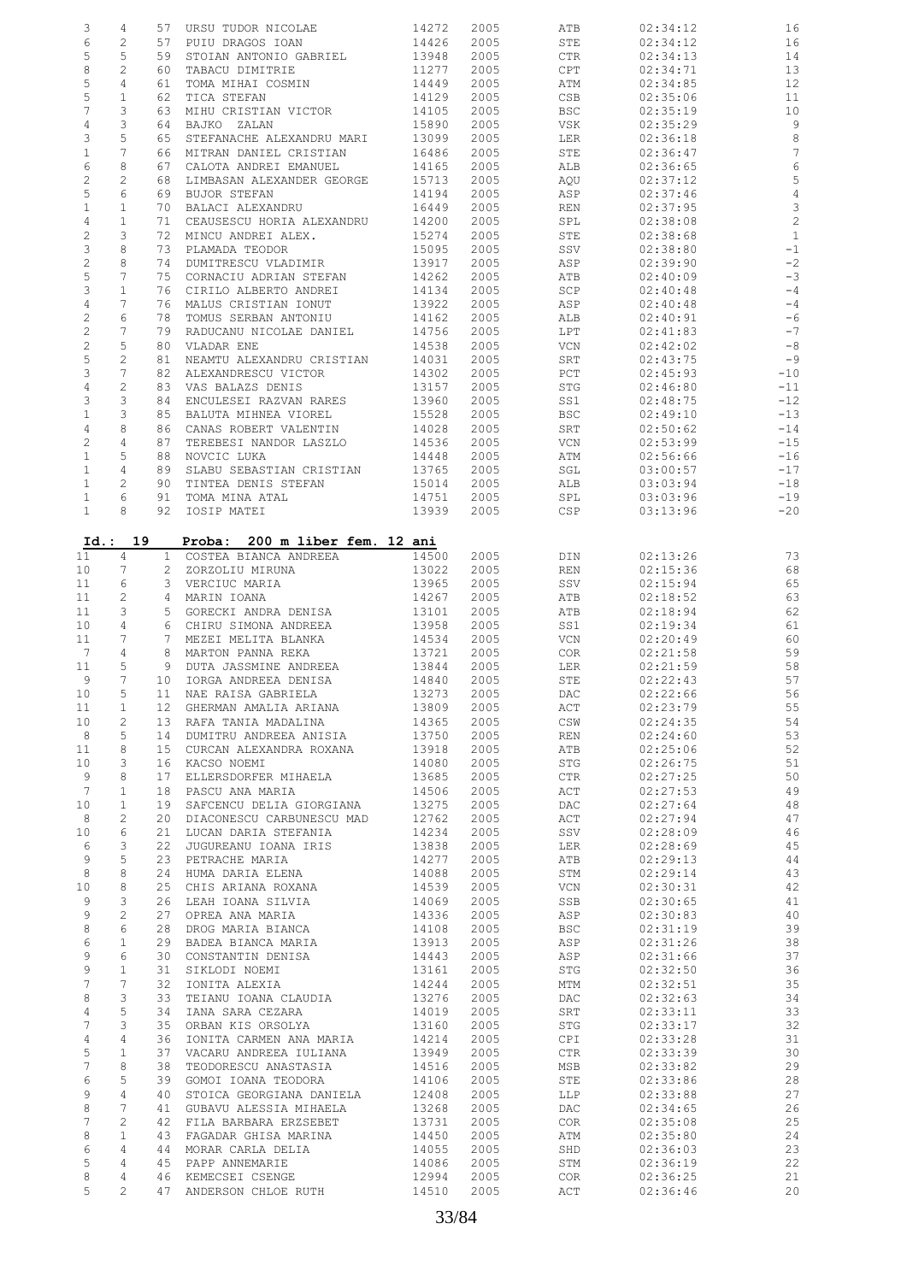|    | 3                                                                                                                  | 4                     | 57              | URSU TUDOR NICOLAE                     | 14272          | 2005         | ATB                              | 02:34:12             | 16                                    |
|----|--------------------------------------------------------------------------------------------------------------------|-----------------------|-----------------|----------------------------------------|----------------|--------------|----------------------------------|----------------------|---------------------------------------|
|    | 6                                                                                                                  | 2                     | 57              | PUIU DRAGOS IOAN                       | 14426          | 2005         | STE                              | 02:34:12             | 16                                    |
|    | 5                                                                                                                  | 5                     | 59              | STOIAN ANTONIO GABRIEL                 | 13948          | 2005         | CTR                              | 02:34:13             | 14                                    |
|    |                                                                                                                    |                       |                 |                                        |                |              |                                  |                      |                                       |
|    | 8                                                                                                                  | 2                     | 60              | TABACU DIMITRIE                        | 11277          | 2005         | CPT                              | 02:34:71             | 13                                    |
|    | 5                                                                                                                  | 4                     | 61              | TOMA MIHAI COSMIN                      | 14449          | 2005         | ATM                              | 02:34:85             | 12                                    |
|    | 5                                                                                                                  | $\mathbf{1}$          | 62              | TICA STEFAN                            | 14129          | 2005         | CSB                              | 02:35:06             | $11\,$                                |
|    | 7                                                                                                                  | 3                     | 63              | MIHU CRISTIAN VICTOR                   | 14105          | 2005         | <b>BSC</b>                       | 02:35:19             | 10                                    |
|    |                                                                                                                    | 3                     | 64              | BAJKO ZALAN                            | 15890          |              |                                  |                      |                                       |
|    | $\overline{4}$                                                                                                     |                       |                 |                                        |                | 2005         | VSK                              | 02:35:29             | $\,9$                                 |
|    | 3                                                                                                                  | 5                     | 65              | STEFANACHE ALEXANDRU MARI              | 13099          | 2005         | LER                              | 02:36:18             | $\,8\,$                               |
|    | $1\,$                                                                                                              | 7                     | 66              | MITRAN DANIEL CRISTIAN                 | 16486          | 2005         | STE                              | 02:36:47             | $7\,$                                 |
|    | 6                                                                                                                  | 8                     | 67              | CALOTA ANDREI EMANUEL                  | 14165          | 2005         | ALB                              | 02:36:65             | $\epsilon$                            |
|    |                                                                                                                    |                       |                 |                                        |                |              |                                  |                      |                                       |
|    | $\overline{c}$                                                                                                     | $\overline{c}$        | 68              | LIMBASAN ALEXANDER GEORGE              | 15713          | 2005         | AQU                              | 02:37:12             | $\mathsf S$                           |
|    | 5                                                                                                                  | 6                     | 69              | BUJOR STEFAN                           | 14194          | 2005         | ASP                              | 02:37:46             | $\sqrt{4}$                            |
|    | $\mathbf{1}$                                                                                                       | $\mathbf{1}$          | 70              | BALACI ALEXANDRU                       | 16449          | 2005         | REN                              | 02:37:95             |                                       |
|    |                                                                                                                    |                       |                 |                                        |                |              |                                  |                      | $\begin{array}{c} 3 \\ 2 \end{array}$ |
|    | $\overline{4}$                                                                                                     | $\mathbf{1}$          | 71              | CEAUSESCU HORIA ALEXANDRU              | 14200          | 2005         | SPL                              | 02:38:08             |                                       |
|    | $\mathfrak{2}% _{T}=\mathfrak{2}_{T}\!\left( a,b\right) ,\ \mathfrak{2}_{T}=\mathfrak{2}_{T}\!\left( a,b\right) ,$ | 3                     | 72              | MINCU ANDREI ALEX.                     | 15274          | 2005         | STE                              | 02:38:68             | $\,1\,$                               |
|    | 3                                                                                                                  | 8                     | 73              | PLAMADA TEODOR                         | 15095          | 2005         | SSV                              | 02:38:80             | $-1$                                  |
|    | $\overline{c}$                                                                                                     | 8                     | 74              | DUMITRESCU VLADIMIR                    | 13917          | 2005         | ASP                              | 02:39:90             | $-2$                                  |
|    |                                                                                                                    |                       |                 |                                        |                |              |                                  |                      |                                       |
|    | 5                                                                                                                  | 7                     | 75              | CORNACIU ADRIAN STEFAN                 | 14262          | 2005         | ATB                              | 02:40:09             | $-3$                                  |
|    | 3                                                                                                                  | $\mathbf{1}$          | 76              | CIRILO ALBERTO ANDREI                  | 14134          | 2005         | SCP                              | 02:40:48             | $-4$                                  |
|    | $\overline{4}$                                                                                                     | 7                     | 76              | MALUS CRISTIAN IONUT                   | 13922          | 2005         | ASP                              | 02:40:48             | $-4$                                  |
|    | $\overline{c}$                                                                                                     | 6                     | 78              | TOMUS SERBAN ANTONIU                   | 14162          | 2005         | ALB                              | 02:40:91             | $-6$                                  |
|    |                                                                                                                    |                       |                 |                                        |                |              |                                  |                      |                                       |
|    | $\overline{c}$                                                                                                     | 7                     | 79              | RADUCANU NICOLAE DANIEL                | 14756          | 2005         | LPT                              | 02:41:83             | $-7$                                  |
|    | $\overline{c}$                                                                                                     | 5                     | 80              | VLADAR ENE                             | 14538          | 2005         | VCN                              | 02:42:02             | $-8$                                  |
|    | 5                                                                                                                  | 2                     | 81              | NEAMTU ALEXANDRU CRISTIAN              | 14031          | 2005         | SRT                              | 02:43:75             | $-9$                                  |
|    |                                                                                                                    | 7                     | 82              |                                        |                |              |                                  |                      |                                       |
|    | 3                                                                                                                  |                       |                 | ALEXANDRESCU VICTOR                    | 14302          | 2005         | PCT                              | 02:45:93             | $-10$                                 |
|    | $\overline{4}$                                                                                                     | 2                     | 83              | VAS BALAZS DENIS                       | 13157          | 2005         | STG                              | 02:46:80             | $-11$                                 |
|    | 3                                                                                                                  | 3                     | 84              | ENCULESEI RAZVAN RARES                 | 13960          | 2005         | SS1                              | 02:48:75             | $-12$                                 |
|    | $\mathbf{1}$                                                                                                       | 3                     | 85              | BALUTA MIHNEA VIOREL                   | 15528          | 2005         | <b>BSC</b>                       | 02:49:10             | $-13$                                 |
|    |                                                                                                                    |                       |                 |                                        |                |              |                                  |                      |                                       |
|    | $\overline{4}$                                                                                                     | 8                     | 86              | CANAS ROBERT VALENTIN                  | 14028          | 2005         | SRT                              | 02:50:62             | $-14$                                 |
|    | 2                                                                                                                  | $\overline{4}$        | 87              | TEREBESI NANDOR LASZLO                 | 14536          | 2005         | VCN                              | 02:53:99             | $-15$                                 |
|    | $1\,$                                                                                                              | 5                     | 88              | NOVCIC LUKA                            | 14448          | 2005         | ATM                              | 02:56:66             | $-16$                                 |
|    |                                                                                                                    |                       |                 |                                        |                |              |                                  |                      | $-17$                                 |
|    | $\mathbf{1}$                                                                                                       | $\overline{4}$        | 89              | SLABU SEBASTIAN CRISTIAN               | 13765          | 2005         | SGL                              | 03:00:57             |                                       |
|    | $\mathbf{1}$                                                                                                       | 2                     | 90              | TINTEA DENIS STEFAN                    | 15014          | 2005         | ALB                              | 03:03:94             | $-18$                                 |
|    | $\mathbf{1}$                                                                                                       | 6                     | 91              | TOMA MINA ATAL                         | 14751          | 2005         | SPL                              | 03:03:96             | $-19$                                 |
|    | $\mathbf{1}$                                                                                                       | 8                     | 92              | IOSIP MATEI                            | 13939          | 2005         | CSP                              | 03:13:96             | $-20$                                 |
|    |                                                                                                                    |                       |                 |                                        |                |              |                                  |                      |                                       |
|    |                                                                                                                    |                       |                 |                                        |                |              |                                  |                      |                                       |
|    | Id.:                                                                                                               | 19                    |                 | Proba:<br>200 m liber fem. 12 ani      |                |              |                                  |                      |                                       |
| 11 |                                                                                                                    | $\overline{4}$        | $\mathbf{1}$    | COSTEA BIANCA ANDREEA                  | 14500          | 2005         | DIN                              | 02:13:26             | 73                                    |
|    |                                                                                                                    |                       |                 |                                        |                |              |                                  |                      |                                       |
| 10 |                                                                                                                    | 7                     | 2               | ZORZOLIU MIRUNA                        | 13022          | 2005         | <b>REN</b>                       | 02:15:36             | 68                                    |
| 11 |                                                                                                                    | 6                     | 3               | VERCIUC MARIA                          | 13965          | 2005         | SSV                              | 02:15:94             | 65                                    |
| 11 |                                                                                                                    |                       |                 |                                        |                |              |                                  |                      |                                       |
|    |                                                                                                                    |                       |                 |                                        |                |              |                                  |                      |                                       |
|    |                                                                                                                    | 2                     | 4               | MARIN IOANA                            | 14267          | 2005         | ATB                              | 02:18:52             | 63                                    |
| 11 |                                                                                                                    | 3                     | 5               | GORECKI ANDRA DENISA                   | 13101          | 2005         | ATB                              | 02:18:94             | 62                                    |
| 10 |                                                                                                                    | $\overline{4}$        | 6               | CHIRU SIMONA ANDREEA                   | 13958          | 2005         | SS1                              | 02:19:34             | 61                                    |
|    |                                                                                                                    |                       | $7^{\circ}$     |                                        |                |              |                                  |                      |                                       |
| 11 |                                                                                                                    | 7                     |                 | MEZEI MELITA BLANKA                    | 14534          | 2005         | VCN                              | 02:20:49             | 60                                    |
|    | $7\phantom{.0}$                                                                                                    | 4                     | 8               | MARTON PANNA REKA                      | 13721          | 2005         | COR                              | 02:21:58             | 59                                    |
| 11 |                                                                                                                    | 5                     | 9               | DUTA JASSMINE ANDREEA                  | 13844          | 2005         | LER                              | 02:21:59             | 58                                    |
|    | 9                                                                                                                  | 7                     | 10              | IORGA ANDREEA DENISA                   | 14840          | 2005         | STE                              | 02:22:43             | 57                                    |
|    |                                                                                                                    |                       |                 |                                        |                |              |                                  |                      |                                       |
| 10 |                                                                                                                    | 5                     | 11              | NAE RAISA GABRIELA                     | 13273          | 2005         | DAC                              | 02:22:66             | 56                                    |
| 11 |                                                                                                                    | 1                     | 12              | GHERMAN AMALIA ARIANA                  | 13809          | 2005         | $\mathbb{A}\mathbb{C}\mathbb{T}$ | 02:23:79             | 55                                    |
| 10 |                                                                                                                    | $\overline{c}$        | 13              | RAFA TANIA MADALINA                    | 14365          | 2005         | CSW                              | 02:24:35             | 54                                    |
|    |                                                                                                                    |                       |                 |                                        |                |              |                                  |                      |                                       |
|    | 8                                                                                                                  | 5                     | 14              | DUMITRU ANDREEA ANISIA                 | 13750          | 2005         | REN                              | 02:24:60             | 53                                    |
| 11 |                                                                                                                    | 8                     | 15 <sub>1</sub> | CURCAN ALEXANDRA ROXANA                | 13918          | 2005         | ATB                              | 02:25:06             | 52                                    |
| 10 |                                                                                                                    | 3                     | 16              | KACSO NOEMI                            | 14080          | 2005         | STG                              | 02:26:75             | 51                                    |
|    | 9                                                                                                                  | 8                     | 17              | ELLERSDORFER MIHAELA                   | 13685          | 2005         | CTR                              | 02:27:25             | 50                                    |
|    |                                                                                                                    |                       |                 |                                        |                |              |                                  |                      |                                       |
|    | 7                                                                                                                  | $\mathbf{1}$          | 18              | PASCU ANA MARIA                        | 14506          | 2005         | ACT                              | 02:27:53             | 49                                    |
| 10 |                                                                                                                    | $\mathbf{1}$          | 19              | SAFCENCU DELIA GIORGIANA               | 13275          | 2005         | DAC                              | 02:27:64             | 48                                    |
|    | 8                                                                                                                  | $\overline{c}$        | 20              | DIACONESCU CARBUNESCU MAD              | 12762          | 2005         | ACT                              | 02:27:94             | 47                                    |
| 10 |                                                                                                                    | 6                     | 21              | LUCAN DARIA STEFANIA                   | 14234          | 2005         | SSV                              | 02:28:09             | 46                                    |
|    | 6                                                                                                                  | 3                     | 22              | JUGUREANU IOANA IRIS                   | 13838          | 2005         | LER                              | 02:28:69             | 45                                    |
|    |                                                                                                                    |                       |                 |                                        |                |              |                                  |                      |                                       |
|    | 9                                                                                                                  | 5                     | 23              | PETRACHE MARIA                         | 14277          | 2005         | ATB                              | 02:29:13             | 44                                    |
|    | 8                                                                                                                  | 8                     | 24              | HUMA DARIA ELENA                       | 14088          | 2005         | STM                              | 02:29:14             | 43                                    |
| 10 |                                                                                                                    | 8                     | 25              | CHIS ARIANA ROXANA                     | 14539          | 2005         | VCN                              | 02:30:31             | 42                                    |
|    |                                                                                                                    |                       |                 |                                        |                |              |                                  |                      |                                       |
|    | 9                                                                                                                  | 3                     | 26              | LEAH IOANA SILVIA                      | 14069          | 2005         | SSB                              | 02:30:65             | 41                                    |
|    | 9                                                                                                                  | $\overline{c}$        | 27              | OPREA ANA MARIA                        | 14336          | 2005         | ASP                              | 02:30:83             | 40                                    |
|    | 8                                                                                                                  | 6                     | 28              | DROG MARIA BIANCA                      | 14108          | 2005         | <b>BSC</b>                       | 02:31:19             | 39                                    |
|    | 6                                                                                                                  | $\mathbf{1}$          | 29              | BADEA BIANCA MARIA                     | 13913          | 2005         | ASP                              | 02:31:26             | 38                                    |
|    |                                                                                                                    |                       |                 |                                        |                |              |                                  |                      |                                       |
|    | 9                                                                                                                  | 6                     | 30              | CONSTANTIN DENISA                      | 14443          | 2005         | ASP                              | 02:31:66             | 37                                    |
|    | 9                                                                                                                  | $\mathbf{1}$          | 31              | SIKLODI NOEMI                          | 13161          | 2005         | STG                              | 02:32:50             | 36                                    |
|    | 7                                                                                                                  | 7                     | 32              | IONITA ALEXIA                          | 14244          | 2005         | MTM                              | 02:32:51             | 35                                    |
|    | 8                                                                                                                  | 3                     | 33              | TEIANU IOANA CLAUDIA                   | 13276          | 2005         | DAC                              | 02:32:63             | 34                                    |
|    |                                                                                                                    |                       |                 |                                        |                |              |                                  |                      |                                       |
|    | $\overline{4}$                                                                                                     | 5                     | 34              | IANA SARA CEZARA                       | 14019          | 2005         | SRT                              | 02:33:11             | 33                                    |
|    | 7                                                                                                                  | 3                     | 35              | ORBAN KIS ORSOLYA                      | 13160          | 2005         | STG                              | 02:33:17             | 32                                    |
|    | $\overline{4}$                                                                                                     | $\overline{4}$        | 36              | IONITA CARMEN ANA MARIA                | 14214          | 2005         | CPI                              | 02:33:28             | 31                                    |
|    |                                                                                                                    | $\mathbf{1}$          | 37              | VACARU ANDREEA IULIANA                 | 13949          | 2005         | CTR                              | 02:33:39             | 30                                    |
|    | 5                                                                                                                  |                       |                 |                                        |                |              |                                  |                      |                                       |
|    | 7                                                                                                                  | 8                     | 38              | TEODORESCU ANASTASIA                   | 14516          | 2005         | MSB                              | 02:33:82             | 29                                    |
|    | 6                                                                                                                  | 5                     | 39              | GOMOI IOANA TEODORA                    | 14106          | 2005         | STE                              | 02:33:86             | 28                                    |
|    | 9                                                                                                                  | $\overline{4}$        | 40              | STOICA GEORGIANA DANIELA               | 12408          | 2005         | LLP                              | 02:33:88             | 27                                    |
|    |                                                                                                                    | 7                     | 41              |                                        |                |              |                                  |                      |                                       |
|    | 8                                                                                                                  |                       |                 | GUBAVU ALESSIA MIHAELA                 | 13268          | 2005         | DAC                              | 02:34:65             | 26                                    |
|    | 7                                                                                                                  | $\mathbf{2}^{\prime}$ | 42              | FILA BARBARA ERZSEBET                  | 13731          | 2005         | COR                              | 02:35:08             | 25                                    |
|    | 8                                                                                                                  | $\mathbf{1}$          | 43              | FAGADAR GHISA MARINA                   | 14450          | 2005         | ATM                              | 02:35:80             | 24                                    |
|    | 6                                                                                                                  | 4                     | 44              | MORAR CARLA DELIA                      | 14055          | 2005         | SHD                              | 02:36:03             | 23                                    |
|    |                                                                                                                    |                       |                 |                                        |                |              |                                  |                      |                                       |
|    | 5                                                                                                                  | 4                     | 45              | PAPP ANNEMARIE                         | 14086          | 2005         | STM                              | 02:36:19             | 22                                    |
|    | 8<br>5                                                                                                             | 4<br>$\overline{2}$   | 46<br>47        | KEMECSEI CSENGE<br>ANDERSON CHLOE RUTH | 12994<br>14510 | 2005<br>2005 | COR<br>ACT                       | 02:36:25<br>02:36:46 | 21<br>20                              |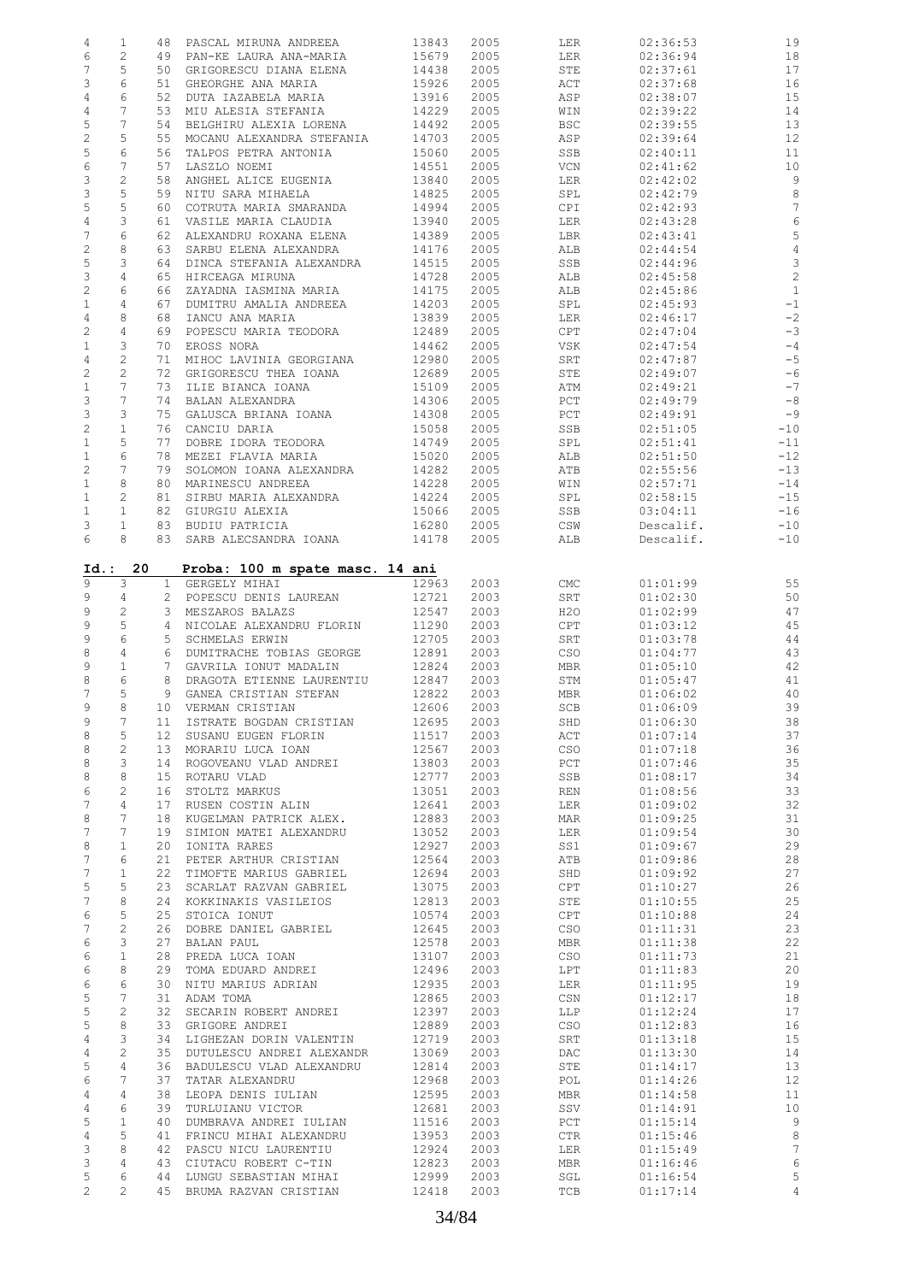| $\overline{4}$                                                                                                     |                |                       |                                                  |                |              |              |                      |                           |
|--------------------------------------------------------------------------------------------------------------------|----------------|-----------------------|--------------------------------------------------|----------------|--------------|--------------|----------------------|---------------------------|
|                                                                                                                    | $\mathbf{1}$   | 48                    | PASCAL MIRUNA ANDREEA                            | 13843          | 2005         | LER          | 02:36:53             | 19                        |
| 6                                                                                                                  | $\mathbf{2}$   | 49                    | PAN-KE LAURA ANA-MARIA                           | 15679          | 2005         | <b>LER</b>   | 02:36:94             | $18$                      |
| $\overline{7}$                                                                                                     | 5              | 50                    | GRIGORESCU DIANA ELENA                           | 14438          | 2005         | STE          | 02:37:61             | 17                        |
|                                                                                                                    |                |                       |                                                  |                |              |              |                      |                           |
| 3                                                                                                                  | 6              | 51                    | GHEORGHE ANA MARIA                               | 15926          | 2005         | ACT          | 02:37:68             | 16                        |
| $\overline{4}$                                                                                                     | 6              | 52                    | DUTA IAZABELA MARIA                              | 13916          | 2005         | ASP          | 02:38:07             | 15                        |
| $\overline{4}$                                                                                                     | 7              | 53                    | MIU ALESIA STEFANIA                              | 14229          | 2005         | WIN          | 02:39:22             | 14                        |
| 5                                                                                                                  | 7              | 54                    | BELGHIRU ALEXIA LORENA                           | 14492          | 2005         | <b>BSC</b>   | 02:39:55             | 13                        |
| $\mathfrak{2}% _{T}=\mathfrak{2}_{T}\!\left( a,b\right) ,\ \mathfrak{2}_{T}=\mathfrak{2}_{T}\!\left( a,b\right) ,$ | 5              | 55                    | MOCANU ALEXANDRA STEFANIA                        | 14703          | 2005         | ASP          | 02:39:64             | 12                        |
|                                                                                                                    |                |                       |                                                  |                |              |              |                      |                           |
| 5                                                                                                                  | 6              | 56                    | TALPOS PETRA ANTONIA                             | 15060          | 2005         | SSB          | 02:40:11             | 11                        |
| 6                                                                                                                  | 7              | 57                    | LASZLO NOEMI                                     | 14551          | 2005         | VCN          | 02:41:62             | 10                        |
| 3                                                                                                                  | $\mathbf{2}$   | 58                    | ANGHEL ALICE EUGENIA                             | 13840          | 2005         | LER          | 02:42:02             | $\mathsf 9$               |
| 3                                                                                                                  | 5              | 59                    |                                                  | 14825          | 2005         | SPL          | 02:42:79             | $\,8\,$                   |
|                                                                                                                    |                |                       | NITU SARA MIHAELA                                |                |              |              |                      |                           |
| 5                                                                                                                  | 5              | 60                    | COTRUTA MARIA SMARANDA                           | 14994          | 2005         | CPI          | 02:42:93             | $7\phantom{.0}$           |
| $\overline{4}$                                                                                                     | 3              | 61                    | VASILE MARIA CLAUDIA                             | 13940          | 2005         | LER          | 02:43:28             | $\epsilon$                |
| 7                                                                                                                  | 6              | 62                    | ALEXANDRU ROXANA ELENA                           | 14389          | 2005         | LBR          | 02:43:41             | $\mathbb 5$               |
| $\overline{c}$                                                                                                     | 8              | 63                    | SARBU ELENA ALEXANDRA                            | 14176          | 2005         | ALB          | 02:44:54             |                           |
|                                                                                                                    |                |                       |                                                  |                |              |              |                      | $\overline{4}$            |
| 5                                                                                                                  | 3              | 64                    | DINCA STEFANIA ALEXANDRA                         | 14515          | 2005         | SSB          | 02:44:96             | $\ensuremath{\mathsf{3}}$ |
| 3                                                                                                                  | 4              | 65                    | HIRCEAGA MIRUNA                                  | 14728          | 2005         | ALB          | 02:45:58             | $\sqrt{2}$                |
| $\overline{c}$                                                                                                     | 6              | 66                    | ZAYADNA IASMINA MARIA                            | 14175          | 2005         | ALB          | 02:45:86             | $\,$ 1                    |
| $\mathbf{1}$                                                                                                       | 4              | 67                    | DUMITRU AMALIA ANDREEA                           | 14203          | 2005         | SPL          | 02:45:93             | $-1$                      |
|                                                                                                                    |                |                       |                                                  |                |              |              |                      |                           |
| $\overline{4}$                                                                                                     | 8              | 68                    | IANCU ANA MARIA                                  | 13839          | 2005         | LER          | 02:46:17             | $-2$                      |
| $\overline{c}$                                                                                                     | 4              | 69                    | POPESCU MARIA TEODORA                            | 12489          | 2005         | CPT          | 02:47:04             | $-3$                      |
| $1\,$                                                                                                              | 3              | 70                    | EROSS NORA                                       | 14462          | 2005         | <b>VSK</b>   | 02:47:54             | $-4$                      |
| $\overline{4}$                                                                                                     | $\mathbf{2}$   | 71                    | MIHOC LAVINIA GEORGIANA                          | 12980          | 2005         | SRT          | 02:47:87             | $-5$                      |
|                                                                                                                    |                |                       |                                                  |                |              |              |                      |                           |
| 2                                                                                                                  | $\mathbf{2}$   | 72                    | GRIGORESCU THEA IOANA                            | 12689          | 2005         | STE          | 02:49:07             | $-6$                      |
| $\mathbf{1}$                                                                                                       | 7              | 73                    | ILIE BIANCA IOANA                                | 15109          | 2005         | ATM          | 02:49:21             | $-7$                      |
| 3                                                                                                                  | 7              | 74                    | BALAN ALEXANDRA                                  | 14306          | 2005         | PCT          | 02:49:79             | $-8$                      |
| 3                                                                                                                  | 3              | 75                    | GALUSCA BRIANA IOANA                             | 14308          | 2005         | PCT          | 02:49:91             | $-9$                      |
| $\overline{c}$                                                                                                     |                |                       |                                                  |                |              |              |                      |                           |
|                                                                                                                    | $\mathbf{1}$   | 76                    | CANCIU DARIA                                     | 15058          | 2005         | SSB          | 02:51:05             | $-10$                     |
| $1\,$                                                                                                              | 5              | 77                    | DOBRE IDORA TEODORA                              | 14749          | 2005         | SPL          | 02:51:41             | $-11$                     |
| $\mathbf{1}$                                                                                                       | 6              | 78                    | MEZEI FLAVIA MARIA                               | 15020          | 2005         | ALB          | 02:51:50             | $-12$                     |
| $\overline{c}$                                                                                                     | 7              | 79                    | SOLOMON IOANA ALEXANDRA                          | 14282          | 2005         | ATB          | 02:55:56             | $-13$                     |
| $\mathbf{1}$                                                                                                       | 8              | 80                    | MARINESCU ANDREEA                                | 14228          | 2005         | WIN          | 02:57:71             | $-14$                     |
|                                                                                                                    |                |                       |                                                  |                |              |              |                      |                           |
| $\mathbf{1}$                                                                                                       | 2              | 81                    | SIRBU MARIA ALEXANDRA                            | 14224          | 2005         | SPL          | 02:58:15             | $-15$                     |
| $\mathbf{1}$                                                                                                       | $\mathbf{1}$   | 82                    | GIURGIU ALEXIA                                   | 15066          | 2005         | SSB          | 03:04:11             | $-16$                     |
| 3                                                                                                                  | $\mathbf{1}$   | 83                    | BUDIU PATRICIA                                   | 16280          | 2005         | CSW          | Descalif.            | $-10$                     |
| 6                                                                                                                  | 8              | 83                    | SARB ALECSANDRA IOANA                            | 14178          | 2005         | ALB          | Descalif.            | $-10$                     |
|                                                                                                                    |                |                       |                                                  |                |              |              |                      |                           |
| Id.:<br>9                                                                                                          | 20<br>3        | 1                     | Proba: 100 m spate masc. 14 ani<br>GERGELY MIHAI | 12963          | 2003         | CMC          | 01:01:99             | 55                        |
| 9                                                                                                                  | $\overline{4}$ | $\mathbf{2}^{\prime}$ | POPESCU DENIS LAUREAN                            | 12721          | 2003         | SRT          | 01:02:30             | 50                        |
| 9                                                                                                                  | $\mathbf{2}$   | 3                     | MESZAROS BALAZS                                  | 12547          | 2003         | H2O          | 01:02:99             | 47                        |
| 9                                                                                                                  | 5              | 4                     | NICOLAE ALEXANDRU FLORIN                         | 11290          | 2003         | CPT          | 01:03:12             | 45                        |
| 9                                                                                                                  | 6              | 5                     | SCHMELAS ERWIN                                   | 12705          | 2003         | SRT          | 01:03:78             | 44                        |
| 8                                                                                                                  | 4              | 6                     | DUMITRACHE TOBIAS GEORGE                         | 12891          | 2003         | CSO          |                      | 43                        |
|                                                                                                                    |                |                       |                                                  |                |              |              | 01:04:77             |                           |
| 9                                                                                                                  | $\mathbf{1}$   | 7                     | GAVRILA IONUT MADALIN                            | 12824          | 2003         | MBR          | 01:05:10             | 42                        |
| 8                                                                                                                  | 6              | 8                     | DRAGOTA ETIENNE LAURENTIU                        | 12847          | 2003         | STM          | 01:05:47             | 41                        |
| 7                                                                                                                  | 5              | 9                     | GANEA CRISTIAN STEFAN                            | 12822          | 2003         | MBR          | 01:06:02             | 40                        |
| 9                                                                                                                  | 8              | 10                    | VERMAN CRISTIAN                                  | 12606          | 2003         | SCB          | 01:06:09             | 39                        |
|                                                                                                                    |                |                       |                                                  |                |              |              |                      |                           |
| 9                                                                                                                  | 7              | 11                    | ISTRATE BOGDAN CRISTIAN                          | 12695          | 2003         | $_{\rm SHD}$ | 01:06:30             | 38                        |
| 8                                                                                                                  | 5              | 12 <sup>7</sup>       | SUSANU EUGEN FLORIN                              | 11517          | 2003         | ACT          | 01:07:14             | 37                        |
| 8                                                                                                                  | $\overline{c}$ | 13                    | MORARIU LUCA IOAN                                | 12567          | 2003         | <b>CSO</b>   | 01:07:18             | 36                        |
|                                                                                                                    |                |                       | ROGOVEANU VLAD ANDREI                            |                |              |              |                      |                           |
|                                                                                                                    |                |                       |                                                  |                |              |              |                      |                           |
|                                                                                                                    | 3              | 14                    |                                                  | 13803          | 2003         | PCT          | 01:07:46             | 35                        |
|                                                                                                                    | 8              | 15                    | ROTARU VLAD                                      | 12777          | 2003         | SSB          | 01:08:17             | 34                        |
|                                                                                                                    | $\overline{c}$ | 16                    | STOLTZ MARKUS                                    | 13051          | 2003         | REN          | 01:08:56             | 33                        |
|                                                                                                                    | 4              | 17                    | RUSEN COSTIN ALIN                                | 12641          | 2003         | LER          | 01:09:02             | 32                        |
| 8<br>8<br>6<br>$\overline{7}$                                                                                      |                |                       |                                                  |                |              |              |                      |                           |
|                                                                                                                    | 7              | 18                    | KUGELMAN PATRICK ALEX.                           | 12883          | 2003         | MAR          | 01:09:25             | 31                        |
| 8<br>7                                                                                                             | 7              | 19                    | SIMION MATEI ALEXANDRU                           | 13052          | 2003         | LER          | 01:09:54             | 30                        |
| 8                                                                                                                  | $\mathbf{1}$   | 20                    | IONITA RARES                                     | 12927          | 2003         | SS1          | 01:09:67             | 29                        |
| 7                                                                                                                  | 6              | 21                    | PETER ARTHUR CRISTIAN                            | 12564          | 2003         | ATB          | 01:09:86             | 28                        |
| $\overline{7}$                                                                                                     | $1\,$          | 22                    | TIMOFTE MARIUS GABRIEL                           | 12694          | 2003         | SHD          | 01:09:92             | 27                        |
|                                                                                                                    |                |                       |                                                  |                |              |              |                      |                           |
| 5                                                                                                                  | 5              | 23                    | SCARLAT RAZVAN GABRIEL                           | 13075          | 2003         | CPT          | 01:10:27             | 26                        |
|                                                                                                                    | $\,8\,$        | 24                    | KOKKINAKIS VASILEIOS                             | 12813          | 2003         | STE          | 01:10:55             | 25                        |
|                                                                                                                    | 5              | 25                    | STOICA IONUT                                     | 10574          | 2003         | CPT          | 01:10:88             | 24                        |
|                                                                                                                    | $\mathbf{2}$   | 26                    | DOBRE DANIEL GABRIEL                             | 12645          | 2003         | CSO          | 01:11:31             | 23                        |
|                                                                                                                    |                | 27                    |                                                  |                |              |              |                      |                           |
|                                                                                                                    | 3              |                       | BALAN PAUL                                       | 12578          | 2003         | MBR          | 01:11:38             | 22                        |
| $\overline{7}$<br>6<br>7<br>6<br>6                                                                                 | $\mathbf{1}$   | 28                    | PREDA LUCA IOAN                                  | 13107          | 2003         | CSO          | 01:11:73             | 21                        |
| 6                                                                                                                  | 8              | 29                    | TOMA EDUARD ANDREI                               | 12496          | 2003         | LPT          | 01:11:83             | 20                        |
|                                                                                                                    | 6              | 30                    | NITU MARIUS ADRIAN                               | 12935          | 2003         | LER          | 01:11:95             | 19                        |
|                                                                                                                    | 7              | 31                    | ADAM TOMA                                        | 12865          | 2003         | CSN          | 01:12:17             | 18                        |
|                                                                                                                    |                |                       |                                                  |                |              |              |                      |                           |
|                                                                                                                    | $\overline{c}$ | 32                    | SECARIN ROBERT ANDREI                            | 12397          | 2003         | LLP          | 01:12:24             | 17                        |
|                                                                                                                    | 8              | 33                    | GRIGORE ANDREI                                   | 12889          | 2003         | CSO          | 01:12:83             | 16                        |
|                                                                                                                    | 3              | 34                    | LIGHEZAN DORIN VALENTIN                          | 12719          | 2003         | SRT          | 01:13:18             | 15                        |
|                                                                                                                    | $\overline{c}$ | 35                    | DUTULESCU ANDREI ALEXANDR                        | 13069          | 2003         | DAC          | 01:13:30             | 14                        |
|                                                                                                                    |                |                       |                                                  |                |              |              |                      |                           |
|                                                                                                                    | 4              | 36                    | BADULESCU VLAD ALEXANDRU                         | 12814          | 2003         | STE          | 01:14:17             | 13                        |
| 6<br>5<br>5<br>5<br>$\overline{4}$<br>$\overline{4}$<br>5<br>6                                                     | 7              | 37                    | TATAR ALEXANDRU                                  | 12968          | 2003         | POL          | 01:14:26             | 12                        |
| $\overline{4}$                                                                                                     | 4              | 38                    | LEOPA DENIS IULIAN                               | 12595          | 2003         | MBR          | 01:14:58             | 11                        |
| $\overline{4}$                                                                                                     | 6              | 39                    | TURLUIANU VICTOR                                 | 12681          | 2003         | SSV          | 01:14:91             | 10                        |
|                                                                                                                    |                |                       |                                                  |                |              |              |                      |                           |
| 5                                                                                                                  | $\mathbf{1}$   | 40                    | DUMBRAVA ANDREI IULIAN                           | 11516          | 2003         | PCT          | 01:15:14             | 9                         |
| $\overline{4}$                                                                                                     | 5              | 41                    | FRINCU MIHAI ALEXANDRU                           | 13953          | 2003         | CTR          | 01:15:46             | 8                         |
|                                                                                                                    | 8              | 42                    | PASCU NICU LAURENTIU                             | 12924          | 2003         | LER          | 01:15:49             | $7\phantom{.0}$           |
| 3<br>3                                                                                                             | 4              | 43                    | CIUTACU ROBERT C-TIN                             | 12823          | 2003         | <b>MBR</b>   | 01:16:46             | $\epsilon$                |
|                                                                                                                    | 6              | 44                    |                                                  |                |              |              |                      | 5                         |
| 5<br>$\overline{c}$                                                                                                | $\overline{2}$ | 45                    | LUNGU SEBASTIAN MIHAI<br>BRUMA RAZVAN CRISTIAN   | 12999<br>12418 | 2003<br>2003 | SGL<br>TCB   | 01:16:54<br>01:17:14 | $\overline{4}$            |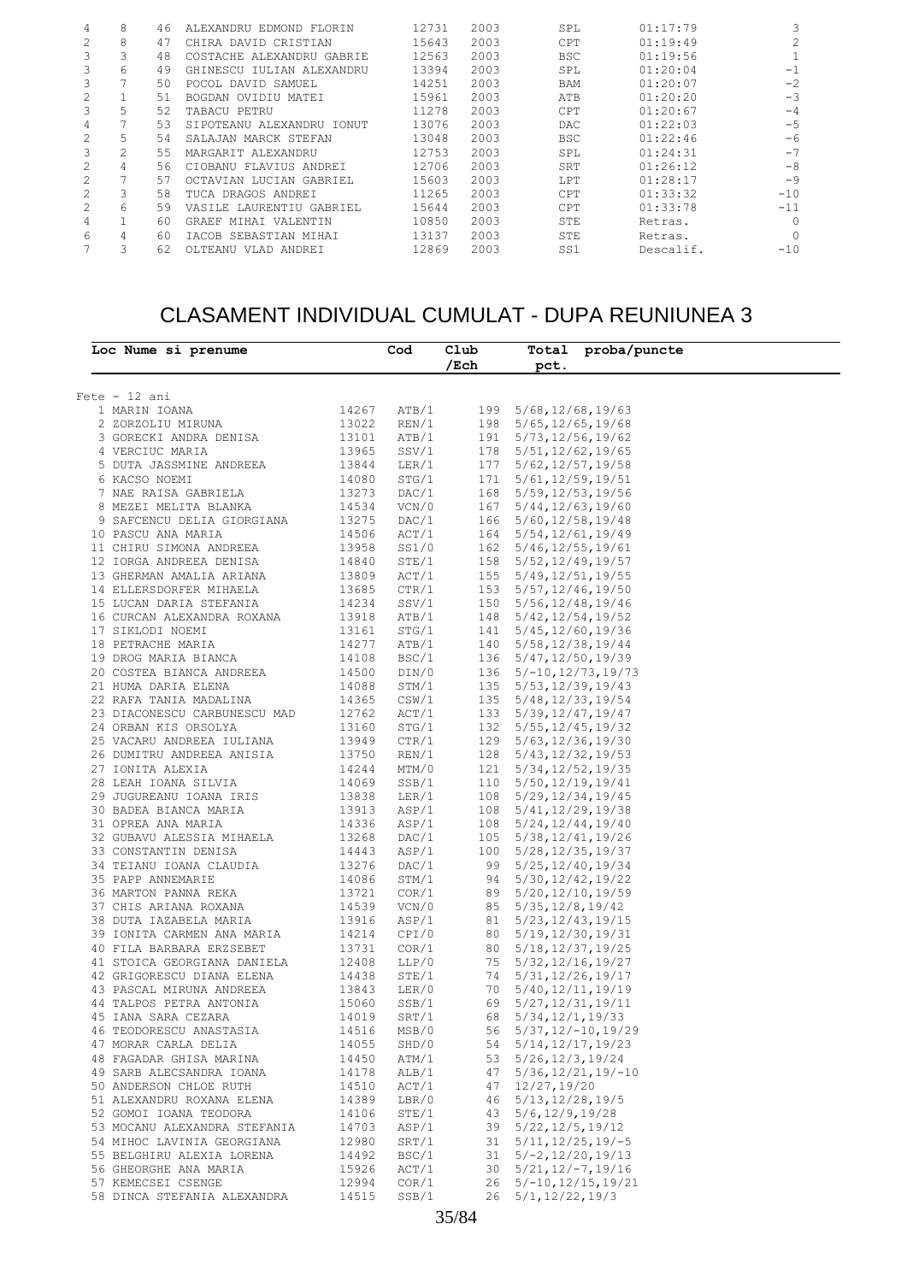| 4              | 8  | 46 | ALEXANDRU EDMOND FLORIN   | 12731 | 2003 | SPL        | 01:17:79  | 3        |
|----------------|----|----|---------------------------|-------|------|------------|-----------|----------|
| 2              | 8  | 47 | CHIRA DAVID CRISTIAN      | 15643 | 2003 | <b>CPT</b> | 01:19:49  |          |
| 3              |    | 48 | COSTACHE ALEXANDRU GABRIE | 12563 | 2003 | <b>BSC</b> | 01:19:56  |          |
|                | 6. | 49 | GHINESCU IULIAN ALEXANDRU | 13394 | 2003 | SPL        | 01:20:04  | $-1$     |
| 3              |    | 50 | POCOL DAVID SAMUEL        | 14251 | 2003 | BAM        | 01:20:07  | $-2$     |
| 2              |    | 51 | BOGDAN OVIDIU MATEI       | 15961 | 2003 | ATB        | 01:20:20  | $-3$     |
| 3              |    | 52 | TABACU PETRU              | 11278 | 2003 | <b>CPT</b> | 01:20:67  | $-4$     |
| 4              |    | 53 | SIPOTEANU ALEXANDRU IONUT | 13076 | 2003 | <b>DAC</b> | 01:22:03  | $-5$     |
| $\overline{c}$ |    | 54 | SALAJAN MARCK STEFAN      | 13048 | 2003 | <b>BSC</b> | 01:22:46  | $-6$     |
| 3              |    | 55 | MARGARIT ALEXANDRU        | 12753 | 2003 | SPL        | 01:24:31  | $-7$     |
| 2              | 4  | 56 | CIOBANU FLAVIUS ANDREI    | 12706 | 2003 | SRT        | 01:26:12  | -8       |
| 2              |    | 57 | OCTAVIAN LUCIAN GABRIEL   | 15603 | 2003 | LPT        | 01:28:17  | $-9$     |
| $\overline{c}$ | 3  | 58 | TUCA DRAGOS ANDREI        | 11265 | 2003 | <b>CPT</b> | 01:33:32  | $-10$    |
| $\overline{c}$ | 6. | 59 | VASILE LAURENTIU GABRIEL  | 15644 | 2003 | <b>CPT</b> | 01:33:78  | $-11$    |
| 4              |    | 60 | MIHAI VALENTIN<br>GRAEF   | 10850 | 2003 | STE        | Retras.   | $\Omega$ |
| 6              | 4  | 60 | IACOB SEBASTIAN MIHAI     | 13137 | 2003 | STE        | Retras.   | $\Omega$ |
| $\overline{ }$ | २  | 62 | OLTEANU VLAD ANDREI       | 12869 | 2003 | SS1        | Descalif. | $-10$    |
|                |    |    |                           |       |      |            |           |          |

### CLASAMENT INDIVIDUAL CUMULAT - DUPA REUNIUNEA 3

| Loc Nume si prenume                                |                | Cod                                | Club    |                                                  | Total proba/puncte |  |
|----------------------------------------------------|----------------|------------------------------------|---------|--------------------------------------------------|--------------------|--|
|                                                    |                |                                    | $/$ Ech | pct.                                             |                    |  |
|                                                    |                |                                    |         |                                                  |                    |  |
| $Fete - 12 ani$                                    |                |                                    |         |                                                  |                    |  |
| 1 MARIN IOANA                                      | 14267          | ATB/1                              |         | 199 5/68, 12/68, 19/63                           |                    |  |
| 2 ZORZOLIU MIRUNA                                  | 13022          | REN/1                              |         | 198 5/65, 12/65, 19/68                           |                    |  |
| 3 GORECKI ANDRA DENISA                             | 13101          | ATB/1                              |         | 191 5/73, 12/56, 19/62                           |                    |  |
| 4 VERCIUC MARIA                                    | 13965          | SSV/1<br>LER/1                     |         | 178 5/51, 12/62, 19/65                           |                    |  |
| 5 DUTA JASSMINE ANDREEA                            | 13844          |                                    |         | 177 5/62, 12/57, 19/58                           |                    |  |
| 6 KACSO NOEMI                                      | 14080          | STG/1<br>DAC/1                     |         | 171 5/61, 12/59, 19/51                           |                    |  |
| 7 NAE RAISA GABRIELA                               | 13273          |                                    |         | 168 5/59, 12/53, 19/56<br>167 5/44, 12/63, 19/60 |                    |  |
| 8 MEZEI MELITA BLANKA                              | 14534<br>13275 | VCN/0                              |         |                                                  |                    |  |
| 9 SAFCENCU DELIA GIORGIANA                         | 14506          | DAC/1<br>$\frac{Dn}{\text{ACT}/1}$ |         | 166 5/60, 12/58, 19/48                           |                    |  |
| 10 PASCU ANA MARIA                                 | 13958          | SS1/0                              |         | 164 5/54, 12/61, 19/49<br>162 5/46, 12/55, 19/61 |                    |  |
| 11 CHIRU SIMONA ANDREEA<br>12 IORGA ANDREEA DENISA | 14840          | STE/1                              |         | 158 5/52, 12/49, 19/57                           |                    |  |
| 13 GHERMAN AMALIA ARIANA                           | 13809          | ACT/1                              |         | 155 5/49, 12/51, 19/55                           |                    |  |
| 14 ELLERSDORFER MIHAELA                            | 13685          | CTR/1                              |         | 153 5/57, 12/46, 19/50                           |                    |  |
| 15 LUCAN DARIA STEFANIA                            | 14234          | SSV/1                              |         | 150 5/56, 12/48, 19/46                           |                    |  |
| 16 CURCAN ALEXANDRA ROXANA                         | 13918          |                                    |         | 148 5/42, 12/54, 19/52                           |                    |  |
| 17 SIKLODI NOEMI                                   | 13161          | ATB/1<br>STG/1                     |         | 141 5/45, 12/60, 19/36                           |                    |  |
| 18 PETRACHE MARIA                                  | 14277          | ATB/1                              |         | 140 5/58, 12/38, 19/44                           |                    |  |
| 19 DROG MARIA BIANCA                               | 14108          | BSC/1                              |         | 136 5/47, 12/50, 19/39                           |                    |  |
| 20 COSTEA BIANCA ANDREEA                           | 14500          | DIN/0                              |         | $136 \quad 5/-10, 12/73, 19/73$                  |                    |  |
| 21 HUMA DARIA ELENA                                | 14088          | STM/1                              |         | 135 5/53, 12/39, 19/43                           |                    |  |
| 22 RAFA TANIA MADALINA                             | 14365          | CSW/1                              |         | 135 5/48, 12/33, 19/54                           |                    |  |
| 23 DIACONESCU CARBUNESCU MAD                       | 12762          | ACT/1                              |         | 133 5/39, 12/47, 19/47                           |                    |  |
| 24 ORBAN KIS ORSOLYA                               | 13160          | STG/1                              |         | 132 5/55, 12/45, 19/32                           |                    |  |
| 25 VACARU ANDREEA IULIANA                          | 13949          | CTR/1                              |         | 129 5/63, 12/36, 19/30                           |                    |  |
| 26 DUMITRU ANDREEA ANISIA                          | 13750          | REN/1                              |         | 128 5/43, 12/32, 19/53                           |                    |  |
| 27 IONITA ALEXIA                                   | 14244          | MTM/0                              |         | 121 5/34, 12/52, 19/35                           |                    |  |
| 28 LEAH IOANA SILVIA                               | 14069          | SSB/1                              |         | 110 5/50, 12/19, 19/41                           |                    |  |
| 29 JUGUREANU IOANA IRIS                            | 13838          | LER/1                              |         | 108 5/29, 12/34, 19/45                           |                    |  |
| 30 BADEA BIANCA MARIA                              | 13913          | ASP/1                              |         | 108 5/41, 12/29, 19/38                           |                    |  |
| 31 OPREA ANA MARIA                                 | 14336          | ASP/1                              |         | 108 5/24, 12/44, 19/40                           |                    |  |
| 32 GUBAVU ALESSIA MIHAELA                          | 13268          | DAC/1                              |         | 105 5/38, 12/41, 19/26                           |                    |  |
| 33 CONSTANTIN DENISA                               | 14443          | ASP/1                              |         | $100 \quad 5/28, 12/35, 19/37$                   |                    |  |
| 34 TEIANU IOANA CLAUDIA                            | 13276          | DAC/1                              |         | 99 5/25, 12/40, 19/34                            |                    |  |
| 35 PAPP ANNEMARIE                                  | 14086          | STM/1                              |         | 94 5/30, 12/42, 19/22                            |                    |  |
| 36 MARTON PANNA REKA                               | 13721          | COR/1                              |         | 89 5/20, 12/10, 19/59                            |                    |  |
| 37 CHIS ARIANA ROXANA                              | 14539          | VCN/0                              |         | $85 \quad 5/35, 12/8, 19/42$                     |                    |  |
| 38 DUTA IAZABELA MARIA                             | 13916          | ASP/1                              |         | 81 5/23, 12/43, 19/15                            |                    |  |
| 39 IONITA CARMEN ANA MARIA                         | 14214          | CPI/0                              |         | 80 5/19, 12/30, 19/31                            |                    |  |
| 40 FILA BARBARA ERZSEBET                           | 13731          | COR/1                              |         | 80 5/18, 12/37, 19/25                            |                    |  |
| 41 STOICA GEORGIANA DANIELA                        | 12408          | LLP/0                              |         | 75 5/32, 12/16, 19/27                            |                    |  |
| 42 GRIGORESCU DIANA ELENA                          | 14438          | STE/1                              |         | 74 5/31, 12/26, 19/17                            |                    |  |
| 43 PASCAL MIRUNA ANDREEA                           | 13843          | LER/0                              |         | 70 5/40, 12/11, 19/19                            |                    |  |
| 44 TALPOS PETRA ANTONIA                            | 15060          | SSB/1                              |         | 69 5/27, 12/31, 19/11                            |                    |  |
| 45 IANA SARA CEZARA                                | 14019          | SRT/1                              |         | 68 5/34, 12/1, 19/33                             |                    |  |
| 46 TEODORESCU ANASTASIA                            | 14516          | MSB/0                              |         | 56 $5/37, 12/-10, 19/29$                         |                    |  |
| 47 MORAR CARLA DELIA                               | 14055          | SHD/0                              |         | 54 5/14, 12/17, 19/23                            |                    |  |
| 48 FAGADAR GHISA MARINA                            | 14450          | ATM/1                              |         | $53 \quad 5/26$ , 12/3, 19/24                    |                    |  |
| 49 SARB ALECSANDRA IOANA                           | 14178          | ALB/1                              |         | $47 \quad 5/36, 12/21, 19/-10$                   |                    |  |
| 50 ANDERSON CHLOE RUTH                             | 14510          | ACT/1                              |         | 47 12/27, 19/20                                  |                    |  |
| 51 ALEXANDRU ROXANA ELENA                          | 14389          | LBR/0                              |         | 46 5/13, 12/28, 19/5                             |                    |  |
| 52 GOMOI IOANA TEODORA                             | 14106          | STE/1                              |         | $43 \quad 5/6, 12/9, 19/28$                      |                    |  |
| 53 MOCANU ALEXANDRA STEFANIA                       | 14703          | ASP/1                              |         | 39 5/22, 12/5, 19/12                             |                    |  |
| 54 MIHOC LAVINIA GEORGIANA                         | 12980          | SRT/1                              |         | $31 \quad 5/11, 12/25, 19/-5$                    |                    |  |
| 55 BELGHIRU ALEXIA LORENA                          | 14492          | BSC/1                              |         | $31 \quad 5/-2, 12/20, 19/13$                    |                    |  |
| 56 GHEORGHE ANA MARIA                              | 15926          | ACT/1                              |         | $30 \quad 5/21, 12/-7, 19/16$                    |                    |  |
| 57 KEMECSEI CSENGE                                 | 12994          | COR/1                              |         | $26 \quad 5/-10, 12/15, 19/21$                   |                    |  |
| 58 DINCA STEFANIA ALEXANDRA                        | 14515          | SSB/1                              |         | 26 5/1, 12/22, 19/3                              |                    |  |
|                                                    |                |                                    | 2F/24   |                                                  |                    |  |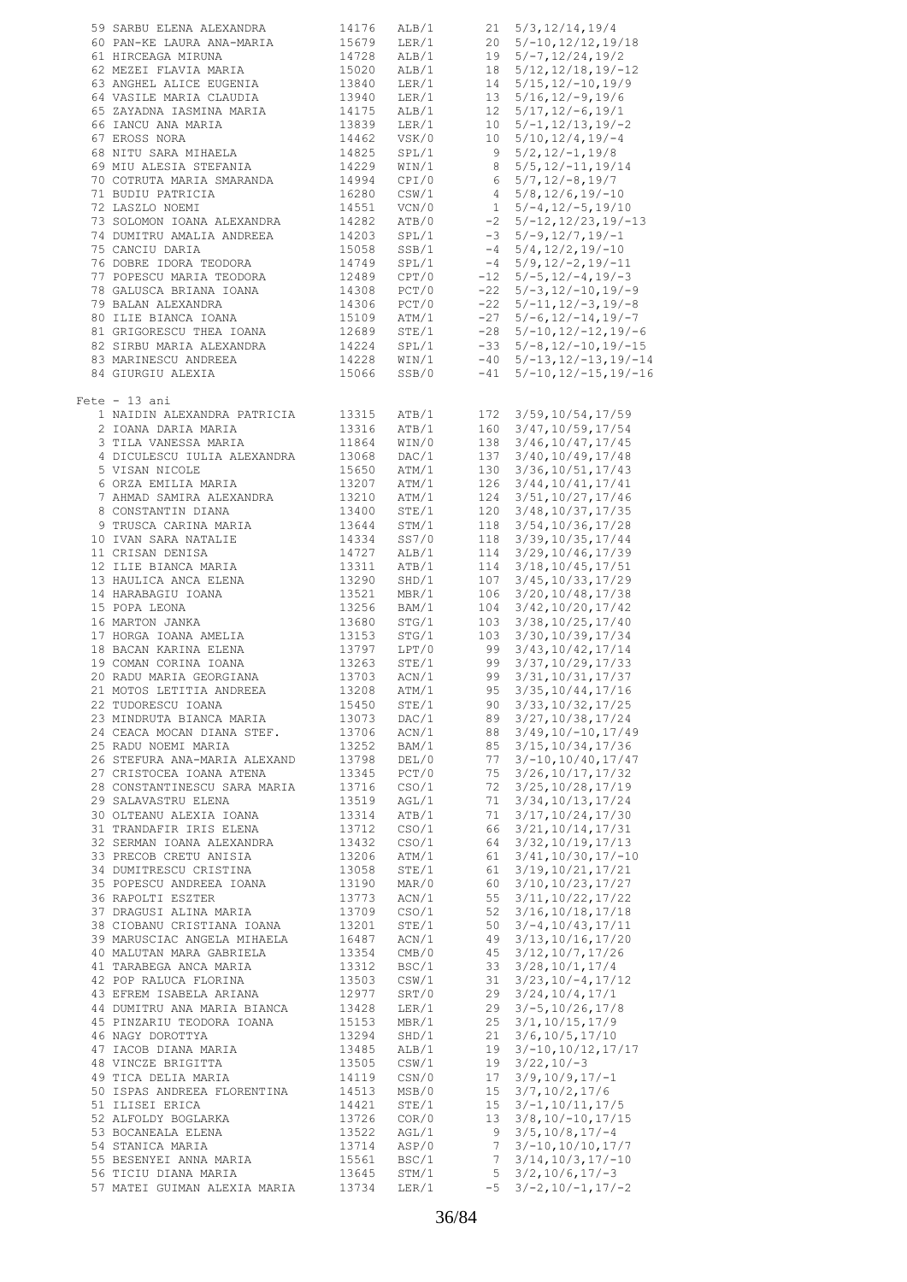| 59 SARBU ELENA ALEXANDRA                            | 14176          | ALB/1          | 21                               | 5/3,12/14,19/4                                                   |
|-----------------------------------------------------|----------------|----------------|----------------------------------|------------------------------------------------------------------|
| 60 PAN-KE LAURA ANA-MARIA<br>61 HIRCEAGA MIRUNA     | 15679<br>14728 | LER/1<br>ALB/1 |                                  | $20 \quad 5/-10, 12/12, 19/18$<br>$19 \quad 5/-7, 12/24, 19/2$   |
| 62 MEZEI FLAVIA MARIA                               | 15020          | ALB/1          |                                  | $18 \quad 5/12, 12/18, 19/-12$                                   |
| 63 ANGHEL ALICE EUGENIA                             | 13840          | LER/1          |                                  | $14 \quad 5/15, 12/-10, 19/9$                                    |
| 64 VASILE MARIA CLAUDIA                             | 13940          | LER/1          |                                  | $13 \quad 5/16, 12/-9, 19/6$                                     |
| 65 ZAYADNA IASMINA MARIA<br>66 IANCU ANA MARIA      | 14175<br>13839 | ALB/1<br>LER/1 |                                  | $12 \quad 5/17, 12/-6, 19/1$<br>$10 \quad 5/-1, 12/13, 19/-2$    |
| 67 EROSS NORA                                       | 14462          | VSK/0          |                                  | $10 \quad 5/10, 12/4, 19/-4$                                     |
| 68 NITU SARA MIHAELA                                | 14825          | SPL/1          |                                  | $9\quad 5/2, 12/-1, 19/8$                                        |
| 69 MIU ALESIA STEFANIA                              | 14229          | WIN/1          |                                  | $8\quad 5/5, 12/-11, 19/14$                                      |
| 70 COTRUTA MARIA SMARANDA                           | 14994          | CPI/0          |                                  | $6$ $5/7$ , $12/-8$ , $19/7$                                     |
| 71 BUDIU PATRICIA                                   | 16280          | CSW/1          |                                  | $4\quad 5/8, 12/6, 19/-10$                                       |
| 72 LASZLO NOEMI<br>73 SOLOMON IOANA ALEXANDRA       | 14551<br>14282 | VCN/0<br>ATB/0 |                                  | $1 \quad 5/-4, 12/-5, 19/10$<br>$-2$ 5/ $-12$ , 12/23, 19/ $-13$ |
| 74 DUMITRU AMALIA ANDREEA                           | 14203          | SPL/1          |                                  | $-3$ 5/-9, 12/7, 19/-1                                           |
| 75 CANCIU DARIA                                     | 15058          | SSB/1          |                                  | $-4$ 5/4, 12/2, 19/-10                                           |
| 76 DOBRE IDORA TEODORA                              | 14749          | SPL/1          |                                  | $-4$ 5/9, 12/-2, 19/-11                                          |
| 77 POPESCU MARIA TEODORA                            | 12489          | CPT/0          |                                  | $-12$ 5/-5, 12/-4, 19/-3<br>$-22$ 5/-3, 12/-10, 19/-9            |
| 78 GALUSCA BRIANA IOANA<br>79 BALAN ALEXANDRA       | 14308<br>14306 | PCT/0<br>PCT/0 |                                  | $-22$ 5/-11, 12/-3, 19/-8                                        |
| 80 ILIE BIANCA IOANA                                | 15109          | ATM/1          | $-27$                            | $5/-6$ , 12/-14, 19/-7                                           |
| 81 GRIGORESCU THEA IOANA                            | 12689          | STE/1          |                                  | $-28$ 5/-10, 12/-12, 19/-6                                       |
| 82 SIRBU MARIA ALEXANDRA                            | 14224          | SPL/1          |                                  | $-33$ $5/-8$ , 12/-10, 19/-15                                    |
| 83 MARINESCU ANDREEA                                | 14228          | WIN/1          |                                  | $-40$ $5/-13$ , $12/-13$ , $19/-14$                              |
| 84 GIURGIU ALEXIA                                   | 15066          | SSB/0          |                                  | $-41$ 5/-10, 12/-15, 19/-16                                      |
| $Fete - 13 ani$                                     |                |                |                                  |                                                                  |
| 1 NAIDIN ALEXANDRA PATRICIA                         | 13315          | ATB/1          | 172                              | 3/59, 10/54, 17/59                                               |
| 2 IOANA DARIA MARIA                                 | 13316          | ATB/1          |                                  | 160 3/47, 10/59, 17/54                                           |
| 3 TILA VANESSA MARIA                                | 11864          | WIN/0          | 138                              | 3/46,10/47,17/45                                                 |
| 4 DICULESCU IULIA ALEXANDRA<br>5 VISAN NICOLE       | 13068<br>15650 | DAC/1<br>ATM/1 | 130                              | 137 3/40, 10/49, 17/48<br>3/36,10/51,17/43                       |
| 6 ORZA EMILIA MARIA                                 | 13207          | ATM/1          |                                  | 126 3/44, 10/41, 17/41                                           |
| 7 AHMAD SAMIRA ALEXANDRA                            | 13210          | ATM/1          | 124                              | 3/51,10/27,17/46                                                 |
| 8 CONSTANTIN DIANA                                  | 13400          | STE/1          | 120                              | 3/48,10/37,17/35                                                 |
| 9 TRUSCA CARINA MARIA                               | 13644          | STM/1          | 118                              | 3/54,10/36,17/28                                                 |
| 10 IVAN SARA NATALIE<br>11 CRISAN DENISA            | 14334<br>14727 | SS7/0<br>ALB/1 | 118<br>114                       | 3/39,10/35,17/44<br>3/29,10/46,17/39                             |
| 12 ILIE BIANCA MARIA                                | 13311          | ATB/1          |                                  | 114 3/18, 10/45, 17/51                                           |
| 13 HAULICA ANCA ELENA                               | 13290          | SHD/1          | 107                              | 3/45, 10/33, 17/29                                               |
| 14 HARABAGIU IOANA                                  | 13521          | MBR/1          | 106                              | 3/20,10/48,17/38                                                 |
| 15 POPA LEONA                                       | 13256          | BAM/1          |                                  | 104 3/42, 10/20, 17/42                                           |
| 16 MARTON JANKA<br>17 HORGA IOANA AMELIA            | 13680<br>13153 | STG/1<br>STG/1 |                                  | 103 3/38, 10/25, 17/40<br>103 3/30, 10/39, 17/34                 |
| 18 BACAN KARINA ELENA                               | 13797          | LPT/0          |                                  | 99 3/43, 10/42, 17/14                                            |
| 19 COMAN CORINA IOANA                               | 13263          | STE/1          |                                  | 99 3/37, 10/29, 17/33                                            |
| 20 RADU MARIA GEORGIANA                             | 13703          | ACN/1          |                                  | 99 3/31,10/31,17/37                                              |
| 21 MOTOS LETITIA ANDREEA                            | 13208          | ATM/1          |                                  | 95 3/35, 10/44, 17/16                                            |
| 22 TUDORESCU IOANA<br>23 MINDRUTA BIANCA MARIA      | 15450<br>13073 | STE/1<br>DAC/1 | 89                               | 90 3/33, 10/32, 17/25<br>3/27,10/38,17/24                        |
| 24 CEACA MOCAN DIANA STEF.                          | 13706          | ACN/1          | 88                               | $3/49, 10/-10, 17/49$                                            |
| 25 RADU NOEMI MARIA                                 | 13252          | BAM/1          | 85                               | 3/15, 10/34, 17/36                                               |
| 26 STEFURA ANA-MARIA ALEXAND                        | 13798          | DEL/0          | 77                               | $3/-10, 10/40, 17/47$                                            |
| 27 CRISTOCEA IOANA ATENA                            | 13345          | PCT/0          | 75                               | 3/26,10/17,17/32                                                 |
| 28 CONSTANTINESCU SARA MARIA<br>29 SALAVASTRU ELENA | 13716          | CSO/1<br>AGL/1 | 72<br>71                         | 3/25,10/28,17/19<br>3/34, 10/13, 17/24                           |
| 30 OLTEANU ALEXIA IOANA                             | 13519<br>13314 | ATB/1          | 71                               | 3/17, 10/24, 17/30                                               |
| 31 TRANDAFIR IRIS ELENA                             | 13712          | CSO/1          | 66                               | 3/21, 10/14, 17/31                                               |
| 32 SERMAN IOANA ALEXANDRA                           | 13432          | CSO/1          | 64                               | 3/32, 10/19, 17/13                                               |
| 33 PRECOB CRETU ANISIA                              | 13206          | ATM/1          | 61                               | $3/41, 10/30, 17/-10$                                            |
| 34 DUMITRESCU CRISTINA                              | 13058          | STE/1          | 61                               | 3/19, 10/21, 17/21<br>3/10, 10/23, 17/27                         |
| 35 POPESCU ANDREEA IOANA<br>36 RAPOLTI ESZTER       | 13190<br>13773 | MAR/0<br>ACN/1 | 60<br>55                         | 3/11, 10/22, 17/22                                               |
| 37 DRAGUSI ALINA MARIA                              | 13709          | CSO/1          | 52                               | 3/16, 10/18, 17/18                                               |
| 38 CIOBANU CRISTIANA IOANA                          | 13201          | STE/1          | 50                               | $3/-4, 10/43, 17/11$                                             |
| 39 MARUSCIAC ANGELA MIHAELA                         | 16487          | ACN/1          | 49                               | 3/13, 10/16, 17/20                                               |
| 40 MALUTAN MARA GABRIELA                            | 13354          | CMB/0          | 45                               | 3/12,10/7,17/26                                                  |
| 41 TARABEGA ANCA MARIA<br>42 POP RALUCA FLORINA     | 13312<br>13503 | BSC/1<br>CSW/1 | 33<br>31                         | 3/28, 10/1, 17/4<br>$3/23$ , $10/-4$ , $17/12$                   |
| 43 EFREM ISABELA ARIANA                             | 12977          | SRT/0          | 29                               | 3/24, 10/4, 17/1                                                 |
| 44 DUMITRU ANA MARIA BIANCA                         | 13428          | LER/1          | 29                               | $3/-5, 10/26, 17/8$                                              |
| 45 PINZARIU TEODORA IOANA                           | 15153          | MBR/1          | 25                               | 3/1, 10/15, 17/9                                                 |
| 46 NAGY DOROTTYA                                    | 13294          | SHD/1          | 21                               | 3/6, 10/5, 17/10                                                 |
| 47 IACOB DIANA MARIA<br>48 VINCZE BRIGITTA          | 13485          | ALB/1          | 19                               | $3/-10, 10/12, 17/17$<br>$3/22, 10/-3$                           |
| 49 TICA DELIA MARIA                                 | 13505<br>14119 | CSW/1<br>CSN/0 | 19<br>17                         | $3/9, 10/9, 17/ - 1$                                             |
| 50 ISPAS ANDREEA FLORENTINA                         | 14513          | MSB/0          | 15                               | 3/7, 10/2, 17/6                                                  |
| 51 ILISEI ERICA                                     | 14421          | STE/1          | 15 <sub>1</sub>                  | $3/-1, 10/11, 17/5$                                              |
| 52 ALFOLDY BOGLARKA                                 | 13726          | COR/0          | 13 <sup>°</sup>                  | $3/8$ , $10/-10$ , $17/15$                                       |
| 53 BOCANEALA ELENA                                  | 13522          | AGL/1          | 9                                | $3/5$ , 10/8, 17/-4                                              |
| 54 STANICA MARIA<br>55 BESENYEI ANNA MARIA          | 13714<br>15561 | ASP/0<br>BSC/1 | $7\phantom{.}$<br>7 <sup>1</sup> | $3/-10, 10/10, 17/7$<br>$3/14, 10/3, 17/-10$                     |
| 56 TICIU DIANA MARIA                                | 13645          | STM/1          | 5                                | $3/2$ , $10/6$ , $17/-3$                                         |
| 57 MATEI GUIMAN ALEXIA MARIA                        | 13734          | LER/1          |                                  | $-5$ 3/-2, 10/-1, 17/-2                                          |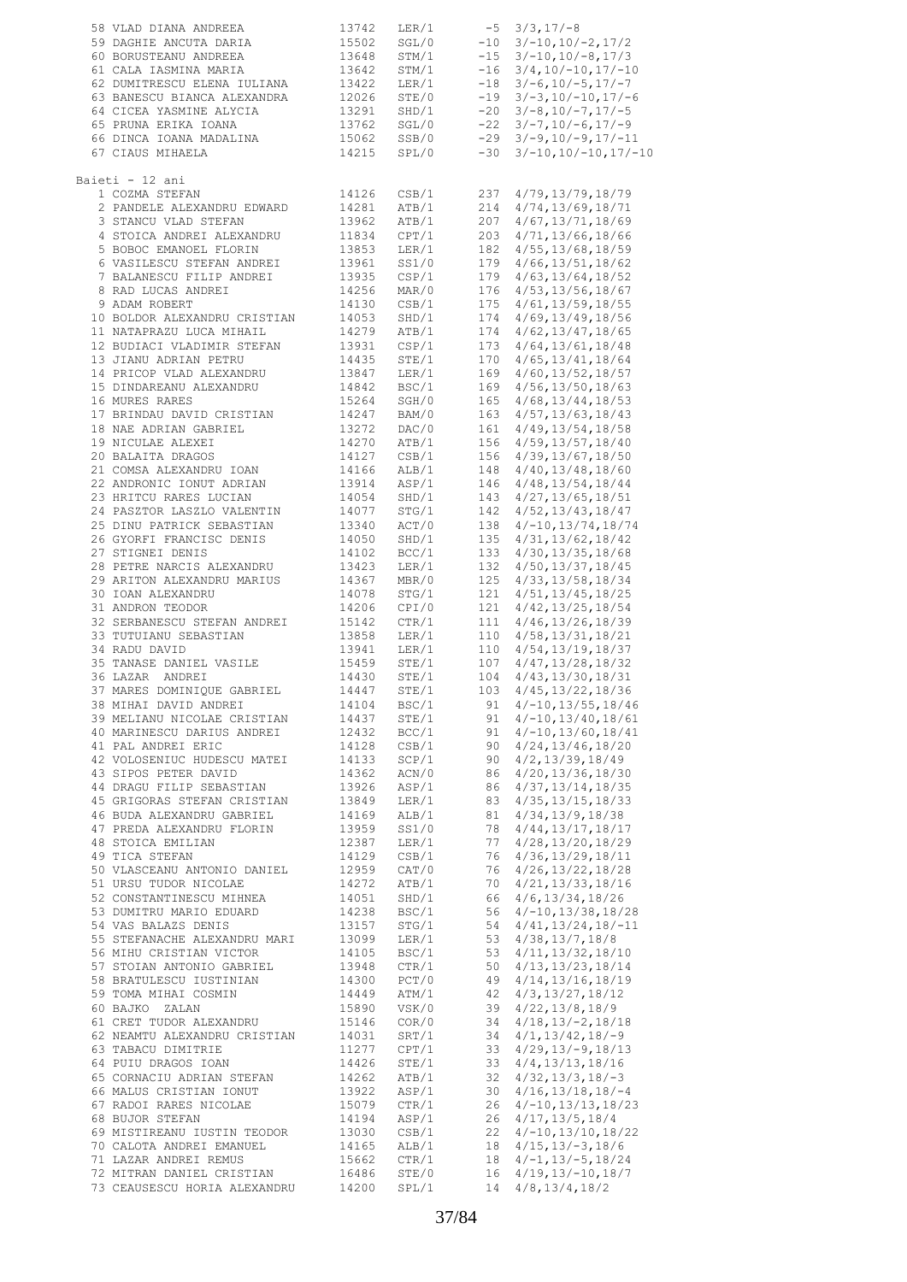| 58 VLAD DIANA ANDREEA                                   | 13742          | LER/1          | $-5$       | $3/3, 17/ -8$                               |
|---------------------------------------------------------|----------------|----------------|------------|---------------------------------------------|
| 59 DAGHIE ANCUTA DARIA                                  | 15502          | SGL/0          |            | $-10$ $3/-10, 10/-2, 17/2$                  |
| 60 BORUSTEANU ANDREEA                                   | 13648          | STM/1          | $-15$      | $3/-10, 10/-8, 17/3$                        |
| 61 CALA IASMINA MARIA                                   | 13642          | STM/1          | $-16$      | $3/4, 10/ - 10, 17/ - 10$                   |
| 62 DUMITRESCU ELENA IULIANA                             | 13422          | LER/1          | $-18$      | $3/-6$ , 10/-5, 17/-7                       |
| 63 BANESCU BIANCA ALEXANDRA                             | 12026          | STE/0          | $-19$      | $3/-3, 10/-10, 17/-6$                       |
| 64 CICEA YASMINE ALYCIA                                 | 13291          | SHD/1          | $-20$      | $3/-8, 10/-7, 17/-5$                        |
| 65 PRUNA ERIKA IOANA                                    | 13762          | SGL/0          | $-22$      | $3/-7, 10/-6, 17/-9$                        |
| 66 DINCA IOANA MADALINA                                 | 15062          | SSB/0          | $-29$      | $3/-9, 10/-9, 17/-11$                       |
| 67 CIAUS MIHAELA                                        | 14215          | SPL/0          | $-30$      | $3/-10, 10/-10, 17/-10$                     |
| Baieti - 12 ani                                         |                |                |            |                                             |
| 1 COZMA STEFAN                                          | 14126          | CSB/1          | 237        | 4/79, 13/79, 18/79                          |
| 2 PANDELE ALEXANDRU EDWARD                              | 14281          | ATB/1          | 214        | 4/74, 13/69, 18/71                          |
| 3 STANCU VLAD STEFAN                                    | 13962          | ATB/1          | 207        | 4/67, 13/71, 18/69                          |
| 4 STOICA ANDREI ALEXANDRU                               | 11834          | CPT/1          | 203        | 4/71, 13/66, 18/66                          |
| 5 BOBOC EMANOEL FLORIN                                  | 13853          | LER/1          | 182        | 4/55, 13/68, 18/59                          |
| 6 VASILESCU STEFAN ANDREI                               | 13961          | SS1/0          | 179        | $4/66$ , $13/51$ , $18/62$                  |
| 7 BALANESCU FILIP ANDREI                                | 13935          | CSP/1          | 179        | 4/63, 13/64, 18/52                          |
| 8 RAD LUCAS ANDREI                                      | 14256          | MAN/0          | 176        | 4/53, 13/56, 18/67                          |
| 9 ADAM ROBERT                                           | 14130          | CSB/1          | 175        | 4/61, 13/59, 18/55                          |
| 10 BOLDOR ALEXANDRU CRISTIAN                            | 14053          | SHD/1          | 174        | 4/69, 13/49, 18/56                          |
| 11 NATAPRAZU LUCA MIHAIL                                | 14279          | ATB/1          | 174        | 4/62, 13/47, 18/65                          |
| 12 BUDIACI VLADIMIR STEFAN                              | 13931          | CSP/1          | 173        | 4/64, 13/61, 18/48                          |
| 13 JIANU ADRIAN PETRU                                   | 14435          | STE/1          | 170        | 4/65, 13/41, 18/64                          |
| 14 PRICOP VLAD ALEXANDRU                                | 13847          | LER/1          | 169        | 4/60, 13/52, 18/57                          |
| 15 DINDAREANU ALEXANDRU                                 | 14842          | BSC/1          | 169        | $4/56$ , $13/50$ , $18/63$                  |
| 16 MURES RARES                                          | 15264          | SGH/0          | 165        | 4/68, 13/44, 18/53                          |
| 17 BRINDAU DAVID CRISTIAN                               | 14247          | BAM/0          | 163        | 4/57, 13/63, 18/43                          |
| 18 NAE ADRIAN GABRIEL                                   | 13272          | DAC/0          | 161        | 4/49, 13/54, 18/58                          |
| 19 NICULAE ALEXEI                                       | 14270          | ATB/1          | 156        | 4/59, 13/57, 18/40                          |
| 20 BALAITA DRAGOS                                       | 14127          | CSB/1          | 156        | 4/39, 13/67, 18/50                          |
| 21 COMSA ALEXANDRU IOAN                                 | 14166          | ALB/1          | 148        | 4/40, 13/48, 18/60                          |
| 22 ANDRONIC IONUT ADRIAN                                | 13914          | ASP/1          | 146        | 4/48, 13/54, 18/44                          |
| 23 HRITCU RARES LUCIAN                                  | 14054          | SHD/1          | 143        | 4/27, 13/65, 18/51                          |
| 24 PASZTOR LASZLO VALENTIN<br>25 DINU PATRICK SEBASTIAN | 14077<br>13340 | STG/1<br>ACT/0 | 142<br>138 | 4/52, 13/43, 18/47                          |
| 26 GYORFI FRANCISC DENIS                                | 14050          | SHD/1          | 135        | $4/-10, 13/74, 18/74$<br>4/31, 13/62, 18/42 |
| 27 STIGNEI DENIS                                        | 14102          | BCC/1          | 133        | 4/30, 13/35, 18/68                          |
| 28 PETRE NARCIS ALEXANDRU                               | 13423          | LER/1          | 132        | 4/50, 13/37, 18/45                          |
| 29 ARITON ALEXANDRU MARIUS                              | 14367          | MBR/0          | 125        | 4/33, 13/58, 18/34                          |
| 30 IOAN ALEXANDRU                                       | 14078          | STG/1          | 121        | 4/51, 13/45, 18/25                          |
| 31 ANDRON TEODOR                                        | 14206          | CPI/0          | 121        | 4/42, 13/25, 18/54                          |
| 32 SERBANESCU STEFAN ANDREI                             | 15142          | CTR/1          | 111        | $4/46$ , $13/26$ , $18/39$                  |
| 33 TUTUIANU SEBASTIAN                                   | 13858          | LER/1          | 110        | 4/58,13/31,18/21                            |
| 34 RADU DAVID                                           | 13941          | LER/1          | 110        | 4/54,13/19,18/37                            |
| 35 TANASE DANIEL VASILE                                 | 15459          | STE/1          | 107        | 4/47,13/28,18/32                            |
| 36 LAZAR ANDREI                                         | 14430          | STE/1          | 104        | 4/43,13/30,18/31                            |
| 37 MARES DOMINIQUE GABRIEL                              | 14447          | STE/1          | 103        | 4/45,13/22,18/36                            |
| 38 MIHAI DAVID ANDREI                                   | 14104 BSC/1    |                |            | $91 \quad 4/-10, 13/55, 18/46$              |
| 39 MELIANU NICOLAE CRISTIAN                             | 14437          | STE/1          |            | $91 \quad 4/-10, 13/40, 18/61$              |
| 40 MARINESCU DARIUS ANDREI                              | 12432          | BCC/1          |            | $91 \quad 4/-10, 13/60, 18/41$              |
| 41 PAL ANDREI ERIC                                      | 14128          | CSB/1          | 90         | 4/24, 13/46, 18/20                          |
| 42 VOLOSENIUC HUDESCU MATEI                             | 14133          | SCP/1          | 90         | 4/2,13/39,18/49                             |
| 43 SIPOS PETER DAVID                                    | 14362          | ACN/0          | 86         | 4/20, 13/36, 18/30                          |
| 44 DRAGU FILIP SEBASTIAN                                | 13926          | ASP/1          |            | 86 4/37, 13/14, 18/35                       |
| 45 GRIGORAS STEFAN CRISTIAN                             | 13849          | LER/1          |            | 83 4/35, 13/15, 18/33                       |
| 46 BUDA ALEXANDRU GABRIEL                               | 14169          | ALB/1          | 81         | 4/34, 13/9, 18/38                           |
| 47 PREDA ALEXANDRU FLORIN                               | 13959          | SS1/0          | 78         | 4/44,13/17,18/17                            |
| 48 STOICA EMILIAN<br>49 TICA STEFAN                     | 12387<br>14129 | LER/1<br>CSB/1 | 77         | 4/28,13/20,18/29<br>76 4/36, 13/29, 18/11   |
| 50 VLASCEANU ANTONIO DANIEL                             | 12959          | CAT/0          |            | 4/26,13/22,18/28                            |
| 51 URSU TUDOR NICOLAE                                   | 14272          | ATB/1          | 76<br>70   | 4/21,13/33,18/16                            |
| 52 CONSTANTINESCU MIHNEA                                | 14051          | SHD/1          | 66         | 4/6, 13/34, 18/26                           |
| 53 DUMITRU MARIO EDUARD                                 | 14238          | BSC/1          | 56         | $4/-10, 13/38, 18/28$                       |
| 54 VAS BALAZS DENIS                                     | 13157          | STG/1          |            | 54 $4/41, 13/24, 18/-11$                    |
| 55 STEFANACHE ALEXANDRU MARI                            | 13099          | LER/1          | 53         | 4/38,13/7,18/8                              |
| 56 MIHU CRISTIAN VICTOR                                 | 14105          | BSC/1          | 53         | 4/11,13/32,18/10                            |
| 57 STOIAN ANTONIO GABRIEL                               | 13948          | CTR/1          | 50         | 4/13,13/23,18/14                            |
| 58 BRATULESCU IUSTINIAN                                 | 14300          | PCT/0          |            | 49 4/14, 13/16, 18/19                       |
| 59 TOMA MIHAI COSMIN                                    | 14449          | ATM/1          |            | $42 \quad 4/3, 13/27, 18/12$                |
| 60 BAJKO ZALAN                                          | 15890          | VSK/0          |            | $39 \quad 4/22, 13/8, 18/9$                 |
| 61 CRET TUDOR ALEXANDRU                                 | 15146          | COR/0          | 34         | $4/18$ , 13/-2, 18/18                       |
| 62 NEAMTU ALEXANDRU CRISTIAN                            | 14031          | SRT/1          | 34         | $4/1, 13/42, 18/-9$                         |
| 63 TABACU DIMITRIE                                      | 11277          | CPT/1          | 33         | $4/29$ , $13/-9$ , $18/13$                  |
| 64 PUIU DRAGOS IOAN                                     | 14426          | STE/1          | 33         | 4/4,13/13,18/16                             |
| 65 CORNACIU ADRIAN STEFAN                               | 14262          | ATB/1          | 32         | $4/32$ , 13/3, 18/-3                        |
| 66 MALUS CRISTIAN IONUT                                 | 13922          | ASP/1          | 30         | $4/16, 13/18, 18/-4$                        |
| 67 RADOI RARES NICOLAE                                  | 15079          | CTR/1          | 26         | $4/-10, 13/13, 18/23$                       |
| 68 BUJOR STEFAN                                         | 14194          | ASP/1          | 26         | 4/17,13/5,18/4                              |
| 69 MISTIREANU IUSTIN TEODOR                             | 13030          | CSB/1          | 22         | $4/-10, 13/10, 18/22$                       |
| 70 CALOTA ANDREI EMANUEL                                | 14165          | ALB/1          | 18         | $4/15, 13/-3, 18/6$                         |
| 71 LAZAR ANDREI REMUS                                   | 15662          | CTR/1          | 18         | $4/-1$ , $13/-5$ , $18/24$                  |
| 72 MITRAN DANIEL CRISTIAN                               | 16486          | STE/0          | 16         | $4/19, 13/-10, 18/7$                        |
| 73 CEAUSESCU HORIA ALEXANDRU                            | 14200          | SPL/1          | 14         | $4/8$ , 13/4, 18/2                          |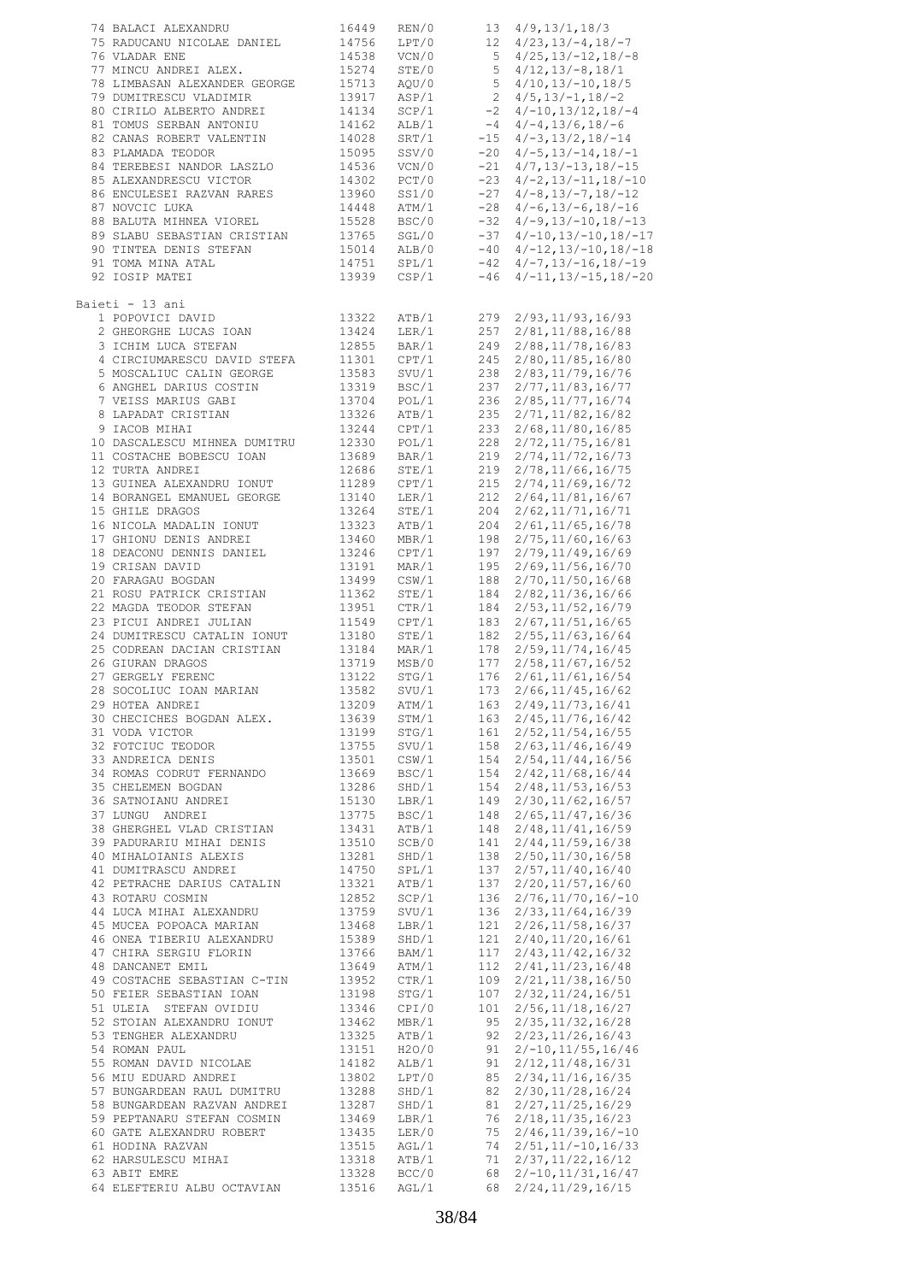| 74 BALACI ALEXANDRU                        | 16449          | REN/0          |       | $13 \quad 4/9, 13/1, 18/3$                   |
|--------------------------------------------|----------------|----------------|-------|----------------------------------------------|
| 75 RADUCANU NICOLAE DANIEL                 | 14756          | LPT/0          |       | $12 \quad 4/23, 13/-4, 18/-7$                |
| 76 VLADAR ENE                              | 14538          | VCN/0          |       | $5\quad 4/25, 13/-12, 18/-8$                 |
| 77 MINCU ANDREI ALEX.                      | 15274          | STE/0          |       | $5\quad 4/12, 13/-8, 18/1$                   |
| 78 LIMBASAN ALEXANDER GEORGE               | 15713          |                | 5     |                                              |
|                                            |                | AQU/0          |       | $4/10, 13/-10, 18/5$                         |
| 79 DUMITRESCU VLADIMIR                     | 13917          | ASP/1          |       | $2 \frac{4}{5}$ , 13/-1, 18/-2               |
| 80 CIRILO ALBERTO ANDREI                   | 14134          | SCP/1          |       | $-2$ 4/-10, 13/12, 18/-4                     |
| 81 TOMUS SERBAN ANTONIU                    | 14162          | ALB/1          |       | $-4$ 4/-4, 13/6, 18/-6                       |
|                                            |                |                |       |                                              |
| 82 CANAS ROBERT VALENTIN                   | 14028          | SRT/1          |       | $-15$ $4/-3$ , $13/2$ , $18/-14$             |
| 83 PLAMADA TEODOR                          | 15095          | SSV/0          |       | $-20$ $4/-5$ , 13/-14, 18/-1                 |
| 84 TEREBESI NANDOR LASZLO                  | 14536          | VCN/0          | $-21$ | $4/7$ , $13/-13$ , $18/-15$                  |
| 85 ALEXANDRESCU VICTOR                     | 14302          | PCT/0          |       | $-23$ $4/-2$ , 13/-11, 18/-10                |
|                                            |                |                |       |                                              |
| 86 ENCULESEI RAZVAN RARES                  | 13960          | SS1/0          |       | $-27$ $4/-8$ , 13/-7, 18/-12                 |
| 87 NOVCIC LUKA                             | 14448          | ATM/1          |       | $-28$ $4/-6$ , 13/-6, 18/-16                 |
| 88 BALUTA MIHNEA VIOREL                    | 15528          | BSC/0          |       | $-32$ $4/-9$ , $13/-10$ , $18/-13$           |
| 89 SLABU SEBASTIAN CRISTIAN                | 13765          | SGL/0          |       | $-37$ $4/-10$ , $13/-10$ , $18/-17$          |
|                                            |                |                |       |                                              |
| 90 TINTEA DENIS STEFAN                     | 15014          | ALB/0          |       | $-40$ $4/-12$ , 13/-10, 18/-18               |
| 91 TOMA MINA ATAL                          | 14751          | SPL/1          |       | $-42$ $4/-7$ , 13/-16, 18/-19                |
| 92 IOSIP MATEI                             | 13939          | CSP/1          | $-46$ | $4/-11$ , $13/-15$ , $18/-20$                |
|                                            |                |                |       |                                              |
| Baieti - 13 ani                            |                |                |       |                                              |
| 1 POPOVICI DAVID                           | 13322          | ATB/1          | 279   | 2/93, 11/93, 16/93                           |
| 2 GHEORGHE LUCAS IOAN                      | 13424          | LER/1          | 257   | 2/81, 11/88, 16/88                           |
| 3 ICHIM LUCA STEFAN                        | 12855          | BAR/1          | 249   | 2/88, 11/78, 16/83                           |
|                                            |                |                |       |                                              |
| 4 CIRCIUMARESCU DAVID STEFA                | 11301          | CPT/1          | 245   | 2/80, 11/85, 16/80                           |
| 5 MOSCALIUC CALIN GEORGE                   | 13583          | SVU/1          | 238   | 2/83, 11/79, 16/76                           |
| 6 ANGHEL DARIUS COSTIN                     | 13319          | BSC/1          | 237   | 2/77, 11/83, 16/77                           |
|                                            |                |                |       |                                              |
| 7 VEISS MARIUS GABI                        | 13704          | POL/1          | 236   | 2/85,11/77,16/74                             |
| 8 LAPADAT CRISTIAN                         | 13326          | ATB/1          | 235   | 2/71,11/82,16/82                             |
| 9 IACOB MIHAI                              | 13244          | CPT/1          | 233   | 2/68,11/80,16/85                             |
| 10 DASCALESCU MIHNEA DUMITRU               | 12330          | POL/1          |       |                                              |
|                                            |                |                | 228   | 2/72, 11/75, 16/81                           |
| 11 COSTACHE BOBESCU IOAN                   | 13689          | BAR/1          | 219   | 2/74, 11/72, 16/73                           |
| 12 TURTA ANDREI                            | 12686          | STE/1          | 219   | 2/78, 11/66, 16/75                           |
| 13 GUINEA ALEXANDRU IONUT                  | 11289          | CPT/1          | 215   |                                              |
|                                            |                |                |       | 2/74, 11/69, 16/72                           |
| 14 BORANGEL EMANUEL GEORGE                 | 13140          | LER/1          | 212   | 2/64, 11/81, 16/67                           |
| 15 GHILE DRAGOS                            | 13264          | STE/1          | 204   | 2/62, 11/71, 16/71                           |
| 16 NICOLA MADALIN IONUT                    | 13323          | ATB/1          | 204   |                                              |
|                                            |                |                |       | 2/61, 11/65, 16/78                           |
| 17 GHIONU DENIS ANDREI                     | 13460          | MBR/1          | 198   | 2/75,11/60,16/63                             |
| 18 DEACONU DENNIS DANIEL                   | 13246          | CPT/1          | 197   | 2/79, 11/49, 16/69                           |
| 19 CRISAN DAVID                            | 13191          | MAR/1          | 195   | 2/69, 11/56, 16/70                           |
|                                            |                |                |       |                                              |
| 20 FARAGAU BOGDAN                          | 13499          | CSW/1          | 188   | 2/70, 11/50, 16/68                           |
| 21 ROSU PATRICK CRISTIAN                   | 11362          | STE/1          | 184   | 2/82, 11/36, 16/66                           |
| 22 MAGDA TEODOR STEFAN                     | 13951          | CTR/1          | 184   | 2/53, 11/52, 16/79                           |
|                                            |                |                |       |                                              |
| 23 PICUI ANDREI JULIAN                     | 11549          | CPT/1          | 183   | 2/67, 11/51, 16/65                           |
| 24 DUMITRESCU CATALIN IONUT                | 13180          | STE/1          | 182   | 2/55, 11/63, 16/64                           |
| 25 CODREAN DACIAN CRISTIAN                 | 13184          | MAR/1          |       | 178 2/59, 11/74, 16/45                       |
|                                            |                |                |       |                                              |
| 26 GIURAN DRAGOS                           | 13719          | MSB/0          |       | $177 \quad 2/58, 11/67, 16/52$               |
| 27 GERGELY FERENC                          | 13122          | STG/1          |       | 176 2/61, 11/61, 16/54                       |
| 28 SOCOLIUC IOAN MARIAN                    | 13582          | SVU/1          | 173   | 2/66, 11/45, 16/62                           |
| 29 HOTEA ANDREI                            | 13209          | ATM/1          |       | 163 2/49, 11/73, 16/41                       |
|                                            |                |                |       |                                              |
| 30 CHECICHES BOGDAN ALEX.                  | 13639          | STM/1          |       | 163 2/45, 11/76, 16/42                       |
| 31 VODA VICTOR                             | 13199          | STG/1          |       | 161 2/52, 11/54, 16/55                       |
| 32 FOTCIUC TEODOR                          | 13755          | SVU/1          |       | 158 2/63, 11/46, 16/49                       |
|                                            |                |                |       |                                              |
| 33 ANDREICA DENIS                          | 13501          | CSW/1          | 154   | 2/54, 11/44, 16/56                           |
| 34 ROMAS CODRUT FERNANDO                   | 13669          | BSC/1          | 154   | 2/42, 11/68, 16/44                           |
| 35 CHELEMEN BOGDAN                         | 13286          | SHD/1          | 154   | 2/48, 11/53, 16/53                           |
| 36 SATNOIANU ANDREI                        | 15130          | LBR/1          | 149   | 2/30, 11/62, 16/57                           |
|                                            |                |                |       |                                              |
| 37 LUNGU ANDREI                            | 13775          | BSC/1          | 148   | 2/65, 11/47, 16/36                           |
| 38 GHERGHEL VLAD CRISTIAN                  | 13431          | ATB/1          | 148   | 2/48, 11/41, 16/59                           |
| 39 PADURARIU MIHAI DENIS                   | 13510          | SCB/0          | 141   | 2/44, 11/59, 16/38                           |
|                                            |                |                |       |                                              |
| 40 MIHALOIANIS ALEXIS                      | 13281          | SHD/1          | 138   | 2/50, 11/30, 16/58                           |
| 41 DUMITRASCU ANDREI                       | 14750          | SPL/1          | 137   | 2/57, 11/40, 16/40                           |
| 42 PETRACHE DARIUS CATALIN                 | 13321          | ATB/1          | 137   | 2/20, 11/57, 16/60                           |
| 43 ROTARU COSMIN                           | 12852          | SCP/1          | 136   | $2/76, 11/70, 16/-10$                        |
|                                            |                |                |       |                                              |
| 44 LUCA MIHAI ALEXANDRU                    | 13759          | SVU/1          | 136   | 2/33, 11/64, 16/39                           |
| 45 MUCEA POPOACA MARIAN                    | 13468          | LBR/1          | 121   | 2/26, 11/58, 16/37                           |
| 46 ONEA TIBERIU ALEXANDRU                  | 15389          | SHD/1          | 121   | 2/40, 11/20, 16/61                           |
|                                            |                |                |       |                                              |
| 47 CHIRA SERGIU FLORIN                     | 13766          | BAM/1          | 117   | 2/43, 11/42, 16/32                           |
| 48 DANCANET EMIL                           | 13649          | ATM/1          |       | 112 2/41, 11/23, 16/48                       |
| 49 COSTACHE SEBASTIAN C-TIN                | 13952          | CTR/1          | 109   | 2/21,11/38,16/50                             |
| 50 FEIER SEBASTIAN IOAN                    | 13198          | STG/1          |       | 107 2/32, 11/24, 16/51                       |
|                                            |                |                |       |                                              |
| 51 ULEIA STEFAN OVIDIU                     | 13346          | CPI/0          | 101   | 2/56,11/18,16/27                             |
|                                            | 13462          | MBR/1          |       | 95 2/35, 11/32, 16/28                        |
| 52 STOIAN ALEXANDRU IONUT                  |                |                |       | 92 2/23, 11/26, 16/43                        |
|                                            |                |                |       |                                              |
| 53 TENGHER ALEXANDRU                       | 13325          | ATB/1          |       |                                              |
| 54 ROMAN PAUL                              | 13151          | H2O/0          |       | $91 \quad 2/-10, 11/55, 16/46$               |
| 55 ROMAN DAVID NICOLAE                     | 14182          | ALB/1          |       | $91 \quad 2/12, 11/48, 16/31$                |
|                                            |                |                |       |                                              |
| 56 MIU EDUARD ANDREI                       | 13802          | LPT/0          |       | 85 2/34, 11/16, 16/35                        |
| 57 BUNGARDEAN RAUL DUMITRU                 | 13288          | SHD/1          |       | 82 2/30, 11/28, 16/24                        |
| 58 BUNGARDEAN RAZVAN ANDREI                | 13287          | SHD/1          |       | 81 2/27, 11/25, 16/29                        |
|                                            |                |                |       |                                              |
| 59 PEPTANARU STEFAN COSMIN                 | 13469          | LBR/1          |       | 76 2/18, 11/35, 16/23                        |
| 60 GATE ALEXANDRU ROBERT                   | 13435          | LER/0          |       | 75 2/46, 11/39, 16/-10                       |
| 61 HODINA RAZVAN                           | 13515          | AGL/1          |       | 74 2/51, 11/-10, 16/33                       |
| 62 HARSULESCU MIHAI                        | 13318          | ATB/1          |       | $71 \quad 2/37, 11/22, 16/12$                |
|                                            |                |                |       |                                              |
| 63 ABIT EMRE<br>64 ELEFTERIU ALBU OCTAVIAN | 13328<br>13516 | BCC/0<br>AGL/1 | 68    | 68 2/-10, 11/31, 16/47<br>2/24, 11/29, 16/15 |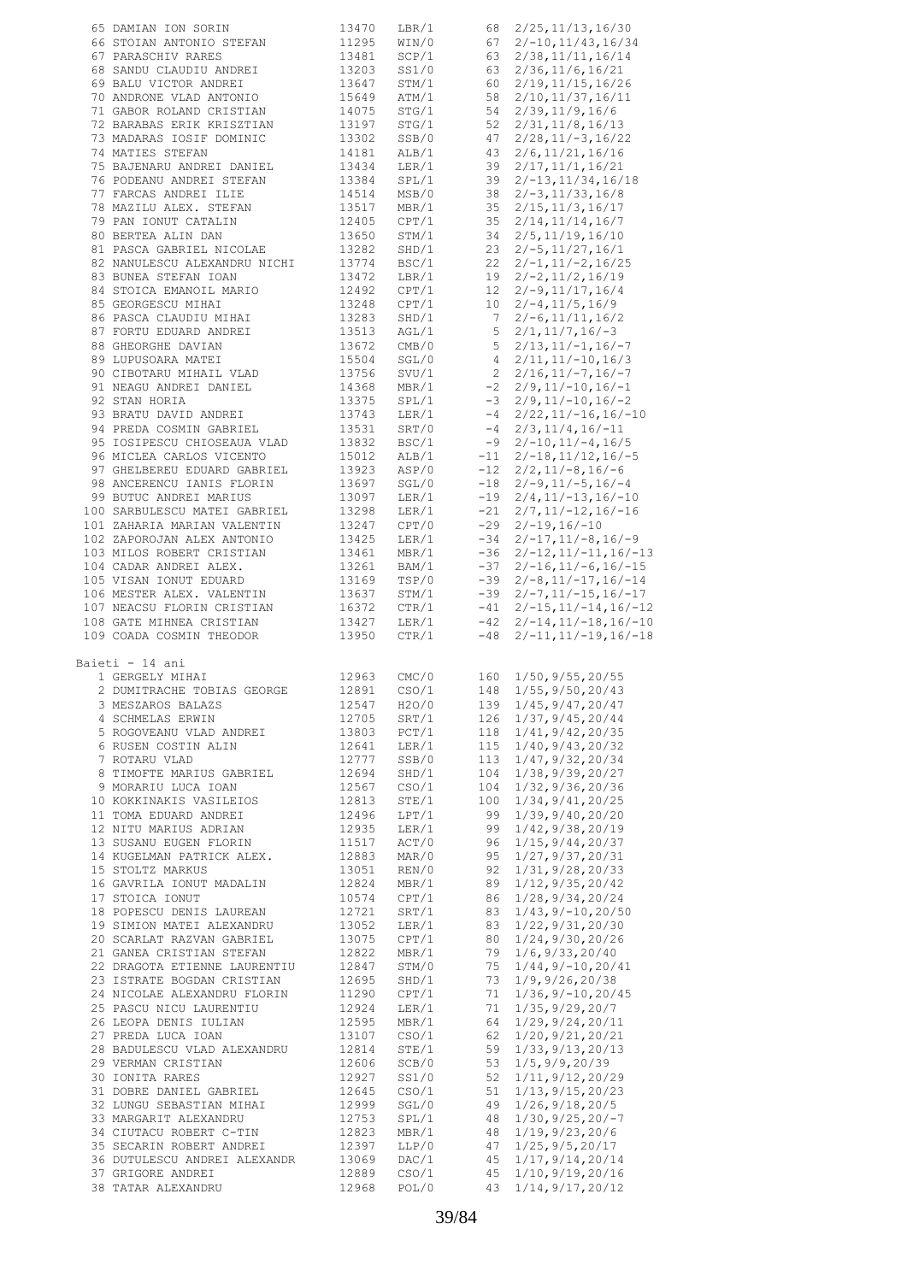| 65 DAMIAN ION SORIN                     | 13470          | LBR/1          | 68    | 2/25, 11/13, 16/30                           |
|-----------------------------------------|----------------|----------------|-------|----------------------------------------------|
| 66 STOIAN ANTONIO STEFAN                | 11295          | WIN/0          |       | $67 \quad 2/-10, 11/43, 16/34$               |
| 67 PARASCHIV RARES                      | 13481          | SCP/1          |       | 63 2/38, 11/11, 16/14                        |
| 68 SANDU CLAUDIU ANDREI                 | 13203          | SS1/0          | 63    | 2/36, 11/6, 16/21                            |
| 69 BALU VICTOR ANDREI                   | 13647          | STM/1          | 60    | 2/19, 11/15, 16/26                           |
| 70 ANDRONE VLAD ANTONIO                 | 15649          | ATM/1          |       | 2/10, 11/37, 16/11                           |
|                                         |                |                | 58    |                                              |
| 71 GABOR ROLAND CRISTIAN                | 14075          | STG/1          | 54    | 2/39, 11/9, 16/6                             |
| 72 BARABAS ERIK KRISZTIAN               | 13197          | STG/1          | 52    | 2/31, 11/8, 16/13                            |
| 73 MADARAS IOSIF DOMINIC                | 13302          | SSB/0          | 47    | $2/28$ , 11/-3, 16/22                        |
| 74 MATIES STEFAN                        | 14181          | ALB/1          |       | 43 2/6, 11/21, 16/16                         |
| 75 BAJENARU ANDREI DANIEL               | 13434          | LER/1          |       | 39 2/17, 11/1, 16/21                         |
| 76 PODEANU ANDREI STEFAN                | 13384          | SPL/1          |       | $39 \quad 2/-13, 11/34, 16/18$               |
| 77 FARCAS ANDREI ILIE                   | 14514          | MSB/0          | 38    | $2/-3, 11/33, 16/8$                          |
| 78 MAZILU ALEX. STEFAN                  | 13517          | MBR/1          |       | $35 \quad 2/15, 11/3, 16/17$                 |
| 79 PAN IONUT CATALIN                    | 12405          | CPT/1          | 35    | 2/14,11/14,16/7                              |
| 80 BERTEA ALIN DAN                      | 13650          | STM/1          |       | 34 2/5, 11/19, 16/10                         |
| 81 PASCA GABRIEL NICOLAE                | 13282          |                |       | $23 \quad 2/-5, 11/27, 16/1$                 |
|                                         |                | SHD/1          |       |                                              |
| 82 NANULESCU ALEXANDRU NICHI            | 13774          | BSC/1          |       | $22 \quad 2/-1, 11/-2, 16/25$                |
| 83 BUNEA STEFAN IOAN                    | 13472          | LBR/1          |       | $19 \quad 2/-2, 11/2, 16/19$                 |
| 84 STOICA EMANOIL MARIO                 | 12492          | CPT/1          |       | $12 \quad 2/-9, 11/17, 16/4$                 |
| 85 GEORGESCU MIHAI                      | 13248          | CPT/1          |       | $10 \quad 2/-4, 11/5, 16/9$                  |
| 86 PASCA CLAUDIU MIHAI                  | 13283          | SHD/1          |       | $7 \quad 2/-6, 11/11, 16/2$                  |
| 87 FORTU EDUARD ANDREI                  | 13513          | AGL/1          |       | $5 \quad 2/1, 11/7, 16/ -3$                  |
| 88 GHEORGHE DAVIAN                      | 13672          | CMB/0          |       | $5 \quad 2/13, 11/-1, 16/-7$                 |
| 89 LUPUSOARA MATEI                      | 15504          | SGL/0          |       | $4 \quad 2/11, 11/-10, 16/3$                 |
|                                         |                |                |       |                                              |
| 90 CIBOTARU MIHAIL VLAD                 | 13756          | SVU/1          |       | $2\quad 2/16, 11/-7, 16/-7$                  |
| 91 NEAGU ANDREI DANIEL                  | 14368          | MBR/1          |       | $-2$ $2/9$ , $11/-10$ , $16/-1$              |
| 92 STAN HORIA                           | 13375          | SPL/1          |       | $-3$ 2/9, 11/-10, 16/-2                      |
| 93 BRATU DAVID ANDREI                   | 13743          | LER/1          |       | $-4$ 2/22, 11/-16, 16/-10                    |
| 94 PREDA COSMIN GABRIEL                 | 13531          | SRT/0          |       | $-4$ 2/3, 11/4, 16/-11                       |
| 95 IOSIPESCU CHIOSEAUA VLAD             | 13832          | BSC/1          |       | $-9$ $2/-10$ , $11/-4$ , $16/5$              |
|                                         |                |                |       |                                              |
| 96 MICLEA CARLOS VICENTO                | 15012          | ALB/1          |       | $-11$ $2/-18$ , $11/12$ , $16/-5$            |
| 97 GHELBEREU EDUARD GABRIEL             | 13923          | ASP/0          |       | $-12$ $2/2$ , $11/-8$ , $16/-6$              |
| 98 ANCERENCU IANIS FLORIN               | 13697          | SGL/0          |       | $-18$ $2/-9$ , $11/-5$ , $16/-4$             |
| 99 BUTUC ANDREI MARIUS                  | 13097          | LER/1          |       | $-19$ $2/4$ , $11/-13$ , $16/-10$            |
| 100 SARBULESCU MATEI GABRIEL            | 13298          | LER/1          | $-21$ | $2/7, 11/ - 12, 16/ - 16$                    |
| 101 ZAHARIA MARIAN VALENTIN             | 13247          | CPT/0          |       | $-29$ $2/-19$ , $16/-10$                     |
| 102 ZAPOROJAN ALEX ANTONIO              | 13425          | LER/1          |       | $-34$ $2/-17$ , $11/-8$ , $16/-9$            |
|                                         |                |                |       |                                              |
| 103 MILOS ROBERT CRISTIAN               | 13461          | MBR/1          |       | $-36$ $2/-12$ , 11/-11, 16/-13               |
| 104 CADAR ANDREI ALEX.                  | 13261          | BAM/1          |       | $-37$ $2/-16$ , $11/-6$ , $16/-15$           |
| 105 VISAN IONUT EDUARD                  | 13169          | TSP/0          | $-39$ | $2/-8$ , 11/-17, 16/-14                      |
| 106 MESTER ALEX. VALENTIN               | 13637          | STM/1          |       | $-39$ $2/-7$ , 11/-15, 16/-17                |
| 107 NEACSU FLORIN CRISTIAN              | 16372          | CTR/1          |       | $-41$ $2/-15$ , $11/-14$ , $16/-12$          |
| 108 GATE MIHNEA CRISTIAN                | 13427          | LER/1          |       | $-42$ $2/-14$ , 11/-18, 16/-10               |
| 109 COADA COSMIN THEODOR                | 13950          | CTR/1          |       | $-48$ $2/-11$ , $11/-19$ , $16/-18$          |
|                                         |                |                |       |                                              |
|                                         |                |                |       |                                              |
| Baieti - 14 ani                         |                |                |       |                                              |
| 1 GERGELY MIHAI                         | 12963          | CMC/0          |       | 160 1/50, 9/55, 20/55                        |
| 2 DUMITRACHE TOBIAS GEORGE              | 12891          | CSO/1          |       | 148 1/55, 9/50, 20/43                        |
| 3 MESZAROS BALAZS                       |                | 12547 H2O/0    |       | 139 1/45, 9/47, 20/47                        |
| 4 SCHMELAS ERWIN                        | 12705          | SRT/1          |       | 126 1/37, 9/45, 20/44                        |
| 5 ROGOVEANU VLAD ANDREI                 | 13803          | PCT/1          |       | 118 1/41, 9/42, 20/35                        |
| 6 RUSEN COSTIN ALIN                     | 12641          | LER/1          |       | 115 1/40, 9/43, 20/32                        |
| 7 ROTARU VLAD                           | 12777          | SSB/0          | 113   | 1/47,9/32,20/34                              |
|                                         |                |                |       |                                              |
| 8 TIMOFTE MARIUS GABRIEL                | 12694          | SHD/1          | 104   | 1/38,9/39,20/27                              |
| 9 MORARIU LUCA IOAN                     | 12567          | CSO/1          |       | 1/32,9/36,20/36                              |
| 10 KOKKINAKIS VASILEIOS                 |                |                | 104   |                                              |
|                                         | 12813          | STE/1          |       | 100 1/34, 9/41, 20/25                        |
| 11 TOMA EDUARD ANDREI                   | 12496          | LPT/1          |       | 99 1/39, 9/40, 20/20                         |
| 12 NITU MARIUS ADRIAN                   | 12935          | LER/1          |       | 99 1/42, 9/38, 20/19                         |
|                                         |                |                |       |                                              |
| 13 SUSANU EUGEN FLORIN                  | 11517          | ACT/0          |       | $96 \quad 1/15, 9/44, 20/37$                 |
| 14 KUGELMAN PATRICK ALEX.               | 12883          | MAR/0          |       | 95 1/27, 9/37, 20/31                         |
| 15 STOLTZ MARKUS                        | 13051          | REN/0          |       | 92 1/31, 9/28, 20/33                         |
| 16 GAVRILA IONUT MADALIN                | 12824          | MBR/1          |       | 89 1/12, 9/35, 20/42                         |
| 17 STOICA IONUT                         | 10574          | CPT/1          |       | 86 1/28, 9/34, 20/24                         |
| 18 POPESCU DENIS LAUREAN                | 12721          | SRT/1          |       | $83 \quad 1/43, 9/-10, 20/50$                |
|                                         |                |                |       |                                              |
| 19 SIMION MATEI ALEXANDRU               | 13052          | LER/1          |       | 83 1/22, 9/31, 20/30                         |
| 20 SCARLAT RAZVAN GABRIEL               | 13075          | CPT/1          |       | 80 1/24, 9/30, 20/26                         |
| 21 GANEA CRISTIAN STEFAN                | 12822          | MBR/1          |       | 79 1/6,9/33,20/40                            |
| 22 DRAGOTA ETIENNE LAURENTIU            | 12847          | STM/0          |       | 75 1/44, 9/-10, 20/41                        |
| 23 ISTRATE BOGDAN CRISTIAN              | 12695          | SHD/1          |       | 73 1/9,9/26,20/38                            |
| 24 NICOLAE ALEXANDRU FLORIN             | 11290          | CPT/1          |       | $71 \quad 1/36, 9/-10, 20/45$                |
| 25 PASCU NICU LAURENTIU                 | 12924          | LER/1          |       | $71 \quad 1/35, 9/29, 20/7$                  |
| 26 LEOPA DENIS IULIAN                   | 12595          | MBR/1          |       | 64 1/29, 9/24, 20/11                         |
|                                         |                |                |       |                                              |
| 27 PREDA LUCA IOAN                      | 13107          | CSO/1          |       | 62 1/20, 9/21, 20/21                         |
| 28 BADULESCU VLAD ALEXANDRU             | 12814          | STE/1          |       | 59 1/33, 9/13, 20/13                         |
| 29 VERMAN CRISTIAN                      | 12606          | SCB/0          |       | 53 1/5,9/9,20/39                             |
| 30 IONITA RARES                         | 12927          | SS1/0          |       | 52 1/11, 9/12, 20/29                         |
| 31 DOBRE DANIEL GABRIEL                 | 12645          | CSO/1          |       | $51 \quad 1/13, 9/15, 20/23$                 |
| 32 LUNGU SEBASTIAN MIHAI                | 12999          | SGL/0          |       | 49 1/26, 9/18, 20/5                          |
| 33 MARGARIT ALEXANDRU                   | 12753          | SPL/1          |       |                                              |
|                                         |                |                |       | $48 \quad 1/30, 9/25, 20/-7$                 |
| 34 CIUTACU ROBERT C-TIN                 | 12823          | MBR/1          |       | 48 1/19, 9/23, 20/6                          |
| 35 SECARIN ROBERT ANDREI                | 12397          | LLP/0          |       | $47 \quad 1/25, 9/5, 20/17$                  |
| 36 DUTULESCU ANDREI ALEXANDR            | 13069          | DAC/1          |       | 45 1/17, 9/14, 20/14                         |
| 37 GRIGORE ANDREI<br>38 TATAR ALEXANDRU | 12889<br>12968 | CSO/1<br>POL/0 |       | 45 1/10, 9/19, 20/16<br>43 1/14, 9/17, 20/12 |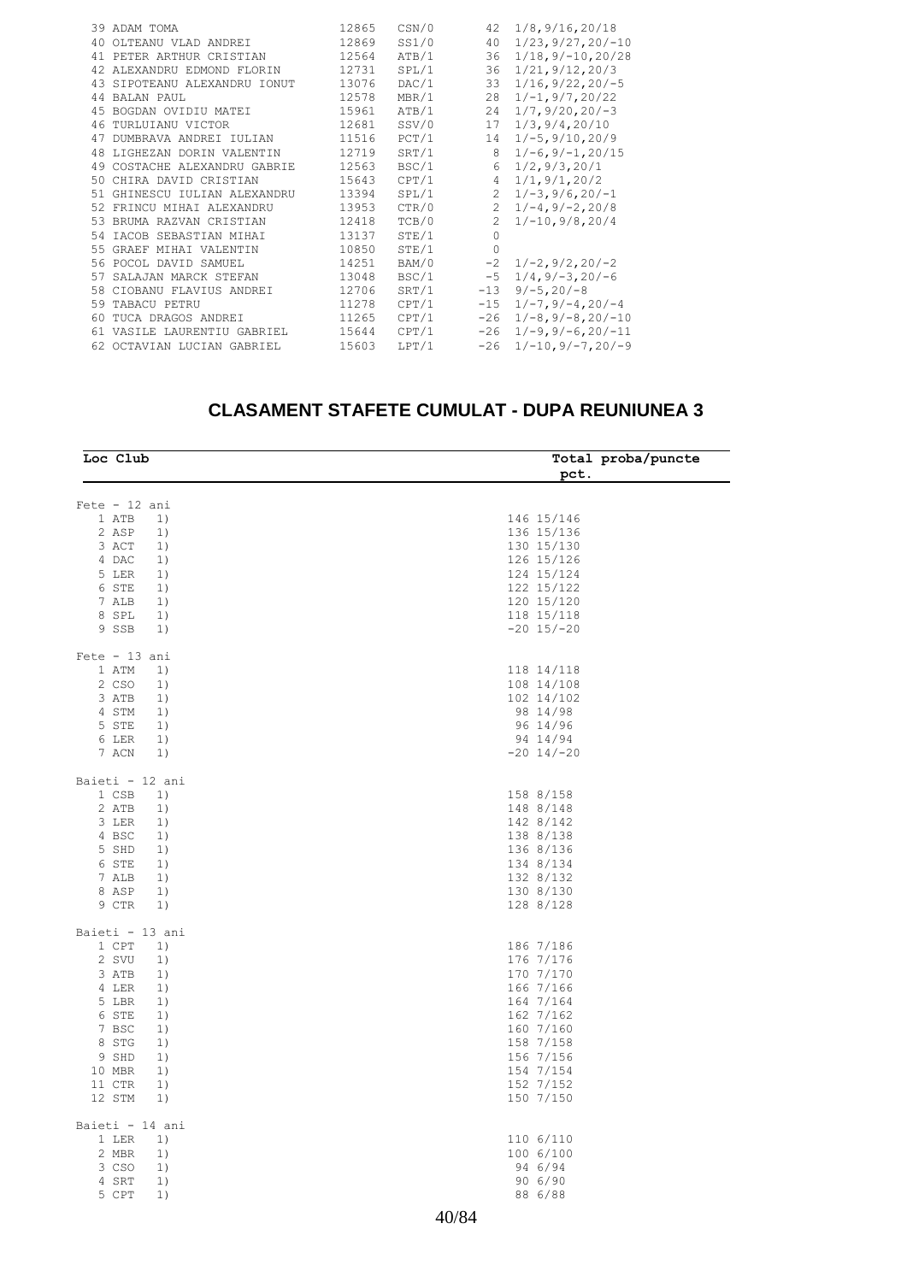|    | 39 ADAM TOMA               | 12865 | CSN/0 | 42             | 1/8, 9/16, 20/18     |
|----|----------------------------|-------|-------|----------------|----------------------|
| 40 | OLTEANU VLAD ANDREI        | 12869 | SS1/0 | 40             | $1/23, 9/27, 20/-10$ |
| 41 | PETER ARTHUR CRISTIAN      | 12564 | ATB/1 | 36             | $1/18, 9/-10, 20/28$ |
|    | 42 ALEXANDRU EDMOND FLORIN | 12731 | SPL/1 | 36             | 1/21, 9/12, 20/3     |
| 43 | SIPOTEANU ALEXANDRU IONUT  | 13076 | DAC/1 | 33             | $1/16, 9/22, 20/-5$  |
| 44 | BALAN PAUL                 | 12578 | MBR/1 | 28             | $1/-1, 9/7, 20/22$   |
| 45 | BOGDAN OVIDIU MATEI        | 15961 | ATB/1 | 24             | $1/7, 9/20, 20/-3$   |
| 46 | TURLUIANU VICTOR           | 12681 | SSV/0 | 17             | 1/3, 9/4, 20/10      |
| 47 | DUMBRAVA ANDRET TULTAN     | 11516 | PCT/1 | 14             | $1/-5, 9/10, 20/9$   |
| 48 | LIGHEZAN DORIN VALENTIN    | 12719 | SRT/1 | 8              | $1/-6, 9/-1, 20/15$  |
| 49 | COSTACHE ALEXANDRU GABRIE  | 12563 | BSC/1 | 6              | 1/2, 9/3, 20/1       |
| 50 | CHIRA DAVID CRISTIAN       | 15643 | CPT/1 | $\overline{4}$ | 1/1, 9/1, 20/2       |
| 51 | GHINESCU IULIAN ALEXANDRU  | 13394 | SPL/1 | $\overline{2}$ | $1/-3, 9/6, 20/-1$   |
|    | 52 FRINCU MIHAI ALEXANDRU  | 13953 | CTR/0 | $\overline{2}$ | $1/-4, 9/-2, 20/8$   |
|    | 53 BRUMA RAZVAN CRISTIAN   | 12418 | TCB/0 | $\overline{2}$ | $1/-10,9/8,20/4$     |
|    | 54 IACOB SEBASTIAN MIHAI   | 13137 | STE/1 | $\circ$        |                      |
| 55 | GRAEF MIHAI VALENTIN       | 10850 | STE/1 | $\Omega$       |                      |
| 56 | POCOL DAVID SAMUEL         | 14251 | BAM/0 | $-2$           | $1/-2, 9/2, 20/-2$   |
| 57 | SALAJAN MARCK STEFAN       | 13048 | BSC/1 | $-5$           | $1/4, 9/-3, 20/-6$   |
| 58 | CIOBANU FLAVIUS ANDREI     | 12706 | SRT/1 | $-13$          | $9/-5, 20/-8$        |
|    | 59 TABACU PETRU            | 11278 | CPT/1 | $-15$          | $1/-7, 9/-4, 20/-4$  |
| 60 | TUCA DRAGOS ANDREI         | 11265 | CPT/1 | $-26$          | $1/-8, 9/-8, 20/-10$ |
| 61 | VASTLE LAURENTIU GABRIEL   | 15644 | CPT/1 | $-26$          | $1/-9, 9/-6, 20/-11$ |
| 62 | OCTAVIAN LUCIAN GABRIEL    | 15603 | LPT/1 | $-26$          | $1/-10, 9/-7, 20/-9$ |
|    |                            |       |       |                |                      |

#### **CLASAMENT STAFETE CUMULAT - DUPA REUNIUNEA 3**

| Loc Club          | Total proba/puncte<br>pct. |  |  |  |  |
|-------------------|----------------------------|--|--|--|--|
|                   |                            |  |  |  |  |
| $Fete - 12 ani$   |                            |  |  |  |  |
| 1 ATB<br>1)       | 146 15/146                 |  |  |  |  |
| 2 ASP<br>1)       | 136 15/136                 |  |  |  |  |
| 3 ACT<br>1)       | 130 15/130                 |  |  |  |  |
| 4 DAC<br>1)       | 126 15/126                 |  |  |  |  |
| 5 LER<br>1)       | 124 15/124                 |  |  |  |  |
| 6 STE<br>1)       | 122 15/122                 |  |  |  |  |
| 7 ALB<br>1)       | 120 15/120                 |  |  |  |  |
| 8 SPL<br>1)       | 118 15/118                 |  |  |  |  |
| 9 SSB<br>1)       | $-20$ 15/ $-20$            |  |  |  |  |
| $Fete - 13 ani$   |                            |  |  |  |  |
| 1 ATM<br>1)       | 118 14/118                 |  |  |  |  |
| 2 CSO<br>1)       | 108 14/108                 |  |  |  |  |
| 3 ATB<br>1)       | 102 14/102                 |  |  |  |  |
| 4 STM<br>1)       | 98 14/98                   |  |  |  |  |
| 5 STE<br>1)       | 96 14/96                   |  |  |  |  |
| 6 LER<br>1)       | 94 14/94                   |  |  |  |  |
| 7 ACN<br>1)       | $-20$ 14/ $-20$            |  |  |  |  |
| Baieti - 12 ani   |                            |  |  |  |  |
| 1 CSB<br>1)       | 158 8/158                  |  |  |  |  |
| 2 ATB<br>1)       | 148 8/148                  |  |  |  |  |
| 3 LER<br>1)       | 142 8/142                  |  |  |  |  |
| 4 BSC<br>1)       | 138 8/138                  |  |  |  |  |
| 5 SHD<br>1)       | 136 8/136                  |  |  |  |  |
| 6 STE<br>1)       | 134 8/134                  |  |  |  |  |
| 7 ALB<br>1)       | 132 8/132                  |  |  |  |  |
| 8 ASP<br>1)       | 130 8/130                  |  |  |  |  |
| 9 CTR<br>1)       | 128 8/128                  |  |  |  |  |
| Baieti - 13 ani   |                            |  |  |  |  |
| 1 CPT<br>1)       | 186 7/186                  |  |  |  |  |
| 2 SVU<br>1)       | 176 7/176                  |  |  |  |  |
| 3 ATB<br>1)       | 170 7/170                  |  |  |  |  |
| 4 LER<br>1)       | 166 7/166                  |  |  |  |  |
| 5 LBR<br>1)       | 164 7/164                  |  |  |  |  |
| 6 STE<br>1)       | 162 7/162                  |  |  |  |  |
| 7 BSC<br>1)       | 160 7/160                  |  |  |  |  |
| 8 STG<br>1)       | 158 7/158                  |  |  |  |  |
| 9 SHD<br>1)       | 156 7/156                  |  |  |  |  |
| 10 MBR<br>1)      | 154 7/154                  |  |  |  |  |
| 11 CTR<br>1)      | 152 7/152                  |  |  |  |  |
| 12 STM<br>1)      | 150 7/150                  |  |  |  |  |
| Baieti - 14 ani   |                            |  |  |  |  |
| 1 LER<br>1)       | 110 6/110                  |  |  |  |  |
| 2 MBR<br>1)       | 100 6/100                  |  |  |  |  |
| 3 CSO             | 94 6/94                    |  |  |  |  |
| 1)<br>4 SRT<br>1) | 90 6/90                    |  |  |  |  |
|                   |                            |  |  |  |  |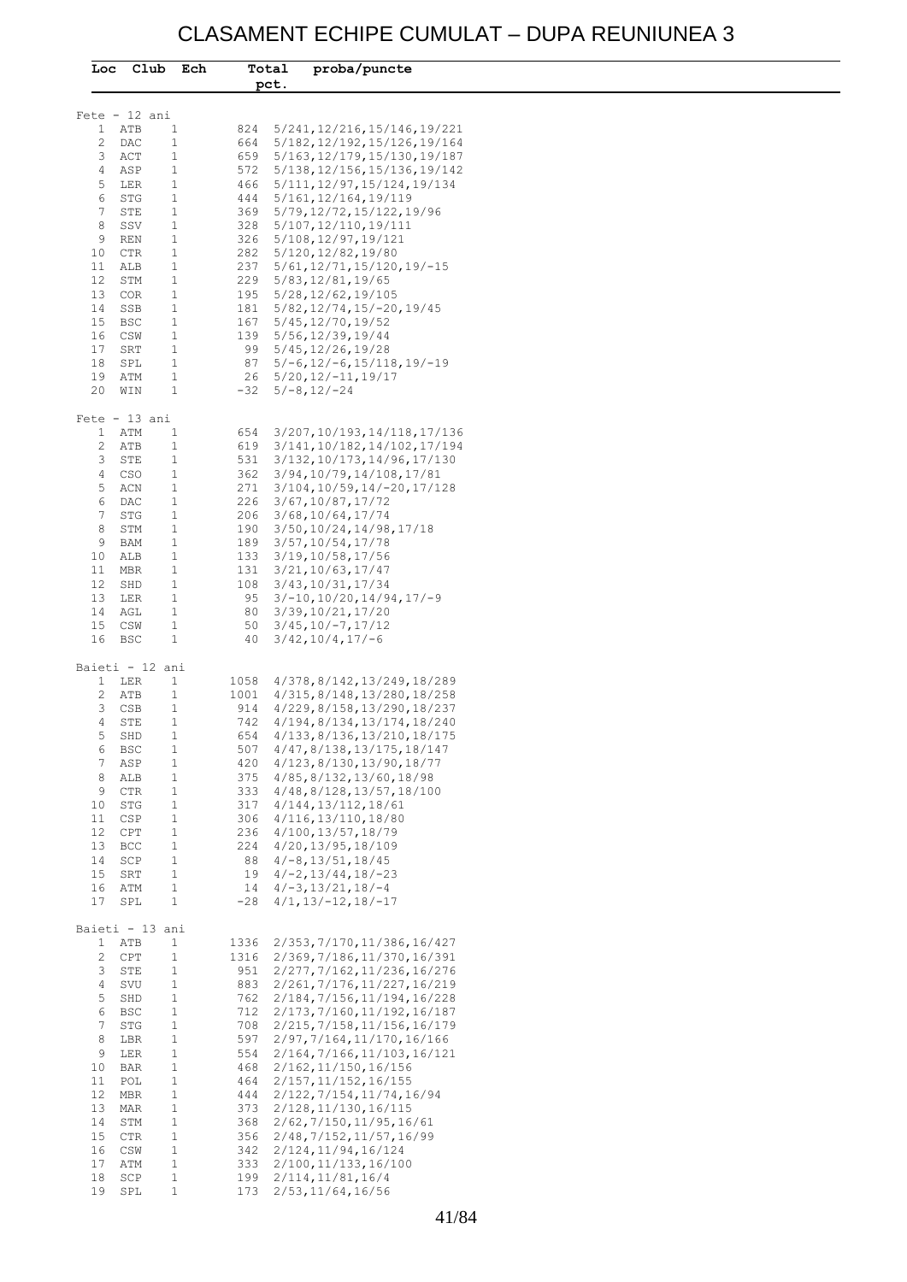## CLASAMENT ECHIPE CUMULAT – DUPA REUNIUNEA 3

| Club<br>Ech<br>Loc                                     | Total | proba/puncte                                      |  |
|--------------------------------------------------------|-------|---------------------------------------------------|--|
|                                                        | pct.  |                                                   |  |
| $Fete - 12 ani$                                        |       |                                                   |  |
| ATB<br>$\mathbf{1}$<br>$\mathbf{1}$                    | 824   | 5/241, 12/216, 15/146, 19/221                     |  |
| 2<br>$\mathbf{1}$<br>DAC                               | 664   | 5/182, 12/192, 15/126, 19/164                     |  |
| $\mathbf{1}$<br>3<br>ACT                               |       | 659 5/163, 12/179, 15/130, 19/187                 |  |
| 4<br>ASP<br>$\mathbf{1}$                               | 572   | $5/138$ , $12/156$ , $15/136$ , $19/142$          |  |
| 5<br>$\mathbf{1}$<br>LER                               |       | 466 5/111, 12/97, 15/124, 19/134                  |  |
| 6<br>STG<br>$\mathbf{1}$                               | 444   | 5/161, 12/164, 19/119                             |  |
| 7<br>$\mathbf{1}$<br>STE                               | 369   | 5/79, 12/72, 15/122, 19/96                        |  |
| $\mathbf{1}$<br>8<br>SSV                               | 328   | 5/107, 12/110, 19/111                             |  |
| $\mathbf{1}$<br>9<br>REN                               |       | 326 5/108, 12/97, 19/121                          |  |
| $\mathbf{1}$<br>CTR<br>10                              | 282   | 5/120, 12/82, 19/80                               |  |
| $\mathbf{1}$<br>11<br>ALB                              | 237   | $5/61, 12/71, 15/120, 19/-15$                     |  |
| $\mathbf{1}$<br>12<br>STM                              |       | 229 5/83, 12/81, 19/65                            |  |
| $\mathbf{1}$<br>13<br>COR                              | 195   | $5/28$ , 12/62, 19/105                            |  |
| $\mathbf{1}$<br>14<br>SSB                              | 181   | $5/82$ , 12/74, 15/-20, 19/45                     |  |
| $\mathbf{1}$<br>15<br>BSC                              | 167   | 5/45, 12/70, 19/52                                |  |
| $\mathbf{1}$<br>16<br>CSW                              |       | 139 5/56, 12/39, 19/44                            |  |
| $\mathbf{1}$<br>17<br>SRT                              |       | 99 5/45, 12/26, 19/28                             |  |
| $\mathbf{1}$<br>18<br>SPL                              | 87    | $5/-6$ , $12/-6$ , $15/118$ , $19/-19$            |  |
| $\mathbf{1}$<br>19<br>ATM                              |       | $26 \quad 5/20, 12/-11, 19/17$                    |  |
| 20<br>$\mathbf{1}$<br>WIN                              | -32   | $5/-8$ , 12/-24                                   |  |
| Fete - 13 ani                                          |       |                                                   |  |
| $\mathbf{1}$<br>$\mathbf{1}$<br>ATM                    | 654   | 3/207, 10/193, 14/118, 17/136                     |  |
| $\mathbf{1}$<br>2<br>ATB                               |       | 619 3/141, 10/182, 14/102, 17/194                 |  |
| 3<br>$\mathbf{1}$<br>STE                               | 531   | 3/132,10/173,14/96,17/130                         |  |
| CSO<br>$\mathbf{1}$<br>4                               |       | 362 3/94, 10/79, 14/108, 17/81                    |  |
| 5<br>$\mathbf{1}$<br>ACN                               | 271   | 3/104,10/59,14/-20,17/128                         |  |
| $\mathbf{1}$<br>6<br>DAC                               |       | 226 3/67, 10/87, 17/72                            |  |
| 7<br>$\mathbf{1}$<br>STG                               |       | 206 3/68, 10/64, 17/74                            |  |
| 8<br>$\mathbf{1}$<br>STM                               | 190   | 3/50,10/24,14/98,17/18                            |  |
| $\mathbf{1}$<br>9<br>BAM                               |       | 189 3/57, 10/54, 17/78                            |  |
| $\mathbf{1}$<br>10<br>ALB                              |       | 133 3/19, 10/58, 17/56                            |  |
| $\mathbf{1}$<br>11<br>MBR                              | 131   | 3/21,10/63,17/47                                  |  |
| $\mathbf{1}$<br>12<br>SHD                              | 108   | 3/43,10/31,17/34                                  |  |
| $\mathbf{1}$<br>13<br>LER                              | 95    | 3/-10,10/20,14/94,17/-9                           |  |
| $\mathbf{1}$<br>14<br>AGL                              | 80    | 3/39,10/21,17/20                                  |  |
| $\mathbf{1}$<br>15<br>CSW                              | 50    | 3/45,10/-7,17/12                                  |  |
| $\mathbf{1}$<br>16 BSC                                 | 40    | $3/42, 10/4, 17/ - 6$                             |  |
| Baieti - 12 ani                                        |       |                                                   |  |
| 1 LER<br>$\mathbf{1}$                                  |       | 1058 4/378, 8/142, 13/249, 18/289                 |  |
| $\mathbf{1}$<br>2<br>ATB                               |       | 1001 4/315, 8/148, 13/280, 18/258                 |  |
| 3<br>CSB<br>$\mathbf{1}$                               |       | $914 \quad 4/229$ , $8/158$ , $13/290$ , $18/237$ |  |
| $\mathbf{1}$<br>4<br>STE                               | 742   | 4/194,8/134,13/174,18/240                         |  |
| 5<br>$\mathbf{1}$<br>SHD                               | 654   | 4/133, 8/136, 13/210, 18/175                      |  |
| $\mathbf{1}$<br>6<br>BSC                               | 507   | 4/47, 8/138, 13/175, 18/147                       |  |
| 7<br>ASP<br>$\mathbf{1}$                               | 420   | 4/123,8/130,13/90,18/77                           |  |
| 8<br>$\mathbf{1}$<br>ALB                               | 375   | 4/85, 8/132, 13/60, 18/98                         |  |
| 9<br><b>CTR</b><br>$\mathbf{1}$                        | 333   | 4/48,8/128,13/57,18/100                           |  |
| 10<br>STG<br>$\mathbf{1}$                              | 317   | 4/144, 13/112, 18/61                              |  |
| CSP<br>$\mathbf{1}$<br>11                              | 306   | 4/116, 13/110, 18/80                              |  |
| 12<br>CPT<br>$\mathbf{1}$                              | 236   | 4/100,13/57,18/79                                 |  |
| <b>BCC</b><br>$\mathbf{1}$<br>13                       | 224   | 4/20, 13/95, 18/109                               |  |
| $\mathbf{1}$<br>SCP<br>14                              |       | $88 \quad 4/-8, 13/51, 18/45$                     |  |
| 15<br>SRT<br>$\mathbf{1}$                              | 19    | $4/-2, 13/44, 18/-23$                             |  |
| $\mathbf{1}$<br>16<br>ATM                              | 14    | $4/-3$ , 13/21, 18/-4                             |  |
| $\mathbf{1}$<br>17<br>SPL                              | $-28$ | $4/1, 13/-12, 18/-17$                             |  |
|                                                        |       |                                                   |  |
| Baieti - 13 ani<br>$\mathbf{1}$<br>$\mathbf{1}$<br>ATB | 1336  | 2/353, 7/170, 11/386, 16/427                      |  |
| 2<br>CPT<br>$\mathbf{1}$                               | 1316  | 2/369,7/186,11/370,16/391                         |  |
| $\mathbf{1}$<br>3<br>STE                               | 951   | 2/277, 7/162, 11/236, 16/276                      |  |
| $\mathbf{1}$<br>4<br>SVU                               | 883   | 2/261, 7/176, 11/227, 16/219                      |  |
| $\mathbf{1}$<br>5<br>SHD                               | 762   | 2/184, 7/156, 11/194, 16/228                      |  |
| $\mathbf{1}$<br><b>BSC</b><br>6                        | 712   | 2/173, 7/160, 11/192, 16/187                      |  |
| $\mathbf{1}$<br>7<br>STG                               | 708   | 2/215, 7/158, 11/156, 16/179                      |  |
| 8<br>$\mathbf{1}$<br>LBR                               | 597   | 2/97, 7/164, 11/170, 16/166                       |  |
| $\mathbf{1}$<br>9<br>LER                               | 554   | 2/164, 7/166, 11/103, 16/121                      |  |
| $\mathbf{1}$<br>BAR<br>10                              | 468   | 2/162, 11/150, 16/156                             |  |
| $\mathbf{1}$<br>11<br>POL                              | 464   | 2/157, 11/152, 16/155                             |  |
| $\mathbf{1}$<br>12<br>MBR                              | 444   | 2/122, 7/154, 11/74, 16/94                        |  |
| 13<br>MAR<br>$\mathbf{1}$                              | 373   | 2/128, 11/130, 16/115                             |  |
| STM<br>$\mathbf{1}$<br>14                              | 368   | 2/62, 7/150, 11/95, 16/61                         |  |
| $\mathbf{1}$<br>15<br>CTR                              | 356   | 2/48,7/152,11/57,16/99                            |  |
| $\mathbf{1}$<br>CSW<br>16                              |       | 342 2/124, 11/94, 16/124                          |  |
| $\mathbf{1}$<br>17<br>ATM                              |       | 333 2/100, 11/133, 16/100                         |  |
| $\mathbf{1}$<br>SCP<br>18                              |       | 199 2/114, 11/81, 16/4                            |  |
| $\mathbf{1}$<br>19 SPL                                 |       | 173 2/53, 11/64, 16/56                            |  |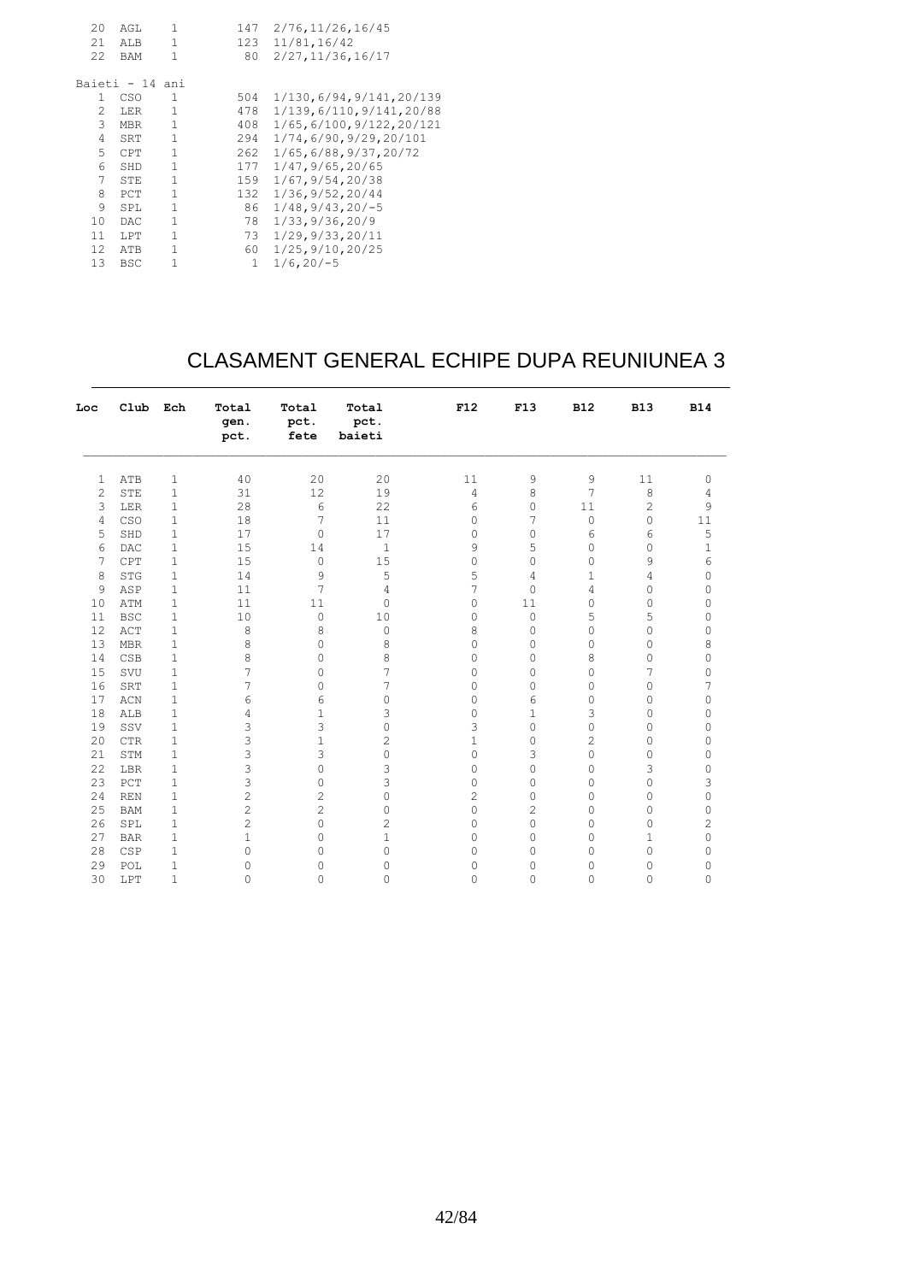| 20<br>21<br>22  | AGL<br>ALB<br>BAM | $\mathbf{1}$<br>$\mathbf{1}$<br>$\mathbf{1}$ | 80           | 147 2/76, 11/26, 16/45<br>123 11/81, 16/42<br>2/27, 11/36, 16/17 |
|-----------------|-------------------|----------------------------------------------|--------------|------------------------------------------------------------------|
|                 | Baieti - 14 ani   |                                              |              |                                                                  |
| $\mathbf{1}$    | CSO               | 1                                            | 504          | 1/130,6/94,9/141,20/139                                          |
| $\overline{2}$  | LER <sub>1</sub>  |                                              | 478          | 1/139,6/110,9/141,20/88                                          |
| 3               | MBR               | $\overline{1}$                               | 408          | 1/65,6/100,9/122,20/121                                          |
| $\overline{4}$  | SRT               | 1                                            | 294          | 1/74,6/90,9/29,20/101                                            |
| 5               | <b>CPT</b>        | $\mathbf{1}$                                 | 262          | 1/65, 6/88, 9/37, 20/72                                          |
| 6               | SHD               | $\mathbf{1}$                                 | 177          | 1/47,9/65,20/65                                                  |
| $\overline{7}$  | STE               | $\mathbf{1}$                                 | 159          | 1/67, 9/54, 20/38                                                |
| 8               | PCT               | $\mathbf{1}$                                 | 132          | 1/36, 9/52, 20/44                                                |
| 9               | SPL               | $\mathbf{1}$                                 | 86           | $1/48, 9/43, 20/-5$                                              |
| 10              | DAC               | $\mathbf{1}$                                 | 78           | 1/33, 9/36, 20/9                                                 |
| 11              | <b>LPT</b>        | 1                                            | 73           | 1/29, 9/33, 20/11                                                |
| 12 <sup>°</sup> | ATB               | 1                                            | 60           | 1/25, 9/10, 20/25                                                |
| 13              | <b>BSC</b>        | $\mathbf{1}$                                 | $\mathbf{1}$ | $1/6, 20/ - 5$                                                   |
|                 |                   |                                              |              |                                                                  |

### CLASAMENT GENERAL ECHIPE DUPA REUNIUNEA 3

| Loc            | Club       | Ech          | Total<br>gen.<br>pct. | Total<br>pct.<br>fete | Total<br>pct.<br>baieti | F12            | F13                 | <b>B12</b>     | <b>B13</b>     | <b>B14</b>     |
|----------------|------------|--------------|-----------------------|-----------------------|-------------------------|----------------|---------------------|----------------|----------------|----------------|
| $\mathbf{1}$   | ATB        | 1            | 40                    | 20                    | 20                      | 11             | 9                   | 9              | 11             | 0              |
| $\overline{c}$ | STE        | 1            | 31                    | 12                    | 19                      | $\overline{4}$ | 8                   | 7              | 8              | 4              |
| 3              | LER        | 1            | 28                    | 6                     | 22                      | 6              | 0                   | 11             | $\overline{c}$ | 9              |
| $\overline{4}$ | CSO        | 1            | 18                    | 7                     | 11                      | 0              | 7                   | $\mathbb O$    | $\circ$        | 11             |
| 5              | SHD        | 1            | 17                    | $\circ$               | 17                      | $\circ$        | $\mathsf{O}\xspace$ | 6              | 6              | 5              |
| 6              | DAC        | $\mathbf 1$  | 15                    | 14                    | $\mathbf{1}$            | 9              | 5                   | $\mathbb O$    | 0              | 1              |
| 7              | CPT        | $\mathbf 1$  | 15                    | $\circ$               | 15                      | 0              | 0                   | $\mathbb O$    | 9              | 6              |
| 8              | <b>STG</b> | 1            | 14                    | 9                     | 5                       | 5              | $\overline{4}$      | $\mathbf{1}$   | 4              | 0              |
| 9              | ASP        | 1            | 11                    | 7                     | 4                       | 7              | 0                   | 4              | 0              | 0              |
| 10             | ATM        | $\mathbf 1$  | 11                    | 11                    | $\mathbf 0$             | $\mathbb O$    | 11                  | $\mathbb O$    | 0              | 0              |
| 11             | <b>BSC</b> | $1\,$        | 10                    | $\circ$               | 10                      | $\mathbb O$    | $\mathsf{O}\xspace$ | 5              | 5              | 0              |
| 12             | ACT        | 1            | 8                     | 8                     | $\mathbf 0$             | 8              | $\circ$             | $\mathbf{0}$   | $\circ$        | 0              |
| 13             | <b>MBR</b> | 1            | 8                     | $\circ$               | 8                       | $\circ$        | 0                   | $\mathbb O$    | $\circ$        | 8              |
| 14             | CSB        | 1            | 8                     | $\mathbf 0$           | 8                       | 0              | 0                   | 8              | 0              | 0              |
| 15             | SVU        | 1            | 7                     | $\mathbf 0$           | 7                       | 0              | 0                   | $\mathbb O$    | 7              | 0              |
| 16             | SRT        | 1            | 7                     | $\mathbf 0$           | 7                       | 0              | 0                   | $\mathbf{0}$   | 0              | 7              |
| 17             | ACN        | $\mathbf 1$  | 6                     | 6                     | 0                       | 0              | 6                   | 0              | 0              | 0              |
| 18             | ALB        | $1\,$        | 4                     | $\mathbf{1}$          | 3                       | $\mathbb O$    | $\mathbf{1}$        | 3              | 0              | 0              |
| 19             | SSV        | 1            | 3                     | 3                     | 0                       | 3              | $\mathbf 0$         | $\mathbf 0$    | 0              | 0              |
| 20             | <b>CTR</b> | $\mathbf 1$  | 3                     | $\mathbf{1}$          | $\overline{c}$          | $1\,$          | 0                   | $\overline{c}$ | 0              | 0              |
| 21             | STM        | $\mathbf 1$  | 3                     | 3                     | 0                       | $\circ$        | 3                   | $\mathbb O$    | $\circ$        | 0              |
| 22             | LBR        | $1\,$        | 3                     | $\circ$               | 3                       | $\mathbb O$    | $\circ$             | $\mathbf{0}$   | 3              | 0              |
| 23             | PCT        | $\mathbf 1$  | 3                     | $\circ$               | 3                       | $\mathbb O$    | $\circ$             | 0              | 0              | 3              |
| 24             | <b>REN</b> | $\mathbf 1$  | $\overline{c}$        | $\overline{c}$        | $\mathbf 0$             | $\mathbf{2}$   | $\mathsf{O}\xspace$ | 0              | 0              | 0              |
| 25             | <b>BAM</b> | $\mathbf{1}$ | $\overline{c}$        | $\overline{c}$        | 0                       | $\mathbf 0$    | $\overline{2}$      | $\mathbf{0}$   | $\circ$        | 0              |
| 26             | SPL        | 1            | $\overline{c}$        | $\mathbf 0$           | $\overline{c}$          | 0              | $\mathsf{O}\xspace$ | $\mathbf{0}$   | 0              | $\overline{c}$ |
| 27             | <b>BAR</b> | 1            | $\mathbf{1}$          | $\mathbf{0}$          | $\mathbf{1}$            | 0              | 0                   | $\mathbf{0}$   | 1              | 0              |
| 28             | CSP        | 1            | 0                     | 0                     | $\mathbf{0}$            | 0              | 0                   | $\mathbf{0}$   | $\circ$        | 0              |
| 29             | POL        | 1            | 0                     | 0                     | 0                       | 0              | 0                   | $\mathbf{0}$   | 0              | 0              |
| 30             | LPT        | $\mathbf 1$  | 0                     | $\mathbf{0}$          | $\mathbf{0}$            | 0              | $\circ$             | $\mathbf 0$    | 0              | $\circ$        |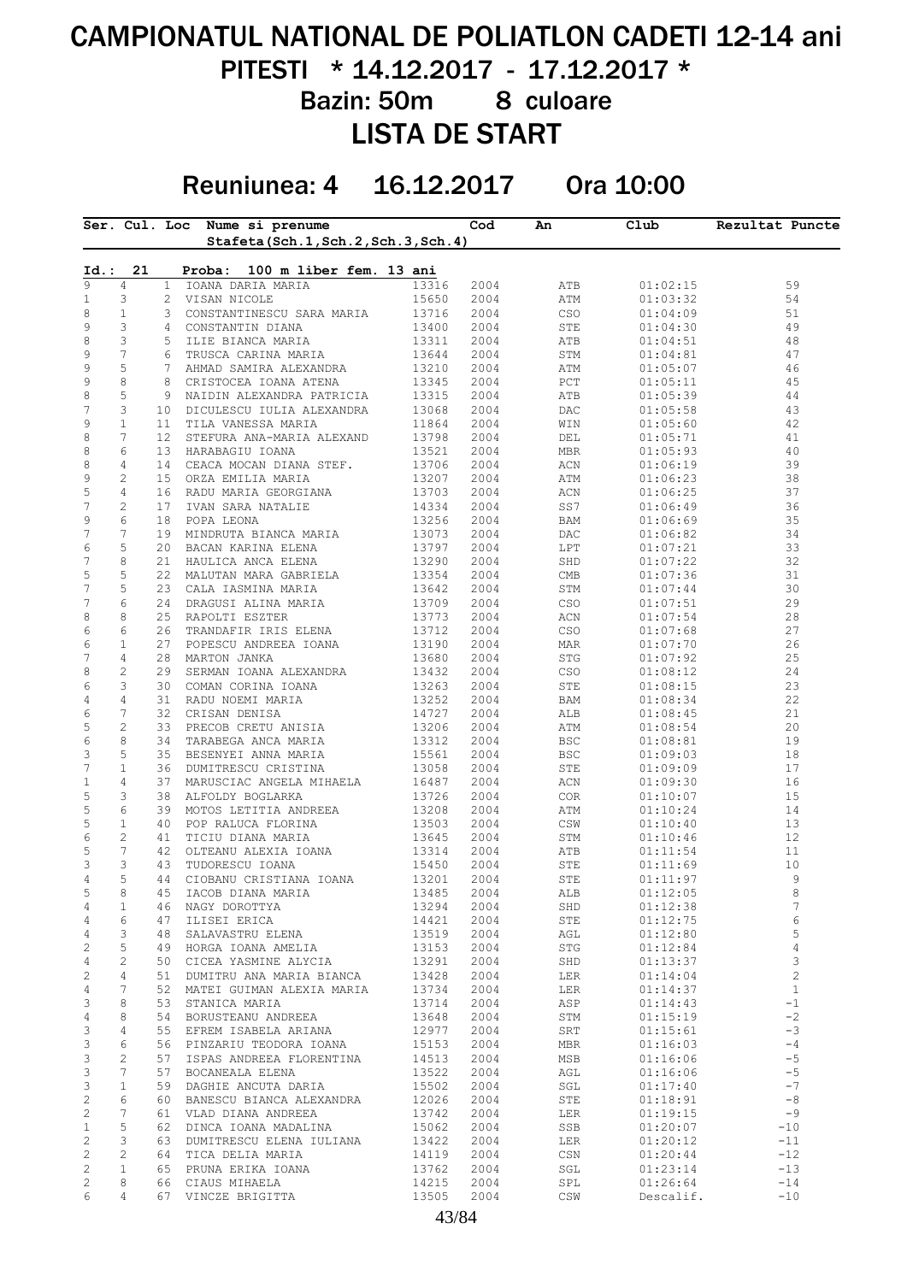# CAMPIONATUL NATIONAL DE POLIATLON CADETI 12-14 ani PITESTI \* 14.12.2017 - 17.12.2017 \* Bazin: 50m 8 culoare

LISTA DE START

# Reuniunea: 4 16.12.2017 Ora 10:00

|                 |                   |              | Ser. Cul. Loc Nume si prenume                    |                | Cod          | An                              | Club                 | Rezultat Puncte     |
|-----------------|-------------------|--------------|--------------------------------------------------|----------------|--------------|---------------------------------|----------------------|---------------------|
|                 |                   |              | Stafeta(Sch.1,Sch.2,Sch.3,Sch.4)                 |                |              |                                 |                      |                     |
| Id.:            | 21                |              | Proba:<br>100 m liber fem. 13 ani                |                |              |                                 |                      |                     |
| 9               | 4                 | $\mathbf{1}$ | IOANA DARIA MARIA                                | 13316          | 2004         | ATB                             | 01:02:15             | 59                  |
| $\mathbf{1}$    | 3                 | 2            | VISAN NICOLE                                     | 15650          | 2004         | $\mbox{ATM}$                    | 01:03:32             | 54                  |
| 8               | $\mathbf{1}$      | 3            | CONSTANTINESCU SARA MARIA                        | 13716          | 2004         | $_{\tiny{\mbox{\texttt{CSO}}}}$ | 01:04:09             | 51                  |
| 9               | 3                 |              | 4 CONSTANTIN DIANA                               | 13400          | 2004         | ${\tt STE}$                     | 01:04:30             | 49                  |
| 8               | 3                 | 5            | ILIE BIANCA MARIA                                | 13311          | 2004         | ATB                             | 01:04:51             | 48                  |
| 9               | $\overline{7}$    | 6            | TRUSCA CARINA MARIA                              | 13644          | 2004         | $\operatorname{STM}$            | 01:04:81             | 47                  |
| 9               | 5                 | 7            | AHMAD SAMIRA ALEXANDRA                           | 13210          | 2004         | ATM                             | 01:05:07             | 46                  |
| 9               | $\,8\,$           | 8            | CRISTOCEA IOANA ATENA                            | 13345          | 2004         | $_{\rm PCT}$                    | 01:05:11             | 45                  |
| 8               | 5                 | 9            | NAIDIN ALEXANDRA PATRICIA                        | 13315          | 2004         | ATB                             | 01:05:39             | 44                  |
| 7               | 3                 | 10           | DICULESCU IULIA ALEXANDRA                        | 13068          | 2004         | $\mathtt{DAC}$                  | 01:05:58             | 43                  |
| 9               | $\mathbf{1}$<br>7 | 11           | TILA VANESSA MARIA                               | 11864          | 2004         | WIN                             | 01:05:60             | 42                  |
| 8<br>8          | 6                 |              | 12 STEFURA ANA-MARIA ALEXAND                     | 13798          | 2004<br>2004 | DEL                             | 01:05:71             | 41<br>40            |
| 8               | 4                 |              | 13 HARABAGIU IOANA<br>14 CEACA MOCAN DIANA STEF. | 13521<br>13706 | 2004         | MBR<br>$\mbox{{\sc ACN}}$       | 01:05:93<br>01:06:19 | 39                  |
| 9               | $\mathbf{2}$      |              | 15 ORZA EMILIA MARIA                             | 13207          | 2004         | ATM                             | 01:06:23             | 38                  |
| 5               | $\overline{4}$    |              | 16 RADU MARIA GEORGIANA                          | 13703          | 2004         | ACN                             | 01:06:25             | 37                  |
| 7               | $\overline{c}$    |              | 17 IVAN SARA NATALIE                             | 14334          | 2004         | SS7                             | 01:06:49             | 36                  |
| 9               | $\epsilon$        | 18           | POPA LEONA                                       | 13256          | 2004         | BAM                             | 01:06:69             | 35                  |
| $\overline{7}$  | 7                 | 19           | MINDRUTA BIANCA MARIA                            | 13073          | 2004         | DAC                             | 01:06:82             | 34                  |
| $\epsilon$      | 5                 | 20           | BACAN KARINA ELENA                               | 13797          | 2004         | LPT                             | 01:07:21             | 33                  |
| $\overline{7}$  | 8                 |              | 21 HAULICA ANCA ELENA                            | 13290          | 2004         | SHD                             | 01:07:22             | 32                  |
| 5               | 5                 |              | 22 MALUTAN MARA GABRIELA                         | 13354          | 2004         | $\ensuremath{\mathrm{CMB}}$     | 01:07:36             | 31                  |
| $\overline{7}$  | 5                 |              | 23 CALA IASMINA MARIA                            | 13642          | 2004         | STM                             | 01:07:44             | 30                  |
| 7               | 6                 | 24           | DRAGUSI ALINA MARIA                              | 13709          | 2004         | $_{\tiny{\mbox{\texttt{CSO}}}}$ | 01:07:51             | 29                  |
| 8               | 8                 |              | 25 RAPOLTI ESZTER                                | 13773          | 2004         | ACN                             | 01:07:54             | 28                  |
| $\epsilon$      | 6                 | 26           | TRANDAFIR IRIS ELENA                             | 13712          | 2004         | $_{\tiny{\mbox{\texttt{CSO}}}}$ | 01:07:68             | 27                  |
| 6               | $\mathbf{1}$      | 27           | POPESCU ANDREEA IOANA                            | 13190          | 2004         | MAR                             | 01:07:70             | 26                  |
| 7               | 4                 | 28           | MARTON JANKA                                     | 13680          | 2004         | $_{\mathrm{STG}}$               | 01:07:92             | 25                  |
| 8               | 2                 | 29           | SERMAN IOANA ALEXANDRA                           | 13432          | 2004         | $_{\tiny{\mbox{\texttt{CSO}}}}$ | 01:08:12             | 24                  |
| 6               | 3                 | 30           | COMAN CORINA IOANA                               | 13263          | 2004         | ${\tt STE}$                     | 01:08:15             | 23                  |
| $\sqrt{4}$      | 4                 | 31           | RADU NOEMI MARIA                                 | 13252          | 2004         | BAM                             | 01:08:34             | 22                  |
| $\epsilon$      | 7                 | 32           | CRISAN DENISA                                    | 14727          | 2004         | ALB                             | 01:08:45             | 21                  |
| 5               | 2                 |              | 33 PRECOB CRETU ANISIA                           | 13206          | 2004         | ATM                             | 01:08:54             | 20                  |
| 6               | 8                 | 34           | TARABEGA ANCA MARIA                              | 13312          | 2004         | BSC                             | 01:08:81             | 19                  |
| 3               | 5                 |              | 35 BESENYEI ANNA MARIA                           | 15561          | 2004         | BSC                             | 01:09:03             | 18                  |
| 7               | $\mathbf{1}$      |              | 36 DUMITRESCU CRISTINA                           | 13058          | 2004         | STE                             | 01:09:09             | 17                  |
| $\mathbf 1$     | 4                 | 37           | MARUSCIAC ANGELA MIHAELA                         | 16487          | 2004         | ACN                             | 01:09:30             | 16                  |
| 5               | 3                 | 38           | ALFOLDY BOGLARKA                                 | 13726          | 2004         | COR                             | 01:10:07             | 15                  |
| 5               | 6                 |              | 39 MOTOS LETITIA ANDREEA                         | 13208          | 2004         | ATM                             | 01:10:24             | 14                  |
| 5               | $\mathbf{1}$      | 40           | POP RALUCA FLORINA                               | 13503          | 2004         | CSW                             | 01:10:40             | 13                  |
| 6               | $\mathbf{2}$      | 41           | TICIU DIANA MARIA                                | 13645          | 2004         | STM                             | 01:10:46             | 12                  |
| 5               | 7                 | 42           | OLTEANU ALEXIA IOANA                             | 13314          | 2004         | ATB                             | 01:11:54             | 11                  |
| 3               | 3                 | 43           | TUDORESCU IOANA                                  | 15450          | 2004         | STE                             | 01:11:69             | 10                  |
| $\overline{4}$  | 5                 | 44           | CIOBANU CRISTIANA IOANA                          | 13201          | 2004         | STE                             | 01:11:97             | $\mathsf 9$         |
| 5               | 8                 | 45           | IACOB DIANA MARIA                                | 13485          | 2004         | ALB                             | 01:12:05             | 8                   |
| 4               | $\mathbf{1}$      | 46           | NAGY DOROTTYA                                    | 13294          | 2004         | SHD                             | 01:12:38             | 7                   |
| 4               | 6                 | 47           | ILISEI ERICA<br>SALAVASTRU ELENA                 | 14421          | 2004         | STE                             | 01:12:75             | 6                   |
| 4<br>$\sqrt{2}$ | 3<br>5            | 48           | 49 HORGA IOANA AMELIA                            | 13519<br>13153 | 2004<br>2004 | AGL<br>STG                      | 01:12:80<br>01:12:84 | 5<br>$\overline{4}$ |
| $\overline{4}$  | 2                 | 50           | CICEA YASMINE ALYCIA                             | 13291          | 2004         | SHD                             | 01:13:37             | 3                   |
| $\sqrt{2}$      | 4                 | 51           | DUMITRU ANA MARIA BIANCA                         | 13428          | 2004         | LER                             | 01:14:04             | $\overline{c}$      |
| $\overline{4}$  | 7                 | 52           | MATEI GUIMAN ALEXIA MARIA                        | 13734          | 2004         | LER                             | 01:14:37             | $\mathbf{1}$        |
| 3               | 8                 | 53           | STANICA MARIA                                    | 13714          | 2004         | ASP                             | 01:14:43             | $-1$                |
| $\overline{4}$  | 8                 | 54           | BORUSTEANU ANDREEA                               | 13648          | 2004         | STM                             | 01:15:19             | $-2$                |
| 3               | 4                 | 55           | EFREM ISABELA ARIANA                             | 12977          | 2004         | SRT                             | 01:15:61             | $-3$                |
| 3               | 6                 | 56           | PINZARIU TEODORA IOANA                           | 15153          | 2004         | MBR                             | 01:16:03             | $-4$                |
| 3               | 2                 | 57           | ISPAS ANDREEA FLORENTINA                         | 14513          | 2004         | MSB                             | 01:16:06             | $-5$                |
| 3               | 7                 | 57           | BOCANEALA ELENA                                  | 13522          | 2004         | AGL                             | 01:16:06             | $-5$                |
| 3               | $\mathbf{1}$      | 59           | DAGHIE ANCUTA DARIA                              | 15502          | 2004         | SGL                             | 01:17:40             | $-7$                |
| $\mathbf{2}$    | 6                 | 60.          | BANESCU BIANCA ALEXANDRA                         | 12026          | 2004         | STE                             | 01:18:91             | $-8$                |
| $\overline{c}$  | 7                 | 61           | VLAD DIANA ANDREEA                               | 13742          | 2004         | LER                             | 01:19:15             | $-9$                |
|                 | 5                 | 62           | DINCA IOANA MADALINA                             | 15062          | 2004         | SSB                             | 01:20:07             | $-10$               |
| $\mathbf 1$     |                   | 63           | DUMITRESCU ELENA IULIANA                         | 13422          | 2004         | LER                             | 01:20:12             | $-11$               |
| $\overline{c}$  | 3                 |              |                                                  |                |              |                                 |                      |                     |
| $\overline{c}$  | 2                 | 64           | TICA DELIA MARIA                                 | 14119          | 2004         | CSN                             | 01:20:44             | $-12$               |
| $\overline{c}$  | $\mathbf{1}$      | 65           | PRUNA ERIKA IOANA                                | 13762          | 2004         | SGL                             | 01:23:14             | $-13$               |
| $\overline{c}$  | 8                 |              | 66 CIAUS MIHAELA                                 | 14215          | 2004         | SPL                             | 01:26:64             | $-14$               |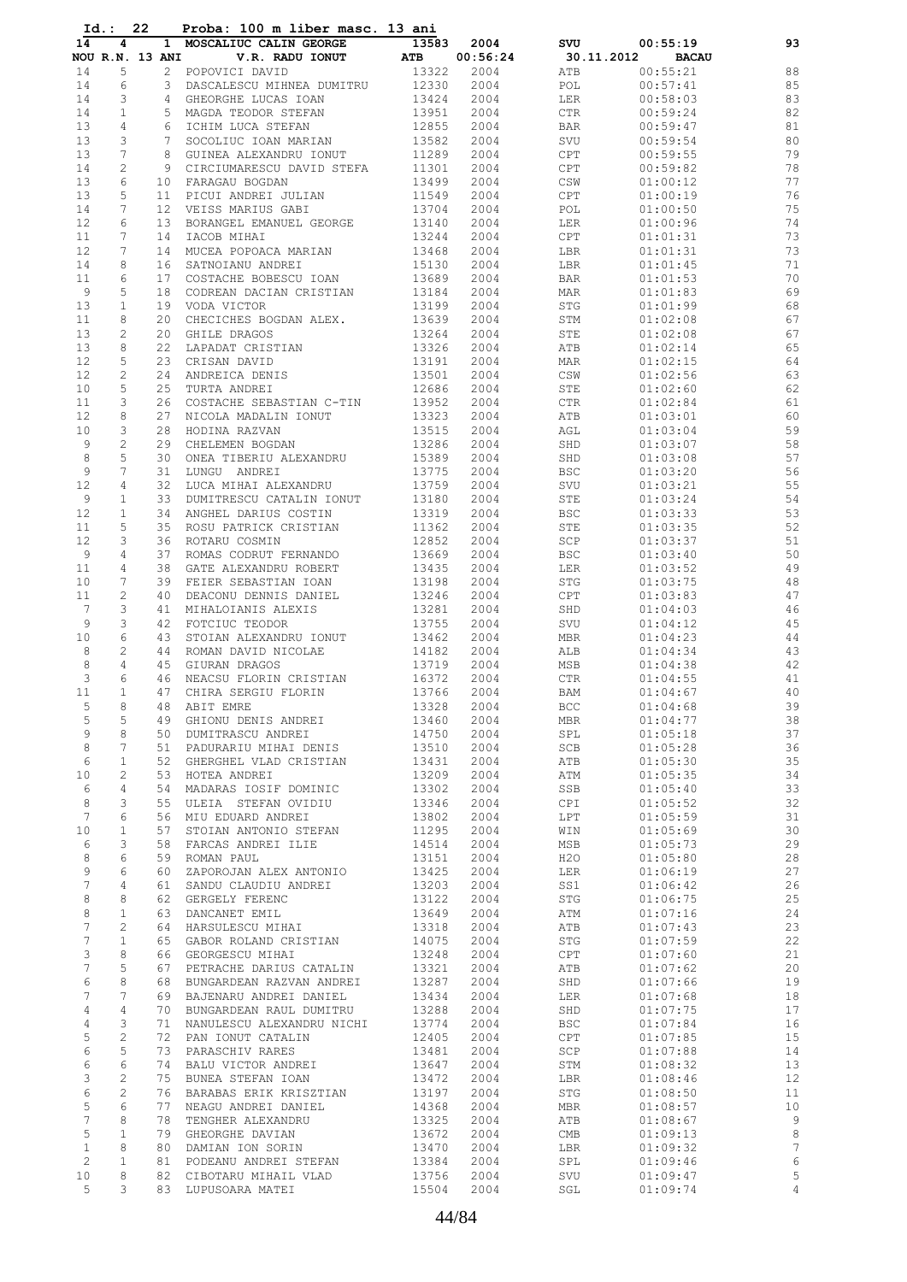|                      | $Id.$ :                      | 22 |                 | Proba: 100 m liber masc. 13 ani                                |                                                                 |              |                   |                      |                 |
|----------------------|------------------------------|----|-----------------|----------------------------------------------------------------|-----------------------------------------------------------------|--------------|-------------------|----------------------|-----------------|
| 14                   | 4                            |    |                 | 1 MOSCALIUC CALIN GEORGE                                       | 13583                                                           | 2004         | SVU               | 00:55:19             | 93              |
|                      | NOU R.N. 13 ANI              |    |                 | V.R. RADU IONUT                                                | ATB                                                             | 00:56:24     | 30.11.2012        | <b>BACAU</b>         |                 |
| 14                   | 5                            |    |                 | 2 POPOVICI DAVID                                               | 13322                                                           | 2004         | ATB               | 00:55:21             | 88<br>85        |
| 14                   | 6                            |    | 3               | DASCALESCU MIHNEA DUMITRU                                      | 12330                                                           | 2004         | POL               | 00:57:41             | 83              |
| 14<br>14             | 3<br>$\mathbf{1}$            |    | 4               | GHEORGHE LUCAS IOAN<br>5 MAGDA TEODOR STEFAN                   | 13424<br>13951                                                  | 2004<br>2004 | LER<br>CTR        | 00:58:03<br>00:59:24 | 82              |
| 13                   | 4                            |    | 6               | ICHIM LUCA STEFAN                                              | 12855                                                           | 2004         | BAR               | 00:59:47             | 81              |
| 13                   | 3                            |    | $7^{\circ}$     | SOCOLIUC IOAN MARIAN                                           | 13582                                                           | 2004         | SVU               | 00:59:54             | 80              |
| 13                   | 7                            |    | 8               | GUINEA ALEXANDRU IONUT                                         | 11289                                                           | 2004         | CPT               | 00:59:55             | 79              |
| 14                   | $\overline{c}$               |    | 9               | CIRCIUMARESCU DAVID STEFA                                      | 11301                                                           | 2004         | CPT               | 00:59:82             | 78              |
| 13                   | 6                            |    | 10 <sup>1</sup> | FARAGAU BOGDAN                                                 | 13499                                                           | 2004         | CSW               | 01:00:12             | 77              |
| 13                   | 5                            |    |                 | 11 PICUI ANDREI JULIAN                                         | 11549                                                           | 2004         | CPT               | 01:00:19             | 76              |
| 14                   | 7                            |    | 12 <sup>°</sup> | VEISS MARIUS GABI                                              | 13704                                                           | 2004         | POL               | 01:00:50             | 75              |
| 12                   | 6                            |    | 13              | BORANGEL EMANUEL GEORGE                                        | 13140                                                           | 2004         | LER               | 01:00:96             | 74              |
| 11                   | 7                            |    | 14              | IACOB MIHAI                                                    | 13244                                                           | 2004         | CPT               | 01:01:31             | 73              |
| 12                   | 7                            |    | 14              | MUCEA POPOACA MARIAN                                           | 13468                                                           | 2004         | LBR               | 01:01:31             | 73              |
| 14                   | 8                            |    | 16              | SATNOIANU ANDREI                                               | 15130                                                           | 2004         | LBR               | 01:01:45             | 71              |
| 11                   | 6                            |    | 17              | COSTACHE BOBESCU IOAN                                          | 13689                                                           | 2004         | BAR               | 01:01:53             | 70              |
| 9                    | 5                            |    | 18              | CODREAN DACIAN CRISTIAN                                        | 13184                                                           | 2004         | MAR               | 01:01:83             | 69              |
| 13                   | $\mathbf{1}$                 |    | 19              | VODA VICTOR                                                    | 13199                                                           | 2004         | STG               | 01:01:99             | 68              |
| 11                   | 8                            |    | 20              | CHECICHES BOGDAN ALEX.                                         | 13639                                                           | 2004         | STM               | 01:02:08             | 67              |
| 13                   | $\mathbf{2}$                 |    | 20              | GHILE DRAGOS                                                   | 13264                                                           | 2004         | STE               | 01:02:08             | 67              |
| 13                   | 8                            |    | 22              | LAPADAT CRISTIAN                                               | 13326                                                           | 2004         | ATB               | 01:02:14             | 65              |
| 12                   | 5                            |    | 23              | CRISAN DAVID                                                   | 13191                                                           | 2004         | MAR               | 01:02:15             | 64              |
| 12                   | $\mathbf{2}$                 |    | 24              | ANDREICA DENIS                                                 | 13501                                                           | 2004         | CSW               | 01:02:56             | 63              |
| 10                   | 5                            |    | 25              | TURTA ANDREI                                                   | 12686                                                           | 2004         | STE               | 01:02:60             | 62              |
| 11                   | 3                            |    | 26              | COSTACHE SEBASTIAN C-TIN                                       | 13952                                                           | 2004         | CTR               | 01:02:84             | 61              |
| 12                   | 8                            |    | 27              | NICOLA MADALIN IONUT                                           | 13323                                                           | 2004         | ATB               | 01:03:01             | 60              |
| 10                   | 3                            |    | 28              | HODINA RAZVAN                                                  | 13515                                                           | 2004         | AGL               | 01:03:04             | 59              |
| 9                    | $\mathbf{2}$                 |    | 29              | CHELEMEN BOGDAN                                                | 13286                                                           | 2004         | SHD               | 01:03:07             | 58              |
| 8                    | 5                            |    | 30              | ONEA TIBERIU ALEXANDRU                                         | 15389                                                           | 2004         | SHD               | 01:03:08             | 57              |
| 9                    | 7                            |    | 31              | LUNGU ANDREI                                                   | 13775                                                           | 2004         | <b>BSC</b>        | 01:03:20             | 56              |
| 12                   | $\overline{4}$               |    | 32              | LUCA MIHAI ALEXANDRU                                           | 13759                                                           | 2004         | SVU               | 01:03:21             | 55              |
| 9                    | $\mathbf{1}$                 |    | 33              | DUMITRESCU CATALIN IONUT                                       | 13180                                                           | 2004         | STE               | 01:03:24             | 54              |
| 12                   | $\mathbf{1}$                 |    | 34              | ANGHEL DARIUS COSTIN                                           | 13319                                                           | 2004         | <b>BSC</b>        | 01:03:33             | 53              |
| 11                   | 5                            |    | 35              | ROSU PATRICK CRISTIAN                                          | 11362                                                           | 2004         | STE               | 01:03:35             | 52              |
| 12<br>9              | 3<br>$\overline{4}$          |    | 36<br>37        | ROTARU COSMIN                                                  | 12852<br>13669                                                  | 2004<br>2004 | SCP<br><b>BSC</b> | 01:03:37             | 51<br>50        |
| 11                   | $\overline{4}$               |    | 38              | ROMAS CODRUT FERNANDO                                          | 13435                                                           | 2004         | LER               | 01:03:40<br>01:03:52 | 49              |
| 10                   | 7                            |    | 39              | GATE ALEXANDRU ROBERT<br>FEIER SEBASTIAN IOAN                  | 13198                                                           | 2004         | STG               | 01:03:75             | 48              |
| 11                   | 2                            |    | 40              | DEACONU DENNIS DANIEL                                          | 13246                                                           | 2004         | CPT               | 01:03:83             | 47              |
| 7                    | 3                            |    | 41              | MIHALOIANIS ALEXIS                                             | 13281                                                           | 2004         | SHD               | 01:04:03             | 46              |
| 9                    | 3                            |    | 42              | FOTCIUC TEODOR                                                 | 13755                                                           | 2004         | SVU               | 01:04:12             | 45              |
| 10                   | 6                            |    | 43              | STOIAN ALEXANDRU IONUT                                         | 13462                                                           | 2004         | <b>MBR</b>        | 01:04:23             | 44              |
| 8                    | 2                            |    | 44              | ROMAN DAVID NICOLAE                                            | 14182                                                           | 2004         | ALB               | 01:04:34             | 43              |
| 8                    | 4                            |    | 45              | GIURAN DRAGOS                                                  | 13719                                                           | 2004         | MSB               | 01:04:38             | 42              |
| 3                    | $6\,$                        |    |                 | 46 NEACSU FLORIN CRISTIAN                                      | 16372                                                           | 2004         | <b>CTR</b>        | 01:04:55             | 41              |
| 11                   | $\mathbf{1}$                 |    | 47              | CHIRA SERGIU FLORIN                                            | 13766                                                           | 2004         | BAM               | 01:04:67             | 40              |
|                      | $5 -$                        | 8  |                 | 48 ABIT EMRE                                                   |                                                                 | 13328 2004   | <b>BCC</b>        | 01:04:68             | 39              |
| 5                    | 5                            |    |                 | 49 GHIONU DENIS ANDREI                                         | 13460<br>14750                                                  | 2004         | MBR               | 01:04:77             | 38              |
| 9                    | 8                            |    |                 | 50 DUMITRASCU ANDREI                                           |                                                                 | 2004         | SPL               | 01:05:18             | 37              |
| 8                    | $7\phantom{.0}$              |    |                 | 51 PADURARIU MIHAI DENIS                                       | 13510                                                           | 2004         | SCB               | 01:05:28             | 36              |
| 6                    | $\mathbf{1}$                 |    |                 | 52 GHERGHEL VLAD CRISTIAN                                      | 13431                                                           | 2004         | ATB               | 01:05:30             | 35              |
| 10 <sub>o</sub>      | $\overline{c}$               |    |                 | 53 HOTEA ANDREI                                                | 13209                                                           | 2004         | ATM               | 01:05:35             | 34              |
| 6                    | $\overline{4}$               |    |                 | 54 MADARAS IOSIF DOMINIC                                       | 13302                                                           | 2004         | SSB               | 01:05:40             | 33              |
| 8                    | 3                            |    | 55              | ULEIA STEFAN OVIDIU                                            | 13346                                                           | 2004         | CPI               | 01:05:52             | 32              |
| $7\phantom{.}$       | 6                            |    |                 | 56 MIU EDUARD ANDREI                                           | 13802                                                           | 2004         | LPT               | 01:05:59             | 31              |
| 10                   | $\mathbf{1}$                 |    | 57              | STOIAN ANTONIO STEFAN                                          | 11295<br>14514                                                  | 2004         | WIN               | 01:05:69             | 30              |
| 6                    | 3                            |    |                 | 58 FARCAS ANDREI ILIE<br>59 ROMAN PAUL                         |                                                                 | 2004         | MSB               | 01:05:73             | 29              |
| 8                    | 6                            |    |                 | ROMAN PAUL                                                     | 13151<br>13425                                                  | 2004         | H2O               | 01:05:80             | 28              |
| 9                    | 6                            |    |                 | 60 ZAPOROJAN ALEX ANTONIO                                      |                                                                 | 2004         | LER               | 01:06:19             | 27              |
| $7\overline{ }$      | $\overline{4}$               |    | 61              | SANDU CLAUDIU ANDREI                                           | 13203                                                           | 2004         | SS1               | 01:06:42             | 26              |
| 8                    | 8                            |    | 63              | 62 GERGELY FERENC                                              | 13122                                                           | 2004         | STG               | 01:06:75             | 25              |
| 8<br>$7\overline{ }$ | $\mathbf{1}$<br>$\mathbf{2}$ |    |                 | DANCANET EMIL<br>64 HARSULESCU MIHAI                           | 13649<br>13318                                                  | 2004<br>2004 | ATM<br>ATB        | 01:07:16<br>01:07:43 | 24<br>23        |
| 7                    | $\mathbf{1}$                 |    |                 | 65 GABOR ROLAND CRISTIAN                                       | 14075                                                           | 2004         | STG               | 01:07:59             | 22              |
| 3                    | 8                            |    |                 | 66 GEORGESCU MIHAI                                             | 13248                                                           | 2004         | CPT               | 01:07:60             | 21              |
| 7                    | 5                            |    | 67              | PETRACHE DARIUS CATALIN                                        | 13321                                                           | 2004         | ATB               | 01:07:62             | 20              |
| 6                    | 8                            |    |                 | 68 BUNGARDEAN RAZVAN ANDREI                                    | 13287                                                           | 2004         | SHD               | 01:07:66             | 19              |
| 7                    | 7                            |    |                 | 69 BAJENARU ANDREI DANIEL                                      | 13434                                                           | 2004         | LER               | 01:07:68             | 18              |
| 4                    | 4                            |    |                 | 70 BUNGARDEAN RAUL DUMITRU                                     | 13288                                                           | 2004         | SHD               | 01:07:75             | 17              |
| 4                    | 3                            |    | 71              | NANULESCU ALEXANDRU NICHI                                      | 13774                                                           | 2004         | <b>BSC</b>        | 01:07:84             | 16              |
| 5                    | $\mathbf{2}$                 |    |                 | 72 PAN IONUT CATALIN                                           | 12405                                                           | 2004         | CPT               | 01:07:85             | 15              |
| 6                    | 5                            |    |                 | 73 PARASCHIV RARES                                             | 13481                                                           | 2004         | SCP               | 01:07:88             | 14              |
| 6                    | 6                            |    |                 |                                                                | 13647                                                           | 2004         | STM               | 01:08:32             | 13              |
| 3                    | $\overline{c}$               |    |                 | 74 BALU VICTOR ANDREI<br>75 BUNEA STEFAN IOAN                  | 13472                                                           | 2004         | LBR               | 01:08:46             | 12              |
| 6                    | $\mathbf{2}$                 |    |                 | 76 BARABAS ERIK KRISZTIAN                                      | 13197                                                           | 2004         | STG               | 01:08:50             | 11              |
| 5                    | 6                            |    | 77              | NEAGU ANDREI DANIEL                                            | 14368                                                           | 2004         | MBR               | 01:08:57             | 10              |
| $7\overline{ }$      | 8                            |    | 78              | TENGHER ALEXANDRU                                              | 13325                                                           | 2004         | ATB               | 01:08:67             | 9               |
| 5                    | $\mathbf{1}$                 |    |                 | 79 GHEORGHE DAVIAN                                             | 13672                                                           | 2004         | CMB               | 01:09:13             | 8               |
| $\mathbf{1}$         | 8                            |    | 80              | DAMIAN ION SORIN                                               | 13470                                                           | 2004         | LBR               | 01:09:32             | $\overline{7}$  |
| $\overline{c}$       | $\mathbf{1}$                 |    |                 | 81 PODEANU ANDREI STEFAN                                       |                                                                 | 2004         | SPL               | 01:09:46             | $6\overline{6}$ |
| 10 <sub>1</sub>      | 8                            |    |                 | 81 LODDING I.<br>82 CIBOTARU MIHAIL VLAD<br>00 LUDUSOARA MATEI | $\begin{array}{r} 13470 \\ 13384 \\ 13756 \\ 15504 \end{array}$ | 2004         | SVU               | 01:09:47             | $-5$            |
| 5                    | 3                            |    |                 |                                                                | 15504                                                           | 2004         | SGL               | 01:09:74             | $\overline{4}$  |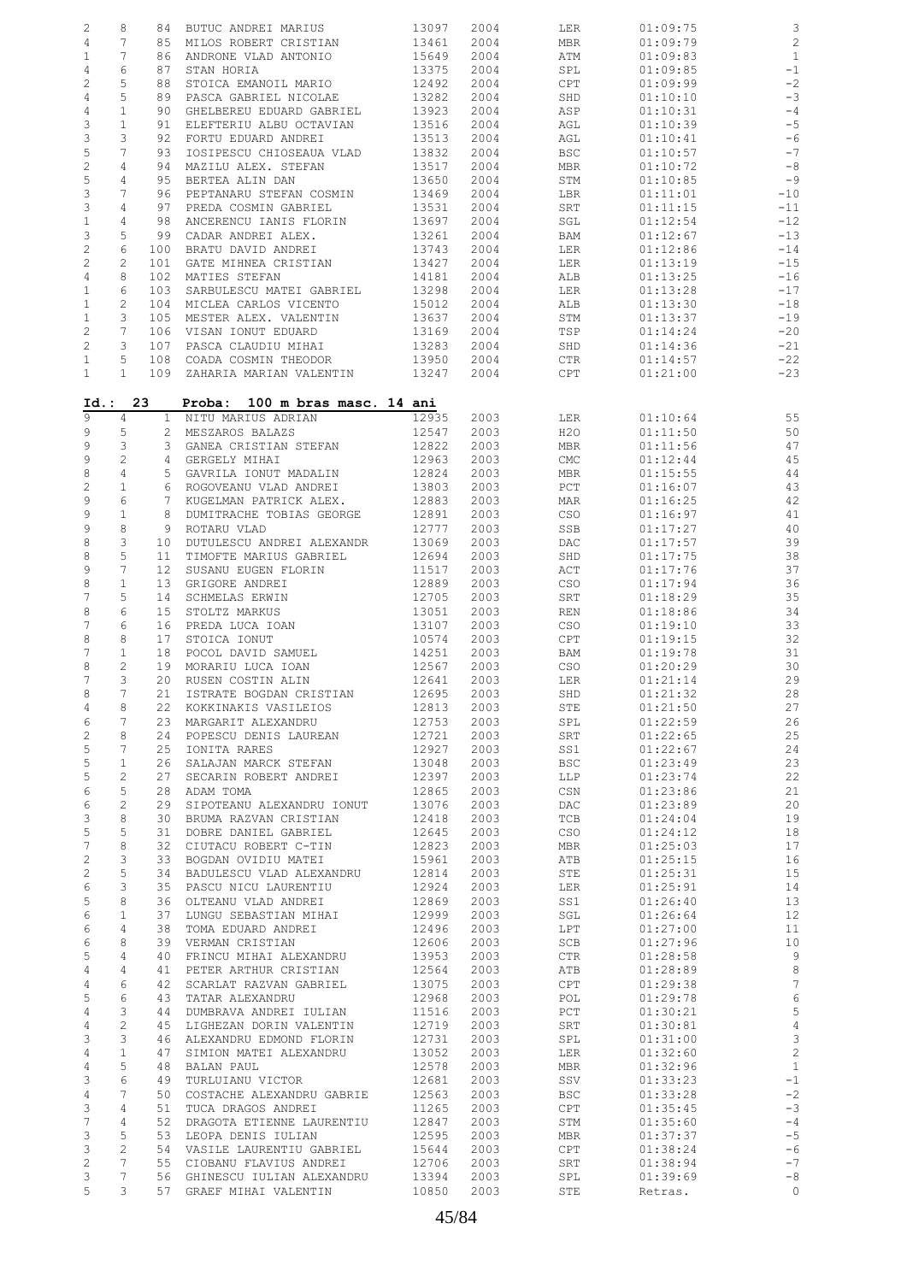| $\mathbf{2}$   | 8               | 84              | BUTUC ANDREI MARIUS               | 13097 | 2004 | LER         | 01:09:75 | 3               |
|----------------|-----------------|-----------------|-----------------------------------|-------|------|-------------|----------|-----------------|
| $\overline{4}$ | 7               | 85              | MILOS ROBERT CRISTIAN             | 13461 | 2004 | MBR         | 01:09:79 | $\sqrt{2}$      |
| $\mathbf 1$    | 7               | 86              | ANDRONE VLAD ANTONIO              | 15649 | 2004 | ATM         | 01:09:83 | $\,1\,$         |
|                |                 |                 |                                   |       |      |             |          |                 |
| $\overline{4}$ | 6               | 87              | STAN HORIA                        | 13375 | 2004 | SPL         | 01:09:85 | $^{\rm -1}$     |
| 2              | 5               | 88              | STOICA EMANOIL MARIO              | 12492 | 2004 | CPT         | 01:09:99 | $^{\rm -2}$     |
| $\overline{4}$ | 5               | 89              | PASCA GABRIEL NICOLAE             | 13282 | 2004 | SHD         | 01:10:10 | $-3$            |
| $\overline{4}$ | $\mathbf{1}$    | 90              | GHELBEREU EDUARD GABRIEL          | 13923 | 2004 | ASP         | 01:10:31 | $-4$            |
|                | $\mathbf{1}$    | 91              |                                   | 13516 |      |             |          |                 |
| 3              |                 |                 | ELEFTERIU ALBU OCTAVIAN           |       | 2004 | AGL         | 01:10:39 | $-5$            |
| 3              | 3               | 92              | FORTU EDUARD ANDREI               | 13513 | 2004 | AGL         | 01:10:41 | $-6$            |
| 5              | 7               | 93              | IOSIPESCU CHIOSEAUA VLAD          | 13832 | 2004 | <b>BSC</b>  | 01:10:57 | $-7$            |
| $\mathbf{2}$   | 4               | 94              | MAZILU ALEX. STEFAN               | 13517 | 2004 | MBR         | 01:10:72 | $-8$            |
| 5              | 4               | 95              | BERTEA ALIN DAN                   | 13650 | 2004 | STM         | 01:10:85 | $-9$            |
|                |                 |                 |                                   |       |      |             |          |                 |
| 3              | 7               | 96              | PEPTANARU STEFAN COSMIN           | 13469 | 2004 | LBR         | 01:11:01 | $-10$           |
| 3              | 4               | 97              | PREDA COSMIN GABRIEL              | 13531 | 2004 | SRT         | 01:11:15 | $-11$           |
| $\mathbf{1}$   | 4               | 98              | ANCERENCU IANIS FLORIN            | 13697 | 2004 | SGL         | 01:12:54 | $-12$           |
| 3              | 5               | 99              | CADAR ANDREI ALEX.                | 13261 | 2004 | BAM         | 01:12:67 | $-13$           |
|                | 6               |                 |                                   |       |      |             |          |                 |
| $\overline{c}$ |                 | 100             | BRATU DAVID ANDREI                | 13743 | 2004 | LER         | 01:12:86 | $-14$           |
| $\overline{c}$ | $\mathbf{2}$    | 101             | GATE MIHNEA CRISTIAN              | 13427 | 2004 | LER         | 01:13:19 | $-15$           |
| 4              | 8               | 102             | MATIES STEFAN                     | 14181 | 2004 | ALB         | 01:13:25 | $-16$           |
| $\mathbf{1}$   | 6               | 103             | SARBULESCU MATEI GABRIEL          | 13298 | 2004 | LER         | 01:13:28 | $-17$           |
| $\mathbf{1}$   | 2               | 104             | MICLEA CARLOS VICENTO             | 15012 | 2004 | ALB         | 01:13:30 | $-18$           |
|                | 3               |                 |                                   |       |      |             |          | $-19$           |
| $\mathbf{1}$   |                 | 105             | MESTER ALEX. VALENTIN             | 13637 | 2004 | STM         | 01:13:37 |                 |
| $\overline{c}$ | 7               | 106             | VISAN IONUT EDUARD                | 13169 | 2004 | TSP         | 01:14:24 | $-20$           |
| $\overline{c}$ | 3               | 107             | PASCA CLAUDIU MIHAI               | 13283 | 2004 | SHD         | 01:14:36 | $-21$           |
| $\mathbf{1}$   | 5               | 108             | COADA COSMIN THEODOR              | 13950 | 2004 | CTR         | 01:14:57 | $-22$           |
| $\mathbf{1}$   | $\mathbf{1}$    | 109             | ZAHARIA MARIAN VALENTIN           | 13247 | 2004 | CPT         | 01:21:00 | $-23$           |
|                |                 |                 |                                   |       |      |             |          |                 |
|                |                 |                 |                                   |       |      |             |          |                 |
| Id.:           |                 | 23              | Proba:<br>100 m bras masc. 14 ani |       |      |             |          |                 |
| 9              | 4               | 1               | NITU MARIUS ADRIAN                | 12935 | 2003 | LER         | 01:10:64 | 55              |
| 9              | 5               | 2               | MESZAROS BALAZS                   | 12547 | 2003 | H2O         | 01:11:50 | 50              |
|                |                 |                 |                                   |       |      |             |          |                 |
| 9              | 3               | 3               | GANEA CRISTIAN STEFAN             | 12822 | 2003 | MBR         | 01:11:56 | 47              |
| 9              | $\mathbf{2}$    | 4               | GERGELY MIHAI                     | 12963 | 2003 | CMC         | 01:12:44 | 45              |
| 8              | $\overline{4}$  | 5               | GAVRILA IONUT MADALIN             | 12824 | 2003 | MBR         | 01:15:55 | 44              |
| 2              | $\mathbf{1}$    | 6               | ROGOVEANU VLAD ANDREI             | 13803 | 2003 | PCT         | 01:16:07 | 43              |
|                |                 |                 |                                   |       |      |             |          |                 |
| 9              | 6               | 7               | KUGELMAN PATRICK ALEX.            | 12883 | 2003 | MAR         | 01:16:25 | 42              |
| 9              | $\mathbf{1}$    | 8               | DUMITRACHE TOBIAS GEORGE          | 12891 | 2003 | CSO         | 01:16:97 | 41              |
| 9              | $\,8\,$         | 9               | ROTARU VLAD                       | 12777 | 2003 | SSB         | 01:17:27 | 40              |
| 8              | 3               | 10              | DUTULESCU ANDREI ALEXANDR         | 13069 | 2003 | DAC         | 01:17:57 | 39              |
| 8              | 5               | 11              | TIMOFTE MARIUS GABRIEL            | 12694 | 2003 | SHD         | 01:17:75 | 38              |
|                |                 |                 |                                   |       |      |             |          |                 |
| 9              | 7               | 12 <sub>2</sub> | SUSANU EUGEN FLORIN               | 11517 | 2003 | ACT         | 01:17:76 | 37              |
| 8              | $\mathbf{1}$    | 13              | GRIGORE ANDREI                    | 12889 | 2003 | CSO         | 01:17:94 | 36              |
| 7              | 5               | 14              | SCHMELAS ERWIN                    | 12705 | 2003 | SRT         | 01:18:29 | 35              |
| 8              | 6               | 15 <sub>1</sub> | STOLTZ MARKUS                     | 13051 | 2003 | REN         | 01:18:86 | 34              |
| 7              | 6               | 16              | PREDA LUCA IOAN                   | 13107 | 2003 | CSO         | 01:19:10 | 33              |
|                | 8               |                 |                                   |       |      |             |          |                 |
| 8              |                 | 17              | STOICA IONUT                      | 10574 | 2003 | CPT         | 01:19:15 | 32              |
| $\overline{7}$ | $\mathbf{1}$    | 18              | POCOL DAVID SAMUEL                | 14251 | 2003 | BAM         | 01:19:78 | $31\,$          |
| 8              | 2               | 19              | MORARIU LUCA IOAN                 | 12567 | 2003 | CSO         | 01:20:29 | 30              |
| 7              | 3               | 20              | RUSEN COSTIN ALIN                 | 12641 | 2003 | LER         | 01:21:14 | 29              |
| 8              | $7\overline{ }$ | 21              | ISTRATE BOGDAN CRISTIAN           | 12695 | 2003 | SHD         | 01:21:32 | 28              |
|                | 8               |                 |                                   | 12813 |      |             |          |                 |
| 4              |                 | 22              | KOKKINAKIS VASILEIOS              |       | 2003 | ${\tt STE}$ | 01:21:50 | 27              |
| 6              | 7               | 23              | MARGARIT ALEXANDRU                | 12753 | 2003 | SPL         | 01:22:59 | 26              |
| 2              | 8               | 24              | POPESCU DENIS LAUREAN             | 12721 | 2003 | SRT         | 01:22:65 | 25              |
| 5              | 7               | 25              | IONITA RARES                      | 12927 | 2003 | SS1         | 01:22:67 | 24              |
| 5              | $\mathbf{1}$    | 26              | SALAJAN MARCK STEFAN              | 13048 | 2003 | <b>BSC</b>  | 01:23:49 | 23              |
| 5              | $\overline{c}$  |                 |                                   |       |      |             |          | 22              |
|                |                 | 27              | SECARIN ROBERT ANDREI             | 12397 | 2003 | LLP         | 01:23:74 |                 |
| 6              | 5               | 28              | ADAM TOMA                         | 12865 | 2003 | CSN         | 01:23:86 | 21              |
| 6              | $\mathbf{2}$    | 29              | SIPOTEANU ALEXANDRU IONUT         | 13076 | 2003 | DAC         | 01:23:89 | 20              |
| 3              | 8               | 30              | BRUMA RAZVAN CRISTIAN             | 12418 | 2003 | TCB         | 01:24:04 | 19              |
| 5              | 5               | 31              | DOBRE DANIEL GABRIEL              | 12645 | 2003 | CSO         | 01:24:12 | 18              |
| 7              |                 |                 |                                   |       |      |             |          |                 |
|                | 8               | 32              | CIUTACU ROBERT C-TIN              | 12823 | 2003 | MBR         | 01:25:03 | 17              |
| $\mathbf{2}$   | 3               | 33              | BOGDAN OVIDIU MATEI               | 15961 | 2003 | ATB         | 01:25:15 | 16              |
| 2              | 5               | 34              | BADULESCU VLAD ALEXANDRU          | 12814 | 2003 | STE         | 01:25:31 | 15              |
| 6              | 3               | 35              | PASCU NICU LAURENTIU              | 12924 | 2003 | LER         | 01:25:91 | 14              |
| 5              | 8               | 36              | OLTEANU VLAD ANDREI               | 12869 | 2003 | SS1         | 01:26:40 | 13              |
| 6              | $\mathbf{1}$    | 37              | LUNGU SEBASTIAN MIHAI             | 12999 | 2003 | SGL         | 01:26:64 | 12              |
|                |                 |                 |                                   |       |      |             |          |                 |
| 6              | 4               | 38              | TOMA EDUARD ANDREI                | 12496 | 2003 | LPT         | 01:27:00 | 11              |
| 6              | 8               | 39              | VERMAN CRISTIAN                   | 12606 | 2003 | SCB         | 01:27:96 | 10              |
| 5              | 4               | 40              | FRINCU MIHAI ALEXANDRU            | 13953 | 2003 | CTR         | 01:28:58 | 9               |
| $\overline{4}$ | 4               | 41              | PETER ARTHUR CRISTIAN             | 12564 | 2003 | ATB         | 01:28:89 | 8               |
| $\overline{4}$ | 6               | 42              | SCARLAT RAZVAN GABRIEL            | 13075 | 2003 | CPT         | 01:29:38 | $7\phantom{.0}$ |
|                |                 |                 |                                   |       |      |             |          |                 |
| 5              | 6               | 43              | TATAR ALEXANDRU                   | 12968 | 2003 | POL         | 01:29:78 | 6               |
| $\overline{4}$ | 3               | 44              | DUMBRAVA ANDREI IULIAN            | 11516 | 2003 | PCT         | 01:30:21 | $\mathsf S$     |
| $\overline{4}$ | $\overline{c}$  | 45              | LIGHEZAN DORIN VALENTIN           | 12719 | 2003 | SRT         | 01:30:81 | $\overline{4}$  |
| 3              | 3               | 46              | ALEXANDRU EDMOND FLORIN           | 12731 | 2003 | SPL         | 01:31:00 | $\mathsf 3$     |
| $\overline{4}$ | $\mathbf{1}$    | 47              | SIMION MATEI ALEXANDRU            | 13052 | 2003 | LER         | 01:32:60 | $\sqrt{2}$      |
|                |                 |                 |                                   |       |      |             |          |                 |
| $\overline{4}$ | 5               | 48              | BALAN PAUL                        | 12578 | 2003 | MBR         | 01:32:96 | $\mathbf{1}$    |
| 3              | 6               | 49              | TURLUIANU VICTOR                  | 12681 | 2003 | SSV         | 01:33:23 | $-1$            |
| $\overline{4}$ | 7               | 50              | COSTACHE ALEXANDRU GABRIE         | 12563 | 2003 | <b>BSC</b>  | 01:33:28 | $-2$            |
| 3              | 4               | 51              | TUCA DRAGOS ANDREI                | 11265 | 2003 | CPT         | 01:35:45 | $-3$            |
| 7              | $\overline{4}$  | 52              | DRAGOTA ETIENNE LAURENTIU         | 12847 | 2003 | STM         | 01:35:60 | $-4$            |
|                |                 |                 |                                   |       |      |             |          |                 |
| 3              | 5               | 53              | LEOPA DENIS IULIAN                | 12595 | 2003 | MBR         | 01:37:37 | $-5$            |
| 3              | $\overline{c}$  | 54              | VASILE LAURENTIU GABRIEL          | 15644 | 2003 | CPT         | 01:38:24 | $-6$            |
| $\overline{c}$ | 7               | 55              | CIOBANU FLAVIUS ANDREI            | 12706 | 2003 | SRT         | 01:38:94 | $-7$            |
| 3              | 7               | 56              | GHINESCU IULIAN ALEXANDRU         | 13394 | 2003 | SPL         | 01:39:69 | $-8$            |
| 5              | 3               | 57              | GRAEF MIHAI VALENTIN              | 10850 | 2003 | STE         | Retras.  | 0               |
|                |                 |                 |                                   |       |      |             |          |                 |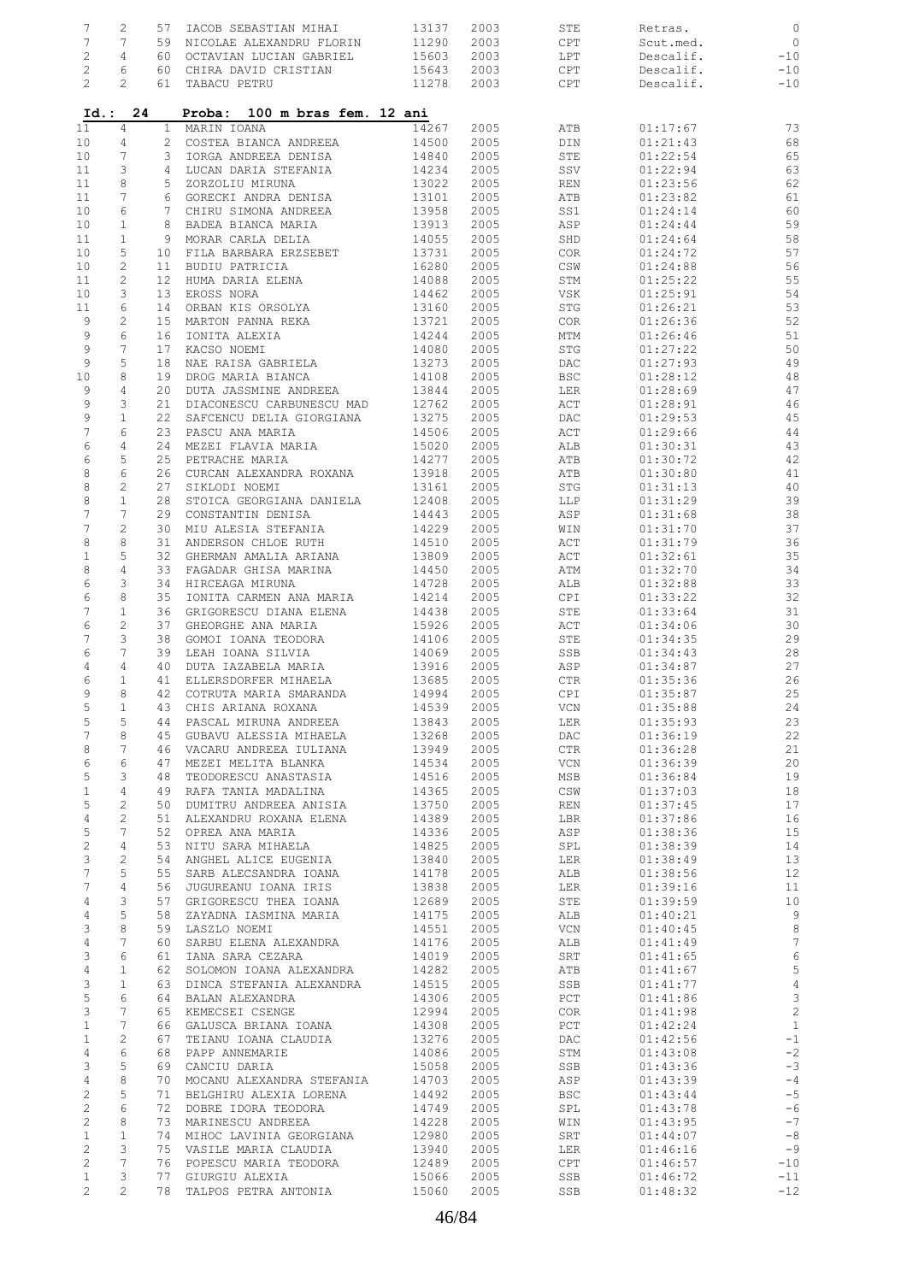| 7              | 2               | 57                    | IACOB SEBASTIAN MIHAI            | 13137 | 2003 | STE        | Retras.   | $\circ$         |
|----------------|-----------------|-----------------------|----------------------------------|-------|------|------------|-----------|-----------------|
| 7              | 7               | 59                    | NICOLAE ALEXANDRU FLORIN         | 11290 | 2003 | CPT        | Scut.med. | $\circ$         |
|                |                 |                       |                                  |       |      |            |           |                 |
| $\overline{c}$ | $\overline{4}$  | 60                    | OCTAVIAN LUCIAN GABRIEL          | 15603 | 2003 | LPT        | Descalif. | $-10$           |
| $\overline{c}$ | 6               | 60                    | CHIRA DAVID CRISTIAN             | 15643 | 2003 | CPT        | Descalif. | $-10$           |
| $\mathbf{2}$   | $\overline{c}$  | 61                    | TABACU PETRU                     | 11278 | 2003 | CPT        | Descalif. | $-10$           |
|                |                 |                       |                                  |       |      |            |           |                 |
| Id.:           | 24              |                       | Proba:<br>100 m bras fem. 12 ani |       |      |            |           |                 |
| 11             | $\overline{4}$  | 1                     | MARIN IOANA                      | 14267 | 2005 | ATB        | 01:17:67  | 73              |
| 10             | 4               | $\mathbf{2}^{\prime}$ | COSTEA BIANCA ANDREEA            | 14500 | 2005 | DIN        | 01:21:43  | 68              |
|                |                 | 3                     |                                  |       |      |            |           |                 |
| 10             | 7               |                       | IORGA ANDREEA DENISA             | 14840 | 2005 | STE        | 01:22:54  | 65              |
| 11             | 3               | 4                     | LUCAN DARIA STEFANIA             | 14234 | 2005 | SSV        | 01:22:94  | 63              |
| 11             | 8               | 5                     | ZORZOLIU MIRUNA                  | 13022 | 2005 | REN        | 01:23:56  | 62              |
| 11             | 7               | 6                     | GORECKI ANDRA DENISA             | 13101 | 2005 | ATB        | 01:23:82  | 61              |
| 10             | 6               | 7                     | CHIRU SIMONA ANDREEA             | 13958 | 2005 | SS1        | 01:24:14  | 60              |
|                |                 | 8                     |                                  |       |      |            |           | 59              |
| 10             | $\mathbf{1}$    |                       | BADEA BIANCA MARIA               | 13913 | 2005 | ASP        | 01:24:44  |                 |
| 11             | $\mathbf{1}$    | 9                     | MORAR CARLA DELIA                | 14055 | 2005 | SHD        | 01:24:64  | 58              |
| 10             | 5               | 10                    | FILA BARBARA ERZSEBET            | 13731 | 2005 | COR        | 01:24:72  | 57              |
| 10             | 2               | 11                    | BUDIU PATRICIA                   | 16280 | 2005 | CSW        | 01:24:88  | 56              |
| 11             | 2               | 12                    | HUMA DARIA ELENA                 | 14088 | 2005 | STM        | 01:25:22  | 55              |
|                |                 |                       |                                  |       |      |            |           |                 |
| 10             | 3               | 13                    | EROSS NORA                       | 14462 | 2005 | VSK        | 01:25:91  | 54              |
| 11             | 6               | 14                    | ORBAN KIS ORSOLYA                | 13160 | 2005 | STG        | 01:26:21  | 53              |
| 9              | 2               | 15                    | MARTON PANNA REKA                | 13721 | 2005 | COR        | 01:26:36  | 52              |
| 9              | 6               | 16                    | IONITA ALEXIA                    | 14244 | 2005 | MTM        | 01:26:46  | 51              |
| 9              | 7               | 17                    | KACSO NOEMI                      | 14080 | 2005 | STG        | 01:27:22  | 50              |
|                |                 |                       |                                  |       |      |            |           |                 |
| 9              | 5               | 18                    | NAE RAISA GABRIELA               | 13273 | 2005 | DAC        | 01:27:93  | 49              |
| 10             | 8               | 19                    | DROG MARIA BIANCA                | 14108 | 2005 | <b>BSC</b> | 01:28:12  | 48              |
| 9              | $\overline{4}$  | 20                    | DUTA JASSMINE ANDREEA            | 13844 | 2005 | LER        | 01:28:69  | 47              |
| 9              | 3               | 21                    | DIACONESCU CARBUNESCU MAD        | 12762 | 2005 | ACT        | 01:28:91  | 46              |
| 9              | $\mathbf{1}$    | 22                    |                                  |       |      |            |           |                 |
|                |                 |                       | SAFCENCU DELIA GIORGIANA         | 13275 | 2005 | DAC        | 01:29:53  | 45              |
| 7              | 6               | 23                    | PASCU ANA MARIA                  | 14506 | 2005 | ACT        | 01:29:66  | 44              |
| 6              | $\overline{4}$  | 24                    | MEZEI FLAVIA MARIA               | 15020 | 2005 | ALB        | 01:30:31  | 43              |
| 6              | 5               | 25                    | PETRACHE MARIA                   | 14277 | 2005 | ATB        | 01:30:72  | 42              |
| 8              | 6               | 26                    | CURCAN ALEXANDRA ROXANA          | 13918 | 2005 | ATB        | 01:30:80  | 41              |
|                |                 |                       |                                  |       |      |            |           |                 |
| 8              | $\overline{c}$  | 27                    | SIKLODI NOEMI                    | 13161 | 2005 | STG        | 01:31:13  | 40              |
| 8              | $\mathbf{1}$    | 28                    | STOICA GEORGIANA DANIELA         | 12408 | 2005 | LLP        | 01:31:29  | 39              |
| $\overline{7}$ | $7\phantom{.0}$ | 29                    | CONSTANTIN DENISA                | 14443 | 2005 | ASP        | 01:31:68  | 38              |
| 7              | $\overline{c}$  | 30                    | MIU ALESIA STEFANIA              | 14229 | 2005 | WIN        | 01:31:70  | 37              |
| 8              | 8               | 31                    | ANDERSON CHLOE RUTH              | 14510 | 2005 | ACT        | 01:31:79  | 36              |
|                |                 |                       |                                  |       |      |            |           |                 |
| $\mathbf{1}$   | 5               | 32                    | GHERMAN AMALIA ARIANA            | 13809 | 2005 | ACT        | 01:32:61  | 35              |
| 8              | $\overline{4}$  | 33                    | FAGADAR GHISA MARINA             | 14450 | 2005 | ATM        | 01:32:70  | 34              |
| 6              | 3               | 34                    | HIRCEAGA MIRUNA                  | 14728 | 2005 | ALB        | 01:32:88  | 33              |
| 6              | 8               | 35                    | IONITA CARMEN ANA MARIA          | 14214 | 2005 | CPI        | 01:33:22  | 32              |
|                |                 |                       |                                  |       |      |            |           |                 |
| 7              | $\mathbf{1}$    | 36                    | GRIGORESCU DIANA ELENA           | 14438 | 2005 | STE        | 01:33:64  | 31              |
| 6              | $\overline{c}$  | 37                    | GHEORGHE ANA MARIA               | 15926 | 2005 | ACT        | 01:34:06  | 30              |
| $\overline{7}$ | 3               | 38                    | GOMOI IOANA TEODORA              | 14106 | 2005 | STE        | 01:34:35  | 29              |
| 6              | 7               | 39                    | LEAH IOANA SILVIA                | 14069 | 2005 | SSB        | 01:34:43  | 28              |
|                | 4               | 40                    | DUTA IAZABELA MARIA              |       |      |            |           |                 |
| 4              |                 |                       |                                  | 13916 | 2005 | ASP        | 01:34:87  | 27              |
| 6              | $\mathbf{1}$    | 41                    | ELLERSDORFER MIHAELA             | 13685 | 2005 | <b>CTR</b> | 01:35:36  | 26              |
| 9              | 8               | 42                    | COTRUTA MARIA SMARANDA           | 14994 | 2005 | CPI        | 01:35:87  | 25              |
| 5              | $\mathbf{1}$    | 43                    | CHIS ARIANA ROXANA               | 14539 | 2005 | VCN        | 01:35:88  | 24              |
| 5              | 5               | 44                    | PASCAL MIRUNA ANDREEA            | 13843 | 2005 | LER        | 01:35:93  | 23              |
| $\overline{7}$ | 8               | 45                    | GUBAVU ALESSIA MIHAELA           | 13268 | 2005 | DAC        |           | 22              |
|                |                 |                       |                                  |       |      |            | 01:36:19  |                 |
| 8              | 7               | 46                    | VACARU ANDREEA IULIANA           | 13949 | 2005 | CTR        | 01:36:28  | 21              |
| 6              | 6               | 47                    | MEZEI MELITA BLANKA              | 14534 | 2005 | VCN        | 01:36:39  | 20              |
| 5              | 3               | 48                    | TEODORESCU ANASTASIA             | 14516 | 2005 | MSB        | 01:36:84  | 19              |
| $1\,$          | $\overline{4}$  | 49                    | RAFA TANIA MADALINA              | 14365 | 2005 | CSW        | 01:37:03  | 18              |
|                |                 |                       |                                  |       |      |            |           |                 |
| 5              | $\overline{c}$  | 50                    | DUMITRU ANDREEA ANISIA           | 13750 | 2005 | REN        | 01:37:45  | 17              |
| $\overline{4}$ | $\overline{c}$  | 51                    | ALEXANDRU ROXANA ELENA           | 14389 | 2005 | LBR        | 01:37:86  | 16              |
| 5              | 7               | 52                    | OPREA ANA MARIA                  | 14336 | 2005 | ASP        | 01:38:36  | 15              |
| $\overline{c}$ | $\overline{4}$  | 53                    | NITU SARA MIHAELA                | 14825 | 2005 | SPL        | 01:38:39  | 14              |
| 3              | $\overline{c}$  | 54                    | ANGHEL ALICE EUGENIA             | 13840 | 2005 | LER        | 01:38:49  | 13              |
| $\overline{7}$ | 5               |                       |                                  | 14178 |      |            |           |                 |
|                |                 | 55                    | SARB ALECSANDRA IOANA            |       | 2005 | ALB        | 01:38:56  | 12              |
| 7              | $\overline{4}$  | 56                    | JUGUREANU IOANA IRIS             | 13838 | 2005 | LER        | 01:39:16  | 11              |
| $\overline{4}$ | 3               | 57                    | GRIGORESCU THEA IOANA            | 12689 | 2005 | STE        | 01:39:59  | 10              |
| 4              | 5               | 58                    | ZAYADNA IASMINA MARIA            | 14175 | 2005 | ALB        | 01:40:21  | $\overline{9}$  |
| 3              | 8               | 59                    | LASZLO NOEMI                     | 14551 | 2005 | VCN        | 01:40:45  | $\,$ 8          |
|                |                 |                       |                                  |       |      |            |           |                 |
| 4              | 7               | 60                    | SARBU ELENA ALEXANDRA            | 14176 | 2005 | ALB        | 01:41:49  | $7\phantom{.0}$ |
| 3              | 6               | 61                    | IANA SARA CEZARA                 | 14019 | 2005 | SRT        | 01:41:65  | $\sqrt{6}$      |
| $\overline{4}$ | $\mathbf{1}$    | 62                    | SOLOMON IOANA ALEXANDRA          | 14282 | 2005 | ATB        | 01:41:67  | $\overline{5}$  |
| 3              | $\mathbf{1}$    | 63                    | DINCA STEFANIA ALEXANDRA         | 14515 | 2005 | SSB        | 01:41:77  | $\overline{4}$  |
| 5              | 6               | 64                    |                                  | 14306 |      | PCT        |           | $\mathcal{E}$   |
|                |                 |                       | BALAN ALEXANDRA                  |       | 2005 |            | 01:41:86  |                 |
| 3              | 7               | 65                    | KEMECSEI CSENGE                  | 12994 | 2005 | COR        | 01:41:98  | $\sqrt{2}$      |
| $\mathbf{1}$   | 7               | 66                    | GALUSCA BRIANA IOANA             | 14308 | 2005 | PCT        | 01:42:24  | $\mathbf{1}$    |
| $\mathbf{1}$   | $\overline{c}$  | 67                    | TEIANU IOANA CLAUDIA             | 13276 | 2005 | DAC        | 01:42:56  | $-1$            |
| $\overline{4}$ | 6               | 68                    | PAPP ANNEMARIE                   | 14086 | 2005 | STM        | 01:43:08  | $-2$            |
|                |                 |                       |                                  |       |      |            |           |                 |
| 3              | 5               | 69                    | CANCIU DARIA                     | 15058 | 2005 | SSB        | 01:43:36  | $-3$            |
| $\overline{4}$ | 8               | 70                    | MOCANU ALEXANDRA STEFANIA        | 14703 | 2005 | ASP        | 01:43:39  | $-4$            |
| $\overline{c}$ | 5               | 71                    | BELGHIRU ALEXIA LORENA           | 14492 | 2005 | BSC        | 01:43:44  | $-5$            |
| $\overline{c}$ | $\epsilon$      | 72                    | DOBRE IDORA TEODORA              | 14749 | 2005 | SPL        | 01:43:78  | $-6$            |
| $\overline{c}$ | 8               | 73                    | MARINESCU ANDREEA                | 14228 | 2005 | WIN        | 01:43:95  | $-7$            |
|                |                 |                       |                                  |       |      |            |           |                 |
| $\mathbf{1}$   | $\mathbf{1}$    | 74                    | MIHOC LAVINIA GEORGIANA          | 12980 | 2005 | SRT        | 01:44:07  | $-8$            |
| $\overline{c}$ | 3               | 75                    | VASILE MARIA CLAUDIA             | 13940 | 2005 | LER        | 01:46:16  | $-9$            |
| $\overline{c}$ | 7               | 76                    | POPESCU MARIA TEODORA            | 12489 | 2005 | CPT        | 01:46:57  | $-10$           |
| $\mathbf{1}$   | 3               | 77                    | GIURGIU ALEXIA                   | 15066 | 2005 | SSB        | 01:46:72  | $-11$           |
| $\mathbf{2}$   | $\overline{2}$  | 78                    | TALPOS PETRA ANTONIA             | 15060 | 2005 | SSB        | 01:48:32  | $-12$           |
|                |                 |                       |                                  |       |      |            |           |                 |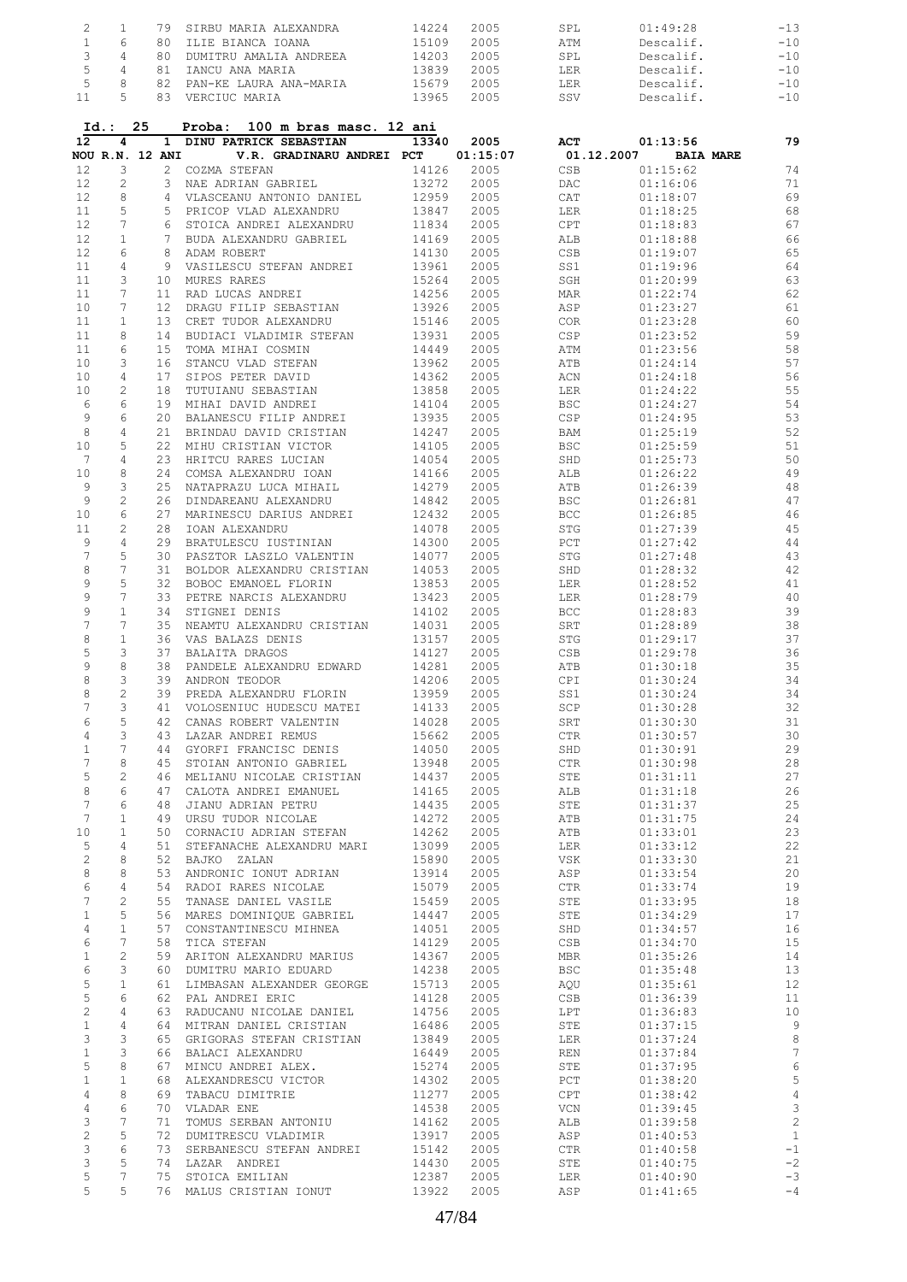|                | 79  | SIRBU MARIA ALEXANDRA  | 14224 | 2005 | SPL  | 01:49:28  | $-13$ |
|----------------|-----|------------------------|-------|------|------|-----------|-------|
|                | 80. | ILIE BIANCA IOANA      | 15109 | 2005 | ATM  | Descalif. | $-10$ |
|                | 80  | DUMITRU AMALIA ANDREEA | 14203 | 2005 | SPT. | Descalif. | $-10$ |
| ъ.             | 81  | TANCU ANA MARTA        | 13839 | 2005 | LER  | Descalif. | $-10$ |
| $\overline{a}$ | 82. | PAN-KE LAURA ANA-MARIA | 15679 | 2005 | LER  | Descalif. | $-10$ |
|                | 83  | VERCIUC MARIA          | 13965 | 2005 | SSV  | Descalif. | $-10$ |
|                |     |                        |       |      |      |           |       |

| 12 <sub>2</sub> | 4               |                | 1 DINU PATRICK SEBASTIAN                                                                         | 13340          | 2005       | ACT        | 01:13:56         | 79                      |
|-----------------|-----------------|----------------|--------------------------------------------------------------------------------------------------|----------------|------------|------------|------------------|-------------------------|
|                 | NOU R.N. 12 ANI |                | V.R. GRADINARU ANDREI PCT 01:15:07                                                               |                |            | 01.12.2007 | <b>BAIA MARE</b> |                         |
| 12              | 3               |                | 2 COZMA STEFAN                                                                                   | 14126          | 2005       | CSB        | 01:15:62         | 74                      |
| 12              | $\mathbf{2}$    |                | 3 NAE ADRIAN GABRIEL                                                                             | 13272          | 2005       | DAC        | 01:16:06         | 71                      |
|                 |                 |                |                                                                                                  |                |            |            |                  |                         |
| 12              | 8               |                | 4 VLASCEANU ANTONIO DANIEL                                                                       | 12959          | 2005       | CAT        | 01:18:07         | 69                      |
| 11              | 5               |                | 5 PRICOP VLAD ALEXANDRU                                                                          | 13847          | 2005       | LER        | 01:18:25         | 68                      |
| 12              | $7\phantom{.0}$ |                | 6 STOICA ANDREI ALEXANDRU                                                                        | 11834          | 2005       | CPT        | 01:18:83         | 67                      |
| 12              | $\mathbf{1}$    | 7 <sup>7</sup> | BUDA ALEXANDRU GABRIEL                                                                           | 14169          | 2005       | ALB        | 01:18:88         | 66                      |
| 12              | 6               | 8              | ADAM ROBERT                                                                                      | 14130          | 2005       | CSB        | 01:19:07         | 65                      |
| 11              | 4               |                | 9 VASILESCU STEFAN ANDREI                                                                        | 13961          | 2005       | SS1        | 01:19:96         | 64                      |
| 11              | 3               | 10             | MURES RARES                                                                                      | 15264          | 2005       | SGH        | 01:20:99         | 63                      |
| 11              | $7\phantom{.0}$ |                | 11 RAD LUCAS ANDREI                                                                              | 14256          | 2005       | MAR        | 01:22:74         | 62                      |
| 10              | 7               | 12             | DRAGU FILIP SEBASTIAN                                                                            | 13926          | 2005       | ASP        | 01:23:27         | 61                      |
| 11              | $\mathbf{1}$    | 13             | CRET TUDOR ALEXANDRU                                                                             | 15146          | 2005       | COR        | 01:23:28         | 60                      |
|                 |                 |                |                                                                                                  |                |            |            |                  | 59                      |
| 11              | 8               | 14             | BUDIACI VLADIMIR STEFAN                                                                          | 13931          | 2005       | CSP        | 01:23:52         |                         |
| 11              | 6               | 15             | TOMA MIHAI COSMIN                                                                                |                | 14449 2005 | ATM        | 01:23:56         | 58                      |
| 10              | 3               | 16             | STANCU VLAD STEFAN                                                                               | 13962          | 2005       | ATB        | 01:24:14         | 57                      |
| 10              | 4               | 17             | SIPOS PETER DAVID                                                                                | 14362          | 2005       | ACN        | 01:24:18         | 56                      |
| 10              | $\mathbf{2}$    | 18             | TUTUIANU SEBASTIAN                                                                               | 13858          | 2005       | LER        | 01:24:22         | 55                      |
| 6               | 6               |                | 19 MIHAI DAVID ANDREI                                                                            | 14104          | 2005       | BSC        | 01:24:27         | $5\,4$                  |
| 9               | 6               | 20             | BALANESCU FILIP ANDREI                                                                           | 13935          | 2005       | CSP        | 01:24:95         | 53                      |
| 8               | 4               | 21             | BRINDAU DAVID CRISTIAN                                                                           | 14247          | 2005       | BAM        | 01:25:19         | 52                      |
| 10              | 5               | 22             | MIHU CRISTIAN VICTOR                                                                             | 14105          | 2005       | BSC        | 01:25:59         | 51                      |
| 7               | 4               | 23             | HRITCU RARES LUCIAN                                                                              | 14054          | 2005       | SHD        | 01:25:73         | 50                      |
|                 |                 |                |                                                                                                  |                |            |            |                  |                         |
| 10              | 8               | 24             | COMSA ALEXANDRU IOAN                                                                             |                | 14166 2005 | ALB        | 01:26:22         | 49                      |
| 9               | 3               | 25             | NATAPRAZU LUCA MIHAIL                                                                            |                | 14279 2005 | ATB        | 01:26:39         | 48                      |
| 9               | 2               | 26             | DINDAREANU ALEXANDRU                                                                             |                | 14842 2005 | <b>BSC</b> | 01:26:81         | 47                      |
| 10              | 6               | 27             | MARINESCU DARIUS ANDREI                                                                          | 12432          | 2005       | <b>BCC</b> | 01:26:85         | 46                      |
| 11              | $\mathbf{2}$    | 28             | IOAN ALEXANDRU                                                                                   | 14078          | 2005       | STG        | 01:27:39         | 45                      |
| 9               | $\overline{4}$  | 29             | BRATULESCU IUSTINIAN                                                                             | 14300          | 2005       | PCT        | 01:27:42         | 44                      |
| 7               | 5               | 30             | PASZTOR LASZLO VALENTIN                                                                          | 14077          | 2005       | STG        | 01:27:48         | 43                      |
| 8               | $7\phantom{.0}$ | 31             | BOLDOR ALEXANDRU CRISTIAN                                                                        | 14053          | 2005       | SHD        | 01:28:32         | 42                      |
| 9               | 5               | 32             | BOBOC EMANOEL FLORIN                                                                             | 13853          | 2005       | LER        | 01:28:52         | 41                      |
| 9               | 7               | 33             | PETRE NARCIS ALEXANDRU                                                                           | 13423          | 2005       | LER        | 01:28:79         | 40                      |
| 9               | $\mathbf{1}$    | 34             | STIGNEI DENIS                                                                                    | 14102          | 2005       | BCC        | 01:28:83         | 39                      |
| 7               | 7               | 35             | NEAMTU ALEXANDRU CRISTIAN                                                                        | 14031          | 2005       | SRT        | 01:28:89         | 38                      |
|                 | $\mathbf{1}$    |                |                                                                                                  |                |            |            |                  |                         |
| 8               |                 |                | 36 VAS BALAZS DENIS                                                                              | 13157          | 2005       | STG        | 01:29:17         | 37                      |
| 5               | 3               | 37             | BALAITA DRAGOS                                                                                   | 14127          | 2005       | CSB        | 01:29:78         | 36                      |
| 9               | $\,8\,$         | 38             | PANDELE ALEXANDRU EDWARD                                                                         | 14281          | 2005       | ATB        | 01:30:18         | 35                      |
| 8               | 3               | 39             | ANDRON TEODOR                                                                                    | 14206          | 2005       | CPI        | 01:30:24         | 34                      |
| 8               | $\mathbf{2}$    |                | 39 PREDA ALEXANDRU FLORIN                                                                        | 13959          | 2005       | SS1        | 01:30:24         | 34                      |
| 7               | 3               | 41             | VOLOSENIUC HUDESCU MATEI                                                                         | 14133          | 2005       | SCP        | 01:30:28         | 32                      |
| 6               | 5               |                | 42 CANAS ROBERT VALENTIN                                                                         | 14028          | 2005       | SRT        | 01:30:30         | 31                      |
| 4               | 3               | 43             | LAZAR ANDREI REMUS                                                                               | 15662          | 2005       | CTR        | 01:30:57         | 30                      |
| $\mathbf{1}$    | 7               |                | 44 GYORFI FRANCISC DENIS                                                                         | 14050          | 2005       | SHD        | 01:30:91         | 29                      |
| 7               | 8               | 45             | STOIAN ANTONIO GABRIEL                                                                           | 13948          | 2005       | CTR        | 01:30:98         | 28                      |
| 5               | $\mathbf{2}$    |                | 46 MELIANU NICOLAE CRISTIAN                                                                      | 14437 2005     |            | STE        | 01:31:11         | 27                      |
| 8               | 6               |                | 47 CALOTA ANDREI EMANUEL                                                                         | 14165          | 2005       | ALB        | 01:31:18         | 26                      |
|                 |                 |                |                                                                                                  |                |            |            |                  |                         |
| 7               |                 |                | 6 48 JIANU ADRIAN PETRU                                                                          |                | 14435 2005 | <b>STE</b> | 01:31:37         | 25                      |
| $7\phantom{.0}$ | $\mathbf{1}$    |                |                                                                                                  |                | 2005       | ATB        | 01:31:75         | 24                      |
| 10              | $\mathbf{1}$    |                |                                                                                                  |                | 2005       | ATB        | 01:33:01         | 23                      |
| 5               | $\overline{4}$  |                | 14272<br>50 CORNACIU ADRIAN STEFAN 14262<br>51 STEFANACHE ALEXANDRU MARI 13099<br>52 BAJKO ZALAN |                | 2005       | LER        | 01:33:12         | 22                      |
| $\overline{c}$  | 8               |                |                                                                                                  |                | 2005       | VSK        | 01:33:30         | 21                      |
| 8               | 8               | 53             | ANDRONIC IONUT ADRIAN                                                                            | 13914          | 2005       | ASP        | 01:33:54         | 20                      |
| 6               | 4               |                | 54 RADOI RARES NICOLAE                                                                           | 15079          | 2005       | CTR        | 01:33:74         | 19                      |
| 7               | $\mathbf{2}$    |                | 55 TANASE DANIEL VASILE                                                                          | 15459          | 2005       | STE        | 01:33:95         | 18                      |
| $\mathbf{1}$    | 5               |                | 56 MARES DOMINIQUE GABRIEL                                                                       | 14447          | 2005       | STE        | 01:34:29         | 17                      |
| 4               | $\mathbf{1}$    |                | 57 CONSTANTINESCU MIHNEA                                                                         | 14051          | 2005       | SHD        | 01:34:57         | 16                      |
|                 | $7\phantom{.0}$ |                |                                                                                                  |                |            |            |                  |                         |
| 6               |                 |                | 58 TICA STEFAN                                                                                   | 14129          | 2005       | CSB        | 01:34:70         | 15                      |
| $\mathbf 1$     | $\mathbf{2}$    |                | 59 ARITON ALEXANDRU MARIUS                                                                       | 14367          | 2005       | MBR        | 01:35:26         | 14                      |
| 6               | 3               |                | 60 DUMITRU MARIO EDUARD                                                                          | 14238          | 2005       | <b>BSC</b> | 01:35:48         | 13                      |
| 5               | $\mathbf{1}$    |                | 61 LIMBASAN ALEXANDER GEORGE                                                                     | 15713          | 2005       | AQU        | 01:35:61         | 12                      |
| 5               | 6               |                | 62 PAL ANDREI ERIC                                                                               | 14128          | 2005       | CSB        | 01:36:39         | 11                      |
| $\overline{c}$  | 4               |                | 63 RADUCANU NICOLAE DANIEL                                                                       | 14756          | 2005       | LPT        | 01:36:83         | 10                      |
| $\mathbf{1}$    | 4               |                | 64 MITRAN DANIEL CRISTIAN                                                                        | 16486          | 2005       | STE        | 01:37:15         | 9                       |
| 3               | 3               |                | 65 GRIGORAS STEFAN CRISTIAN                                                                      | 13849          | 2005       | LER        | 01:37:24         | 8                       |
| $\mathbf{1}$    | 3               |                | 66 BALACI ALEXANDRU                                                                              | 16449          | 2005       | REN        | 01:37:84         | $\overline{7}$          |
| 5               | 8               | 67             | MINCU ANDREI ALEX.                                                                               | 15274          | 2005       | STE        | 01:37:95         | $6\overline{6}$         |
| $\mathbf{1}$    | $\mathbf{1}$    |                |                                                                                                  | 14302          | 2005       | PCT        | 01:38:20         | $5\phantom{.0}$         |
|                 | 8               |                | 68 ALEXANDRESCU VICTOR<br>69 TABACU DIMITRIE                                                     |                |            |            |                  | $\overline{4}$          |
| 4               |                 |                |                                                                                                  | 11277          | 2005       | CPT        | 01:38:42         |                         |
| $\overline{4}$  | 6               |                | 70 VLADAR ENE                                                                                    | 14538          | 2005       | VCN        | 01:39:45         | $\overline{\mathbf{3}}$ |
| 3               | $7\phantom{.0}$ | 71             | TOMUS SERBAN ANTONIU                                                                             | 14162          | 2005       | ALB        | 01:39:58         | $\overline{2}$          |
| $\overline{c}$  | 5               | 72             | DUMITRESCU VLADIMIR                                                                              | 13917<br>15142 | 2005       | ASP        | 01:40:53         | $\overline{1}$          |
| 3               | 6               |                | 73 SERBANESCU STEFAN ANDREI                                                                      |                | 2005       | CTR        | 01:40:58         | $-1$                    |
| 3               | 5               |                | 74 LAZAR ANDREI                                                                                  | 14430          | 2005       | STE        | 01:40:75         | $-2$                    |
| 5               | $7\phantom{.0}$ |                |                                                                                                  | 12387          | 2005       | LER        | 01:40:90         | $-3$                    |
| 5               | 5               |                |                                                                                                  | 13922          | 2005       | ASP        |                  | $-4$                    |
|                 |                 |                | 75 STOICA EMILIAN<br>76 MALUS CRISTIAN IONUT                                                     |                |            |            | 01:41:65         |                         |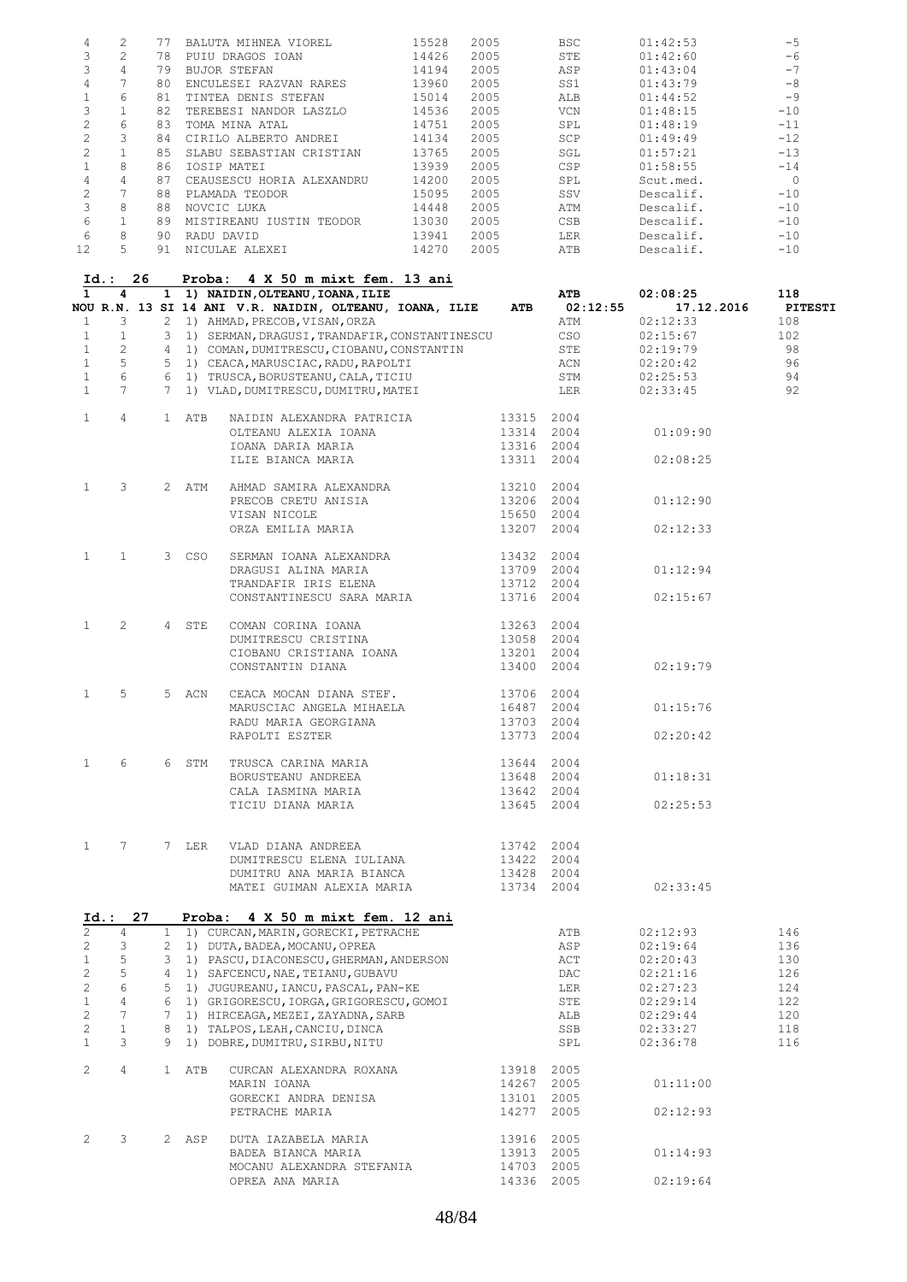| 4                     | 2               |                                |       | 77 BALUTA MIHNEA VIOREL 15528<br>78 PUIU DRAGOS IOAN 14426                                                                                                                                                                           |                          | 2005 |              | BSC                      | $01:42:53$<br>01:42:60<br>01:43:04<br>01:43:79 | $-5$           |
|-----------------------|-----------------|--------------------------------|-------|--------------------------------------------------------------------------------------------------------------------------------------------------------------------------------------------------------------------------------------|--------------------------|------|--------------|--------------------------|------------------------------------------------|----------------|
| 3                     | $\mathbf{2}$    |                                |       |                                                                                                                                                                                                                                      | 14426                    | 2005 |              | STE                      |                                                | $-6$           |
| 3                     | $\overline{4}$  |                                |       |                                                                                                                                                                                                                                      |                          |      |              | ASP                      |                                                | $-7$           |
| $\overline{4}$        | $7^{\circ}$     |                                |       |                                                                                                                                                                                                                                      |                          |      | 2005<br>2005 | SS1                      |                                                | $-8$           |
|                       |                 |                                |       |                                                                                                                                                                                                                                      |                          |      |              |                          |                                                |                |
| $\mathbf{1}$          | 6               |                                |       |                                                                                                                                                                                                                                      |                          | 2005 |              | ALB                      | $01:44:52$<br>$01:48:15$                       | $-9$           |
| 3                     | $\mathbf{1}$    |                                |       |                                                                                                                                                                                                                                      |                          | 2005 |              | VCN                      |                                                | $-10$          |
| $\overline{c}$        | 6               |                                |       |                                                                                                                                                                                                                                      |                          | 2005 |              | SPL                      |                                                | $-11$          |
| $\overline{2}$        | 3               |                                |       | 19 PULU DRAGUS LUAN 1942<br>79 BUJOR STEFAN 1960<br>81 TINTEA DENIS STEFAN 15014<br>82 TEREBESI NANDOR LASZLO 14536<br>83 TOMA MINA ATAL 14751<br>84 CIRILO ALBERTO ANDREI 14134<br>65 TOMA MINA ATAL 14751                          |                          | 2005 |              | SCP                      | $01:48:19$<br>$01:49:49$                       | $-12$          |
| $\overline{2}$        | 1               |                                |       | 85 SLABU SEBASTIAN CRISTIAN 13765                                                                                                                                                                                                    |                          | 2005 |              | SGL                      | $01:57:21$<br>$01:58:55$                       | $-13$          |
| $\mathbf{1}$          | 8               |                                |       | 86 IOSIP MATEI                                                                                                                                                                                                                       | 13939                    | 2005 |              | CSP                      |                                                | $-14$          |
| $\overline{4}$        | $\overline{4}$  |                                |       | 87 CEAUSESCU HORIA ALEXANDRU 14200                                                                                                                                                                                                   |                          | 2005 |              | SPL                      | Scut.med.                                      | $\overline{0}$ |
| $\mathbf{2}^{\prime}$ | $7^{\circ}$     |                                |       |                                                                                                                                                                                                                                      |                          |      |              | SSV                      |                                                | $-10$          |
|                       |                 |                                |       | 88 PLAMADA TEODOR<br>88 NOVCIC LUKA                                                                                                                                                                                                  |                          |      |              |                          | Descalif.                                      |                |
| $3 -$                 | 8               |                                |       | 88 PLAMADA TEODOR 15095 2005<br>88 NOVCIC LUKA 14448 2005<br>89 MISTIREANU IUSTIN TEODOR 13030 2005                                                                                                                                  |                          |      |              | ATM                      | Descalif.                                      | $-10$          |
| 6                     | 1               |                                |       |                                                                                                                                                                                                                                      |                          |      |              | CSB                      | Descalif.                                      | $-10$          |
| 6                     | 8               |                                |       | 90 RADU DAVID<br>91 NICULAE ALEXEI                                                                                                                                                                                                   | 13941 2005               |      |              |                          | LER Descalif.                                  | $-10$          |
| 12 <sup>°</sup>       | 5               |                                |       |                                                                                                                                                                                                                                      |                          |      |              | 14270 2005 ATB           | Descalif.                                      | $-10$          |
| Id.: 26               |                 |                                |       | Proba: 4 X 50 m mixt fem. 13 ani                                                                                                                                                                                                     |                          |      |              |                          |                                                |                |
| $\mathbf{1}$          | 4               |                                |       | $1$ ) NAIDIN, OLTEANU, IOANA, ILIE<br>NOUR.N. 13 SI 14 ANI V.R. NAIDIN, OLTEANU, IOANA, ILIE ATB 02:12:55                                                                                                                            |                          |      |              |                          | ATB 02:08:25 118<br>17.12.2016 PITESTI         |                |
| $\mathbf{1}$          | 3               |                                |       | 2 1) AHMAD, PRECOB, VISAN, ORZA                                                                                                                                                                                                      |                          |      |              |                          | ATM 02:12:33                                   | 108            |
| $\mathbf{1}$          |                 |                                |       |                                                                                                                                                                                                                                      |                          |      |              |                          |                                                | 102            |
| $\mathbf{1}$          |                 |                                |       |                                                                                                                                                                                                                                      |                          |      |              |                          | 02:15:67<br>02:19:79                           | 98             |
| 1                     |                 |                                |       |                                                                                                                                                                                                                                      |                          |      |              |                          |                                                | 96             |
|                       |                 |                                |       |                                                                                                                                                                                                                                      |                          |      |              |                          | 02:20:42                                       |                |
| $\mathbf{1}$          |                 |                                |       |                                                                                                                                                                                                                                      |                          |      |              |                          |                                                | 94             |
| 1                     |                 |                                |       | 3 2 1) AHMAD, PRECOB, VISAN, ORZA ATM 02:12:33<br>1 3 1) SERMAN, DRAGUSI, TRANDAFIR, CONSTANTINESCU CSO 02:15:67<br>2 4 1) COMAN, DUMITRESCU, CIOBANU, CONSTANTIN STE 02:19:79<br>5 5 1) CEACA, MARUSCIAC, RADU, RAPOLTI ACN 02:20:4 |                          |      |              |                          |                                                | 92             |
| 1                     | $4 \quad$       |                                | 1 ATB | NAIDIN ALEXANDRA PATRICIA 13315 2004                                                                                                                                                                                                 |                          |      |              |                          |                                                |                |
|                       |                 |                                |       |                                                                                                                                                                                                                                      |                          |      |              | 13314 2004               | 01:09:90                                       |                |
|                       |                 |                                |       |                                                                                                                                                                                                                                      |                          |      |              |                          |                                                |                |
|                       |                 |                                |       |                                                                                                                                                                                                                                      |                          |      |              |                          |                                                |                |
|                       |                 |                                |       | ILIE BIANCA MARIA                                                                                                                                                                                                                    |                          |      |              | 13311 2004               | 02:08:25                                       |                |
| 1                     |                 | $3 \sim$                       |       | $\begin{tabular}{lllllllllll} 2 & ATM & AHMAD SAMIRA ALEXANDRA & & & 13210 & 2004 \\ & PRECOB CRETU ANISIA & & & 13206 & 2004 \\ & VISAN NICOLE & & & 15650 & 2004 \\ & ORZA EMILIA MARIA & & & 13207 & 2004 \\ \end{tabular}$       |                          |      |              |                          |                                                |                |
|                       |                 |                                |       |                                                                                                                                                                                                                                      |                          |      |              |                          |                                                |                |
|                       |                 |                                |       |                                                                                                                                                                                                                                      |                          |      |              |                          | 01:12:90                                       |                |
|                       |                 |                                |       |                                                                                                                                                                                                                                      |                          |      |              |                          |                                                |                |
|                       |                 |                                |       |                                                                                                                                                                                                                                      |                          |      |              |                          | 02:12:33                                       |                |
|                       |                 |                                |       |                                                                                                                                                                                                                                      |                          |      |              |                          |                                                |                |
| $\mathbf{1}$          |                 | $1 \qquad \qquad$              | 3 CSO | SERMAN IOANA ALEXANDRA 13432 2004                                                                                                                                                                                                    |                          |      |              |                          |                                                |                |
|                       |                 |                                |       | DRAGUSI ALINA MARIA                                                                                                                                                                                                                  |                          |      |              | 13709 2004<br>13712 2004 | 01:12:94                                       |                |
|                       |                 |                                |       | TRANDAFIR IRIS ELENA                                                                                                                                                                                                                 |                          |      |              |                          |                                                |                |
|                       |                 |                                |       | CONSTANTINESCU SARA MARIA 13716 2004                                                                                                                                                                                                 |                          |      |              |                          | 02:15:67                                       |                |
| 1                     |                 | $2 \left( \frac{1}{2} \right)$ | 4 STE | COMAN CORINA IOANA                                                                                                                                                                                                                   |                          |      |              |                          |                                                |                |
|                       |                 |                                |       | DUMITRESCU CRISTINA                                                                                                                                                                                                                  | 13263 2004<br>13058 2004 |      |              |                          |                                                |                |
|                       |                 |                                |       |                                                                                                                                                                                                                                      |                          |      |              |                          |                                                |                |
|                       |                 |                                |       |                                                                                                                                                                                                                                      |                          |      |              |                          |                                                |                |
|                       |                 |                                |       |                                                                                                                                                                                                                                      |                          |      |              |                          | 02:19:79                                       |                |
| $\mathbf{1}$          | 5               |                                | 5 ACN |                                                                                                                                                                                                                                      |                          |      |              |                          |                                                |                |
|                       |                 |                                |       | CEACA MOCAN DIANA STEF. 13706 2004<br>MARUSCIAC ANGELA MIHAELA 16487 2004                                                                                                                                                            |                          |      |              |                          |                                                |                |
|                       |                 |                                |       |                                                                                                                                                                                                                                      |                          |      |              |                          | 01:15:76                                       |                |
|                       |                 |                                |       | RADU MARIA GEORGIANA                                                                                                                                                                                                                 |                          |      | 13703 2004   |                          |                                                |                |
|                       |                 |                                |       | RAPOLTI ESZTER                                                                                                                                                                                                                       |                          |      | 13773 2004   |                          | 02:20:42                                       |                |
|                       |                 |                                |       |                                                                                                                                                                                                                                      |                          |      |              |                          |                                                |                |
| 1                     | 6               |                                | 6 STM | TRUSCA CARINA MARIA                                                                                                                                                                                                                  |                          |      | 13644 2004   |                          |                                                |                |
|                       |                 |                                |       | BORUSTEANU ANDREEA                                                                                                                                                                                                                   |                          |      | 13648 2004   |                          | 01:18:31                                       |                |
|                       |                 |                                |       | CALA IASMINA MARIA                                                                                                                                                                                                                   |                          |      | 13642 2004   |                          |                                                |                |
|                       |                 |                                |       | TICIU DIANA MARIA                                                                                                                                                                                                                    |                          |      | 13645 2004   |                          | 02:25:53                                       |                |
|                       |                 |                                |       |                                                                                                                                                                                                                                      |                          |      |              |                          |                                                |                |
|                       |                 |                                |       |                                                                                                                                                                                                                                      |                          |      |              |                          |                                                |                |
| $\mathbf{1}$          | $7^{\circ}$     |                                | 7 LER | VLAD DIANA ANDREEA                                                                                                                                                                                                                   |                          |      | 13742 2004   |                          |                                                |                |
|                       |                 |                                |       | DUMITRESCU ELENA IULIANA                                                                                                                                                                                                             |                          |      | 13422 2004   |                          |                                                |                |
|                       |                 |                                |       | DUMITRU ANA MARIA BIANCA                                                                                                                                                                                                             |                          |      | 13428 2004   |                          |                                                |                |
|                       |                 |                                |       | MATEI GUIMAN ALEXIA MARIA                                                                                                                                                                                                            |                          |      | 13734 2004   |                          | 02:33:45                                       |                |
| Id.: 27               |                 |                                |       | Proba: 4 X 50 m mixt fem. 12 ani                                                                                                                                                                                                     |                          |      |              |                          |                                                |                |
| $\overline{2}$        | $\overline{4}$  |                                |       | 1 1) CURCAN, MARIN, GORECKI, PETRACHE                                                                                                                                                                                                |                          |      |              | ATB                      | 02:12:93                                       | 146            |
| $\overline{2}$        | 3               |                                |       | 2 1) DUTA, BADEA, MOCANU, OPREA                                                                                                                                                                                                      |                          |      |              | ASP                      | 02:19:64                                       | 136            |
| $\mathbf{1}$          | 5               |                                |       | 3 1) PASCU, DIACONESCU, GHERMAN, ANDERSON                                                                                                                                                                                            |                          |      |              | ACT                      | 02:20:43                                       | 130            |
| $\overline{2}$        | 5               |                                |       | 4 1) SAFCENCU, NAE, TEIANU, GUBAVU                                                                                                                                                                                                   |                          |      |              | DAC                      | 02:21:16                                       | 126            |
|                       | 6               |                                |       |                                                                                                                                                                                                                                      |                          |      |              |                          |                                                |                |
| $\overline{2}$        |                 |                                |       | 5 1) JUGUREANU, IANCU, PASCAL, PAN-KE                                                                                                                                                                                                |                          |      |              | LER                      | 02:27:23                                       | 124            |
| $\mathbf{1}$          | $\overline{4}$  |                                |       | 6 1) GRIGORESCU, IORGA, GRIGORESCU, GOMOI                                                                                                                                                                                            |                          |      |              | STE                      | 02:29:14                                       | 122            |
| $\mathbf{2}$          | $7\phantom{.0}$ |                                |       | 7 1) HIRCEAGA, MEZEI, ZAYADNA, SARB                                                                                                                                                                                                  |                          |      |              | ALB                      | 02:29:44                                       | 120            |
| $\overline{2}$        | $\mathbf{1}$    |                                |       | 8 1) TALPOS, LEAH, CANCIU, DINCA                                                                                                                                                                                                     |                          |      |              | SSB                      | 02:33:27                                       | 118            |
| $\mathbf{1}$          | 3               |                                |       | 9 1) DOBRE, DUMITRU, SIRBU, NITU                                                                                                                                                                                                     |                          |      |              | SPL                      | 02:36:78                                       | 116            |
| $\overline{2}$        | $\overline{4}$  |                                | 1 ATB | CURCAN ALEXANDRA ROXANA                                                                                                                                                                                                              |                          |      | 13918 2005   |                          |                                                |                |
|                       |                 |                                |       | MARIN IOANA                                                                                                                                                                                                                          |                          |      | 14267 2005   |                          | 01:11:00                                       |                |
|                       |                 |                                |       | GORECKI ANDRA DENISA                                                                                                                                                                                                                 |                          |      | 13101 2005   |                          |                                                |                |
|                       |                 |                                |       | PETRACHE MARIA                                                                                                                                                                                                                       |                          |      | 14277 2005   |                          | 02:12:93                                       |                |
|                       |                 |                                |       |                                                                                                                                                                                                                                      |                          |      |              |                          |                                                |                |
| $\mathbf{2}^{\prime}$ | 3               |                                | 2 ASP | DUTA IAZABELA MARIA                                                                                                                                                                                                                  |                          |      | 13916 2005   |                          |                                                |                |
|                       |                 |                                |       | BADEA BIANCA MARIA                                                                                                                                                                                                                   |                          |      | 13913 2005   |                          | 01:14:93                                       |                |
|                       |                 |                                |       | MOCANU ALEXANDRA STEFANIA                                                                                                                                                                                                            |                          |      | 14703 2005   |                          |                                                |                |
|                       |                 |                                |       | OPREA ANA MARIA                                                                                                                                                                                                                      |                          |      |              | 14336 2005               | 02:19:64                                       |                |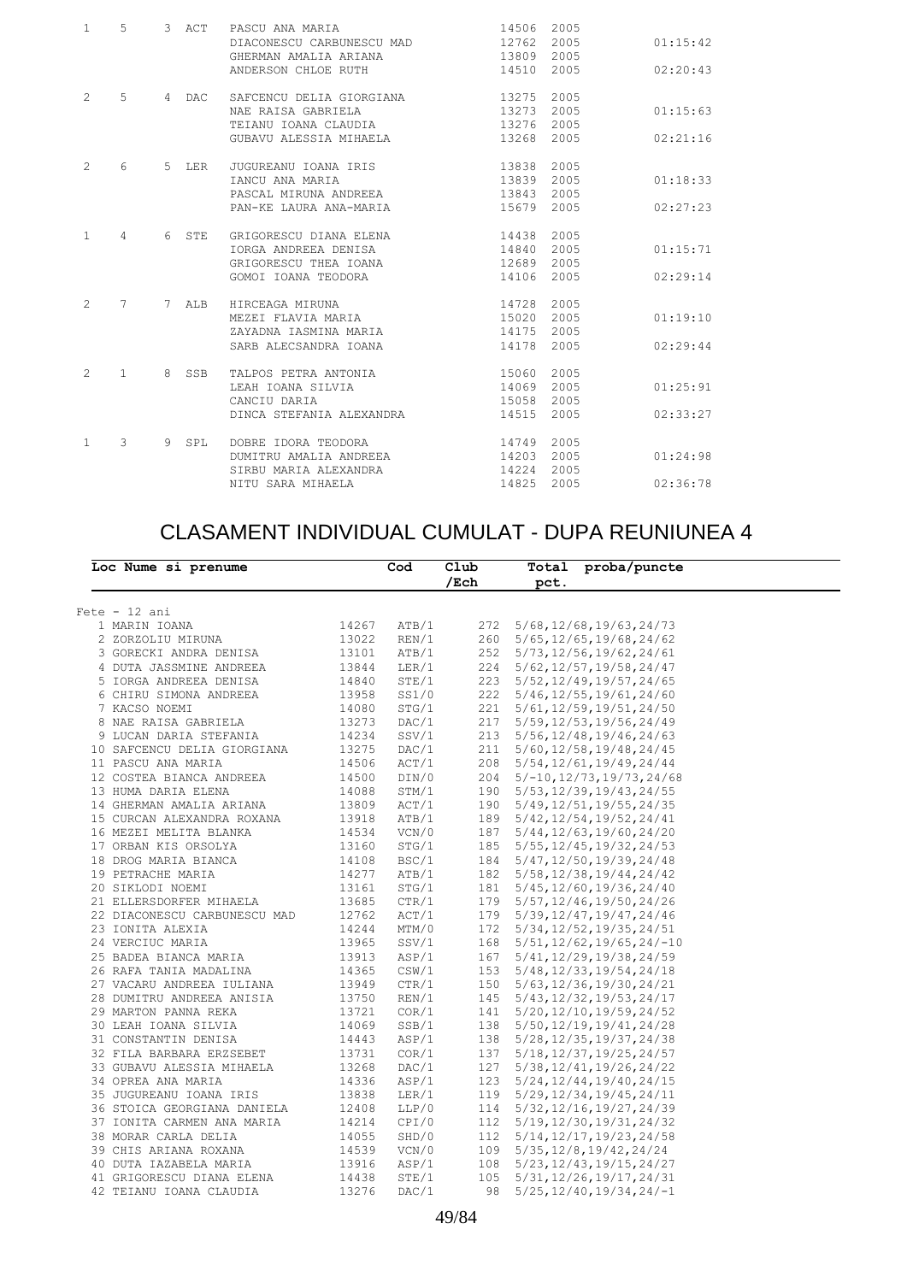| $\mathbf{1}$   | $5^{\circ}$    | 3 ACT | 14506<br>PASCU ANA MARIA<br>DIACONESCU CARBUNESCU MAD<br>GHERMAN AMALIA ARIANA<br>ANDERSON CHLOE RUTH                   | 12762 2005<br>13809 2005<br>14510 2005 | 2005                         | 01:15:42<br>02:20:43 |
|----------------|----------------|-------|-------------------------------------------------------------------------------------------------------------------------|----------------------------------------|------------------------------|----------------------|
| $\overline{2}$ | 5              | 4 DAC | 13275<br>SAFCENCU DELIA GIORGIANA<br>13273<br>NAE RAISA GABRIELA<br>TEIANU IOANA CLAUDIA<br>GUBAVU ALESSIA MIHAELA      | 13276<br>13268 2005                    | 2005<br>2005<br>2005         | 01:15:63<br>02:21:16 |
| $\overline{2}$ | 6              | 5 LER | JUGUREANU IOANA IRIS 13838<br>IANCU ANA MARIA<br>13839<br>13843 2005<br>PASCAL MIRUNA ANDREEA<br>PAN-KE LAURA ANA-MARIA | 15679 2005                             | 2005<br>2005                 | 01:18:33<br>02:27:23 |
| $\mathbf{1}$   | $\overline{4}$ | 6 STE | GRIGORESCU DIANA ELENA<br>IORGA ANDREEA DENISA<br>GRIGORESCU THEA IOANA 12689 2005                                      | 14438 2005<br>14840                    | 2005                         | 01:15:71<br>02:29:14 |
| $2^{1}$        | $7^{\circ}$    | 7 ALB | 14728<br>HIRCEAGA MIRUNA<br>MEZEI FLAVIA MARIA<br>ZAYADNA IASMINA MARIA<br>SARB ALECSANDRA IOANA 14178 2005             | 15020 2005<br>14175 2005               | 2005                         | 01:19:10<br>02:29:44 |
| $\overline{2}$ | $\mathbf{1}$   | 8 SSB | 15060<br>TALPOS PETRA ANTONIA<br>LEAH IOANA SILVIA<br>CANCIU DARIA<br>DINCA STEFANIA ALEXANDRA<br>14515 2005            | 14069<br>15058 2005                    | 2005<br>2005                 | 01:25:91<br>02:33:27 |
| $\mathbf{1}$   | 3              | 9 SPL | DOBRE IDORA TEODORA<br>14749<br>DUMITRU AMALIA ANDREEA<br>14203<br>14224<br>SIRBU MARIA ALEXANDRA<br>NITU SARA MIHAELA  | 14825                                  | 2005<br>2005<br>2005<br>2005 | 01:24:98<br>02:36:78 |

# CLASAMENT INDIVIDUAL CUMULAT - DUPA REUNIUNEA 4

| Loc Nume si prenume          |       | Cod                       | Club    |      | Total proba/puncte                          |  |
|------------------------------|-------|---------------------------|---------|------|---------------------------------------------|--|
|                              |       |                           | $/$ Ech | pct. |                                             |  |
|                              |       |                           |         |      |                                             |  |
| $Fete - 12 ani$              |       |                           |         |      |                                             |  |
| 1 MARIN IOANA                | 14267 | ATB/1                     | 272     |      | 5/68, 12/68, 19/63, 24/73                   |  |
| 2 ZORZOLIU MIRUNA            | 13022 | REN/1                     |         |      | 260 5/65, 12/65, 19/68, 24/62               |  |
| 3 GORECKI ANDRA DENISA       | 13101 | ATB/1                     |         |      | 252 5/73, 12/56, 19/62, 24/61               |  |
| 4 DUTA JASSMINE ANDREEA      | 13844 | LER/1                     |         |      | $224 \quad 5/62, 12/57, 19/58, 24/47$       |  |
| 5 IORGA ANDREEA DENISA       | 14840 | STE/1                     |         |      | 223 5/52, 12/49, 19/57, 24/65               |  |
| 6 CHIRU SIMONA ANDREEA       | 13958 | SS1/0                     |         |      | 222 5/46, 12/55, 19/61, 24/60               |  |
| 7 KACSO NOEMI                | 14080 | STG/1                     |         |      | 221 5/61, 12/59, 19/51, 24/50               |  |
| 8 NAE RAISA GABRIELA         | 13273 | DAC/1                     |         |      | $217 \quad 5/59, 12/53, 19/56, 24/49$       |  |
| 9 LUCAN DARIA STEFANIA       | 14234 | SSV/1                     |         |      | 213 5/56, 12/48, 19/46, 24/63               |  |
| 10 SAFCENCU DELIA GIORGIANA  | 13275 | DAC/1                     |         |      | 211 5/60, 12/58, 19/48, 24/45               |  |
| 11 PASCU ANA MARIA           | 14506 | ACT/1                     |         |      | 208 5/54, 12/61, 19/49, 24/44               |  |
| 12 COSTEA BIANCA ANDREEA     | 14500 | DIN/0                     |         |      | 204 5/-10, 12/73, 19/73, 24/68              |  |
| 13 HUMA DARIA ELENA          | 14088 | STM/1                     |         |      | 190 5/53, 12/39, 19/43, 24/55               |  |
| 14 GHERMAN AMALIA ARIANA     | 13809 | ACT/1                     |         |      | 190 5/49, 12/51, 19/55, 24/35               |  |
| 15 CURCAN ALEXANDRA ROXANA   | 13918 | ATB/1                     |         |      | 189 5/42, 12/54, 19/52, 24/41               |  |
| 16 MEZEI MELITA BLANKA       | 14534 | VCN/0                     |         |      | 187 5/44, 12/63, 19/60, 24/20               |  |
| 17 ORBAN KIS ORSOLYA         | 13160 | STG/1                     |         |      | 185 5/55, 12/45, 19/32, 24/53               |  |
| 18 DROG MARIA BIANCA         | 14108 | BSC/1                     |         |      | 184 5/47, 12/50, 19/39, 24/48               |  |
| 19 PETRACHE MARIA            | 14277 | ATB/1                     |         |      | 182 5/58, 12/38, 19/44, 24/42               |  |
| 20 SIKLODI NOEMI             | 13161 | STG/1                     |         |      | 181 5/45, 12/60, 19/36, 24/40               |  |
| 21 ELLERSDORFER MIHAELA      | 13685 | $\texttt{CTR}/1$          |         |      | 179 5/57, 12/46, 19/50, 24/26               |  |
| 22 DIACONESCU CARBUNESCU MAD | 12762 | ACT/1                     |         |      | 179 5/39, 12/47, 19/47, 24/46               |  |
| 23 IONITA ALEXIA             | 14244 | MTM/0                     |         |      | 172 5/34, 12/52, 19/35, 24/51               |  |
| 24 VERCIUC MARIA             | 13965 | SSV/1                     |         |      | $168$ $5/51$ , $12/62$ , $19/65$ , $24/-10$ |  |
| 25 BADEA BIANCA MARIA        | 13913 | ASP/1                     |         |      | 167 5/41, 12/29, 19/38, 24/59               |  |
| 26 RAFA TANIA MADALINA       | 14365 | CSW/1                     |         |      | 153 5/48, 12/33, 19/54, 24/18               |  |
| 27 VACARU ANDREEA IULIANA    | 13949 | $\texttt{CTR}/\texttt{1}$ |         |      | 150 5/63, 12/36, 19/30, 24/21               |  |
| 28 DUMITRU ANDREEA ANISIA    | 13750 | REN/1                     |         |      | 145 5/43, 12/32, 19/53, 24/17               |  |
| 29 MARTON PANNA REKA         | 13721 | COR/1                     |         |      | 141 5/20, 12/10, 19/59, 24/52               |  |
| 30 LEAH IOANA SILVIA         | 14069 | SSB/1                     |         |      | 138 5/50, 12/19, 19/41, 24/28               |  |
| 31 CONSTANTIN DENISA         | 14443 | ASP/1                     |         |      | 138 5/28, 12/35, 19/37, 24/38               |  |
| 32 FILA BARBARA ERZSEBET     | 13731 | COR/1                     |         |      | 137 5/18, 12/37, 19/25, 24/57               |  |
| 33 GUBAVU ALESSIA MIHAELA    | 13268 | DAC/1                     |         |      | 127 5/38, 12/41, 19/26, 24/22               |  |
| 34 OPREA ANA MARIA           | 14336 | ASP/1                     |         |      | $123 \quad 5/24, 12/44, 19/40, 24/15$       |  |
| 35 JUGUREANU IOANA IRIS      | 13838 | LER/1                     |         |      | 119 5/29, 12/34, 19/45, 24/11               |  |
| 36 STOICA GEORGIANA DANIELA  | 12408 | LLP/0                     |         |      | 114 5/32, 12/16, 19/27, 24/39               |  |
| 37 IONITA CARMEN ANA MARIA   | 14214 | CPI/0                     |         |      | 112 5/19, 12/30, 19/31, 24/32               |  |
| 38 MORAR CARLA DELIA         | 14055 | SHD/0                     |         |      | $112 \quad 5/14, 12/17, 19/23, 24/58$       |  |
| 39 CHIS ARIANA ROXANA        | 14539 | VCN/0                     |         |      | 109 5/35, 12/8, 19/42, 24/24                |  |
| 40 DUTA IAZABELA MARIA       | 13916 | ASP/1                     |         |      | 108 5/23, 12/43, 19/15, 24/27               |  |
| 41 GRIGORESCU DIANA ELENA    | 14438 | STE/1                     |         |      | 105 5/31, 12/26, 19/17, 24/31               |  |
| 42 TEIANU IOANA CLAUDIA      | 13276 | DAC/1                     |         |      | 98 5/25, 12/40, 19/34, 24/-1                |  |
|                              |       |                           |         |      |                                             |  |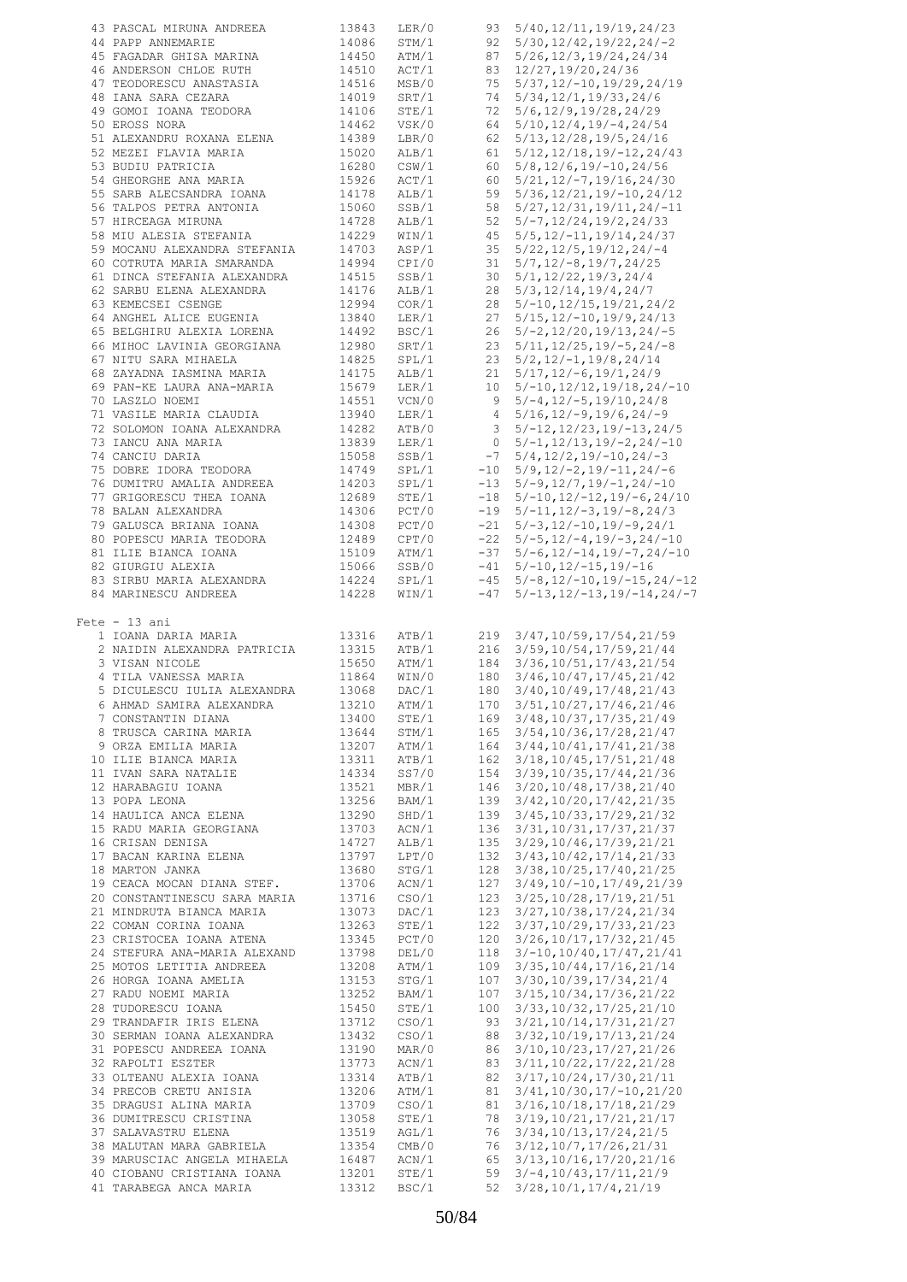| 43 PASCAL MIRUNA ANDREEA                             | 13843          | LER/0          | 93      | 5/40,12/11,19/19,24/23                                   |
|------------------------------------------------------|----------------|----------------|---------|----------------------------------------------------------|
| 44 PAPP ANNEMARIE                                    | 14086          | STM/1          |         | $92\quad 5/30, 12/42, 19/22, 24/-2$                      |
| 45 FAGADAR GHISA MARINA                              | 14450          | ATM/1          |         | $87 \quad 5/26, 12/3, 19/24, 24/34$                      |
|                                                      |                |                |         |                                                          |
| 46 ANDERSON CHLOE RUTH                               | 14510          | ACT/1          |         | 83 12/27, 19/20, 24/36                                   |
| 47 TEODORESCU ANASTASIA                              | 14516          | MSB/0          |         | $75 \quad 5/37$ , $12/-10$ , $19/29$ , $24/19$           |
| 48 IANA SARA CEZARA                                  | 14019          | SRT/1          |         | 74 5/34, 12/1, 19/33, 24/6                               |
| 49 GOMOI IOANA TEODORA                               | 14106          | STE/1          |         | 72 5/6, 12/9, 19/28, 24/29                               |
| 50 EROSS NORA                                        | 14462          | VSK/0          |         | 64 5/10, 12/4, 19/-4, 24/54                              |
|                                                      |                |                |         |                                                          |
| 51 ALEXANDRU ROXANA ELENA                            | 14389          | LBR/0          |         | 62 5/13, 12/28, 19/5, 24/16                              |
| 52 MEZEI FLAVIA MARIA                                | 15020          | ALB/1          |         | $61 \quad 5/12, 12/18, 19/-12, 24/43$                    |
| 53 BUDIU PATRICIA                                    | 16280          | CSW/1          |         | $60$ $5/8$ , $12/6$ , $19/-10$ , $24/56$                 |
|                                                      |                |                |         |                                                          |
| 54 GHEORGHE ANA MARIA                                | 15926          | ACT/1          |         | 60 $5/21$ , $12/-7$ , $19/16$ , $24/30$                  |
| 55 SARB ALECSANDRA IOANA                             | 14178          | ALB/1          |         | 59 5/36, 12/21, 19/-10, 24/12                            |
| 56 TALPOS PETRA ANTONIA                              | 15060          | SSB/1          |         | 58 5/27, 12/31, 19/11, 24/-11                            |
| 57 HIRCEAGA MIRUNA                                   | 14728          | ALB/1          |         | $52 \quad 5/-7, 12/24, 19/2, 24/33$                      |
|                                                      |                |                |         |                                                          |
| 58 MIU ALESIA STEFANIA                               | 14229          | WIN/1          |         | $45 \quad 5/5, 12/-11, 19/14, 24/37$                     |
| 59 MOCANU ALEXANDRA STEFANIA                         | 14703          | ASP/1          |         | $35 \quad 5/22, 12/5, 19/12, 24/-4$                      |
| 60 COTRUTA MARIA SMARANDA                            | 14994          | CPI/0          |         | $31 \quad 5/7, 12/-8, 19/7, 24/25$                       |
| 61 DINCA STEFANIA ALEXANDRA                          | 14515          | SSB/1          |         | $30 \quad 5/1, 12/22, 19/3, 24/4$                        |
|                                                      |                |                |         |                                                          |
| 62 SARBU ELENA ALEXANDRA                             | 14176          | ALB/1          |         | 28 5/3, 12/14, 19/4, 24/7                                |
| 63 KEMECSEI CSENGE                                   | 12994          | COR/1          |         | $28 \quad 5/-10, 12/15, 19/21, 24/2$                     |
| 64 ANGHEL ALICE EUGENIA                              | 13840          | LER/1          | 27      | $5/15$ , $12/-10$ , $19/9$ , $24/13$                     |
| 65 BELGHIRU ALEXIA LORENA                            | 14492          | BSC/1          | 26      | $5/-2$ , 12/20, 19/13, 24/-5                             |
|                                                      |                |                |         |                                                          |
| 66 MIHOC LAVINIA GEORGIANA                           | 12980          | SRT/1          |         | $23 \quad 5/11, 12/25, 19/-5, 24/-8$                     |
| 67 NITU SARA MIHAELA                                 | 14825          | SPL/1          |         | $23 \quad 5/2, 12/-1, 19/8, 24/14$                       |
| 68 ZAYADNA IASMINA MARIA                             | 14175          | ALB/1          | 21      | $5/17, 12/-6, 19/1, 24/9$                                |
| 69 PAN-KE LAURA ANA-MARIA                            | 15679          | LER/1          | 10      | $5/-10, 12/12, 19/18, 24/-10$                            |
| 70 LASZLO NOEMI                                      | 14551          | VCN/0          | 9       | $5/-4, 12/-5, 19/10, 24/8$                               |
|                                                      |                |                |         |                                                          |
| 71 VASILE MARIA CLAUDIA                              | 13940          | LER/1          | 4       | $5/16$ , $12/-9$ , $19/6$ , $24/-9$                      |
| 72 SOLOMON IOANA ALEXANDRA                           | 14282          | ATB/0          | 3       | $5/-12$ , $12/23$ , $19/-13$ , $24/5$                    |
| 73 IANCU ANA MARIA                                   | 13839          | LER/1          | $\circ$ | $5/-1, 12/13, 19/-2, 24/-10$                             |
|                                                      |                |                |         | $5/4$ , $12/2$ , $19/-10$ , $24/-3$                      |
| 74 CANCIU DARIA                                      | 15058          | SSB/1          | $-7$    |                                                          |
| 75 DOBRE IDORA TEODORA                               | 14749          | SPL/1          |         | $-10$ 5/9, 12/-2, 19/-11, 24/-6                          |
| 76 DUMITRU AMALIA ANDREEA                            | 14203          | SPL/1          |         | $-13$ 5/-9, 12/7, 19/-1, 24/-10                          |
| 77 GRIGORESCU THEA IOANA                             | 12689          | STE/1          | $-18$   | $5/-10$ , $12/-12$ , $19/-6$ , $24/10$                   |
|                                                      |                |                |         |                                                          |
| 78 BALAN ALEXANDRA                                   | 14306          | PCT/0          |         | $-19$ 5/-11, 12/-3, 19/-8, 24/3                          |
| 79 GALUSCA BRIANA IOANA                              | 14308          | PCT/0          | $-21$   | $5/-3$ , $12/-10$ , $19/-9$ , $24/1$                     |
| 80 POPESCU MARIA TEODORA                             | 12489          | CPT/0          |         | $-22$ 5/-5, 12/-4, 19/-3, 24/-10                         |
| 81 ILIE BIANCA IOANA                                 | 15109          | ATM/1          |         | $-37$ 5/-6, 12/-14, 19/-7, 24/-10                        |
|                                                      |                |                |         |                                                          |
| 82 GIURGIU ALEXIA                                    | 15066          | SSB/0          |         | $-41$ $5/-10$ , $12/-15$ , $19/-16$                      |
| 83 SIRBU MARIA ALEXANDRA                             | 14224          | SPL/1          |         | $-45$ 5/-8, 12/-10, 19/-15, 24/-12                       |
| 84 MARINESCU ANDREEA                                 | 14228          | WIN/1          | $-47$   | $5/-13$ , $12/-13$ , $19/-14$ , $24/-7$                  |
|                                                      |                |                |         |                                                          |
|                                                      |                |                |         |                                                          |
|                                                      |                |                |         |                                                          |
| $Fete - 13 ani$                                      |                |                |         |                                                          |
| 1 IOANA DARIA MARIA                                  | 13316          | ATB/1          | 219     | 3/47, 10/59, 17/54, 21/59                                |
| 2 NAIDIN ALEXANDRA PATRICIA                          | 13315          | ATB/1          |         | 216 3/59, 10/54, 17/59, 21/44                            |
| 3 VISAN NICOLE                                       | 15650          | ATM/1          |         | 184 3/36, 10/51, 17/43, 21/54                            |
|                                                      |                |                |         |                                                          |
| 4 TILA VANESSA MARIA                                 | 11864          | WIN/0          |         | 180 3/46, 10/47, 17/45, 21/42                            |
| 5 DICULESCU IULIA ALEXANDRA                          | 13068          | DAC/1          |         | 180 3/40, 10/49, 17/48, 21/43                            |
| 6 AHMAD SAMIRA ALEXANDRA                             | 13210          | ATM/1          |         | 170 3/51, 10/27, 17/46, 21/46                            |
| 7 CONSTANTIN DIANA                                   | 13400          | STE/1          | 169     | 3/48, 10/37, 17/35, 21/49                                |
|                                                      |                |                |         |                                                          |
| 8 TRUSCA CARINA MARIA                                | 13644          | STM/1          |         | 165 3/54, 10/36, 17/28, 21/47                            |
| 9 ORZA EMILIA MARIA                                  | 13207          | ATM/1          | 164     | 3/44, 10/41, 17/41, 21/38                                |
| 10 ILIE BIANCA MARIA                                 | 13311          | ATB/1          | 162     | 3/18, 10/45, 17/51, 21/48                                |
| 11 IVAN SARA NATALIE                                 | 14334          | SS7/0          | 154     | 3/39, 10/35, 17/44, 21/36                                |
|                                                      |                |                |         |                                                          |
| 12 HARABAGIU IOANA                                   | 13521          | MBR/1          | 146     | 3/20,10/48,17/38,21/40                                   |
| 13 POPA LEONA                                        | 13256          | BAM/1          | 139     | 3/42, 10/20, 17/42, 21/35                                |
| 14 HAULICA ANCA ELENA                                | 13290          | SHD/1          | 139     | 3/45, 10/33, 17/29, 21/32                                |
| 15 RADU MARIA GEORGIANA                              | 13703          | ACN/1          | 136     | 3/31, 10/31, 17/37, 21/37                                |
| 16 CRISAN DENISA                                     | 14727          | ALB/1          | 135     |                                                          |
|                                                      |                |                |         | 3/29, 10/46, 17/39, 21/21                                |
| 17 BACAN KARINA ELENA                                | 13797          | LPT/0          | 132     | 3/43, 10/42, 17/14, 21/33                                |
| 18 MARTON JANKA                                      | 13680          | STG/1          | 128     | 3/38, 10/25, 17/40, 21/25                                |
| 19 CEACA MOCAN DIANA STEF.                           | 13706          | ACN/1          | 127     | $3/49, 10/-10, 17/49, 21/39$                             |
|                                                      |                |                | 123     | $3/25$ , $10/28$ , $17/19$ , $21/51$                     |
| 20 CONSTANTINESCU SARA MARIA                         | 13716          | CSO/1          |         |                                                          |
| 21 MINDRUTA BIANCA MARIA                             | 13073          | DAC/1          | 123     | 3/27, 10/38, 17/24, 21/34                                |
| 22 COMAN CORINA IOANA                                | 13263          | STE/1          | 122     | 3/37, 10/29, 17/33, 21/23                                |
| 23 CRISTOCEA IOANA ATENA                             | 13345          | PCT/0          | 120     | $3/26$ , $10/17$ , $17/32$ , $21/45$                     |
| 24 STEFURA ANA-MARIA ALEXAND                         | 13798          | DEL/0          | 118     | $3/-10, 10/40, 17/47, 21/41$                             |
|                                                      |                |                |         |                                                          |
| 25 MOTOS LETITIA ANDREEA                             | 13208          | ATM/1          | 109     | 3/35, 10/44, 17/16, 21/14                                |
| 26 HORGA IOANA AMELIA                                | 13153          | STG/1          | 107     | 3/30, 10/39, 17/34, 21/4                                 |
| 27 RADU NOEMI MARIA                                  | 13252          | BAM/1          | 107     | $3/15$ , $10/34$ , $17/36$ , $21/22$                     |
| 28 TUDORESCU IOANA                                   | 15450          | STE/1          | 100     | 3/33, 10/32, 17/25, 21/10                                |
|                                                      |                |                |         |                                                          |
| 29 TRANDAFIR IRIS ELENA                              | 13712          | CSO/1          | 93      | 3/21, 10/14, 17/31, 21/27                                |
| 30 SERMAN IOANA ALEXANDRA                            | 13432          | CSO/1          | 88      | 3/32, 10/19, 17/13, 21/24                                |
| 31 POPESCU ANDREEA IOANA                             | 13190          | MAR/0          | 86      | 3/10, 10/23, 17/27, 21/26                                |
| 32 RAPOLTI ESZTER                                    | 13773          | ACN/1          | 83      | 3/11, 10/22, 17/22, 21/28                                |
|                                                      |                |                |         |                                                          |
| 33 OLTEANU ALEXIA IOANA                              | 13314          | ATB/1          | 82      | 3/17, 10/24, 17/30, 21/11                                |
| 34 PRECOB CRETU ANISIA                               | 13206          | ATM/1          | 81      | $3/41, 10/30, 17/-10, 21/20$                             |
| 35 DRAGUSI ALINA MARIA                               | 13709          | CSO/1          | 81      | $3/16$ , $10/18$ , $17/18$ , $21/29$                     |
| 36 DUMITRESCU CRISTINA                               | 13058          | STE/1          | 78      | 3/19, 10/21, 17/21, 21/17                                |
|                                                      |                |                |         |                                                          |
| 37 SALAVASTRU ELENA                                  | 13519          | AGL/1          | 76      | 3/34, 10/13, 17/24, 21/5                                 |
| 38 MALUTAN MARA GABRIELA                             | 13354          | CMB/0          | 76      | 3/12, 10/7, 17/26, 21/31                                 |
| 39 MARUSCIAC ANGELA MIHAELA                          | 16487          | ACN/1          | 65      | 3/13, 10/16, 17/20, 21/16                                |
| 40 CIOBANU CRISTIANA IOANA<br>41 TARABEGA ANCA MARIA | 13201<br>13312 | STE/1<br>BSC/1 | 59      | $3/-4, 10/43, 17/11, 21/9$<br>52 3/28, 10/1, 17/4, 21/19 |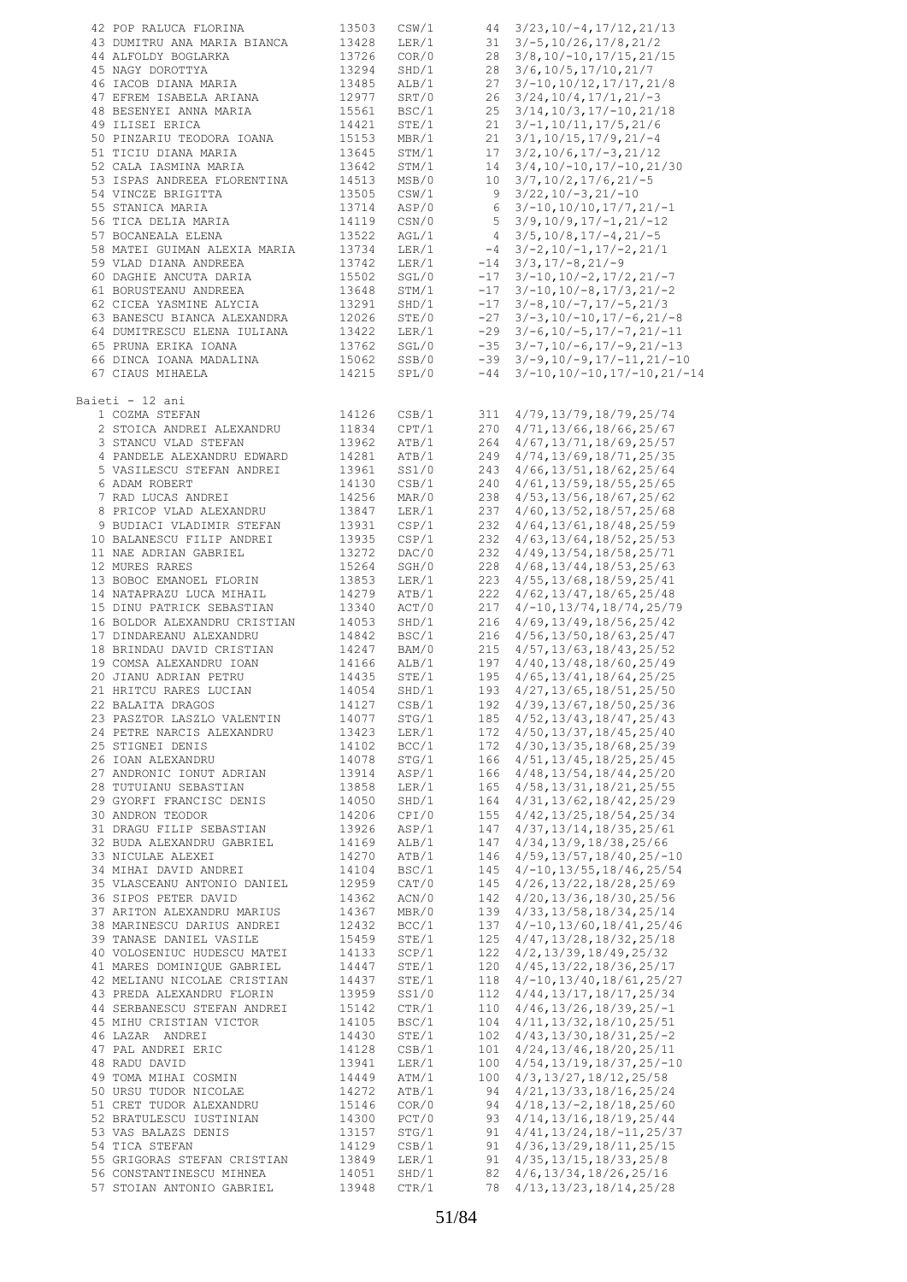| 42 POP RALUCA FLORINA        | 13503 | CSW/1 |                | $44 \quad 3/23, 10/-4, 17/12, 21/13$         |
|------------------------------|-------|-------|----------------|----------------------------------------------|
| 43 DUMITRU ANA MARIA BIANCA  | 13428 | LER/1 |                | $31 \quad 3/-5, 10/26, 17/8, 21/2$           |
| 44 ALFOLDY BOGLARKA          | 13726 | COR/0 |                | 28 3/8, 10/-10, 17/15, 21/15                 |
| 45 NAGY DOROTTYA             | 13294 | SHD/1 | 28             | 3/6,10/5,17/10,21/7                          |
| 46 IACOB DIANA MARIA         | 13485 | ALB/1 | 27             | $3/-10, 10/12, 17/17, 21/8$                  |
| 47 EFREM ISABELA ARIANA      | 12977 | SRT/0 | 26             | $3/24, 10/4, 17/1, 21/ - 3$                  |
|                              |       |       |                |                                              |
| 48 BESENYEI ANNA MARIA       | 15561 | BSC/1 | 25             | $3/14, 10/3, 17/-10, 21/18$                  |
| 49 ILISEI ERICA              | 14421 | STE/1 | 21             | $3/-1, 10/11, 17/5, 21/6$                    |
| 50 PINZARIU TEODORA IOANA    | 15153 | MBR/1 | 21             | $3/1, 10/15, 17/9, 21/-4$                    |
| 51 TICIU DIANA MARIA         | 13645 | STM/1 | 17             | $3/2$ , 10/6, 17/-3, 21/12                   |
| 52 CALA IASMINA MARIA        | 13642 | STM/1 | 14             | $3/4, 10/ - 10, 17/ - 10, 21/30$             |
|                              |       |       |                |                                              |
| 53 ISPAS ANDREEA FLORENTINA  | 14513 | MSB/0 | 10             | $3/7$ , $10/2$ , $17/6$ , $21/-5$            |
| 54 VINCZE BRIGITTA           | 13505 | CSW/1 | 9              | $3/22$ , $10/-3$ , $21/-10$                  |
| 55 STANICA MARIA             | 13714 | ASP/0 | 6              | $3/-10, 10/10, 17/7, 21/-1$                  |
| 56 TICA DELIA MARIA          | 14119 | CSN/0 | 5              | $3/9, 10/9, 17/ -1, 21/ -12$                 |
| 57 BOCANEALA ELENA           | 13522 | AGL/1 | $\overline{4}$ | $3/5$ , 10/8, 17/-4, 21/-5                   |
|                              |       |       |                |                                              |
| 58 MATEI GUIMAN ALEXIA MARIA | 13734 | LER/1 |                | $-4$ 3/-2, 10/-1, 17/-2, 21/1                |
| 59 VLAD DIANA ANDREEA        | 13742 | LER/1 | $-14$          | $3/3, 17/-8, 21/-9$                          |
| 60 DAGHIE ANCUTA DARIA       | 15502 | SGL/0 | $-17$          | $3/-10, 10/-2, 17/2, 21/-7$                  |
| 61 BORUSTEANU ANDREEA        | 13648 | STM/1 | $-17$          | $3/-10, 10/-8, 17/3, 21/-2$                  |
| 62 CICEA YASMINE ALYCIA      | 13291 | SHD/1 | $-17$          | $3/-8, 10/-7, 17/-5, 21/3$                   |
|                              |       |       |                |                                              |
| 63 BANESCU BIANCA ALEXANDRA  | 12026 | STE/0 | $-27$          | $3/-3, 10/-10, 17/-6, 21/-8$                 |
| 64 DUMITRESCU ELENA IULIANA  | 13422 | LER/1 |                | $-29$ $3/-6$ , $10/-5$ , $17/-7$ , $21/-11$  |
| 65 PRUNA ERIKA IOANA         | 13762 | SGL/0 |                | $-35$ $3/-7$ , $10/-6$ , $17/-9$ , $21/-13$  |
| 66 DINCA IOANA MADALINA      | 15062 | SSB/0 |                | $-39$ $3/-9$ , $10/-9$ , $17/-11$ , $21/-10$ |
| 67 CIAUS MIHAELA             | 14215 | SPL/0 | $-44$          | $3/-10, 10/-10, 17/-10, 21/-14$              |
|                              |       |       |                |                                              |
|                              |       |       |                |                                              |
| Baieti - 12 ani              |       |       |                |                                              |
| 1 COZMA STEFAN               | 14126 | CSB/1 | 311            | 4/79, 13/79, 18/79, 25/74                    |
| 2 STOICA ANDREI ALEXANDRU    | 11834 | CPT/1 | 270            | 4/71, 13/66, 18/66, 25/67                    |
| 3 STANCU VLAD STEFAN         | 13962 | ATB/1 | 264            | 4/67, 13/71, 18/69, 25/57                    |
|                              |       |       |                |                                              |
| 4 PANDELE ALEXANDRU EDWARD   | 14281 | ATB/1 | 249            | 4/74, 13/69, 18/71, 25/35                    |
| 5 VASILESCU STEFAN ANDREI    | 13961 | SS1/0 | 243            | $4/66$ , 13/51, 18/62, 25/64                 |
| 6 ADAM ROBERT                | 14130 | CSB/1 | 240            | 4/61, 13/59, 18/55, 25/65                    |
| 7 RAD LUCAS ANDREI           | 14256 | MAR/0 | 238            | $4/53$ , $13/56$ , $18/67$ , $25/62$         |
| 8 PRICOP VLAD ALEXANDRU      | 13847 | LER/1 | 237            | $4/60$ , $13/52$ , $18/57$ , $25/68$         |
|                              |       |       |                |                                              |
| 9 BUDIACI VLADIMIR STEFAN    | 13931 | CSP/1 | 232            | 4/64, 13/61, 18/48, 25/59                    |
| 10 BALANESCU FILIP ANDREI    | 13935 | CSP/1 | 232            | 4/63, 13/64, 18/52, 25/53                    |
| 11 NAE ADRIAN GABRIEL        | 13272 | DAC/0 | 232            | 4/49, 13/54, 18/58, 25/71                    |
| 12 MURES RARES               | 15264 | SGH/0 | 228            | $4/68$ , 13/44, 18/53, 25/63                 |
| 13 BOBOC EMANOEL FLORIN      | 13853 | LER/1 | 223            | $4/55$ , $13/68$ , $18/59$ , $25/41$         |
|                              |       |       |                |                                              |
| 14 NATAPRAZU LUCA MIHAIL     | 14279 | ATB/1 | 222            | 4/62, 13/47, 18/65, 25/48                    |
| 15 DINU PATRICK SEBASTIAN    | 13340 | ACT/0 | 217            | $4/-10, 13/74, 18/74, 25/79$                 |
| 16 BOLDOR ALEXANDRU CRISTIAN | 14053 | SHD/1 | 216            | 4/69, 13/49, 18/56, 25/42                    |
| 17 DINDAREANU ALEXANDRU      | 14842 | BSC/1 | 216            | 4/56, 13/50, 18/63, 25/47                    |
| 18 BRINDAU DAVID CRISTIAN    | 14247 | BAM/0 | 215            | 4/57, 13/63, 18/43, 25/52                    |
|                              |       |       |                |                                              |
| 19 COMSA ALEXANDRU IOAN      | 14166 | ALB/1 | 197            | 4/40, 13/48, 18/60, 25/49                    |
| 20 JIANU ADRIAN PETRU        | 14435 | STE/1 |                | 195 4/65, 13/41, 18/64, 25/25                |
| 21 HRITCU RARES LUCIAN       | 14054 | SHD/1 | 193            | 4/27, 13/65, 18/51, 25/50                    |
| 22 BALAITA DRAGOS            | 14127 | CSB/1 |                | 192 4/39, 13/67, 18/50, 25/36                |
| 23 PASZTOR LASZLO VALENTIN   | 14077 | STG/1 |                | 185 4/52, 13/43, 18/47, 25/43                |
|                              |       |       |                |                                              |
| 24 PETRE NARCIS ALEXANDRU    | 13423 | LER/1 | 172            | 4/50, 13/37, 18/45, 25/40                    |
| 25 STIGNEI DENIS             | 14102 | BCC/1 | 172            | $4/30$ , $13/35$ , $18/68$ , $25/39$         |
| 26 IOAN ALEXANDRU            | 14078 | STG/1 | 166            | 4/51, 13/45, 18/25, 25/45                    |
| 27 ANDRONIC IONUT ADRIAN     | 13914 | ASP/1 | 166            | $4/48$ , 13/54, 18/44, 25/20                 |
| 28 TUTUIANU SEBASTIAN        | 13858 | LER/1 | 165            | $4/58$ , $13/31$ , $18/21$ , $25/55$         |
|                              |       |       |                |                                              |
| 29 GYORFI FRANCISC DENIS     | 14050 | SHD/1 | 164            | 4/31, 13/62, 18/42, 25/29                    |
| 30 ANDRON TEODOR             | 14206 | CPI/0 | 155            | 4/42, 13/25, 18/54, 25/34                    |
| 31 DRAGU FILIP SEBASTIAN     | 13926 | ASP/1 | 147            | 4/37, 13/14, 18/35, 25/61                    |
| 32 BUDA ALEXANDRU GABRIEL    | 14169 | ALB/1 | 147            | 4/34, 13/9, 18/38, 25/66                     |
| 33 NICULAE ALEXEI            | 14270 | ATB/1 | 146            | $4/59, 13/57, 18/40, 25/-10$                 |
|                              |       |       |                |                                              |
| 34 MIHAI DAVID ANDREI        | 14104 | BSC/1 | 145            | $4/-10, 13/55, 18/46, 25/54$                 |
| 35 VLASCEANU ANTONIO DANIEL  | 12959 | CAT/0 | 145            | $4/26$ , $13/22$ , $18/28$ , $25/69$         |
| 36 SIPOS PETER DAVID         | 14362 | ACN/0 | 142            | 4/20, 13/36, 18/30, 25/56                    |
| 37 ARITON ALEXANDRU MARIUS   | 14367 | MBR/0 | 139            | 4/33, 13/58, 18/34, 25/14                    |
| 38 MARINESCU DARIUS ANDREI   | 12432 | BCC/1 | 137            | $4/-10, 13/60, 18/41, 25/46$                 |
|                              |       |       |                |                                              |
| 39 TANASE DANIEL VASILE      | 15459 | STE/1 | 125            | 4/47, 13/28, 18/32, 25/18                    |
| 40 VOLOSENIUC HUDESCU MATEI  | 14133 | SCP/1 | 122            | $4/2$ , 13/39, 18/49, 25/32                  |
| 41 MARES DOMINIQUE GABRIEL   | 14447 | STE/1 | 120            | 4/45, 13/22, 18/36, 25/17                    |
| 42 MELIANU NICOLAE CRISTIAN  | 14437 | STE/1 | 118            | $4/-10, 13/40, 18/61, 25/27$                 |
|                              |       |       |                |                                              |
| 43 PREDA ALEXANDRU FLORIN    | 13959 | SS1/0 | 112            | 4/44, 13/17, 18/17, 25/34                    |
| 44 SERBANESCU STEFAN ANDREI  | 15142 | CTR/1 | 110            | $4/46$ , 13/26, 18/39, 25/-1                 |
| 45 MIHU CRISTIAN VICTOR      | 14105 | BSC/1 | 104            | 4/11, 13/32, 18/10, 25/51                    |
| 46 LAZAR ANDREI              | 14430 | STE/1 | 102            | $4/43, 13/30, 18/31, 25/-2$                  |
| 47 PAL ANDREI ERIC           | 14128 | CSB/1 | 101            | 4/24, 13/46, 18/20, 25/11                    |
|                              |       |       |                |                                              |
| 48 RADU DAVID                | 13941 | LER/1 | 100            | $4/54, 13/19, 18/37, 25/-10$                 |
| 49 TOMA MIHAI COSMIN         | 14449 | ATM/1 | 100            | 4/3, 13/27, 18/12, 25/58                     |
| 50 URSU TUDOR NICOLAE        | 14272 | ATB/1 | 94             | 4/21, 13/33, 18/16, 25/24                    |
| 51 CRET TUDOR ALEXANDRU      | 15146 | COR/0 | 94             | $4/18$ , $13/-2$ , $18/18$ , $25/60$         |
| 52 BRATULESCU IUSTINIAN      | 14300 | PCT/0 | 93             | 4/14, 13/16, 18/19, 25/44                    |
|                              |       |       |                |                                              |
| 53 VAS BALAZS DENIS          | 13157 | STG/1 | 91             | $4/41, 13/24, 18/-11, 25/37$                 |
| 54 TICA STEFAN               | 14129 | CSB/1 | 91             | 4/36, 13/29, 18/11, 25/15                    |
| 55 GRIGORAS STEFAN CRISTIAN  | 13849 | LER/1 | 91             | $4/35$ , $13/15$ , $18/33$ , $25/8$          |
| 56 CONSTANTINESCU MIHNEA     | 14051 | SHD/1 | 82             | $4/6$ , 13/34, 18/26, 25/16                  |
|                              |       |       |                |                                              |
| 57 STOIAN ANTONIO GABRIEL    | 13948 | CTR/1 | 78             | 4/13, 13/23, 18/14, 25/28                    |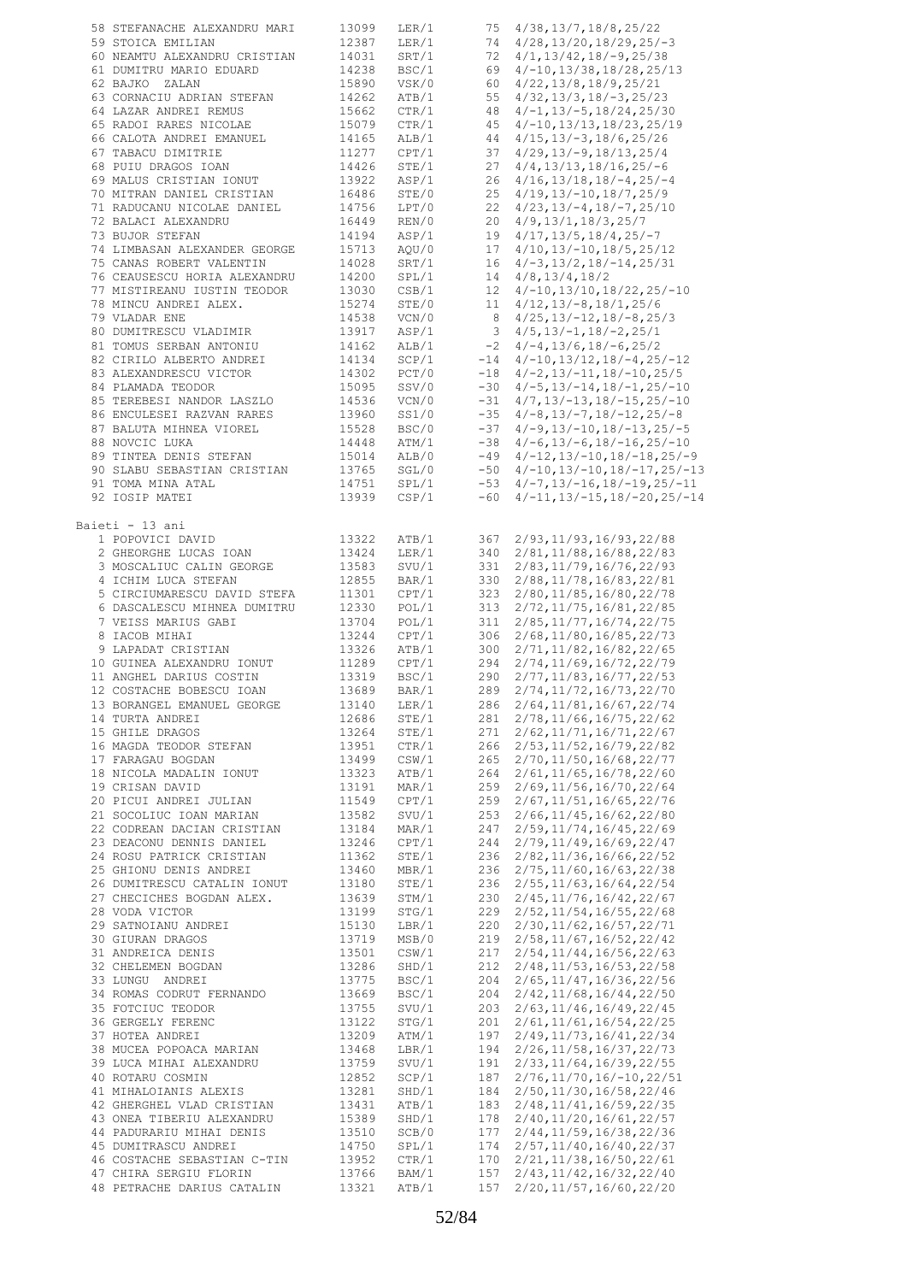| 58 STEFANACHE ALEXANDRU MARI | 13099 | LER/1            |                | 75 4/38, 13/7, 18/8, 25/22                   |
|------------------------------|-------|------------------|----------------|----------------------------------------------|
| 59 STOICA EMILIAN            | 12387 | LER/1            |                | $74 \quad 4/28, 13/20, 18/29, 25/-3$         |
|                              |       |                  |                |                                              |
| 60 NEAMTU ALEXANDRU CRISTIAN | 14031 | SRT/1            | 72             | $4/1, 13/42, 18/-9, 25/38$                   |
| 61 DUMITRU MARIO EDUARD      | 14238 | BSC/1            | 69             | $4/-10, 13/38, 18/28, 25/13$                 |
| 62 BAJKO ZALAN               | 15890 | VSK/0            | 60             | 4/22, 13/8, 18/9, 25/21                      |
| 63 CORNACIU ADRIAN STEFAN    | 14262 | ATB/1            | 55             | $4/32, 13/3, 18/-3, 25/23$                   |
| 64 LAZAR ANDREI REMUS        |       | CTR/1            | 48             | $4/-1$ , $13/-5$ , $18/24$ , $25/30$         |
|                              | 15662 |                  |                |                                              |
| 65 RADOI RARES NICOLAE       | 15079 | CTR/1            | 45             | $4/-10, 13/13, 18/23, 25/19$                 |
| 66 CALOTA ANDREI EMANUEL     | 14165 | ALB/1            | 44             | $4/15$ , $13/-3$ , $18/6$ , $25/26$          |
| 67 TABACU DIMITRIE           | 11277 | CPT/1            | 37             | $4/29$ , $13/-9$ , $18/13$ , $25/4$          |
| 68 PUIU DRAGOS IOAN          | 14426 | STE/1            | 27             | $4/4, 13/13, 18/16, 25/-6$                   |
|                              | 13922 |                  | 26             |                                              |
| 69 MALUS CRISTIAN IONUT      |       | ASP/1            |                | $4/16$ , $13/18$ , $18/-4$ , $25/-4$         |
| 70 MITRAN DANIEL CRISTIAN    | 16486 | STE/0            | 25             | $4/19, 13/-10, 18/7, 25/9$                   |
| 71 RADUCANU NICOLAE DANIEL   | 14756 | LPT/0            | 22             | $4/23$ , $13/-4$ , $18/-7$ , $25/10$         |
| 72 BALACI ALEXANDRU          | 16449 | REN/0            | 20             | 4/9, 13/1, 18/3, 25/7                        |
| 73 BUJOR STEFAN              | 14194 | ASP/1            |                | $19 \quad 4/17, 13/5, 18/4, 25/-7$           |
| 74 LIMBASAN ALEXANDER GEORGE | 15713 | AQU/0            | 17             | $4/10, 13/-10, 18/5, 25/12$                  |
|                              |       |                  |                |                                              |
| 75 CANAS ROBERT VALENTIN     | 14028 | SRT/1            |                | $16 \quad 4/-3, 13/2, 18/-14, 25/31$         |
| 76 CEAUSESCU HORIA ALEXANDRU | 14200 | SPL/1            | 14             | 4/8, 13/4, 18/2                              |
| 77 MISTIREANU IUSTIN TEODOR  | 13030 | CSB/1            |                | 12 4/-10, 13/10, 18/22, 25/-10               |
| 78 MINCU ANDREI ALEX.        | 15274 | STE/0            |                | $11 \quad 4/12, 13/-8, 18/1, 25/6$           |
| 79 VLADAR ENE                | 14538 | VCN/0            | 8 <sup>1</sup> | $4/25$ , $13/-12$ , $18/-8$ , $25/3$         |
| 80 DUMITRESCU VLADIMIR       | 13917 | ASP/1            |                | $3\quad 4/5, 13/-1, 18/-2, 25/1$             |
|                              |       |                  |                |                                              |
| 81 TOMUS SERBAN ANTONIU      | 14162 | ALB/1            |                | $-2$ 4/-4, 13/6, 18/-6, 25/2                 |
| 82 CIRILO ALBERTO ANDREI     | 14134 | SCP/1            |                | $-14$ $4/-10$ , $13/12$ , $18/-4$ , $25/-12$ |
| 83 ALEXANDRESCU VICTOR       | 14302 | PCT/0            | $-18$          | $4/-2$ , 13/-11, 18/-10, 25/5                |
| 84 PLAMADA TEODOR            | 15095 | SSV/0            | $-30$          | $4/-5$ , $13/-14$ , $18/-1$ , $25/-10$       |
| 85 TEREBESI NANDOR LASZLO    | 14536 | VCN/0            |                | $-31$ $4/7$ , $13/-13$ , $18/-15$ , $25/-10$ |
|                              |       |                  |                |                                              |
| 86 ENCULESEI RAZVAN RARES    | 13960 | SS1/0            | $-35$          | $4/-8$ , 13/-7, 18/-12, 25/-8                |
| 87 BALUTA MIHNEA VIOREL      | 15528 | BSC/0            | $-37$          | $4/-9$ , $13/-10$ , $18/-13$ , $25/-5$       |
| 88 NOVCIC LUKA               | 14448 | ATM/1            | $-38$          | $4/-6$ , $13/-6$ , $18/-16$ , $25/-10$       |
| 89 TINTEA DENIS STEFAN       | 15014 | ALB/0            | $-49$          | $4/-12$ , $13/-10$ , $18/-18$ , $25/-9$      |
| 90 SLABU SEBASTIAN CRISTIAN  | 13765 | SGL/0            | $-50$          | $4/-10, 13/-10, 18/-17, 25/-13$              |
|                              |       |                  |                |                                              |
| 91 TOMA MINA ATAL            | 14751 | SPL/1            | $-53$          | $4/-7, 13/-16, 18/-19, 25/-11$               |
| 92 IOSIP MATEI               | 13939 | CSP/1            | $-60$          | $4/-11, 13/-15, 18/-20, 25/-14$              |
|                              |       |                  |                |                                              |
| Baieti - 13 ani              |       |                  |                |                                              |
| 1 POPOVICI DAVID             | 13322 | ATB/1            | 367            | 2/93, 11/93, 16/93, 22/88                    |
|                              |       |                  | 340            |                                              |
| 2 GHEORGHE LUCAS IOAN        | 13424 | LER/1            |                | 2/81, 11/88, 16/88, 22/83                    |
| 3 MOSCALIUC CALIN GEORGE     | 13583 | SVU/1            | 331            | 2/83, 11/79, 16/76, 22/93                    |
| 4 ICHIM LUCA STEFAN          | 12855 | BAR/1            | 330            | 2/88, 11/78, 16/83, 22/81                    |
| 5 CIRCIUMARESCU DAVID STEFA  | 11301 | CPT/1            | 323            | 2/80, 11/85, 16/80, 22/78                    |
| 6 DASCALESCU MIHNEA DUMITRU  | 12330 | POL/1            | 313            | 2/72, 11/75, 16/81, 22/85                    |
| 7 VEISS MARIUS GABI          | 13704 | POL/1            | 311            |                                              |
|                              |       |                  |                | 2/85, 11/77, 16/74, 22/75                    |
| 8 IACOB MIHAI                | 13244 | CPT/1            | 306            | 2/68, 11/80, 16/85, 22/73                    |
| 9 LAPADAT CRISTIAN           | 13326 | ATB/1            | 300            | 2/71, 11/82, 16/82, 22/65                    |
| 10 GUINEA ALEXANDRU IONUT    | 11289 | CPT/1            | 294            | 2/74, 11/69, 16/72, 22/79                    |
| 11 ANGHEL DARIUS COSTIN      | 13319 | BSC/1            | 290            | 2/77, 11/83, 16/77, 22/53                    |
| 12 COSTACHE BOBESCU IOAN     | 13689 | BAR/1            | 289            | 2/74, 11/72, 16/73, 22/70                    |
|                              |       |                  |                |                                              |
| 13 BORANGEL EMANUEL GEORGE   | 13140 | $\mathtt{LER}/1$ |                | 286 2/64, 11/81, 16/67, 22/74                |
| 14 TURTA ANDREI              | 12686 | STE/1            | 281            | 2/78, 11/66, 16/75, 22/62                    |
| 15 GHILE DRAGOS              | 13264 | STE/1            | 271            | 2/62, 11/71, 16/71, 22/67                    |
| 16 MAGDA TEODOR STEFAN       | 13951 | CTR/1            | 266            | 2/53, 11/52, 16/79, 22/82                    |
| 17 FARAGAU BOGDAN            | 13499 | CSW/1            | 265            | 2/70, 11/50, 16/68, 22/77                    |
|                              |       |                  |                |                                              |
| 18 NICOLA MADALIN IONUT      | 13323 | ATB/1            | 264            | 2/61, 11/65, 16/78, 22/60                    |
| 19 CRISAN DAVID              | 13191 | MAR/1            | 259            | 2/69, 11/56, 16/70, 22/64                    |
| 20 PICUI ANDREI JULIAN       | 11549 | CPT/1            | 259            | 2/67, 11/51, 16/65, 22/76                    |
| 21 SOCOLIUC IOAN MARIAN      | 13582 | SVU/1            | 253            | 2/66, 11/45, 16/62, 22/80                    |
| 22 CODREAN DACIAN CRISTIAN   | 13184 | MAR/1            | 247            | 2/59, 11/74, 16/45, 22/69                    |
|                              |       |                  |                |                                              |
| 23 DEACONU DENNIS DANIEL     | 13246 | CPT/1            | 244            | 2/79, 11/49, 16/69, 22/47                    |
| 24 ROSU PATRICK CRISTIAN     | 11362 | STE/1            | 236            | 2/82, 11/36, 16/66, 22/52                    |
| 25 GHIONU DENIS ANDREI       | 13460 | MBR/1            | 236            | 2/75, 11/60, 16/63, 22/38                    |
| 26 DUMITRESCU CATALIN IONUT  | 13180 | STE/1            | 236            | $2/55$ , 11/63, 16/64, 22/54                 |
| 27 CHECICHES BOGDAN ALEX.    | 13639 | STM/1            | 230            | 2/45, 11/76, 16/42, 22/67                    |
|                              |       |                  |                |                                              |
| 28 VODA VICTOR               | 13199 | STG/1            | 229            | 2/52, 11/54, 16/55, 22/68                    |
| 29 SATNOIANU ANDREI          | 15130 | LBR/1            | 220            | 2/30, 11/62, 16/57, 22/71                    |
| 30 GIURAN DRAGOS             | 13719 | MSB/0            | 219            | 2/58, 11/67, 16/52, 22/42                    |
| 31 ANDREICA DENIS            | 13501 | CSW/1            | 217            | 2/54, 11/44, 16/56, 22/63                    |
| 32 CHELEMEN BOGDAN           | 13286 | SHD/1            | 212            | $2/48$ , 11/53, 16/53, 22/58                 |
| 33 LUNGU ANDREI              | 13775 | BSC/1            | 204            | 2/65, 11/47, 16/36, 22/56                    |
|                              |       |                  | 204            |                                              |
| 34 ROMAS CODRUT FERNANDO     | 13669 | BSC/1            |                | 2/42, 11/68, 16/44, 22/50                    |
| 35 FOTCIUC TEODOR            | 13755 | SVU/1            | 203            | 2/63, 11/46, 16/49, 22/45                    |
| 36 GERGELY FERENC            | 13122 | STG/1            | 201            | 2/61, 11/61, 16/54, 22/25                    |
| 37 HOTEA ANDREI              | 13209 | ATM/1            | 197            | 2/49, 11/73, 16/41, 22/34                    |
| 38 MUCEA POPOACA MARIAN      | 13468 | LBR/1            | 194            | $2/26$ , $11/58$ , $16/37$ , $22/73$         |
|                              |       |                  |                |                                              |
| 39 LUCA MIHAI ALEXANDRU      | 13759 | SVU/1            | 191            | 2/33, 11/64, 16/39, 22/55                    |
| 40 ROTARU COSMIN             | 12852 | SCP/1            | 187            | $2/76$ , 11/70, 16/-10, 22/51                |
| 41 MIHALOIANIS ALEXIS        | 13281 | SHD/1            | 184            | 2/50, 11/30, 16/58, 22/46                    |
| 42 GHERGHEL VLAD CRISTIAN    | 13431 | ATB/1            | 183            | 2/48, 11/41, 16/59, 22/35                    |
| 43 ONEA TIBERIU ALEXANDRU    | 15389 | SHD/1            | 178            | 2/40, 11/20, 16/61, 22/57                    |
| 44 PADURARIU MIHAI DENIS     | 13510 | SCB/0            | 177            | 2/44, 11/59, 16/38, 22/36                    |
|                              |       |                  |                |                                              |
| 45 DUMITRASCU ANDREI         | 14750 | SPL/1            | 174            | 2/57, 11/40, 16/40, 22/37                    |
| 46 COSTACHE SEBASTIAN C-TIN  | 13952 | CTR/1            | 170            | 2/21, 11/38, 16/50, 22/61                    |
| 47 CHIRA SERGIU FLORIN       | 13766 | BAM/1            | 157            | 2/43, 11/42, 16/32, 22/40                    |
| 48 PETRACHE DARIUS CATALIN   | 13321 | ATB/1            | 157            | 2/20, 11/57, 16/60, 22/20                    |
|                              |       |                  |                |                                              |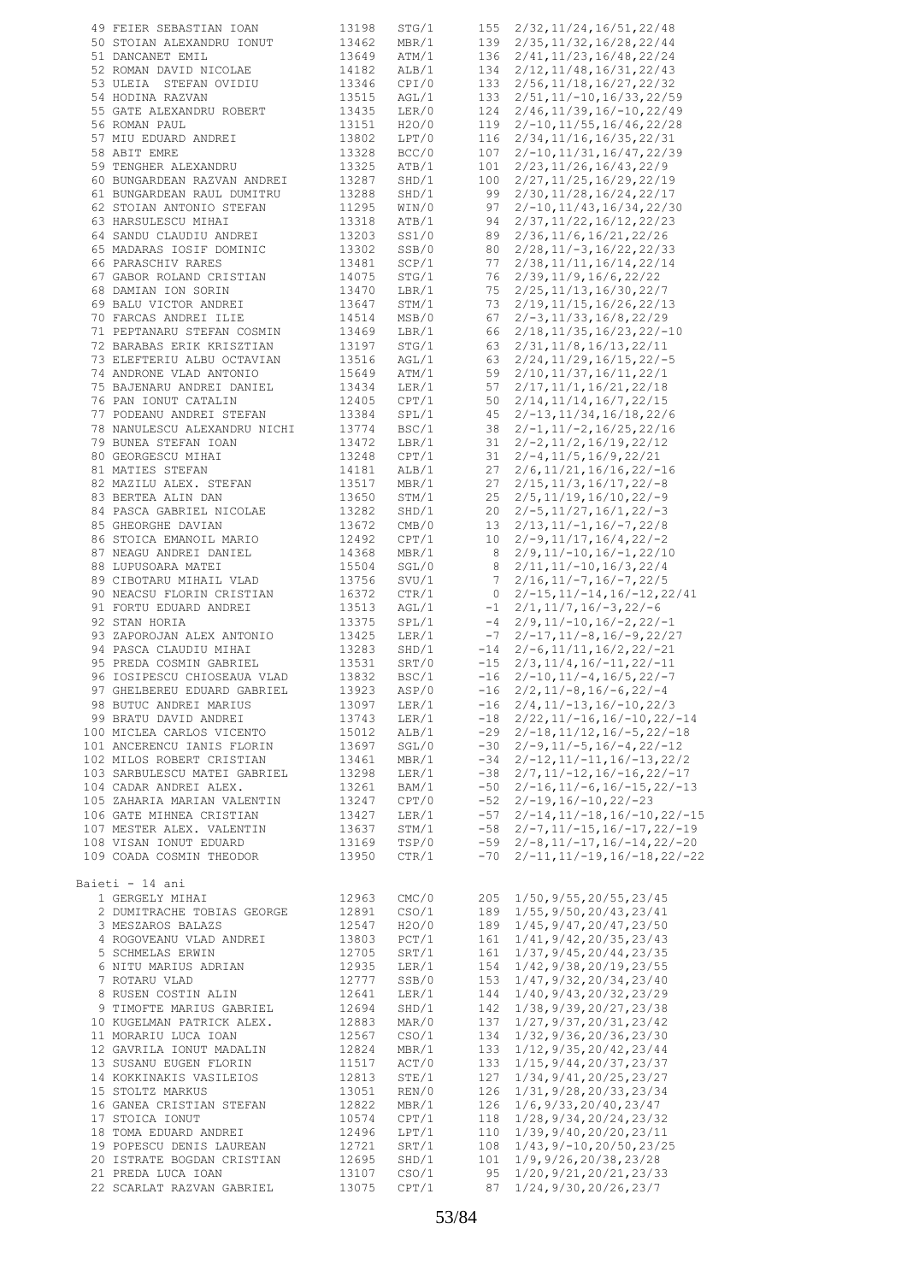| 49 FEIER SEBASTIAN IOAN      | 13198 | STG/1 | 155     | 2/32, 11/24, 16/51, 22/48                  |
|------------------------------|-------|-------|---------|--------------------------------------------|
| 50 STOIAN ALEXANDRU IONUT    | 13462 | MBR/1 | 139     | 2/35, 11/32, 16/28, 22/44                  |
| 51 DANCANET EMIL             | 13649 | ATM/1 | 136     | 2/41, 11/23, 16/48, 22/24                  |
| 52 ROMAN DAVID NICOLAE       | 14182 | ALB/1 | 134     | 2/12, 11/48, 16/31, 22/43                  |
| 53 ULEIA STEFAN OVIDIU       | 13346 | CPI/0 | 133     | $2/56$ , 11/18, 16/27, 22/32               |
| 54 HODINA RAZVAN             | 13515 | AGL/1 | 133     | $2/51, 11/ - 10, 16/33, 22/59$             |
| 55 GATE ALEXANDRU ROBERT     | 13435 | LER/0 | 124     | $2/46$ , 11/39, 16/-10, 22/49              |
| 56 ROMAN PAUL                | 13151 | H2O/0 | 119     | $2/-10, 11/55, 16/46, 22/28$               |
| 57 MIU EDUARD ANDREI         | 13802 | LPT/0 | 116     | 2/34, 11/16, 16/35, 22/31                  |
| 58 ABIT EMRE                 | 13328 | BCC/0 | 107     |                                            |
|                              |       |       |         | $2/-10, 11/31, 16/47, 22/39$               |
| 59 TENGHER ALEXANDRU         | 13325 | ATB/1 | 101     | 2/23, 11/26, 16/43, 22/9                   |
| 60 BUNGARDEAN RAZVAN ANDREI  | 13287 | SHD/1 | 100     | 2/27, 11/25, 16/29, 22/19                  |
| 61 BUNGARDEAN RAUL DUMITRU   | 13288 | SHD/1 | 99      | 2/30, 11/28, 16/24, 22/17                  |
| 62 STOIAN ANTONIO STEFAN     | 11295 | WIN/0 | 97      | $2/-10, 11/43, 16/34, 22/30$               |
| 63 HARSULESCU MIHAI          | 13318 | ATB/1 | 94      | 2/37, 11/22, 16/12, 22/23                  |
| 64 SANDU CLAUDIU ANDREI      | 13203 | SS1/0 | 89      | $2/36$ , 11/6, 16/21, 22/26                |
| 65 MADARAS IOSIF DOMINIC     | 13302 | SSB/0 | 80      | $2/28$ , 11/-3, 16/22, 22/33               |
| 66 PARASCHIV RARES           | 13481 | SCP/1 | 77      | 2/38, 11/11, 16/14, 22/14                  |
| 67 GABOR ROLAND CRISTIAN     | 14075 | STG/1 | 76      | 2/39, 11/9, 16/6, 22/22                    |
| 68 DAMIAN ION SORIN          | 13470 | LBR/1 | 75      | 2/25, 11/13, 16/30, 22/7                   |
| 69 BALU VICTOR ANDREI        | 13647 | STM/1 | 73      | 2/19, 11/15, 16/26, 22/13                  |
| 70 FARCAS ANDREI ILIE        | 14514 | MSB/0 | 67      | $2/-3, 11/33, 16/8, 22/29$                 |
| 71 PEPTANARU STEFAN COSMIN   | 13469 | LBR/1 | 66      | $2/18$ , 11/35, 16/23, 22/-10              |
| 72 BARABAS ERIK KRISZTIAN    | 13197 | STG/1 | 63      | 2/31, 11/8, 16/13, 22/11                   |
| 73 ELEFTERIU ALBU OCTAVIAN   | 13516 | AGL/1 | 63      | $2/24, 11/29, 16/15, 22/-5$                |
| 74 ANDRONE VLAD ANTONIO      | 15649 | ATM/1 | 59      | 2/10, 11/37, 16/11, 22/1                   |
| 75 BAJENARU ANDREI DANIEL    | 13434 | LER/1 | 57      | 2/17, 11/1, 16/21, 22/18                   |
|                              |       |       |         |                                            |
| 76 PAN IONUT CATALIN         | 12405 | CPT/1 | 50      | 2/14, 11/14, 16/7, 22/15                   |
| 77 PODEANU ANDREI STEFAN     | 13384 | SPL/1 | 45      | $2/-13, 11/34, 16/18, 22/6$                |
| 78 NANULESCU ALEXANDRU NICHI | 13774 | BSC/1 | 38      | $2/-1, 11/-2, 16/25, 22/16$                |
| 79 BUNEA STEFAN IOAN         | 13472 | LBR/1 | 31      | $2/-2, 11/2, 16/19, 22/12$                 |
| 80 GEORGESCU MIHAI           | 13248 | CPT/1 | 31      | $2/-4, 11/5, 16/9, 22/21$                  |
| 81 MATIES STEFAN             | 14181 | ALB/1 | 27      | $2/6$ , 11/21, 16/16, 22/-16               |
| 82 MAZILU ALEX. STEFAN       | 13517 | MBR/1 | 27      | $2/15$ , 11/3, 16/17, 22/-8                |
| 83 BERTEA ALIN DAN           | 13650 | STM/1 | 25      | $2/5$ , 11/19, 16/10, 22/-9                |
| 84 PASCA GABRIEL NICOLAE     | 13282 | SHD/1 | 20      | $2/-5$ , 11/27, 16/1, 22/-3                |
| 85 GHEORGHE DAVIAN           | 13672 | CMB/0 | 13      | $2/13$ , $11/-1$ , $16/-7$ , $22/8$        |
| 86 STOICA EMANOIL MARIO      | 12492 | CPT/1 | 10      | $2/-9, 11/17, 16/4, 22/-2$                 |
| 87 NEAGU ANDREI DANIEL       | 14368 | MBR/1 | - 8     | $2/9, 11/ - 10, 16/ - 1, 22/10$            |
|                              |       |       | 8       |                                            |
| 88 LUPUSOARA MATEI           | 15504 | SGL/0 |         | $2/11, 11/-10, 16/3, 22/4$                 |
| 89 CIBOTARU MIHAIL VLAD      | 13756 | SVU/1 | 7       | $2/16$ , $11/-7$ , $16/-7$ , $22/5$        |
| 90 NEACSU FLORIN CRISTIAN    | 16372 | CTR/1 | $\circ$ | $2/-15$ , $11/-14$ , $16/-12$ , $22/41$    |
| 91 FORTU EDUARD ANDREI       | 13513 | AGL/1 |         | $-1$ 2/1, 11/7, 16/-3, 22/-6               |
| 92 STAN HORIA                | 13375 | SPL/1 |         | $-4$ 2/9, 11/-10, 16/-2, 22/-1             |
| 93 ZAPOROJAN ALEX ANTONIO    | 13425 | LER/1 |         | $-7$ $2/-17$ , $11/-8$ , $16/-9$ , $22/27$ |
| 94 PASCA CLAUDIU MIHAI       | 13283 | SHD/1 | $-14$   | $2/-6$ , 11/11, 16/2, 22/-21               |
| 95 PREDA COSMIN GABRIEL      | 13531 | SRT/0 | $-15$   | $2/3$ , 11/4, 16/-11, 22/-11               |
| 96 IOSIPESCU CHIOSEAUA VLAD  | 13832 | BSC/1 | $-16$   | $2/-10, 11/-4, 16/5, 22/-7$                |
| 97 GHELBEREU EDUARD GABRIEL  | 13923 | ASP/0 | $-16$   | $2/2$ , 11/-8, 16/-6, 22/-4                |
| 98 BUTUC ANDREI MARIUS       | 13097 | LER/1 | $-16$   | $2/4$ , 11/-13, 16/-10, 22/3               |
| 99 BRATU DAVID ANDREI        | 13743 | LER/1 | $-18$   | $2/22$ , $11/-16$ , $16/-10$ , $22/-14$    |
| 100 MICLEA CARLOS VICENTO    | 15012 | ALB/1 | $-29$   | $2/-18$ , $11/12$ , $16/-5$ , $22/-18$     |
| 101 ANCERENCU IANIS FLORIN   | 13697 | SGL/0 | $-30$   | $2/-9$ , $11/-5$ , $16/-4$ , $22/-12$      |
| 102 MILOS ROBERT CRISTIAN    | 13461 | MBR/1 | $-34$   | $2/-12$ , $11/-11$ , $16/-13$ , $22/2$     |
|                              |       |       |         |                                            |
| 103 SARBULESCU MATEI GABRIEL | 13298 | LER/1 | $-38$   | $2/7, 11/-12, 16/-16, 22/-17$              |
| 104 CADAR ANDREI ALEX.       | 13261 | BAM/1 | $-50$   | $2/-16$ , $11/-6$ , $16/-15$ , $22/-13$    |
| 105 ZAHARIA MARIAN VALENTIN  | 13247 | CPT/0 | $-52$   | $2/-19$ , $16/-10$ , $22/-23$              |
| 106 GATE MIHNEA CRISTIAN     | 13427 | LER/1 | $-57$   | $2/-14$ , $11/-18$ , $16/-10$ , $22/-15$   |
| 107 MESTER ALEX. VALENTIN    | 13637 | STM/1 | $-58$   | $2/-7$ , $11/-15$ , $16/-17$ , $22/-19$    |
| 108 VISAN IONUT EDUARD       | 13169 | TSP/0 | $-59$   | $2/-8$ , 11/-17, 16/-14, 22/-20            |
| 109 COADA COSMIN THEODOR     | 13950 | CTR/1 | $-70$   | $2/-11, 11/-19, 16/-18, 22/-22$            |
|                              |       |       |         |                                            |
| Baieti - 14 ani              |       |       |         |                                            |
| 1 GERGELY MIHAI              | 12963 | CMC/0 | 205     | $1/50$ , $9/55$ , $20/55$ , $23/45$        |
| 2 DUMITRACHE TOBIAS GEORGE   | 12891 | CSO/1 | 189     | $1/55$ , 9/50, 20/43, 23/41                |
| 3 MESZAROS BALAZS            | 12547 | H2O/0 | 189     | 1/45, 9/47, 20/47, 23/50                   |
| 4 ROGOVEANU VLAD ANDREI      |       |       | 161     | 1/41, 9/42, 20/35, 23/43                   |
|                              | 13803 | PCT/1 |         |                                            |
| 5 SCHMELAS ERWIN             | 12705 | SRT/1 | 161     | 1/37, 9/45, 20/44, 23/35                   |
| 6 NITU MARIUS ADRIAN         | 12935 | LER/1 | 154     | 1/42, 9/38, 20/19, 23/55                   |
| 7 ROTARU VLAD                | 12777 | SSB/0 | 153     | 1/47, 9/32, 20/34, 23/40                   |
| 8 RUSEN COSTIN ALIN          | 12641 | LER/1 | 144     | 1/40, 9/43, 20/32, 23/29                   |
| 9 TIMOFTE MARIUS GABRIEL     | 12694 | SHD/1 | 142     | 1/38, 9/39, 20/27, 23/38                   |
| 10 KUGELMAN PATRICK ALEX.    | 12883 | MAR/0 | 137     | 1/27, 9/37, 20/31, 23/42                   |
| 11 MORARIU LUCA IOAN         | 12567 | CSO/1 | 134     | 1/32, 9/36, 20/36, 23/30                   |
| 12 GAVRILA IONUT MADALIN     | 12824 | MBR/1 | 133     | 1/12, 9/35, 20/42, 23/44                   |
| 13 SUSANU EUGEN FLORIN       | 11517 | ACT/0 | 133     | 1/15, 9/44, 20/37, 23/37                   |
| 14 KOKKINAKIS VASILEIOS      | 12813 | STE/1 | 127     | 1/34, 9/41, 20/25, 23/27                   |
| 15 STOLTZ MARKUS             | 13051 | REN/0 | 126     | 1/31, 9/28, 20/33, 23/34                   |
| 16 GANEA CRISTIAN STEFAN     | 12822 | MBR/1 | 126     | 1/6, 9/33, 20/40, 23/47                    |
| 17 STOICA IONUT              | 10574 | CPT/1 | 118     | $1/28$ , $9/34$ , $20/24$ , $23/32$        |
| 18 TOMA EDUARD ANDREI        | 12496 | LPT/1 | 110     | 1/39, 9/40, 20/20, 23/11                   |
|                              |       |       |         |                                            |
| 19 POPESCU DENIS LAUREAN     | 12721 | SRT/1 | 108     | $1/43, 9/-10, 20/50, 23/25$                |
| 20 ISTRATE BOGDAN CRISTIAN   | 12695 | SHD/1 | 101     | 1/9, 9/26, 20/38, 23/28                    |
| 21 PREDA LUCA IOAN           | 13107 | CSO/1 | 95      | 1/20, 9/21, 20/21, 23/33                   |
| 22 SCARLAT RAZVAN GABRIEL    | 13075 | CPT/1 | 87      | 1/24, 9/30, 20/26, 23/7                    |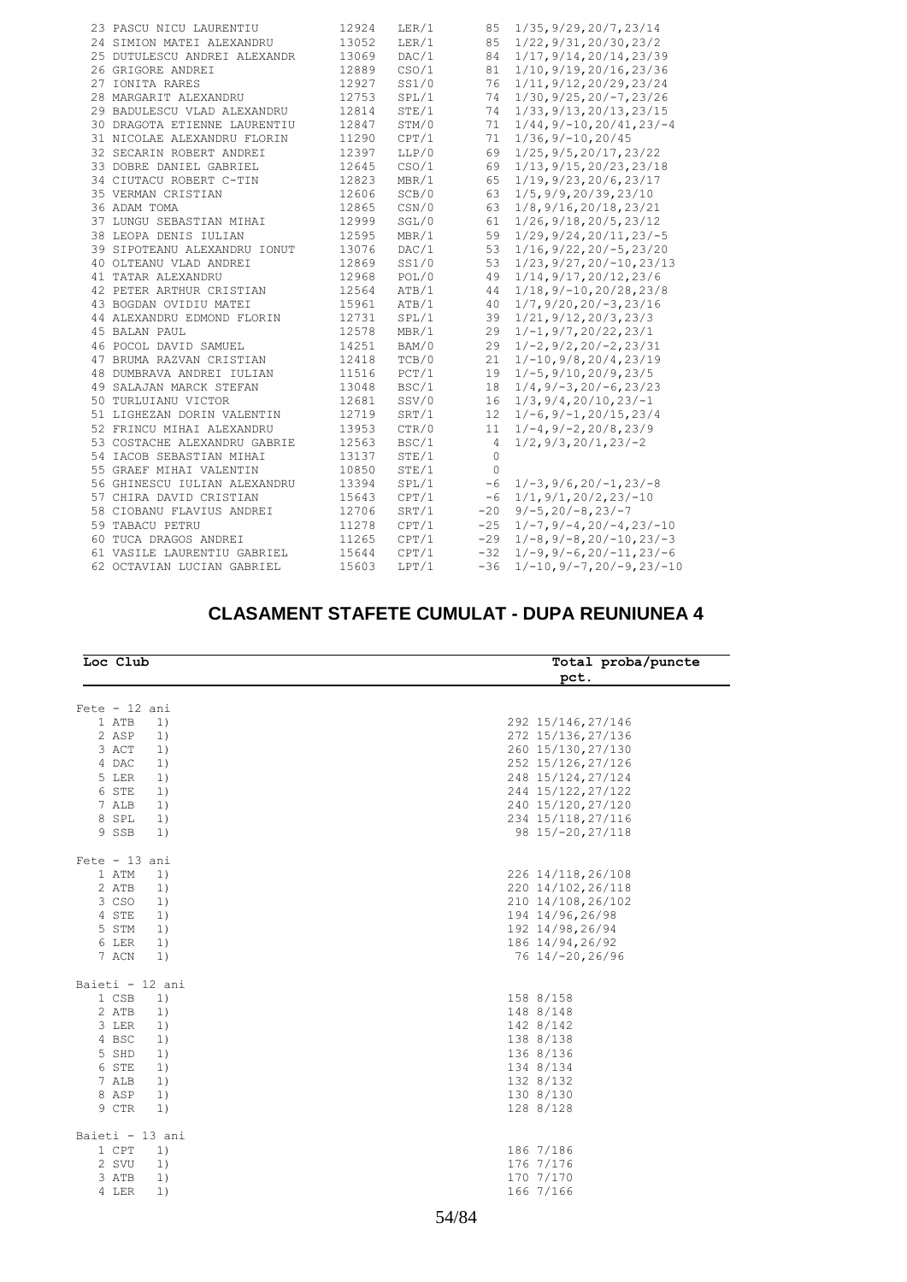|  | 23 PASCU NICU LAURENTIU      | 12924 | LER/1 | 85             | 1/35, 9/29, 20/7, 23/14           |
|--|------------------------------|-------|-------|----------------|-----------------------------------|
|  | 24 SIMION MATEI ALEXANDRU    | 13052 | LER/1 | 85             | 1/22, 9/31, 20/30, 23/2           |
|  | 25 DUTULESCU ANDREI ALEXANDR | 13069 | DAC/1 | 84             | 1/17, 9/14, 20/14, 23/39          |
|  | 26 GRIGORE ANDREI            | 12889 | CSO/1 | 81             | 1/10, 9/19, 20/16, 23/36          |
|  | 27 IONITA RARES              | 12927 | SS1/0 | 76             | 1/11, 9/12, 20/29, 23/24          |
|  | 28 MARGARIT ALEXANDRU        | 12753 | SPL/1 | 74             | $1/30, 9/25, 20/ -7, 23/26$       |
|  | 29 BADULESCU VLAD ALEXANDRU  | 12814 | STE/1 | 74             | 1/33, 9/13, 20/13, 23/15          |
|  | 30 DRAGOTA ETIENNE LAURENTIU | 12847 | STM/0 | 71             | $1/44, 9/-10, 20/41, 23/-4$       |
|  | 31 NICOLAE ALEXANDRU FLORIN  | 11290 | CPT/1 | 71             | $1/36, 9/-10, 20/45$              |
|  | 32 SECARIN ROBERT ANDREI     | 12397 | LLP/0 | 69             | 1/25, 9/5, 20/17, 23/22           |
|  | 33 DOBRE DANIEL GABRIEL      | 12645 | CSO/1 | 69             | 1/13, 9/15, 20/23, 23/18          |
|  | 34 CIUTACU ROBERT C-TIN      | 12823 | MBR/1 | 65             | 1/19, 9/23, 20/6, 23/17           |
|  | 35 VERMAN CRISTIAN           | 12606 | SCB/0 | 63             | 1/5, 9/9, 20/39, 23/10            |
|  | 36 ADAM TOMA                 | 12865 | CSN/0 | 63             | 1/8, 9/16, 20/18, 23/21           |
|  | 37 LUNGU SEBASTIAN MIHAI     | 12999 | SGL/0 | 61             | 1/26, 9/18, 20/5, 23/12           |
|  | 38 LEOPA DENIS IULIAN        | 12595 | MBR/1 | 59             | $1/29, 9/24, 20/11, 23/-5$        |
|  | 39 SIPOTEANU ALEXANDRU IONUT | 13076 | DAC/1 | 53             | $1/16, 9/22, 20/-5, 23/20$        |
|  | 40 OLTEANU VLAD ANDREI       | 12869 | SS1/0 | 53             | $1/23, 9/27, 20/-10, 23/13$       |
|  | 41 TATAR ALEXANDRU           | 12968 | POL/0 | 49             | 1/14, 9/17, 20/12, 23/6           |
|  | 42 PETER ARTHUR CRISTIAN     | 12564 | ATB/1 | 44             | $1/18, 9/-10, 20/28, 23/8$        |
|  | 43 BOGDAN OVIDIU MATEI       | 15961 | ATB/1 | 40             | $1/7, 9/20, 20/-3, 23/16$         |
|  | 44 ALEXANDRU EDMOND FLORIN   | 12731 | SPL/1 | 39             | 1/21, 9/12, 20/3, 23/3            |
|  | 45 BALAN PAUL                | 12578 | MBR/1 | 29             | $1/-1, 9/7, 20/22, 23/1$          |
|  | 46 POCOL DAVID SAMUEL        | 14251 | BAM/0 | 29             | $1/-2, 9/2, 20/-2, 23/31$         |
|  | 47 BRUMA RAZVAN CRISTIAN     | 12418 | TCB/0 | 21             | $1/-10, 9/8, 20/4, 23/19$         |
|  | 48 DUMBRAVA ANDREI IULIAN    | 11516 | PCT/1 | 19             | $1/-5, 9/10, 20/9, 23/5$          |
|  | 49 SALAJAN MARCK STEFAN      | 13048 | BSC/1 | 18             | $1/4$ , 9/-3, 20/-6, 23/23        |
|  | 50 TURLUIANU VICTOR          | 12681 | SSV/0 | 16             | $1/3, 9/4, 20/10, 23/-1$          |
|  | 51 LIGHEZAN DORIN VALENTIN   | 12719 | SRT/1 | 12             | $1/-6, 9/-1, 20/15, 23/4$         |
|  | 52 FRINCU MIHAI ALEXANDRU    | 13953 | CTR/0 | 11             | $1/-4, 9/-2, 20/8, 23/9$          |
|  | 53 COSTACHE ALEXANDRU GABRIE | 12563 | BSC/1 | $\overline{4}$ | $1/2, 9/3, 20/1, 23/-2$           |
|  | 54 IACOB SEBASTIAN MIHAI     | 13137 | STE/1 | $\mathbf 0$    |                                   |
|  | 55 GRAEF MIHAI VALENTIN      | 10850 | STE/1 | $\Omega$       |                                   |
|  | 56 GHINESCU IULIAN ALEXANDRU | 13394 | SPL/1 | $-6$           | $1/-3, 9/6, 20/-1, 23/-8$         |
|  | 57 CHIRA DAVID CRISTIAN      | 15643 | CPT/1 | $-6$           | $1/1, 9/1, 20/2, 23/-10$          |
|  | 58 CIOBANU FLAVIUS ANDREI    | 12706 | SRT/1 | $-20$          | $9/-5, 20/-8, 23/-7$              |
|  | 59 TABACU PETRU              | 11278 | CPT/1 | $-25$          | $1/-7, 9/-4, 20/-4, 23/-10$       |
|  | 60 TUCA DRAGOS ANDREI        | 11265 | CPT/1 |                | $-29$ $1/-8, 9/-8, 20/-10, 23/-3$ |
|  | 61 VASILE LAURENTIU GABRIEL  | 15644 | CPT/1 | $-32$          | $1/-9, 9/-6, 20/-11, 23/-6$       |
|  | 62 OCTAVIAN LUCIAN GABRIEL   | 15603 | LPT/1 | -36            | $1/-10, 9/-7, 20/-9, 23/-10$      |
|  |                              |       |       |                |                                   |

#### **CLASAMENT STAFETE CUMULAT - DUPA REUNIUNEA 4**

| Loc Club        | Total proba/puncte<br>pct.               |
|-----------------|------------------------------------------|
| $Fete - 12 ani$ |                                          |
| 1 ATB<br>1)     | 292 15/146, 27/146                       |
| 2 ASP<br>1)     | 272 15/136, 27/136                       |
| 3 ACT           |                                          |
| 1)<br>4 DAC     | 260 15/130, 27/130<br>252 15/126, 27/126 |
| 1)              |                                          |
| 5 LER<br>1)     | 248 15/124, 27/124                       |
| 6 STE<br>1)     | 244 15/122, 27/122                       |
| 7 ALB<br>1)     | 240 15/120, 27/120                       |
| 8 SPL<br>1)     | 234 15/118, 27/116                       |
| 9 SSB<br>1)     | 98 15/-20, 27/118                        |
| $Fete - 13 ani$ |                                          |
| 1 ATM<br>1)     | 226 14/118, 26/108                       |
| 2 ATB<br>1)     | 220 14/102, 26/118                       |
| 3 CSO<br>1)     | 210 14/108, 26/102                       |
| 4 STE<br>1)     | 194 14/96,26/98                          |
| 5 STM<br>1)     | 192 14/98,26/94                          |
| 6 LER<br>1)     | 186 14/94,26/92                          |
| 7 ACN<br>1)     | 76 14/-20,26/96                          |
| Baieti - 12 ani |                                          |
| 1 CSB<br>1)     | 158 8/158                                |
| 2 ATB<br>1)     | 148 8/148                                |
| 3 LER<br>1)     | 142 8/142                                |
| 4 BSC<br>1)     | 138 8/138                                |
| 5 SHD<br>1)     | 136 8/136                                |
| 6 STE<br>1)     | 134 8/134                                |
| 7 ALB<br>1)     | 132 8/132                                |
| 8 ASP<br>1)     | 130 8/130                                |
| 9 CTR<br>1)     | 128 8/128                                |
| Baieti - 13 ani |                                          |
| 1 CPT<br>1)     | 186 7/186                                |
| 2 SVU<br>1)     | 176 7/176                                |
| 3 ATB<br>1)     | 170 7/170                                |
|                 |                                          |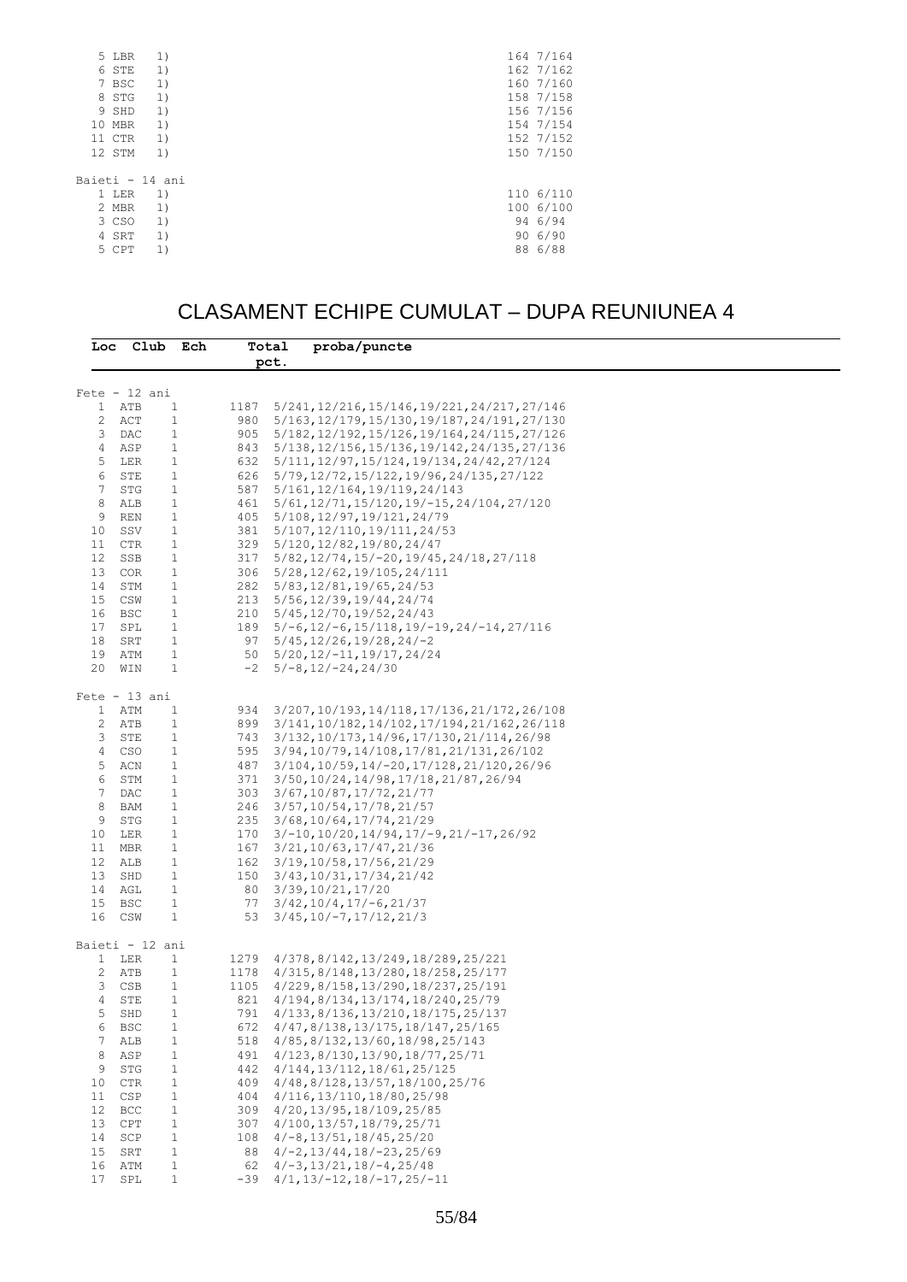| 5 LBR           | 1) | 164 7/164 |
|-----------------|----|-----------|
| 6 STE           | 1) | 162 7/162 |
| 7 BSC           | 1) | 160 7/160 |
| 8 STG           | 1) | 158 7/158 |
| 9 SHD           | 1) | 156 7/156 |
| 10 MBR          | 1) | 154 7/154 |
| 11 CTR          | 1) | 152 7/152 |
| 12 STM          | 1) | 150 7/150 |
| Baieti - 14 ani |    |           |
| 1 LER           | 1) | 110 6/110 |
| 2 MBR           | 1) | 100 6/100 |
| 3 CSO           | 1) | 94 6/94   |
| 4 SRT           | 1) | 906/90    |
| 5 CPT           | 1) | 88 6/88   |
|                 |    |           |

#### CLASAMENT ECHIPE CUMULAT – DUPA REUNIUNEA 4

| Loc Club Ech          |              | Total | proba/puncte                                            |
|-----------------------|--------------|-------|---------------------------------------------------------|
|                       |              | pct.  |                                                         |
|                       |              |       |                                                         |
| $Fete - 12 ani$       |              |       |                                                         |
| ATB<br>$\mathbf{1}$   | $\mathbf{1}$ | 1187  | 5/241, 12/216, 15/146, 19/221, 24/217, 27/146           |
| 2<br>ACT              | $\mathbf{1}$ |       | 980 5/163, 12/179, 15/130, 19/187, 24/191, 27/130       |
| 3<br>DAC              | $\mathbf{1}$ |       | 905 5/182, 12/192, 15/126, 19/164, 24/115, 27/126       |
| 4 ASP                 | $\mathbf{1}$ |       | 843 5/138, 12/156, 15/136, 19/142, 24/135, 27/136       |
| 5<br>LER              | $\mathbf{1}$ |       | 632 5/111, 12/97, 15/124, 19/134, 24/42, 27/124         |
| 6<br>STE              | $\mathbf{1}$ |       | 626 5/79, 12/72, 15/122, 19/96, 24/135, 27/122          |
| 7<br>STG              | $\mathbf{1}$ |       | 587 5/161, 12/164, 19/119, 24/143                       |
| 8<br>ALB              | $\mathbf{1}$ |       | 461 5/61, 12/71, 15/120, 19/-15, 24/104, 27/120         |
| 9<br>REN              | $\mathbf{1}$ | 405   | 5/108, 12/97, 19/121, 24/79                             |
| 10<br>SSV             | $\mathbf{1}$ |       | 381 5/107, 12/110, 19/111, 24/53                        |
| 11 CTR                | $\mathbf{1}$ |       | 329 5/120, 12/82, 19/80, 24/47                          |
| 12<br>SSB             | $\mathbf{1}$ | 317   | 5/82, 12/74, 15/-20, 19/45, 24/18, 27/118               |
| 13 COR                | $\mathbf{1}$ |       | 306 5/28, 12/62, 19/105, 24/111                         |
| 14 STM                | $\mathbf{1}$ |       | 282 5/83, 12/81, 19/65, 24/53                           |
| 15 CSW                | $\mathbf{1}$ |       | 213 5/56, 12/39, 19/44, 24/74                           |
| 16 BSC                | $\mathbf{1}$ |       | 210 5/45, 12/70, 19/52, 24/43                           |
| 17 SPL                | $\mathbf{1}$ |       | $189 \quad 5/-6, 12/-6, 15/118, 19/-19, 24/-14, 27/116$ |
| SRT<br>18             | $\mathbf{1}$ |       | $97 \quad 5/45, 12/26, 19/28, 24/-2$                    |
| 19<br>ATM             | $\mathbf{1}$ |       | $50 \quad 5/20, 12/-11, 19/17, 24/24$                   |
| 20<br>WIN             | $\mathbf{1}$ |       | $-2$ 5/-8, 12/-24, 24/30                                |
|                       |              |       |                                                         |
| $Fete - 13 ani$       |              |       |                                                         |
| 1 ATM                 | $\mathbf{1}$ |       | 934 3/207, 10/193, 14/118, 17/136, 21/172, 26/108       |
| 2 ATB                 | $\mathbf{1}$ |       | 899 3/141, 10/182, 14/102, 17/194, 21/162, 26/118       |
| STE<br>3              | $\mathbf{1}$ |       | 743 3/132, 10/173, 14/96, 17/130, 21/114, 26/98         |
| 4<br>CSO              | $\mathbf{1}$ |       | 595 3/94,10/79,14/108,17/81,21/131,26/102               |
| 5<br>ACN              | $\mathbf{1}$ |       | 487 3/104, 10/59, 14/-20, 17/128, 21/120, 26/96         |
| 6<br>STM              | $\mathbf{1}$ |       | 371 3/50, 10/24, 14/98, 17/18, 21/87, 26/94             |
| 7<br>DAC              | $\mathbf{1}$ |       | 303 3/67, 10/87, 17/72, 21/77                           |
| 8<br>BAM              | $\mathbf{1}$ |       | 246 3/57, 10/54, 17/78, 21/57                           |
| 9<br><b>STG</b>       | $\mathbf{1}$ |       | 235 3/68, 10/64, 17/74, 21/29                           |
| 10<br>LER             | $\mathbf{1}$ |       | $170 \quad 3/-10, 10/20, 14/94, 17/-9, 21/-17, 26/92$   |
| 11 MBR                | $\mathbf{1}$ |       | 167 3/21, 10/63, 17/47, 21/36                           |
| 12 ALB                | $\mathbf{1}$ |       | 162 3/19, 10/58, 17/56, 21/29                           |
| 13 SHD                | $\mathbf{1}$ |       | 150 3/43, 10/31, 17/34, 21/42                           |
| 14 AGL                | $\mathbf{1}$ |       | 80 3/39, 10/21, 17/20                                   |
| BSC<br>15             | $\mathbf{1}$ |       | $77 \quad 3/42, 10/4, 17/-6, 21/37$                     |
| 16<br>CSW             | $\mathbf{1}$ |       | 53 $3/45$ , 10/-7, 17/12, 21/3                          |
| Baieti - 12 ani       |              |       |                                                         |
| 1 LER                 | $\mathbf{1}$ |       | 1279 4/378, 8/142, 13/249, 18/289, 25/221               |
| $\overline{2}$<br>ATB | $\mathbf{1}$ |       | 1178 4/315, 8/148, 13/280, 18/258, 25/177               |
| 3<br>CSB              | $\mathbf{1}$ |       | 1105 4/229, 8/158, 13/290, 18/237, 25/191               |
| STE<br>4              | $\mathbf{1}$ |       | 821 4/194,8/134,13/174,18/240,25/79                     |
| 5<br>SHD              | $\mathbf{1}$ | 791   | 4/133,8/136,13/210,18/175,25/137                        |
| 6<br>BSC              | ı,           |       | 672 4/47,8/138,13/175,18/147,25/165                     |
| 7<br>ALB              | $\mathbf{1}$ | 518   | 4/85,8/132,13/60,18/98,25/143                           |
| 8<br>ASP              | $\mathbf{1}$ | 491   | 4/123, 8/130, 13/90, 18/77, 25/71                       |
| 9<br>STG              | $\mathbf{1}$ | 442   | 4/144, 13/112, 18/61, 25/125                            |
| <b>CTR</b><br>10      | $\mathbf{1}$ | 409   | 4/48, 8/128, 13/57, 18/100, 25/76                       |
| CSP<br>11             | $\mathbf{1}$ | 404   | 4/116, 13/110, 18/80, 25/98                             |
| 12<br><b>BCC</b>      | $\mathbf{1}$ | 309   | $4/20$ , $13/95$ , $18/109$ , $25/85$                   |
| 13<br>CPT             | $\mathbf{1}$ | 307   | 4/100, 13/57, 18/79, 25/71                              |
| SCP<br>14             | $\mathbf{1}$ | 108   | $4/-8$ , $13/51$ , $18/45$ , $25/20$                    |
| 15<br>SRT             | $\mathbf{1}$ | 88    | $4/-2$ , 13/44, 18/-23, 25/69                           |
| 16<br>ATM             | $\mathbf{1}$ | 62    | $4/-3$ , 13/21, 18/-4, 25/48                            |
| 17<br>SPL             | $\mathbf{1}$ | -39   | $4/1, 13/-12, 18/-17, 25/-11$                           |
|                       |              |       |                                                         |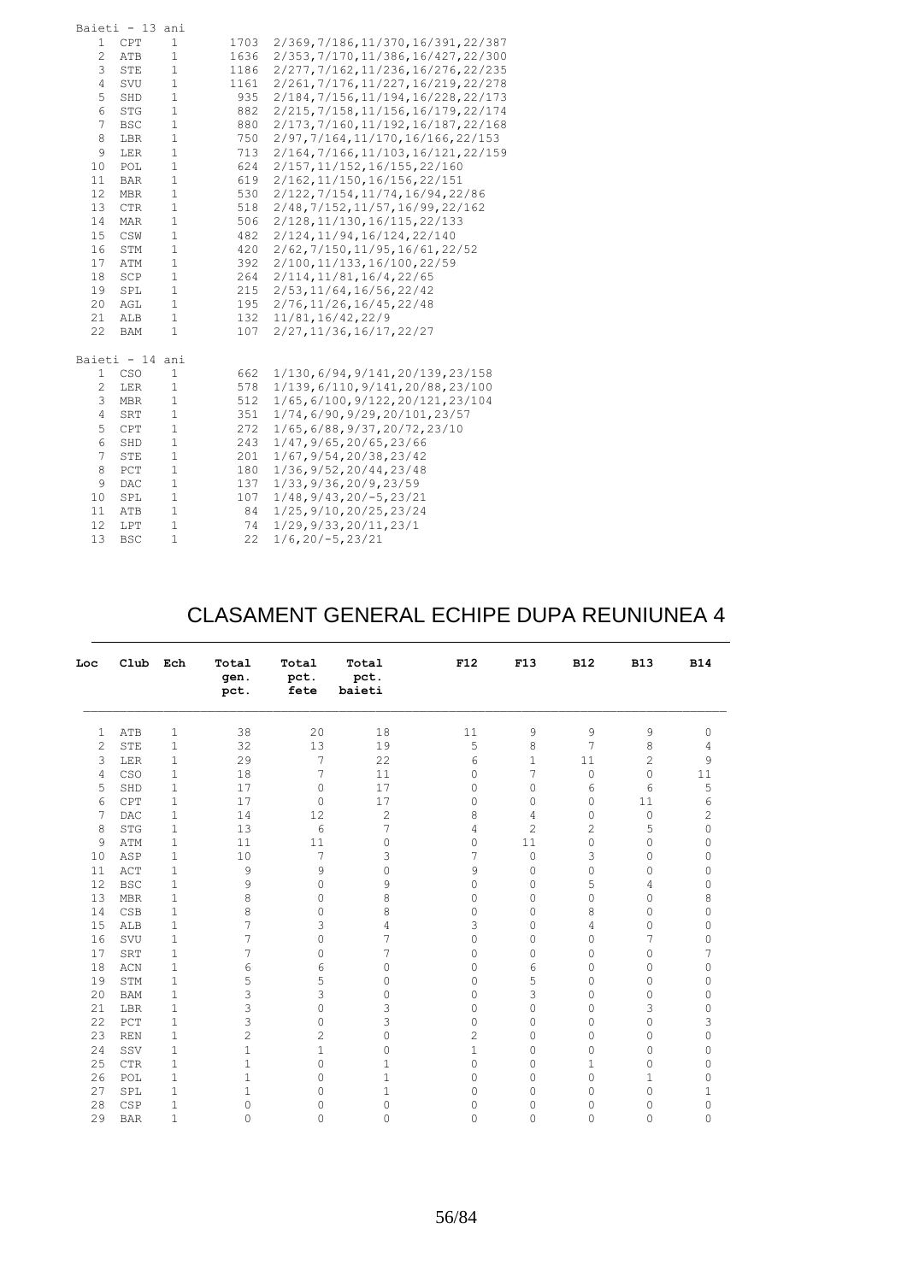|                | Baieti - 13 ani |              |      |                                      |
|----------------|-----------------|--------------|------|--------------------------------------|
| $\mathbf{1}$   | CPT             | $\mathbf{1}$ | 1703 | 2/369, 7/186, 11/370, 16/391, 22/387 |
| $\overline{c}$ | ATB             | $\mathbf{1}$ | 1636 | 2/353, 7/170, 11/386, 16/427, 22/300 |
| 3              | <b>STE</b>      | $1\,$        | 1186 | 2/277, 7/162, 11/236, 16/276, 22/235 |
| $\overline{4}$ | SVU             | $\mathbf{1}$ | 1161 | 2/261, 7/176, 11/227, 16/219, 22/278 |
| 5              | SHD             | $1\,$        | 935  | 2/184, 7/156, 11/194, 16/228, 22/173 |
| 6              | <b>STG</b>      | $\mathbf 1$  | 882  | 2/215, 7/158, 11/156, 16/179, 22/174 |
| 7              | <b>BSC</b>      | $1\,$        | 880  | 2/173, 7/160, 11/192, 16/187, 22/168 |
| 8              | LBR             | $\mathbf 1$  | 750  | 2/97, 7/164, 11/170, 16/166, 22/153  |
| 9              | LER             | $1\,$        | 713  | 2/164, 7/166, 11/103, 16/121, 22/159 |
| 10             | POL             | $\mathbf 1$  | 624  | 2/157, 11/152, 16/155, 22/160        |
| 11             | <b>BAR</b>      | $1\,$        | 619  | 2/162, 11/150, 16/156, 22/151        |
| 12             | <b>MBR</b>      | $1\,$        | 530  | 2/122, 7/154, 11/74, 16/94, 22/86    |
| 13             | <b>CTR</b>      | $1\,$        | 518  | 2/48, 7/152, 11/57, 16/99, 22/162    |
| 14             | <b>MAR</b>      | $\mathbf 1$  | 506  | 2/128, 11/130, 16/115, 22/133        |
| 15             | CSW             | $\mathbf 1$  | 482  | 2/124, 11/94, 16/124, 22/140         |
| 16             | STM             | $1\,$        | 420  | 2/62, 7/150, 11/95, 16/61, 22/52     |
| 17             | ATM             | $\mathbf 1$  | 392  | 2/100, 11/133, 16/100, 22/59         |
| 18             | SCP             | $1\,$        | 264  | 2/114, 11/81, 16/4, 22/65            |
| 19             | SPL             | $\mathbf 1$  | 215  | 2/53, 11/64, 16/56, 22/42            |
| 20             | AGL             | $\mathbf{1}$ | 195  | 2/76, 11/26, 16/45, 22/48            |
| 21             | ALB             | $1\,$        | 132  | 11/81, 16/42, 22/9                   |
| 22             | <b>BAM</b>      | $\mathbf{1}$ | 107  | 2/27, 11/36, 16/17, 22/27            |
|                | Baieti - 14 ani |              |      |                                      |
| $\mathbf{1}$   | CSO             | 1            | 662  | 1/130, 6/94, 9/141, 20/139, 23/158   |
| $\overline{c}$ | LER             | $1\,$        | 578  | 1/139,6/110,9/141,20/88,23/100       |
| 3              | <b>MBR</b>      | $1\,$        | 512  | 1/65,6/100,9/122,20/121,23/104       |
| 4              | SRT             | $1\,$        | 351  | 1/74,6/90,9/29,20/101,23/57          |
| 5              | CPT             | $1\,$        | 272  | 1/65,6/88,9/37,20/72,23/10           |
| 6              | SHD             | $1\,$        | 243  | 1/47,9/65,20/65,23/66                |
| 7              | STE             | $1\,$        | 201  | 1/67, 9/54, 20/38, 23/42             |
| 8              | PCT             | $1\,$        | 180  | 1/36, 9/52, 20/44, 23/48             |
| 9              | DAC             | $1\,$        | 137  | 1/33, 9/36, 20/9, 23/59              |
| 10             | SPL             | $\mathbf{1}$ | 107  | $1/48, 9/43, 20/-5, 23/21$           |
| 11             | ATB             | $1\,$        | 84   | 1/25, 9/10, 20/25, 23/24             |
| 12             | LPT             | $1\,$        | 74   | 1/29, 9/33, 20/11, 23/1              |
| 13             | <b>BSC</b>      | $1\,$        | 22   | $1/6, 20/ - 5, 23/21$                |
|                |                 |              |      |                                      |

### CLASAMENT GENERAL ECHIPE DUPA REUNIUNEA 4

| Loc          | Club       | Ech          | Total<br>gen.<br>pct. | Total<br>pct.<br>fete | Total<br>pct.<br>baieti | F12            | F13            | <b>B12</b>     | <b>B13</b>     | <b>B14</b> |
|--------------|------------|--------------|-----------------------|-----------------------|-------------------------|----------------|----------------|----------------|----------------|------------|
| $\mathbf{1}$ | ATB        | $\mathbf 1$  | 38                    | 20                    | 18                      | 11             | 9              | 9              | 9              | 0          |
| $\mathbf{2}$ | <b>STE</b> | $1\,$        | 32                    | 13                    | 19                      | 5              | 8              | 7              | 8              | 4          |
| 3            | LER        | 1            | 29                    | 7                     | 22                      | $6\,$          | $\mathbf{1}$   | 11             | $\overline{c}$ | 9          |
| 4            | CSO        | $\mathbf 1$  | 18                    | 7                     | 11                      | 0              | 7              | $\mathbb O$    | 0              | 11         |
| 5            | SHD        | $1\,$        | 17                    | $\circ$               | 17                      | 0              | 0              | 6              | 6              | 5          |
| 6            | CPT        | $\mathbf 1$  | 17                    | $\mathbf{0}$          | 17                      | $\circ$        | 0              | $\mathbf{0}$   | 11             | 6          |
| 7            | DAC        | $\mathbf 1$  | 14                    | 12                    | $\mathbf{2}$            | 8              | 4              | 0              | $\mathbf{0}$   | 2          |
| 8            | <b>STG</b> | 1            | 13                    | 6                     | 7                       | $\overline{4}$ | $\overline{2}$ | $\overline{c}$ | 5              | 0          |
| 9            | ATM        | $\mathbf 1$  | 11                    | 11                    | 0                       | 0              | 11             | 0              | $\mathbf{0}$   | 0          |
| 10           | ASP        | 1            | 10                    | 7                     | 3                       | 7              | 0              | 3              | $\mathbf{0}$   | 0          |
| 11           | ACT        | 1            | 9                     | 9                     | 0                       | 9              | 0              | 0              | $\mathbf{0}$   | 0          |
| 12           | <b>BSC</b> | $\mathbf 1$  | 9                     | $\circ$               | 9                       | 0              | 0              | 5              | 4              | 0          |
| 13           | <b>MBR</b> | $\mathbf 1$  | 8                     | $\circ$               | 8                       | 0              | 0              | 0              | $\mathbf{0}$   | 8          |
| 14           | CSB        | $\mathbf 1$  | 8                     | 0                     | 8                       | 0              | 0              | 8              | $\mathbf 0$    | 0          |
| 15           | ALB        | $\mathbf 1$  | 7                     | 3                     | 4                       | 3              | 0              | 4              | 0              | 0          |
| 16           | SVU        | $1\,$        | 7                     | $\mathbf 0$           | 7                       | $\circ$        | 0              | 0              | 7              | $\Omega$   |
| 17           | SRT        | $1\,$        | 7                     | 0                     | 7                       | 0              | 0              | 0              | $\circ$        | 7          |
| 18           | ACN        | $\mathbf 1$  | 6                     | 6                     | 0                       | 0              | 6              | 0              | $\circ$        | 0          |
| 19           | STM        | $\mathbf 1$  | 5                     | 5                     | 0                       | $\circ$        | 5              | $\mathbf{0}$   | $\mathbf{0}$   | 0          |
| 20           | <b>BAM</b> | $1\,$        | 3                     | 3                     | $\Omega$                | 0              | 3              | $\mathbf{0}$   | 0              | 0          |
| 21           | LBR        | $\mathbf 1$  | 3                     | 0                     | 3                       | 0              | 0              | $\Omega$       | 3              | 0          |
| 22           | PCT        | 1            | 3                     | 0                     | 3                       | $\circ$        | 0              | $\mathbf{0}$   | 0              | 3          |
| 23           | <b>REN</b> | $\mathbf 1$  | $\overline{c}$        | 2                     | 0                       | $\mathbf{2}$   | 0              | 0              | 0              | 0          |
| 24           | SSV        | $\mathbf 1$  | $\mathbf 1$           | 1                     | 0                       | $1\,$          | 0              | $\mathbf{0}$   | 0              | 0          |
| 25           | <b>CTR</b> | 1            | $\mathbf{1}$          | 0                     | 1                       | 0              | 0              | 1              | 0              | 0          |
| 26           | POL        | 1            | $\mathbf{1}$          | 0                     | 1                       | 0              | 0              | $\mathbf{0}$   | 1              | 0          |
| 27           | SPL        | $\mathbf{1}$ | $\mathbf{1}$          | $\Omega$              | 1                       | $\mathbf{0}$   | 0              | $\Omega$       | $\Omega$       | 1          |
| 28           | CSP        | 1            | $\circ$               | 0                     | $\circ$                 | $\circ$        | 0              | $\mathbf{0}$   | 0              | 0          |
| 29           | <b>BAR</b> | 1            | $\mathbf 0$           | 0                     | 0                       | 0              | 0              | 0              | $\mathbf{0}$   | $\Omega$   |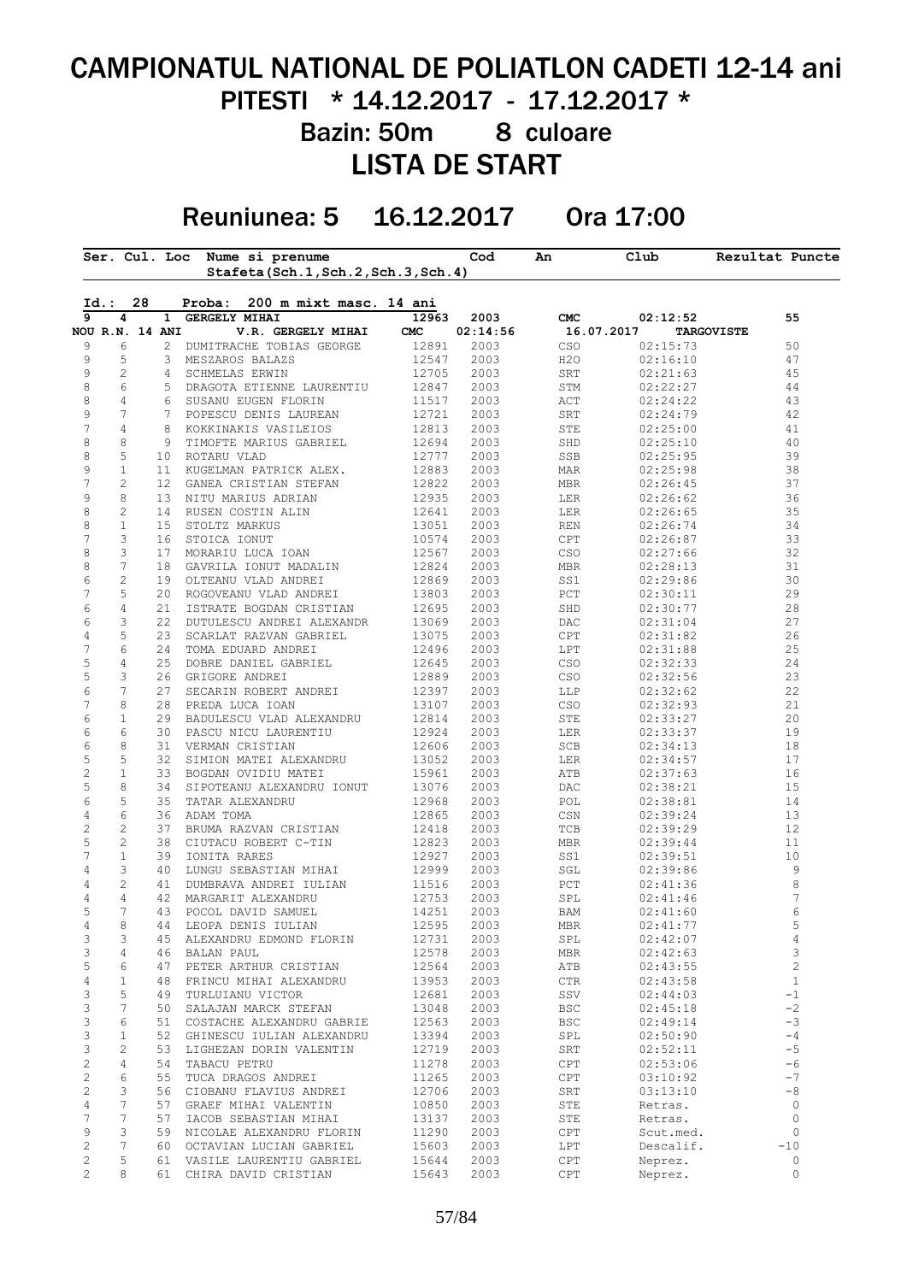# CAMPIONATUL NATIONAL DE POLIATLON CADETI 12-14 ani PITESTI \* 14.12.2017 - 17.12.2017 \* Bazin: 50m 8 culoare LISTA DE START

Reuniunea: 5 16.12.2017 Ora 17:00

|                |                |    |                 | Ser. Cul. Loc Nume si prenume<br>Stafeta(Sch.1, Sch.2, Sch.3, Sch.4) |       | Cod      | An                               | Club       | Rezultat Puncte   |
|----------------|----------------|----|-----------------|----------------------------------------------------------------------|-------|----------|----------------------------------|------------|-------------------|
|                | Id.:           | 28 |                 | 200 m mixt masc. 14 ani<br>Proba:                                    |       |          |                                  |            |                   |
| 9              | 4              |    |                 | 1 GERGELY MIHAI                                                      | 12963 | 2003     | <b>CMC</b>                       | 02:12:52   | 55                |
|                |                |    | NOU R.N. 14 ANI | V.R. GERGELY MIHAI                                                   | CMC   | 02:14:56 |                                  | 16.07.2017 | <b>TARGOVISTE</b> |
| 9              | 6              |    |                 | 2 DUMITRACHE TOBIAS GEORGE                                           | 12891 | 2003     | CSO                              | 02:15:73   | 50                |
| 9              | 5              |    |                 | 3 MESZAROS BALAZS                                                    | 12547 | 2003     | H2O                              | 02:16:10   | 47                |
| 9              | 2              |    | 4               | SCHMELAS ERWIN                                                       | 12705 | 2003     | SRT                              | 02:21:63   | 45                |
| 8              | 6              |    |                 | 5 DRAGOTA ETIENNE LAURENTIU                                          | 12847 | 2003     | $\operatorname{STM}$             | 02:22:27   | 44                |
| 8              | $\overline{4}$ |    | 6               | SUSANU EUGEN FLORIN                                                  | 11517 | 2003     | $\mathop{\rm ACT}$               | 02:24:22   | 43                |
| 9              | 7              |    | $7^{\circ}$     | POPESCU DENIS LAUREAN                                                | 12721 | 2003     | ${\tt SRT}$                      | 02:24:79   | 42                |
| 7              | 4              |    |                 | 8 KOKKINAKIS VASILEIOS                                               | 12813 | 2003     |                                  | 02:25:00   | 41                |
|                |                |    |                 |                                                                      |       |          | STE                              |            |                   |
| 8              | 8              |    |                 | 9 TIMOFTE MARIUS GABRIEL                                             | 12694 | 2003     | $_{\rm SHD}$                     | 02:25:10   | 40                |
| 8              | 5              |    | 10 <sup>1</sup> | ROTARU VLAD                                                          | 12777 | 2003     | $_{\footnotesize{\texttt{SSB}}}$ | 02:25:95   | 39                |
| 9              | $\mathbf{1}$   |    | 11              | KUGELMAN PATRICK ALEX.                                               | 12883 | 2003     | MAR                              | 02:25:98   | 38                |
| 7              | 2              |    | 12              | GANEA CRISTIAN STEFAN                                                | 12822 | 2003     | MBR                              | 02:26:45   | 37                |
| 9              | 8              |    |                 | 13 NITU MARIUS ADRIAN                                                | 12935 | 2003     | LER                              | 02:26:62   | 36                |
| 8              | 2              |    |                 | 14 RUSEN COSTIN ALIN                                                 | 12641 | 2003     | LER                              | 02:26:65   | 35                |
| 8              | $\mathbf{1}$   |    | 15              | STOLTZ MARKUS                                                        | 13051 | 2003     | REN                              | 02:26:74   | 34                |
| 7              | 3              |    | 16              | STOICA IONUT                                                         | 10574 | 2003     | CPT                              | 02:26:87   | 33                |
| 8              | 3              |    | 17              | MORARIU LUCA IOAN                                                    | 12567 | 2003     | <b>CSO</b>                       | 02:27:66   | 32                |
| 8              | 7              |    |                 | 18 GAVRILA IONUT MADALIN                                             | 12824 | 2003     | MBR                              | 02:28:13   | 31                |
| $\sqrt{6}$     |                |    |                 |                                                                      |       |          |                                  |            |                   |
|                | $\mathbf{2}$   |    |                 | 19 OLTEANU VLAD ANDREI                                               | 12869 | 2003     | SS1                              | 02:29:86   | 30                |
| 7              | 5              |    |                 | 20 ROGOVEANU VLAD ANDREI                                             | 13803 | 2003     | PCT                              | 02:30:11   | 29                |
| $\epsilon$     | 4              |    | 21              | ISTRATE BOGDAN CRISTIAN                                              | 12695 | 2003     | SHD                              | 02:30:77   | 28                |
| 6              | 3              |    |                 | 22 DUTULESCU ANDREI ALEXANDR                                         | 13069 | 2003     | DAC                              | 02:31:04   | 27                |
| $\overline{4}$ | 5              |    | 23              | SCARLAT RAZVAN GABRIEL                                               | 13075 | 2003     | $\mathtt{CPT}$                   | 02:31:82   | 26                |
| 7              | 6              |    |                 | 24 TOMA EDUARD ANDREI                                                | 12496 | 2003     | $_{\rm LPT}$                     | 02:31:88   | 25                |
| 5              | 4              |    | 25              | DOBRE DANIEL GABRIEL                                                 | 12645 | 2003     | $_{\tiny{\mbox{\texttt{CSO}}}}$  | 02:32:33   | 24                |
| 5              | 3              |    |                 | 26 GRIGORE ANDREI                                                    | 12889 | 2003     | $_{\tiny{\mbox{\texttt{CSO}}}}$  | 02:32:56   | 23                |
| 6              | 7              |    | 27              | SECARIN ROBERT ANDREI                                                | 12397 | 2003     | LLP                              | 02:32:62   | 22                |
| 7              | 8              |    |                 | 28 PREDA LUCA IOAN                                                   | 13107 | 2003     | CSO                              | 02:32:93   | 21                |
| $\epsilon$     |                |    | 29              |                                                                      |       |          |                                  |            | 20                |
|                | $\mathbf{1}$   |    |                 | BADULESCU VLAD ALEXANDRU                                             | 12814 | 2003     | ${\tt STE}$                      | 02:33:27   |                   |
| 6              | 6              |    | 30              | PASCU NICU LAURENTIU                                                 | 12924 | 2003     | LER                              | 02:33:37   | 19                |
| 6              | 8              |    | 31              | VERMAN CRISTIAN                                                      | 12606 | 2003     | $_{\rm SCB}$                     | 02:34:13   | 18                |
| 5              | 5              |    | 32              | SIMION MATEI ALEXANDRU                                               | 13052 | 2003     | LER                              | 02:34:57   | 17                |
| $\overline{c}$ | $\mathbf{1}$   |    | 33              | BOGDAN OVIDIU MATEI                                                  | 15961 | 2003     | ATB                              | 02:37:63   | 16                |
| 5              | $\,8\,$        |    | 34              | SIPOTEANU ALEXANDRU IONUT                                            | 13076 | 2003     | $\mathtt{DAC}$                   | 02:38:21   | 15                |
| 6              | 5              |    | 35              | TATAR ALEXANDRU                                                      | 12968 | 2003     | POL                              | 02:38:81   | 14                |
| $\sqrt{4}$     | $6\,$          |    | 36              | ADAM TOMA                                                            | 12865 | 2003     | CSN                              | 02:39:24   | 13                |
| $\sqrt{2}$     | $\mathbf{2}$   |    | 37              | BRUMA RAZVAN CRISTIAN                                                | 12418 | 2003     | TCB                              | 02:39:29   | 12                |
| 5              | $\mathbf{2}$   |    |                 | 38 CIUTACU ROBERT C-TIN                                              | 12823 | 2003     | MBR                              | 02:39:44   | 11                |
| 7              | $\mathbf{1}$   |    | 39              | IONITA RARES                                                         | 12927 | 2003     |                                  |            | 10                |
|                |                |    |                 |                                                                      |       |          | SS1                              | 02:39:51   |                   |
| $\sqrt{4}$     | 3              |    | 40              | LUNGU SEBASTIAN MIHAI                                                | 12999 | 2003     | SGL                              | 02:39:86   | 9                 |
| 4              | $\mathbf{2}$   |    | 41              | DUMBRAVA ANDREI IULIAN                                               | 11516 | 2003     | PCT                              | 02:41:36   | 8                 |
| $\overline{4}$ | 4              |    | 42              | MARGARIT ALEXANDRU                                                   | 12753 | 2003     | SPL                              | 02:41:46   | 7                 |
| 5              | 7              |    | 43              | POCOL DAVID SAMUEL                                                   | 14251 | 2003     | BAM                              | 02:41:60   | 6                 |
| 4              | 8              |    | 44              | LEOPA DENIS IULIAN                                                   | 12595 | 2003     | MBR                              | 02:41:77   | 5                 |
| 3              | 3              |    | 45              | ALEXANDRU EDMOND FLORIN                                              | 12731 | 2003     | SPL                              | 02:42:07   | 4                 |
| 3              | 4              |    | 46              | <b>BALAN PAUL</b>                                                    | 12578 | 2003     | MBR                              | 02:42:63   | $\mathsf 3$       |
| 5              | 6              |    | 47              | PETER ARTHUR CRISTIAN                                                | 12564 | 2003     | ATB                              | 02:43:55   | 2                 |
| $\overline{4}$ | $\mathbf{1}$   |    | 48              | FRINCU MIHAI ALEXANDRU                                               | 13953 | 2003     | CTR                              | 02:43:58   | $\mathbf{1}$      |
| 3              | 5              |    | 49              |                                                                      | 12681 | 2003     |                                  |            | $-1$              |
|                |                |    |                 | TURLUIANU VICTOR                                                     |       |          | SSV                              | 02:44:03   |                   |
| 3              | 7              |    | 50              | SALAJAN MARCK STEFAN                                                 | 13048 | 2003     | <b>BSC</b>                       | 02:45:18   | $-2$              |
| 3              | 6              |    | 51              | COSTACHE ALEXANDRU GABRIE                                            | 12563 | 2003     | <b>BSC</b>                       | 02:49:14   | $-3$              |
| 3              | $\mathbf{1}$   |    | 52              | GHINESCU IULIAN ALEXANDRU                                            | 13394 | 2003     | SPL                              | 02:50:90   | $-4$              |
| 3              | 2              |    | 53              | LIGHEZAN DORIN VALENTIN                                              | 12719 | 2003     | SRT                              | 02:52:11   | $-5$              |
| $\mathbf{2}$   | 4              |    | 54              | TABACU PETRU                                                         | 11278 | 2003     | CPT                              | 02:53:06   | $-6$              |
| $\overline{c}$ | 6              |    | 55              | TUCA DRAGOS ANDREI                                                   | 11265 | 2003     | CPT                              | 03:10:92   | $-7$              |
| $\overline{c}$ | 3              |    | 56              | CIOBANU FLAVIUS ANDREI                                               | 12706 | 2003     | SRT                              | 03:13:10   | -8                |
| $\overline{4}$ | 7              |    | 57              | GRAEF MIHAI VALENTIN                                                 | 10850 | 2003     | STE                              | Retras.    | 0                 |
| $\overline{7}$ | 7              |    |                 |                                                                      |       |          |                                  |            | $\circ$           |
|                |                |    | 57              | IACOB SEBASTIAN MIHAI                                                | 13137 | 2003     | STE                              | Retras.    |                   |
| 9              | 3              |    | 59              | NICOLAE ALEXANDRU FLORIN                                             | 11290 | 2003     | CPT                              | Scut.med.  | $\circ$           |
| $\overline{c}$ | 7              |    | 60              | OCTAVIAN LUCIAN GABRIEL                                              | 15603 | 2003     | LPT                              | Descalif.  | $-10$             |
| $\overline{c}$ | 5              |    | 61              | VASILE LAURENTIU GABRIEL                                             | 15644 | 2003     | CPT                              | Neprez.    | 0                 |
| $\mathbf{2}$   | 8              |    | 61              | CHIRA DAVID CRISTIAN                                                 | 15643 | 2003     | CPT                              | Neprez.    | $\Omega$          |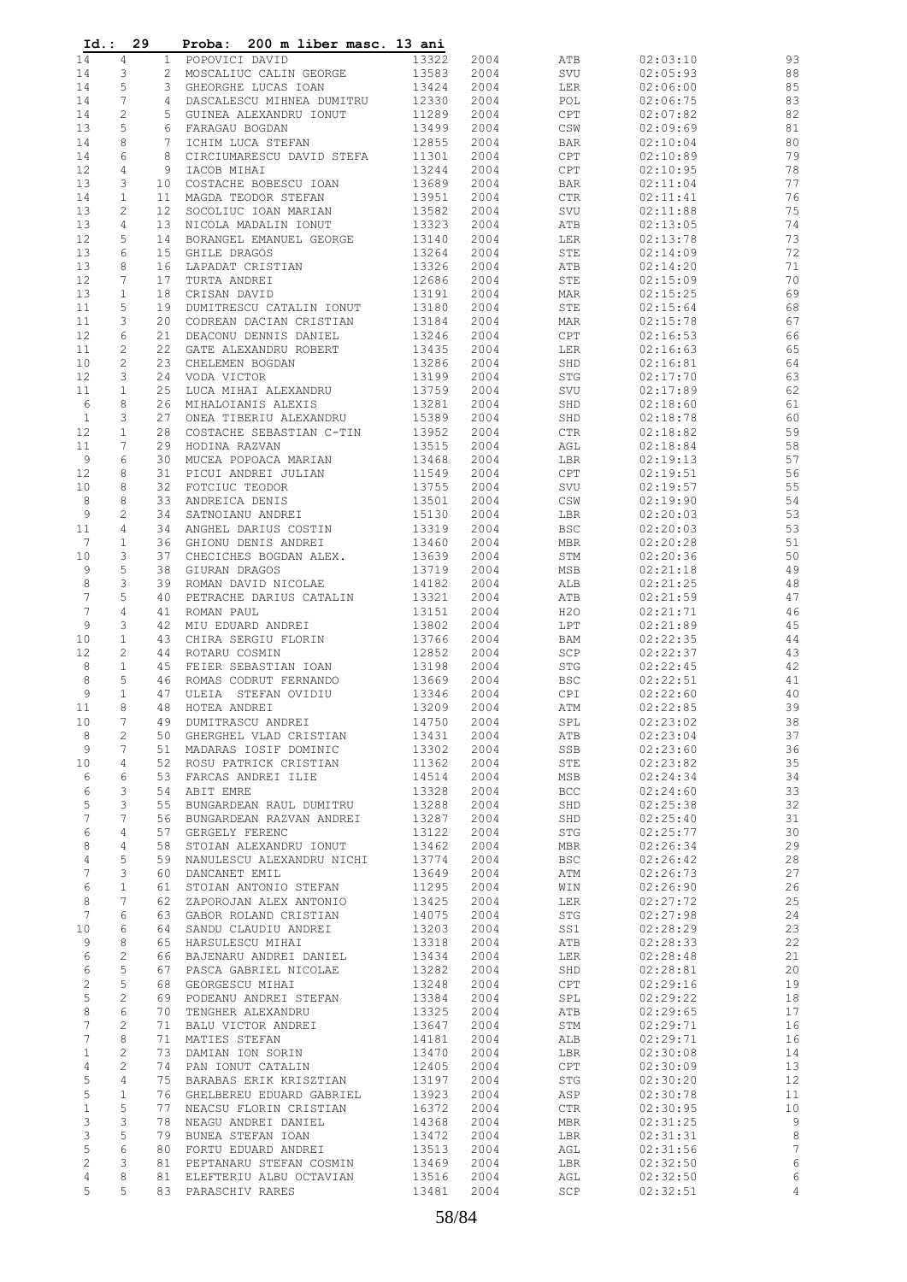| Id.:                 | 29                           |                       | 200 m liber masc. 13 ani<br>Proba:                                                                                                         |                         |              |                   |                      |                 |
|----------------------|------------------------------|-----------------------|--------------------------------------------------------------------------------------------------------------------------------------------|-------------------------|--------------|-------------------|----------------------|-----------------|
| 14                   | $\overline{4}$               | $\mathbf{1}$          | POPOVICI DAVID                                                                                                                             | 13322                   | 2004         | ATB               | 02:03:10             | 93              |
| 14                   | 3                            | $\mathbf{2}^{\prime}$ | MOSCALIUC CALIN GEORGE                                                                                                                     | 13583                   | 2004         | SVU               | 02:05:93             | 88              |
| 14                   | 5                            | 3                     | GHEORGHE LUCAS IOAN                                                                                                                        | 13424                   | 2004         | LER               | 02:06:00             | 85              |
| 14                   | 7                            | $\overline{4}$        | DASCALESCU MIHNEA DUMITRU                                                                                                                  | 12330                   | 2004         | POL               | 02:06:75             | 83              |
| 14                   | 2                            | 5                     | GUINEA ALEXANDRU IONUT                                                                                                                     | 11289                   | 2004         | CPT               | 02:07:82             | 82              |
| 13                   | 5                            | 6                     | FARAGAU BOGDAN                                                                                                                             | 13499                   | 2004         | CSW               | 02:09:69             | 81              |
| 14                   | 8                            | $7\phantom{.0}$       | ICHIM LUCA STEFAN                                                                                                                          | 12855                   | 2004         | BAR               | 02:10:04             | 80              |
| 14                   | 6                            | 8                     | CIRCIUMARESCU DAVID STEFA                                                                                                                  | 11301                   | 2004         | CPT               | 02:10:89             | 79              |
| 12                   | 4                            | 9                     | IACOB MIHAI                                                                                                                                | 13244                   | 2004         | CPT               | 02:10:95             | 78              |
| 13                   | 3                            | 10 <sup>°</sup>       | COSTACHE BOBESCU IOAN                                                                                                                      | 13689                   | 2004         | BAR               | 02:11:04             | 77              |
| 14                   | $\mathbf{1}$                 | 11                    | MAGDA TEODOR STEFAN                                                                                                                        | 13951                   | 2004         | CTR               | 02:11:41             | 76              |
| 13                   | 2                            | 12 <sup>°</sup>       | SOCOLIUC IOAN MARIAN                                                                                                                       | 13582                   | 2004         | SVU               | 02:11:88             | 75              |
| 13                   | $\overline{4}$               | 13                    | NICOLA MADALIN IONUT                                                                                                                       | 13323                   | 2004         | ATB               | 02:13:05             | 74              |
| 12                   | 5                            | 14                    | BORANGEL EMANUEL GEORGE                                                                                                                    | 13140                   | 2004         | LER               | 02:13:78             | 73              |
| 13                   | 6                            | 15 <sub>1</sub>       | GHILE DRAGOS                                                                                                                               | 13264                   | 2004         | STE               | 02:14:09             | 72              |
| 13                   | 8                            | 16                    | LAPADAT CRISTIAN                                                                                                                           | 13326                   | 2004         | ATB               | 02:14:20             | 71              |
| 12                   | 7                            | 17                    | TURTA ANDREI                                                                                                                               | 12686                   | 2004         | STE               | 02:15:09             | 70              |
| 13<br>11             | $\mathbf{1}$<br>5            | 18<br>19              | CRISAN DAVID<br>DUMITRESCU CATALIN IONUT                                                                                                   | 13191<br>13180          | 2004<br>2004 | MAR<br>STE        | 02:15:25<br>02:15:64 | 69<br>68        |
| 11                   | 3                            | 20                    | CODREAN DACIAN CRISTIAN                                                                                                                    | 13184                   | 2004         | MAR               | 02:15:78             | 67              |
| 12                   | 6                            | 21                    | DEACONU DENNIS DANIEL                                                                                                                      | 13246                   | 2004         | CPT               | 02:16:53             | 66              |
| 11                   | $\mathbf{2}$                 | 22                    | GATE ALEXANDRU ROBERT                                                                                                                      | 13435                   | 2004         | LER               | 02:16:63             | 65              |
| 10                   | $\mathbf{2}$                 | 23                    | CHELEMEN BOGDAN                                                                                                                            | 13286                   | 2004         | SHD               | 02:16:81             | 64              |
| 12                   | 3                            | 24                    | VODA VICTOR                                                                                                                                | 13199                   | 2004         | STG               | 02:17:70             | 63              |
| 11                   | $\mathbf{1}$                 | 25                    | LUCA MIHAI ALEXANDRU                                                                                                                       | 13759                   | 2004         | SVU               | 02:17:89             | 62              |
| $\epsilon$           | 8                            | 26                    | MIHALOIANIS ALEXIS                                                                                                                         | 13281                   | 2004         | SHD               | 02:18:60             | 61              |
| $1\,$                | 3                            | 27                    | ONEA TIBERIU ALEXANDRU                                                                                                                     | 15389                   | 2004         | SHD               | 02:18:78             | 60              |
| 12                   | $\mathbf{1}$                 | 28                    | COSTACHE SEBASTIAN C-TIN                                                                                                                   | 13952                   | 2004         | CTR               | 02:18:82             | 59              |
| 11                   | 7                            | 29                    | HODINA RAZVAN                                                                                                                              | 13515                   | 2004         | AGL               | 02:18:84             | 58              |
| 9                    | 6                            | 30                    | MUCEA POPOACA MARIAN                                                                                                                       | 13468                   | 2004         | LBR               | 02:19:13             | 57              |
| 12                   | 8                            | 31                    | PICUI ANDREI JULIAN                                                                                                                        | 11549                   | 2004         | CPT               | 02:19:51             | 56              |
| 10                   | 8                            | 32                    | FOTCIUC TEODOR                                                                                                                             | 13755                   | 2004         | SVU               | 02:19:57             | 55              |
| 8                    | 8                            | 33                    | ANDREICA DENIS                                                                                                                             | 13501                   | 2004         | CSW               | 02:19:90             | 54              |
| 9                    | 2                            | 34                    | SATNOIANU ANDREI                                                                                                                           | 15130                   | 2004         | LBR               | 02:20:03             | 53              |
| 11                   | $\overline{4}$               | 34                    | ANGHEL DARIUS COSTIN                                                                                                                       | 13319                   | 2004         | <b>BSC</b>        | 02:20:03             | 53              |
| 7                    | 1                            | 36                    | GHIONU DENIS ANDREI                                                                                                                        | 13460                   | 2004         | <b>MBR</b>        | 02:20:28             | 51              |
| 10                   | 3                            | 37                    | CHECICHES BOGDAN ALEX.                                                                                                                     | 13639                   | 2004         | STM               | 02:20:36             | 50              |
| 9                    | 5                            | 38                    | GIURAN DRAGOS                                                                                                                              | 13719                   | 2004         | MSB               | 02:21:18             | 49              |
| 8                    | 3                            | 39                    | ROMAN DAVID NICOLAE                                                                                                                        | 14182                   | 2004         | ALB               | 02:21:25             | $4\,8$          |
| 7                    | 5                            | 40                    | PETRACHE DARIUS CATALIN                                                                                                                    | 13321                   | 2004         | ATB               | 02:21:59             | 47              |
| 7                    | 4                            | 41                    | ROMAN PAUL                                                                                                                                 | 13151                   | 2004         | H2O               | 02:21:71             | 46              |
| 9                    | 3                            | 42                    | MIU EDUARD ANDREI                                                                                                                          | 13802                   | 2004         | LPT               | 02:21:89             | 45              |
| 10                   | $\mathbf{1}$                 | 43                    | CHIRA SERGIU FLORIN                                                                                                                        | 13766                   | 2004         | BAM               | 02:22:35             | 44              |
| 12                   | 2                            | 44                    | ROTARU COSMIN                                                                                                                              | 12852                   | 2004         | SCP               | 02:22:37             | 43              |
| 8                    | $\mathbf{1}$                 | 45                    | FEIER SEBASTIAN IOAN                                                                                                                       | 13198                   | 2004         | STG               | 02:22:45             | 42              |
| 8                    | 5                            | 46                    | ROMAS CODRUT FERNANDO                                                                                                                      | 13669                   | 2004         | <b>BSC</b>        | 02:22:51             | 41              |
| 9                    | $\mathbf{1}$                 | 47                    | ULEIA STEFAN OVIDIU                                                                                                                        | 13346                   | 2004         | CPI               | 02:22:60             | 40              |
| 11                   | 8                            | 48                    | HOTEA ANDREI                                                                                                                               | 13209                   | 2004         | ATM               | 02:22:85             | 39              |
| 10                   | 7 <sup>7</sup>               |                       | 49 DUMITRASCU ANDREI                                                                                                                       | 14750 2004              |              | SPL               | 02:23:02             | 38              |
| 8                    | 2                            |                       | 13431 2004<br>13431 2004<br>51 MADARAS IOSIF DOMINIC 13302 2004<br>52 ROSU PATRICK CRISTIAN 11362 2004<br>53 FARCAS ANDREI ILIE 14514 2004 |                         | 2004         | ATB               | 02:23:04             | 37              |
| 9                    | $7\overline{ }$              |                       |                                                                                                                                            |                         |              | SSB               | 02:23:60             | 36              |
| 10 <sup>°</sup>      | $4\overline{4}$              |                       |                                                                                                                                            |                         |              | STE               | 02:23:82             | 35              |
| $6^{\circ}$<br>6     |                              |                       |                                                                                                                                            |                         |              | MSB               | 02:24:34             | 34              |
| 6                    | $\mathbf{3}$                 |                       | 54 ABIT EMRE                                                                                                                               | 13328<br>13288          | 2004         | BCC<br>DUU<br>SHD | 02:24:60             | 33              |
| 5                    | $\overline{\mathbf{3}}$      |                       | 55 BUNGARDEAN RAUL DUMITRU                                                                                                                 |                         | 2004         |                   | 02:25:38             | 32              |
| $7\phantom{.}$       | $7\phantom{.0}$              |                       | 33 BUNGARDEAN NASA SOLITION<br>56 BUNGARDEAN RAZVAN ANDREI 13287<br>57 GERGELY FERENC 13122                                                |                         | 2004         | SHD<br>STG        | 02:25:40             | 31              |
| 6                    | $\overline{4}$               |                       |                                                                                                                                            |                         | 2004         |                   | 02:25:77             | 30              |
| 8                    | 4                            |                       | 58 STOLAR ALEXANDRU IONUT 13462<br>59 NANULESCU ALEXANDRU NICHI 13774<br>60 NANCANET EMIL                                                  |                         | 2004         | MBR               | 02:26:34             | 29              |
| $\overline{4}$       | 5                            |                       |                                                                                                                                            |                         | 2004         | BSC               | 02:26:42             | 28              |
| 7 <sup>1</sup>       | $\mathbf{3}$<br>$\mathbf{1}$ | 60                    | DANCANET EMIL                                                                                                                              | 13649                   | 2004         | ATM               | 02:26:73             | 27              |
| 6                    | $7\phantom{.0}$              |                       | 61 STOIAN ANTONIO STEFAN                                                                                                                   | 11295                   | 2004         | WIN               | 02:26:90             | 26              |
| 8<br>$7\phantom{.0}$ | 6                            |                       | 62 ZAPOROJAN ALEX ANTONIO<br>63 GABOR ROLAND CRISTIAN                                                                                      | 13425<br>14075          | 2004         | LER               | 02:27:72             | 25              |
| 10                   | 6                            |                       | 64 SANDU CLAUDIU ANDREI                                                                                                                    |                         | 2004<br>2004 | STG<br>SS1        | 02:27:98<br>02:28:29 | 24<br>23        |
| 9                    | 8                            |                       | 65 HARSULESCU MIHAI                                                                                                                        | 13203<br>13318          | 2004         | ATB               | 02:28:33             | 22              |
| 6                    | $\overline{2}$               |                       |                                                                                                                                            |                         | 2004         | LER               | 02:28:48             | 21              |
| 6                    | $5\overline{)}$              |                       |                                                                                                                                            |                         |              | SHD               | 02:28:81             | 20              |
| $\overline{2}$       | $5\overline{)}$              |                       |                                                                                                                                            |                         |              | CPT               | 02:29:16             | 19              |
| 5                    | $\overline{2}$               |                       |                                                                                                                                            |                         | 2004         | SPL               | 02:29:22             | 18              |
| 8                    | 6                            |                       |                                                                                                                                            |                         | 2004         | ATB               | 02:29:65             | 17              |
| 7 <sup>1</sup>       | $\overline{c}$               |                       |                                                                                                                                            |                         |              | STM               | 02:29:71             | 16              |
| $7\phantom{.}$       | 8                            |                       |                                                                                                                                            |                         |              | ALB               | 02:29:71             | 16              |
| $\mathbf{1}$         | $\overline{c}$               |                       |                                                                                                                                            |                         |              | LBR               | 02:30:08             | 14              |
| 4                    | $\overline{c}$               |                       |                                                                                                                                            |                         |              | CPT               | 02:30:09             | 13              |
| 5                    | $\overline{4}$               |                       |                                                                                                                                            |                         |              | STG               | 02:30:20             | 12              |
| 5                    | $\mathbf{1}$                 |                       |                                                                                                                                            |                         |              | ASP               | 02:30:78             | 11              |
| $\mathbf{1}$         | 5                            |                       | 77 NEACSU FLORIN CRISTIAN                                                                                                                  | 16372<br>14368<br>13472 | 2004         | <b>CTR</b>        | 02:30:95             | 10              |
| 3                    | 3                            |                       | 78 NEAGU ANDREI DANIEL                                                                                                                     |                         | 2004         | MBR               | 02:31:25             | 9               |
| 3                    | 5                            |                       |                                                                                                                                            |                         | 2004         | LBR               | 02:31:31             | 8 <sup>8</sup>  |
| 5                    | 6                            |                       | 79 BUNEA STEFAN IOAN<br>80 FORTU EDUARD ANDREI                                                                                             | 13513                   | 2004         | AGL               | 02:31:56             | $\overline{7}$  |
| $\overline{c}$       | 3                            |                       |                                                                                                                                            |                         | 2004         | LBR               | 02:32:50             | $6\overline{6}$ |
| $\overline{4}$       | 8                            |                       | 81 PEPTANARU STEFAN COSMIN 13469<br>81 ELEFTERIU ALBU OCTAVIAN 13516<br>82 ELEFTERIU ALBU OCTAVIAN 136161                                  |                         | 2004         | AGL               | 02:32:50             | $6\overline{6}$ |
| 5                    | $5 -$                        |                       | 83 PARASCHIV RARES                                                                                                                         | 13481                   | 2004         | SCP               | 02:32:51             | $\overline{4}$  |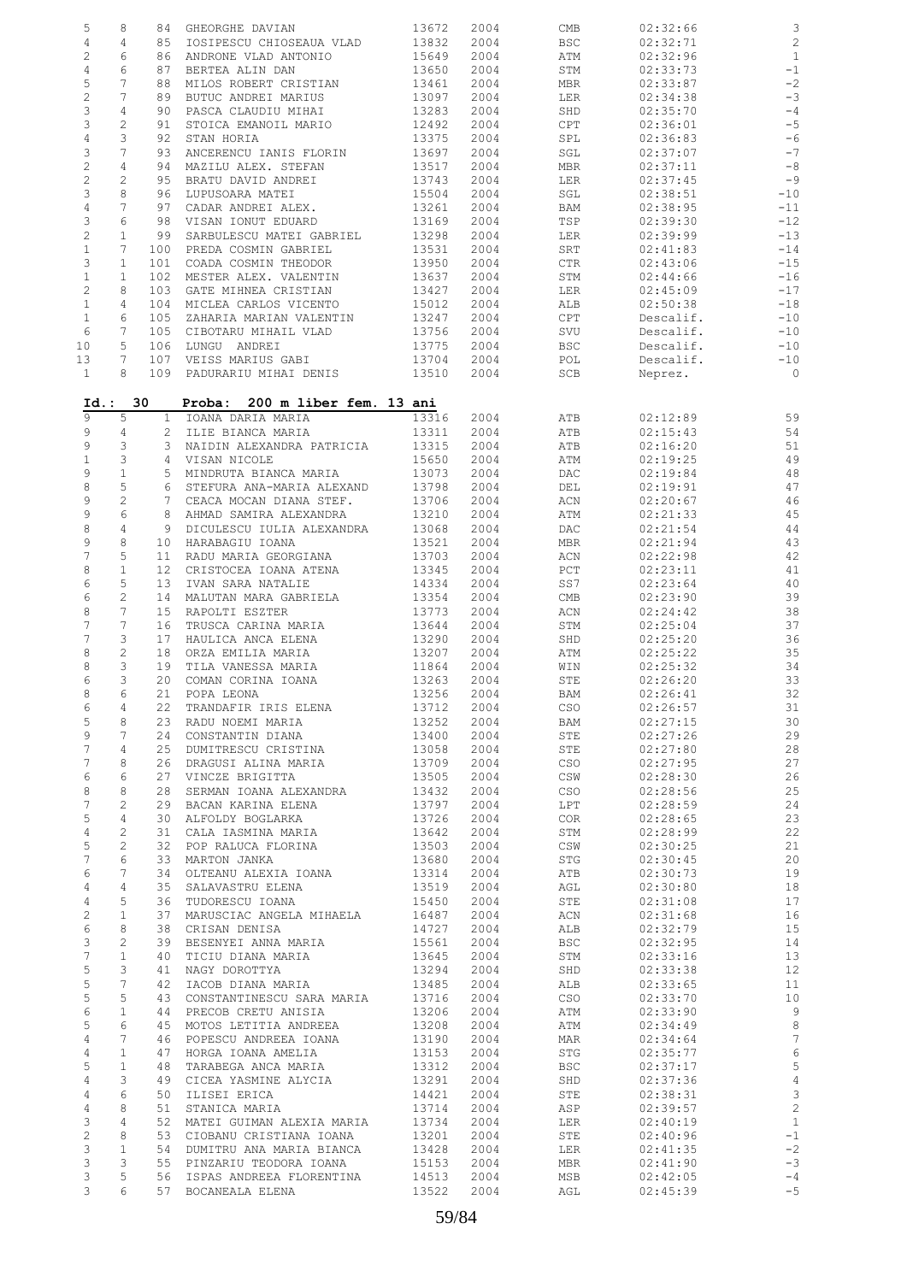| 5                                                                                                                  |                       |                       |                                                |                |              |                                 |                      |                           |
|--------------------------------------------------------------------------------------------------------------------|-----------------------|-----------------------|------------------------------------------------|----------------|--------------|---------------------------------|----------------------|---------------------------|
|                                                                                                                    | 8                     | 84                    | GHEORGHE DAVIAN                                | 13672          | 2004         | $\ensuremath{\mathrm{CMB}}$     | 02:32:66             | $\ensuremath{\mathsf{3}}$ |
| $\overline{4}$                                                                                                     | 4                     | 85                    | IOSIPESCU CHIOSEAUA VLAD                       | 13832          | 2004         | <b>BSC</b>                      | 02:32:71             | $\sqrt{2}$                |
| $\mathfrak{2}% _{T}=\mathfrak{2}_{T}\!\left( a,b\right) ,\ \mathfrak{2}_{T}=\mathfrak{2}_{T}\!\left( a,b\right) ,$ | 6                     | 86                    |                                                | 15649          | 2004         | ATM                             | 02:32:96             | $\,1\,$                   |
|                                                                                                                    |                       |                       | ANDRONE VLAD ANTONIO                           |                |              |                                 |                      |                           |
| $\overline{4}$                                                                                                     | 6                     | 87                    | BERTEA ALIN DAN                                | 13650          | 2004         | STM                             | 02:33:73             | $^{\rm -1}$               |
| 5                                                                                                                  | 7                     | 88                    | MILOS ROBERT CRISTIAN                          | 13461          | 2004         | MBR                             | 02:33:87             | $-2$                      |
| $\mathbf{2}$                                                                                                       | 7                     | 89                    | BUTUC ANDREI MARIUS                            | 13097          | 2004         | LER                             | 02:34:38             | $-3$                      |
| 3                                                                                                                  | $\overline{4}$        | 90                    | PASCA CLAUDIU MIHAI                            | 13283          | 2004         | SHD                             | 02:35:70             | $-4$                      |
| 3                                                                                                                  | 2                     | 91                    | STOICA EMANOIL MARIO                           | 12492          | 2004         | CPT                             | 02:36:01             | $-5$                      |
|                                                                                                                    | 3                     | 92                    |                                                |                |              |                                 |                      | $-6$                      |
| $\overline{4}$                                                                                                     |                       |                       | STAN HORIA                                     | 13375          | 2004         | SPL                             | 02:36:83             |                           |
| 3                                                                                                                  | 7                     | 93                    | ANCERENCU IANIS FLORIN                         | 13697          | 2004         | SGL                             | 02:37:07             | $-7$                      |
| $\mathbf{2}$                                                                                                       | $\overline{4}$        | 94                    | MAZILU ALEX. STEFAN                            | 13517          | 2004         | <b>MBR</b>                      | 02:37:11             | $-8$                      |
| $\mathfrak{2}% _{T}=\mathfrak{2}_{T}\!\left( a,b\right) ,\ \mathfrak{2}_{T}=\mathfrak{2}_{T}\!\left( a,b\right) ,$ | $\mathbf{2}$          | 95                    | BRATU DAVID ANDREI                             | 13743          | 2004         | LER                             | 02:37:45             | $-9$                      |
| 3                                                                                                                  | 8                     | 96                    | LUPUSOARA MATEI                                | 15504          | 2004         | SGL                             | 02:38:51             | $-10$                     |
|                                                                                                                    | 7                     | 97                    |                                                | 13261          | 2004         | BAM                             | 02:38:95             | $-11$                     |
| $\overline{4}$                                                                                                     |                       |                       | CADAR ANDREI ALEX.                             |                |              |                                 |                      |                           |
| 3                                                                                                                  | 6                     | 98                    | VISAN IONUT EDUARD                             | 13169          | 2004         | TSP                             | 02:39:30             | $-12$                     |
| $\overline{c}$                                                                                                     | $\mathbf{1}$          | 99                    | SARBULESCU MATEI GABRIEL                       | 13298          | 2004         | LER                             | 02:39:99             | $-13$                     |
| $\mathbf{1}$                                                                                                       | 7                     | 100                   | PREDA COSMIN GABRIEL                           | 13531          | 2004         | SRT                             | 02:41:83             | $-14$                     |
| 3                                                                                                                  | $\mathbf{1}$          | 101                   | COADA COSMIN THEODOR                           | 13950          | 2004         | CTR                             | 02:43:06             | $-15$                     |
| $\mathbf{1}$                                                                                                       | $\mathbf{1}$          | 102                   | MESTER ALEX. VALENTIN                          | 13637          | 2004         | STM                             | 02:44:66             | $-16$                     |
|                                                                                                                    |                       |                       |                                                |                |              |                                 |                      |                           |
| $\mathbf{2}$                                                                                                       | 8                     | 103                   | GATE MIHNEA CRISTIAN                           | 13427          | 2004         | LER                             | 02:45:09             | $-17$                     |
| $\mathbf{1}$                                                                                                       | 4                     | 104                   | MICLEA CARLOS VICENTO                          | 15012          | 2004         | ALB                             | 02:50:38             | $-18$                     |
| $\mathbf{1}$                                                                                                       | 6                     | 105                   | ZAHARIA MARIAN VALENTIN                        | 13247          | 2004         | CPT                             | Descalif.            | $-10$                     |
| $\epsilon$                                                                                                         | 7                     | 105                   | CIBOTARU MIHAIL VLAD                           | 13756          | 2004         | SVU                             | Descalif.            | $-10$                     |
| 10                                                                                                                 | 5                     | 106                   | LUNGU ANDREI                                   | 13775          | 2004         | <b>BSC</b>                      | Descalif.            | $-10$                     |
|                                                                                                                    | 7                     | 107                   |                                                | 13704          | 2004         | POL                             |                      | $-10$                     |
| 13                                                                                                                 |                       |                       | VEISS MARIUS GABI                              |                |              |                                 | Descalif.            |                           |
| $\mathbf{1}$                                                                                                       | 8                     |                       | 109 PADURARIU MIHAI DENIS                      | 13510          | 2004         | SCB                             | Neprez.              | $\overline{0}$            |
|                                                                                                                    |                       |                       |                                                |                |              |                                 |                      |                           |
| Id.:                                                                                                               | 30                    |                       | Proba:<br>200 m liber fem. 13 ani              |                |              |                                 |                      |                           |
|                                                                                                                    |                       |                       |                                                |                |              |                                 |                      |                           |
| 9                                                                                                                  | 5                     | $\mathbf{1}$          | IOANA DARIA MARIA                              | 13316          | 2004         | ATB                             | 02:12:89             | 59                        |
| 9                                                                                                                  | $\overline{4}$        | $\mathbf{2}^{\prime}$ | ILIE BIANCA MARIA                              | 13311          | 2004         | ATB                             | 02:15:43             | 54                        |
| 9                                                                                                                  | 3                     | 3                     | NAIDIN ALEXANDRA PATRICIA                      | 13315          | 2004         | ATB                             | 02:16:20             | 51                        |
| $\mathbf 1$                                                                                                        | 3                     | 4                     | VISAN NICOLE                                   | 15650          | 2004         | ATM                             | 02:19:25             | 49                        |
| 9                                                                                                                  | $\mathbf{1}$          | 5                     | MINDRUTA BIANCA MARIA                          | 13073          | 2004         | DAC                             | 02:19:84             | 48                        |
|                                                                                                                    |                       |                       |                                                |                |              |                                 |                      |                           |
| 8                                                                                                                  | 5                     | 6                     | STEFURA ANA-MARIA ALEXAND                      | 13798          | 2004         | DEL                             | 02:19:91             | 47                        |
| 9                                                                                                                  | $\overline{c}$        | $7^{\circ}$           | CEACA MOCAN DIANA STEF.                        | 13706          | 2004         | ACN                             | 02:20:67             | 46                        |
| 9                                                                                                                  | $6\,$                 | 8                     | AHMAD SAMIRA ALEXANDRA                         | 13210          | 2004         | ATM                             | 02:21:33             | 45                        |
| 8                                                                                                                  | $\overline{4}$        | 9                     | DICULESCU IULIA ALEXANDRA                      | 13068          | 2004         | DAC                             | 02:21:54             | 44                        |
| 9                                                                                                                  | 8                     | 10 <sub>1</sub>       | HARABAGIU IOANA                                | 13521          | 2004         | MBR                             | 02:21:94             | 43                        |
| $\overline{7}$                                                                                                     | 5                     | 11                    | RADU MARIA GEORGIANA                           | 13703          | 2004         | ACN                             | 02:22:98             | 42                        |
|                                                                                                                    |                       |                       |                                                |                |              |                                 |                      |                           |
| 8                                                                                                                  | $\mathbf{1}$          | 12 <sub>1</sub>       | CRISTOCEA IOANA ATENA                          | 13345          | 2004         | PCT                             | 02:23:11             | 41                        |
| 6                                                                                                                  | 5                     | 13 <sup>°</sup>       | IVAN SARA NATALIE                              | 14334          | 2004         | SS7                             | 02:23:64             | 40                        |
| 6                                                                                                                  | $\mathbf{2}^{\prime}$ | 14                    | MALUTAN MARA GABRIELA                          | 13354          | 2004         | CMB                             | 02:23:90             | 39                        |
| 8                                                                                                                  | 7                     | 15                    | RAPOLTI ESZTER                                 | 13773          | 2004         | ACN                             | 02:24:42             | 38                        |
| $\overline{7}$                                                                                                     | 7                     | 16                    | TRUSCA CARINA MARIA                            | 13644          | 2004         | STM                             | 02:25:04             | 37                        |
|                                                                                                                    |                       | 17                    | HAULICA ANCA ELENA                             |                | 2004         | SHD                             | 02:25:20             | 36                        |
|                                                                                                                    |                       |                       |                                                |                |              |                                 |                      |                           |
| $\overline{7}$                                                                                                     | 3                     |                       |                                                | 13290          |              |                                 |                      |                           |
| 8                                                                                                                  | $\sqrt{2}$            | 18                    | ORZA EMILIA MARIA                              | 13207          | 2004         | ATM                             | 02:25:22             | 35                        |
| 8                                                                                                                  | 3                     | 19                    | TILA VANESSA MARIA                             | 11864          | 2004         | WIN                             | 02:25:32             | 34                        |
| 6                                                                                                                  |                       | 20                    | COMAN CORINA IOANA                             |                |              |                                 | 02:26:20             |                           |
|                                                                                                                    | 3                     |                       |                                                | 13263          | 2004         | STE                             |                      | 33                        |
| 8                                                                                                                  | 6                     | 21                    | POPA LEONA                                     | 13256          | 2004         | BAM                             | 02:26:41             | 32                        |
| 6                                                                                                                  | 4                     | 22                    | TRANDAFIR IRIS ELENA                           | 13712          | 2004         | $_{\tiny{\mbox{\textsf{CSO}}}}$ | 02:26:57             | 31                        |
| 5                                                                                                                  | 8                     |                       | 23 RADU NOEMI MARIA                            | 13252          | 2004         | BAM                             | 02:27:15             | 30                        |
| 9                                                                                                                  | 7                     | 24                    | CONSTANTIN DIANA                               | 13400          | 2004         | STE                             | 02:27:26             | 29                        |
| 7                                                                                                                  | $\overline{4}$        | 25                    | DUMITRESCU CRISTINA                            | 13058          | 2004         | STE                             | 02:27:80             | 28                        |
|                                                                                                                    |                       |                       |                                                |                |              |                                 |                      |                           |
| 7                                                                                                                  | 8                     | 26                    | DRAGUSI ALINA MARIA                            | 13709          | 2004         | CSO                             | 02:27:95             | 27                        |
| 6                                                                                                                  | 6                     | 27                    | VINCZE BRIGITTA                                | 13505          | 2004         | CSW                             | 02:28:30             | 26                        |
| 8                                                                                                                  | 8                     | 28                    | SERMAN IOANA ALEXANDRA                         | 13432          | 2004         | CSO                             | 02:28:56             | 25                        |
| 7                                                                                                                  | $\overline{c}$        | 29                    | BACAN KARINA ELENA                             | 13797          | 2004         | LPT                             | 02:28:59             | 24                        |
| 5                                                                                                                  | $\overline{4}$        | 30                    | ALFOLDY BOGLARKA                               | 13726          | 2004         | COR                             | 02:28:65             | 23                        |
| $\overline{4}$                                                                                                     | $\overline{c}$        | 31                    | CALA IASMINA MARIA                             | 13642          | 2004         | STM                             | 02:28:99             | 22                        |
|                                                                                                                    |                       |                       |                                                |                |              |                                 |                      |                           |
| 5                                                                                                                  | $\overline{c}$        | 32                    | POP RALUCA FLORINA                             | 13503          | 2004         | CSW                             | 02:30:25             | 21                        |
| 7                                                                                                                  | 6                     | 33                    | MARTON JANKA                                   | 13680          | 2004         | STG                             | 02:30:45             | 20                        |
| 6                                                                                                                  | 7                     | 34                    | OLTEANU ALEXIA IOANA                           | 13314          | 2004         | ATB                             | 02:30:73             | 19                        |
| $\overline{4}$                                                                                                     | $\overline{4}$        | 35                    | SALAVASTRU ELENA                               | 13519          | 2004         | AGL                             | 02:30:80             | 18                        |
| $\overline{4}$                                                                                                     | 5                     | 36                    | TUDORESCU IOANA                                | 15450          | 2004         | STE                             | 02:31:08             | 17                        |
|                                                                                                                    |                       |                       |                                                |                |              |                                 |                      |                           |
| $\overline{c}$                                                                                                     | $\mathbf{1}$          | 37                    | MARUSCIAC ANGELA MIHAELA                       | 16487          | 2004         | ACN                             | 02:31:68             | 16                        |
| 6                                                                                                                  | 8                     | 38                    | CRISAN DENISA                                  | 14727          | 2004         | ALB                             | 02:32:79             | 15                        |
| 3                                                                                                                  | $\overline{c}$        | 39                    | BESENYEI ANNA MARIA                            | 15561          | 2004         | BSC                             | 02:32:95             | 14                        |
| 7                                                                                                                  | $\mathbf{1}$          | 40                    | TICIU DIANA MARIA                              | 13645          | 2004         | STM                             | 02:33:16             | 13                        |
| 5                                                                                                                  | 3                     | 41                    | NAGY DOROTTYA                                  | 13294          | 2004         | SHD                             | 02:33:38             | 12                        |
| 5                                                                                                                  | 7                     | 42                    |                                                | 13485          | 2004         | ALB                             | 02:33:65             | 11                        |
|                                                                                                                    |                       |                       | IACOB DIANA MARIA                              |                |              |                                 |                      |                           |
| 5                                                                                                                  | 5                     | 43                    | CONSTANTINESCU SARA MARIA                      | 13716          | 2004         | CSO                             | 02:33:70             | 10                        |
| 6                                                                                                                  | $\mathbf{1}$          | 44                    | PRECOB CRETU ANISIA                            | 13206          | 2004         | ATM                             | 02:33:90             | 9                         |
| 5                                                                                                                  | 6                     | 45                    | MOTOS LETITIA ANDREEA                          | 13208          | 2004         | ATM                             | 02:34:49             | 8                         |
| $\overline{4}$                                                                                                     | 7                     | 46                    | POPESCU ANDREEA IOANA                          | 13190          | 2004         | MAR                             | 02:34:64             | $7\phantom{.0}$           |
| $\overline{4}$                                                                                                     | $\mathbf{1}$          | 47                    | HORGA IOANA AMELIA                             | 13153          | 2004         | STG                             | 02:35:77             | $\epsilon$                |
|                                                                                                                    |                       |                       |                                                |                |              |                                 |                      |                           |
| 5                                                                                                                  | $\mathbf{1}$          | 48                    | TARABEGA ANCA MARIA                            | 13312          | 2004         | BSC                             | 02:37:17             | 5                         |
| $\overline{4}$                                                                                                     | 3                     | 49                    | CICEA YASMINE ALYCIA                           | 13291          | 2004         | SHD                             | 02:37:36             | $\overline{4}$            |
| $\overline{4}$                                                                                                     | $\epsilon$            | 50                    | ILISEI ERICA                                   | 14421          | 2004         | STE                             | 02:38:31             | $\mathbf{3}$              |
| $\overline{4}$                                                                                                     | 8                     | 51                    | STANICA MARIA                                  | 13714          | 2004         | ASP                             | 02:39:57             | $\overline{c}$            |
| 3                                                                                                                  | $\overline{4}$        | 52                    | MATEI GUIMAN ALEXIA MARIA                      | 13734          | 2004         | LER                             | 02:40:19             | $\mathbf{1}$              |
|                                                                                                                    | 8                     | 53                    |                                                |                |              |                                 |                      | $-1$                      |
| $\overline{c}$                                                                                                     |                       |                       | CIOBANU CRISTIANA IOANA                        | 13201          | 2004         | STE                             | 02:40:96             |                           |
| 3                                                                                                                  | $\mathbf{1}$          | 54                    | DUMITRU ANA MARIA BIANCA                       | 13428          | 2004         | LER                             | 02:41:35             | $-2$                      |
| 3                                                                                                                  | 3                     | 55                    | PINZARIU TEODORA IOANA                         | 15153          | 2004         | MBR                             | 02:41:90             | $-3$                      |
| 3<br>3                                                                                                             | 5<br>6                | 57                    | 56 ISPAS ANDREEA FLORENTINA<br>BOCANEALA ELENA | 14513<br>13522 | 2004<br>2004 | MSB<br>AGL                      | 02:42:05<br>02:45:39 | $-4$<br>$-5$              |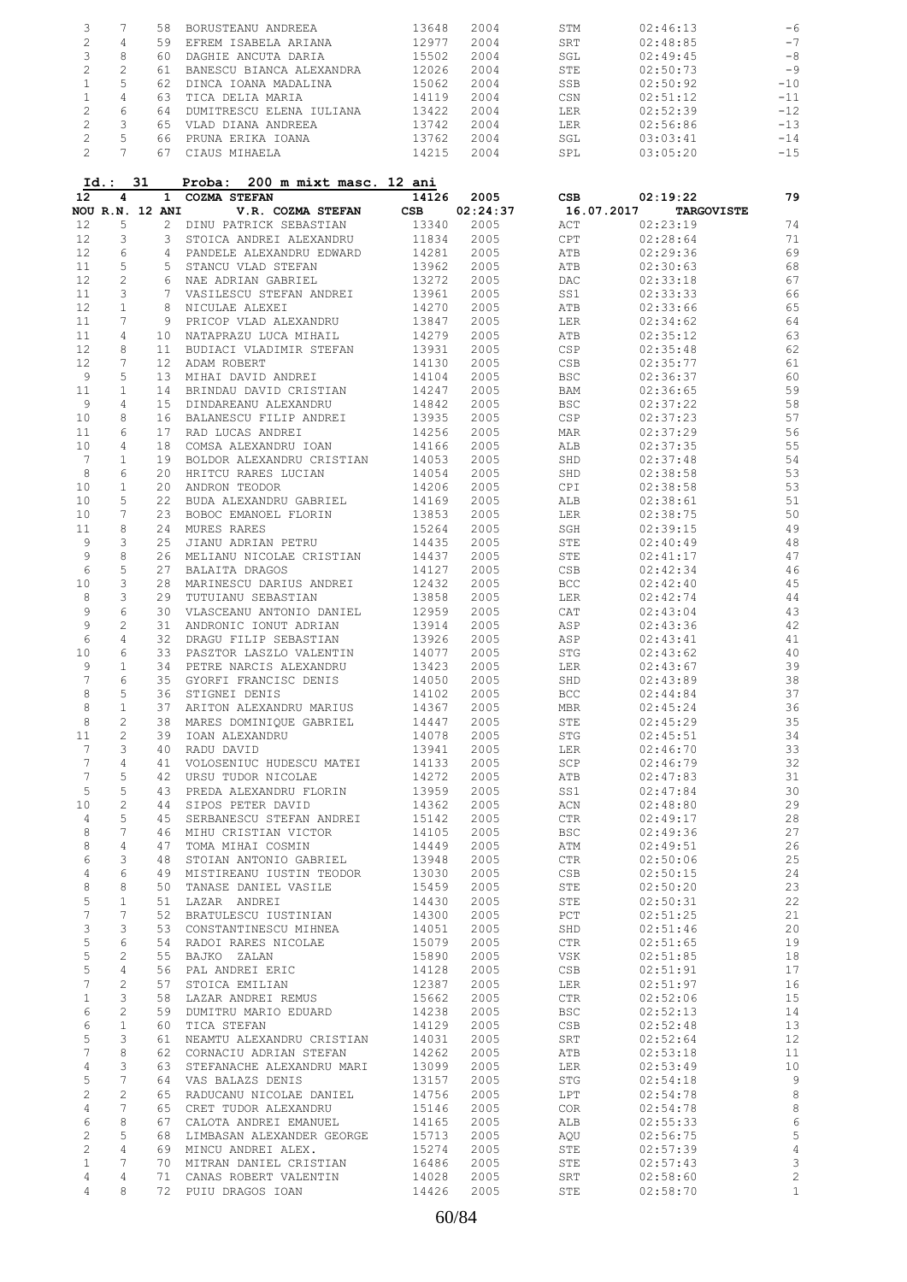| 3                     | 7              | 58              | BORUSTEANU ANDREEA                  | 13648        | 2004             | STM                      | 02:46:13                      | $-6$                    |
|-----------------------|----------------|-----------------|-------------------------------------|--------------|------------------|--------------------------|-------------------------------|-------------------------|
| $\mathbf{2}$          | $\overline{4}$ | 59              | EFREM ISABELA ARIANA                | 12977        | 2004             | SRT                      | 02:48:85                      | $-7$                    |
|                       |                |                 |                                     |              |                  |                          |                               |                         |
| 3                     | 8              | 60              | DAGHIE ANCUTA DARIA                 | 15502        | 2004             | SGL                      | 02:49:45                      | $-8$                    |
| $\mathbf{2}$          | $\overline{c}$ | 61              | BANESCU BIANCA ALEXANDRA            | 12026        | 2004             | STE                      | 02:50:73                      | $-9$                    |
| $\mathbf 1$           | 5              | 62              | DINCA IOANA MADALINA                | 15062        | 2004             | SSB                      | 02:50:92                      | $-10$                   |
| $1\,$                 | $\overline{4}$ | 63              | TICA DELIA MARIA                    | 14119        | 2004             | CSN                      | 02:51:12                      | $-11$                   |
| $\mathbf{2}$          | 6              | 64              | DUMITRESCU ELENA IULIANA            | 13422        | 2004             | LER                      | 02:52:39                      | $-12$                   |
| $\overline{c}$        | 3              | 65              | VLAD DIANA ANDREEA                  | 13742        | 2004             | LER                      | 02:56:86                      | $-13$                   |
| $\overline{c}$        | 5              | 66              | PRUNA ERIKA IOANA                   | 13762        | 2004             | SGL                      | 03:03:41                      | $-14$                   |
| $\overline{2}$        | 7              | 67              | CIAUS MIHAELA                       | 14215        | 2004             | SPL                      | 03:05:20                      | $-15$                   |
|                       | Id.: 31        |                 | Proba:<br>200 m mixt masc. 12 ani   |              |                  |                          |                               |                         |
| 12<br>NOU R.N. 12 ANI | 4              |                 | 1 COZMA STEFAN<br>V.R. COZMA STEFAN | 14126<br>CSB | 2005<br>02:24:37 | <b>CSB</b><br>16.07.2017 | 02:19:22<br><b>TARGOVISTE</b> | 79                      |
|                       |                |                 |                                     |              | 2005             |                          |                               |                         |
| 12                    | 5              | $\overline{2}$  | DINU PATRICK SEBASTIAN              | 13340        |                  | ACT                      | 02:23:19                      | 74                      |
| 12                    | 3              | 3               | STOICA ANDREI ALEXANDRU             | 11834        | 2005             | CPT                      | 02:28:64                      | 71                      |
| 12                    | 6              | 4               | PANDELE ALEXANDRU EDWARD            | 14281        | 2005             | ATB                      | 02:29:36                      | 69                      |
| 11                    | 5              | 5               | STANCU VLAD STEFAN                  | 13962        | 2005             | ATB                      | 02:30:63                      | 68                      |
| 12                    | $\overline{c}$ | 6               | NAE ADRIAN GABRIEL                  | 13272        | 2005             | $\mathop{\rm DAC}$       | 02:33:18                      | 67                      |
| 11                    | 3              | $7^{\circ}$     | VASILESCU STEFAN ANDREI             | 13961        | 2005             | SS1                      | 02:33:33                      | 66                      |
| 12                    | $\mathbf{1}$   | 8               | NICULAE ALEXEI                      | 14270        | 2005             | ATB                      | 02:33:66                      | 65                      |
| 11                    | 7              | 9               | PRICOP VLAD ALEXANDRU               | 13847        | 2005             | LER                      | 02:34:62                      | 64                      |
| 11                    | 4              | 10              | NATAPRAZU LUCA MIHAIL               | 14279        | 2005             | ATB                      | 02:35:12                      | 63                      |
| 12                    | 8              | 11              | BUDIACI VLADIMIR STEFAN             | 13931        | 2005             | CSP                      | 02:35:48                      | 62                      |
| 12                    | 7              | 12 <sup>7</sup> | ADAM ROBERT                         | 14130        | 2005             | CSB                      | 02:35:77                      | 61                      |
| 9                     | 5              | 13 <sup>7</sup> | MIHAI DAVID ANDREI                  | 14104        | 2005             | <b>BSC</b>               | 02:36:37                      | 60                      |
| 11                    | $\mathbf{1}$   | 14              | BRINDAU DAVID CRISTIAN              | 14247        | 2005             | BAM                      | 02:36:65                      | 59                      |
|                       |                |                 |                                     |              |                  |                          |                               |                         |
| 9                     | $\overline{4}$ | 15              | DINDAREANU ALEXANDRU                | 14842        | 2005             | <b>BSC</b>               | 02:37:22                      | 58                      |
| 10                    | 8              | 16              | BALANESCU FILIP ANDREI              | 13935        | 2005             | CSP                      | 02:37:23                      | 57                      |
| 11                    | 6              | 17              | RAD LUCAS ANDREI                    | 14256        | 2005             | <b>MAR</b>               | 02:37:29                      | 56                      |
| 10                    | 4              | 18              | COMSA ALEXANDRU IOAN                | 14166        | 2005             | ALB                      | 02:37:35                      | 55                      |
| $7\phantom{.0}$       | $\mathbf{1}$   | 19              | BOLDOR ALEXANDRU CRISTIAN           | 14053        | 2005             | SHD                      | 02:37:48                      | 54                      |
| 8                     | 6              | 20              | HRITCU RARES LUCIAN                 | 14054        | 2005             | SHD                      | 02:38:58                      | 53                      |
| 10                    | $\mathbf{1}$   | 20              | ANDRON TEODOR                       | 14206        | 2005             | CPI                      | 02:38:58                      | 53                      |
| 10                    | 5              | 22              | BUDA ALEXANDRU GABRIEL              | 14169        | 2005             | ALB                      | 02:38:61                      | 51                      |
| 10                    | 7              | 23              | BOBOC EMANOEL FLORIN                | 13853        | 2005             | LER                      | 02:38:75                      | 50                      |
| 11                    | 8              | 24              | MURES RARES                         | 15264        | 2005             | SGH                      | 02:39:15                      | 49                      |
| 9                     | 3              | 25              | JIANU ADRIAN PETRU                  | 14435        | 2005             | STE                      | 02:40:49                      | 48                      |
|                       | 8              |                 |                                     |              |                  |                          |                               |                         |
| 9                     |                | 26              | MELIANU NICOLAE CRISTIAN            | 14437        | 2005             | STE                      | 02:41:17                      | 47                      |
| $\epsilon$            | 5              | 27              | BALAITA DRAGOS                      | 14127        | 2005             | CSB                      | 02:42:34                      | 46                      |
| 10                    | 3              | 28              | MARINESCU DARIUS ANDREI             | 12432        | 2005             | <b>BCC</b>               | 02:42:40                      | 45                      |
| 8                     | 3              | 29              | TUTUIANU SEBASTIAN                  | 13858        | 2005             | LER                      | 02:42:74                      | 44                      |
| 9                     | $\epsilon$     | 30              | VLASCEANU ANTONIO DANIEL            | 12959        | 2005             | CAT                      | 02:43:04                      | 43                      |
| 9                     | $\overline{c}$ | 31              | ANDRONIC IONUT ADRIAN               | 13914        | 2005             | ASP                      | 02:43:36                      | 42                      |
| $\epsilon$            | $\overline{4}$ | 32              | DRAGU FILIP SEBASTIAN               | 13926        | 2005             | ASP                      | 02:43:41                      | 41                      |
| 10                    | 6              | 33              | PASZTOR LASZLO VALENTIN             | 14077        | 2005             | STG                      | 02:43:62                      | 40                      |
| 9                     | $\mathbf 1$    | 34              | PETRE NARCIS ALEXANDRU              | 13423        | 2005             | LER                      | 02:43:67                      | 39                      |
| $\overline{7}$        | 6              | 35              | GYORFI FRANCISC DENIS               | 14050        | 2005             | SHD                      | 02:43:89                      | 38                      |
| 8                     | 5              |                 | 36 STIGNEI DENIS                    | 14102        | 2005             | $_{\rm BCC}$             | 02:44:84                      | 37                      |
|                       |                |                 |                                     |              |                  |                          |                               |                         |
| 8                     | 1              | 37              | ARITON ALEXANDRU MARIUS             | 14367        | 2005             | MBR                      | 02:45:24                      | 36                      |
| 8                     | 2              | 38              | MARES DOMINIQUE GABRIEL             | 14447        | 2005             | STE                      | 02:45:29                      | 35                      |
| 11                    | $\overline{c}$ | 39              | IOAN ALEXANDRU                      | 14078        | 2005             | STG                      | 02:45:51                      | 34                      |
| $7\phantom{.0}$       | 3              | 40              | RADU DAVID                          | 13941        | 2005             | LER                      | 02:46:70                      | 33                      |
| 7                     | $\overline{4}$ | 41              | VOLOSENIUC HUDESCU MATEI            | 14133        | 2005             | SCP                      | 02:46:79                      | 32                      |
| 7                     | 5              | 42              | URSU TUDOR NICOLAE                  | 14272        | 2005             | ATB                      | 02:47:83                      | 31                      |
| 5                     | 5              | 43              | PREDA ALEXANDRU FLORIN              | 13959        | 2005             | SS1                      | 02:47:84                      | 30                      |
| 10                    | $\mathbf{2}$   | 44              | SIPOS PETER DAVID                   | 14362        | 2005             | ACN                      | 02:48:80                      | 29                      |
| 4                     | 5              | 45              | SERBANESCU STEFAN ANDREI            | 15142        | 2005             | CTR                      | 02:49:17                      | 28                      |
| 8                     | 7              | 46              | MIHU CRISTIAN VICTOR                | 14105        | 2005             | <b>BSC</b>               | 02:49:36                      | 27                      |
| 8                     | 4              | 47              | TOMA MIHAI COSMIN                   | 14449        | 2005             | ATM                      | 02:49:51                      | 26                      |
| 6                     | 3              | 48              | STOIAN ANTONIO GABRIEL              | 13948        | 2005             | CTR                      | 02:50:06                      | 25                      |
|                       |                |                 |                                     |              |                  |                          |                               |                         |
| 4                     | 6              | 49              | MISTIREANU IUSTIN TEODOR            | 13030        | 2005             | CSB                      | 02:50:15                      | 24                      |
| 8                     | 8              | 50              | TANASE DANIEL VASILE                | 15459        | 2005             | STE                      | 02:50:20                      | 23                      |
| 5                     | $\mathbf{1}$   | 51              | LAZAR ANDREI                        | 14430        | 2005             | STE                      | 02:50:31                      | 22                      |
| $7\phantom{.0}$       | 7              | 52              | BRATULESCU IUSTINIAN                | 14300        | 2005             | PCT                      | 02:51:25                      | 21                      |
| 3                     | 3              | 53              | CONSTANTINESCU MIHNEA               | 14051        | 2005             | SHD                      | 02:51:46                      | 20                      |
| 5                     | 6              | 54              | RADOI RARES NICOLAE                 | 15079        | 2005             | CTR                      | 02:51:65                      | 19                      |
| 5                     | $\overline{c}$ | 55              | BAJKO ZALAN                         | 15890        | 2005             | VSK                      | 02:51:85                      | 18                      |
| 5                     | 4              | 56              | PAL ANDREI ERIC                     | 14128        | 2005             | CSB                      | 02:51:91                      | 17                      |
| 7                     | $\overline{c}$ | 57              | STOICA EMILIAN                      | 12387        | 2005             | LER                      | 02:51:97                      | 16                      |
| $\mathbf{1}$          | 3              | 58              | LAZAR ANDREI REMUS                  | 15662        | 2005             | CTR                      | 02:52:06                      | 15                      |
| 6                     | $\overline{c}$ | 59              | DUMITRU MARIO EDUARD                | 14238        | 2005             | <b>BSC</b>               | 02:52:13                      | 14                      |
|                       |                |                 |                                     |              |                  |                          |                               |                         |
| 6                     | $\mathbf{1}$   | 60              | TICA STEFAN                         | 14129        | 2005             | CSB                      | 02:52:48                      | 13                      |
| 5                     | 3              | 61              | NEAMTU ALEXANDRU CRISTIAN           | 14031        | 2005             | SRT                      | 02:52:64                      | 12                      |
| 7                     | 8              | 62              | CORNACIU ADRIAN STEFAN              | 14262        | 2005             | ATB                      | 02:53:18                      | 11                      |
| $\overline{4}$        | 3              | 63              | STEFANACHE ALEXANDRU MARI           | 13099        | 2005             | LER                      | 02:53:49                      | 10                      |
| 5                     | 7              | 64              | VAS BALAZS DENIS                    | 13157        | 2005             | STG                      | 02:54:18                      | 9                       |
| 2                     | $\overline{c}$ | 65              | RADUCANU NICOLAE DANIEL             | 14756        | 2005             | LPT                      | 02:54:78                      | 8                       |
| $\overline{4}$        | 7              | 65              | CRET TUDOR ALEXANDRU                | 15146        | 2005             | COR                      | 02:54:78                      | 8                       |
| 6                     | 8              | 67              | CALOTA ANDREI EMANUEL               | 14165        | 2005             | ALB                      | 02:55:33                      | 6                       |
| $\overline{c}$        | 5              | 68              | LIMBASAN ALEXANDER GEORGE           | 15713        | 2005             | AQU                      | 02:56:75                      | 5                       |
| 2                     | 4              | 69              | MINCU ANDREI ALEX.                  | 15274        | 2005             | STE                      | 02:57:39                      | $\overline{4}$          |
| $\mathbf{1}$          | 7              | 70              |                                     |              | 2005             |                          |                               | $\overline{\mathbf{3}}$ |
|                       |                |                 | MITRAN DANIEL CRISTIAN              | 16486        |                  | STE                      | 02:57:43                      |                         |
| 4                     | 4              | 71              | CANAS ROBERT VALENTIN               | 14028        | 2005             | SRT                      | 02:58:60                      | $\overline{c}$          |
| 4                     | 8              | 72              | PUIU DRAGOS IOAN                    | 14426        | 2005             | STE                      | 02:58:70                      | $\mathbf{1}$            |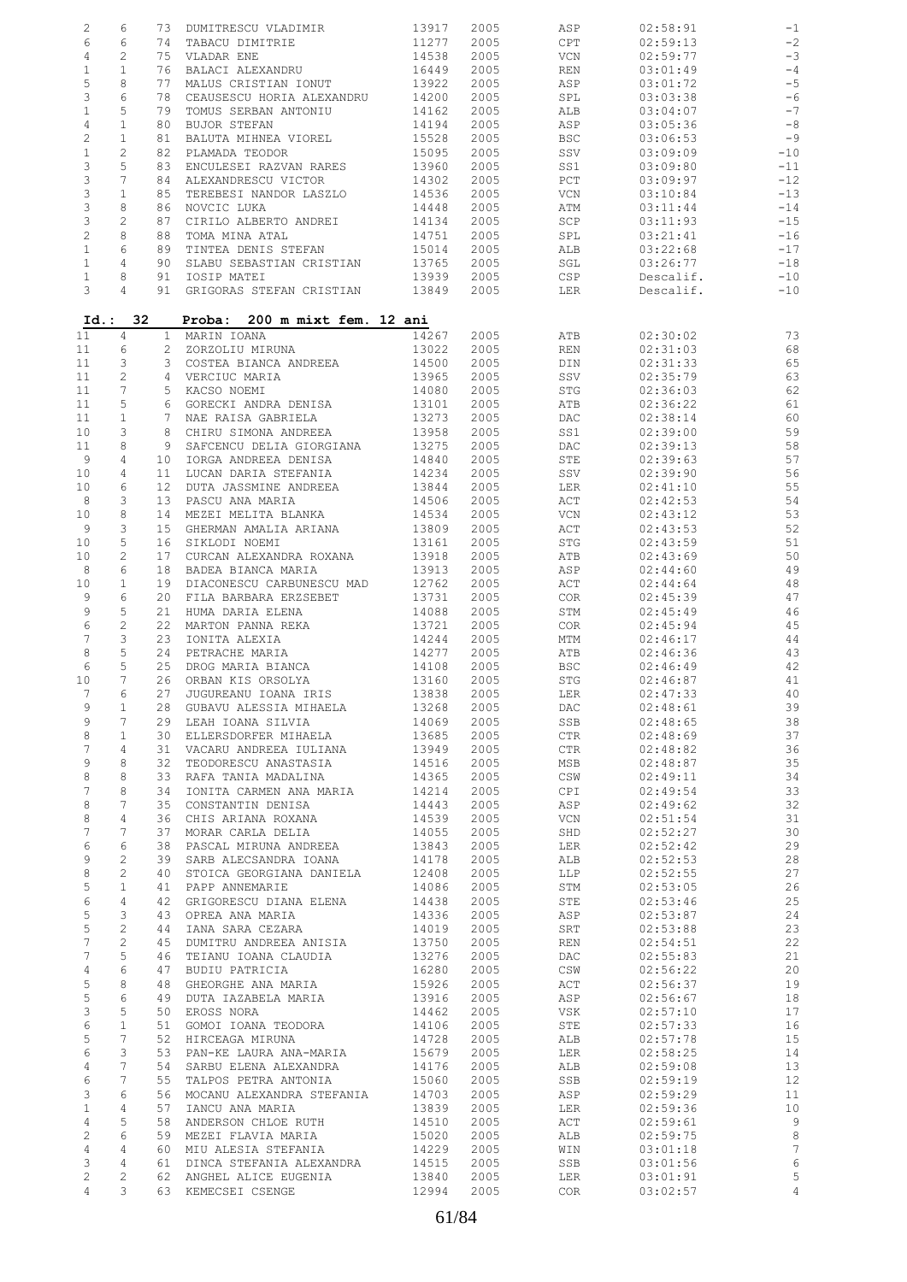| $\mathbf{2}$   | 6                     | 73                    | DUMITRESCU VLADIMIR              | 13917 | 2005 | ASP            | 02:58:91  | $-1$            |
|----------------|-----------------------|-----------------------|----------------------------------|-------|------|----------------|-----------|-----------------|
| 6              | 6                     | 74                    | TABACU DIMITRIE                  | 11277 | 2005 | CPT            | 02:59:13  | $^{\rm -2}$     |
| $\overline{4}$ | $\overline{c}$        | 75                    | VLADAR ENE                       | 14538 | 2005 | VCN            | 02:59:77  | $-3$            |
|                |                       |                       |                                  |       |      |                |           |                 |
| $\mathbf 1$    | $\mathbf 1$           | 76                    | BALACI ALEXANDRU                 | 16449 | 2005 | REN            | 03:01:49  | $-4$            |
| 5              | 8                     | 77                    | MALUS CRISTIAN IONUT             | 13922 | 2005 | ASP            | 03:01:72  | $-5$            |
|                |                       |                       |                                  |       |      |                |           |                 |
| 3              | 6                     | 78                    | CEAUSESCU HORIA ALEXANDRU        | 14200 | 2005 | SPL            | 03:03:38  | $-6$            |
| $\mathbf{1}$   | 5                     | 79                    | TOMUS SERBAN ANTONIU             | 14162 | 2005 | ALB            | 03:04:07  | $-7$            |
| $\overline{4}$ | $\mathbf 1$           | 80                    | BUJOR STEFAN                     | 14194 | 2005 | ASP            | 03:05:36  | $^{\rm -8}$     |
|                |                       |                       |                                  |       |      |                |           |                 |
| 2              | $\mathbf 1$           | 81                    | BALUTA MIHNEA VIOREL             | 15528 | 2005 | <b>BSC</b>     | 03:06:53  | $-9$            |
| $1\,$          | $\overline{c}$        | 82                    | PLAMADA TEODOR                   | 15095 | 2005 | SSV            | 03:09:09  | $-10$           |
|                |                       |                       |                                  |       |      |                |           |                 |
| 3              | 5                     | 83                    | ENCULESEI RAZVAN RARES           | 13960 | 2005 | SS1            | 03:09:80  | $-11$           |
| 3              | 7                     | 84                    | ALEXANDRESCU VICTOR              | 14302 | 2005 | PCT            | 03:09:97  | $-12$           |
|                |                       |                       |                                  |       |      |                |           |                 |
| 3              | $\mathbf{1}$          | 85                    | TEREBESI NANDOR LASZLO           | 14536 | 2005 | VCN            | 03:10:84  | $-13$           |
| 3              | 8                     | 86                    | NOVCIC LUKA                      | 14448 | 2005 | ATM            | 03:11:44  | $-14$           |
| 3              | 2                     | 87                    | CIRILO ALBERTO ANDREI            | 14134 | 2005 | SCP            | 03:11:93  | $-15$           |
|                |                       |                       |                                  |       |      |                |           |                 |
| $\overline{c}$ | 8                     | 88                    | TOMA MINA ATAL                   | 14751 | 2005 | SPL            | 03:21:41  | $-16$           |
| $\mathbf{1}$   | 6                     | 89                    | TINTEA DENIS STEFAN              | 15014 | 2005 | ALB            | 03:22:68  | $-17$           |
|                |                       |                       |                                  |       |      |                |           |                 |
| $\mathbf{1}$   | 4                     | 90                    | SLABU SEBASTIAN CRISTIAN         | 13765 | 2005 | SGL            | 03:26:77  | $-18$           |
| $\mathbf{1}$   | 8                     | 91                    | IOSIP MATEI                      | 13939 | 2005 | CSP            | Descalif. | $-10$           |
| 3              | $\overline{4}$        | 91                    | GRIGORAS STEFAN CRISTIAN         | 13849 | 2005 | LER            | Descalif. | $-10$           |
|                |                       |                       |                                  |       |      |                |           |                 |
|                |                       |                       |                                  |       |      |                |           |                 |
| Id.:           | 32                    |                       | Proba:<br>200 m mixt fem. 12 ani |       |      |                |           |                 |
|                |                       |                       |                                  |       |      |                |           |                 |
| 11             | $\overline{4}$        | 1                     | MARIN IOANA                      | 14267 | 2005 | ATB            | 02:30:02  | 73              |
| 11             | 6                     | $\mathbf{2}^{\prime}$ | ZORZOLIU MIRUNA                  | 13022 | 2005 | <b>REN</b>     | 02:31:03  | 68              |
|                |                       |                       |                                  |       |      |                |           |                 |
| 11             | 3                     | 3                     | COSTEA BIANCA ANDREEA            | 14500 | 2005 | DIN            | 02:31:33  | 65              |
| 11             | 2                     | 4                     | VERCIUC MARIA                    | 13965 | 2005 | SSV            | 02:35:79  | 63              |
| 11             | 7                     | 5                     | KACSO NOEMI                      | 14080 | 2005 | STG            | 02:36:03  | 62              |
|                |                       |                       |                                  |       |      |                |           |                 |
| 11             | 5                     | 6                     | GORECKI ANDRA DENISA             | 13101 | 2005 | ATB            | 02:36:22  | 61              |
| 11             | $\mathbf 1$           | $7\phantom{.0}$       | NAE RAISA GABRIELA               | 13273 | 2005 | DAC            | 02:38:14  | 60              |
|                |                       |                       |                                  |       |      |                |           |                 |
| 10             | 3                     | 8                     | CHIRU SIMONA ANDREEA             | 13958 | 2005 | SS1            | 02:39:00  | 59              |
| 11             | 8                     | 9                     | SAFCENCU DELIA GIORGIANA         | 13275 | 2005 | DAC            | 02:39:13  | 58              |
|                |                       |                       |                                  |       |      |                |           |                 |
| 9              | 4                     | 10                    | IORGA ANDREEA DENISA             | 14840 | 2005 | STE            | 02:39:63  | 57              |
| 10             | $\overline{4}$        | 11                    | LUCAN DARIA STEFANIA             | 14234 | 2005 | SSV            | 02:39:90  | 56              |
| 10             | 6                     | 12 <sub>2</sub>       | DUTA JASSMINE ANDREEA            | 13844 | 2005 | LER            | 02:41:10  | 55              |
|                |                       |                       |                                  |       |      |                |           |                 |
| 8              | 3                     | 13 <sup>°</sup>       | PASCU ANA MARIA                  | 14506 | 2005 | ACT            | 02:42:53  | 54              |
| 10             | 8                     | 14                    | MEZEI MELITA BLANKA              | 14534 | 2005 | VCN            | 02:43:12  | 53              |
|                |                       |                       |                                  |       |      |                |           |                 |
| 9              | 3                     | 15 <sub>1</sub>       | GHERMAN AMALIA ARIANA            | 13809 | 2005 | ACT            | 02:43:53  | 52              |
| 10             | 5                     | 16                    | SIKLODI NOEMI                    | 13161 | 2005 | STG            | 02:43:59  | 51              |
|                | $\mathbf{2}^{\prime}$ | 17                    |                                  |       | 2005 |                |           | 50              |
| 10             |                       |                       | CURCAN ALEXANDRA ROXANA          | 13918 |      | ATB            | 02:43:69  |                 |
| 8              | 6                     | 18                    | BADEA BIANCA MARIA               | 13913 | 2005 | ASP            | 02:44:60  | 49              |
| 10             | $\mathbf{1}$          | 19                    | DIACONESCU CARBUNESCU MAD        | 12762 | 2005 | ACT            | 02:44:64  | 48              |
|                |                       |                       |                                  |       |      |                |           |                 |
| 9              | 6                     | 20                    | FILA BARBARA ERZSEBET            | 13731 | 2005 | COR            | 02:45:39  | 47              |
| 9              | 5                     | 21                    | HUMA DARIA ELENA                 | 14088 | 2005 | STM            | 02:45:49  | 46              |
| 6              | 2                     | 22                    | MARTON PANNA REKA                | 13721 | 2005 | COR            | 02:45:94  | 45              |
|                |                       |                       |                                  |       |      |                |           |                 |
| $\overline{7}$ | 3                     | 23                    | IONITA ALEXIA                    | 14244 | 2005 | MTM            | 02:46:17  | 44              |
| 8              | 5                     | 24                    | PETRACHE MARIA                   | 14277 | 2005 | ATB            | 02:46:36  | 43              |
|                |                       |                       |                                  |       |      |                |           |                 |
| 6              | 5                     | 25                    | DROG MARIA BIANCA                | 14108 | 2005 | <b>BSC</b>     | 02:46:49  | 42              |
| 10             | 7                     | 26                    | ORBAN KIS ORSOLYA                | 13160 | 2005 | STG            | 02:46:87  | 41              |
| 7              | 6                     | 27                    | JUGUREANU IOANA IRIS             | 13838 | 2005 | LER            | 02:47:33  | 40              |
|                |                       |                       |                                  |       |      |                |           |                 |
| 9              | $\mathbf 1$           | 28                    | GUBAVU ALESSIA MIHAELA           | 13268 | 2005 | $\mathtt{DAC}$ | 02:48:61  | 39              |
| 9              | 7                     | 29                    | LEAH IOANA SILVIA                | 14069 | 2005 | SSB            | 02:48:65  | 38              |
|                |                       |                       |                                  |       |      |                |           |                 |
| 8              | $\mathbf{1}$          | 30                    | ELLERSDORFER MIHAELA             | 13685 | 2005 | CTR            | 02:48:69  | 37              |
| 7              | 4                     |                       | 31 VACARU ANDREEA IULIANA        | 13949 | 2005 | CTR            | 02:48:82  | 36              |
| 9              | 8                     | 32                    | TEODORESCU ANASTASIA             | 14516 | 2005 | MSB            | 02:48:87  | 35              |
|                |                       |                       |                                  |       |      |                |           |                 |
| 8              | 8                     | 33                    | RAFA TANIA MADALINA              | 14365 | 2005 | CSW            | 02:49:11  | 34              |
| 7              | 8                     | 34                    | IONITA CARMEN ANA MARIA          | 14214 | 2005 | CPI            | 02:49:54  | 33              |
|                |                       |                       |                                  |       |      |                |           |                 |
| 8              | 7                     | 35                    | CONSTANTIN DENISA                | 14443 | 2005 | ASP            | 02:49:62  | 32              |
| 8              | 4                     | 36                    | CHIS ARIANA ROXANA               | 14539 | 2005 | VCN            | 02:51:54  | 31              |
| 7              | 7                     | 37                    | MORAR CARLA DELIA                | 14055 | 2005 | SHD            | 02:52:27  | 30              |
|                |                       |                       |                                  |       |      |                |           |                 |
| 6              | 6                     | 38                    | PASCAL MIRUNA ANDREEA            | 13843 | 2005 | LER            | 02:52:42  | 29              |
| 9              | $\overline{c}$        | 39                    | SARB ALECSANDRA IOANA            | 14178 | 2005 | ALB            | 02:52:53  | 28              |
| 8              | $\mathbf{2}^{\prime}$ | 40                    | STOICA GEORGIANA DANIELA         | 12408 | 2005 | <b>LLP</b>     | 02:52:55  | 27              |
|                |                       |                       |                                  |       |      |                |           |                 |
| 5              | $\mathbf{1}$          | 41                    | PAPP ANNEMARIE                   | 14086 | 2005 | STM            | 02:53:05  | 26              |
| 6              | 4                     | 42                    | GRIGORESCU DIANA ELENA           | 14438 | 2005 | STE            | 02:53:46  | 25              |
|                |                       |                       |                                  |       |      |                |           |                 |
| 5              | 3                     | 43                    | OPREA ANA MARIA                  | 14336 | 2005 | ASP            | 02:53:87  | 24              |
| 5              | $\overline{c}$        | 44                    | IANA SARA CEZARA                 | 14019 | 2005 | SRT            | 02:53:88  | 23              |
| 7              | $\overline{c}$        | 45                    | DUMITRU ANDREEA ANISIA           | 13750 | 2005 | REN            | 02:54:51  | 22              |
|                |                       |                       |                                  |       |      |                |           |                 |
| 7              | 5                     | 46                    | TEIANU IOANA CLAUDIA             | 13276 | 2005 | DAC            | 02:55:83  | 21              |
| $\overline{4}$ | 6                     | 47                    | BUDIU PATRICIA                   | 16280 | 2005 | CSW            | 02:56:22  | 20              |
| 5              | 8                     |                       |                                  |       |      |                |           |                 |
|                |                       | 48                    | GHEORGHE ANA MARIA               | 15926 | 2005 | ACT            | 02:56:37  | 19              |
| 5              | 6                     | 49                    | DUTA IAZABELA MARIA              | 13916 | 2005 | ASP            | 02:56:67  | 18              |
| 3              | 5                     | 50                    | EROSS NORA                       | 14462 | 2005 | VSK            | 02:57:10  | 17              |
|                |                       |                       |                                  |       |      |                |           |                 |
| 6              | $\mathbf{1}$          | 51                    | GOMOI IOANA TEODORA              | 14106 | 2005 | STE            | 02:57:33  | 16              |
| 5              | 7                     | 52                    | HIRCEAGA MIRUNA                  | 14728 | 2005 | ALB            | 02:57:78  | 15              |
| 6              |                       |                       | PAN-KE LAURA ANA-MARIA           |       |      |                |           |                 |
|                | 3                     | 53                    |                                  | 15679 | 2005 | LER            | 02:58:25  | 14              |
| $\overline{4}$ | 7                     | 54                    | SARBU ELENA ALEXANDRA            | 14176 | 2005 | ALB            | 02:59:08  | 13              |
| 6              | 7                     | 55                    | TALPOS PETRA ANTONIA             | 15060 | 2005 | SSB            | 02:59:19  | 12              |
|                |                       |                       |                                  |       |      |                |           |                 |
| 3              | 6                     | 56                    | MOCANU ALEXANDRA STEFANIA        | 14703 | 2005 | ASP            | 02:59:29  | 11              |
| $\mathbf{1}$   | 4                     | 57                    | IANCU ANA MARIA                  | 13839 | 2005 | LER            | 02:59:36  | 10              |
|                | 5                     |                       |                                  |       |      |                |           |                 |
| $\overline{4}$ |                       | 58                    | ANDERSON CHLOE RUTH              | 14510 | 2005 | ACT            | 02:59:61  | $\mathcal{G}$   |
| $\overline{c}$ | 6                     | 59                    | MEZEI FLAVIA MARIA               | 15020 | 2005 | ALB            | 02:59:75  | $\,8\,$         |
| $\overline{4}$ | 4                     | 60                    | MIU ALESIA STEFANIA              | 14229 | 2005 | WIN            | 03:01:18  | $7\phantom{.0}$ |
|                |                       |                       |                                  |       |      |                |           |                 |
| 3              | 4                     | 61                    | DINCA STEFANIA ALEXANDRA         | 14515 | 2005 | SSB            | 03:01:56  | $6\,$           |
| $\overline{c}$ | $\overline{c}$        | 62                    | ANGHEL ALICE EUGENIA             | 13840 | 2005 | LER            | 03:01:91  | 5               |
| $\overline{4}$ | 3                     | 63                    | KEMECSEI CSENGE                  | 12994 | 2005 | COR            | 03:02:57  | $\overline{4}$  |
|                |                       |                       |                                  |       |      |                |           |                 |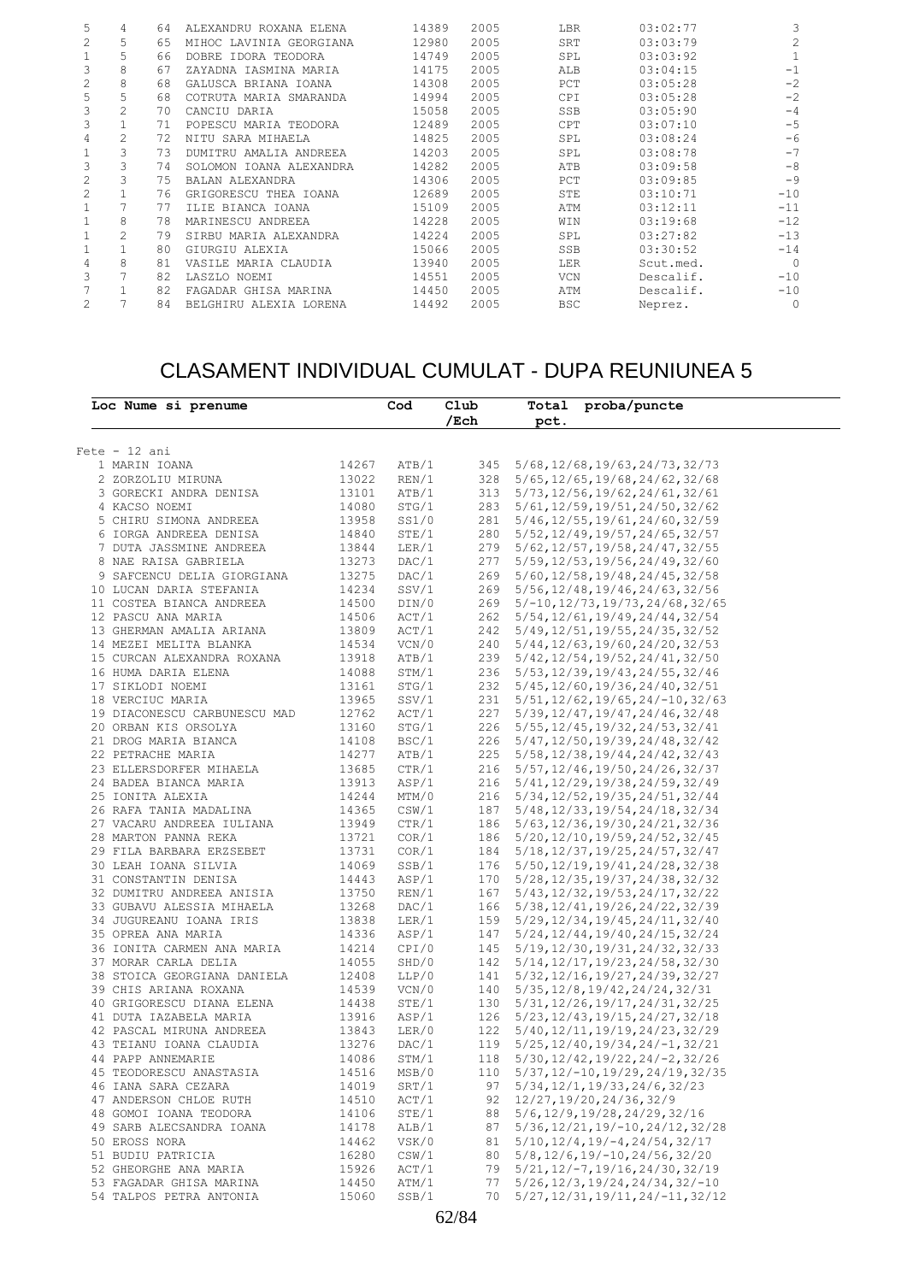| 5              | 4             | 64 | ALEXANDRU ROXANA ELENA  | 14389 | 2005 | LBR        | 03:02:77  |       |
|----------------|---------------|----|-------------------------|-------|------|------------|-----------|-------|
| $\overline{c}$ | 5             | 65 | MIHOC LAVINIA GEORGIANA | 12980 | 2005 | SRT        | 03:03:79  |       |
|                | 5             | 66 | DOBRE IDORA TEODORA     | 14749 | 2005 | SPL        | 03:03:92  |       |
| 3              | 8             | 67 | ZAYADNA IASMINA MARIA   | 14175 | 2005 | ALB        | 03:04:15  | $-1$  |
| $\overline{c}$ | 8             | 68 | GALUSCA BRIANA IOANA    | 14308 | 2005 | PCT        | 03:05:28  | $-2$  |
| 5              | 5             | 68 | COTRUTA MARIA SMARANDA  | 14994 | 2005 | CPI        | 03:05:28  | $-2$  |
| 3              | 2.            | 70 | CANCIU DARIA            | 15058 | 2005 | SSB        | 03:05:90  | $-4$  |
| 3              |               | 71 | POPESCU MARIA TEODORA   | 12489 | 2005 | <b>CPT</b> | 03:07:10  | $-5$  |
| 4              |               | 72 | NITU SARA MIHAELA       | 14825 | 2005 | SPL        | 03:08:24  | $-6$  |
|                | 3             | 73 | DUMITRU AMALIA ANDREEA  | 14203 | 2005 | SPL        | 03:08:78  | $-7$  |
| 3              | 3             | 74 | SOLOMON IOANA ALEXANDRA | 14282 | 2005 | ATB        | 03:09:58  | $-8$  |
| $\overline{c}$ | 3             | 75 | BALAN ALEXANDRA         | 14306 | 2005 | PCT        | 03:09:85  | $-9$  |
| $\overline{c}$ |               | 76 | GRIGORESCU THEA IOANA   | 12689 | 2005 | STE        | 03:10:71  | $-10$ |
|                |               | 77 | ILIE BIANCA IOANA       | 15109 | 2005 | ATM        | 03:12:11  | $-11$ |
|                | 8             | 78 | MARINESCU ANDREEA       | 14228 | 2005 | WIN        | 03:19:68  | $-12$ |
|                | $\mathcal{L}$ | 79 | SIRBU MARIA ALEXANDRA   | 14224 | 2005 | SPL        | 03:27:82  | $-13$ |
|                |               | 80 | GIURGIU ALEXIA          | 15066 | 2005 | <b>SSB</b> | 03:30:52  | $-14$ |
| 4              | 8             | 81 | VASILE MARIA CLAUDIA    | 13940 | 2005 | <b>LER</b> | Scut.med. |       |
| 3              |               | 82 | LASZLO NOEMI            | 14551 | 2005 | <b>VCN</b> | Descalif. | $-10$ |
| 7              |               | 82 | FAGADAR GHISA MARINA    | 14450 | 2005 | ATM        | Descalif. | $-10$ |
| $\overline{2}$ |               | 84 | BELGHIRU ALEXIA LORENA  | 14492 | 2005 | <b>BSC</b> | Neprez.   |       |
|                |               |    |                         |       |      |            |           |       |

# CLASAMENT INDIVIDUAL CUMULAT - DUPA REUNIUNEA 5

| Loc Nume si prenume          |                | Cod                                | Club            |      | Total proba/puncte                                       |  |
|------------------------------|----------------|------------------------------------|-----------------|------|----------------------------------------------------------|--|
|                              |                |                                    | $/$ Ech         | pct. |                                                          |  |
|                              |                |                                    |                 |      |                                                          |  |
| $Fete - 12 ani$              |                |                                    |                 |      |                                                          |  |
| 1 MARIN IOANA                | 14267          | ATB/1                              |                 |      | 345 5/68, 12/68, 19/63, 24/73, 32/73                     |  |
| 2 ZORZOLIU MIRUNA            | 13022          | REN/1                              |                 |      | 328 5/65, 12/65, 19/68, 24/62, 32/68                     |  |
| 3 GORECKI ANDRA DENISA       | 13101          | ATB/1                              |                 |      | 313 5/73, 12/56, 19/62, 24/61, 32/61                     |  |
| 4 KACSO NOEMI                | 14080          | $STG/1$<br>$SS1/0$                 |                 |      | 283 5/61, 12/59, 19/51, 24/50, 32/62                     |  |
| 5 CHIRU SIMONA ANDREEA       | 13958          |                                    |                 |      | 281 5/46, 12/55, 19/61, 24/60, 32/59                     |  |
| 6 IORGA ANDREEA DENISA       | 14840          | STE/1<br>LER/1<br>DAC/1<br>DAC/1   |                 |      | 280 5/52, 12/49, 19/57, 24/65, 32/57                     |  |
| 7 DUTA JASSMINE ANDREEA      | 13844          |                                    |                 |      | 279 5/62, 12/57, 19/58, 24/47, 32/55                     |  |
| 8 NAE RAISA GABRIELA         | 13273          |                                    |                 |      | 277 5/59, 12/53, 19/56, 24/49, 32/60                     |  |
| 9 SAFCENCU DELIA GIORGIANA   | 13275          |                                    |                 |      | 269 5/60, 12/58, 19/48, 24/45, 32/58                     |  |
| 10 LUCAN DARIA STEFANIA      | 14234          | SSV/1<br>DIN/0                     |                 |      | 269 5/56, 12/48, 19/46, 24/63, 32/56                     |  |
| 11 COSTEA BIANCA ANDREEA     | 14500          |                                    |                 |      | 269 5/-10, 12/73, 19/73, 24/68, 32/65                    |  |
| 12 PASCU ANA MARIA           | 14506          | $ACT/1$<br>$ACT/1$                 |                 |      | 262 5/54, 12/61, 19/49, 24/44, 32/54                     |  |
| 13 GHERMAN AMALIA ARIANA     | 13809          |                                    |                 |      | 242 5/49, 12/51, 19/55, 24/35, 32/52                     |  |
| 14 MEZEI MELITA BLANKA       | 14534          | VCN/0<br>ATB/1                     |                 |      | 240 5/44, 12/63, 19/60, 24/20, 32/53                     |  |
| 15 CURCAN ALEXANDRA ROXANA   | 13918          |                                    |                 |      | 239 5/42, 12/54, 19/52, 24/41, 32/50                     |  |
| 16 HUMA DARIA ELENA          | 14088          | STM/1                              |                 |      | 236 5/53, 12/39, 19/43, 24/55, 32/46                     |  |
| 17 SIKLODI NOEMI             | 13161          | STG/1                              |                 |      | 232 5/45, 12/60, 19/36, 24/40, 32/51                     |  |
| 18 VERCIUC MARIA             | 13965          | SSV/1                              |                 |      | $231 \quad 5/51, 12/62, 19/65, 24/-10, 32/63$            |  |
| 19 DIACONESCU CARBUNESCU MAD | 12762          | ACT/1                              |                 |      | 227 5/39, 12/47, 19/47, 24/46, 32/48                     |  |
| 20 ORBAN KIS ORSOLYA         | 13160          | STG/1                              |                 |      | 226 5/55, 12/45, 19/32, 24/53, 32/41                     |  |
| 21 DROG MARIA BIANCA         | 13160<br>14108 | BSC/1                              |                 |      | 226 5/47, 12/50, 19/39, 24/48, 32/42                     |  |
| 22 PETRACHE MARIA            |                |                                    |                 |      | 225 5/58, 12/38, 19/44, 24/42, 32/43                     |  |
| 23 ELLERSDORFER MIHAELA      | 14277<br>13685 | $\frac{1}{CTR/1}$                  |                 |      | 216 5/57, 12/46, 19/50, 24/26, 32/37                     |  |
| 24 BADEA BIANCA MARIA        | 13913          | ASP/1<br>MTM/0                     |                 |      | 216 5/41, 12/29, 19/38, 24/59, 32/49                     |  |
| 25 IONITA ALEXIA             | 14244          |                                    |                 |      | 216 5/34, 12/52, 19/35, 24/51, 32/44                     |  |
| 26 RAFA TANIA MADALINA       | 14365          | $\frac{\text{CSW}}{ \text{CTR}/1}$ |                 |      | 187 5/48, 12/33, 19/54, 24/18, 32/34                     |  |
| 27 VACARU ANDREEA IULIANA    | 13949          |                                    |                 |      | 186 5/63, 12/36, 19/30, 24/21, 32/36                     |  |
| 28 MARTON PANNA REKA         | 13721          |                                    |                 |      | 186 5/20, 12/10, 19/59, 24/52, 32/45                     |  |
| 29 FILA BARBARA ERZSEBET     | 13731          | COR/1<br>COR/1                     |                 |      | 184 5/18, 12/37, 19/25, 24/57, 32/47                     |  |
| 30 LEAH IOANA SILVIA         | 14069          | SSB/1                              |                 |      | 176 5/50, 12/19, 19/41, 24/28, 32/38                     |  |
| 31 CONSTANTIN DENISA         | 14443          | ASP/1                              |                 |      | $170$ $5/28$ , $12/35$ , $19/37$ , $24/38$ , $32/32$     |  |
| 32 DUMITRU ANDREEA ANISIA    | 13750          | REN/1                              |                 |      | 167 5/43, 12/32, 19/53, 24/17, 32/22                     |  |
| 33 GUBAVU ALESSIA MIHAELA    | 13268          | DAC/1                              |                 |      | 166 5/38, 12/41, 19/26, 24/22, 32/39                     |  |
| 34 JUGUREANU IOANA IRIS      |                | LER/1                              |                 |      | 159 5/29, 12/34, 19/45, 24/11, 32/40                     |  |
| 35 OPREA ANA MARIA           | 13838<br>14336 | ASP/1                              |                 |      | 147 5/24, 12/44, 19/40, 24/15, 32/24                     |  |
| 36 IONITA CARMEN ANA MARIA   | 14214          | CPI/0                              |                 |      | 145 5/19, 12/30, 19/31, 24/32, 32/33                     |  |
| 37 MORAR CARLA DELIA         | 14055          | SHD/0                              |                 |      | 142 5/14, 12/17, 19/23, 24/58, 32/30                     |  |
| 38 STOICA GEORGIANA DANIELA  | 12408          | LLP/0                              |                 |      | 141 5/32, 12/16, 19/27, 24/39, 32/27                     |  |
| 39 CHIS ARIANA ROXANA        | 14539          | VCN/0                              |                 |      | 140 5/35, 12/8, 19/42, 24/24, 32/31                      |  |
| 40 GRIGORESCU DIANA ELENA    | 14438          | STE/1                              |                 |      | 130 5/31, 12/26, 19/17, 24/31, 32/25                     |  |
| 41 DUTA IAZABELA MARIA       | 13916          | ASP/1                              |                 |      | 126 5/23, 12/43, 19/15, 24/27, 32/18                     |  |
| 42 PASCAL MIRUNA ANDREEA     | 13843          | LER/0                              |                 |      | 122 5/40, 12/11, 19/19, 24/23, 32/29                     |  |
| 43 TEIANU IOANA CLAUDIA      | 13276          | DAC/1                              |                 |      | $119 \quad 5/25$ , $12/40$ , $19/34$ , $24/-1$ , $32/21$ |  |
| 44 PAPP ANNEMARIE            | 14086          | STM/1                              |                 |      | $118$ 5/30, 12/42, 19/22, 24/-2, 32/26                   |  |
|                              |                |                                    | 110             |      |                                                          |  |
| 45 TEODORESCU ANASTASIA      | 14516          | MSB/0                              |                 |      | $5/37, 12/-10, 19/29, 24/19, 32/35$                      |  |
| 46 IANA SARA CEZARA          | 14019          | SRT/1                              | 97              |      | 5/34, 12/1, 19/33, 24/6, 32/23                           |  |
| 47 ANDERSON CHLOE RUTH       | 14510          | ACT/1                              |                 |      | $92 \quad 12/27, 19/20, 24/36, 32/9$                     |  |
| 48 GOMOI IOANA TEODORA       | 14106          | STE/1                              | 88              |      | $5/6$ , 12/9, 19/28, 24/29, 32/16                        |  |
| 49 SARB ALECSANDRA IOANA     | 14178          | ALB/1                              | 87              |      | $5/36$ , $12/21$ , $19/-10$ , $24/12$ , $32/28$          |  |
| 50 EROSS NORA                | 14462          | VSK/0                              | 81              |      | $5/10, 12/4, 19/-4, 24/54, 32/17$                        |  |
| 51 BUDIU PATRICIA            | 16280          | CSW/1                              | 80              |      | $5/8$ , $12/6$ , $19/-10$ , $24/56$ , $32/20$            |  |
| 52 GHEORGHE ANA MARIA        | 15926          | ACT/1                              | 79              |      | $5/21, 12/-7, 19/16, 24/30, 32/19$                       |  |
| 53 FAGADAR GHISA MARINA      | 14450          | ATM/1                              | 77              |      | $5/26$ , $12/3$ , $19/24$ , $24/34$ , $32/-10$           |  |
| 54 TALPOS PETRA ANTONIA      | 15060          | SSB/1                              | 70              |      | $5/27, 12/31, 19/11, 24/-11, 32/12$                      |  |
|                              |                |                                    | $\sim$ 10 $\pm$ |      |                                                          |  |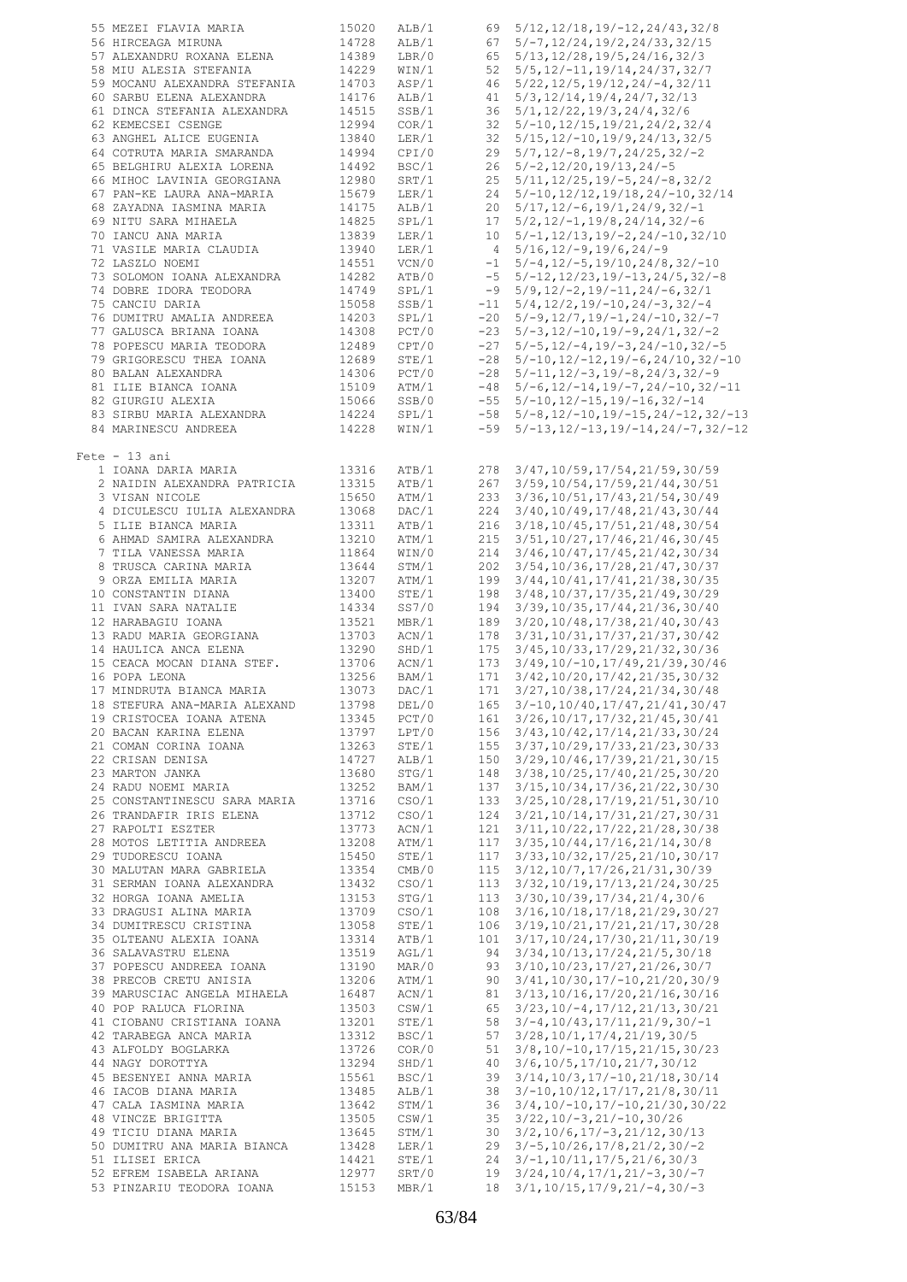| 55 MEZEI FLAVIA MARIA        | 15020 | ALB/1 |      | 69 5/12, 12/18, 19/-12, 24/43, 32/8            |
|------------------------------|-------|-------|------|------------------------------------------------|
| 56 HIRCEAGA MIRUNA           | 14728 | ALB/1 |      |                                                |
|                              |       |       |      | $67 \quad 5/-7, 12/24, 19/2, 24/33, 32/15$     |
| 57 ALEXANDRU ROXANA ELENA    | 14389 | LBR/0 |      | 65 5/13, 12/28, 19/5, 24/16, 32/3              |
| 58 MIU ALESIA STEFANIA       | 14229 | WIN/1 |      | $52 \quad 5/5$ , 12/-11, 19/14, 24/37, 32/7    |
| 59 MOCANU ALEXANDRA STEFANIA | 14703 | ASP/1 |      | $46 \quad 5/22, 12/5, 19/12, 24/-4, 32/11$     |
| 60 SARBU ELENA ALEXANDRA     | 14176 | ALB/1 | 41   | $5/3$ , $12/14$ , $19/4$ , $24/7$ , $32/13$    |
| 61 DINCA STEFANIA ALEXANDRA  | 14515 | SSB/1 |      | 36 5/1, 12/22, 19/3, 24/4, 32/6                |
| 62 KEMECSEI CSENGE           | 12994 | COR/1 | 32   | $5/-10$ , $12/15$ , $19/21$ , $24/2$ , $32/4$  |
|                              |       |       |      |                                                |
| 63 ANGHEL ALICE EUGENIA      | 13840 | LER/1 |      | 32 5/15, 12/-10, 19/9, 24/13, 32/5             |
| 64 COTRUTA MARIA SMARANDA    | 14994 | CPI/0 |      | $29 \quad 5/7, 12/-8, 19/7, 24/25, 32/-2$      |
| 65 BELGHIRU ALEXIA LORENA    | 14492 | BSC/1 |      | $26 \quad 5/-2, 12/20, 19/13, 24/-5$           |
| 66 MIHOC LAVINIA GEORGIANA   | 12980 | SRT/1 |      | $25 \quad 5/11, 12/25, 19/-5, 24/-8, 32/2$     |
| 67 PAN-KE LAURA ANA-MARIA    | 15679 | LER/1 |      | 24 5/-10, 12/12, 19/18, 24/-10, 32/14          |
| 68 ZAYADNA IASMINA MARIA     | 14175 | ALB/1 |      | $20 \quad 5/17, 12/-6, 19/1, 24/9, 32/-1$      |
| 69 NITU SARA MIHAELA         | 14825 | SPL/1 |      | $17 \quad 5/2, 12/-1, 19/8, 24/14, 32/-6$      |
|                              |       |       |      |                                                |
| 70 IANCU ANA MARIA           | 13839 | LER/1 |      | $10 \quad 5/-1, 12/13, 19/-2, 24/-10, 32/10$   |
| 71 VASILE MARIA CLAUDIA      | 13940 | LER/1 |      | $4\quad 5/16, 12/-9, 19/6, 24/-9$              |
| 72 LASZLO NOEMI              | 14551 | VCN/0 | $-1$ | $5/-4$ , $12/-5$ , $19/10$ , $24/8$ , $32/-10$ |
| 73 SOLOMON IOANA ALEXANDRA   | 14282 | ATB/0 |      | $-5$ 5/-12, 12/23, 19/-13, 24/5, 32/-8         |
| 74 DOBRE IDORA TEODORA       | 14749 | SPL/1 |      | $-9$ 5/9, 12/-2, 19/-11, 24/-6, 32/1           |
| 75 CANCIU DARIA              | 15058 | SSB/1 |      | $-11$ 5/4, 12/2, 19/-10, 24/-3, 32/-4          |
|                              |       |       |      |                                                |
| 76 DUMITRU AMALIA ANDREEA    | 14203 | SPL/1 |      | $-20$ 5/-9, 12/7, 19/-1, 24/-10, 32/-7         |
| 77 GALUSCA BRIANA IOANA      | 14308 | PCT/0 |      | $-23$ 5/-3, 12/-10, 19/-9, 24/1, 32/-2         |
| 78 POPESCU MARIA TEODORA     | 12489 | CPT/0 |      | $-27$ 5/-5, 12/-4, 19/-3, 24/-10, 32/-5        |
| 79 GRIGORESCU THEA IOANA     | 12689 | STE/1 |      | $-28$ 5/-10, 12/-12, 19/-6, 24/10, 32/-10      |
| 80 BALAN ALEXANDRA           | 14306 | PCT/0 |      | $-28$ 5/-11, 12/-3, 19/-8, 24/3, 32/-9         |
| 81 ILIE BIANCA IOANA         | 15109 | ATM/1 |      | $-48$ 5/-6, 12/-14, 19/-7, 24/-10, 32/-11      |
| 82 GIURGIU ALEXIA            | 15066 | SSB/0 |      | $-55$ 5/-10, 12/-15, 19/-16, 32/-14            |
|                              |       |       |      |                                                |
| 83 SIRBU MARIA ALEXANDRA     | 14224 | SPL/1 |      | $-58$ 5/-8, 12/-10, 19/-15, 24/-12, 32/-13     |
| 84 MARINESCU ANDREEA         | 14228 | WIN/1 |      | $-59$ 5/-13, 12/-13, 19/-14, 24/-7, 32/-12     |
|                              |       |       |      |                                                |
| Fete - 13 ani                |       |       |      |                                                |
| 1 IOANA DARIA MARIA          | 13316 | ATB/1 |      | 278 3/47, 10/59, 17/54, 21/59, 30/59           |
| 2 NAIDIN ALEXANDRA PATRICIA  | 13315 | ATB/1 |      | 267 3/59, 10/54, 17/59, 21/44, 30/51           |
|                              |       |       |      |                                                |
| 3 VISAN NICOLE               | 15650 | ATM/1 |      | 233 3/36, 10/51, 17/43, 21/54, 30/49           |
| 4 DICULESCU IULIA ALEXANDRA  | 13068 | DAC/1 |      | 224 3/40, 10/49, 17/48, 21/43, 30/44           |
| 5 ILIE BIANCA MARIA          | 13311 | ATB/1 |      | 216 3/18, 10/45, 17/51, 21/48, 30/54           |
| 6 AHMAD SAMIRA ALEXANDRA     | 13210 | ATM/1 |      | 215 3/51, 10/27, 17/46, 21/46, 30/45           |
| 7 TILA VANESSA MARIA         | 11864 | WIN/0 |      | 214 3/46, 10/47, 17/45, 21/42, 30/34           |
| 8 TRUSCA CARINA MARIA        | 13644 | STM/1 |      | 202 3/54, 10/36, 17/28, 21/47, 30/37           |
|                              |       |       |      |                                                |
| 9 ORZA EMILIA MARIA          | 13207 | ATM/1 |      | 199 3/44, 10/41, 17/41, 21/38, 30/35           |
| 10 CONSTANTIN DIANA          | 13400 | STE/1 |      | 198 3/48, 10/37, 17/35, 21/49, 30/29           |
| 11 IVAN SARA NATALIE         | 14334 | SS7/0 |      | 194 3/39, 10/35, 17/44, 21/36, 30/40           |
| 12 HARABAGIU IOANA           | 13521 | MBR/1 |      | 189 3/20, 10/48, 17/38, 21/40, 30/43           |
| 13 RADU MARIA GEORGIANA      | 13703 | ACN/1 |      | 178 3/31, 10/31, 17/37, 21/37, 30/42           |
| 14 HAULICA ANCA ELENA        | 13290 | SHD/1 |      | 175 3/45, 10/33, 17/29, 21/32, 30/36           |
|                              |       |       |      |                                                |
| 15 CEACA MOCAN DIANA STEF.   | 13706 | ACN/1 |      | 173 3/49, 10/-10, 17/49, 21/39, 30/46          |
| 16 POPA LEONA                | 13256 | BAM/1 |      | 171 3/42, 10/20, 17/42, 21/35, 30/32           |
| 17 MINDRUTA BIANCA MARIA     | 13073 | DAC/1 | 171  | 3/27, 10/38, 17/24, 21/34, 30/48               |
| 18 STEFURA ANA-MARIA ALEXAND | 13798 | DEL/0 |      | 165 3/-10, 10/40, 17/47, 21/41, 30/47          |
| 19 CRISTOCEA IOANA ATENA     | 13345 | PCT/0 |      | 161 3/26, 10/17, 17/32, 21/45, 30/41           |
| 20 BACAN KARINA ELENA        | 13797 | LPT/0 |      | 156 3/43, 10/42, 17/14, 21/33, 30/24           |
|                              |       |       |      |                                                |
| 21 COMAN CORINA IOANA        | 13263 | STE/1 |      | 155 3/37, 10/29, 17/33, 21/23, 30/33           |
| 22 CRISAN DENISA             | 14727 | ALB/1 |      | 150 3/29, 10/46, 17/39, 21/21, 30/15           |
| 23 MARTON JANKA              | 13680 | STG/1 | 148  | 3/38, 10/25, 17/40, 21/25, 30/20               |
| 24 RADU NOEMI MARIA          | 13252 | BAM/1 | 137  | 3/15, 10/34, 17/36, 21/22, 30/30               |
| 25 CONSTANTINESCU SARA MARIA | 13716 | CSO/1 | 133  | 3/25, 10/28, 17/19, 21/51, 30/10               |
| 26 TRANDAFIR IRIS ELENA      | 13712 | CSO/1 | 124  | 3/21, 10/14, 17/31, 21/27, 30/31               |
| 27 RAPOLTI ESZTER            | 13773 | ACN/1 | 121  | 3/11, 10/22, 17/22, 21/28, 30/38               |
|                              |       |       |      |                                                |
| 28 MOTOS LETITIA ANDREEA     | 13208 | ATM/1 | 117  | 3/35, 10/44, 17/16, 21/14, 30/8                |
| 29 TUDORESCU IOANA           | 15450 | STE/1 |      | 117 3/33, 10/32, 17/25, 21/10, 30/17           |
| 30 MALUTAN MARA GABRIELA     | 13354 | CMB/0 |      | 115 3/12, 10/7, 17/26, 21/31, 30/39            |
| 31 SERMAN IOANA ALEXANDRA    | 13432 | CSO/1 |      | 113 3/32, 10/19, 17/13, 21/24, 30/25           |
| 32 HORGA IOANA AMELIA        | 13153 | STG/1 |      | 113 3/30, 10/39, 17/34, 21/4, 30/6             |
| 33 DRAGUSI ALINA MARIA       | 13709 | CSO/1 |      | 108 3/16, 10/18, 17/18, 21/29, 30/27           |
|                              | 13058 | STE/1 |      | 106 3/19, 10/21, 17/21, 21/17, 30/28           |
| 34 DUMITRESCU CRISTINA       |       |       |      |                                                |
| 35 OLTEANU ALEXIA IOANA      | 13314 | ATB/1 | 101  | 3/17, 10/24, 17/30, 21/11, 30/19               |
| 36 SALAVASTRU ELENA          | 13519 | AGL/1 |      | 94 3/34, 10/13, 17/24, 21/5, 30/18             |
| 37 POPESCU ANDREEA IOANA     | 13190 | MAR/0 |      | 93 3/10, 10/23, 17/27, 21/26, 30/7             |
| 38 PRECOB CRETU ANISIA       | 13206 | ATM/1 |      | $90 \quad 3/41, 10/30, 17/-10, 21/20, 30/9$    |
| 39 MARUSCIAC ANGELA MIHAELA  | 16487 | ACN/1 |      | 81 3/13, 10/16, 17/20, 21/16, 30/16            |
| 40 POP RALUCA FLORINA        | 13503 | CSW/1 |      | 65 3/23, 10/-4, 17/12, 21/13, 30/21            |
|                              |       |       |      |                                                |
| 41 CIOBANU CRISTIANA IOANA   | 13201 | STE/1 |      | $3/-4, 10/43, 17/11, 21/9, 30/-1$              |
| 42 TARABEGA ANCA MARIA       | 13312 | BSC/1 | 57   | $3/28$ , $10/1$ , $17/4$ , $21/19$ , $30/5$    |
| 43 ALFOLDY BOGLARKA          | 13726 | COR/0 |      |                                                |
| 44 NAGY DOROTTYA             | 13294 | SHD/1 | 40   | 3/6,10/5,17/10,21/7,30/12                      |
| 45 BESENYEI ANNA MARIA       | 15561 | BSC/1 |      | 39 3/14, 10/3, 17/-10, 21/18, 30/14            |
| 46 IACOB DIANA MARIA         | 13485 | ALB/1 |      | 38 3/-10, 10/12, 17/17, 21/8, 30/11            |
|                              |       |       |      |                                                |
| 47 CALA IASMINA MARIA        | 13642 | STM/1 |      | 36 3/4, 10/-10, 17/-10, 21/30, 30/22           |
| 48 VINCZE BRIGITTA           | 13505 | CSW/1 |      | $35 \quad 3/22, 10/-3, 21/-10, 30/26$          |
| 49 TICIU DIANA MARIA         | 13645 | STM/1 |      | $30 \quad 3/2, 10/6, 17/-3, 21/12, 30/13$      |
| 50 DUMITRU ANA MARIA BIANCA  | 13428 | LER/1 |      | $29 \quad 3/-5, 10/26, 17/8, 21/2, 30/-2$      |
| 51 ILISEI ERICA              | 14421 | STE/1 |      | $24 \quad 3/-1, 10/11, 17/5, 21/6, 30/3$       |
| 52 EFREM ISABELA ARIANA      | 12977 | SRT/0 | 19   | $3/24, 10/4, 17/1, 21/-3, 30/-7$               |
| 53 PINZARIU TEODORA IOANA    | 15153 | MBR/1 |      | $18 \quad 3/1, 10/15, 17/9, 21/-4, 30/-3$      |
|                              |       |       |      |                                                |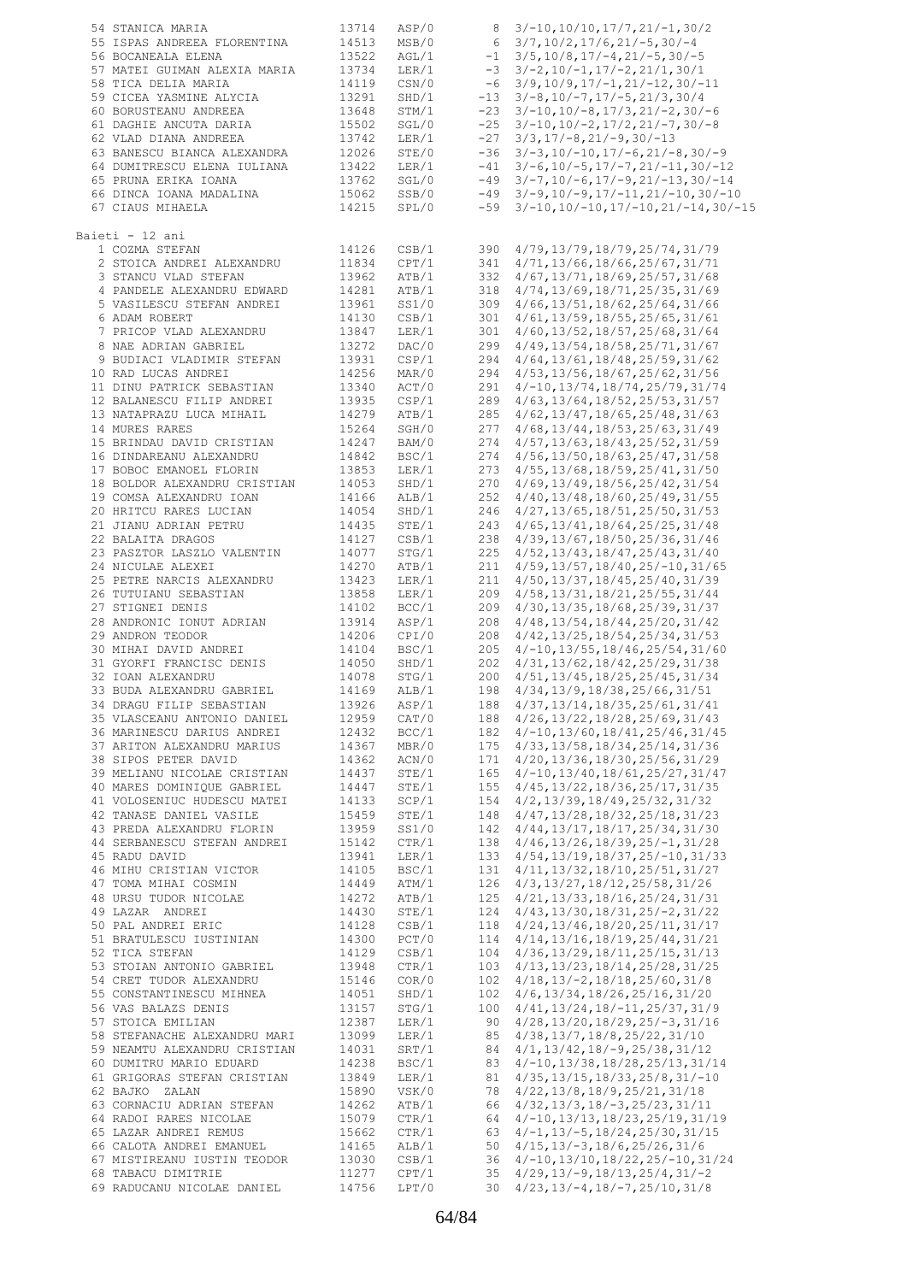| 54 STANICA MARIA                         | 13714 | ASP/0          | 8     | $3/-10, 10/10, 17/7, 21/-1, 30/2$                  |
|------------------------------------------|-------|----------------|-------|----------------------------------------------------|
| 55 ISPAS ANDREEA FLORENTINA              | 14513 | MSB/0          | 6     | $3/7$ , $10/2$ , $17/6$ , $21/-5$ , $30/-4$        |
| 56 BOCANEALA ELENA                       | 13522 | AGL/1          |       | $-1$ 3/5, 10/8, 17/-4, 21/-5, 30/-5                |
| 57 MATEI GUIMAN ALEXIA MARIA             | 13734 | LER/1          |       | $-3$ $3/-2$ , 10/ $-1$ , 17/ $-2$ , 21/1, 30/1     |
| 58 TICA DELIA MARIA                      | 14119 | CSN/0          |       | $-6$ 3/9, 10/9, 17/-1, 21/-12, 30/-11              |
| 59 CICEA YASMINE ALYCIA                  | 13291 | SHD/1          |       | $-13$ $3/-8$ , $10/-7$ , $17/-5$ , $21/3$ , $30/4$ |
| 60 BORUSTEANU ANDREEA                    | 13648 | STM/1          | $-23$ | $3/-10$ , $10/-8$ , $17/3$ , $21/-2$ , $30/-6$     |
|                                          |       |                | $-25$ |                                                    |
| 61 DAGHIE ANCUTA DARIA                   | 15502 | SGL/0          |       | $3/-10$ , $10/-2$ , $17/2$ , $21/-7$ , $30/-8$     |
| 62 VLAD DIANA ANDREEA                    | 13742 | LER/1          | $-27$ | $3/3$ , $17/-8$ , $21/-9$ , $30/-13$               |
| 63 BANESCU BIANCA ALEXANDRA              | 12026 | STE/0          | $-36$ | $3/-3, 10/-10, 17/-6, 21/-8, 30/-9$                |
| 64 DUMITRESCU ELENA IULIANA              | 13422 | LER/1          | $-41$ | $3/-6$ , 10/-5, 17/-7, 21/-11, 30/-12              |
| 65 PRUNA ERIKA IOANA                     | 13762 | SGL/0          | $-49$ | $3/-7, 10/-6, 17/-9, 21/-13, 30/-14$               |
| 66 DINCA IOANA MADALINA                  | 15062 | SSB/0          | $-49$ | $3/-9, 10/-9, 17/-11, 21/-10, 30/-10$              |
| 67 CIAUS MIHAELA                         | 14215 | SPL/0          | $-59$ | $3/-10, 10/-10, 17/-10, 21/-14, 30/-15$            |
|                                          |       |                |       |                                                    |
| Baieti - 12 ani                          |       |                |       |                                                    |
| 1 COZMA STEFAN                           | 14126 | CSB/1          | 390   | 4/79, 13/79, 18/79, 25/74, 31/79                   |
| 2 STOICA ANDREI ALEXANDRU                | 11834 | CPT/1          | 341   | 4/71, 13/66, 18/66, 25/67, 31/71                   |
| 3 STANCU VLAD STEFAN                     | 13962 | ATB/1          | 332   | 4/67, 13/71, 18/69, 25/57, 31/68                   |
| 4 PANDELE ALEXANDRU EDWARD               | 14281 | ATB/1          | 318   | 4/74, 13/69, 18/71, 25/35, 31/69                   |
| 5 VASILESCU STEFAN ANDREI                | 13961 | SS1/0          | 309   | $4/66$ , 13/51, 18/62, 25/64, 31/66                |
| 6 ADAM ROBERT                            | 14130 | CSB/1          | 301   | 4/61, 13/59, 18/55, 25/65, 31/61                   |
| 7 PRICOP VLAD ALEXANDRU                  | 13847 | LER/1          | 301   | $4/60$ , $13/52$ , $18/57$ , $25/68$ , $31/64$     |
| 8 NAE ADRIAN GABRIEL                     | 13272 | DAC/0          | 299   | 4/49, 13/54, 18/58, 25/71, 31/67                   |
| 9 BUDIACI VLADIMIR STEFAN                | 13931 | CSP/1          | 294   | 4/64, 13/61, 18/48, 25/59, 31/62                   |
| 10 RAD LUCAS ANDREI                      | 14256 | MAR/0          | 294   | $4/53$ , 13/56, 18/67, 25/62, 31/56                |
| 11 DINU PATRICK SEBASTIAN                | 13340 | ACT/0          | 291   | $4/-10, 13/74, 18/74, 25/79, 31/74$                |
| 12 BALANESCU FILIP ANDREI                | 13935 | CSP/1          | 289   | 4/63, 13/64, 18/52, 25/53, 31/57                   |
| 13 NATAPRAZU LUCA MIHAIL                 | 14279 | ATB/1          | 285   | $4/62$ , $13/47$ , $18/65$ , $25/48$ , $31/63$     |
| 14 MURES RARES                           | 15264 | SGH/0          | 277   | 4/68, 13/44, 18/53, 25/63, 31/49                   |
| 15 BRINDAU DAVID CRISTIAN                | 14247 | BAM/0          | 274   | 4/57, 13/63, 18/43, 25/52, 31/59                   |
| 16 DINDAREANU ALEXANDRU                  | 14842 | BSC/1          | 274   | $4/56$ , $13/50$ , $18/63$ , $25/47$ , $31/58$     |
| 17 BOBOC EMANOEL FLORIN                  | 13853 | LER/1          | 273   | $4/55$ , 13/68, 18/59, 25/41, 31/50                |
| 18 BOLDOR ALEXANDRU CRISTIAN             | 14053 | SHD/1          | 270   | 4/69, 13/49, 18/56, 25/42, 31/54                   |
| 19 COMSA ALEXANDRU IOAN                  | 14166 | ALB/1          | 252   | 4/40, 13/48, 18/60, 25/49, 31/55                   |
|                                          |       |                |       |                                                    |
| 20 HRITCU RARES LUCIAN                   | 14054 | SHD/1          | 246   | 4/27, 13/65, 18/51, 25/50, 31/53                   |
| 21 JIANU ADRIAN PETRU                    | 14435 | STE/1          | 243   | 4/65, 13/41, 18/64, 25/25, 31/48                   |
| 22 BALAITA DRAGOS                        | 14127 | CSB/1          | 238   | 4/39, 13/67, 18/50, 25/36, 31/46                   |
| 23 PASZTOR LASZLO VALENTIN               | 14077 | STG/1          | 225   | 4/52, 13/43, 18/47, 25/43, 31/40                   |
| 24 NICULAE ALEXEI                        | 14270 | ATB/1          | 211   | $4/59, 13/57, 18/40, 25/-10, 31/65$                |
| 25 PETRE NARCIS ALEXANDRU                | 13423 | LER/1          | 211   | $4/50$ , $13/37$ , $18/45$ , $25/40$ , $31/39$     |
| 26 TUTUIANU SEBASTIAN                    | 13858 | LER/1          | 209   | $4/58$ , 13/31, 18/21, 25/55, 31/44                |
| 27 STIGNEI DENIS                         | 14102 | BCC/1          | 209   | 4/30, 13/35, 18/68, 25/39, 31/37                   |
| 28 ANDRONIC IONUT ADRIAN                 | 13914 | ASP/1          | 208   | $4/48$ , 13/54, 18/44, 25/20, 31/42                |
| 29 ANDRON TEODOR                         | 14206 | CPI/0          | 208   | $4/42$ , $13/25$ , $18/54$ , $25/34$ , $31/53$     |
| 30 MIHAI DAVID ANDREI                    | 14104 | BSC/1          | 205   | $4/-10, 13/55, 18/46, 25/54, 31/60$                |
| 31 GYORFI FRANCISC DENIS                 | 14050 | SHD/1          | 202   | 4/31, 13/62, 18/42, 25/29, 31/38                   |
| 32 IOAN ALEXANDRU                        | 14078 | STG/1          | 200   | 4/51, 13/45, 18/25, 25/45, 31/34                   |
| 33 BUDA ALEXANDRU GABRIEL                | 14169 | ALB/1          |       | 198 4/34, 13/9, 18/38, 25/66, 31/51                |
| 34 DRAGU FILIP SEBASTIAN                 | 13926 | ASP/1          | 188   | 4/37, 13/14, 18/35, 25/61, 31/41                   |
| 35 VLASCEANU ANTONIO DANIEL              | 12959 | CAT/0          | 188   | $4/26$ , $13/22$ , $18/28$ , $25/69$ , $31/43$     |
| 36 MARINESCU DARIUS ANDREI               | 12432 | BCC/1          | 182   | $4/-10, 13/60, 18/41, 25/46, 31/45$                |
| 37 ARITON ALEXANDRU MARIUS               | 14367 | MBR/0          | 175   | 4/33, 13/58, 18/34, 25/14, 31/36                   |
| 38 SIPOS PETER DAVID                     | 14362 | ACN/0          | 171   | 4/20, 13/36, 18/30, 25/56, 31/29                   |
| 39 MELIANU NICOLAE CRISTIAN              | 14437 | STE/1          | 165   | $4/-10, 13/40, 18/61, 25/27, 31/47$                |
| 40 MARES DOMINIQUE GABRIEL               | 14447 | STE/1          | 155   | $4/45$ , $13/22$ , $18/36$ , $25/17$ , $31/35$     |
| 41 VOLOSENIUC HUDESCU MATEI              | 14133 | SCP/1          | 154   | $4/2$ , 13/39, 18/49, 25/32, 31/32                 |
| 42 TANASE DANIEL VASILE                  | 15459 | STE/1          | 148   | 4/47, 13/28, 18/32, 25/18, 31/23                   |
| 43 PREDA ALEXANDRU FLORIN                | 13959 | SS1/0          | 142   | 4/44, 13/17, 18/17, 25/34, 31/30                   |
| 44 SERBANESCU STEFAN ANDREI              | 15142 | CTR/1          | 138   | $4/46$ , $13/26$ , $18/39$ , $25/-1$ , $31/28$     |
|                                          | 13941 |                | 133   | $4/54, 13/19, 18/37, 25/-10, 31/33$                |
| 45 RADU DAVID<br>46 MIHU CRISTIAN VICTOR | 14105 | LER/1<br>BSC/1 | 131   | 4/11, 13/32, 18/10, 25/51, 31/27                   |
| 47 TOMA MIHAI COSMIN                     |       |                |       |                                                    |
|                                          | 14449 | ATM/1          | 126   | 4/3, 13/27, 18/12, 25/58, 31/26                    |
| 48 URSU TUDOR NICOLAE                    | 14272 | ATB/1          | 125   | 4/21, 13/33, 18/16, 25/24, 31/31                   |
| 49 LAZAR ANDREI                          | 14430 | STE/1          | 124   | $4/43, 13/30, 18/31, 25/-2, 31/22$                 |
| 50 PAL ANDREI ERIC                       | 14128 | CSB/1          | 118   | 4/24, 13/46, 18/20, 25/11, 31/17                   |
| 51 BRATULESCU IUSTINIAN                  | 14300 | PCT/0          | 114   | 4/14, 13/16, 18/19, 25/44, 31/21                   |
| 52 TICA STEFAN                           | 14129 | CSB/1          | 104   | $4/36$ , $13/29$ , $18/11$ , $25/15$ , $31/13$     |
| 53 STOIAN ANTONIO GABRIEL                | 13948 | CTR/1          | 103   | 4/13, 13/23, 18/14, 25/28, 31/25                   |
| 54 CRET TUDOR ALEXANDRU                  | 15146 | COR/0          | 102   | $4/18$ , $13/-2$ , $18/18$ , $25/60$ , $31/8$      |
| 55 CONSTANTINESCU MIHNEA                 | 14051 | SHD/1          | 102   | $4/6$ , 13/34, 18/26, 25/16, 31/20                 |
| 56 VAS BALAZS DENIS                      | 13157 | STG/1          | 100   | $4/41, 13/24, 18/-11, 25/37, 31/9$                 |
| 57 STOICA EMILIAN                        | 12387 | LER/1          | 90    | $4/28$ , 13/20, 18/29, 25/-3, 31/16                |
| 58 STEFANACHE ALEXANDRU MARI             | 13099 | LER/1          | 85    | 4/38, 13/7, 18/8, 25/22, 31/10                     |
| 59 NEAMTU ALEXANDRU CRISTIAN             | 14031 | SRT/1          | 84    | $4/1, 13/42, 18/-9, 25/38, 31/12$                  |
| 60 DUMITRU MARIO EDUARD                  | 14238 | BSC/1          | 83    | $4/-10, 13/38, 18/28, 25/13, 31/14$                |
| 61 GRIGORAS STEFAN CRISTIAN              | 13849 | LER/1          | 81    | $4/35$ , 13/15, 18/33, 25/8, 31/-10                |
| 62 BAJKO ZALAN                           | 15890 | VSK/0          | 78    | 4/22, 13/8, 18/9, 25/21, 31/18                     |
| 63 CORNACIU ADRIAN STEFAN                | 14262 | ATB/1          | 66    | $4/32$ , $13/3$ , $18/-3$ , $25/23$ , $31/11$      |
| 64 RADOI RARES NICOLAE                   | 15079 | CTR/1          | 64    | $4/-10, 13/13, 18/23, 25/19, 31/19$                |
| 65 LAZAR ANDREI REMUS                    | 15662 | CTR/1          | 63    | $4/-1$ , $13/-5$ , $18/24$ , $25/30$ , $31/15$     |
| 66 CALOTA ANDREI EMANUEL                 | 14165 | ALB/1          | 50    | $4/15$ , $13/-3$ , $18/6$ , $25/26$ , $31/6$       |
| 67 MISTIREANU IUSTIN TEODOR              | 13030 | CSB/1          | 36    | $4/-10, 13/10, 18/22, 25/-10, 31/24$               |
| 68 TABACU DIMITRIE                       | 11277 | CPT/1          | 35    | $4/29$ , $13/-9$ , $18/13$ , $25/4$ , $31/-2$      |
| 69 RADUCANU NICOLAE DANIEL               | 14756 | LPT/0          | 30    | $4/23$ , $13/-4$ , $18/-7$ , $25/10$ , $31/8$      |
|                                          |       |                |       |                                                    |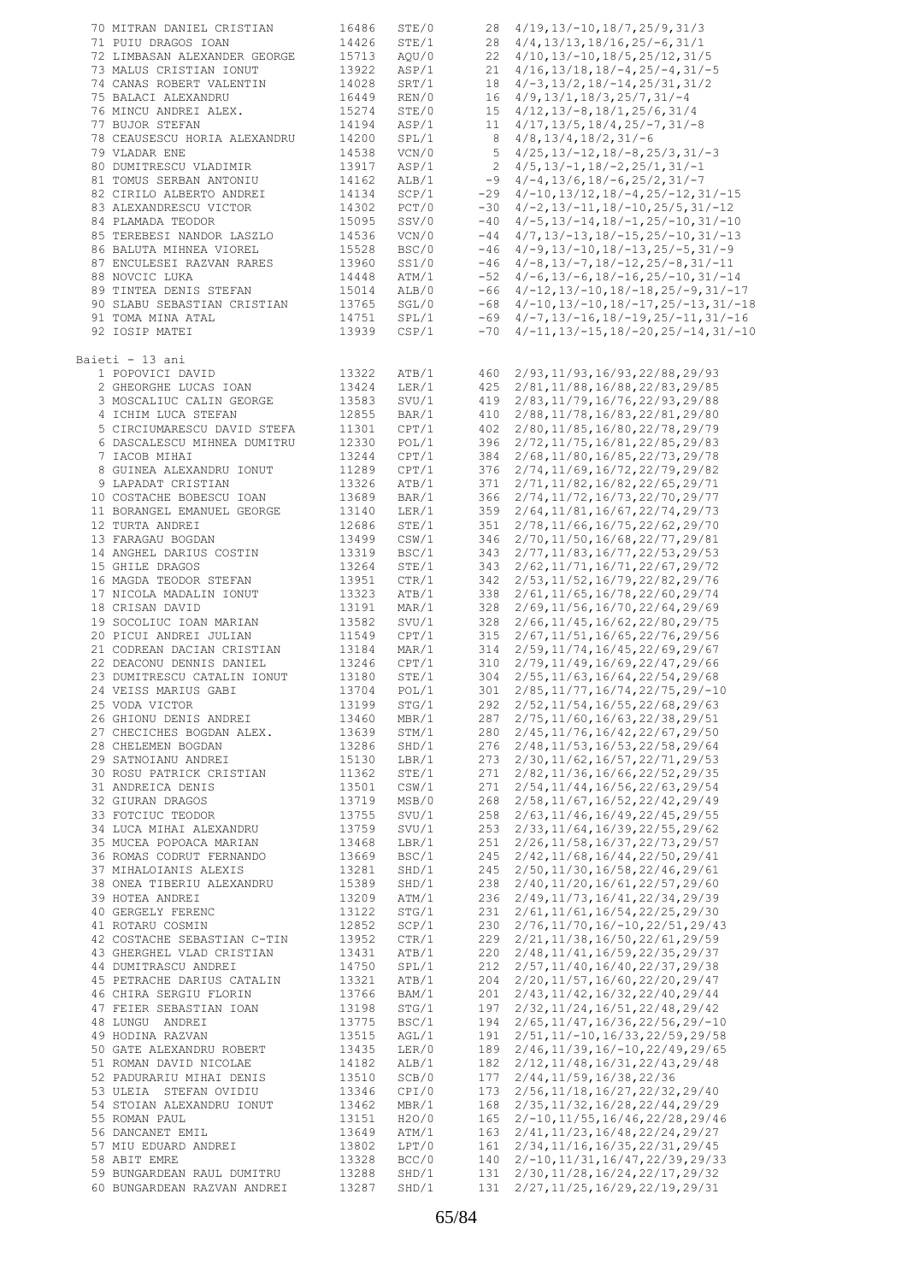| 70 MITRAN DANIEL CRISTIAN    | 16486 | STE/0 | 28             | $4/19, 13/-10, 18/7, 25/9, 31/3$                  |
|------------------------------|-------|-------|----------------|---------------------------------------------------|
| 71 PUIU DRAGOS IOAN          | 14426 | STE/1 |                | 28 4/4, 13/13, 18/16, 25/-6, 31/1                 |
| 72 LIMBASAN ALEXANDER GEORGE | 15713 | AQU/0 |                | 22 4/10, 13/-10, 18/5, 25/12, 31/5                |
| 73 MALUS CRISTIAN IONUT      | 13922 | ASP/1 | 21             | $4/16$ , $13/18$ , $18/-4$ , $25/-4$ , $31/-5$    |
| 74 CANAS ROBERT VALENTIN     | 14028 | SRT/1 | 18             | $4/-3, 13/2, 18/-14, 25/31, 31/2$                 |
| 75 BALACI ALEXANDRU          | 16449 | REN/0 | 16             | $4/9$ , 13/1, 18/3, 25/7, 31/-4                   |
|                              |       |       |                |                                                   |
| 76 MINCU ANDREI ALEX.        | 15274 | STE/0 | 15             | $4/12, 13/-8, 18/1, 25/6, 31/4$                   |
| 77 BUJOR STEFAN              | 14194 | ASP/1 | 11             | $4/17, 13/5, 18/4, 25/-7, 31/-8$                  |
| 78 CEAUSESCU HORIA ALEXANDRU | 14200 | SPL/1 | 8              | $4/8$ , 13/4, 18/2, 31/-6                         |
| 79 VLADAR ENE                | 14538 | VCN/0 | 5              | $4/25$ , 13/-12, 18/-8, 25/3, 31/-3               |
| 80 DUMITRESCU VLADIMIR       | 13917 | ASP/1 | $\overline{2}$ | $4/5$ , 13/-1, 18/-2, 25/1, 31/-1                 |
|                              |       |       |                |                                                   |
| 81 TOMUS SERBAN ANTONIU      | 14162 | ALB/1 |                | $-9$ 4/-4, 13/6, 18/-6, 25/2, 31/-7               |
| 82 CIRILO ALBERTO ANDREI     | 14134 | SCP/1 |                | $-29$ 4/-10, 13/12, 18/-4, 25/-12, 31/-15         |
| 83 ALEXANDRESCU VICTOR       | 14302 | PCT/0 | $-30$          | $4/-2$ , 13/-11, 18/-10, 25/5, 31/-12             |
| 84 PLAMADA TEODOR            | 15095 | SSV/0 | $-40$          | $4/-5$ , $13/-14$ , $18/-1$ , $25/-10$ , $31/-10$ |
| 85 TEREBESI NANDOR LASZLO    | 14536 | VCN/0 | $-44$          | $4/7$ , 13/-13, 18/-15, 25/-10, 31/-13            |
|                              |       |       |                |                                                   |
| 86 BALUTA MIHNEA VIOREL      | 15528 | BSC/0 | $-46$          | $4/-9, 13/-10, 18/-13, 25/-5, 31/-9$              |
| 87 ENCULESEI RAZVAN RARES    | 13960 | SS1/0 | $-46$          | $4/-8, 13/-7, 18/-12, 25/-8, 31/-11$              |
| 88 NOVCIC LUKA               | 14448 | ATM/1 | $-52$          | $4/-6$ , 13/-6, 18/-16, 25/-10, 31/-14            |
| 89 TINTEA DENIS STEFAN       | 15014 | ALB/0 |                | $-66$ 4/-12, 13/-10, 18/-18, 25/-9, 31/-17        |
| 90 SLABU SEBASTIAN CRISTIAN  | 13765 | SGL/0 |                | $-68$ 4/-10, 13/-10, 18/-17, 25/-13, 31/-18       |
|                              |       |       |                |                                                   |
| 91 TOMA MINA ATAL            | 14751 | SPL/1 |                | $-69$ 4/-7, 13/-16, 18/-19, 25/-11, 31/-16        |
| 92 IOSIP MATEI               | 13939 | CSP/1 | $-70$          | 4/-11,13/-15,18/-20,25/-14,31/-10                 |
|                              |       |       |                |                                                   |
| Baieti - 13 ani              |       |       |                |                                                   |
| 1 POPOVICI DAVID             | 13322 | ATB/1 | 460            | 2/93,11/93,16/93,22/88,29/93                      |
|                              |       |       |                |                                                   |
| 2 GHEORGHE LUCAS IOAN        | 13424 | LER/1 | 425            | 2/81, 11/88, 16/88, 22/83, 29/85                  |
| 3 MOSCALIUC CALIN GEORGE     | 13583 | SVU/1 |                | 419 2/83, 11/79, 16/76, 22/93, 29/88              |
| 4 ICHIM LUCA STEFAN          | 12855 | BAR/1 | 410            | 2/88,11/78,16/83,22/81,29/80                      |
| 5 CIRCIUMARESCU DAVID STEFA  | 11301 | CPT/1 | 402            | 2/80,11/85,16/80,22/78,29/79                      |
|                              |       |       |                |                                                   |
| 6 DASCALESCU MIHNEA DUMITRU  | 12330 | POL/1 | 396            | 2/72,11/75,16/81,22/85,29/83                      |
| 7 IACOB MIHAI                | 13244 | CPT/1 |                | 384 2/68, 11/80, 16/85, 22/73, 29/78              |
| 8 GUINEA ALEXANDRU IONUT     | 11289 | CPT/1 | 376            | 2/74,11/69,16/72,22/79,29/82                      |
| 9 LAPADAT CRISTIAN           | 13326 | ATB/1 | 371            | 2/71,11/82,16/82,22/65,29/71                      |
| 10 COSTACHE BOBESCU IOAN     | 13689 | BAR/1 | 366            | 2/74, 11/72, 16/73, 22/70, 29/77                  |
|                              |       |       |                |                                                   |
| 11 BORANGEL EMANUEL GEORGE   | 13140 | LER/1 |                | 359 2/64, 11/81, 16/67, 22/74, 29/73              |
| 12 TURTA ANDREI              | 12686 | STE/1 | 351            | 2/78, 11/66, 16/75, 22/62, 29/70                  |
| 13 FARAGAU BOGDAN            | 13499 | CSW/1 | 346            | 2/70,11/50,16/68,22/77,29/81                      |
| 14 ANGHEL DARIUS COSTIN      | 13319 | BSC/1 | 343            | 2/77, 11/83, 16/77, 22/53, 29/53                  |
| 15 GHILE DRAGOS              | 13264 | STE/1 | 343            | 2/62,11/71,16/71,22/67,29/72                      |
|                              |       |       |                |                                                   |
| 16 MAGDA TEODOR STEFAN       | 13951 | CTR/1 | 342            | 2/53, 11/52, 16/79, 22/82, 29/76                  |
| 17 NICOLA MADALIN IONUT      | 13323 | ATB/1 | 338            | 2/61, 11/65, 16/78, 22/60, 29/74                  |
| 18 CRISAN DAVID              | 13191 | MAR/1 | 328            | 2/69, 11/56, 16/70, 22/64, 29/69                  |
| 19 SOCOLIUC IOAN MARIAN      | 13582 | SVU/1 |                | 328 2/66, 11/45, 16/62, 22/80, 29/75              |
|                              |       |       |                |                                                   |
| 20 PICUI ANDREI JULIAN       | 11549 | CPT/1 |                | 315 2/67, 11/51, 16/65, 22/76, 29/56              |
| 21 CODREAN DACIAN CRISTIAN   | 13184 | MAR/1 |                | 314 2/59, 11/74, 16/45, 22/69, 29/67              |
| 22 DEACONU DENNIS DANIEL     | 13246 | CPT/1 |                | 310 2/79, 11/49, 16/69, 22/47, 29/66              |
| 23 DUMITRESCU CATALIN IONUT  | 13180 | STE/1 |                | 304 2/55, 11/63, 16/64, 22/54, 29/68              |
| 24 VEISS MARIUS GABI         | 13704 |       |                | 2/85, 11/77, 16/74, 22/75, 29/-10                 |
|                              |       | POL/1 | 301            |                                                   |
| 25 VODA VICTOR               | 13199 | STG/1 |                | 292 2/52, 11/54, 16/55, 22/68, 29/63              |
| 26 GHIONU DENIS ANDREI       | 13460 | MBR/1 |                | 287 2/75, 11/60, 16/63, 22/38, 29/51              |
| 27 CHECICHES BOGDAN ALEX.    | 13639 | STM/1 |                | 280 2/45, 11/76, 16/42, 22/67, 29/50              |
| 28 CHELEMEN BOGDAN           | 13286 | SHD/1 | 276            | 2/48, 11/53, 16/53, 22/58, 29/64                  |
|                              |       |       |                |                                                   |
| 29 SATNOIANU ANDREI          | 15130 | LBR/1 | 273            | 2/30, 11/62, 16/57, 22/71, 29/53                  |
| 30 ROSU PATRICK CRISTIAN     | 11362 | STE/1 | 271            | 2/82, 11/36, 16/66, 22/52, 29/35                  |
| 31 ANDREICA DENIS            | 13501 | CSW/1 | 271            | 2/54,11/44,16/56,22/63,29/54                      |
| 32 GIURAN DRAGOS             | 13719 | MSB/0 | 268            | 2/58,11/67,16/52,22/42,29/49                      |
| 33 FOTCIUC TEODOR            | 13755 | SVU/1 | 258            | 2/63, 11/46, 16/49, 22/45, 29/55                  |
|                              |       |       |                |                                                   |
| 34 LUCA MIHAI ALEXANDRU      | 13759 | SVU/1 | 253            | 2/33, 11/64, 16/39, 22/55, 29/62                  |
| 35 MUCEA POPOACA MARIAN      | 13468 | LBR/1 | 251            | 2/26, 11/58, 16/37, 22/73, 29/57                  |
| 36 ROMAS CODRUT FERNANDO     | 13669 | BSC/1 | 245            | 2/42, 11/68, 16/44, 22/50, 29/41                  |
| 37 MIHALOIANIS ALEXIS        | 13281 | SHD/1 | 245            | 2/50, 11/30, 16/58, 22/46, 29/61                  |
| 38 ONEA TIBERIU ALEXANDRU    | 15389 | SHD/1 | 238            | 2/40, 11/20, 16/61, 22/57, 29/60                  |
|                              |       |       |                |                                                   |
| 39 HOTEA ANDREI              | 13209 | ATM/1 | 236            | 2/49, 11/73, 16/41, 22/34, 29/39                  |
| 40 GERGELY FERENC            | 13122 | STG/1 | 231            | 2/61, 11/61, 16/54, 22/25, 29/30                  |
| 41 ROTARU COSMIN             | 12852 | SCP/1 | 230            | 2/76, 11/70, 16/-10, 22/51, 29/43                 |
| 42 COSTACHE SEBASTIAN C-TIN  | 13952 | CTR/1 | 229            | 2/21, 11/38, 16/50, 22/61, 29/59                  |
| 43 GHERGHEL VLAD CRISTIAN    | 13431 | ATB/1 | 220            | 2/48, 11/41, 16/59, 22/35, 29/37                  |
|                              |       |       |                |                                                   |
| 44 DUMITRASCU ANDREI         | 14750 | SPL/1 | 212            | 2/57, 11/40, 16/40, 22/37, 29/38                  |
| 45 PETRACHE DARIUS CATALIN   | 13321 | ATB/1 | 204            | 2/20, 11/57, 16/60, 22/20, 29/47                  |
| 46 CHIRA SERGIU FLORIN       | 13766 | BAM/1 | 201            | 2/43, 11/42, 16/32, 22/40, 29/44                  |
| 47 FEIER SEBASTIAN IOAN      | 13198 | STG/1 | 197            | 2/32, 11/24, 16/51, 22/48, 29/42                  |
|                              |       |       |                |                                                   |
| 48 LUNGU ANDREI              | 13775 | BSC/1 |                | 194 2/65, 11/47, 16/36, 22/56, 29/-10             |
| 49 HODINA RAZVAN             | 13515 | AGL/1 | 191            | 2/51, 11/-10, 16/33, 22/59, 29/58                 |
| 50 GATE ALEXANDRU ROBERT     | 13435 | LER/0 |                | 189 2/46, 11/39, 16/-10, 22/49, 29/65             |
| 51 ROMAN DAVID NICOLAE       | 14182 | ALB/1 |                | 182 2/12, 11/48, 16/31, 22/43, 29/48              |
|                              |       |       |                |                                                   |
| 52 PADURARIU MIHAI DENIS     | 13510 | SCB/0 |                | $177 \quad 2/44, 11/59, 16/38, 22/36$             |
| 53 ULEIA STEFAN OVIDIU       | 13346 | CPI/0 | 173            | 2/56,11/18,16/27,22/32,29/40                      |
| 54 STOIAN ALEXANDRU IONUT    | 13462 | MBR/1 |                | 168 2/35, 11/32, 16/28, 22/44, 29/29              |
| 55 ROMAN PAUL                | 13151 | H2O/0 | 165            | 2/-10, 11/55, 16/46, 22/28, 29/46                 |
|                              | 13649 | ATM/1 |                | 163 2/41, 11/23, 16/48, 22/24, 29/27              |
| 56 DANCANET EMIL             |       |       |                |                                                   |
| 57 MIU EDUARD ANDREI         | 13802 | LPT/0 | 161            | 2/34, 11/16, 16/35, 22/31, 29/45                  |
| 58 ABIT EMRE                 | 13328 | BCC/0 | 140            | 2/-10, 11/31, 16/47, 22/39, 29/33                 |
| 59 BUNGARDEAN RAUL DUMITRU   | 13288 | SHD/1 | 131            | 2/30, 11/28, 16/24, 22/17, 29/32                  |
| 60 BUNGARDEAN RAZVAN ANDREI  | 13287 | SHD/1 | 131            | 2/27, 11/25, 16/29, 22/19, 29/31                  |
|                              |       |       |                |                                                   |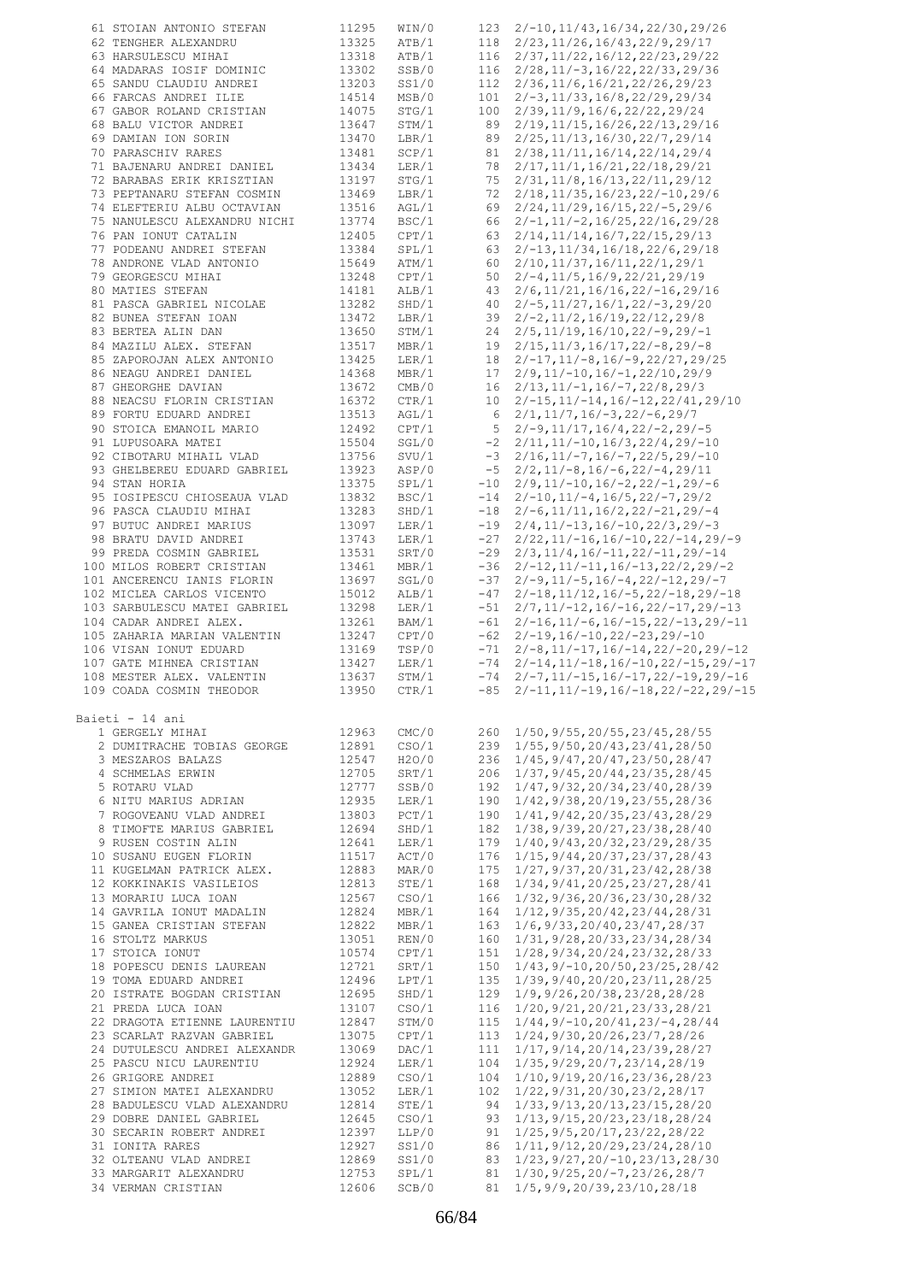| 61 STOIAN ANTONIO STEFAN     | 11295 | WIN/0 | 123   | $2/-10, 11/43, 16/34, 22/30, 29/26$                       |
|------------------------------|-------|-------|-------|-----------------------------------------------------------|
| 62 TENGHER ALEXANDRU         | 13325 | ATB/1 | 118   | 2/23, 11/26, 16/43, 22/9, 29/17                           |
| 63 HARSULESCU MIHAI          | 13318 | ATB/1 | 116   | 2/37, 11/22, 16/12, 22/23, 29/22                          |
| 64 MADARAS IOSIF DOMINIC     | 13302 | SSB/0 | 116   | $2/28$ , 11/-3, 16/22, 22/33, 29/36                       |
|                              |       |       |       |                                                           |
| 65 SANDU CLAUDIU ANDREI      | 13203 | SS1/0 | 112   | 2/36, 11/6, 16/21, 22/26, 29/23                           |
| 66 FARCAS ANDREI ILIE        | 14514 | MSB/0 | 101   | $2/-3, 11/33, 16/8, 22/29, 29/34$                         |
| 67 GABOR ROLAND CRISTIAN     | 14075 | STG/1 | 100   | 2/39,11/9,16/6,22/22,29/24                                |
| 68 BALU VICTOR ANDREI        | 13647 | STM/1 |       | 89 2/19, 11/15, 16/26, 22/13, 29/16                       |
| 69 DAMIAN ION SORIN          | 13470 | LBR/1 |       | 89 2/25, 11/13, 16/30, 22/7, 29/14                        |
|                              |       | SCP/1 |       |                                                           |
| 70 PARASCHIV RARES           | 13481 |       |       | 81  2/38, 11/11, 16/14, 22/14, 29/4                       |
| 71 BAJENARU ANDREI DANIEL    | 13434 | LER/1 | 78    | 2/17, 11/1, 16/21, 22/18, 29/21                           |
| 72 BARABAS ERIK KRISZTIAN    | 13197 | STG/1 |       | 75 2/31, 11/8, 16/13, 22/11, 29/12                        |
| 73 PEPTANARU STEFAN COSMIN   | 13469 | LBR/1 |       | 72   2/18, 11/35, 16/23, 22/-10, 29/6                     |
| 74 ELEFTERIU ALBU OCTAVIAN   | 13516 | AGL/1 |       | $69 \quad 2/24, 11/29, 16/15, 22/-5, 29/6$                |
| 75 NANULESCU ALEXANDRU NICHI | 13774 | BSC/1 | 66    | $2/-1, 11/-2, 16/25, 22/16, 29/28$                        |
|                              |       |       |       |                                                           |
| 76 PAN IONUT CATALIN         | 12405 | CPT/1 |       | 63 2/14, 11/14, 16/7, 22/15, 29/13                        |
| 77 PODEANU ANDREI STEFAN     | 13384 | SPL/1 |       | $63 \quad 2/-13, 11/34, 16/18, 22/6, 29/18$               |
| 78 ANDRONE VLAD ANTONIO      | 15649 | ATM/1 | 60    | 2/10, 11/37, 16/11, 22/1, 29/1                            |
| 79 GEORGESCU MIHAI           | 13248 | CPT/1 | 50    | 2/-4,11/5,16/9,22/21,29/19                                |
| 80 MATIES STEFAN             | 14181 | ALB/1 |       | $43 \quad 2/6, 11/21, 16/16, 22/-16, 29/16$               |
|                              |       |       |       |                                                           |
| 81 PASCA GABRIEL NICOLAE     | 13282 | SHD/1 | 40    | $2/-5, 11/27, 16/1, 22/-3, 29/20$                         |
| 82 BUNEA STEFAN IOAN         | 13472 | LBR/1 |       | $39 \quad 2/-2, 11/2, 16/19, 22/12, 29/8$                 |
| 83 BERTEA ALIN DAN           | 13650 | STM/1 | 24    | $2/5, 11/19, 16/10, 22/-9, 29/-1$                         |
| 84 MAZILU ALEX. STEFAN       | 13517 | MBR/1 |       | $19 \quad 2/15, 11/3, 16/17, 22/-8, 29/-8$                |
| 85 ZAPOROJAN ALEX ANTONIO    | 13425 | LER/1 | 18    | $2/-17, 11/-8, 16/-9, 22/27, 29/25$                       |
| 86 NEAGU ANDREI DANIEL       | 14368 | MBR/1 | 17    |                                                           |
|                              |       |       |       | $2/9, 11/ - 10, 16/ - 1, 22/10, 29/9$                     |
| 87 GHEORGHE DAVIAN           | 13672 | CMB/0 | 16    | $2/13, 11/-1, 16/-7, 22/8, 29/3$                          |
| 88 NEACSU FLORIN CRISTIAN    | 16372 | CTR/1 |       | $10 \quad 2/-15, 11/-14, 16/-12, 22/41, 29/10$            |
| 89 FORTU EDUARD ANDREI       | 13513 | AGL/1 | 6     | $2/1, 11/7, 16/-3, 22/-6, 29/7$                           |
| 90 STOICA EMANOIL MARIO      | 12492 | CPT/1 | 5     | $2/-9, 11/17, 16/4, 22/-2, 29/-5$                         |
| 91 LUPUSOARA MATEI           | 15504 | SGL/0 |       | $-2$ $2/11$ , $11/-10$ , $16/3$ , $22/4$ , $29/-10$       |
|                              |       |       |       |                                                           |
| 92 CIBOTARU MIHAIL VLAD      | 13756 | SVU/1 |       | $-3$ 2/16, 11/-7, 16/-7, 22/5, 29/-10                     |
| 93 GHELBEREU EDUARD GABRIEL  | 13923 | ASP/0 |       | $-5$ 2/2, 11/-8, 16/-6, 22/-4, 29/11                      |
| 94 STAN HORIA                | 13375 | SPL/1 | $-10$ | 2/9,11/-10,16/-2,22/-1,29/-6                              |
| 95 IOSIPESCU CHIOSEAUA VLAD  | 13832 | BSC/1 | $-14$ | $2/-10, 11/-4, 16/5, 22/-7, 29/2$                         |
|                              | 13283 |       | $-18$ |                                                           |
| 96 PASCA CLAUDIU MIHAI       |       | SHD/1 |       | $2/-6$ , 11/11, 16/2, 22/-21, 29/-4                       |
| 97 BUTUC ANDREI MARIUS       | 13097 | LER/1 | $-19$ | $2/4, 11/ - 13, 16/ - 10, 22/3, 29/ - 3$                  |
| 98 BRATU DAVID ANDREI        | 13743 | LER/1 | $-27$ | $2/22$ , 11/-16, 16/-10, 22/-14, 29/-9                    |
| 99 PREDA COSMIN GABRIEL      | 13531 | SRT/0 | $-29$ | $2/3$ , 11/4, 16/-11, 22/-11, 29/-14                      |
| 100 MILOS ROBERT CRISTIAN    | 13461 | MBR/1 | $-36$ | $2/-12$ , 11/-11, 16/-13, 22/2, 29/-2                     |
| 101 ANCERENCU IANIS FLORIN   | 13697 | SGL/0 |       | $-37$ $2/-9$ , $11/-5$ , $16/-4$ , $22/-12$ , $29/-7$     |
|                              |       |       |       |                                                           |
| 102 MICLEA CARLOS VICENTO    | 15012 | ALB/1 | $-47$ | $2/-18$ , $11/12$ , $16/-5$ , $22/-18$ , $29/-18$         |
| 103 SARBULESCU MATEI GABRIEL | 13298 | LER/1 |       | $-51$ $2/7$ , $11/-12$ , $16/-16$ , $22/-17$ , $29/-13$   |
| 104 CADAR ANDREI ALEX.       | 13261 | BAM/1 | -61   | $2/-16$ , $11/-6$ , $16/-15$ , $22/-13$ , $29/-11$        |
| 105 ZAHARIA MARIAN VALENTIN  | 13247 | CPT/0 |       | $-62$ $2/-19$ , $16/-10$ , $22/-23$ , $29/-10$            |
| 106 VISAN IONUT EDUARD       | 13169 | TSP/0 |       | $-71$ $2/-8$ , $11/-17$ , $16/-14$ , $22/-20$ , $29/-12$  |
|                              |       |       |       |                                                           |
| 107 GATE MIHNEA CRISTIAN     | 13427 | LER/1 |       | $-74$ $2/-14$ , $11/-18$ , $16/-10$ , $22/-15$ , $29/-17$ |
| 108 MESTER ALEX. VALENTIN    | 13637 | STM/1 | $-74$ | $2/-7, 11/-15, 16/-17, 22/-19, 29/-16$                    |
| 109 COADA COSMIN THEODOR     | 13950 | CTR/1 | $-85$ | $2/-11$ , $11/-19$ , $16/-18$ , $22/-22$ , $29/-15$       |
| Baieti - 14 ani              |       |       |       |                                                           |
|                              |       |       |       |                                                           |
| 1 GERGELY MIHAI              | 12963 | CMC/0 | 260   | 1/50, 9/55, 20/55, 23/45, 28/55                           |
| 2 DUMITRACHE TOBIAS GEORGE   | 12891 | CSO/1 | 239   | 1/55, 9/50, 20/43, 23/41, 28/50                           |
| 3 MESZAROS BALAZS            | 12547 | H2O/0 | 236   | 1/45, 9/47, 20/47, 23/50, 28/47                           |
| 4 SCHMELAS ERWIN             | 12705 | SRT/1 | 206   | 1/37, 9/45, 20/44, 23/35, 28/45                           |
| 5 ROTARU VLAD                | 12777 | SSB/0 | 192   | 1/47, 9/32, 20/34, 23/40, 28/39                           |
|                              |       |       |       |                                                           |
| 6 NITU MARIUS ADRIAN         | 12935 | LER/1 | 190   | 1/42,9/38,20/19,23/55,28/36                               |
| 7 ROGOVEANU VLAD ANDREI      | 13803 | PCT/1 | 190   | 1/41, 9/42, 20/35, 23/43, 28/29                           |
| 8 TIMOFTE MARIUS GABRIEL     | 12694 | SHD/1 | 182   | 1/38, 9/39, 20/27, 23/38, 28/40                           |
| 9 RUSEN COSTIN ALIN          | 12641 | LER/1 | 179   | 1/40, 9/43, 20/32, 23/29, 28/35                           |
| 10 SUSANU EUGEN FLORIN       |       |       |       |                                                           |
|                              | 11517 | ACT/0 | 176   | 1/15, 9/44, 20/37, 23/37, 28/43                           |
| 11 KUGELMAN PATRICK ALEX.    | 12883 | MAR/0 | 175   | 1/27, 9/37, 20/31, 23/42, 28/38                           |
| 12 KOKKINAKIS VASILEIOS      | 12813 | STE/1 | 168   | 1/34, 9/41, 20/25, 23/27, 28/41                           |
| 13 MORARIU LUCA IOAN         | 12567 | CSO/1 | 166   | 1/32, 9/36, 20/36, 23/30, 28/32                           |
| 14 GAVRILA IONUT MADALIN     | 12824 | MBR/1 | 164   | 1/12, 9/35, 20/42, 23/44, 28/31                           |
|                              |       |       |       |                                                           |
| 15 GANEA CRISTIAN STEFAN     | 12822 | MBR/1 | 163   | 1/6, 9/33, 20/40, 23/47, 28/37                            |
| 16 STOLTZ MARKUS             | 13051 | REN/0 | 160   | 1/31, 9/28, 20/33, 23/34, 28/34                           |
| 17 STOICA IONUT              | 10574 | CPT/1 | 151   | 1/28, 9/34, 20/24, 23/32, 28/33                           |
| 18 POPESCU DENIS LAUREAN     | 12721 | SRT/1 | 150   | $1/43$ , $9/-10$ , $20/50$ , $23/25$ , $28/42$            |
| 19 TOMA EDUARD ANDREI        | 12496 | LPT/1 | 135   | 1/39, 9/40, 20/20, 23/11, 28/25                           |
|                              |       |       | 129   |                                                           |
| 20 ISTRATE BOGDAN CRISTIAN   | 12695 | SHD/1 |       | 1/9, 9/26, 20/38, 23/28, 28/28                            |
| 21 PREDA LUCA IOAN           | 13107 | CSO/1 | 116   | 1/20, 9/21, 20/21, 23/33, 28/21                           |
| 22 DRAGOTA ETIENNE LAURENTIU | 12847 | STM/0 | 115   | $1/44, 9/-10, 20/41, 23/-4, 28/44$                        |
| 23 SCARLAT RAZVAN GABRIEL    | 13075 | CPT/1 | 113   | 1/24, 9/30, 20/26, 23/7, 28/26                            |
| 24 DUTULESCU ANDREI ALEXANDR | 13069 | DAC/1 | 111   | 1/17, 9/14, 20/14, 23/39, 28/27                           |
|                              |       |       |       |                                                           |
| 25 PASCU NICU LAURENTIU      | 12924 | LER/1 | 104   | 1/35, 9/29, 20/7, 23/14, 28/19                            |
| 26 GRIGORE ANDREI            | 12889 | CSO/1 | 104   | 1/10, 9/19, 20/16, 23/36, 28/23                           |
| 27 SIMION MATEI ALEXANDRU    | 13052 | LER/1 | 102   | 1/22, 9/31, 20/30, 23/2, 28/17                            |
| 28 BADULESCU VLAD ALEXANDRU  | 12814 | STE/1 | 94    | 1/33, 9/13, 20/13, 23/15, 28/20                           |
| 29 DOBRE DANIEL GABRIEL      | 12645 | CSO/1 | 93    | 1/13, 9/15, 20/23, 23/18, 28/24                           |
|                              |       |       |       |                                                           |
| 30 SECARIN ROBERT ANDREI     | 12397 | LLP/0 | 91    | 1/25, 9/5, 20/17, 23/22, 28/22                            |
| 31 IONITA RARES              | 12927 | SS1/0 | 86    | 1/11, 9/12, 20/29, 23/24, 28/10                           |
| 32 OLTEANU VLAD ANDREI       | 12869 | SS1/0 | 83    | 1/23, 9/27, 20/-10, 23/13, 28/30                          |
| 33 MARGARIT ALEXANDRU        | 12753 | SPL/1 | 81    | $1/30, 9/25, 20/ -7, 23/26, 28/7$                         |
|                              |       |       |       |                                                           |
| 34 VERMAN CRISTIAN           | 12606 | SCB/0 | 81    | 1/5, 9/9, 20/39, 23/10, 28/18                             |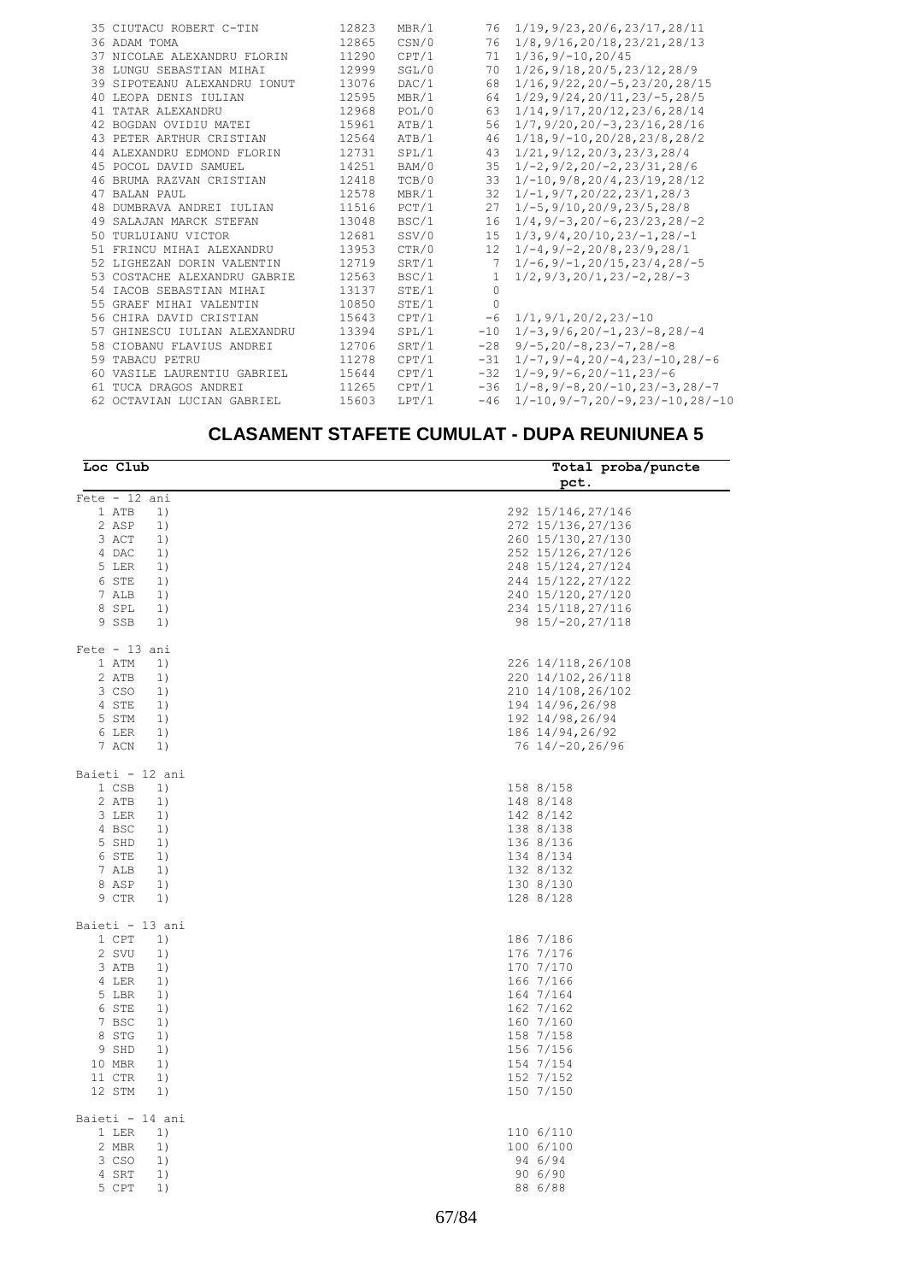|  | 35 CIUTACU ROBERT C-TIN      | 12823 | MBR/1 | 76           | 1/19, 9/23, 20/6, 23/17, 28/11                       |
|--|------------------------------|-------|-------|--------------|------------------------------------------------------|
|  | 36 ADAM TOMA                 | 12865 | CSN/0 | 76           | 1/8, 9/16, 20/18, 23/21, 28/13                       |
|  | 37 NICOLAE ALEXANDRU FLORIN  | 11290 | CPT/1 | 71           | $1/36, 9/-10, 20/45$                                 |
|  | 38 LUNGU SEBASTIAN MIHAI     | 12999 | SGL/0 | 70           | 1/26, 9/18, 20/5, 23/12, 28/9                        |
|  | 39 SIPOTEANU ALEXANDRU IONUT | 13076 | DAC/1 | 68           | $1/16$ , $9/22$ , $20/-5$ , $23/20$ , $28/15$        |
|  | 40 LEOPA DENIS IULIAN        | 12595 | MBR/1 | 64           | $1/29, 9/24, 20/11, 23/-5, 28/5$                     |
|  | 41 TATAR ALEXANDRU           | 12968 | POL/0 | 63           | 1/14, 9/17, 20/12, 23/6, 28/14                       |
|  | 42 BOGDAN OVIDIU MATEI       | 15961 | ATB/1 | 56           | $1/7, 9/20, 20/-3, 23/16, 28/16$                     |
|  | 43 PETER ARTHUR CRISTIAN     | 12564 | ATB/1 | 46           | $1/18, 9/-10, 20/28, 23/8, 28/2$                     |
|  | 44 ALEXANDRU EDMOND FLORIN   | 12731 | SPL/1 | 43           | 1/21, 9/12, 20/3, 23/3, 28/4                         |
|  | 45 POCOL DAVID SAMUEL        | 14251 | BAM/0 | 35           | $1/-2, 9/2, 20/-2, 23/31, 28/6$                      |
|  | 46 BRUMA RAZVAN CRISTIAN     | 12418 | TCB/0 | 33           | $1/-10, 9/8, 20/4, 23/19, 28/12$                     |
|  | 47 BALAN PAUL                | 12578 | MBR/1 | 32           | $1/-1, 9/7, 20/22, 23/1, 28/3$                       |
|  | 48 DUMBRAVA ANDREI IULIAN    | 11516 | PCT/1 | 27           | $1/-5, 9/10, 20/9, 23/5, 28/8$                       |
|  | 49 SALAJAN MARCK STEFAN      | 13048 | BSC/1 | 16           | $1/4$ , 9/-3, 20/-6, 23/23, 28/-2                    |
|  | 50 TURLUIANU VICTOR          | 12681 | SSV/0 | 15           | $1/3, 9/4, 20/10, 23/-1, 28/-1$                      |
|  | 51 FRINCU MIHAI ALEXANDRU    | 13953 | CTR/0 |              | $12 \quad 1/-4, 9/-2, 20/8, 23/9, 28/1$              |
|  | 52 LIGHEZAN DORIN VALENTIN   | 12719 | SRT/1 | 7            | $1/-6$ , 9/-1, 20/15, 23/4, 28/-5                    |
|  | 53 COSTACHE ALEXANDRU GABRIE | 12563 | BSC/1 | $\mathbf{1}$ | $1/2$ , 9/3, 20/1, 23/-2, 28/-3                      |
|  | 54 IACOB SEBASTIAN MIHAI     | 13137 | STE/1 | 0            |                                                      |
|  | 55 GRAEF MIHAI VALENTIN      | 10850 | STE/1 | $\Omega$     |                                                      |
|  | 56 CHIRA DAVID CRISTIAN      | 15643 | CPT/1 | $-6$         | $1/1, 9/1, 20/2, 23/-10$                             |
|  | 57 GHINESCU IULIAN ALEXANDRU | 13394 | SPL/1 | $-10$        | $1/-3, 9/6, 20/-1, 23/-8, 28/-4$                     |
|  | 58 CIOBANU FLAVIUS ANDREI    | 12706 | SRT/1 | $-28$        | $9/-5, 20/-8, 23/-7, 28/-8$                          |
|  | 59 TABACU PETRU              | 11278 | CPT/1 | $-31$        | $1/-7, 9/-4, 20/-4, 23/-10, 28/-6$                   |
|  | 60 VASILE LAURENTIU GABRIEL  | 15644 | CPT/1 |              | $-32$ $1/-9$ , $9/-6$ , $20/-11$ , $23/-6$           |
|  | 61 TUCA DRAGOS ANDREI        | 11265 | CPT/1 |              | $-36$ $1/-8$ , $9/-8$ , $20/-10$ , $23/-3$ , $28/-7$ |
|  | 62 OCTAVIAN LUCIAN GABRIEL   | 15603 | LPT/1 | $-46$        | $1/-10, 9/-7, 20/-9, 23/-10, 28/-10$                 |
|  |                              |       |       |              |                                                      |

#### **CLASAMENT STAFETE CUMULAT - DUPA REUNIUNEA 5**

| Loc Club                       | Total proba/puncte<br>pct. |
|--------------------------------|----------------------------|
| $Fete - 12 ani$                |                            |
| 1 ATB<br>1)                    | 292 15/146, 27/146         |
| 2 ASP<br>1)                    | 272 15/136, 27/136         |
| 3 ACT<br>1)                    | 260 15/130, 27/130         |
| 4 DAC<br>1)                    | 252 15/126, 27/126         |
| 5 LER<br>1)                    | 248 15/124, 27/124         |
| 6 STE<br>1)                    | 244 15/122, 27/122         |
| 7 ALB<br>1)                    | 240 15/120, 27/120         |
| 8 SPL<br>1)                    | 234 15/118, 27/116         |
| 9 SSB<br>1)                    | 98 15/-20, 27/118          |
| $Fete - 13 ani$                |                            |
| 1 ATM<br>1)                    | 226 14/118, 26/108         |
| 2 ATB<br>1)                    | 220 14/102, 26/118         |
| 3 CSO<br>1)                    | 210 14/108, 26/102         |
| 4 STE<br>1)                    | 194 14/96,26/98            |
| 5 STM<br>1)                    | 192 14/98,26/94            |
| 6 LER<br>1)                    | 186 14/94,26/92            |
| 7 ACN<br>1)                    | 76 14/-20,26/96            |
|                                |                            |
| Baieti - 12 ani                |                            |
| 1 CSB<br>1)                    | 158 8/158                  |
| 2 ATB<br>1)                    | 148 8/148                  |
| 3 LER<br>1)                    | 142 8/142                  |
| 4 BSC<br>1)                    | 138 8/138                  |
| 5 SHD<br>1)                    | 136 8/136                  |
| 6 STE<br>1)                    | 134 8/134                  |
| 7 ALB<br>1)                    | 132 8/132                  |
| 8 ASP<br>1)                    | 130 8/130                  |
| 9 CTR<br>1)                    | 128 8/128                  |
| Baieti - 13 ani                |                            |
| 1 CPT<br>1)                    | 186 7/186                  |
| 2 SVU<br>1)                    | 176 7/176                  |
| 3 ATB<br>1)                    | 170 7/170                  |
| 4 LER<br>1)                    | 166 7/166                  |
| 5 LBR<br>1)                    | 164 7/164                  |
| 6 STE<br>1)                    | 162 7/162                  |
| 7 BSC<br>1)                    | 160 7/160                  |
| 8 STG<br>1)                    | 158 7/158                  |
| 9 SHD<br>1)                    | 156 7/156                  |
| 10 MBR                         |                            |
| 1)                             | 154 7/154                  |
| 11 CTR<br>1)<br>12 STM<br>1)   | 152 7/152<br>150 7/150     |
|                                |                            |
| Baieti - 14 ani<br>1 LER<br>1) | 110 6/110                  |
| 2 MBR<br>1)                    | 100 6/100                  |
| 3 CSO<br>1)                    | 94 6/94                    |
| 4 SRT<br>1)                    | 906/90                     |
|                                |                            |
| 5 CPT<br>1)                    | 88 6/88                    |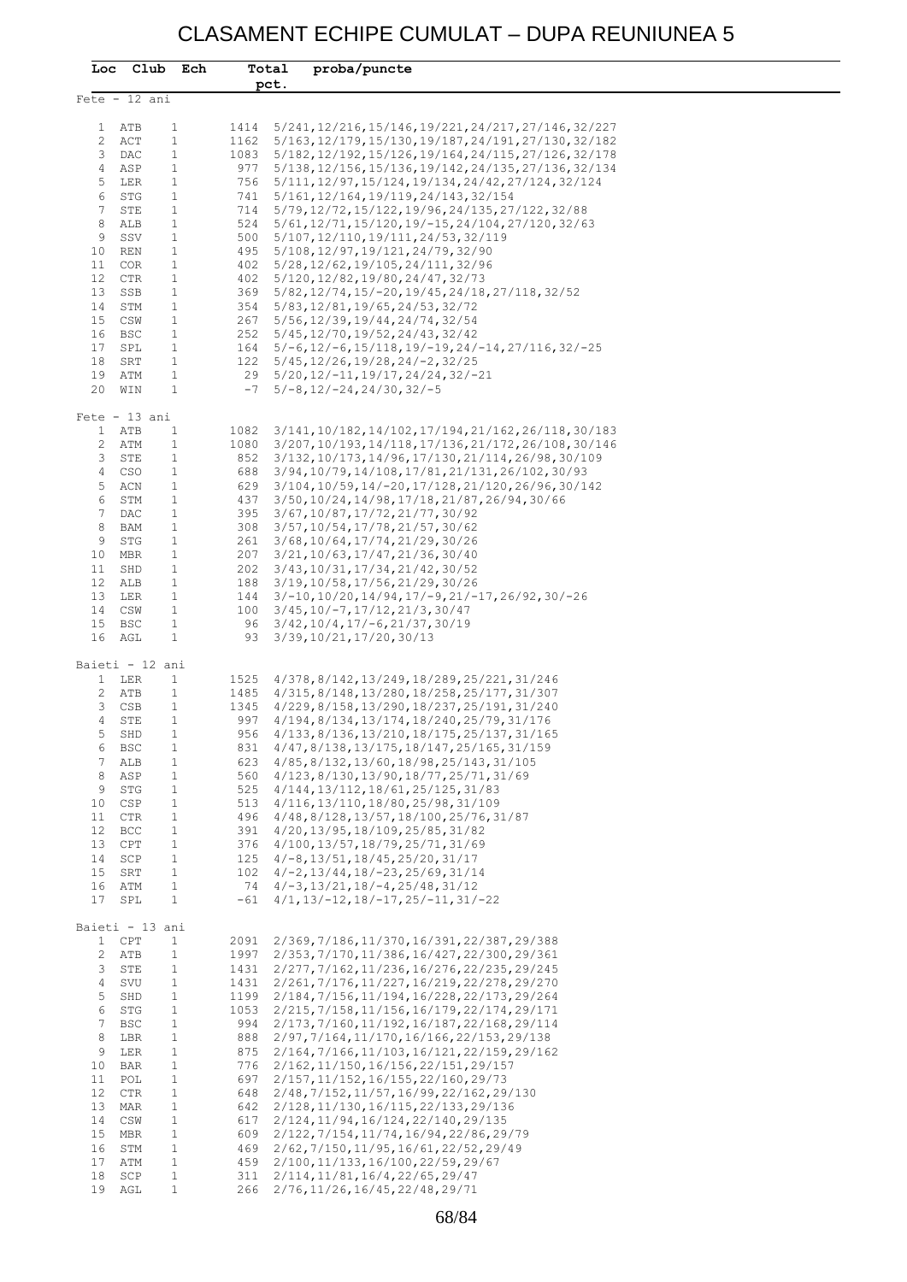## CLASAMENT ECHIPE CUMULAT – DUPA REUNIUNEA 5

|                                |            | Loc Club Ech                 | Total        | proba/puncte                                                                                                     |
|--------------------------------|------------|------------------------------|--------------|------------------------------------------------------------------------------------------------------------------|
|                                |            |                              | pct.         |                                                                                                                  |
| Fete $-12$ ani                 |            |                              |              |                                                                                                                  |
|                                |            |                              |              |                                                                                                                  |
| $\mathbf{1}$                   | ATB        | $\mathbf{1}$                 | 1414         | 5/241, 12/216, 15/146, 19/221, 24/217, 27/146, 32/227                                                            |
| $\mathbf{2}$                   | ACT        | $\mathbf{1}$                 | 1162         | 5/163, 12/179, 15/130, 19/187, 24/191, 27/130, 32/182                                                            |
| 3                              | DAC        | $\mathbf{1}$                 | 1083         | 5/182, 12/192, 15/126, 19/164, 24/115, 27/126, 32/178                                                            |
| 4                              | ASP        | $\mathbf{1}$                 | 977          | 5/138, 12/156, 15/136, 19/142, 24/135, 27/136, 32/134                                                            |
| 5                              | LER        | 1                            |              | 756 5/111, 12/97, 15/124, 19/134, 24/42, 27/124, 32/124                                                          |
| $\epsilon$                     | STG        | $\mathbf{1}$                 |              | 741 5/161, 12/164, 19/119, 24/143, 32/154                                                                        |
| 7                              | STE        | $\mathbf{1}$                 |              | 714 5/79, 12/72, 15/122, 19/96, 24/135, 27/122, 32/88                                                            |
| 8                              | ALB        | $\mathbf{1}$                 |              | 524 5/61, 12/71, 15/120, 19/-15, 24/104, 27/120, 32/63                                                           |
| 9                              | SSV        | $\mathbf{1}$                 |              | 500 5/107, 12/110, 19/111, 24/53, 32/119                                                                         |
| 10                             | REN        | $\mathbf{1}$                 |              | 495 5/108, 12/97, 19/121, 24/79, 32/90                                                                           |
| 11                             | <b>COR</b> | $\mathbf{1}$                 |              | 402 5/28, 12/62, 19/105, 24/111, 32/96                                                                           |
| 12                             | CTR        | $\mathbf{1}$                 |              | 402 5/120, 12/82, 19/80, 24/47, 32/73                                                                            |
| 13                             | SSB        | $\mathbf{1}$                 |              | 369 5/82, 12/74, 15/-20, 19/45, 24/18, 27/118, 32/52                                                             |
| 14                             | STM        | $\mathbf{1}$                 |              | 354 5/83, 12/81, 19/65, 24/53, 32/72                                                                             |
| 15                             | CSW        | $\mathbf{1}$                 |              | 267 5/56, 12/39, 19/44, 24/74, 32/54                                                                             |
| 16                             | BSC        | $\mathbf{1}$                 |              | 252 5/45, 12/70, 19/52, 24/43, 32/42                                                                             |
| 17                             | SPL        | $\mathbf{1}$                 |              | $164$ 5/-6, 12/-6, 15/118, 19/-19, 24/-14, 27/116, 32/-25                                                        |
| 18                             | SRT        | $\mathbf{1}$                 |              | $122 \quad 5/45, 12/26, 19/28, 24/-2, 32/25$                                                                     |
| 19                             | ATM        | $\mathbf{1}$                 |              | $29 \quad 5/20$ , $12/-11$ , $19/17$ , $24/24$ , $32/-21$                                                        |
| 20                             | WIN        | $\mathbf{1}$                 |              | $-7$ 5/-8, 12/-24, 24/30, 32/-5                                                                                  |
|                                |            |                              |              |                                                                                                                  |
| $Fete - 13 ani$                |            |                              |              | 3/141, 10/182, 14/102, 17/194, 21/162, 26/118, 30/183                                                            |
| $\mathbf{1}$<br>$\overline{c}$ | ATB        | $\mathbf{1}$<br>1            | 1082<br>1080 | 3/207, 10/193, 14/118, 17/136, 21/172, 26/108, 30/146                                                            |
|                                | ATM        |                              |              |                                                                                                                  |
| 3                              | STE        | $\mathbf{1}$                 |              | 852 3/132, 10/173, 14/96, 17/130, 21/114, 26/98, 30/109                                                          |
| 4                              | <b>CSO</b> | $\mathbf{1}$                 |              | 688 3/94, 10/79, 14/108, 17/81, 21/131, 26/102, 30/93<br>629 3/104, 10/59, 14/-20, 17/128, 21/120, 26/96, 30/142 |
| 5<br>6                         | ACN        | $\mathbf{1}$                 |              | 437 3/50, 10/24, 14/98, 17/18, 21/87, 26/94, 30/66                                                               |
| 7                              | STM<br>DAC | $\mathbf{1}$<br>$\mathbf{1}$ |              | 395 3/67, 10/87, 17/72, 21/77, 30/92                                                                             |
| 8                              |            | $\mathbf{1}$                 |              | 308 3/57, 10/54, 17/78, 21/57, 30/62                                                                             |
| 9                              | BAM<br>STG | $\mathbf{1}$                 |              | 261 3/68, 10/64, 17/74, 21/29, 30/26                                                                             |
| 10                             | MBR        | 1                            |              | 207 3/21, 10/63, 17/47, 21/36, 30/40                                                                             |
| 11                             | SHD        | $\mathbf{1}$                 |              | 202 3/43, 10/31, 17/34, 21/42, 30/52                                                                             |
| 12 <sup>°</sup>                | ALB        | 1                            |              | 188 3/19, 10/58, 17/56, 21/29, 30/26                                                                             |
| 13                             | LER        | $\mathbf{1}$                 |              | $144$ $3/-10, 10/20, 14/94, 17/-9, 21/-17, 26/92, 30/-26$                                                        |
| 14                             | CSW        | 1                            |              | $100 \quad 3/45, 10/-7, 17/12, 21/3, 30/47$                                                                      |
| 15 <sub>1</sub>                | BSC        | $\mathbf{1}$                 |              | 96 $3/42, 10/4, 17/-6, 21/37, 30/19$                                                                             |
| 16                             | AGL        | $\mathbf{1}$                 |              | 93 3/39, 10/21, 17/20, 30/13                                                                                     |
|                                |            |                              |              |                                                                                                                  |
| Baieti - 12 ani                |            |                              |              |                                                                                                                  |
| $\mathbf{1}$                   | LER        | $\mathbf{1}$                 | 1525         | 4/378, 8/142, 13/249, 18/289, 25/221, 31/246                                                                     |
| $\overline{c}$                 | ATB        | $\mathbf{1}$                 | 1485         | 4/315,8/148,13/280,18/258,25/177,31/307                                                                          |
| 3                              | CSB        | $\mathbf{1}$                 | 1345         | 4/229,8/158,13/290,18/237,25/191,31/240                                                                          |
| $\overline{4}$                 | STE        | $\mathbf{1}$                 | 997          | 4/194, 8/134, 13/174, 18/240, 25/79, 31/176                                                                      |
| 5                              | SHD        | $\mathbf{1}$                 | 956          | 4/133, 8/136, 13/210, 18/175, 25/137, 31/165                                                                     |
| 6                              | <b>BSC</b> | 1                            | 831          | $4/47, 8/138, 13/175, 18/147, 25/165, 31/159$                                                                    |
| $\boldsymbol{7}$               | ALB        | $\mathbf{1}$                 | 623          | $4/85, 8/132, 13/60, 18/98, 25/143, 31/105$                                                                      |
| 8                              | ASP        | $\mathbf{1}$                 | 560          | $4/123, 8/130, 13/90, 18/77, 25/71, 31/69$                                                                       |
| 9                              | STG        | $\mathbf{1}$                 | 525          | 4/144, 13/112, 18/61, 25/125, 31/83                                                                              |
| 10                             | CSP        | $\mathbf{1}$                 | 513          | 4/116, 13/110, 18/80, 25/98, 31/109                                                                              |
| 11                             | CTR        | $\mathbf{1}$                 | 496          | 4/48,8/128,13/57,18/100,25/76,31/87                                                                              |
| 12                             | BCC        | $\mathbf{1}$                 | 391          | 4/20, 13/95, 18/109, 25/85, 31/82                                                                                |
| 13                             | CPT        | $\mathbf 1$                  | 376          | 4/100, 13/57, 18/79, 25/71, 31/69                                                                                |
| 14                             | SCP        | $\mathbf{1}$                 | 125          | $4/-8$ , 13/51, 18/45, 25/20, 31/17                                                                              |
| 15                             | SRT        | $\mathbf{1}$                 | 102          | $4/-2$ , 13/44, 18/-23, 25/69, 31/14                                                                             |
| 16                             | ATM        | $\mathbf 1$<br>$\mathbf{1}$  | 74<br>$-61$  | $4/-3$ , $13/21$ , $18/-4$ , $25/48$ , $31/12$                                                                   |
| 17                             | SPL        |                              |              | $4/1, 13/-12, 18/-17, 25/-11, 31/-22$                                                                            |
| Baieti - 13 ani                |            |                              |              |                                                                                                                  |
| $\mathbf{1}$                   | CPT        | $\mathbf{1}$                 | 2091         | 2/369, 7/186, 11/370, 16/391, 22/387, 29/388                                                                     |
| $\mathbf{2}$                   | ATB        | $\mathbf{1}$                 | 1997         | 2/353, 7/170, 11/386, 16/427, 22/300, 29/361                                                                     |
| 3                              | STE        | $\mathbf 1$                  | 1431         | 2/277, 7/162, 11/236, 16/276, 22/235, 29/245                                                                     |
| $\overline{4}$                 | SVU        | $\mathbf{1}$                 | 1431         | 2/261, 7/176, 11/227, 16/219, 22/278, 29/270                                                                     |
| 5                              | SHD        | $\mathbf 1$                  | 1199         | 2/184, 7/156, 11/194, 16/228, 22/173, 29/264                                                                     |
| 6                              | STG        | $\mathbf{1}$                 | 1053         | 2/215, 7/158, 11/156, 16/179, 22/174, 29/171                                                                     |
| 7                              | BSC        | $\mathbf{1}$                 | 994          | 2/173, 7/160, 11/192, 16/187, 22/168, 29/114                                                                     |
| 8                              | LBR        | $\mathbf{1}$                 | 888          | 2/97, 7/164, 11/170, 16/166, 22/153, 29/138                                                                      |
| 9                              | LER        | $\mathbf{1}$                 | 875          | 2/164, 7/166, 11/103, 16/121, 22/159, 29/162                                                                     |
| 10                             | BAR        | $\mathbf{1}$                 | 776          | 2/162, 11/150, 16/156, 22/151, 29/157                                                                            |
| 11                             | POL        | $\mathbf{1}$                 | 697          | 2/157, 11/152, 16/155, 22/160, 29/73                                                                             |
| 12                             | CTR        | $\mathbf{1}$                 | 648          | 2/48, 7/152, 11/57, 16/99, 22/162, 29/130                                                                        |
| 13                             | MAR        | $\mathbf{1}$                 | 642          | 2/128, 11/130, 16/115, 22/133, 29/136                                                                            |
| 14                             | CSW        | $\mathbf{1}$                 | 617          | 2/124, 11/94, 16/124, 22/140, 29/135                                                                             |
| 15                             | MBR        | $\mathbf{1}$                 | 609          | 2/122, 7/154, 11/74, 16/94, 22/86, 29/79                                                                         |
| 16                             | STM        | $\mathbf{1}$                 | 469          | 2/62, 7/150, 11/95, 16/61, 22/52, 29/49                                                                          |
| 17                             | ATM        | $\mathbf{1}$                 | 459          | 2/100, 11/133, 16/100, 22/59, 29/67                                                                              |
| 18                             | SCP        | $\mathbf{1}$                 | 311          | 2/114, 11/81, 16/4, 22/65, 29/47                                                                                 |
| 19                             | AGL        | $\mathbf{1}$                 |              | 266 2/76, 11/26, 16/45, 22/48, 29/71                                                                             |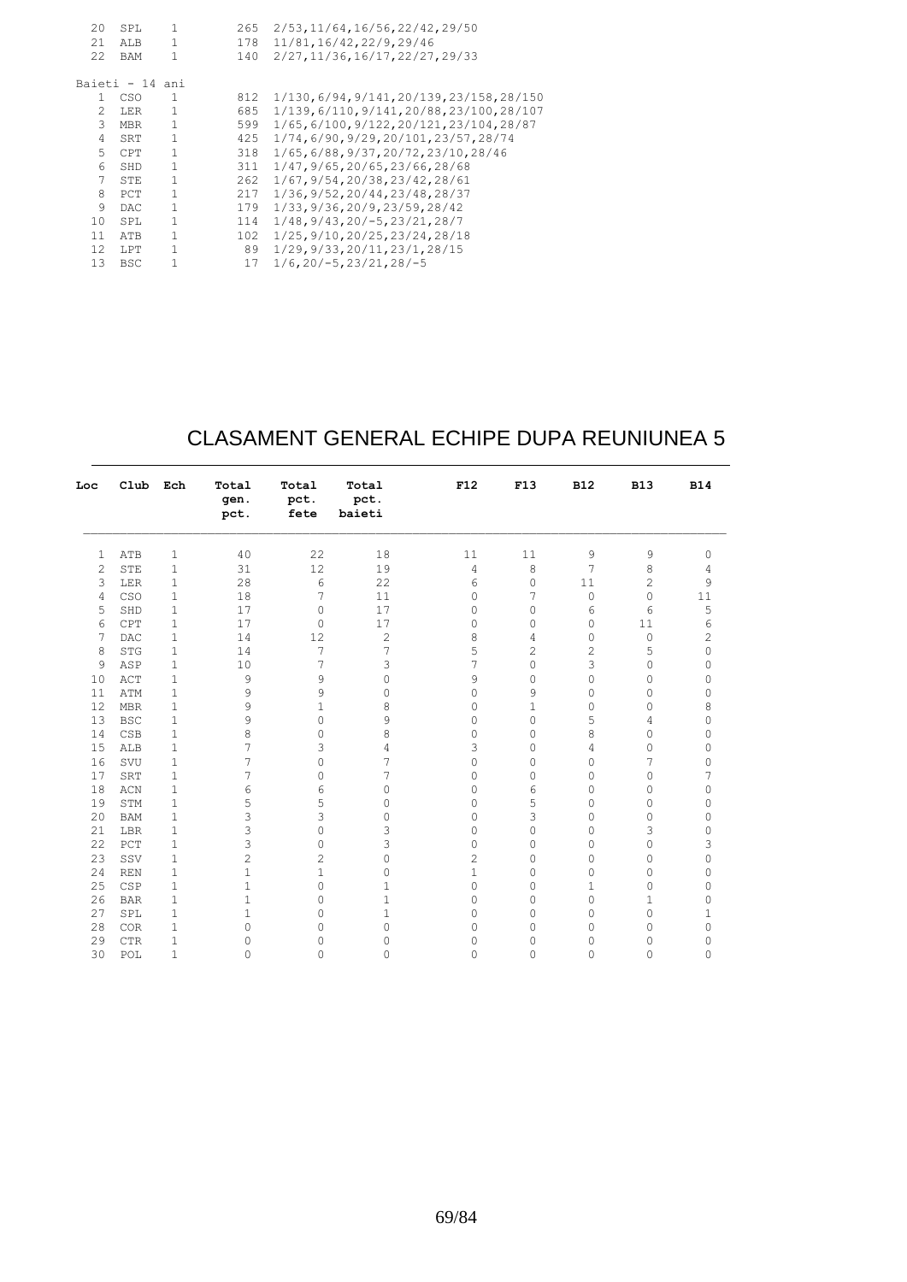| 20            | SPL             | 1            | 265 | 2/53, 11/64, 16/56, 22/42, 29/50           |
|---------------|-----------------|--------------|-----|--------------------------------------------|
| 21            | ALB             | $\mathbf{1}$ | 178 | 11/81, 16/42, 22/9, 29/46                  |
| 22            | BAM             | 1            | 140 | 2/27, 11/36, 16/17, 22/27, 29/33           |
|               | Baieti - 14 ani |              |     |                                            |
| $\mathbf{1}$  | CSO             | 1            | 812 | 1/130, 6/94, 9/141, 20/139, 23/158, 28/150 |
| $\mathcal{L}$ | LER             | 1            | 685 | 1/139,6/110,9/141,20/88,23/100,28/107      |
| 3             | MBR             | 1            | 599 | 1/65,6/100,9/122,20/121,23/104,28/87       |
| 4             | SRT             | 1            | 425 | 1/74,6/90,9/29,20/101,23/57,28/74          |
| 5.            | CPT.            | $\mathbf{1}$ | 318 | 1/65,6/88,9/37,20/72,23/10,28/46           |
| 6             | SHD             | 1            | 311 | 1/47, 9/65, 20/65, 23/66, 28/68            |
| 7             | STE             | 1            | 262 | 1/67, 9/54, 20/38, 23/42, 28/61            |
| 8             | PCT             | 1            | 217 | 1/36, 9/52, 20/44, 23/48, 28/37            |
| 9             | DAC             | 1            | 179 | 1/33, 9/36, 20/9, 23/59, 28/42             |
| 10            | SPL             | $\mathbf{1}$ | 114 | $1/48, 9/43, 20/-5, 23/21, 28/7$           |
| 11            | ATB             | 1            | 102 | 1/25, 9/10, 20/25, 23/24, 28/18            |
| 12            | LPT             | 1            | 89  | 1/29, 9/33, 20/11, 23/1, 28/15             |
| 13            | <b>BSC</b>      | 1            | 17  | $1/6, 20/ - 5, 23/21, 28/ - 5$             |
|               |                 |              |     |                                            |

# CLASAMENT GENERAL ECHIPE DUPA REUNIUNEA 5

| Loc            | Club Ech   |              | Total<br>gen.<br>pct. | Total<br>pct.<br>fete | Total<br>pct.<br>baieti | F12                 | F13            | <b>B12</b>  | <b>B13</b><br>9<br>8<br>$\overline{c}$<br>$\mathbf 0$<br>6<br>11<br>$\mathbf 0$<br>5<br>$\mathbf 0$<br>0<br>$\Omega$<br>$\Omega$<br>4<br>0<br>0<br>7<br>0<br>0<br>$\circ$<br>$\mathbf 0$<br>3<br>$\mathbf 0$<br>$\circ$<br>$\Omega$<br>$\mathbf 0$<br>1 | <b>B14</b>     |
|----------------|------------|--------------|-----------------------|-----------------------|-------------------------|---------------------|----------------|-------------|---------------------------------------------------------------------------------------------------------------------------------------------------------------------------------------------------------------------------------------------------------|----------------|
| $\mathbf{1}$   | ATB        | $\mathbf 1$  | 40                    | 22                    | 18                      | 11                  | 11             | 9           |                                                                                                                                                                                                                                                         | 0              |
| $\overline{c}$ | STE        | $\mathbf{1}$ | 31                    | 12                    | 19                      | $\sqrt{4}$          | $\,8\,$        | 7           |                                                                                                                                                                                                                                                         | 4              |
| 3              | LER        | $1\,$        | 28                    | $\epsilon$            | 22                      | 6                   | $\mathbb O$    | 11          |                                                                                                                                                                                                                                                         | 9              |
| 4              | CSO        | $1\,$        | 18                    | 7                     | 11                      | $\circ$             | 7              | $\mathbf 0$ |                                                                                                                                                                                                                                                         | 11             |
| 5              | SHD        | $1\,$        | 17                    | $\circ$               | 17                      | 0                   | 0              | 6           |                                                                                                                                                                                                                                                         | 5              |
| 6              | CPT        | $\mathbf 1$  | 17                    | $\Omega$              | 17                      | 0                   | 0              | 0           |                                                                                                                                                                                                                                                         | 6              |
| 7              | <b>DAC</b> | $\mathbf 1$  | 14                    | 12                    | $\overline{c}$          | 8                   | 4              | 0           |                                                                                                                                                                                                                                                         | $\overline{c}$ |
| 8              | <b>STG</b> | $\mathbf 1$  | 14                    | 7                     | 7                       | 5                   | $\overline{c}$ | 2           |                                                                                                                                                                                                                                                         | 0              |
| 9              | ASP        | $\mathbf 1$  | 10                    | 7                     | 3                       | 7                   | 0              | 3           |                                                                                                                                                                                                                                                         | 0              |
| 10             | ACT        | $1\,$        | $\mathsf 9$           | 9                     | 0                       | 9                   | $\mathbf{0}$   | 0           |                                                                                                                                                                                                                                                         | 0              |
| 11             | ATM        | $\mathbf{1}$ | $\mathsf 9$           | 9                     | 0                       | 0                   | 9              | 0           |                                                                                                                                                                                                                                                         | 0              |
| 12             | <b>MBR</b> | $1\,$        | 9                     | $\mathbf{1}$          | 8                       | 0                   | 1              | 0           |                                                                                                                                                                                                                                                         | 8              |
| 13             | <b>BSC</b> | $\mathbf{1}$ | 9                     | $\circ$               | 9                       | 0                   | $\circ$        | 5           |                                                                                                                                                                                                                                                         | 0              |
| 14             | CSB        | $1\,$        | 8                     | $\mathbf 0$           | 8                       | 0                   | 0              | 8           |                                                                                                                                                                                                                                                         | 0              |
| 15             | ALB        | $\mathbf{1}$ | $\overline{7}$        | 3                     | 4                       | 3                   | $\circ$        | 4           |                                                                                                                                                                                                                                                         | 0              |
| 16             | SVU        | $\mathbf{1}$ | 7                     | $\mathbf 0$           | 7                       | 0                   | 0              | 0           |                                                                                                                                                                                                                                                         | 0              |
| 17             | SRT        | $\mathbf{1}$ | 7                     | $\mathbf 0$           | 7                       | 0                   | 0              | 0           |                                                                                                                                                                                                                                                         | 7              |
| 18             | ACN        | $\mathbf{1}$ | 6                     | 6                     | 0                       | 0                   | 6              | 0           |                                                                                                                                                                                                                                                         | 0              |
| 19             | STM        | $\mathbf{1}$ | 5                     | 5                     | 0                       | 0                   | 5              | 0           |                                                                                                                                                                                                                                                         | $\circ$        |
| 20             | <b>BAM</b> | $\mathbf{1}$ | 3                     | 3                     | 0                       | $\circ$             | 3              | 0           |                                                                                                                                                                                                                                                         | 0              |
| 21             | LBR        | $1\,$        | 3                     | 0                     | 3                       | 0                   | 0              | 0           |                                                                                                                                                                                                                                                         | 0              |
| 22             | PCT        | $\mathbf{1}$ | 3                     | $\mathbf 0$           | 3                       | 0                   | 0              | 0           |                                                                                                                                                                                                                                                         | 3              |
| 23             | SSV        | $1\,$        | $\overline{c}$        | $\mathbf{2}$          | $\circ$                 | $\mathbf{2}$        | 0              | 0           |                                                                                                                                                                                                                                                         | 0              |
| 24             | <b>REN</b> | $\mathbf{1}$ | $\mathbf{1}$          | $1\,$                 | $\Omega$                | $1\,$               | $\Omega$       | 0           |                                                                                                                                                                                                                                                         | 0              |
| 25             | CSP        | $\mathbf{1}$ | $\mathbf{1}$          | $\mathbf 0$           | 1                       | $\mathbf 0$         | 0              | 1           |                                                                                                                                                                                                                                                         | 0              |
| 26             | <b>BAR</b> | $\mathbf{1}$ | $\mathbf{1}$          | 0                     | $\mathbf{1}$            | 0                   | 0              | 0           |                                                                                                                                                                                                                                                         | 0              |
| 27             | SPL        | $\mathbf{1}$ | $\mathbf{1}$          | 0                     | 1                       | 0                   | 0              | 0           | 0                                                                                                                                                                                                                                                       | 1              |
| 28             | COR        | $\mathbf{1}$ | $\circ$               | $\circ$               | 0                       | $\circ$             | 0              | 0           | $\circ$                                                                                                                                                                                                                                                 | 0              |
| 29             | <b>CTR</b> | $1\,$        | $\mathbf 0$           | $\mathbf{0}$          | 0                       | $\mathsf{O}\xspace$ | 0              | 0           | $\circ$                                                                                                                                                                                                                                                 | 0              |
| 30             | POL        | $\mathbf{1}$ | $\Omega$              | $\Omega$              | $\Omega$                | $\Omega$            | $\Omega$       | $\circ$     | $\Omega$                                                                                                                                                                                                                                                | $\Omega$       |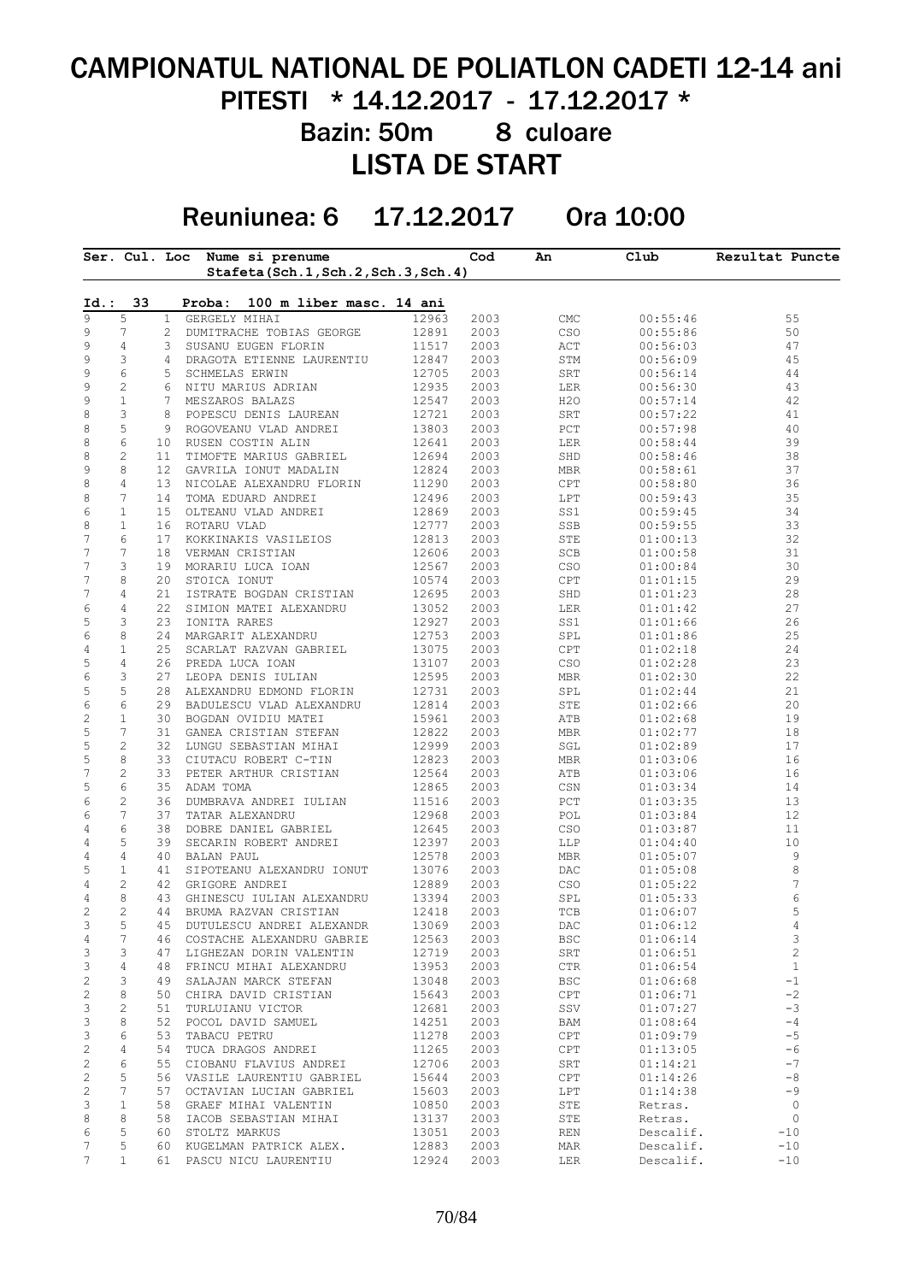# CAMPIONATUL NATIONAL DE POLIATLON CADETI 12-14 ani PITESTI \* 14.12.2017 - 17.12.2017 \* Bazin: 50m 8 culoare LISTA DE START

Reuniunea: 6 17.12.2017 Ora 10:00

|                          |                 |              | Ser. Cul. Loc Nume si prenume<br>Stafeta(Sch.1,Sch.2,Sch.3,Sch.4) |                | Cod  | An                               | Club                 | Rezultat Puncte |
|--------------------------|-----------------|--------------|-------------------------------------------------------------------|----------------|------|----------------------------------|----------------------|-----------------|
|                          |                 |              |                                                                   |                |      |                                  |                      |                 |
| $\mathtt{Id.}$ :<br>9    | 33<br>5         | $\mathbf{1}$ | Proba:<br>100 m liber masc. 14 ani<br>GERGELY MIHAI               | 12963          | 2003 | CMC                              |                      | 55              |
| 9                        | 7               | 2            | DUMITRACHE TOBIAS GEORGE                                          |                | 2003 | CSO                              | 00:55:46<br>00:55:86 | 50              |
| 9                        | 4               | 3            | SUSANU EUGEN FLORIN                                               | 12891<br>11517 | 2003 | $\mathop{\rm ACT}$               | 00:56:03             | 47              |
| 9                        | 3               | 4            | DRAGOTA ETIENNE LAURENTIU                                         | 12847          | 2003 | STM                              | 00:56:09             | 45              |
| 9                        | $\epsilon$      | 5            | SCHMELAS ERWIN                                                    | 12705          | 2003 | SRT                              | 00:56:14             | 44              |
|                          | $\mathbf{2}$    | 6            |                                                                   |                | 2003 |                                  |                      | 43              |
| 9                        | $\mathbf{1}$    |              | NITU MARIUS ADRIAN                                                | 12935          |      | LER                              | 00:56:30             |                 |
| 9<br>8                   |                 | 7            | MESZAROS BALAZS                                                   | 12547          | 2003 | H <sub>2</sub> O                 | 00:57:14             | 42              |
|                          | 3               | 8            | POPESCU DENIS LAUREAN                                             | 12721          | 2003 | SRT                              | 00:57:22             | 41              |
| 8                        | 5               | 9            | ROGOVEANU VLAD ANDREI                                             | 13803          | 2003 | $_{\rm PCT}$                     | 00:57:98             | 40              |
| 8                        | 6               | 10           | RUSEN COSTIN ALIN                                                 | 12641          | 2003 | LER                              | 00:58:44             | 39              |
| 8                        | 2               | 11           | TIMOFTE MARIUS GABRIEL                                            | 12694          | 2003 | $_{\rm SHD}$                     | 00:58:46             | 38              |
| 9<br>8                   | 8               | 12           | GAVRILA IONUT MADALIN                                             | 12824          | 2003 | $\operatorname{\mathsf{MBR}}$    | 00:58:61             | 37              |
|                          | $\overline{4}$  |              | 13 NICOLAE ALEXANDRU FLORIN                                       | 11290          | 2003 | $\mathtt{CPT}$                   | 00:58:80             | 36              |
| 8                        | 7               | 14           | TOMA EDUARD ANDREI                                                | 12496          | 2003 | LPT                              | 00:59:43             | 35              |
| 6                        | $\mathbf{1}$    | 15           | OLTEANU VLAD ANDREI                                               | 12869          | 2003 | SS1                              | 00:59:45             | 34              |
| 8                        | $\mathbf{1}$    | 16           | ROTARU VLAD                                                       | 12777          | 2003 | $_{\footnotesize{\texttt{SSB}}}$ | 00:59:55             | 33              |
| $\overline{7}$           | 6               | 17           | KOKKINAKIS VASILEIOS                                              | 12813          | 2003 | ${\tt STE}$                      | 01:00:13             | 32              |
| 7                        | $7\phantom{.0}$ | 18           | VERMAN CRISTIAN                                                   | 12606          | 2003 | $_{\rm SCB}$                     | 01:00:58             | 31              |
| 7                        | 3               | 19           | MORARIU LUCA IOAN                                                 | 12567          | 2003 | $_{\tiny{\mbox{\texttt{CSO}}}}$  | 01:00:84             | 30              |
| 7                        | 8               | 20           | STOICA IONUT                                                      | 10574          | 2003 | CPT                              | 01:01:15             | 29              |
| $\overline{\phantom{a}}$ | 4               | 21           | ISTRATE BOGDAN CRISTIAN                                           | 12695          | 2003 | $_{\rm SHD}$                     | 01:01:23             | 28              |
| 6                        | 4               | 22           | SIMION MATEI ALEXANDRU                                            | 13052          | 2003 | LER                              | 01:01:42             | 27              |
| 5                        | 3               | 23           | IONITA RARES                                                      | 12927          | 2003 | SS1                              | 01:01:66             | 26              |
| 6                        | 8               |              | 24 MARGARIT ALEXANDRU                                             | 12753          | 2003 | SPL                              | 01:01:86             | 25              |
| $\sqrt{4}$               | $\mathbf{1}$    | 25           | SCARLAT RAZVAN GABRIEL                                            | 13075          | 2003 | CPT                              | 01:02:18             | 24              |
| 5                        | 4               |              | 26 PREDA LUCA IOAN                                                | 13107          | 2003 | CSO                              | 01:02:28             | 23              |
| $\epsilon$               | 3               |              | 27 LEOPA DENIS IULIAN                                             | 12595          | 2003 | MBR                              | 01:02:30             | 22              |
| 5                        | 5               |              | 28 ALEXANDRU EDMOND FLORIN                                        | 12731          | 2003 | SPL                              | 01:02:44             | 21              |
| 6                        | 6               |              | 29 BADULESCU VLAD ALEXANDRU                                       | 12814          | 2003 | STE                              | 01:02:66             | 20              |
| $\overline{\mathbf{c}}$  | $\mathbf{1}$    |              | 30 BOGDAN OVIDIU MATEI                                            | 15961          | 2003 | ATB                              | 01:02:68             | 19              |
| 5                        | 7               | 31           | GANEA CRISTIAN STEFAN                                             | 12822          | 2003 | MBR                              | 01:02:77             | 18              |
|                          | 2               |              | 32 LUNGU SEBASTIAN MIHAI                                          | 12999          | 2003 | SGL                              | 01:02:89             | 17              |
| 5<br>5                   | 8               |              | 33 CIUTACU ROBERT C-TIN                                           | 12823          | 2003 | MBR                              | 01:03:06             | 16              |
| 7                        | 2               |              | 33 PETER ARTHUR CRISTIAN                                          | 12564          | 2003 | ATB                              | 01:03:06             | 16              |
| 5                        | 6               | 35           | ADAM TOMA                                                         | 12865          | 2003 | CSN                              | 01:03:34             | 14              |
| 6                        | $\mathbf{2}$    | 36           | DUMBRAVA ANDREI IULIAN                                            | 11516          | 2003 | $_{\rm PCT}$                     | 01:03:35             | 13              |
| 6                        | 7               | 37           | TATAR ALEXANDRU                                                   | 12968          | 2003 | $\ensuremath{\text{POL}}\xspace$ | 01:03:84             | 12              |
| 4                        | 6               | 38           | DOBRE DANIEL GABRIEL                                              | 12645          | 2003 | $_{\tiny{\mbox{\texttt{CSO}}}}$  | 01:03:87             | 11              |
| 4                        | 5               | 39           | SECARIN ROBERT ANDREI                                             | 12397          | 2003 | LLP                              | 01:04:40             | 10              |
| $\overline{4}$           | 4               | 40           | <b>BALAN PAUL</b>                                                 | 12578          | 2003 |                                  | 01:05:07             | 9               |
|                          |                 |              |                                                                   |                |      | MBR                              |                      |                 |
| 5                        | 1               | 41           | SIPOTEANU ALEXANDRU IONUT                                         | 13076          | 2003 | DAC                              | 01:05:08             | 8               |
| $\overline{4}$           | 2               |              | 42 GRIGORE ANDREI                                                 | 12889          | 2003 | CSO                              | 01:05:22             | 7               |
| 4                        | 8               | 43           | GHINESCU IULIAN ALEXANDRU                                         | 13394          | 2003 | SPL                              | 01:05:33             | 6               |
| $\overline{c}$           | 2               |              | 44 BRUMA RAZVAN CRISTIAN                                          | 12418          | 2003 | TCB                              | 01:06:07             | 5               |
| 3                        | 5               | 45           | DUTULESCU ANDREI ALEXANDR                                         | 13069          | 2003 | DAC                              | 01:06:12             | $\overline{4}$  |
| 4                        | 7               | 46           | COSTACHE ALEXANDRU GABRIE                                         | 12563          | 2003 | <b>BSC</b>                       | 01:06:14             | 3               |
| 3                        | 3               | 47           | LIGHEZAN DORIN VALENTIN                                           | 12719          | 2003 | SRT                              | 01:06:51             | $\overline{c}$  |
| 3                        | 4               | 48           | FRINCU MIHAI ALEXANDRU                                            | 13953          | 2003 | CTR                              | 01:06:54             | $\mathbf{1}$    |
| $\sqrt{2}$               | 3               | 49           | SALAJAN MARCK STEFAN                                              | 13048          | 2003 | <b>BSC</b>                       | 01:06:68             | $-1$            |
| $\sqrt{2}$               | 8               | 50           | CHIRA DAVID CRISTIAN                                              | 15643          | 2003 | CPT                              | 01:06:71             | $-2$            |
| 3                        | 2               | 51           | TURLUIANU VICTOR                                                  | 12681          | 2003 | SSV                              | 01:07:27             | $-3$            |
| 3                        | 8               | 52           | POCOL DAVID SAMUEL                                                | 14251          | 2003 | BAM                              | 01:08:64             | $-4$            |
| 3                        | 6               | 53           | TABACU PETRU                                                      | 11278          | 2003 | CPT                              | 01:09:79             | $-5$            |
| $\sqrt{2}$               | 4               | 54           | TUCA DRAGOS ANDREI                                                | 11265          | 2003 | CPT                              | 01:13:05             | $-6$            |
| $\sqrt{2}$               | 6               | 55           | CIOBANU FLAVIUS ANDREI                                            | 12706          | 2003 | SRT                              | 01:14:21             | $-7$            |
| $\sqrt{2}$               | 5               | 56           | VASILE LAURENTIU GABRIEL                                          | 15644          | 2003 | CPT                              | 01:14:26             | $-8$            |
| $\sqrt{2}$               | 7               | 57           | OCTAVIAN LUCIAN GABRIEL                                           | 15603          | 2003 | LPT                              | 01:14:38             | $-9$            |
| 3                        | $\mathbf{1}$    | 58           | GRAEF MIHAI VALENTIN                                              | 10850          | 2003 | STE                              | Retras.              | $\circ$         |
| 8                        | 8               | 58           | IACOB SEBASTIAN MIHAI                                             | 13137          | 2003 | STE                              | Retras.              | $\circ$         |
| 6                        | 5               | 60           | STOLTZ MARKUS                                                     | 13051          | 2003 | REN                              | Descalif.            | $-10$           |
| $\overline{7}$           | 5               | 60           | KUGELMAN PATRICK ALEX.                                            | 12883          | 2003 | MAR                              | Descalif.            | $-10$           |
| $\overline{7}$           | $\mathbf{1}$    | 61           | PASCU NICU LAURENTIU                                              | 12924          | 2003 | LER                              | Descalif.            | $-10$           |
|                          |                 |              |                                                                   |                |      |                                  |                      |                 |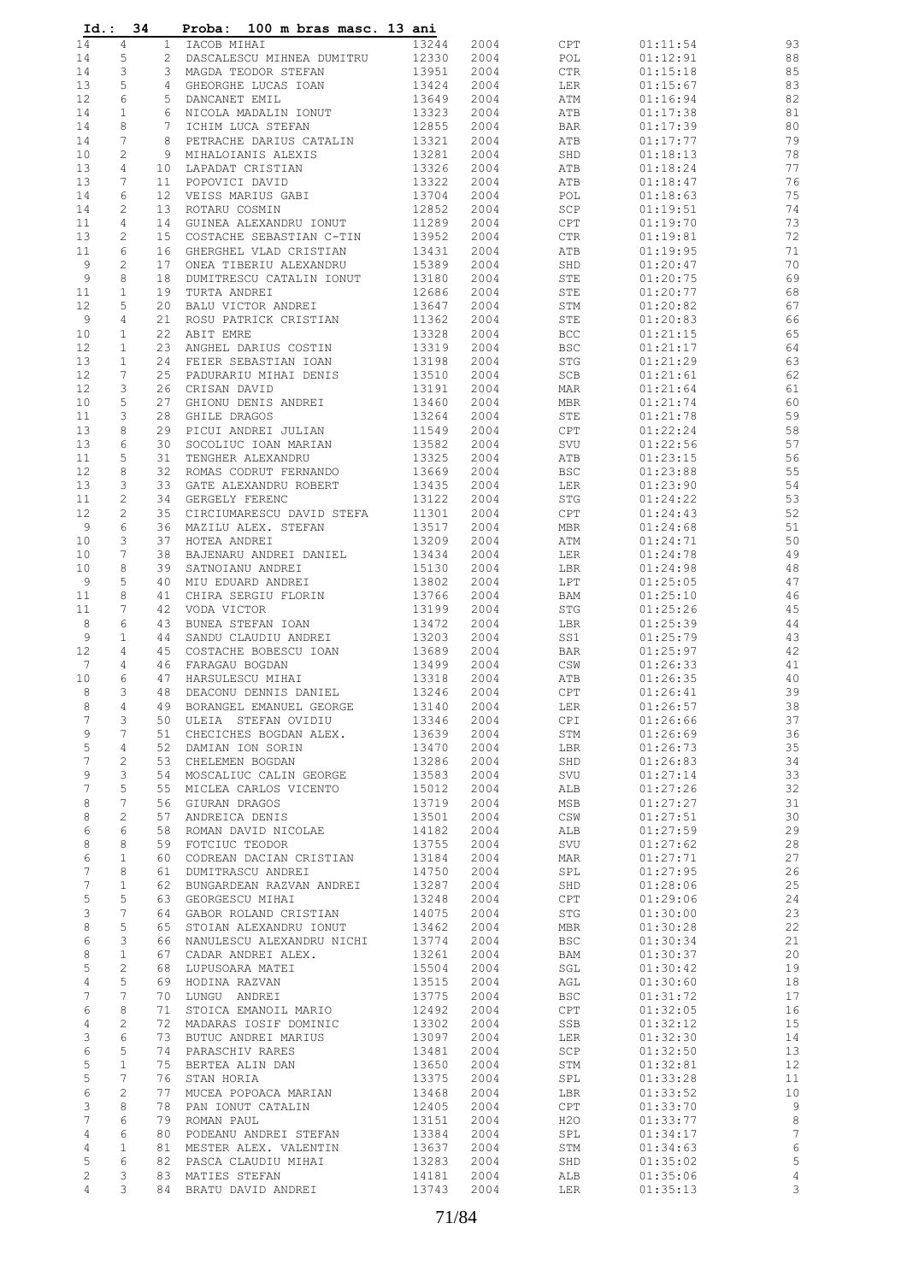| Id.:                             | 34                  |                 | Proba:<br>100 m bras masc. 13 ani                   |                |              |                   |                      |                           |
|----------------------------------|---------------------|-----------------|-----------------------------------------------------|----------------|--------------|-------------------|----------------------|---------------------------|
| 14                               | $\overline{4}$      | $\mathbf{1}$    | IACOB MIHAI                                         | 13244          | 2004         | CPT               | 01:11:54             | 93                        |
| 14                               | 5                   | 2               | DASCALESCU MIHNEA DUMITRU                           | 12330          | 2004         | POL               | 01:12:91             | 88                        |
| 14                               | 3                   | 3               | MAGDA TEODOR STEFAN                                 | 13951          | 2004         | $_{\rm CTR}$      | 01:15:18             | $8\,5$                    |
| 13                               | 5                   | 4               | GHEORGHE LUCAS IOAN                                 | 13424          | 2004         | LER               | 01:15:67             | 83                        |
| 12                               | 6                   | 5               | DANCANET EMIL                                       | 13649          | 2004         | ATM               | 01:16:94             | 82                        |
| 14<br>14                         | $\mathbf{1}$<br>8   | 6<br>7          | NICOLA MADALIN IONUT<br>ICHIM LUCA STEFAN           | 13323<br>12855 | 2004<br>2004 | ATB<br>BAR        | 01:17:38<br>01:17:39 | 81<br>80                  |
| 14                               | 7                   | 8               | PETRACHE DARIUS CATALIN                             | 13321          | 2004         | ATB               | 01:17:77             | 79                        |
| 10                               | $\mathbf{2}$        | 9               | MIHALOIANIS ALEXIS                                  | 13281          | 2004         | SHD               | 01:18:13             | 78                        |
| 13                               | 4                   | 10              | LAPADAT CRISTIAN                                    | 13326          | 2004         | ATB               | 01:18:24             | 77                        |
| 13                               | 7                   | 11              | POPOVICI DAVID                                      | 13322          | 2004         | ATB               | 01:18:47             | 76                        |
| 14                               | 6                   | 12 <sup>°</sup> | VEISS MARIUS GABI                                   | 13704          | 2004         | POL               | 01:18:63             | 75                        |
| 14                               | $\mathbf{2}$        | 13              | ROTARU COSMIN                                       | 12852          | 2004         | SCP               | 01:19:51             | 74                        |
| 11                               | 4                   | 14              | GUINEA ALEXANDRU IONUT                              | 11289          | 2004         | CPT               | 01:19:70             | 73                        |
| 13                               | $\mathbf{2}$        | 15              | COSTACHE SEBASTIAN C-TIN                            | 13952          | 2004         | CTR               | 01:19:81             | 72                        |
| 11                               | 6                   | 16              | GHERGHEL VLAD CRISTIAN                              | 13431          | 2004         | ATB               | 01:19:95             | 71                        |
| 9<br>9                           | $\mathbf{2}$<br>8   | 17<br>18        | ONEA TIBERIU ALEXANDRU<br>DUMITRESCU CATALIN IONUT  | 15389<br>13180 | 2004<br>2004 | SHD<br>STE        | 01:20:47<br>01:20:75 | 70<br>69                  |
| 11                               | 1                   | 19              | TURTA ANDREI                                        | 12686          | 2004         | STE               | 01:20:77             | 68                        |
| 12                               | 5                   | 20              | BALU VICTOR ANDREI                                  | 13647          | 2004         | STM               | 01:20:82             | 67                        |
| 9                                | 4                   | 21              | ROSU PATRICK CRISTIAN                               | 11362          | 2004         | STE               | 01:20:83             | 66                        |
| 10                               | 1                   | 22              | ABIT EMRE                                           | 13328          | 2004         | BCC               | 01:21:15             | 65                        |
| 12                               | 1                   | 23              | ANGHEL DARIUS COSTIN                                | 13319          | 2004         | <b>BSC</b>        | 01:21:17             | 64                        |
| 13                               | $\mathbf{1}$        | 24              | FEIER SEBASTIAN IOAN                                | 13198          | 2004         | STG               | 01:21:29             | 63                        |
| 12                               | 7                   | 25              | PADURARIU MIHAI DENIS                               | 13510          | 2004         | SCB               | 01:21:61             | 62                        |
| 12                               | 3                   | 26              | CRISAN DAVID                                        | 13191          | 2004         | MAR               | 01:21:64             | 61                        |
| 10                               | 5                   | 27              | GHIONU DENIS ANDREI                                 | 13460          | 2004         | MBR               | 01:21:74             | 60                        |
| 11                               | 3                   | 28              | GHILE DRAGOS                                        | 13264          | 2004         | STE               | 01:21:78             | 59                        |
| 13<br>13                         | 8<br>6              | 29<br>30        | PICUI ANDREI JULIAN<br>SOCOLIUC IOAN MARIAN         | 11549<br>13582 | 2004<br>2004 | CPT<br>SVU        | 01:22:24<br>01:22:56 | 58<br>57                  |
| 11                               | 5                   | 31              | TENGHER ALEXANDRU                                   | 13325          | 2004         | ATB               | 01:23:15             | 56                        |
| 12                               | 8                   | 32              | ROMAS CODRUT FERNANDO                               | 13669          | 2004         | <b>BSC</b>        | 01:23:88             | 55                        |
| 13                               | 3                   | 33              | GATE ALEXANDRU ROBERT                               | 13435          | 2004         | LER               | 01:23:90             | 54                        |
| 11                               | $\mathbf{2}$        | 34              | GERGELY FERENC                                      | 13122          | 2004         | STG               | 01:24:22             | 53                        |
| 12                               | $\mathbf{2}$        | 35              | CIRCIUMARESCU DAVID STEFA                           | 11301          | 2004         | CPT               | 01:24:43             | 52                        |
| 9                                | $6\,$               | 36              | MAZILU ALEX. STEFAN                                 | 13517          | 2004         | MBR               | 01:24:68             | 51                        |
| 10                               | 3                   | 37              | HOTEA ANDREI                                        | 13209          | 2004         | ATM               | 01:24:71             | 50                        |
| 10                               | 7                   | 38              | BAJENARU ANDREI DANIEL                              | 13434          | 2004         | LER               | 01:24:78             | 49                        |
| 10                               | 8                   | 39              | SATNOIANU ANDREI                                    | 15130          | 2004         | LBR               | 01:24:98             | 48                        |
| 9                                | 5<br>8              | 40<br>41        | MIU EDUARD ANDREI                                   | 13802          | 2004<br>2004 | LPT               | 01:25:05<br>01:25:10 | 47<br>46                  |
| 11<br>11                         | 7                   | 42              | CHIRA SERGIU FLORIN<br>VODA VICTOR                  | 13766<br>13199 | 2004         | BAM<br>STG        | 01:25:26             | 45                        |
| 8                                | 6                   | 43              | BUNEA STEFAN IOAN                                   | 13472          | 2004         | LBR               | 01:25:39             | 44                        |
| 9                                | 1                   | 44              | SANDU CLAUDIU ANDREI                                | 13203          | 2004         | SS1               | 01:25:79             | 43                        |
| 12                               | 4                   | 45              | COSTACHE BOBESCU IOAN                               | 13689          | 2004         | BAR               | 01:25:97             | 42                        |
| 7                                | 4                   | 46              | FARAGAU BOGDAN                                      | 13499          | 2004         | $_{\tt CSW}$      | 01:26:33             | 41                        |
| 10                               | 6                   | 47              | HARSULESCU MIHAI                                    | 13318          | 2004         | ATB               | 01:26:35             | 40                        |
| 8                                | 3                   | 48              | DEACONU DENNIS DANIEL                               | 13246          | 2004         | CPT               | 01:26:41             | 39                        |
| 8                                | 4                   | 49              | BORANGEL EMANUEL GEORGE                             | 13140          | 2004         | $_{\rm LER}$      | 01:26:57             | 38                        |
| $\overline{7}$                   | 3                   | 50              | ULEIA STEFAN OVIDIU                                 | 13346          | 2004         | CPI               | 01:26:66             | 37                        |
| 9                                | 7                   | 51              | CHECICHES BOGDAN ALEX.                              | 13639          | 2004         | STM               | 01:26:69             | 36                        |
| 5<br>$\boldsymbol{7}$            | 4<br>$\overline{c}$ | 52<br>53        | DAMIAN ION SORIN<br>CHELEMEN BOGDAN                 | 13470<br>13286 | 2004<br>2004 | LBR<br>SHD        | 01:26:73<br>01:26:83 | 35<br>34                  |
| 9                                | 3                   | 54              | MOSCALIUC CALIN GEORGE                              | 13583          | 2004         | SVU               | 01:27:14             | 33                        |
| $\overline{7}$                   | 5                   | 55              | MICLEA CARLOS VICENTO                               | 15012          | 2004         | ALB               | 01:27:26             | 32                        |
| 8                                | 7                   | 56              | GIURAN DRAGOS                                       | 13719          | 2004         | MSB               | 01:27:27             | 31                        |
| 8                                | $\overline{c}$      | 57              | ANDREICA DENIS                                      | 13501          | 2004         | CSW               | 01:27:51             | 30                        |
| 6                                | 6                   | 58              | ROMAN DAVID NICOLAE                                 | 14182          | 2004         | ALB               | 01:27:59             | 29                        |
| 8                                | 8                   | 59              | FOTCIUC TEODOR                                      | 13755          | 2004         | SVU               | 01:27:62             | 28                        |
| 6                                | $\mathbf{1}$        | 60              | CODREAN DACIAN CRISTIAN                             | 13184          | 2004         | MAR               | 01:27:71             | 27                        |
| $\overline{7}$                   | 8                   | 61              | DUMITRASCU ANDREI                                   | 14750          | 2004         | SPL               | 01:27:95             | 26                        |
| $\boldsymbol{7}$                 | $\mathbf{1}$        | 62              | BUNGARDEAN RAZVAN ANDREI                            | 13287          | 2004         | SHD               | 01:28:06             | 25                        |
| 5                                | 5                   | 63              | GEORGESCU MIHAI                                     | 13248          | 2004         | CPT               | 01:29:06             | 24                        |
| 3                                | 7                   | 64              | GABOR ROLAND CRISTIAN                               | 14075          | 2004         | STG               | 01:30:00             | 23                        |
| 8<br>6                           | 5<br>3              | 65<br>66        | STOIAN ALEXANDRU IONUT<br>NANULESCU ALEXANDRU NICHI | 13462<br>13774 | 2004<br>2004 | MBR<br><b>BSC</b> | 01:30:28<br>01:30:34 | 22<br>21                  |
| 8                                | $\mathbf{1}$        | 67              | CADAR ANDREI ALEX.                                  | 13261          | 2004         | BAM               | 01:30:37             | 20                        |
| 5                                | $\mathbf{2}$        | 68              | LUPUSOARA MATEI                                     | 15504          | 2004         | SGL               | 01:30:42             | 19                        |
| $\overline{4}$                   | 5                   | 69              | HODINA RAZVAN                                       | 13515          | 2004         | AGL               | 01:30:60             | 18                        |
| 7                                | 7                   | 70              | LUNGU ANDREI                                        | 13775          | 2004         | <b>BSC</b>        | 01:31:72             | 17                        |
| 6                                | 8                   | 71              | STOICA EMANOIL MARIO                                | 12492          | 2004         | CPT               | 01:32:05             | 16                        |
| $\overline{4}$                   | $\mathbf{2}$        | 72              | MADARAS IOSIF DOMINIC                               | 13302          | 2004         | SSB               | 01:32:12             | 15                        |
| 3                                | 6                   | 73              | BUTUC ANDREI MARIUS                                 | 13097          | 2004         | LER               | 01:32:30             | 14                        |
| $\epsilon$                       | 5                   | 74              | PARASCHIV RARES                                     | 13481          | 2004         | SCP               | 01:32:50             | 13                        |
| 5                                | $\mathbf{1}$        | 75              | BERTEA ALIN DAN                                     | 13650          | 2004         | STM               | 01:32:81             | 12                        |
| 5                                | 7                   | 76              | STAN HORIA                                          | 13375          | 2004         | SPL               | 01:33:28             | 11                        |
| $\epsilon$                       | $\mathbf{2}$        | 77              | MUCEA POPOACA MARIAN                                | 13468          | 2004         | LBR               | 01:33:52             | $10$                      |
| 3                                | 8<br>6              | 78              | PAN IONUT CATALIN                                   | 12405          | 2004         | CPT               | 01:33:70             | $\overline{9}$<br>$\,8\,$ |
| $\overline{7}$<br>$\overline{4}$ | 6                   | 79<br>80        | ROMAN PAUL<br>PODEANU ANDREI STEFAN                 | 13151<br>13384 | 2004<br>2004 | H2O<br>SPL        | 01:33:77<br>01:34:17 | $7\phantom{.0}$           |
| $\overline{4}$                   | $\mathbf{1}$        | 81              | MESTER ALEX. VALENTIN                               | 13637          | 2004         | STM               | 01:34:63             | $\epsilon$                |
| 5                                | 6                   | 82              | PASCA CLAUDIU MIHAI                                 | 13283          | 2004         | SHD               | 01:35:02             | $\overline{5}$            |
| $\overline{c}$                   | 3                   | 83              | MATIES STEFAN                                       | 14181          | 2004         | ALB               | 01:35:06             | $\overline{4}$            |
| 4                                | 3                   | 84              | BRATU DAVID ANDREI                                  | 13743          | 2004         | LER               | 01:35:13             | 3                         |
|                                  |                     |                 |                                                     |                |              |                   |                      |                           |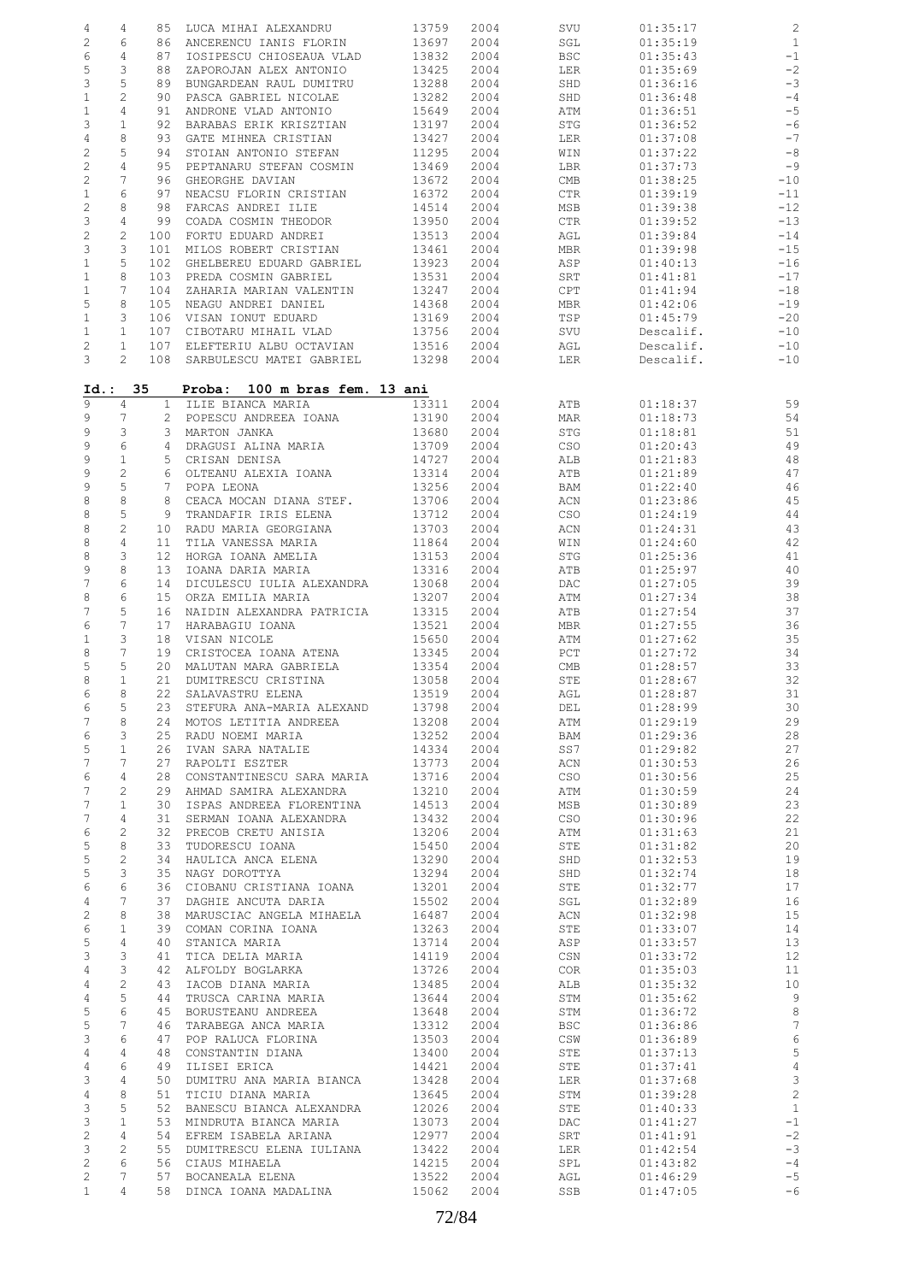| $\overline{4}$                 | 4                   | 85              | LUCA MIHAI ALEXANDRU                    | 13759          | 2004         | SVU                                | 01:35:17             | $\sqrt{2}$      |
|--------------------------------|---------------------|-----------------|-----------------------------------------|----------------|--------------|------------------------------------|----------------------|-----------------|
| $\sqrt{2}$                     | 6                   | 86              | ANCERENCU IANIS FLORIN                  | 13697          | 2004         | SGL                                | 01:35:19             | $\mathbf{1}$    |
| $\epsilon$                     | $\overline{4}$      | 87              | IOSIPESCU CHIOSEAUA VLAD                | 13832          | 2004         | <b>BSC</b>                         | 01:35:43             | $-1$            |
| 5                              | 3                   | 88              | ZAPOROJAN ALEX ANTONIO                  | 13425          | 2004         | LER                                | 01:35:69             | $^{\rm -2}$     |
| 3                              | 5                   | 89              | BUNGARDEAN RAUL DUMITRU                 | 13288          | 2004         | SHD                                | 01:36:16             | $-3$            |
| $\mathbf{1}$                   | 2                   | 90              | PASCA GABRIEL NICOLAE                   | 13282          | 2004         | SHD                                | 01:36:48             | $-4$            |
| $\mathbf{1}$                   | $\overline{4}$      | 91              | ANDRONE VLAD ANTONIO                    | 15649          | 2004         | ATM                                | 01:36:51             | $-5$            |
| 3                              | $\mathbf{1}$        | 92              | BARABAS ERIK KRISZTIAN                  | 13197          | 2004         | STG                                | 01:36:52             | $-6$            |
| $\overline{4}$                 | 8                   | 93              | GATE MIHNEA CRISTIAN                    | 13427          | 2004         | LER                                | 01:37:08             | $-7$            |
| $\sqrt{2}$                     | 5                   | 94              | STOIAN ANTONIO STEFAN                   | 11295          | 2004         | WIN                                | 01:37:22             | $^{\rm -8}$     |
| $\sqrt{2}$                     | 4                   | 95              | PEPTANARU STEFAN COSMIN                 | 13469          | 2004         | LBR                                | 01:37:73             | $-9$            |
| 2                              | 7                   | 96              | GHEORGHE DAVIAN                         | 13672          | 2004         | $\mathop{\rm CMB}\nolimits$        | 01:38:25             | $-10$           |
| $\mathbf{1}$                   | 6                   | 97              | NEACSU FLORIN CRISTIAN                  | 16372          | 2004         | CTR                                | 01:39:19             | $-11$           |
| $\overline{c}$                 | 8                   | 98              | FARCAS ANDREI ILIE                      | 14514          | 2004         | MSB                                | 01:39:38             | $-12$           |
| 3                              | $\overline{4}$      | 99              | COADA COSMIN THEODOR                    | 13950          | 2004         | CTR                                | 01:39:52             | $-13$           |
| 2                              | 2                   | 100             | FORTU EDUARD ANDREI                     | 13513          | 2004         | AGL                                | 01:39:84             | $-14$           |
| 3                              | 3                   | 101             | MILOS ROBERT CRISTIAN                   | 13461          | 2004         | MBR                                | 01:39:98             | $-15$           |
| $\mathbf{1}$                   | 5                   | 102             | GHELBEREU EDUARD GABRIEL                | 13923          | 2004         | ASP                                | 01:40:13             | $-16$           |
| $\mathbf{1}$                   | 8                   | 103             | PREDA COSMIN GABRIEL                    | 13531          | 2004         | SRT                                | 01:41:81             | $-17$           |
| $\mathbf{1}$                   | 7                   | 104             | ZAHARIA MARIAN VALENTIN                 | 13247          | 2004         | CPT                                | 01:41:94             | $-18$           |
| 5                              | 8                   | 105             | NEAGU ANDREI DANIEL                     | 14368          | 2004         | <b>MBR</b>                         | 01:42:06             | $-19$           |
| $\mathbf{1}$                   | 3                   | 106             | VISAN IONUT EDUARD                      | 13169          | 2004         | TSP                                | 01:45:79             | $-20$           |
| $\mathbf{1}$                   | $\mathbf{1}$        | 107             | CIBOTARU MIHAIL VLAD                    | 13756          | 2004         | SVU                                | Descalif.            | $-10$           |
| $\overline{c}$                 | $\mathbf{1}$        | 107             | ELEFTERIU ALBU OCTAVIAN                 | 13516          | 2004         | AGL                                | Descalif.            | $-10$           |
| 3                              | $\overline{2}$      | 108             | SARBULESCU MATEI GABRIEL                | 13298          | 2004         | LER                                | Descalif.            | $-10$           |
|                                |                     |                 |                                         |                |              |                                    |                      |                 |
| Id.: 35                        |                     |                 | Proba:<br>100 m bras fem. 13 ani        |                |              |                                    |                      |                 |
| 9                              | 4                   |                 | 1 ILIE BIANCA MARIA                     | 13311          | 2004         | ATB                                | 01:18:37             | 59              |
| 9                              | 7                   | 2               | POPESCU ANDREEA IOANA                   | 13190          | 2004         | MAR                                | 01:18:73             | 54              |
| 9                              | 3                   | 3               | MARTON JANKA                            | 13680          | 2004         | STG                                | 01:18:81             | 51              |
| 9                              | 6                   | 4               | DRAGUSI ALINA MARIA                     | 13709          | 2004         | CSO                                | 01:20:43             | 49              |
| 9                              | $\mathbf 1$         | 5               | CRISAN DENISA                           | 14727          | 2004         | ALB                                | 01:21:83             | 48              |
| 9                              | $\overline{c}$      | 6               | OLTEANU ALEXIA IOANA                    | 13314          | 2004         | ATB                                | 01:21:89             | 47              |
| 9                              | 5                   | 7               | POPA LEONA                              | 13256          | 2004         | BAM                                | 01:22:40             | 46              |
| 8                              | 8                   | 8               | CEACA MOCAN DIANA STEF.                 | 13706          | 2004         | ACN                                | 01:23:86             | 45              |
| 8                              | 5                   | 9               | TRANDAFIR IRIS ELENA                    | 13712          | 2004         | CSO                                | 01:24:19             | 44              |
| 8                              | 2                   | 10 <sup>°</sup> | RADU MARIA GEORGIANA                    | 13703          | 2004         | ACN                                | 01:24:31             | 43              |
| 8                              | $\overline{4}$      | 11              | TILA VANESSA MARIA                      | 11864          | 2004         | WIN                                | 01:24:60             | 42              |
| 8                              | 3                   | 12 <sup>7</sup> | HORGA IOANA AMELIA                      | 13153          | 2004         | STG                                | 01:25:36             | 41              |
| 9                              | 8                   | 13              | IOANA DARIA MARIA                       | 13316          | 2004         | ATB                                | 01:25:97             | 40              |
| $\overline{7}$                 | 6                   | 14              | DICULESCU IULIA ALEXANDRA               | 13068          | 2004         | DAC                                | 01:27:05             | 39              |
| 8                              | 6                   | 15              | ORZA EMILIA MARIA                       | 13207          | 2004         | ATM                                | 01:27:34             | 38              |
| 7                              | 5                   | 16              | NAIDIN ALEXANDRA PATRICIA               | 13315          | 2004         | ATB                                | 01:27:54             | 37              |
| 6                              | 7                   | 17              | HARABAGIU IOANA                         | 13521          | 2004         | MBR                                | 01:27:55             | 36              |
| $\mathbf{1}$                   | 3<br>7              | 18<br>19        | VISAN NICOLE<br>CRISTOCEA IOANA ATENA   | 15650          | 2004         | ATM                                | 01:27:62             | 35<br>34        |
| 8<br>5                         | 5                   | 20              | MALUTAN MARA GABRIELA                   | 13345<br>13354 | 2004<br>2004 | PCT<br>$\mathop{\rm CMB}\nolimits$ | 01:27:72<br>01:28:57 | 33              |
| 8                              | $\mathbf{1}$        | 21              | DUMITRESCU CRISTINA                     | 13058          | 2004         | STE                                | 01:28:67             | 32              |
| 6                              | 8                   | 22              | SALAVASTRU ELENA                        | 13519          | 2004         | AGL                                | 01:28:87             | 31              |
| 6                              | 5                   | 23              | STEFURA ANA-MARIA ALEXAND               | 13798          | 2004         | DEL                                | 01:28:99             | 30              |
| 7                              | 8                   | 24              | MOTOS LETITIA ANDREEA                   | 13208          | 2004         | ATM                                | 01:29:19             | 29              |
| 6                              | 3                   | 25              | RADU NOEMI MARIA                        | 13252          | 2004         | BAM                                | 01:29:36             | 28              |
| 5                              | $\mathbf{1}$        | 26              | IVAN SARA NATALIE                       | 14334          | 2004         | SS7                                | 01:29:82             | 27              |
| 7                              | 7                   | 27              | RAPOLTI ESZTER                          | 13773          | 2004         | ACN                                | 01:30:53             | 26              |
| 6                              | 4                   | 28              | CONSTANTINESCU SARA MARIA               | 13716          | 2004         | CSO                                | 01:30:56             | 25              |
| $\overline{7}$                 | $\overline{c}$      | 29              | AHMAD SAMIRA ALEXANDRA                  | 13210          | 2004         | ATM                                | 01:30:59             | 24              |
| 7                              | $\mathbf{1}$        | 30              | ISPAS ANDREEA FLORENTINA                | 14513          | 2004         | MSB                                | 01:30:89             | 23              |
| 7                              | 4                   | 31              | SERMAN IOANA ALEXANDRA                  | 13432          | 2004         | CSO                                | 01:30:96             | 22              |
| 6                              | $\overline{c}$      | 32              | PRECOB CRETU ANISIA                     | 13206          | 2004         | ATM                                | 01:31:63             | 21              |
| 5                              | 8                   | 33              | TUDORESCU IOANA                         | 15450          | 2004         | STE                                | 01:31:82             | 20              |
| 5                              | $\overline{c}$      | 34              | HAULICA ANCA ELENA                      | 13290          | 2004         | SHD                                | 01:32:53             | 19              |
| 5                              | 3                   | 35              | NAGY DOROTTYA                           | 13294          | 2004         | SHD                                | 01:32:74             | 18              |
| 6                              | 6                   | 36              | CIOBANU CRISTIANA IOANA                 | 13201          | 2004         | STE                                | 01:32:77             | 17              |
| $\overline{4}$                 | 7                   | 37              | DAGHIE ANCUTA DARIA                     | 15502          | 2004         | SGL                                | 01:32:89             | 16              |
| $\overline{c}$                 | 8                   | 38              | MARUSCIAC ANGELA MIHAELA                | 16487          | 2004         | ACN                                | 01:32:98             | 15              |
| 6                              | $\mathbf{1}$        | 39              | COMAN CORINA IOANA                      | 13263          | 2004         | STE                                | 01:33:07             | 14              |
| 5                              | $\overline{4}$      | 40              | STANICA MARIA                           | 13714          | 2004         | ASP                                | 01:33:57             | 13              |
| 3                              | 3                   | 41              | TICA DELIA MARIA                        | 14119          | 2004         | CSN                                | 01:33:72             | 12              |
| $\overline{4}$                 | 3                   | 42              | ALFOLDY BOGLARKA                        | 13726          | 2004         | COR                                | 01:35:03             | 11              |
| $\overline{4}$                 | $\overline{c}$      | 43              | IACOB DIANA MARIA                       | 13485          | 2004         | ALB                                | 01:35:32             | 10              |
| $\overline{4}$                 | 5                   | 44              | TRUSCA CARINA MARIA                     | 13644          | 2004         | STM                                | 01:35:62             | $\overline{9}$  |
| 5                              | 6                   | 45              | BORUSTEANU ANDREEA                      | 13648          | 2004         | STM                                | 01:36:72             | $\,8\,$         |
| 5                              | 7                   | 46              | TARABEGA ANCA MARIA                     | 13312          | 2004         | <b>BSC</b>                         | 01:36:86             | $7\phantom{.0}$ |
| 3                              | 6                   | 47              | POP RALUCA FLORINA                      | 13503          | 2004         | CSW                                | 01:36:89             | $\sqrt{6}$      |
| $\overline{4}$                 | 4                   | 48              | CONSTANTIN DIANA                        | 13400          | 2004         | STE                                | 01:37:13             | $\mathbf 5$     |
| $\overline{4}$                 | 6                   | 49              | ILISEI ERICA                            | 14421          | 2004         | STE                                | 01:37:41             | $\overline{4}$  |
| 3                              | 4                   | 50              | DUMITRU ANA MARIA BIANCA                | 13428          | 2004         | LER                                | 01:37:68             | $\mathfrak{Z}$  |
| $\overline{4}$                 | 8                   | 51              | TICIU DIANA MARIA                       | 13645          | 2004         | STM                                | 01:39:28             | $\overline{c}$  |
| 3                              | 5                   | 52              | BANESCU BIANCA ALEXANDRA                | 12026          | 2004         | STE                                | 01:40:33             | $\mathbf{1}$    |
| 3                              | $\mathbf{1}$        | 53              | MINDRUTA BIANCA MARIA                   | 13073          | 2004         | DAC                                | 01:41:27             | $-1$            |
| $\overline{c}$                 | 4                   | 54              | EFREM ISABELA ARIANA                    | 12977          | 2004         | SRT                                | 01:41:91             | $-2$            |
| 3                              | $\overline{c}$      | 55              | DUMITRESCU ELENA IULIANA                | 13422          | 2004         | LER                                | 01:42:54             | $-3$            |
|                                |                     |                 |                                         |                |              |                                    |                      |                 |
| $\mathbf{2}$                   | 6                   | 56              | CIAUS MIHAELA                           | 14215          | 2004         | SPL                                | 01:43:82             | $-4$            |
| $\overline{c}$<br>$\mathbf{1}$ | 7<br>$\overline{4}$ | 57<br>58        | BOCANEALA ELENA<br>DINCA IOANA MADALINA | 13522<br>15062 | 2004<br>2004 | AGL<br>SSB                         | 01:46:29<br>01:47:05 | $-5$<br>$-6$    |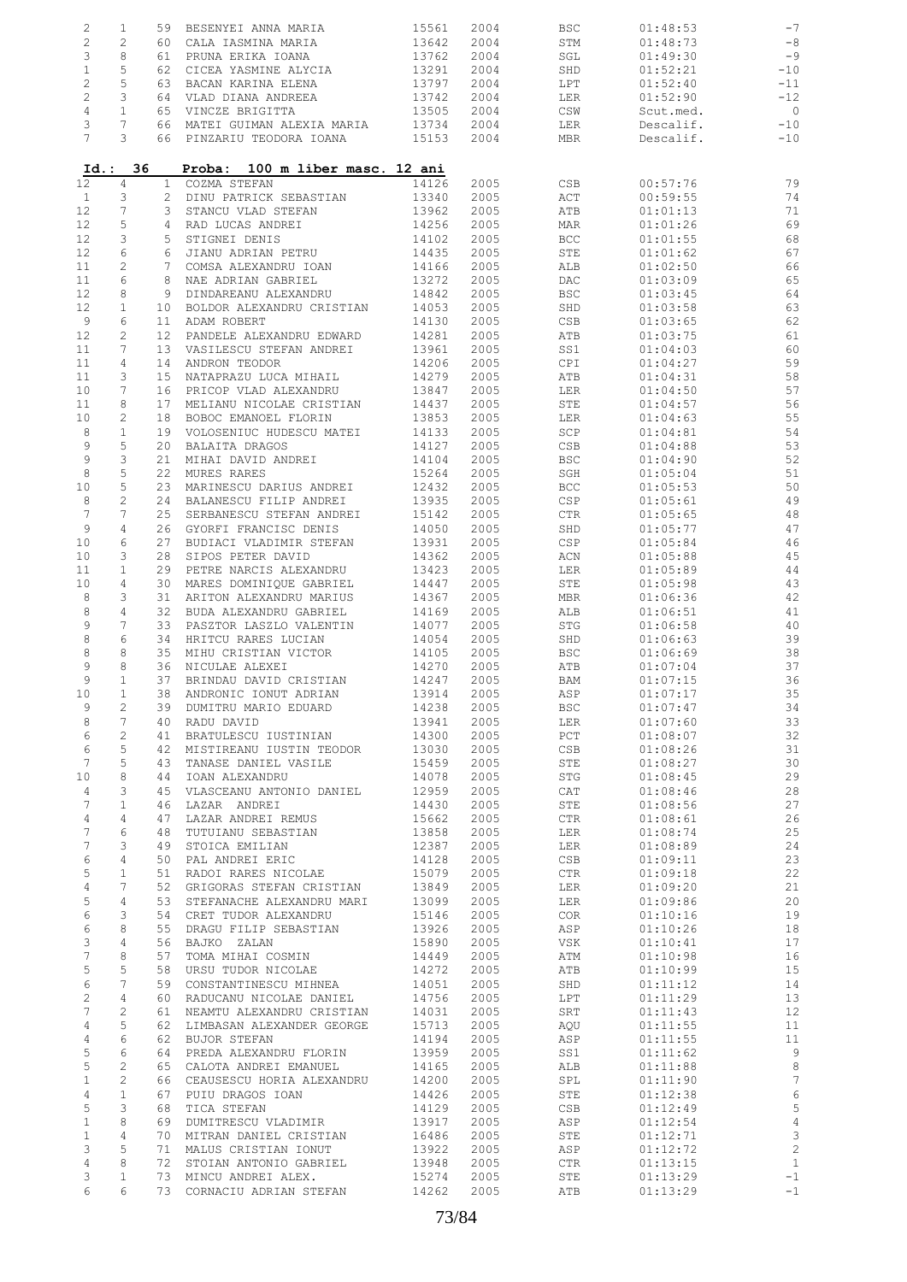| 2                | $\mathbf{1}$   | 59                    | BESENYEI ANNA MARIA                | 15561 | 2004 | <b>BSC</b>   | 01:48:53  | $-7$           |
|------------------|----------------|-----------------------|------------------------------------|-------|------|--------------|-----------|----------------|
| $\overline{c}$   | $\mathbf{2}$   | 60                    | CALA IASMINA MARIA                 | 13642 | 2004 | STM          | 01:48:73  | $^{\rm -8}$    |
|                  |                |                       |                                    |       |      |              |           |                |
| 3                | 8              | 61                    | PRUNA ERIKA IOANA                  | 13762 | 2004 | SGL          | 01:49:30  | $-9$           |
| $\mathbf{1}$     | 5              | 62                    | CICEA YASMINE ALYCIA               | 13291 | 2004 | SHD          | 01:52:21  | $-10$          |
| $\overline{c}$   | 5              | 63                    | BACAN KARINA ELENA                 | 13797 | 2004 | LPT          | 01:52:40  | $-11$          |
| $\overline{c}$   | 3              | 64                    | VLAD DIANA ANDREEA                 | 13742 | 2004 | LER          | 01:52:90  | $-12$          |
| $\overline{4}$   | $\mathbf{1}$   | 65                    | VINCZE BRIGITTA                    | 13505 | 2004 | CSW          | Scut.med. | $\overline{0}$ |
|                  |                |                       |                                    |       |      |              |           |                |
| 3                | 7              | 66                    | MATEI GUIMAN ALEXIA MARIA          | 13734 | 2004 | LER          | Descalif. | $-10$          |
| 7                | 3              | 66                    | PINZARIU TEODORA IOANA             | 15153 | 2004 | MBR          | Descalif. | $-10$          |
| Id.:             |                | 36                    | Proba:<br>100 m liber masc. 12 ani |       |      |              |           |                |
| 12               | 4              | $\mathbf{1}$          | COZMA STEFAN                       | 14126 | 2005 | CSB          | 00:57:76  | 79             |
| $\mathbf{1}$     | 3              | $\mathbf{2}^{\prime}$ | DINU PATRICK SEBASTIAN             | 13340 | 2005 | ACT          | 00:59:55  | 74             |
| 12               | 7              | 3                     | STANCU VLAD STEFAN                 | 13962 | 2005 | ATB          | 01:01:13  | 71             |
| 12               | 5              | 4                     | RAD LUCAS ANDREI                   | 14256 | 2005 | MAR          | 01:01:26  | 69             |
| 12               | 3              | 5                     | STIGNEI DENIS                      | 14102 | 2005 | <b>BCC</b>   | 01:01:55  | 68             |
| 12               | 6              | 6                     | JIANU ADRIAN PETRU                 | 14435 | 2005 | STE          | 01:01:62  | 67             |
|                  |                | 7                     |                                    |       |      |              |           | 66             |
| 11               | 2              |                       | COMSA ALEXANDRU IOAN               | 14166 | 2005 | ALB          | 01:02:50  |                |
| 11               | 6              | 8                     | NAE ADRIAN GABRIEL                 | 13272 | 2005 | DAC          | 01:03:09  | 65             |
| 12               | 8              | 9                     | DINDAREANU ALEXANDRU               | 14842 | 2005 | <b>BSC</b>   | 01:03:45  | 64             |
| 12               | $\mathbf{1}$   | 10                    | BOLDOR ALEXANDRU CRISTIAN          | 14053 | 2005 | SHD          | 01:03:58  | 63             |
| 9                | 6              | 11                    | ADAM ROBERT                        | 14130 | 2005 | CSB          | 01:03:65  | 62             |
| 12               | 2              | 12                    | PANDELE ALEXANDRU EDWARD           | 14281 | 2005 | ATB          | 01:03:75  | 61             |
| 11               | 7              | 13                    | VASILESCU STEFAN ANDREI            | 13961 | 2005 | SS1          | 01:04:03  | 60             |
| 11               | 4              | 14                    | ANDRON TEODOR                      |       | 2005 | CPI          |           | 59             |
|                  |                |                       |                                    | 14206 |      |              | 01:04:27  |                |
| 11               | 3              | 15 <sub>1</sub>       | NATAPRAZU LUCA MIHAIL              | 14279 | 2005 | ATB          | 01:04:31  | 58             |
| 10               | 7              | 16                    | PRICOP VLAD ALEXANDRU              | 13847 | 2005 | LER          | 01:04:50  | 57             |
| 11               | 8              | 17                    | MELIANU NICOLAE CRISTIAN           | 14437 | 2005 | STE          | 01:04:57  | 56             |
| 10               | $\overline{c}$ | 18                    | BOBOC EMANOEL FLORIN               | 13853 | 2005 | LER          | 01:04:63  | 55             |
| 8                | $\mathbf{1}$   | 19                    | VOLOSENIUC HUDESCU MATEI           | 14133 | 2005 | SCP          | 01:04:81  | 54             |
| 9                | 5              | 20                    | BALAITA DRAGOS                     | 14127 | 2005 | $_{\tt CSB}$ | 01:04:88  | 53             |
|                  |                |                       |                                    |       |      |              |           |                |
| 9                | 3              | 21                    | MIHAI DAVID ANDREI                 | 14104 | 2005 | <b>BSC</b>   | 01:04:90  | 52             |
| $\,8\,$          | 5              | 22                    | MURES RARES                        | 15264 | 2005 | SGH          | 01:05:04  | 51             |
| 10               | 5              | 23                    | MARINESCU DARIUS ANDREI            | 12432 | 2005 | <b>BCC</b>   | 01:05:53  | 50             |
| 8                | $\overline{c}$ | 24                    | BALANESCU FILIP ANDREI             | 13935 | 2005 | CSP          | 01:05:61  | 49             |
| $\boldsymbol{7}$ | 7              | 25                    | SERBANESCU STEFAN ANDREI           | 15142 | 2005 | CTR          | 01:05:65  | $4\,8$         |
| 9                | 4              | 26                    | GYORFI FRANCISC DENIS              | 14050 | 2005 | SHD          | 01:05:77  | 47             |
| 10               | 6              | 27                    | BUDIACI VLADIMIR STEFAN            | 13931 | 2005 | CSP          | 01:05:84  | 46             |
|                  |                |                       |                                    |       |      |              |           |                |
| 10               | 3              | 28                    | SIPOS PETER DAVID                  | 14362 | 2005 | ACN          | 01:05:88  | 45             |
| 11               | $\mathbf{1}$   | 29                    | PETRE NARCIS ALEXANDRU             | 13423 | 2005 | LER          | 01:05:89  | $4\,4$         |
| 10               | 4              | 30                    | MARES DOMINIQUE GABRIEL            | 14447 | 2005 | STE          | 01:05:98  | 43             |
| 8                | 3              | 31                    | ARITON ALEXANDRU MARIUS            | 14367 | 2005 | MBR          | 01:06:36  | 42             |
| 8                | 4              | 32                    | BUDA ALEXANDRU GABRIEL             | 14169 | 2005 | ALB          | 01:06:51  | 41             |
| 9                | 7              | 33                    | PASZTOR LASZLO VALENTIN            | 14077 | 2005 | STG          | 01:06:58  | 40             |
| 8                | 6              | 34                    | HRITCU RARES LUCIAN                | 14054 | 2005 | SHD          | 01:06:63  | 39             |
|                  |                |                       |                                    |       |      |              |           |                |
| 8                | 8              | 35                    | MIHU CRISTIAN VICTOR               | 14105 | 2005 | <b>BSC</b>   | 01:06:69  | 38             |
| 9                | 8              | 36                    | NICULAE ALEXEI                     | 14270 | 2005 | ATB          | 01:07:04  | 37             |
| 9                | $\mathbf{1}$   | 37                    | BRINDAU DAVID CRISTIAN             | 14247 | 2005 | BAM          | 01:07:15  | 36             |
| 10               | $\mathbf{1}$   | 38                    | ANDRONIC IONUT ADRIAN              | 13914 | 2005 | ASP          | 01:07:17  | 35             |
| 9                | 2              | 39                    | DUMITRU MARIO EDUARD               | 14238 | 2005 | BSC          | 01:07:47  | 34             |
| 8                | 7              | 40                    | RADU DAVID                         | 13941 | 2005 | LER          | 01:07:60  | 33             |
| 6                | $\overline{c}$ | 41                    | BRATULESCU IUSTINIAN               | 14300 | 2005 | PCT          | 01:08:07  | 32             |
|                  | 5              |                       |                                    |       |      |              |           |                |
| 6                |                | 42                    | MISTIREANU IUSTIN TEODOR           | 13030 | 2005 | <b>CSB</b>   | 01:08:26  | 31             |
| 7                | 5              | 43                    | TANASE DANIEL VASILE               | 15459 | 2005 | STE          | 01:08:27  | 30             |
| 10               | 8              | 44                    | IOAN ALEXANDRU                     | 14078 | 2005 | STG          | 01:08:45  | 29             |
| $\overline{4}$   | 3              | 45                    | VLASCEANU ANTONIO DANIEL           | 12959 | 2005 | CAT          | 01:08:46  | 28             |
| $\overline{7}$   | $\mathbf{1}$   | 46                    | LAZAR ANDREI                       | 14430 | 2005 | STE          | 01:08:56  | 27             |
| $\overline{4}$   | 4              | 47                    | LAZAR ANDREI REMUS                 | 15662 | 2005 | CTR          | 01:08:61  | 26             |
| $\overline{7}$   | 6              | 48                    | TUTUIANU SEBASTIAN                 | 13858 | 2005 | LER          | 01:08:74  | 25             |
| $\overline{7}$   | 3              |                       |                                    |       |      |              |           |                |
|                  |                | 49                    | STOICA EMILIAN                     | 12387 | 2005 | LER          | 01:08:89  | 24             |
| 6                | 4              | 50                    | PAL ANDREI ERIC                    | 14128 | 2005 | CSB          | 01:09:11  | 23             |
| 5                | $1\,$          | 51                    | RADOI RARES NICOLAE                | 15079 | 2005 | CTR          | 01:09:18  | 22             |
| $\overline{4}$   | 7              | 52                    | GRIGORAS STEFAN CRISTIAN           | 13849 | 2005 | LER          | 01:09:20  | 21             |
| 5                | $\overline{4}$ | 53                    | STEFANACHE ALEXANDRU MARI          | 13099 | 2005 | LER          | 01:09:86  | 20             |
| 6                | 3              | 54                    | CRET TUDOR ALEXANDRU               | 15146 | 2005 | COR          | 01:10:16  | 19             |
| 6                | 8              | 55                    | DRAGU FILIP SEBASTIAN              | 13926 | 2005 | ASP          | 01:10:26  | 18             |
|                  |                |                       |                                    |       |      |              |           |                |
| 3                | $\overline{4}$ | 56                    | BAJKO ZALAN                        | 15890 | 2005 | VSK          | 01:10:41  | 17             |
| $\overline{7}$   | 8              | 57                    | TOMA MIHAI COSMIN                  | 14449 | 2005 | ATM          | 01:10:98  | 16             |
| 5                | 5              | 58                    | URSU TUDOR NICOLAE                 | 14272 | 2005 | ATB          | 01:10:99  | 15             |
| 6                | $\overline{7}$ | 59                    | CONSTANTINESCU MIHNEA              | 14051 | 2005 | SHD          | 01:11:12  | 14             |
| 2                | $\overline{4}$ | 60                    | RADUCANU NICOLAE DANIEL            | 14756 | 2005 | LPT          | 01:11:29  | 13             |
| $\overline{7}$   | $\overline{c}$ | 61                    | NEAMTU ALEXANDRU CRISTIAN          | 14031 | 2005 | SRT          | 01:11:43  | 12             |
| $\overline{4}$   | 5              | 62                    | LIMBASAN ALEXANDER GEORGE          | 15713 | 2005 | AQU          | 01:11:55  | 11             |
|                  |                |                       |                                    |       |      |              |           |                |
| $\overline{4}$   | 6              | 62                    | BUJOR STEFAN                       | 14194 | 2005 | ASP          | 01:11:55  | 11             |
| 5                | 6              | 64                    | PREDA ALEXANDRU FLORIN             | 13959 | 2005 | SS1          | 01:11:62  | 9              |
| 5                | $\mathbf{2}$   | 65                    | CALOTA ANDREI EMANUEL              | 14165 | 2005 | ALB          | 01:11:88  | 8              |
| $\mathbf 1$      | $\overline{c}$ | 66                    | CEAUSESCU HORIA ALEXANDRU          | 14200 | 2005 | SPL          | 01:11:90  | $\overline{7}$ |
| $\overline{4}$   | $\mathbf{1}$   | 67                    | PUIU DRAGOS IOAN                   | 14426 | 2005 | STE          | 01:12:38  | $\sqrt{6}$     |
| 5                | 3              | 68                    | TICA STEFAN                        | 14129 | 2005 | CSB          | 01:12:49  | $\mathsf S$    |
|                  |                |                       |                                    |       |      |              |           |                |
| $\mathbf{1}$     | 8              | 69                    | DUMITRESCU VLADIMIR                | 13917 | 2005 | ASP          | 01:12:54  | $\sqrt{4}$     |
| $\mathbf{1}$     | 4              | 70                    | MITRAN DANIEL CRISTIAN             | 16486 | 2005 | STE          | 01:12:71  | $\mathfrak{Z}$ |
| 3                | 5              | 71                    | MALUS CRISTIAN IONUT               | 13922 | 2005 | ASP          | 01:12:72  | $\sqrt{2}$     |
| $\overline{4}$   | 8              | 72                    | STOIAN ANTONIO GABRIEL             | 13948 | 2005 | CTR          | 01:13:15  | $\mathbf{1}$   |
| 3                | $\mathbf{1}$   | 73                    | MINCU ANDREI ALEX.                 | 15274 | 2005 | STE          | 01:13:29  | $-1$           |
| 6                | 6              | 73                    | CORNACIU ADRIAN STEFAN             | 14262 | 2005 | ATB          | 01:13:29  | $-1$           |
|                  |                |                       |                                    |       |      |              |           |                |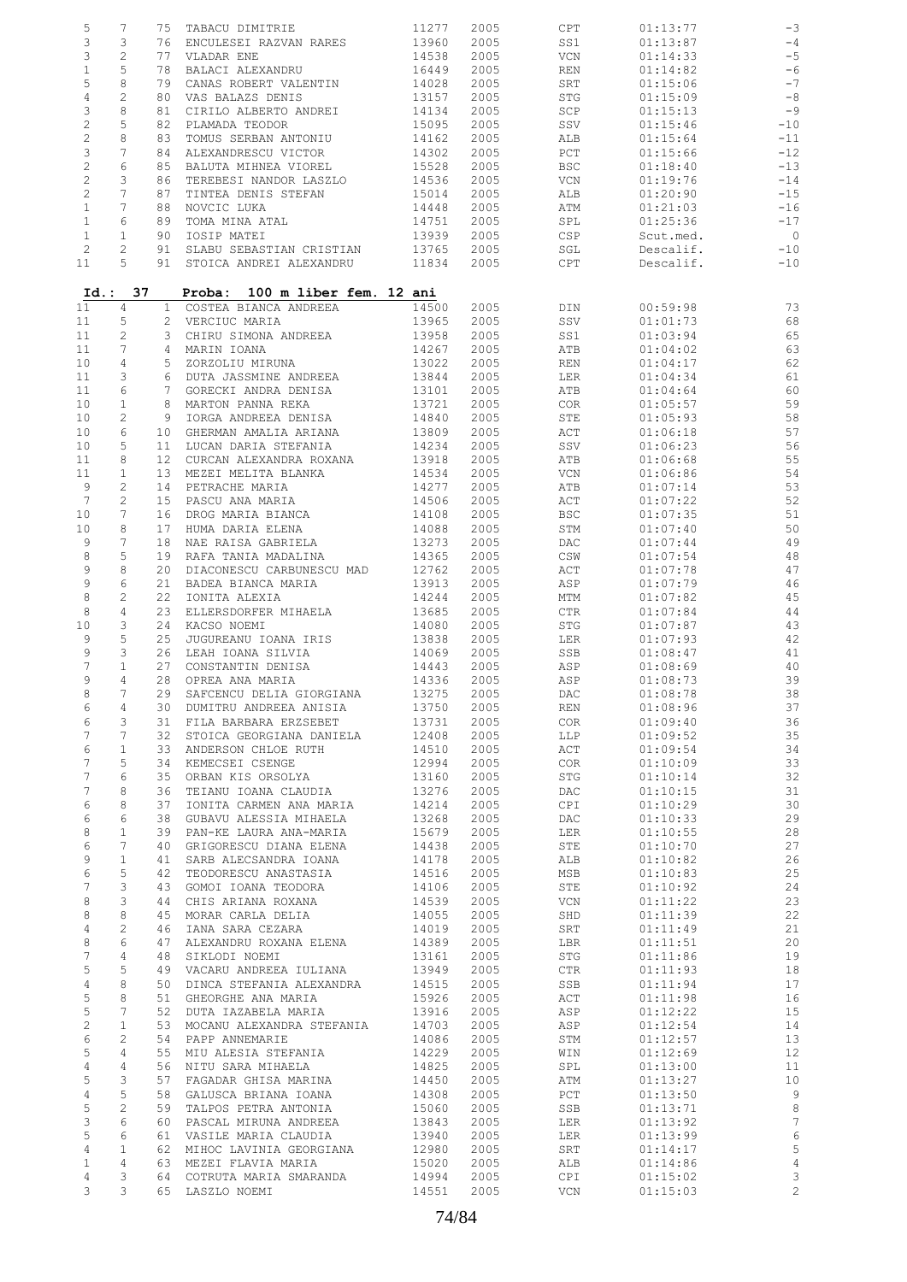| 5                                                                                                                  | $\overline{7}$ | 75                    | TABACU DIMITRIE                   | 11277 | 2005 | CPT        | 01:13:77  | $-3$            |
|--------------------------------------------------------------------------------------------------------------------|----------------|-----------------------|-----------------------------------|-------|------|------------|-----------|-----------------|
| 3                                                                                                                  | 3              | 76                    | ENCULESEI RAZVAN RARES            | 13960 | 2005 | SS1        | 01:13:87  | $-4$            |
| 3                                                                                                                  | $\overline{c}$ | 77                    | VLADAR ENE                        | 14538 | 2005 | VCN        | 01:14:33  | $-5$            |
|                                                                                                                    |                |                       |                                   |       |      |            |           |                 |
| $\mathbf 1$                                                                                                        | 5              | 78                    | BALACI ALEXANDRU                  | 16449 | 2005 | REN        | 01:14:82  | $-6$            |
| 5                                                                                                                  | 8              | 79                    | CANAS ROBERT VALENTIN             | 14028 | 2005 | SRT        | 01:15:06  | $-7$            |
| $\overline{4}$                                                                                                     | 2              | 80                    | VAS BALAZS DENIS                  | 13157 | 2005 | STG        | 01:15:09  | $^{\rm -8}$     |
| 3                                                                                                                  | 8              | 81                    | CIRILO ALBERTO ANDREI             | 14134 | 2005 | SCP        | 01:15:13  | $-9$            |
| $\mathfrak{2}% _{T}=\mathfrak{2}_{T}\!\left( a,b\right) ,\ \mathfrak{2}_{T}=\mathfrak{2}_{T}\!\left( a,b\right) ,$ | 5              | 82                    | PLAMADA TEODOR                    | 15095 | 2005 | SSV        | 01:15:46  | $-10$           |
|                                                                                                                    |                |                       |                                   |       |      |            |           |                 |
| $\overline{c}$                                                                                                     | 8              | 83                    | TOMUS SERBAN ANTONIU              | 14162 | 2005 | ALB        | 01:15:64  | $-11$           |
| 3                                                                                                                  | 7              | 84                    | ALEXANDRESCU VICTOR               | 14302 | 2005 | PCT        | 01:15:66  | $-12$           |
| $\mathbf{2}$                                                                                                       | 6              | 85                    | BALUTA MIHNEA VIOREL              | 15528 | 2005 | <b>BSC</b> | 01:18:40  | $-13$           |
| $\overline{c}$                                                                                                     | 3              | 86                    | TEREBESI NANDOR LASZLO            | 14536 | 2005 | VCN        | 01:19:76  | $-14$           |
|                                                                                                                    |                |                       |                                   |       |      |            |           |                 |
| $\overline{c}$                                                                                                     | 7              | 87                    | TINTEA DENIS STEFAN               | 15014 | 2005 | ALB        | 01:20:90  | $-15$           |
| $\mathbf{1}$                                                                                                       | 7              | 88                    | NOVCIC LUKA                       | 14448 | 2005 | ATM        | 01:21:03  | $-16$           |
| $\mathbf{1}$                                                                                                       | 6              | 89                    | TOMA MINA ATAL                    | 14751 | 2005 | SPL        | 01:25:36  | $-17$           |
| $1\,$                                                                                                              | $\mathbf{1}$   | 90                    | IOSIP MATEI                       | 13939 | 2005 | CSP        | Scut.med. | $\overline{0}$  |
| $\mathbf{2}$                                                                                                       | 2              | 91                    | SLABU SEBASTIAN CRISTIAN          | 13765 | 2005 | SGL        |           | $-10$           |
|                                                                                                                    |                |                       |                                   |       |      |            | Descalif. |                 |
| 11                                                                                                                 | 5              | 91                    | STOICA ANDREI ALEXANDRU           | 11834 | 2005 | CPT        | Descalif. | $-10$           |
| Id.:                                                                                                               | 37             |                       | Proba:<br>100 m liber fem. 12 ani |       |      |            |           |                 |
| 11                                                                                                                 | $\overline{4}$ | $\mathbf{1}$          | COSTEA BIANCA ANDREEA             | 14500 | 2005 | DIN        | 00:59:98  | 73              |
| 11                                                                                                                 | 5              | $\mathbf{2}^{\prime}$ | VERCIUC MARIA                     | 13965 | 2005 | SSV        | 01:01:73  | 68              |
| 11                                                                                                                 | 2              | 3                     | CHIRU SIMONA ANDREEA              | 13958 | 2005 | SS1        | 01:03:94  | 65              |
| 11                                                                                                                 | 7              | 4                     | MARIN IOANA                       | 14267 | 2005 | ATB        | 01:04:02  | 63              |
|                                                                                                                    |                |                       |                                   |       |      |            |           |                 |
| 10                                                                                                                 | $\overline{4}$ | 5                     | ZORZOLIU MIRUNA                   | 13022 | 2005 | REN        | 01:04:17  | 62              |
| 11                                                                                                                 | 3              | 6                     | DUTA JASSMINE ANDREEA             | 13844 | 2005 | LER        | 01:04:34  | 61              |
| 11                                                                                                                 | 6              | 7                     | GORECKI ANDRA DENISA              | 13101 | 2005 | ATB        | 01:04:64  | 60              |
| 10                                                                                                                 | $\mathbf{1}$   | 8                     | MARTON PANNA REKA                 | 13721 | 2005 | COR        | 01:05:57  | 59              |
| 10                                                                                                                 | $\overline{c}$ | 9                     | IORGA ANDREEA DENISA              | 14840 | 2005 | STE        | 01:05:93  | 58              |
|                                                                                                                    |                |                       |                                   |       |      |            |           |                 |
| 10                                                                                                                 | 6              | 10                    | GHERMAN AMALIA ARIANA             | 13809 | 2005 | ACT        | 01:06:18  | 57              |
| 10                                                                                                                 | 5              | 11                    | LUCAN DARIA STEFANIA              | 14234 | 2005 | SSV        | 01:06:23  | 56              |
| 11                                                                                                                 | 8              | 12 <sup>°</sup>       | CURCAN ALEXANDRA ROXANA           | 13918 | 2005 | ATB        | 01:06:68  | 55              |
| 11                                                                                                                 | $\mathbf{1}$   | 13                    | MEZEI MELITA BLANKA               | 14534 | 2005 | $\rm VCN$  | 01:06:86  | 54              |
| 9                                                                                                                  | 2              | 14                    | PETRACHE MARIA                    | 14277 | 2005 | ATB        | 01:07:14  | 53              |
|                                                                                                                    |                |                       |                                   |       |      |            |           |                 |
| 7                                                                                                                  | $\overline{c}$ | 15 <sub>1</sub>       | PASCU ANA MARIA                   | 14506 | 2005 | ACT        | 01:07:22  | 52              |
| 10                                                                                                                 | 7              | 16                    | DROG MARIA BIANCA                 | 14108 | 2005 | <b>BSC</b> | 01:07:35  | 51              |
| 10                                                                                                                 | 8              | 17                    | HUMA DARIA ELENA                  | 14088 | 2005 | STM        | 01:07:40  | 50              |
| 9                                                                                                                  | 7              | 18                    | NAE RAISA GABRIELA                | 13273 | 2005 | DAC        | 01:07:44  | 49              |
| 8                                                                                                                  | 5              | 19                    |                                   |       | 2005 |            |           | 48              |
|                                                                                                                    |                |                       | RAFA TANIA MADALINA               | 14365 |      | CSW        | 01:07:54  |                 |
| 9                                                                                                                  | 8              | 20                    | DIACONESCU CARBUNESCU MAD         | 12762 | 2005 | ACT        | 01:07:78  | 47              |
| 9                                                                                                                  | 6              | 21                    | BADEA BIANCA MARIA                | 13913 | 2005 | ASP        | 01:07:79  | 46              |
| 8                                                                                                                  | 2              | 22                    | IONITA ALEXIA                     | 14244 | 2005 | MTM        | 01:07:82  | 45              |
| 8                                                                                                                  | $\overline{4}$ | 23                    | ELLERSDORFER MIHAELA              | 13685 | 2005 | CTR        | 01:07:84  | 44              |
|                                                                                                                    |                |                       |                                   |       |      |            |           |                 |
| 10                                                                                                                 | 3              | 24                    | KACSO NOEMI                       | 14080 | 2005 | STG        | 01:07:87  | 43              |
| 9                                                                                                                  | 5              | 25                    | JUGUREANU IOANA IRIS              | 13838 | 2005 | LER        | 01:07:93  | 42              |
| 9                                                                                                                  | 3              | 26                    | LEAH IOANA SILVIA                 | 14069 | 2005 | SSB        | 01:08:47  | 41              |
| 7                                                                                                                  | $\mathbf{1}$   | 27                    | CONSTANTIN DENISA                 | 14443 | 2005 | ASP        | 01:08:69  | 40              |
| 9                                                                                                                  | 4              | 28                    | OPREA ANA MARIA                   | 14336 | 2005 | ASP        | 01:08:73  | 39              |
|                                                                                                                    |                |                       |                                   |       |      |            |           |                 |
| 8                                                                                                                  | 7              | 29                    | SAFCENCU DELIA GIORGIANA          | 13275 | 2005 | DAC        | 01:08:78  | 38              |
| 6                                                                                                                  | 4              | 30                    | DUMITRU ANDREEA ANISIA            | 13750 | 2005 | REN        | 01:08:96  | 37              |
| 6                                                                                                                  | 3              | 31                    | FILA BARBARA ERZSEBET             | 13731 | 2005 | COR        | 01:09:40  | 36              |
| 7                                                                                                                  | 7              | 32                    | STOICA GEORGIANA DANIELA          | 12408 | 2005 | <b>LLP</b> | 01:09:52  | 35              |
| 6                                                                                                                  | $\mathbf{1}$   | 33                    | ANDERSON CHLOE RUTH               | 14510 | 2005 | ACT        | 01:09:54  | 34              |
|                                                                                                                    |                |                       |                                   |       |      |            |           |                 |
| $\overline{7}$                                                                                                     | 5              | 34                    | KEMECSEI CSENGE                   | 12994 | 2005 | COR        | 01:10:09  | 33              |
| $\overline{7}$                                                                                                     | 6              | 35                    | ORBAN KIS ORSOLYA                 | 13160 | 2005 | STG        | 01:10:14  | 32              |
| 7                                                                                                                  | 8              | 36                    | TEIANU IOANA CLAUDIA              | 13276 | 2005 | DAC        | 01:10:15  | 31              |
| 6                                                                                                                  | 8              | 37                    | IONITA CARMEN ANA MARIA           | 14214 | 2005 | CPI        | 01:10:29  | 30              |
|                                                                                                                    |                |                       |                                   |       |      |            |           |                 |
| 6                                                                                                                  | 6              | 38                    | GUBAVU ALESSIA MIHAELA            | 13268 | 2005 | DAC        | 01:10:33  | 29              |
| 8                                                                                                                  | $\mathbf{1}$   | 39                    | PAN-KE LAURA ANA-MARIA            | 15679 | 2005 | LER        | 01:10:55  | 28              |
| 6                                                                                                                  | 7              | 40                    | GRIGORESCU DIANA ELENA            | 14438 | 2005 | STE        | 01:10:70  | 27              |
| 9                                                                                                                  | $\mathbf 1$    | 41                    | SARB ALECSANDRA IOANA             | 14178 | 2005 | ALB        | 01:10:82  | 26              |
| 6                                                                                                                  | 5              | 42                    | TEODORESCU ANASTASIA              | 14516 | 2005 | MSB        | 01:10:83  | 25              |
|                                                                                                                    |                |                       |                                   |       |      |            |           |                 |
| 7                                                                                                                  | 3              | 43                    | GOMOI IOANA TEODORA               | 14106 | 2005 | STE        | 01:10:92  | 24              |
| 8                                                                                                                  | 3              | 44                    | CHIS ARIANA ROXANA                | 14539 | 2005 | VCN        | 01:11:22  | 23              |
| 8                                                                                                                  | 8              | 45                    | MORAR CARLA DELIA                 | 14055 | 2005 | SHD        | 01:11:39  | 22              |
| 4                                                                                                                  | 2              | 46                    | IANA SARA CEZARA                  | 14019 | 2005 | SRT        | 01:11:49  | 21              |
| 8                                                                                                                  | 6              | 47                    | ALEXANDRU ROXANA ELENA            | 14389 | 2005 | LBR        | 01:11:51  | 20              |
|                                                                                                                    |                |                       |                                   |       |      |            |           |                 |
| 7                                                                                                                  | 4              | 48                    | SIKLODI NOEMI                     | 13161 | 2005 | STG        | 01:11:86  | 19              |
| 5                                                                                                                  | 5              | 49                    | VACARU ANDREEA IULIANA            | 13949 | 2005 | CTR        | 01:11:93  | 18              |
| $\overline{4}$                                                                                                     | 8              | 50                    | DINCA STEFANIA ALEXANDRA          | 14515 | 2005 | SSB        | 01:11:94  | 17              |
| 5                                                                                                                  | 8              | 51                    | GHEORGHE ANA MARIA                | 15926 | 2005 | ACT        | 01:11:98  | 16              |
| 5                                                                                                                  | 7              | 52                    | DUTA IAZABELA MARIA               | 13916 | 2005 | ASP        | 01:12:22  | 15              |
|                                                                                                                    |                |                       |                                   |       |      |            |           |                 |
| 2                                                                                                                  | $\mathbf{1}$   | 53                    | MOCANU ALEXANDRA STEFANIA         | 14703 | 2005 | ASP        | 01:12:54  | 14              |
| 6                                                                                                                  | $\overline{c}$ | 54                    | PAPP ANNEMARIE                    | 14086 | 2005 | STM        | 01:12:57  | 13              |
| 5                                                                                                                  | 4              | 55                    | MIU ALESIA STEFANIA               | 14229 | 2005 | WIN        | 01:12:69  | 12              |
| $\overline{4}$                                                                                                     | 4              | 56                    | NITU SARA MIHAELA                 | 14825 | 2005 | SPL        | 01:13:00  | 11              |
|                                                                                                                    |                |                       |                                   |       |      |            |           |                 |
| 5                                                                                                                  | 3              | 57                    | FAGADAR GHISA MARINA              | 14450 | 2005 | ATM        | 01:13:27  | 10              |
| $\overline{4}$                                                                                                     | 5              | 58                    | GALUSCA BRIANA IOANA              | 14308 | 2005 | PCT        | 01:13:50  | 9               |
| 5                                                                                                                  | $\overline{c}$ | 59                    | TALPOS PETRA ANTONIA              | 15060 | 2005 | SSB        | 01:13:71  | $\,8\,$         |
| 3                                                                                                                  | 6              | 60                    | PASCAL MIRUNA ANDREEA             | 13843 | 2005 | LER        | 01:13:92  | $7\phantom{.0}$ |
| 5                                                                                                                  | 6              | 61                    | VASILE MARIA CLAUDIA              | 13940 | 2005 | LER        | 01:13:99  | $\epsilon$      |
|                                                                                                                    |                |                       |                                   |       |      |            |           |                 |
|                                                                                                                    |                |                       |                                   |       |      |            |           | 5               |
| $\overline{4}$                                                                                                     | $\mathbf{1}$   | 62                    | MIHOC LAVINIA GEORGIANA           | 12980 | 2005 | SRT        | 01:14:17  |                 |
| $\mathbf{1}$                                                                                                       | 4              | 63                    | MEZEI FLAVIA MARIA                | 15020 | 2005 | ALB        | 01:14:86  | $\overline{4}$  |
| 4                                                                                                                  | 3              | 64                    | COTRUTA MARIA SMARANDA            | 14994 | 2005 | CPI        | 01:15:02  | 3               |
| 3                                                                                                                  | 3              | 65                    | LASZLO NOEMI                      | 14551 | 2005 | <b>VCN</b> | 01:15:03  | $\overline{2}$  |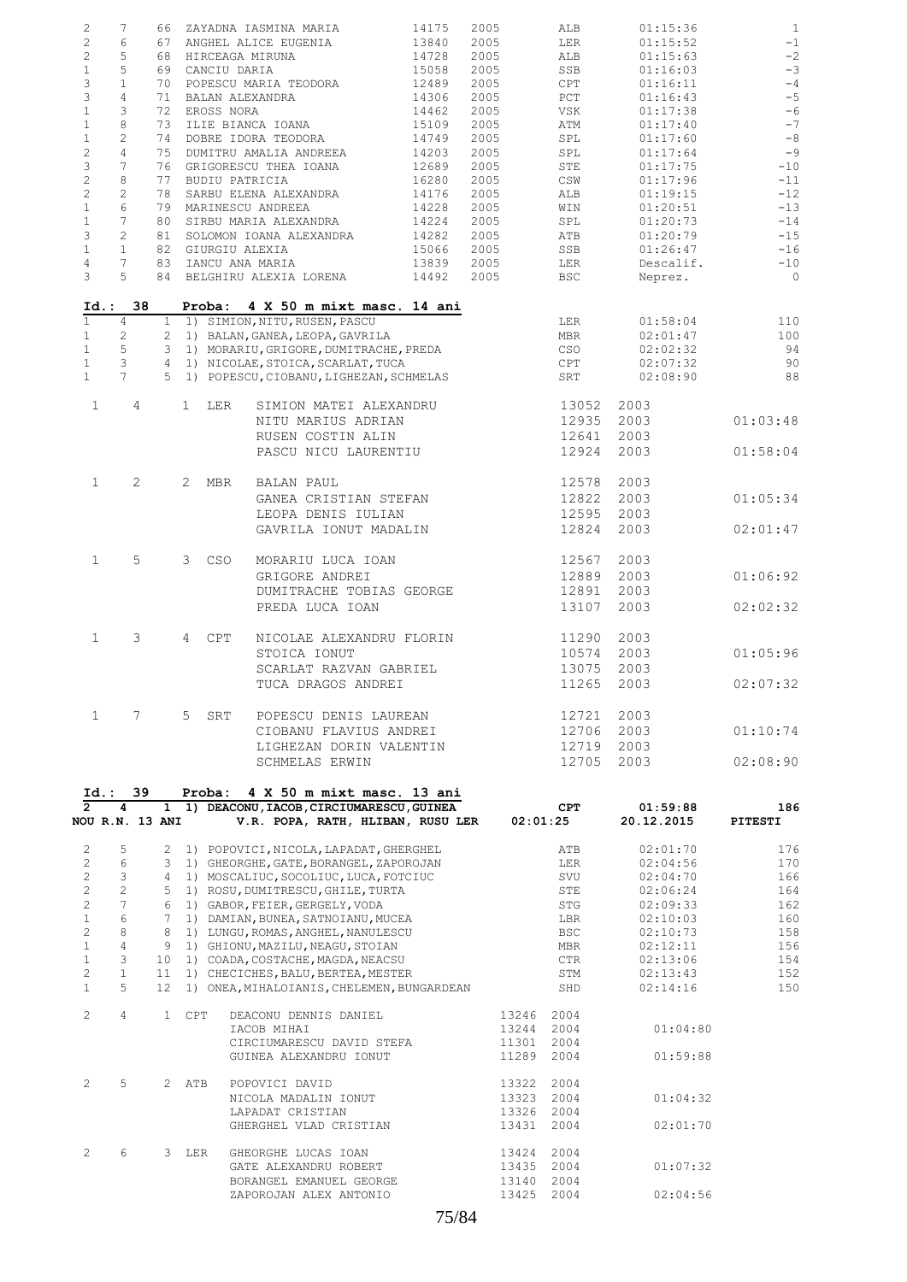| $\overline{c}$<br>7<br>01:15:36<br>66 ZAYADNA IASMINA MARIA<br>14175<br>2005<br>ALB                                                             | $\mathbf{1}$   |
|-------------------------------------------------------------------------------------------------------------------------------------------------|----------------|
| $\overline{c}$<br>6<br>67 ANGHEL ALICE EUGENIA<br>13840<br>2005<br>LER<br>01:15:52                                                              | $-1$           |
| $\overline{c}$<br>5<br>2005<br>68 HIRCEAGA MIRUNA<br>14728<br>ALB<br>01:15:63                                                                   | $-2$           |
| $\mathbf{1}$<br>5<br>69 CANCIU DARIA<br>15058<br>2005<br>SSB<br>01:16:03                                                                        | $-3$           |
| 3<br>$\mathbf{1}$<br>70 POPESCU MARIA TEODORA<br>12489<br>2005<br>CPT<br>01:16:11                                                               | $-4$           |
| 3<br>$\overline{4}$<br>2005<br>71 BALAN ALEXANDRA<br>14306<br>PCT<br>01:16:43                                                                   | $-5$           |
| 3<br>$1\,$<br>2005<br>72 EROSS NORA<br>14462<br>VSK<br>01:17:38                                                                                 | $-6$           |
| $1\,$<br>8<br>73 ILIE BIANCA IOANA<br>15109<br>2005<br>01:17:40<br>ATM                                                                          | $-7$           |
| $1\,$<br>$\overline{c}$<br>2005<br>74 DOBRE IDORA TEODORA<br>14749<br>01:17:60<br>SPL                                                           | $-8$           |
| $\mathbf{2}$<br>$\overline{4}$<br>75 DUMITRU AMALIA ANDREEA<br>14203<br>2005<br>01:17:64<br>SPL                                                 | $-9$           |
| 3<br>$\overline{7}$<br>76 GRIGORESCU THEA IOANA<br>2005<br>STE<br>12689<br>01:17:75                                                             | $-10$          |
| $\overline{c}$<br>8<br>BUDIU PATRICIA<br>16280<br>2005<br>CSW<br>01:17:96<br>77                                                                 | $-11$          |
| $\overline{c}$<br>$\mathbf{2}$<br>78 SARBU ELENA ALEXANDRA<br>14176<br>2005<br>01:19:15<br>ALB                                                  | $-12$          |
| $\mathbf{1}$<br>79 MARINESCU ANDREEA<br>6<br>14228<br>2005<br>01:20:51<br>WIN                                                                   | $-13$          |
| $\mathbf{1}$<br>7<br>80 SIRBU MARIA ALEXANDRA<br>14224<br>2005<br>SPL<br>01:20:73                                                               | $-14$          |
| 3<br>2<br>81 SOLOMON IOANA ALEXANDRA<br>14282<br>2005<br>01:20:79<br>ATB                                                                        | $-15$          |
| $\mathbf{1}$<br>$\mathbf{1}$<br>82 GIURGIU ALEXIA<br>2005<br>SSB<br>01:26:47<br>15066                                                           | $-16$          |
| $\overline{4}$<br>$7\phantom{.0}$<br>83 IANCU ANA MARIA<br>13839<br>2005<br>LER<br>Descalif.                                                    | $-10$          |
| 3<br>5<br>84 BELGHIRU ALEXIA LORENA<br>14492<br>2005<br><b>BSC</b><br>Neprez.                                                                   | $\overline{0}$ |
|                                                                                                                                                 |                |
| Id.: 38<br>Proba: 4 X 50 m mixt masc. 14 ani<br>1 1) SIMION, NITU, RUSEN, PASCU<br>$\mathbf{1}$<br>$\overline{4}$<br>LER<br>01:58:04            | 110            |
| $\mathbf{1}$<br>2<br>MBR<br>02:01:47<br>2 1) BALAN, GANEA, LEOPA, GAVRILA                                                                       | 100            |
| 5<br>3 1) MORARIU, GRIGORE, DUMITRACHE, PREDA<br>$\mathbf{1}$<br>02:02:32                                                                       | 94             |
| CSO<br>CPT<br>$\mathbf{1}$<br>3<br>02:07:32<br>4 1) NICOLAE, STOICA, SCARLAT, TUCA                                                              | 90             |
| 5 1) POPESCU, CIOBANU, LIGHEZAN, SCHMELAS<br>$\mathbf{1}$<br>$7^{\circ}$<br>SRT<br>02:08:90                                                     | 88             |
|                                                                                                                                                 |                |
| $\mathbf{1}$<br>4<br>LER<br>13052 2003<br>1<br>SIMION MATEI ALEXANDRU                                                                           |                |
| 12935<br>NITU MARIUS ADRIAN<br>2003                                                                                                             | 01:03:48       |
| 12641<br>RUSEN COSTIN ALIN<br>2003                                                                                                              |                |
| 12924<br>2003<br>PASCU NICU LAURENTIU                                                                                                           | 01:58:04       |
|                                                                                                                                                 |                |
| $\mathbf{1}$<br>2<br>$\overline{2}$<br>MBR<br>12578<br>2003<br>BALAN PAUL                                                                       |                |
| 12822<br>GANEA CRISTIAN STEFAN<br>2003                                                                                                          | 01:05:34       |
| LEOPA DENIS IULIAN<br>12595<br>2003                                                                                                             |                |
| 2003<br>GAVRILA IONUT MADALIN<br>12824                                                                                                          | 02:01:47       |
|                                                                                                                                                 |                |
| 5<br>$\mathbf{1}$<br>3 CSO<br>12567<br>2003<br>MORARIU LUCA IOAN                                                                                |                |
| 12889<br>GRIGORE ANDREI<br>2003                                                                                                                 | 01:06:92       |
| DUMITRACHE TOBIAS GEORGE<br>12891<br>2003                                                                                                       |                |
| 2003<br>PREDA LUCA IOAN<br>13107                                                                                                                | 02:02:32       |
|                                                                                                                                                 |                |
| NICOLAE ALEXANDRU FLORIN<br>$\mathbf{1}$<br>3                                                                                                   |                |
| 4 CPT<br>11290<br>2003                                                                                                                          |                |
| STOICA IONUT<br>10574<br>2003                                                                                                                   | 01:05:96       |
| 2003<br>SCARLAT RAZVAN GABRIEL<br>13075                                                                                                         |                |
| 2003<br>TUCA DRAGOS ANDREI<br>11265                                                                                                             | 02:07:32       |
|                                                                                                                                                 |                |
| $\mathbf{1}$<br>$7\phantom{.0}$<br>5 SRT<br>POPESCU DENIS LAUREAN<br>12721<br>2003                                                              |                |
| 12706 2003<br>CIOBANU FLAVIUS ANDREI                                                                                                            | 01:10:74       |
| 12719 2003<br>LIGHEZAN DORIN VALENTIN                                                                                                           |                |
| 12705 2003<br>SCHMELAS ERWIN                                                                                                                    | 02:08:90       |
|                                                                                                                                                 |                |
| Id.: 39<br>Proba: 4 X 50 m mixt masc. 13 ani<br>1 1) DEACONU, IACOB, CIRCIUMARESCU, GUINEA<br>$\mathtt{CPT}$<br>01:59:88<br>$\mathbf{2}^-$<br>4 | 186            |
| V.R. POPA, RATH, HLIBAN, RUSU LER<br>NOU R.N. 13 ANI<br>02:01:25<br>20.12.2015                                                                  | PITESTI        |
|                                                                                                                                                 |                |
| $\overline{c}$<br>2 1) POPOVICI, NICOLA, LAPADAT, GHERGHEL<br>02:01:70<br>5<br>ATB                                                              | 176            |
| $\overline{2}$<br>6<br>02:04:56<br>3 1) GHEORGHE, GATE, BORANGEL, ZAPOROJAN<br>LER                                                              | 170            |
| $\mathbf{2}$<br>$\mathfrak{Z}$<br>4 1) MOSCALIUC, SOCOLIUC, LUCA, FOTCIUC<br>02:04:70<br>SVU                                                    | 166            |
| $\overline{c}$<br>$\mathbf{2}$<br>5 1) ROSU, DUMITRESCU, GHILE, TURTA<br>02:06:24<br>STE                                                        | 164            |
| $\overline{7}$<br>$\mathbf{2}$<br>6 1) GABOR, FEIER, GERGELY, VODA<br>STG<br>02:09:33                                                           | 162            |
| $\mathbf{1}$<br>6<br>7 1) DAMIAN, BUNEA, SATNOIANU, MUCEA<br>02:10:03<br>LBR                                                                    |                |
|                                                                                                                                                 | 160            |
| $\overline{2}$<br>8<br>8 1) LUNGU, ROMAS, ANGHEL, NANULESCU<br>BSC<br>02:10:73                                                                  | 158            |
| $\mathbf{1}$<br>$\overline{4}$<br>9 1) GHIONU, MAZILU, NEAGU, STOIAN<br>MBR<br>02:12:11                                                         | 156            |
| $\mathbf{1}$<br>3<br>10 1) COADA, COSTACHE, MAGDA, NEACSU<br><b>CTR</b><br>02:13:06                                                             | 154            |
| $\overline{2}$<br>$\mathbf{1}$<br>11 1) CHECICHES, BALU, BERTEA, MESTER<br>STM<br>02:13:43                                                      | 152            |
| $\mathbf{1}$<br>5<br>12 1) ONEA, MIHALOIANIS, CHELEMEN, BUNGARDEAN<br>SHD<br>02:14:16                                                           | 150            |
| 4                                                                                                                                               |                |
| $\overline{2}$<br>1 CPT<br>DEACONU DENNIS DANIEL<br>13246 2004<br>13244 2004<br>01:04:80<br>IACOB MIHAI                                         |                |
| CIRCIUMARESCU DAVID STEFA<br>11301 2004                                                                                                         |                |
| 11289 2004<br>GUINEA ALEXANDRU IONUT<br>01:59:88                                                                                                |                |
|                                                                                                                                                 |                |
| 5<br>$\overline{c}$<br>13322 2004<br>2 ATB<br>POPOVICI DAVID                                                                                    |                |
| 13323 2004<br>01:04:32<br>NICOLA MADALIN IONUT                                                                                                  |                |
| 13326 2004<br>LAPADAT CRISTIAN                                                                                                                  |                |
| 13431 2004<br>GHERGHEL VLAD CRISTIAN<br>02:01:70                                                                                                |                |
| 6                                                                                                                                               |                |
| $\overline{2}$<br>13424 2004<br>3 LER<br>GHEORGHE LUCAS IOAN<br>13435 2004<br>01:07:32<br>GATE ALEXANDRU ROBERT                                 |                |
| 13140 2004<br>BORANGEL EMANUEL GEORGE                                                                                                           |                |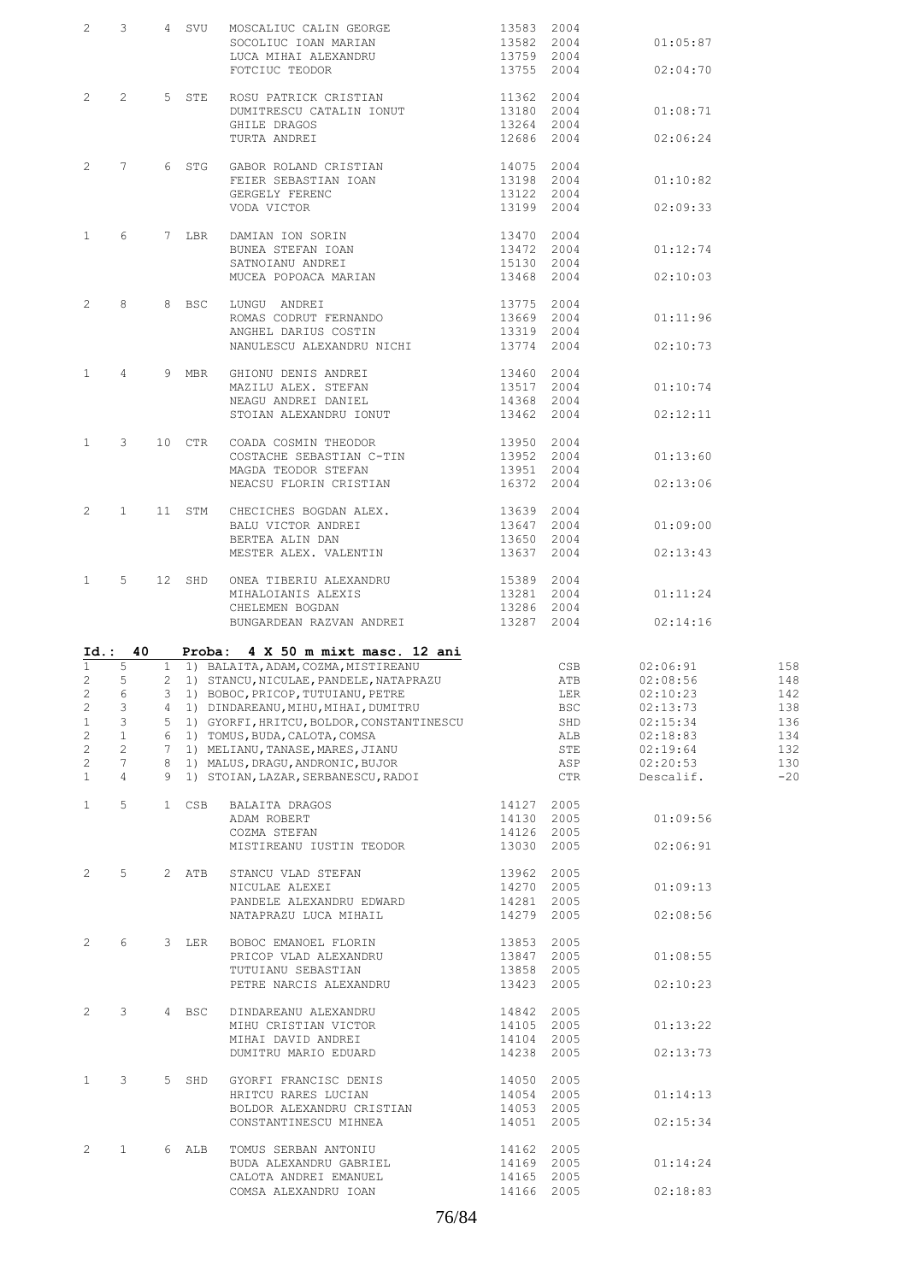| $2^{\circ}$                    | $3^{\circ}$           | 4 SVU  | MOSCALIUC CALIN GEORGE 13583 2004<br>SOCOLIUC IOAN MARIAN 13582 2004                              | 13582 2004                             |                          | 01:05:87             |            |
|--------------------------------|-----------------------|--------|---------------------------------------------------------------------------------------------------|----------------------------------------|--------------------------|----------------------|------------|
|                                |                       |        | LUCA MIHAI ALEXANDRU<br>FOTCIUC TEODOR                                                            | 13759 2004                             | 13755 2004               | 02:04:70             |            |
| $2 \left( \frac{1}{2} \right)$ |                       |        | 2 5 STE ROSU PATRICK CRISTIAN<br>DUMITRESCU CATALIN IONUT 13180 2004                              | 11362 2004                             |                          | 01:08:71             |            |
|                                |                       |        | GHILE DRAGOS<br>TURTA ANDREI                                                                      | 13264 2004                             |                          | 12686 2004 02:06:24  |            |
| $2^{\circ}$                    | $7$ and $7$           |        | 6 STG GABOR ROLAND CRISTIAN<br>FEIER SEBASTIAN IOAN                                               | 14075 2004<br>13198 2004               |                          | 01:10:82             |            |
|                                |                       |        | GERGELY FERENC<br>VODA VICTOR                                                                     |                                        | 13122 2004<br>13199 2004 | 02:09:33             |            |
| $1 \quad \blacksquare$         | 6                     | 7 T.BR | DAMIAN ION SORIN<br>BUNEA STEFAN IOAN<br>SATNOIANU ANDREI<br>DAMIAN ION SORIN<br>SATNOIANU ANDREI | 13470 2004<br>13472 2004<br>15130 2004 |                          | 01:12:74             |            |
|                                |                       |        | MUCEA POPOACA MARIAN                                                                              |                                        | 13468 2004               | 02:10:03             |            |
| $2^{\circ}$                    | $8 - 1$               | 8 BSC  | LUNGU ANDREI<br>ROMAS CODRUT FERNANDO<br>ANGHEL DARIUS COSTIN                                     | 13775 2004<br>13319 2004               | 13669 2004               | 01:11:96             |            |
|                                |                       |        | NANULESCU ALEXANDRU NICHI                                                                         | 13774 2004                             |                          | 02:10:73             |            |
|                                |                       |        | 1 4 9 MBR GHIONU DENIS ANDREI<br>MAZILU ALEX. STEFAN                                              | 13460 2004<br>13517 2004               |                          | 01:10:74             |            |
|                                |                       |        | NEAGU ANDREI DANIEL<br>STOIAN ALEXANDRU IONUT                                                     | 14368 2004<br>13462 2004               |                          | 02:12:11             |            |
|                                | $1 \quad 3$           |        | 10 CTR COADA COSMIN THEODOR<br>COSTACHE SEBASTIAN C-TIN                                           | 13950 2004                             |                          | 01:13:60             |            |
|                                |                       |        | MAGDA TEODOR STEFAN<br>NEACSU FLORIN CRISTIAN                                                     | 13952 2004<br>13951 2004<br>16372 2004 |                          | 02:13:06             |            |
| $\overline{2}$                 | $\mathbf{1}$          |        | 11 STM CHECICHES BOGDAN ALEX.<br>BALU VICTOR ANDREI                                               | 13639 2004                             | 13647 2004               | 01:09:00             |            |
|                                |                       |        | BERTEA ALIN DAN<br>MESTER ALEX. VALENTIN                                                          | 13650 2004                             | 13637 2004               | 02:13:43             |            |
| $1 \quad$                      | 5                     | 12 SHD | ONEA TIBERIU ALEXANDRU<br>MIHALOIANIS ALEXIS<br>CHELEMEN BOGDAN                                   | 15389 2004                             | 13281 2004               | 01:11:24             |            |
|                                |                       |        | CHELEMEN BOGDAN<br>BUNGARDEAN RAZVAN ANDREI 13287 2004                                            | 13286 2004                             |                          | 02:14:16             |            |
|                                | Id.: 40               |        | Proba: 4 X 50 m mixt masc. 12 ani                                                                 |                                        |                          |                      |            |
| 1                              | 5                     |        | 1 1) BALAITA, ADAM, COZMA, MISTIREANU                                                             |                                        | CSB<br>ATB               | 02:06:91             | 158        |
| $\overline{2}$<br>2            | 5<br>6                |        | 2 1) STANCU, NICULAE, PANDELE, NATAPRAZU<br>3 1) BOBOC, PRICOP, TUTUIANU, PETRE                   |                                        | LER                      | 02:08:56<br>02:10:23 | 148<br>142 |
| 2                              | 3                     |        | 4 1) DINDAREANU, MIHU, MIHAI, DUMITRU                                                             |                                        | BSC                      | 02:13:73             | 138        |
| $\mathbf{1}$                   | 3                     |        | 5 1) GYORFI, HRITCU, BOLDOR, CONSTANTINESCU                                                       |                                        | SHD                      | 02:15:34             | 136        |
| $\overline{2}$                 | $\mathbf{1}$          |        | 6 1) TOMUS, BUDA, CALOTA, COMSA                                                                   |                                        | ALB                      | 02:18:83             | 134        |
| $\overline{2}$                 | $\mathbf{2}^{\prime}$ |        | 7 1) MELIANU, TANASE, MARES, JIANU                                                                |                                        | STE                      | 02:19:64             | 132        |
| $\overline{2}$                 | 7                     |        | 8 1) MALUS, DRAGU, ANDRONIC, BUJOR                                                                |                                        | ASP                      | 02:20:53             | 130        |
| $\mathbf{1}$                   | $\overline{4}$        |        | 9 1) STOIAN, LAZAR, SERBANESCU, RADOI                                                             |                                        | CTR                      | Descalif.            | $-20$      |
| $\mathbf{1}$                   | 5                     | 1 CSB  | BALAITA DRAGOS                                                                                    | 14127 2005                             |                          |                      |            |
|                                |                       |        | ADAM ROBERT<br>COZMA STEFAN                                                                       | 14130 2005<br>14126 2005               |                          | 01:09:56             |            |
|                                |                       |        | MISTIREANU IUSTIN TEODOR                                                                          | 13030 2005                             |                          | 02:06:91             |            |
| $\overline{2}$                 | 5                     | 2 ATB  | STANCU VLAD STEFAN                                                                                | 13962 2005                             |                          |                      |            |
|                                |                       |        | NICULAE ALEXEI                                                                                    | 14270 2005                             |                          | 01:09:13             |            |
|                                |                       |        | PANDELE ALEXANDRU EDWARD<br>NATAPRAZU LUCA MIHAIL                                                 | 14281 2005<br>14279 2005               |                          | 02:08:56             |            |
| $\overline{2}$                 | 6                     | 3 LER  | BOBOC EMANOEL FLORIN                                                                              | 13853 2005                             |                          |                      |            |
|                                |                       |        | PRICOP VLAD ALEXANDRU<br>TUTUIANU SEBASTIAN                                                       | 13847 2005<br>13858 2005               |                          | 01:08:55             |            |
|                                |                       |        | PETRE NARCIS ALEXANDRU                                                                            | 13423 2005                             |                          | 02:10:23             |            |
| $\overline{2}$                 | 3                     | 4 BSC  | DINDAREANU ALEXANDRU                                                                              | 14842 2005                             |                          |                      |            |
|                                |                       |        | MIHU CRISTIAN VICTOR                                                                              | 14105 2005                             |                          | 01:13:22             |            |
|                                |                       |        | MIHAI DAVID ANDREI<br>DUMITRU MARIO EDUARD                                                        | 14104 2005<br>14238 2005               |                          | 02:13:73             |            |
| $\mathbf{1}$                   | 3                     | 5 SHD  | GYORFI FRANCISC DENIS                                                                             | 14050 2005                             |                          |                      |            |
|                                |                       |        | HRITCU RARES LUCIAN                                                                               | 14054 2005                             |                          | 01:14:13             |            |
|                                |                       |        | BOLDOR ALEXANDRU CRISTIAN                                                                         | 14053 2005                             |                          |                      |            |
|                                |                       |        | CONSTANTINESCU MIHNEA                                                                             | 14051 2005                             |                          | 02:15:34             |            |
| 2                              | $\mathbf{1}$          | 6 ALB  | TOMUS SERBAN ANTONIU<br>BUDA ALEXANDRU GABRIEL                                                    | 14162 2005<br>14169 2005               |                          | 01:14:24             |            |
|                                |                       |        | CALOTA ANDREI EMANUEL                                                                             | 14165 2005                             |                          |                      |            |
|                                |                       |        |                                                                                                   | 14166 2005                             |                          | 02:18:83             |            |
|                                |                       |        | COMSA ALEXANDRU IOAN                                                                              |                                        |                          |                      |            |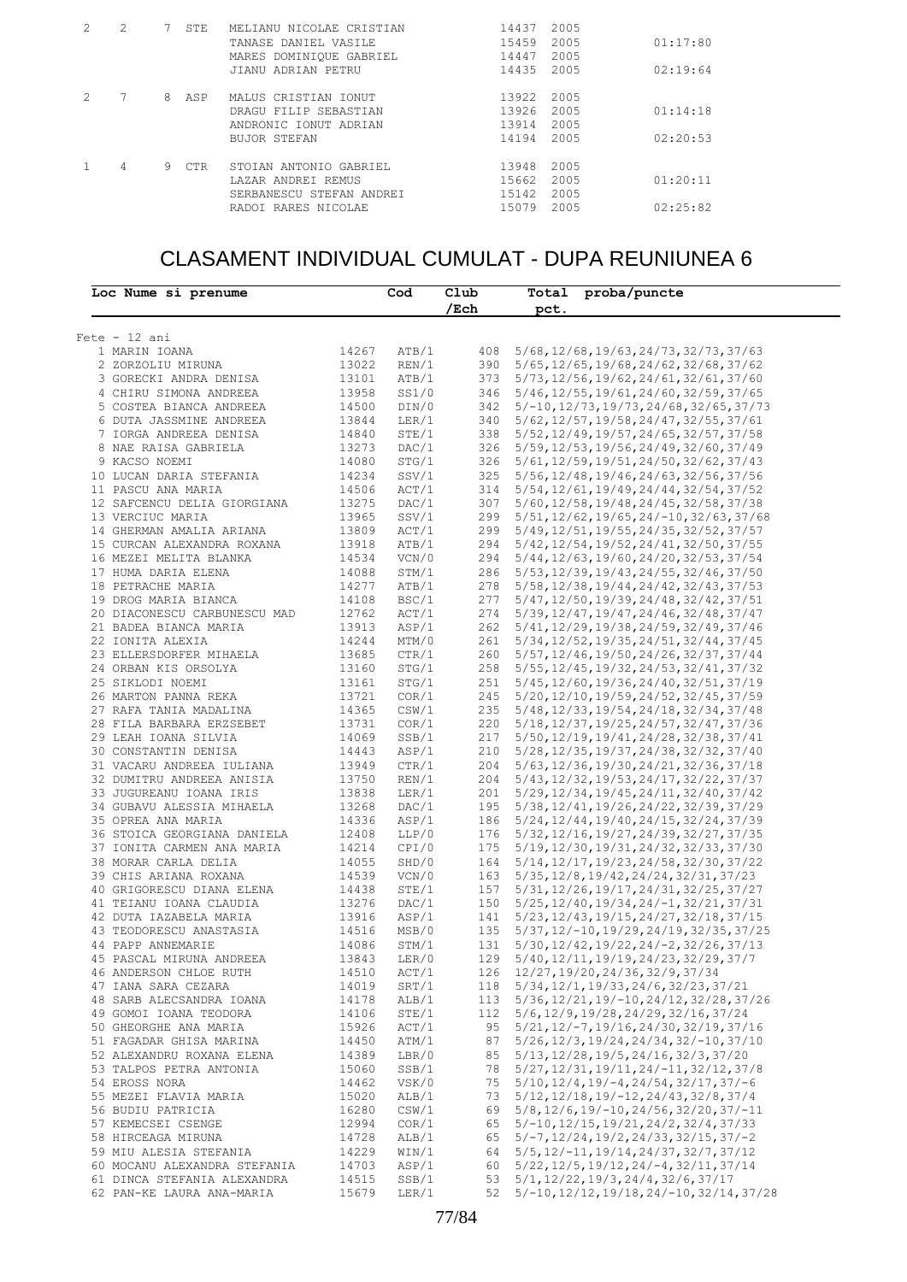| 2             |   |    | STE.       | MELIANU NICOLAE CRISTIAN<br>TANASE DANIEL VASILE<br>MARES DOMINIOUE GABRIEL<br>JIANU ADRIAN PETRU | 14437<br>15459<br>14447<br>14435 | 2005<br>2005<br>2005<br>2005 | 01:17:80<br>02:19:64 |
|---------------|---|----|------------|---------------------------------------------------------------------------------------------------|----------------------------------|------------------------------|----------------------|
| $\mathcal{L}$ |   | 8  | ASP        | MALUS CRISTIAN IONUT<br>DRAGU FILIP SEBASTIAN<br>ANDRONIC TONUT ADRIAN<br>BUJOR STEFAN            | 13922<br>13926<br>13914<br>14194 | 2005<br>2005<br>2005<br>2005 | 01:14:18<br>02:20:53 |
|               | 4 | 9. | <b>CTR</b> | STOIAN ANTONIO GABRIEL<br>LAZAR ANDRET REMUS<br>SERBANESCU STEFAN ANDREI<br>RADOI RARES NICOLAE   | 13948<br>15662<br>15142<br>15079 | 2005<br>2005<br>2005<br>2005 | 01:20:11<br>02:25:82 |

## CLASAMENT INDIVIDUAL CUMULAT - DUPA REUNIUNEA 6

| Loc Nume si prenume          |       | Cod   | Club    | Total proba/puncte                                              |
|------------------------------|-------|-------|---------|-----------------------------------------------------------------|
|                              |       |       | $/$ Ech | pct.                                                            |
| $Fete - 12 ani$              |       |       |         |                                                                 |
| 1 MARIN IOANA                | 14267 | ATB/1 | 408     | $5/68$ , 12/68, 19/63, 24/73, 32/73, 37/63                      |
| 2 ZORZOLIU MIRUNA            | 13022 | REN/1 |         | 390 5/65, 12/65, 19/68, 24/62, 32/68, 37/62                     |
| 3 GORECKI ANDRA DENISA       | 13101 | ATB/1 |         | 373 5/73, 12/56, 19/62, 24/61, 32/61, 37/60                     |
| 4 CHIRU SIMONA ANDREEA       | 13958 | SS1/0 |         | 346 5/46, 12/55, 19/61, 24/60, 32/59, 37/65                     |
| 5 COSTEA BIANCA ANDREEA      | 14500 | DIN/0 |         | 342 5/-10, 12/73, 19/73, 24/68, 32/65, 37/73                    |
| 6 DUTA JASSMINE ANDREEA      | 13844 | LER/1 |         | 340 5/62, 12/57, 19/58, 24/47, 32/55, 37/61                     |
| 7 IORGA ANDREEA DENISA       | 14840 | STE/1 |         | 338 5/52, 12/49, 19/57, 24/65, 32/57, 37/58                     |
| 8 NAE RAISA GABRIELA         | 13273 | DAC/1 |         | 326 5/59, 12/53, 19/56, 24/49, 32/60, 37/49                     |
| 9 KACSO NOEMI                | 14080 | STG/1 |         | 326 5/61, 12/59, 19/51, 24/50, 32/62, 37/43                     |
| 10 LUCAN DARIA STEFANIA      | 14234 | SSV/1 |         | 325 5/56, 12/48, 19/46, 24/63, 32/56, 37/56                     |
| 11 PASCU ANA MARIA           | 14506 | ACT/1 |         | 314 5/54, 12/61, 19/49, 24/44, 32/54, 37/52                     |
| 12 SAFCENCU DELIA GIORGIANA  | 13275 | DAC/1 | 307     | $5/60$ , $12/58$ , $19/48$ , $24/45$ , $32/58$ , $37/38$        |
| 13 VERCIUC MARIA             | 13965 | SSV/1 |         | 299 5/51, 12/62, 19/65, 24/-10, 32/63, 37/68                    |
| 14 GHERMAN AMALIA ARIANA     | 13809 | ACT/1 | 299     | $5/49$ , $12/51$ , $19/55$ , $24/35$ , $32/52$ , $37/57$        |
| 15 CURCAN ALEXANDRA ROXANA   | 13918 | ATB/1 |         | 294 5/42, 12/54, 19/52, 24/41, 32/50, 37/55                     |
| 16 MEZEI MELITA BLANKA       | 14534 | VCN/0 |         | 294 5/44, 12/63, 19/60, 24/20, 32/53, 37/54                     |
| 17 HUMA DARIA ELENA          | 14088 | STM/1 |         | 286 5/53, 12/39, 19/43, 24/55, 32/46, 37/50                     |
| 18 PETRACHE MARIA            | 14277 | ATB/1 |         | 278 5/58, 12/38, 19/44, 24/42, 32/43, 37/53                     |
| 19 DROG MARIA BIANCA         | 14108 | BSC/1 | 277     | $5/47, 12/50, 19/39, 24/48, 32/42, 37/51$                       |
| 20 DIACONESCU CARBUNESCU MAD | 12762 | ACT/1 | 274     | $5/39, 12/47, 19/47, 24/46, 32/48, 37/47$                       |
| 21 BADEA BIANCA MARIA        | 13913 | ASP/1 | 262     | 5/41, 12/29, 19/38, 24/59, 32/49, 37/46                         |
| 22 IONITA ALEXIA             | 14244 | MTM/0 | 261     | 5/34, 12/52, 19/35, 24/51, 32/44, 37/45                         |
| 23 ELLERSDORFER MIHAELA      | 13685 | CTR/1 | 260     | $5/57$ , 12/46, 19/50, 24/26, 32/37, 37/44                      |
| 24 ORBAN KIS ORSOLYA         | 13160 | STG/1 | 258     | 5/55, 12/45, 19/32, 24/53, 32/41, 37/32                         |
| 25 SIKLODI NOEMI             | 13161 | STG/1 | 251     | 5/45, 12/60, 19/36, 24/40, 32/51, 37/19                         |
| 26 MARTON PANNA REKA         | 13721 | COR/1 | 245     | $5/20$ , $12/10$ , $19/59$ , $24/52$ , $32/45$ , $37/59$        |
| 27 RAFA TANIA MADALINA       | 14365 | CSW/1 | 235     | $5/48$ , $12/33$ , $19/54$ , $24/18$ , $32/34$ , $37/48$        |
| 28 FILA BARBARA ERZSEBET     | 13731 | COR/1 |         | 220 5/18, 12/37, 19/25, 24/57, 32/47, 37/36                     |
| 29 LEAH IOANA SILVIA         | 14069 | SSB/1 | 217     | $5/50$ , $12/19$ , $19/41$ , $24/28$ , $32/38$ , $37/41$        |
| 30 CONSTANTIN DENISA         | 14443 | ASP/1 |         | 210 5/28, 12/35, 19/37, 24/38, 32/32, 37/40                     |
| 31 VACARU ANDREEA IULIANA    | 13949 | CTR/1 | 204     | $5/63, 12/36, 19/30, 24/21, 32/36, 37/18$                       |
| 32 DUMITRU ANDREEA ANISIA    | 13750 | REN/1 |         | 204 5/43, 12/32, 19/53, 24/17, 32/22, 37/37                     |
| 33 JUGUREANU IOANA IRIS      | 13838 | LER/1 |         | 201 5/29, 12/34, 19/45, 24/11, 32/40, 37/42                     |
| 34 GUBAVU ALESSIA MIHAELA    | 13268 | DAC/1 |         | 195 5/38, 12/41, 19/26, 24/22, 32/39, 37/29                     |
| 35 OPREA ANA MARIA           | 14336 | ASP/1 |         | 186 5/24, 12/44, 19/40, 24/15, 32/24, 37/39                     |
| 36 STOICA GEORGIANA DANIELA  | 12408 | LLP/0 |         | 176 5/32, 12/16, 19/27, 24/39, 32/27, 37/35                     |
| 37 IONITA CARMEN ANA MARIA   | 14214 | CPI/0 |         | 175 5/19, 12/30, 19/31, 24/32, 32/33, 37/30                     |
| 38 MORAR CARLA DELIA         | 14055 | SHD/0 |         | 164 5/14, 12/17, 19/23, 24/58, 32/30, 37/22                     |
| 39 CHIS ARIANA ROXANA        | 14539 | VCN/0 |         | 163 5/35, 12/8, 19/42, 24/24, 32/31, 37/23                      |
| 40 GRIGORESCU DIANA ELENA    | 14438 | STE/1 |         | 157 5/31, 12/26, 19/17, 24/31, 32/25, 37/27                     |
| 41 TEIANU IOANA CLAUDIA      | 13276 | DAC/1 |         | 150 5/25, 12/40, 19/34, 24/-1, 32/21, 37/31                     |
| 42 DUTA IAZABELA MARIA       | 13916 | ASP/1 | 141     | $5/23$ , $12/43$ , $19/15$ , $24/27$ , $32/18$ , $37/15$        |
| 43 TEODORESCU ANASTASIA      | 14516 | MSB/0 |         | $135$ $5/37$ , $12/-10$ , $19/29$ , $24/19$ , $32/35$ , $37/25$ |
| 44 PAPP ANNEMARIE            | 14086 | STM/1 | 131     | $5/30$ , $12/42$ , $19/22$ , $24/-2$ , $32/26$ , $37/13$        |
| 45 PASCAL MIRUNA ANDREEA     | 13843 | LER/0 |         | $129$ 5/40, $12/11$ , $19/19$ , $24/23$ , $32/29$ , $37/7$      |
| 46 ANDERSON CHLOE RUTH       | 14510 | ACT/1 |         | 126 12/27, 19/20, 24/36, 32/9, 37/34                            |
| 47 IANA SARA CEZARA          | 14019 | SRT/1 | 118     | 5/34, 12/1, 19/33, 24/6, 32/23, 37/21                           |
| 48 SARB ALECSANDRA IOANA     | 14178 | ALB/1 | 113     | $5/36, 12/21, 19/-10, 24/12, 32/28, 37/26$                      |
| 49 GOMOI IOANA TEODORA       | 14106 | STE/1 | 112     | 5/6, 12/9, 19/28, 24/29, 32/16, 37/24                           |
| 50 GHEORGHE ANA MARIA        | 15926 | ACT/1 | 95      | $5/21$ , $12/-7$ , $19/16$ , $24/30$ , $32/19$ , $37/16$        |
| 51 FAGADAR GHISA MARINA      | 14450 | ATM/1 | 87      | $5/26$ , $12/3$ , $19/24$ , $24/34$ , $32/-10$ , $37/10$        |
| 52 ALEXANDRU ROXANA ELENA    | 14389 | LBR/0 | 85      | 5/13, 12/28, 19/5, 24/16, 32/3, 37/20                           |
| 53 TALPOS PETRA ANTONIA      | 15060 | SSB/1 | 78      | $5/27, 12/31, 19/11, 24/-11, 32/12, 37/8$                       |
| 54 EROSS NORA                | 14462 | VSK/0 | 75      | $5/10$ , $12/4$ , $19/-4$ , $24/54$ , $32/17$ , $37/-6$         |
| 55 MEZEI FLAVIA MARIA        | 15020 | ALB/1 | 73      | $5/12$ , $12/18$ , $19/-12$ , $24/43$ , $32/8$ , $37/4$         |
| 56 BUDIU PATRICIA            | 16280 | CSW/1 | 69      | $5/8$ , $12/6$ , $19/-10$ , $24/56$ , $32/20$ , $37/-11$        |
| 57 KEMECSEI CSENGE           | 12994 | COR/1 | 65      | $5/-10$ , $12/15$ , $19/21$ , $24/2$ , $32/4$ , $37/33$         |
| 58 HIRCEAGA MIRUNA           | 14728 | ALB/1 | 65      | $5/-7$ , 12/24, 19/2, 24/33, 32/15, 37/-2                       |
| 59 MIU ALESIA STEFANIA       | 14229 | WIN/1 | 64      | $5/5$ , $12/-11$ , $19/14$ , $24/37$ , $32/7$ , $37/12$         |
| 60 MOCANU ALEXANDRA STEFANIA | 14703 | ASP/1 | 60      | $5/22$ , $12/5$ , $19/12$ , $24/-4$ , $32/11$ , $37/14$         |
| 61 DINCA STEFANIA ALEXANDRA  | 14515 | SSB/1 | 53      | 5/1, 12/22, 19/3, 24/4, 32/6, 37/17                             |
| 62 PAN-KE LAURA ANA-MARIA    | 15679 | LER/1 | 52      | $5/-10, 12/12, 19/18, 24/-10, 32/14, 37/28$                     |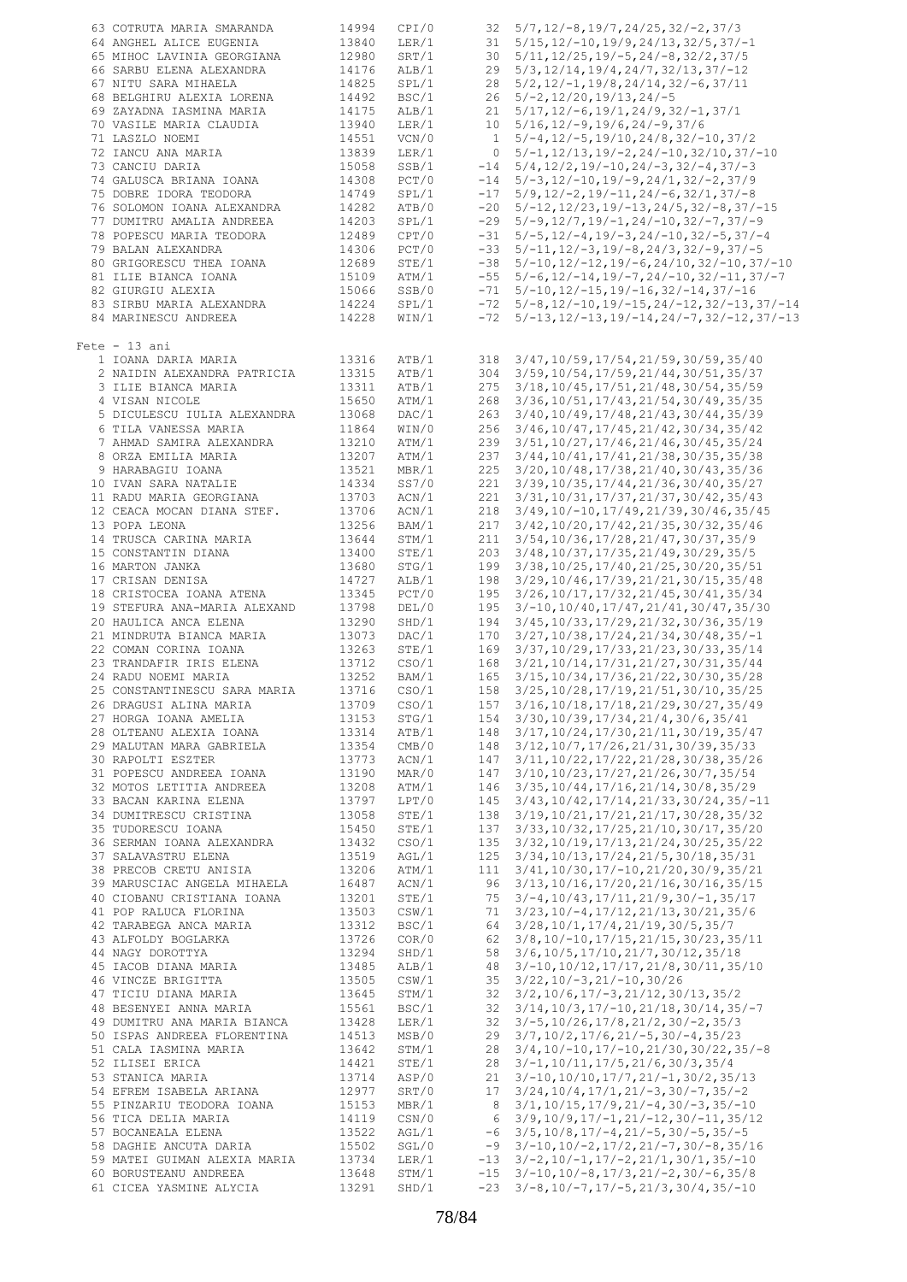| 63 COTRUTA MARIA SMARANDA    | 14994       | CPI/0 |              | $32 \quad 5/7, 12/-8, 19/7, 24/25, 32/-2, 37/3$                  |
|------------------------------|-------------|-------|--------------|------------------------------------------------------------------|
|                              |             |       |              |                                                                  |
| 64 ANGHEL ALICE EUGENIA      | 13840       | LER/1 |              | $31 \quad 5/15$ , $12/-10$ , $19/9$ , $24/13$ , $32/5$ , $37/-1$ |
| 65 MIHOC LAVINIA GEORGIANA   | 12980       | SRT/1 |              | $30 \quad 5/11, 12/25, 19/-5, 24/-8, 32/2, 37/5$                 |
| 66 SARBU ELENA ALEXANDRA     | 14176       | ALB/1 |              | $29 \quad 5/3, 12/14, 19/4, 24/7, 32/13, 37/-12$                 |
| 67 NITU SARA MIHAELA         | 14825       | SPL/1 |              | $28$ 5/2, 12/-1, 19/8, 24/14, 32/-6, 37/11                       |
|                              |             |       |              |                                                                  |
| 68 BELGHIRU ALEXIA LORENA    | 14492       | BSC/1 |              | $26 \quad 5/-2, 12/20, 19/13, 24/-5$                             |
| 69 ZAYADNA IASMINA MARIA     | 14175       | ALB/1 |              | $21 \quad 5/17, 12/-6, 19/1, 24/9, 32/-1, 37/1$                  |
| 70 VASILE MARIA CLAUDIA      | 13940       | LER/1 |              | $10\quad 5/16$ , $12/-9$ , $19/6$ , $24/-9$ , $37/6$             |
|                              |             |       |              |                                                                  |
| 71 LASZLO NOEMI              | 14551       | VCN/0 | $\mathbf{1}$ | $5/-4$ , $12/-5$ , $19/10$ , $24/8$ , $32/-10$ , $37/2$          |
| 72 IANCU ANA MARIA           | 13839       | LER/1 | 0            | $5/-1, 12/13, 19/-2, 24/-10, 32/10, 37/-10$                      |
| 73 CANCIU DARIA              | 15058       | SSB/1 |              | $-14$ 5/4, 12/2, 19/-10, 24/-3, 32/-4, 37/-3                     |
|                              |             |       |              |                                                                  |
| 74 GALUSCA BRIANA IOANA      | 14308       | PCT/0 |              | $-14$ 5/-3, 12/-10, 19/-9, 24/1, 32/-2, 37/9                     |
| 75 DOBRE IDORA TEODORA       | 14749       | SPL/1 | $-17$        | $5/9$ , $12/-2$ , $19/-11$ , $24/-6$ , $32/1$ , $37/-8$          |
| 76 SOLOMON IOANA ALEXANDRA   | 14282       | ATB/0 | $-20$        | $5/-12$ , $12/23$ , $19/-13$ , $24/5$ , $32/-8$ , $37/-15$       |
| 77 DUMITRU AMALIA ANDREEA    | 14203       | SPL/1 | $-29$        | $5/-9$ , $12/7$ , $19/-1$ , $24/-10$ , $32/-7$ , $37/-9$         |
|                              |             |       |              |                                                                  |
| 78 POPESCU MARIA TEODORA     | 12489       | CPT/0 | $-31$        | $5/-5$ , 12/-4, 19/-3, 24/-10, 32/-5, 37/-4                      |
| 79 BALAN ALEXANDRA           | 14306       | PCT/0 | $-33$        | $5/-11$ , $12/-3$ , $19/-8$ , $24/3$ , $32/-9$ , $37/-5$         |
| 80 GRIGORESCU THEA IOANA     | 12689       | STE/1 |              | $-38$ 5/-10, 12/-12, 19/-6, 24/10, 32/-10, 37/-10                |
|                              |             |       |              |                                                                  |
| 81 ILIE BIANCA IOANA         | 15109       | ATM/1 |              | $-55$ 5/-6, 12/-14, 19/-7, 24/-10, 32/-11, 37/-7                 |
| 82 GIURGIU ALEXIA            | 15066       | SSB/0 |              | $-71$ 5/-10, 12/-15, 19/-16, 32/-14, 37/-16                      |
| 83 SIRBU MARIA ALEXANDRA     | 14224       | SPL/1 |              | $-72$ 5/-8, 12/-10, 19/-15, 24/-12, 32/-13, 37/-14               |
| 84 MARINESCU ANDREEA         | 14228       | WIN/1 |              | $-72$ 5/-13, 12/-13, 19/-14, 24/-7, 32/-12, 37/-13               |
| $Fete - 13 ani$              |             |       |              |                                                                  |
| 1 IOANA DARIA MARIA          | 13316       | ATB/1 | 318          | 3/47,10/59,17/54,21/59,30/59,35/40                               |
|                              |             |       |              |                                                                  |
| 2 NAIDIN ALEXANDRA PATRICIA  | 13315       | ATB/1 |              | 304 3/59, 10/54, 17/59, 21/44, 30/51, 35/37                      |
| 3 ILIE BIANCA MARIA          | 13311       | ATB/1 |              | 275 3/18, 10/45, 17/51, 21/48, 30/54, 35/59                      |
| 4 VISAN NICOLE               | 15650       | ATM/1 |              | 268 3/36, 10/51, 17/43, 21/54, 30/49, 35/35                      |
|                              |             |       |              |                                                                  |
| 5 DICULESCU IULIA ALEXANDRA  | 13068       | DAC/1 | 263          | 3/40, 10/49, 17/48, 21/43, 30/44, 35/39                          |
| 6 TILA VANESSA MARIA         | 11864       | WIN/0 |              | 256 3/46, 10/47, 17/45, 21/42, 30/34, 35/42                      |
| 7 AHMAD SAMIRA ALEXANDRA     | 13210       | ATM/1 |              | 239 3/51, 10/27, 17/46, 21/46, 30/45, 35/24                      |
|                              |             |       |              |                                                                  |
| 8 ORZA EMILIA MARIA          | 13207       | ATM/1 |              | 237 3/44, 10/41, 17/41, 21/38, 30/35, 35/38                      |
| 9 HARABAGIU IOANA            | 13521       | MBR/1 |              | 225 3/20, 10/48, 17/38, 21/40, 30/43, 35/36                      |
| 10 IVAN SARA NATALIE         | 14334       | SS7/0 |              | 221 3/39, 10/35, 17/44, 21/36, 30/40, 35/27                      |
|                              |             |       |              |                                                                  |
| 11 RADU MARIA GEORGIANA      | 13703       | ACN/1 | 221          | 3/31, 10/31, 17/37, 21/37, 30/42, 35/43                          |
| 12 CEACA MOCAN DIANA STEF.   | 13706       | ACN/1 |              | 218 3/49, 10/-10, 17/49, 21/39, 30/46, 35/45                     |
| 13 POPA LEONA                | 13256       | BAM/1 |              | 217 3/42, 10/20, 17/42, 21/35, 30/32, 35/46                      |
|                              |             |       |              |                                                                  |
| 14 TRUSCA CARINA MARIA       | 13644       | STM/1 |              | 211 3/54, 10/36, 17/28, 21/47, 30/37, 35/9                       |
| 15 CONSTANTIN DIANA          | 13400       | STE/1 |              | 203 3/48, 10/37, 17/35, 21/49, 30/29, 35/5                       |
| 16 MARTON JANKA              | 13680       | STG/1 |              | 199 3/38, 10/25, 17/40, 21/25, 30/20, 35/51                      |
|                              |             |       |              |                                                                  |
| 17 CRISAN DENISA             | 14727       | ALB/1 | 198          | 3/29, 10/46, 17/39, 21/21, 30/15, 35/48                          |
| 18 CRISTOCEA IOANA ATENA     | 13345       | PCT/0 |              | 195 3/26, 10/17, 17/32, 21/45, 30/41, 35/34                      |
| 19 STEFURA ANA-MARIA ALEXAND | 13798       | DEL/0 | 195          | $3/-10, 10/40, 17/47, 21/41, 30/47, 35/30$                       |
|                              |             |       |              |                                                                  |
| 20 HAULICA ANCA ELENA        | 13290       | SHD/1 |              | 194 3/45, 10/33, 17/29, 21/32, 30/36, 35/19                      |
| 21 MINDRUTA BIANCA MARIA     | 13073       | DAC/1 |              | 170 3/27, 10/38, 17/24, 21/34, 30/48, 35/-1                      |
| 22 COMAN CORINA IOANA        | 13263       | STE/1 |              | 169 3/37, 10/29, 17/33, 21/23, 30/33, 35/14                      |
|                              |             |       |              |                                                                  |
| 23 TRANDAFIR IRIS ELENA      | 13712       | CSO/1 |              | 168 3/21, 10/14, 17/31, 21/27, 30/31, 35/44                      |
| 24 RADU NOEMI MARIA          | 13252       | BAM/1 |              | 165 3/15, 10/34, 17/36, 21/22, 30/30, 35/28                      |
| 25 CONSTANTINESCU SARA MARIA | 13716       | CSO/1 |              | 158 3/25, 10/28, 17/19, 21/51, 30/10, 35/25                      |
|                              | 13709 CSO/1 |       |              | 157 3/16, 10/18, 17/18, 21/29, 30/27, 35/49                      |
| 26 DRAGUSI ALINA MARIA       |             |       |              |                                                                  |
| 27 HORGA IOANA AMELIA        | 13153       | STG/1 |              | 154 3/30, 10/39, 17/34, 21/4, 30/6, 35/41                        |
| 28 OLTEANU ALEXIA IOANA      | 13314       | ATB/1 |              | 148 3/17, 10/24, 17/30, 21/11, 30/19, 35/47                      |
| 29 MALUTAN MARA GABRIELA     | 13354       |       |              |                                                                  |
|                              |             | CMB/0 | 148          | $3/12$ , $10/7$ , $17/26$ , $21/31$ , $30/39$ , $35/33$          |
| 30 RAPOLTI ESZTER            | 13773       | ACN/1 | 147          | 3/11, 10/22, 17/22, 21/28, 30/38, 35/26                          |
| 31 POPESCU ANDREEA IOANA     | 13190       | MAR/0 | 147          | 3/10, 10/23, 17/27, 21/26, 30/7, 35/54                           |
| 32 MOTOS LETITIA ANDREEA     | 13208       | ATM/1 | 146          | $3/35$ , $10/44$ , $17/16$ , $21/14$ , $30/8$ , $35/29$          |
|                              |             |       |              |                                                                  |
| 33 BACAN KARINA ELENA        | 13797       | LPT/0 | 145          | $3/43, 10/42, 17/14, 21/33, 30/24, 35/-11$                       |
| 34 DUMITRESCU CRISTINA       | 13058       | STE/1 | 138          | 3/19, 10/21, 17/21, 21/17, 30/28, 35/32                          |
| 35 TUDORESCU IOANA           | 15450       | STE/1 |              | 137 3/33, 10/32, 17/25, 21/10, 30/17, 35/20                      |
|                              |             |       |              |                                                                  |
| 36 SERMAN IOANA ALEXANDRA    | 13432       | CSO/1 |              | 135 3/32, 10/19, 17/13, 21/24, 30/25, 35/22                      |
| 37 SALAVASTRU ELENA          | 13519       | AGL/1 |              | 125 3/34, 10/13, 17/24, 21/5, 30/18, 35/31                       |
| 38 PRECOB CRETU ANISIA       | 13206       | ATM/1 |              | 111 3/41, 10/30, 17/-10, 21/20, 30/9, 35/21                      |
| 39 MARUSCIAC ANGELA MIHAELA  | 16487       | ACN/1 |              | 96 3/13, 10/16, 17/20, 21/16, 30/16, 35/15                       |
|                              |             |       |              |                                                                  |
| 40 CIOBANU CRISTIANA IOANA   | 13201       | STE/1 |              | $75 \quad 3/-4, 10/43, 17/11, 21/9, 30/-1, 35/17$                |
| 41 POP RALUCA FLORINA        | 13503       | CSW/1 |              | $71 \quad 3/23, 10/-4, 17/12, 21/13, 30/21, 35/6$                |
| 42 TARABEGA ANCA MARIA       | 13312       | BSC/1 |              | 64 3/28, 10/1, 17/4, 21/19, 30/5, 35/7                           |
|                              |             |       |              |                                                                  |
| 43 ALFOLDY BOGLARKA          | 13726       | COR/0 |              | 62 3/8, 10/-10, 17/15, 21/15, 30/23, 35/11                       |
| 44 NAGY DOROTTYA             | 13294       | SHD/1 |              | 58 3/6, 10/5, 17/10, 21/7, 30/12, 35/18                          |
| 45 IACOB DIANA MARIA         | 13485       | ALB/1 |              | 48 3/-10, 10/12, 17/17, 21/8, 30/11, 35/10                       |
|                              |             |       |              |                                                                  |
| 46 VINCZE BRIGITTA           | 13505       | CSW/1 |              | $35 \quad 3/22, 10/-3, 21/-10, 30/26$                            |
| 47 TICIU DIANA MARIA         | 13645       | STM/1 |              | $32 \quad 3/2, 10/6, 17/-3, 21/12, 30/13, 35/2$                  |
| 48 BESENYEI ANNA MARIA       | 15561       | BSC/1 |              | $32 \quad 3/14, 10/3, 17/-10, 21/18, 30/14, 35/-7$               |
|                              |             |       |              |                                                                  |
| 49 DUMITRU ANA MARIA BIANCA  | 13428       | LER/1 |              | $32 \quad 3/-5, 10/26, 17/8, 21/2, 30/-2, 35/3$                  |
| 50 ISPAS ANDREEA FLORENTINA  | 14513       | MSB/0 |              | $29 \quad 3/7, 10/2, 17/6, 21/-5, 30/-4, 35/23$                  |
| 51 CALA IASMINA MARIA        | 13642       |       |              | $28$ $3/4$ , $10/-10$ , $17/-10$ , $21/30$ , $30/22$ , $35/-8$   |
|                              |             | STM/1 |              |                                                                  |
| 52 ILISEI ERICA              | 14421       | STE/1 |              | $28 \quad 3/-1, 10/11, 17/5, 21/6, 30/3, 35/4$                   |
| 53 STANICA MARIA             | 13714       | ASP/0 |              | $21 \quad 3/-10, 10/10, 17/7, 21/-1, 30/2, 35/13$                |
| 54 EFREM ISABELA ARIANA      | 12977       | SRT/0 | 17           | $3/24, 10/4, 17/1, 21/-3, 30/-7, 35/-2$                          |
|                              |             |       |              |                                                                  |
| 55 PINZARIU TEODORA IOANA    | 15153       | MBR/1 | 8            | $3/1, 10/15, 17/9, 21/-4, 30/-3, 35/-10$                         |
| 56 TICA DELIA MARIA          | 14119       | CSN/0 |              | $6$ $3/9$ , $10/9$ , $17/-1$ , $21/-12$ , $30/-11$ , $35/12$     |
| 57 BOCANEALA ELENA           | 13522       | AGL/1 |              | $-6$ 3/5, 10/8, 17/-4, 21/-5, 30/-5, 35/-5                       |
|                              |             |       |              |                                                                  |
| 58 DAGHIE ANCUTA DARIA       | 15502       | SGL/0 |              | $-9$ 3/-10, 10/-2, 17/2, 21/-7, 30/-8, 35/16                     |
| 59 MATEI GUIMAN ALEXIA MARIA | 13734       | LER/1 |              | $-13$ $3/-2$ , $10/-1$ , $17/-2$ , $21/1$ , $30/1$ , $35/-10$    |
| 60 BORUSTEANU ANDREEA        | 13648       | STM/1 |              | $-15$ $3/-10$ , $10/-8$ , $17/3$ , $21/-2$ , $30/-6$ , $35/8$    |
| 61 CICEA YASMINE ALYCIA      | 13291       | SHD/1 |              | $-23$ $3/-8$ , $10/-7$ , $17/-5$ , $21/3$ , $30/4$ , $35/-10$    |
|                              |             |       |              |                                                                  |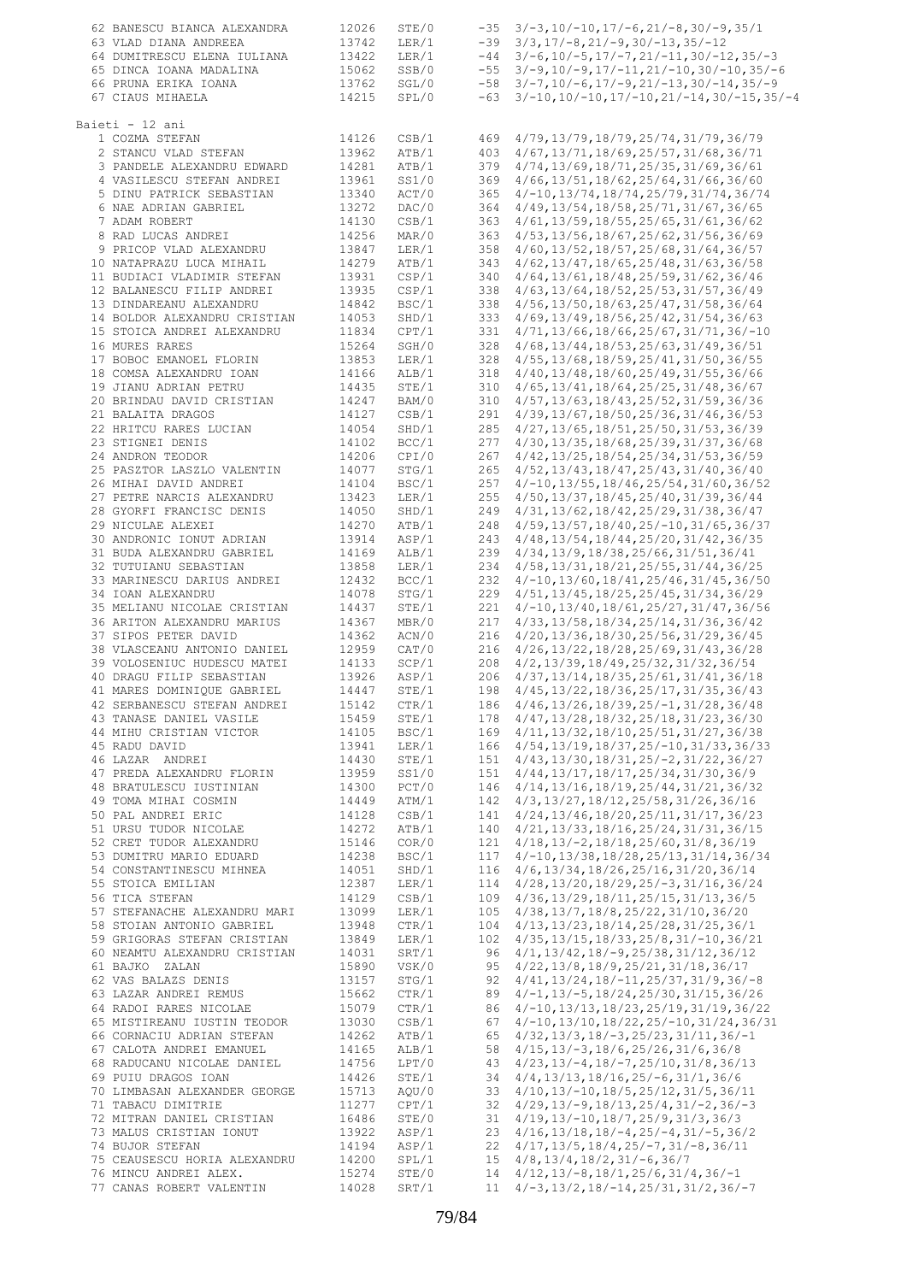| 62 BANESCU BIANCA ALEXANDRA                                 | 12026          | STE/0          |            | $-35$ $3/-3$ , 10/-10, 17/-6, 21/-8, 30/-9, 35/1                                      |
|-------------------------------------------------------------|----------------|----------------|------------|---------------------------------------------------------------------------------------|
| 63 VLAD DIANA ANDREEA                                       | 13742          | LER/1          | $-39$      | $3/3$ , $17/-8$ , $21/-9$ , $30/-13$ , $35/-12$                                       |
| 64 DUMITRESCU ELENA IULIANA                                 | 13422          | LER/1          | $-44$      | $3/-6$ , $10/-5$ , $17/-7$ , $21/-11$ , $30/-12$ , $35/-3$                            |
| 65 DINCA IOANA MADALINA                                     | 15062          | SSB/0          | $-55$      | $3/-9, 10/-9, 17/-11, 21/-10, 30/-10, 35/-6$                                          |
| 66 PRUNA ERIKA IOANA                                        | 13762          | SGL/0          | $-58$      | $3/-7, 10/-6, 17/-9, 21/-13, 30/-14, 35/-9$                                           |
| 67 CIAUS MIHAELA                                            | 14215          | SPL/0          | $-63$      | $3/-10$ , $10/-10$ , $17/-10$ , $21/-14$ , $30/-15$ , $35/-4$                         |
|                                                             |                |                |            |                                                                                       |
| Baieti - 12 ani                                             |                |                |            |                                                                                       |
| 1 COZMA STEFAN                                              | 14126          | CSB/1          | 469        | 4/79, 13/79, 18/79, 25/74, 31/79, 36/79                                               |
| 2 STANCU VLAD STEFAN                                        | 13962          | ATB/1          | 403        | $4/67, 13/71, 18/69, 25/57, 31/68, 36/71$                                             |
| 3 PANDELE ALEXANDRU EDWARD<br>4 VASILESCU STEFAN ANDREI     | 14281          | ATB/1          | 379        | 4/74, 13/69, 18/71, 25/35, 31/69, 36/61                                               |
| 5 DINU PATRICK SEBASTIAN                                    | 13961<br>13340 | SS1/0          | 369<br>365 | 4/66, 13/51, 18/62, 25/64, 31/66, 36/60                                               |
| 6 NAE ADRIAN GABRIEL                                        | 13272          | ACT/0<br>DAC/0 | 364        | $4/-10, 13/74, 18/74, 25/79, 31/74, 36/74$<br>4/49, 13/54, 18/58, 25/71, 31/67, 36/65 |
| 7 ADAM ROBERT                                               | 14130          | CSB/1          | 363        | 4/61, 13/59, 18/55, 25/65, 31/61, 36/62                                               |
| 8 RAD LUCAS ANDREI                                          | 14256          | MAR/0          | 363        | 4/53, 13/56, 18/67, 25/62, 31/56, 36/69                                               |
| 9 PRICOP VLAD ALEXANDRU                                     | 13847          | LER/1          | 358        | 4/60, 13/52, 18/57, 25/68, 31/64, 36/57                                               |
| 10 NATAPRAZU LUCA MIHAIL                                    | 14279          | ATB/1          | 343        | 4/62, 13/47, 18/65, 25/48, 31/63, 36/58                                               |
| 11 BUDIACI VLADIMIR STEFAN                                  | 13931          | CSP/1          | 340        | 4/64, 13/61, 18/48, 25/59, 31/62, 36/46                                               |
| 12 BALANESCU FILIP ANDREI                                   | 13935          | CSP/1          | 338        | 4/63, 13/64, 18/52, 25/53, 31/57, 36/49                                               |
| 13 DINDAREANU ALEXANDRU                                     | 14842          | BSC/1          | 338        | 4/56, 13/50, 18/63, 25/47, 31/58, 36/64                                               |
| 14 BOLDOR ALEXANDRU CRISTIAN                                | 14053          | SHD/1          | 333        | 4/69, 13/49, 18/56, 25/42, 31/54, 36/63                                               |
| 15 STOICA ANDREI ALEXANDRU                                  | 11834          | CPT/1          | 331        | $4/71, 13/66, 18/66, 25/67, 31/71, 36/-10$                                            |
| 16 MURES RARES                                              | 15264          | SGH/0          | 328        | 4/68, 13/44, 18/53, 25/63, 31/49, 36/51                                               |
| 17 BOBOC EMANOEL FLORIN                                     | 13853          | LER/1          | 328        | 4/55, 13/68, 18/59, 25/41, 31/50, 36/55                                               |
| 18 COMSA ALEXANDRU IOAN                                     | 14166          | ALB/1          | 318        | 4/40, 13/48, 18/60, 25/49, 31/55, 36/66                                               |
| 19 JIANU ADRIAN PETRU                                       | 14435          | STE/1          | 310        | $4/65, 13/41, 18/64, 25/25, 31/48, 36/67$                                             |
| 20 BRINDAU DAVID CRISTIAN                                   | 14247          | BAM/0          | 310        | 4/57, 13/63, 18/43, 25/52, 31/59, 36/36                                               |
| 21 BALAITA DRAGOS                                           | 14127          | CSB/1          | 291        | 4/39, 13/67, 18/50, 25/36, 31/46, 36/53                                               |
| 22 HRITCU RARES LUCIAN                                      | 14054          | SHD/1          | 285        | 4/27, 13/65, 18/51, 25/50, 31/53, 36/39                                               |
| 23 STIGNEI DENIS                                            | 14102          | BCC/1          | 277        | 4/30, 13/35, 18/68, 25/39, 31/37, 36/68                                               |
| 24 ANDRON TEODOR                                            | 14206          | CPI/0          | 267        | $4/42, 13/25, 18/54, 25/34, 31/53, 36/59$                                             |
| 25 PASZTOR LASZLO VALENTIN                                  | 14077          | STG/1          | 265        | 4/52, 13/43, 18/47, 25/43, 31/40, 36/40                                               |
| 26 MIHAI DAVID ANDREI                                       | 14104          | BSC/1          | 257        | $4/-10$ , $13/55$ , $18/46$ , $25/54$ , $31/60$ , $36/52$                             |
| 27 PETRE NARCIS ALEXANDRU                                   | 13423          | LER/1          | 255        | 4/50, 13/37, 18/45, 25/40, 31/39, 36/44                                               |
| 28 GYORFI FRANCISC DENIS                                    | 14050          | SHD/1          | 249        | 4/31, 13/62, 18/42, 25/29, 31/38, 36/47                                               |
| 29 NICULAE ALEXEI                                           | 14270          | ATB/1          | 248        | 4/59, 13/57, 18/40, 25/-10, 31/65, 36/37                                              |
| 30 ANDRONIC IONUT ADRIAN                                    | 13914          | ASP/1          | 243        | 4/48, 13/54, 18/44, 25/20, 31/42, 36/35                                               |
| 31 BUDA ALEXANDRU GABRIEL                                   | 14169          | ALB/1          | 239        | 4/34, 13/9, 18/38, 25/66, 31/51, 36/41                                                |
| 32 TUTUIANU SEBASTIAN                                       | 13858          | LER/1          | 234        | 4/58, 13/31, 18/21, 25/55, 31/44, 36/25                                               |
| 33 MARINESCU DARIUS ANDREI<br>34 IOAN ALEXANDRU             | 12432<br>14078 | BCC/1<br>STG/1 | 232<br>229 | $4/-10, 13/60, 18/41, 25/46, 31/45, 36/50$<br>4/51, 13/45, 18/25, 25/45, 31/34, 36/29 |
| 35 MELIANU NICOLAE CRISTIAN                                 | 14437          | STE/1          | 221        | $4/-10, 13/40, 18/61, 25/27, 31/47, 36/56$                                            |
| 36 ARITON ALEXANDRU MARIUS                                  | 14367          | MBR/0          | 217        | 4/33, 13/58, 18/34, 25/14, 31/36, 36/42                                               |
| 37 SIPOS PETER DAVID                                        | 14362          | ACN/0          | 216        | 4/20, 13/36, 18/30, 25/56, 31/29, 36/45                                               |
| 38 VLASCEANU ANTONIO DANIEL                                 | 12959          | CAT/0          | 216        | 4/26, 13/22, 18/28, 25/69, 31/43, 36/28                                               |
| 39 VOLOSENIUC HUDESCU MATEI                                 | 14133          | SCP/1          | 208        | 4/2, 13/39, 18/49, 25/32, 31/32, 36/54                                                |
| 40 DRAGU FILIP SEBASTIAN                                    | 13926          | ASP/1          | 206        | 4/37, 13/14, 18/35, 25/61, 31/41, 36/18                                               |
| 41 MARES DOMINIQUE GABRIEL                                  | 14447          | STE/1          | 198        | 4/45, 13/22, 18/36, 25/17, 31/35, 36/43                                               |
| 42 SERBANESCU STEFAN ANDREI                                 | 15142          | CTR/1          |            | 186 4/46, 13/26, 18/39, 25/-1, 31/28, 36/48                                           |
| 43 TANASE DANIEL VASILE                                     | 15459          | STE/1          |            | 178 4/47, 13/28, 18/32, 25/18, 31/23, 36/30                                           |
| 44 MIHU CRISTIAN VICTOR                                     | 14105          | BSC/1          |            | 169 $4/11, 13/32, 18/10, 25/51, 31/27, 36/38$                                         |
| 45 RADU DAVID                                               | 13941          | LER/1          | 166        | $4/54, 13/19, 18/37, 25/-10, 31/33, 36/33$                                            |
| 46 LAZAR ANDREI                                             | 14430          | STE/1          | 151        | $4/43, 13/30, 18/31, 25/-2, 31/22, 36/27$                                             |
| 47 PREDA ALEXANDRU FLORIN                                   | 13959          | SS1/0          | 151        | $4/44, 13/17, 18/17, 25/34, 31/30, 36/9$                                              |
| 48 BRATULESCU IUSTINIAN                                     | 14300          | PCT/0          | 146        | $4/14, 13/16, 18/19, 25/44, 31/21, 36/32$                                             |
| 49 TOMA MIHAI COSMIN                                        | 14449          | ATM/1          | 142        | $4/3$ , $13/27$ , $18/12$ , $25/58$ , $31/26$ , $36/16$                               |
| 50 PAL ANDREI ERIC                                          | 14128          | CSB/1          | 141        | 4/24, 13/46, 18/20, 25/11, 31/17, 36/23                                               |
| 51 URSU TUDOR NICOLAE                                       | 14272          | ATB/1          | 140        | 4/21, 13/33, 18/16, 25/24, 31/31, 36/15                                               |
| 52 CRET TUDOR ALEXANDRU                                     | 15146          | COR/0          | 121        | $4/18$ , $13/-2$ , $18/18$ , $25/60$ , $31/8$ , $36/19$                               |
| 53 DUMITRU MARIO EDUARD                                     | 14238          | BSC/1          | 117        | $4/-10, 13/38, 18/28, 25/13, 31/14, 36/34$                                            |
| 54 CONSTANTINESCU MIHNEA                                    | 14051          | SHD/1          | 116        | 4/6, 13/34, 18/26, 25/16, 31/20, 36/14                                                |
| 55 STOICA EMILIAN                                           | 12387          | LER/1          | 114        | $4/28$ , 13/20, 18/29, 25/-3, 31/16, 36/24                                            |
| 56 TICA STEFAN                                              | 14129          | CSB/1          | 109        | 4/36, 13/29, 18/11, 25/15, 31/13, 36/5                                                |
| 57 STEFANACHE ALEXANDRU MARI                                | 13099          | LER/1          | 105        | 4/38, 13/7, 18/8, 25/22, 31/10, 36/20                                                 |
| 58 STOIAN ANTONIO GABRIEL                                   | 13948          | CTR/1          | 104        | 4/13, 13/23, 18/14, 25/28, 31/25, 36/1                                                |
| 59 GRIGORAS STEFAN CRISTIAN<br>60 NEAMTU ALEXANDRU CRISTIAN | 13849<br>14031 | LER/1<br>SRT/1 | 102<br>96  | $4/35, 13/15, 18/33, 25/8, 31/-10, 36/21$<br>$4/1, 13/42, 18/-9, 25/38, 31/12, 36/12$ |
| 61 BAJKO ZALAN                                              | 15890          | VSK/0          | 95         | $4/22$ , $13/8$ , $18/9$ , $25/21$ , $31/18$ , $36/17$                                |
| 62 VAS BALAZS DENIS                                         | 13157          | STG/1          | 92         | $4/41, 13/24, 18/-11, 25/37, 31/9, 36/-8$                                             |
| 63 LAZAR ANDREI REMUS                                       | 15662          | CTR/1          | 89         | $4/-1, 13/-5, 18/24, 25/30, 31/15, 36/26$                                             |
| 64 RADOI RARES NICOLAE                                      | 15079          | CTR/1          | 86         | $4/-10, 13/13, 18/23, 25/19, 31/19, 36/22$                                            |
| 65 MISTIREANU IUSTIN TEODOR                                 | 13030          | CSB/1          | 67         | $4/-10, 13/10, 18/22, 25/-10, 31/24, 36/31$                                           |
| 66 CORNACIU ADRIAN STEFAN                                   | 14262          | ATB/1          | 65         | $4/32$ , $13/3$ , $18/-3$ , $25/23$ , $31/11$ , $36/-1$                               |
| 67 CALOTA ANDREI EMANUEL                                    | 14165          | ALB/1          | 58         | $4/15$ , $13/-3$ , $18/6$ , $25/26$ , $31/6$ , $36/8$                                 |
| 68 RADUCANU NICOLAE DANIEL                                  | 14756          | LPT/0          | 43         | $4/23$ , $13/-4$ , $18/-7$ , $25/10$ , $31/8$ , $36/13$                               |
| 69 PUIU DRAGOS IOAN                                         | 14426          | STE/1          | 34         | $4/4, 13/13, 18/16, 25/-6, 31/1, 36/6$                                                |
| 70 LIMBASAN ALEXANDER GEORGE                                | 15713          | AQU/0          | 33         | $4/10$ , $13/-10$ , $18/5$ , $25/12$ , $31/5$ , $36/11$                               |
| 71 TABACU DIMITRIE                                          | 11277          | CPT/1          | 32         | $4/29$ , $13/-9$ , $18/13$ , $25/4$ , $31/-2$ , $36/-3$                               |
| 72 MITRAN DANIEL CRISTIAN                                   | 16486          | STE/0          | 31         | $4/19, 13/-10, 18/7, 25/9, 31/3, 36/3$                                                |
| 73 MALUS CRISTIAN IONUT                                     | 13922          | ASP/1          | 23         | $4/16$ , $13/18$ , $18/-4$ , $25/-4$ , $31/-5$ , $36/2$                               |
| 74 BUJOR STEFAN                                             | 14194          | ASP/1          | 22         | $4/17, 13/5, 18/4, 25/-7, 31/-8, 36/11$                                               |
| 75 CEAUSESCU HORIA ALEXANDRU                                | 14200          | SPL/1          | 15         | $4/8$ , 13/4, 18/2, 31/-6, 36/7                                                       |
| 76 MINCU ANDREI ALEX.                                       | 15274          | STE/0          | 14         | $4/12$ , $13/-8$ , $18/1$ , $25/6$ , $31/4$ , $36/-1$                                 |
| 77 CANAS ROBERT VALENTIN                                    | 14028          | SRT/1          | 11         | $4/-3, 13/2, 18/-14, 25/31, 31/2, 36/-7$                                              |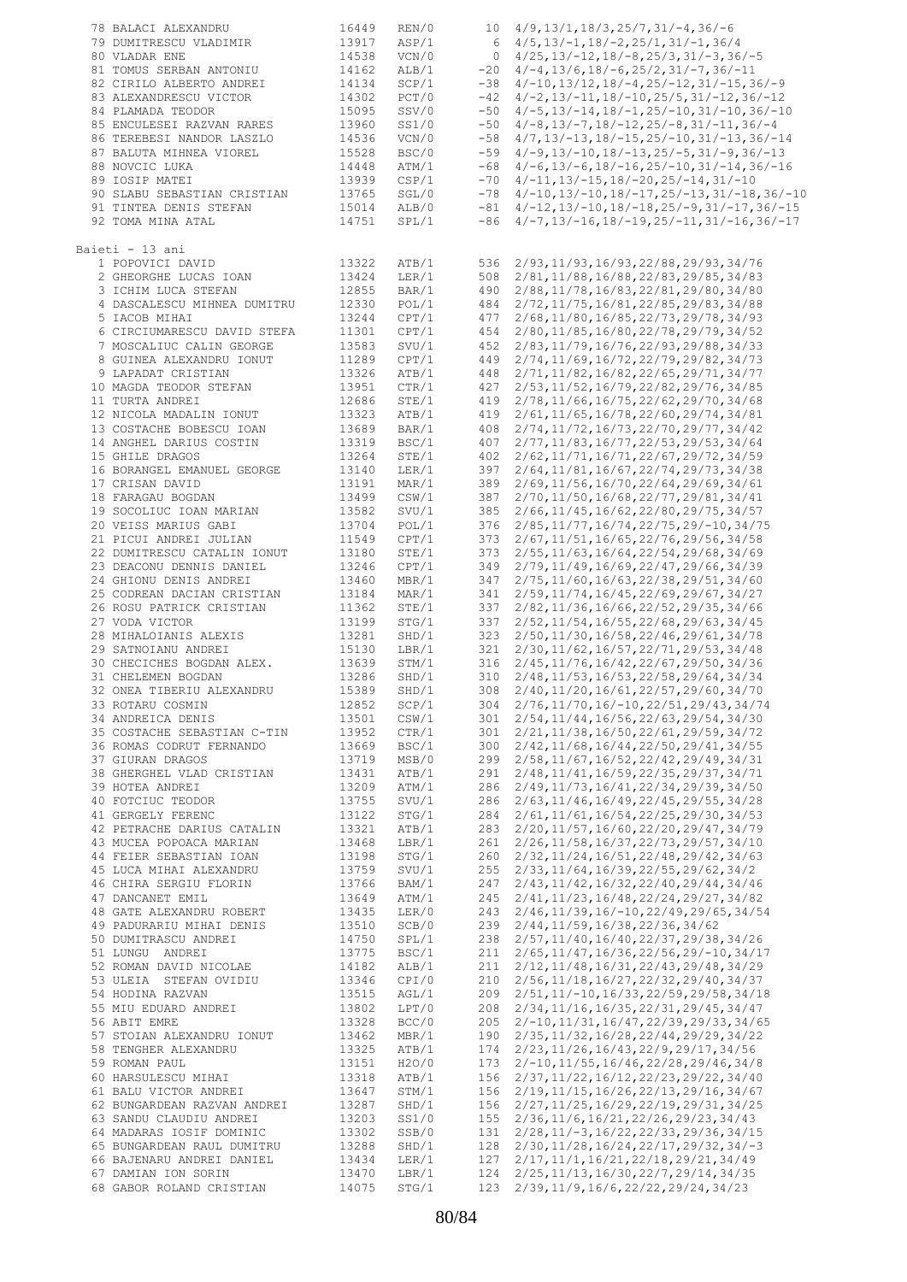| 78 BALACI ALEXANDRU                          | 16449          | REN/0          |     | $10 \quad 4/9, 13/1, 18/3, 25/7, 31/-4, 36/-6$                                             |
|----------------------------------------------|----------------|----------------|-----|--------------------------------------------------------------------------------------------|
| 79 DUMITRESCU VLADIMIR                       | 13917          | ASP/1          |     | $6$ $4/5$ , $13/-1$ , $18/-2$ , $25/1$ , $31/-1$ , $36/4$                                  |
| 80 VLADAR ENE                                | 14538          | VCN/0          |     | $0$ 4/25, 13/-12, 18/-8, 25/3, 31/-3, 36/-5                                                |
| 81 TOMUS SERBAN ANTONIU                      | 14162          | ALB/1          |     | $-20$ $4/-4$ , 13/6, 18/-6, 25/2, 31/-7, 36/-11                                            |
| 82 CIRILO ALBERTO ANDREI                     | 14134          | SCP/1          |     | $-38$ 4/-10, 13/12, 18/-4, 25/-12, 31/-15, 36/-9                                           |
| 83 ALEXANDRESCU VICTOR                       | 14302          | PCT/0          |     | $-42$ $4/-2$ , $13/-11$ , $18/-10$ , $25/5$ , $31/-12$ , $36/-12$                          |
| 84 PLAMADA TEODOR                            | 15095          | SSV/0          |     | $-50$ 4/-5, 13/-14, 18/-1, 25/-10, 31/-10, 36/-10                                          |
| 85 ENCULESEI RAZVAN RARES                    | 13960          | SS1/0          |     | $-50$ 4/-8, 13/-7, 18/-12, 25/-8, 31/-11, 36/-4                                            |
| 86 TEREBESI NANDOR LASZLO                    | 14536          | VCN/0          |     | $-58$ 4/7, 13/-13, 18/-15, 25/-10, 31/-13, 36/-14                                          |
| 87 BALUTA MIHNEA VIOREL                      | 15528          | BSC/0          |     | $-59$ 4/-9, 13/-10, 18/-13, 25/-5, 31/-9, 36/-13                                           |
| 88 NOVCIC LUKA                               | 14448          | ATM/1          |     | $-68$ 4/-6, 13/-6, 18/-16, 25/-10, 31/-14, 36/-16                                          |
| 89 IOSIP MATEI                               | 13939          | CSP/1          |     | $-70$ $4/-11$ , $13/-15$ , $18/-20$ , $25/-14$ , $31/-10$                                  |
| 90 SLABU SEBASTIAN CRISTIAN                  | 13765          | SGL/0          |     | $-78$ 4/-10, 13/-10, 18/-17, 25/-13, 31/-18, 36/-10                                        |
| 91 TINTEA DENIS STEFAN                       | 15014          | ALB/0          |     | $-81$ 4/-12, 13/-10, 18/-18, 25/-9, 31/-17, 36/-15                                         |
| 92 TOMA MINA ATAL                            | 14751          | SPL/1          |     | $-86$ 4/-7, 13/-16, 18/-19, 25/-11, 31/-16, 36/-17                                         |
|                                              |                |                |     |                                                                                            |
| Baieti - 13 ani                              |                |                |     |                                                                                            |
| 1 POPOVICI DAVID                             | 13322          | ATB/1          |     | 536 2/93, 11/93, 16/93, 22/88, 29/93, 34/76                                                |
| 2 GHEORGHE LUCAS IOAN<br>3 ICHIM LUCA STEFAN | 13424<br>12855 | LER/1          |     | 508 2/81, 11/88, 16/88, 22/83, 29/85, 34/83<br>490 2/88, 11/78, 16/83, 22/81, 29/80, 34/80 |
| 4 DASCALESCU MIHNEA DUMITRU                  | 12330          | BAR/1<br>POL/1 |     | 484 2/72, 11/75, 16/81, 22/85, 29/83, 34/88                                                |
| 5 IACOB MIHAI                                | 13244          | CPT/1          |     | 477 2/68, 11/80, 16/85, 22/73, 29/78, 34/93                                                |
| 6 CIRCIUMARESCU DAVID STEFA                  | 11301          | CPT/1          |     | 454 2/80, 11/85, 16/80, 22/78, 29/79, 34/52                                                |
| 7 MOSCALIUC CALIN GEORGE                     | 13583          | SVU/1          |     | 452 2/83, 11/79, 16/76, 22/93, 29/88, 34/33                                                |
| 8 GUINEA ALEXANDRU IONUT                     | 11289          | CPT/1          |     | 449 2/74, 11/69, 16/72, 22/79, 29/82, 34/73                                                |
| 9 LAPADAT CRISTIAN                           | 13326          | ATB/1          |     | 448 2/71, 11/82, 16/82, 22/65, 29/71, 34/77                                                |
| 10 MAGDA TEODOR STEFAN                       | 13951          | CTR/1          |     | 427 2/53, 11/52, 16/79, 22/82, 29/76, 34/85                                                |
| 11 TURTA ANDREI                              | 12686          | STE/1          |     | 419 2/78, 11/66, 16/75, 22/62, 29/70, 34/68                                                |
| 12 NICOLA MADALIN IONUT                      | 13323          | ATB/1          |     | 419 2/61, 11/65, 16/78, 22/60, 29/74, 34/81                                                |
| 13 COSTACHE BOBESCU IOAN                     | 13689          | BAR/1          |     | 408 2/74, 11/72, 16/73, 22/70, 29/77, 34/42                                                |
| 14 ANGHEL DARIUS COSTIN                      | 13319          | BSC/1          |     | 407 2/77, 11/83, 16/77, 22/53, 29/53, 34/64                                                |
| 15 GHILE DRAGOS                              | 13264          | STE/1          |     | 402 2/62, 11/71, 16/71, 22/67, 29/72, 34/59                                                |
| 16 BORANGEL EMANUEL GEORGE                   | 13140          | LER/1          |     | 397 2/64, 11/81, 16/67, 22/74, 29/73, 34/38                                                |
| 17 CRISAN DAVID                              | 13191          | MAR/1          |     | 389 2/69, 11/56, 16/70, 22/64, 29/69, 34/61                                                |
| 18 FARAGAU BOGDAN                            | 13499          | CSW/1          |     | 387 2/70, 11/50, 16/68, 22/77, 29/81, 34/41                                                |
| 19 SOCOLIUC IOAN MARIAN                      | 13582          | SVU/1          |     | 385 2/66, 11/45, 16/62, 22/80, 29/75, 34/57                                                |
| 20 VEISS MARIUS GABI                         | 13704          | POL/1          |     | 376 2/85, 11/77, 16/74, 22/75, 29/-10, 34/75                                               |
| 21 PICUI ANDREI JULIAN                       | 11549          | CPT/1          |     | 373 2/67, 11/51, 16/65, 22/76, 29/56, 34/58                                                |
| 22 DUMITRESCU CATALIN IONUT                  | 13180          | STE/1          |     | 373 2/55, 11/63, 16/64, 22/54, 29/68, 34/69                                                |
| 23 DEACONU DENNIS DANIEL                     | 13246          | CPT/1          |     | 349 2/79, 11/49, 16/69, 22/47, 29/66, 34/39                                                |
| 24 GHIONU DENIS ANDREI                       | 13460          | MBR/1          |     | 347 2/75, 11/60, 16/63, 22/38, 29/51, 34/60                                                |
| 25 CODREAN DACIAN CRISTIAN                   | 13184          | MAR/1          |     | 341 2/59, 11/74, 16/45, 22/69, 29/67, 34/27                                                |
| 26 ROSU PATRICK CRISTIAN                     | 11362          | STE/1          |     | 337 2/82, 11/36, 16/66, 22/52, 29/35, 34/66                                                |
| 27 VODA VICTOR                               | 13199          | STG/1          |     | 337 2/52, 11/54, 16/55, 22/68, 29/63, 34/45                                                |
| 28 MIHALOIANIS ALEXIS                        | 13281          | SHD/1          |     | 323 2/50, 11/30, 16/58, 22/46, 29/61, 34/78                                                |
| 29 SATNOIANU ANDREI                          | 15130          | LBR/1          |     | 321 2/30, 11/62, 16/57, 22/71, 29/53, 34/48                                                |
| 30 CHECICHES BOGDAN ALEX.                    | 13639          | STM/1          |     | 316 2/45, 11/76, 16/42, 22/67, 29/50, 34/36                                                |
| 31 CHELEMEN BOGDAN                           | 13286          | SHD/1          |     | 310 2/48, 11/53, 16/53, 22/58, 29/64, 34/34                                                |
| 32 ONEA TIBERIU ALEXANDRU                    | 15389          | SHD/1          |     | 308 2/40, 11/20, 16/61, 22/57, 29/60, 34/70                                                |
| 33 ROTARU COSMIN                             | 12852 SCP/1    |                |     | 304 2/76, 11/70, 16/-10, 22/51, 29/43, 34/74                                               |
| 34 ANDREICA DENIS                            | 13501          | CSW/1          |     | 301 2/54, 11/44, 16/56, 22/63, 29/54, 34/30                                                |
| 35 COSTACHE SEBASTIAN C-TIN                  | 13952          | CTR/1          |     | 301 2/21, 11/38, 16/50, 22/61, 29/59, 34/72                                                |
| 36 ROMAS CODRUT FERNANDO                     | 13669          | BSC/1          |     | 300 2/42, 11/68, 16/44, 22/50, 29/41, 34/55                                                |
| 37 GIURAN DRAGOS                             | 13719          | MSB/0          |     | 299 2/58, 11/67, 16/52, 22/42, 29/49, 34/31                                                |
| 38 GHERGHEL VLAD CRISTIAN                    | 13431          | ATB/1          |     | 291 2/48, 11/41, 16/59, 22/35, 29/37, 34/71                                                |
| 39 HOTEA ANDREI                              | 13209          | ATM/1          |     | 286 2/49, 11/73, 16/41, 22/34, 29/39, 34/50                                                |
| 40 FOTCIUC TEODOR                            | 13755          | SVU/1          |     | 286 2/63, 11/46, 16/49, 22/45, 29/55, 34/28                                                |
| 41 GERGELY FERENC                            | 13122          | STG/1          |     | 284 2/61, 11/61, 16/54, 22/25, 29/30, 34/53                                                |
| 42 PETRACHE DARIUS CATALIN                   | 13321          | ATB/1          |     | 283 2/20, 11/57, 16/60, 22/20, 29/47, 34/79                                                |
| 43 MUCEA POPOACA MARIAN                      | 13468          | LBR/1          |     | 261 2/26, 11/58, 16/37, 22/73, 29/57, 34/10                                                |
| 44 FEIER SEBASTIAN IOAN                      | 13198          | STG/1          |     | 260 2/32, 11/24, 16/51, 22/48, 29/42, 34/63                                                |
| 45 LUCA MIHAI ALEXANDRU                      | 13759          | SVU/1          |     | 255 2/33, 11/64, 16/39, 22/55, 29/62, 34/2                                                 |
| 46 CHIRA SERGIU FLORIN                       | 13766          | BAM/1          | 247 | 2/43, 11/42, 16/32, 22/40, 29/44, 34/46                                                    |
| 47 DANCANET EMIL                             | 13649          | ATM/1          |     | 245 2/41, 11/23, 16/48, 22/24, 29/27, 34/82                                                |
| 48 GATE ALEXANDRU ROBERT                     | 13435          | LER/0          |     | 243 2/46, 11/39, 16/-10, 22/49, 29/65, 34/54                                               |
| 49 PADURARIU MIHAI DENIS                     | 13510          | SCB/0          |     | 239 2/44, 11/59, 16/38, 22/36, 34/62                                                       |
| 50 DUMITRASCU ANDREI                         | 14750          | SPL/1          |     | 238 2/57, 11/40, 16/40, 22/37, 29/38, 34/26                                                |
| 51 LUNGU ANDREI                              | 13775          | BSC/1          |     | $211 \quad 2/65, 11/47, 16/36, 22/56, 29/-10, 34/17$                                       |
| 52 ROMAN DAVID NICOLAE                       | 14182          | ALB/1          |     | 211 2/12, 11/48, 16/31, 22/43, 29/48, 34/29                                                |
| 53 ULEIA STEFAN OVIDIU                       | 13346          | CPI/0          |     | 210 2/56, 11/18, 16/27, 22/32, 29/40, 34/37                                                |
| 54 HODINA RAZVAN                             | 13515          | AGL/1          |     | 209 2/51, 11/-10, 16/33, 22/59, 29/58, 34/18                                               |
| 55 MIU EDUARD ANDREI                         | 13802          | LPT/0          |     | 208 2/34, 11/16, 16/35, 22/31, 29/45, 34/47                                                |
| 56 ABIT EMRE                                 | 13328          | BCC/0          |     | 205 2/-10, 11/31, 16/47, 22/39, 29/33, 34/65                                               |
| 57 STOIAN ALEXANDRU IONUT                    | 13462          | MBR/1          |     | 190 2/35, 11/32, 16/28, 22/44, 29/29, 34/22                                                |
| 58 TENGHER ALEXANDRU                         | 13325          | ATB/1          |     | 174 2/23, 11/26, 16/43, 22/9, 29/17, 34/56                                                 |
| 59 ROMAN PAUL                                | 13151          | H2O/0          |     | 173 2/-10, 11/55, 16/46, 22/28, 29/46, 34/8                                                |
| 60 HARSULESCU MIHAI                          | 13318          | ATB/1          |     | 156 2/37, 11/22, 16/12, 22/23, 29/22, 34/40                                                |
| 61 BALU VICTOR ANDREI                        | 13647          | STM/1          |     | 156 2/19, 11/15, 16/26, 22/13, 29/16, 34/67                                                |
| 62 BUNGARDEAN RAZVAN ANDREI                  | 13287          | SHD/1          |     | 156 2/27, 11/25, 16/29, 22/19, 29/31, 34/25                                                |
| 63 SANDU CLAUDIU ANDREI                      | 13203          | SS1/0          |     | 155 2/36, 11/6, 16/21, 22/26, 29/23, 34/43                                                 |
| 64 MADARAS IOSIF DOMINIC                     | 13302          | SSB/0          |     | 131 2/28, 11/-3, 16/22, 22/33, 29/36, 34/15                                                |
| 65 BUNGARDEAN RAUL DUMITRU                   | 13288          | SHD/1          |     | 128 2/30, 11/28, 16/24, 22/17, 29/32, 34/-3                                                |
| 66 BAJENARU ANDREI DANIEL                    | 13434          | LER/1          |     | 127 2/17, 11/1, 16/21, 22/18, 29/21, 34/49                                                 |
| 67 DAMIAN ION SORIN                          | 13470          | LBR/1          |     | 124 2/25, 11/13, 16/30, 22/7, 29/14, 34/35                                                 |
| 68 GABOR ROLAND CRISTIAN                     | 14075          | STG/1          |     | 123 2/39, 11/9, 16/6, 22/22, 29/24, 34/23                                                  |
|                                              |                |                |     |                                                                                            |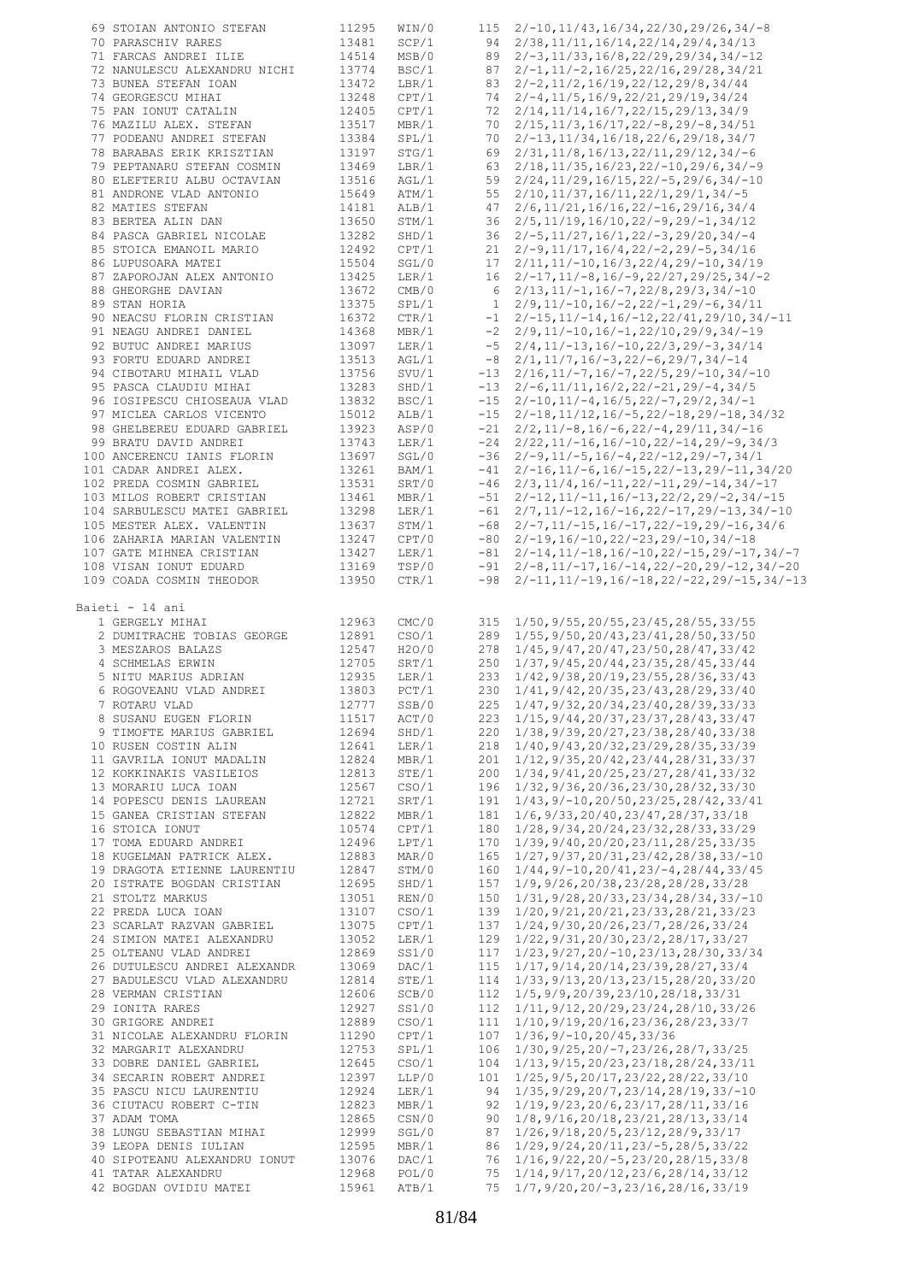| 69 STOIAN ANTONIO STEFAN                     | 11295          | WIN/0          | 115 $2/-10, 11/43, 16/34, 22/30, 29/26, 34/-8$                                                            |
|----------------------------------------------|----------------|----------------|-----------------------------------------------------------------------------------------------------------|
| 70 PARASCHIV RARES                           | 13481          | SCP/1          | 94 2/38, 11/11, 16/14, 22/14, 29/4, 34/13                                                                 |
| 71 FARCAS ANDREI ILIE                        | 14514          | MSB/0          | 89 2/-3, 11/33, 16/8, 22/29, 29/34, 34/-12                                                                |
| 72 NANULESCU ALEXANDRU NICHI                 | 13774          | BSC/1          | $87 \quad 2/-1, 11/-2, 16/25, 22/16, 29/28, 34/21$                                                        |
|                                              |                |                |                                                                                                           |
| 73 BUNEA STEFAN IOAN                         | 13472          | LBR/1          | 83 2/-2, 11/2, 16/19, 22/12, 29/8, 34/44                                                                  |
| 74 GEORGESCU MIHAI                           | 13248          | CPT/1          | 74   2/-4, 11/5, 16/9, 22/21, 29/19, 34/24                                                                |
| 75 PAN IONUT CATALIN                         | 12405          | CPT/1          | 72 2/14, 11/14, 16/7, 22/15, 29/13, 34/9                                                                  |
| 76 MAZILU ALEX. STEFAN                       | 13517          | MBR/1          | 70 2/15, 11/3, 16/17, 22/-8, 29/-8, 34/51                                                                 |
| 77 PODEANU ANDREI STEFAN                     | 13384          | SPL/1          | 70 2/-13, 11/34, 16/18, 22/6, 29/18, 34/7                                                                 |
| 78 BARABAS ERIK KRISZTIAN                    | 13197          | STG/1          | 69 2/31, 11/8, 16/13, 22/11, 29/12, 34/-6                                                                 |
| 79 PEPTANARU STEFAN COSMIN                   | 13469          | LBR/1          | 63 $2/18$ , 11/35, 16/23, 22/-10, 29/6, 34/-9                                                             |
| 80 ELEFTERIU ALBU OCTAVIAN                   | 13516          | AGL/1          | $59 \quad 2/24, 11/29, 16/15, 22/-5, 29/6, 34/-10$                                                        |
| 81 ANDRONE VLAD ANTONIO                      | 15649          | ATM/1          | $55 \quad 2/10, 11/37, 16/11, 22/1, 29/1, 34/-5$                                                          |
| 82 MATIES STEFAN                             | 14181          | ALB/1          | $47 \quad 2/6, 11/21, 16/16, 22/-16, 29/16, 34/4$                                                         |
| 83 BERTEA ALIN DAN                           | 13650          | STM/1          | $36 \quad 2/5, 11/19, 16/10, 22/-9, 29/-1, 34/12$                                                         |
|                                              |                |                |                                                                                                           |
| 84 PASCA GABRIEL NICOLAE                     | 13282          | SHD/1          | $36 \quad 2/-5, 11/27, 16/1, 22/-3, 29/20, 34/-4$                                                         |
| 85 STOICA EMANOIL MARIO                      | 12492          | CPT/1          | $21 \quad 2/-9, 11/17, 16/4, 22/-2, 29/-5, 34/16$                                                         |
| 86 LUPUSOARA MATEI                           | 15504          | SGL/0          | $17 \quad 2/11, 11/-10, 16/3, 22/4, 29/-10, 34/19$                                                        |
| 87 ZAPOROJAN ALEX ANTONIO                    | 13425          | LER/1          | $16$ $2/-17$ , $11/-8$ , $16/-9$ , $22/27$ , $29/25$ , $34/-2$                                            |
| 88 GHEORGHE DAVIAN                           | 13672          | CMB/0          | 6 $2/13$ , $11/-1$ , $16/-7$ , $22/8$ , $29/3$ , $34/-10$                                                 |
| 89 STAN HORIA                                | 13375          | SPL/1          | $1 \quad 2/9, 11/-10, 16/-2, 22/-1, 29/-6, 34/11$                                                         |
| 90 NEACSU FLORIN CRISTIAN                    | 16372          | CTR/1          | $-1$ 2/-15, 11/-14, 16/-12, 22/41, 29/10, 34/-11                                                          |
| 91 NEAGU ANDREI DANIEL                       | 14368          | MBR/1          | $-2$ 2/9, 11/-10, 16/-1, 22/10, 29/9, 34/-19                                                              |
| 92 BUTUC ANDREI MARIUS                       | 13097          | LER/1          | $-5$ 2/4, 11/-13, 16/-10, 22/3, 29/-3, 34/14                                                              |
| 93 FORTU EDUARD ANDREI                       | 13513          | AGL/1          | $-8$ 2/1, 11/7, 16/-3, 22/-6, 29/7, 34/-14                                                                |
| 94 CIBOTARU MIHAIL VLAD                      | 13756          | SVU/1          | $-13$ $2/16$ , $11/-7$ , $16/-7$ , $22/5$ , $29/-10$ , $34/-10$                                           |
|                                              |                |                |                                                                                                           |
| 95 PASCA CLAUDIU MIHAI                       | 13283          | SHD/1          | $-13$ $2/-6$ , $11/11$ , $16/2$ , $22/-21$ , $29/-4$ , $34/5$                                             |
| 96 IOSIPESCU CHIOSEAUA VLAD                  | 13832          | BSC/1          | $-15$ $2/-10$ , $11/-4$ , $16/5$ , $22/-7$ , $29/2$ , $34/-1$                                             |
| 97 MICLEA CARLOS VICENTO                     | 15012          | ALB/1          | $-15$ $2/-18$ , $11/12$ , $16/-5$ , $22/-18$ , $29/-18$ , $34/32$                                         |
| 98 GHELBEREU EDUARD GABRIEL                  | 13923          | ASP/0          | $-21$ $2/2$ , $11/-8$ , $16/-6$ , $22/-4$ , $29/11$ , $34/-16$                                            |
| 99 BRATU DAVID ANDREI                        | 13743          | LER/1          | $-24$ 2/22, 11/-16, 16/-10, 22/-14, 29/-9, 34/3                                                           |
| 100 ANCERENCU IANIS FLORIN                   | 13697          | SGL/0          | $-36$ 2/-9, 11/-5, 16/-4, 22/-12, 29/-7, 34/1                                                             |
| 101 CADAR ANDREI ALEX.                       | 13261          | BAM/1          | $-41$ 2/-16, 11/-6, 16/-15, 22/-13, 29/-11, 34/20                                                         |
| 102 PREDA COSMIN GABRIEL                     | 13531          | SRT/0          | $-46$ 2/3, 11/4, 16/-11, 22/-11, 29/-14, 34/-17                                                           |
| 103 MILOS ROBERT CRISTIAN                    | 13461          | MBR/1          | $-51$ $2/-12$ , $11/-11$ , $16/-13$ , $22/2$ , $29/-2$ , $34/-15$                                         |
| 104 SARBULESCU MATEI GABRIEL                 | 13298          | LER/1          | $-61$ 2/7, 11/-12, 16/-16, 22/-17, 29/-13, 34/-10                                                         |
| 105 MESTER ALEX. VALENTIN                    | 13637          | STM/1          | $-68$ 2/-7, 11/-15, 16/-17, 22/-19, 29/-16, 34/6                                                          |
| 106 ZAHARIA MARIAN VALENTIN                  | 13247          | CPT/0          | $-80$ 2/-19, 16/-10, 22/-23, 29/-10, 34/-18                                                               |
| 107 GATE MIHNEA CRISTIAN                     | 13427          | LER/1          | $-81$ 2/-14, 11/-18, 16/-10, 22/-15, 29/-17, 34/-7                                                        |
| 108 VISAN IONUT EDUARD                       | 13169          | TSP/0          |                                                                                                           |
| 109 COADA COSMIN THEODOR                     | 13950          | CTR/1          | $-91$ 2/-8, 11/-17, 16/-14, 22/-20, 29/-12, 34/-20<br>$-98$ 2/-11, 11/-19, 16/-18, 22/-22, 29/-15, 34/-13 |
|                                              |                |                |                                                                                                           |
| Baieti - 14 ani                              |                |                |                                                                                                           |
| 1 GERGELY MIHAI                              | 12963          | CMC/0          | 315 1/50, 9/55, 20/55, 23/45, 28/55, 33/55                                                                |
|                                              |                |                |                                                                                                           |
| 2 DUMITRACHE TOBIAS GEORGE                   | 12891          | CSO/1          | 289 1/55, 9/50, 20/43, 23/41, 28/50, 33/50                                                                |
| 3 MESZAROS BALAZS                            | 12547          | H2O/0          | 278 1/45, 9/47, 20/47, 23/50, 28/47, 33/42                                                                |
|                                              |                | SRT/1          | 250 1/37, 9/45, 20/44, 23/35, 28/45, 33/44                                                                |
| 4 SCHMELAS ERWIN                             | 12705          |                |                                                                                                           |
| 5 NITU MARIUS ADRIAN                         | 12935          | LER/1          | 233 1/42, 9/38, 20/19, 23/55, 28/36, 33/43                                                                |
| 6 ROGOVEANU VLAD ANDREI                      | 13803          | PCT/1          | 230 1/41, 9/42, 20/35, 23/43, 28/29, 33/40                                                                |
| 7 ROTARU VLAD                                |                | 12777 SSB/0    | 225 1/47, 9/32, 20/34, 23/40, 28/39, 33/33                                                                |
| 8 SUSANU EUGEN FLORIN                        | 11517          | ACT/0          | 223 1/15, 9/44, 20/37, 23/37, 28/43, 33/47                                                                |
| 9 TIMOFTE MARIUS GABRIEL                     | 12694          | SHD/1          | 220 1/38, 9/39, 20/27, 23/38, 28/40, 33/38                                                                |
|                                              |                |                |                                                                                                           |
| 10 RUSEN COSTIN ALIN                         | 12641          | LER/1          | 218 1/40, 9/43, 20/32, 23/29, 28/35, 33/39                                                                |
| 11 GAVRILA IONUT MADALIN                     | 12824          | MBR/1          | 201 1/12, 9/35, 20/42, 23/44, 28/31, 33/37                                                                |
| 12 KOKKINAKIS VASILEIOS                      | 12813          | STE/1          | 200 1/34, 9/41, 20/25, 23/27, 28/41, 33/32                                                                |
| 13 MORARIU LUCA IOAN                         | 12567          | CSO/1          | 196 1/32, 9/36, 20/36, 23/30, 28/32, 33/30                                                                |
| 14 POPESCU DENIS LAUREAN                     | 12721          | SRT/1          | 191 1/43, 9/-10, 20/50, 23/25, 28/42, 33/41                                                               |
| 15 GANEA CRISTIAN STEFAN                     | 12822          | MBR/1          | 181 1/6, 9/33, 20/40, 23/47, 28/37, 33/18                                                                 |
| 16 STOICA IONUT                              | 10574          | CPT/1          | 180 1/28, 9/34, 20/24, 23/32, 28/33, 33/29                                                                |
| 17 TOMA EDUARD ANDREI                        | 12496          | LPT/1          | 170 1/39, 9/40, 20/20, 23/11, 28/25, 33/35                                                                |
| 18 KUGELMAN PATRICK ALEX.                    | 12883          | MAR/0          | 165 1/27, 9/37, 20/31, 23/42, 28/38, 33/-10                                                               |
| 19 DRAGOTA ETIENNE LAURENTIU                 | 12847          | STM/0          | $160 \quad 1/44, 9/-10, 20/41, 23/-4, 28/44, 33/45$                                                       |
| 20 ISTRATE BOGDAN CRISTIAN                   | 12695          | SHD/1          | $157 \quad 1/9, 9/26, 20/38, 23/28, 28/28, 33/28$                                                         |
| 21 STOLTZ MARKUS                             |                |                | 150 1/31, 9/28, 20/33, 23/34, 28/34, 33/-10                                                               |
|                                              | 13051          | REN/0          |                                                                                                           |
| 22 PREDA LUCA IOAN                           | 13107          | CSO/1          | 139 1/20, 9/21, 20/21, 23/33, 28/21, 33/23                                                                |
| 23 SCARLAT RAZVAN GABRIEL                    | 13075          | CPT/1          | 137 1/24, 9/30, 20/26, 23/7, 28/26, 33/24                                                                 |
| 24 SIMION MATEI ALEXANDRU                    | 13052          | LER/1          | 129 1/22, 9/31, 20/30, 23/2, 28/17, 33/27                                                                 |
| 25 OLTEANU VLAD ANDREI                       | 12869          | SS1/0          | 117 1/23, 9/27, 20/-10, 23/13, 28/30, 33/34                                                               |
| 26 DUTULESCU ANDREI ALEXANDR                 | 13069          | DAC/1          | 115 1/17, 9/14, 20/14, 23/39, 28/27, 33/4                                                                 |
| 27 BADULESCU VLAD ALEXANDRU                  | 12814          | STE/1          | 114 1/33, 9/13, 20/13, 23/15, 28/20, 33/20                                                                |
| 28 VERMAN CRISTIAN                           | 12606          | SCB/0          | 112 1/5, 9/9, 20/39, 23/10, 28/18, 33/31                                                                  |
| 29 IONITA RARES                              | 12927          | SS1/0          | 112 1/11, 9/12, 20/29, 23/24, 28/10, 33/26                                                                |
| 30 GRIGORE ANDREI                            | 12889          | CSO/1          | 111 1/10, 9/19, 20/16, 23/36, 28/23, 33/7                                                                 |
| 31 NICOLAE ALEXANDRU FLORIN                  | 11290          | CPT/1          | $107 \quad 1/36, 9/-10, 20/45, 33/36$                                                                     |
| 32 MARGARIT ALEXANDRU                        | 12753          | SPL/1          | 106 1/30, 9/25, 20/-7, 23/26, 28/7, 33/25                                                                 |
| 33 DOBRE DANIEL GABRIEL                      | 12645          | CSO/1          |                                                                                                           |
|                                              |                |                | 104 1/13, 9/15, 20/23, 23/18, 28/24, 33/11                                                                |
| 34 SECARIN ROBERT ANDREI                     | 12397          | LLP/0          | 101 1/25, 9/5, 20/17, 23/22, 28/22, 33/10                                                                 |
| 35 PASCU NICU LAURENTIU                      | 12924          | LER/1          | $94 \quad 1/35, 9/29, 20/7, 23/14, 28/19, 33/-10$                                                         |
| 36 CIUTACU ROBERT C-TIN                      | 12823          | MBR/1          | 92 1/19, 9/23, 20/6, 23/17, 28/11, 33/16                                                                  |
| 37 ADAM TOMA                                 | 12865          | CSN/0          | 90 1/8, 9/16, 20/18, 23/21, 28/13, 33/14                                                                  |
| 38 LUNGU SEBASTIAN MIHAI                     | 12999          | SGL/0          | $87 \quad 1/26$ , $9/18$ , $20/5$ , $23/12$ , $28/9$ , $33/17$                                            |
| 39 LEOPA DENIS IULIAN                        | 12595          | MBR/1          | $86 \quad 1/29$ , $9/24$ , $20/11$ , $23/-5$ , $28/5$ , $33/22$                                           |
| 40 SIPOTEANU ALEXANDRU IONUT                 | 13076          | DAC/1          | 76 1/16, 9/22, 20/-5, 23/20, 28/15, 33/8                                                                  |
| 41 TATAR ALEXANDRU<br>42 BOGDAN OVIDIU MATEI | 12968<br>15961 | POL/0<br>ATB/1 | 75 1/14, 9/17, 20/12, 23/6, 28/14, 33/12<br>75 1/7, 9/20, 20/-3, 23/16, 28/16, 33/19                      |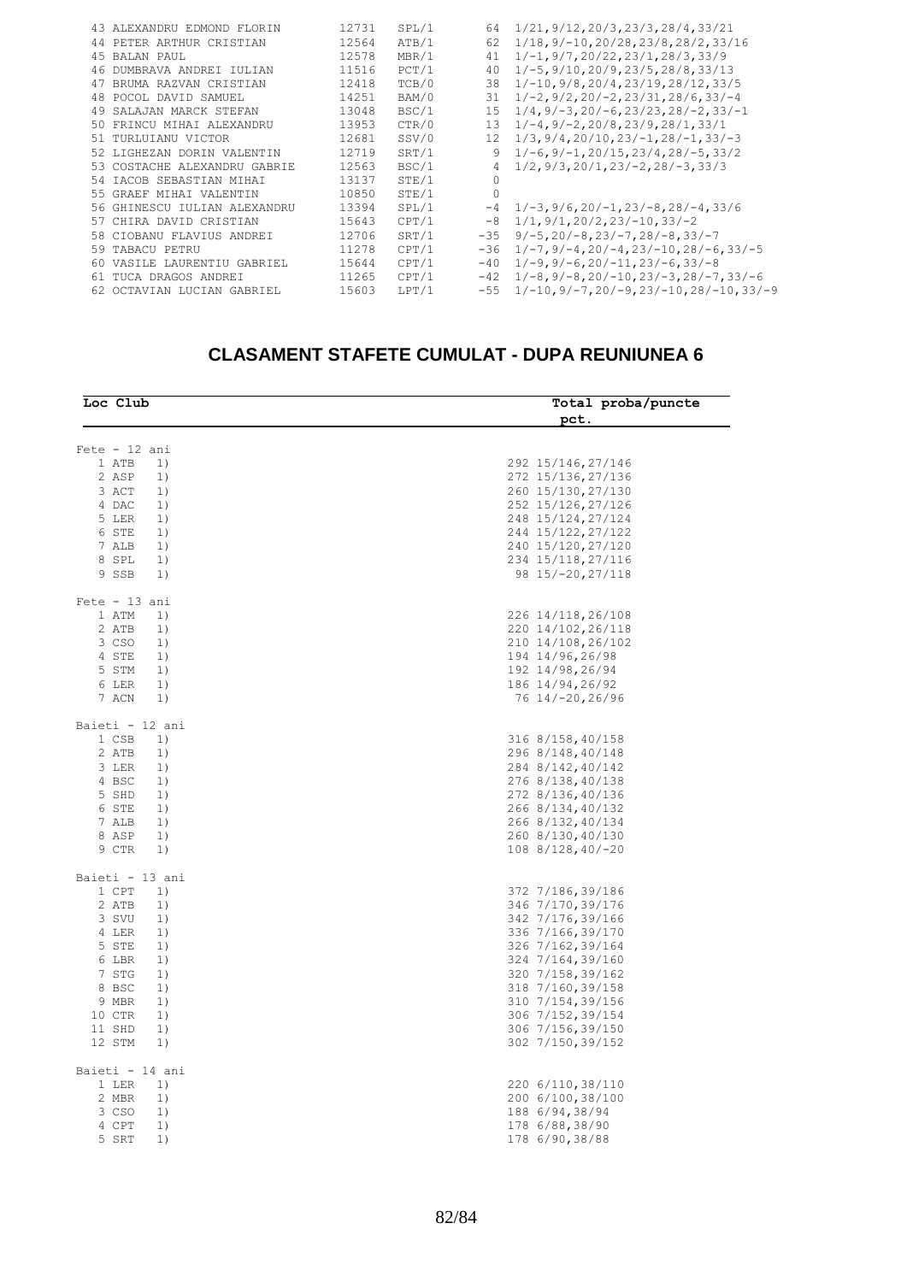| 43 ALEXANDRU EDMOND FLORIN     | 12731 | SPL/1 | 64       | 1/21, 9/12, 20/3, 23/3, 28/4, 33/21             |
|--------------------------------|-------|-------|----------|-------------------------------------------------|
| 44 PETER ARTHUR CRISTIAN       | 12564 | ATB/1 | 62       | $1/18, 9/-10, 20/28, 23/8, 28/2, 33/16$         |
| 45 BALAN PAUL                  | 12578 | MBR/1 | 41       | $1/-1, 9/7, 20/22, 23/1, 28/3, 33/9$            |
| 46<br>DUMBRAVA ANDREI IULIAN   | 11516 | PCT/1 | 40       | $1/-5, 9/10, 20/9, 23/5, 28/8, 33/13$           |
| BRUMA RAZVAN CRISTIAN<br>47    | 12418 | TCB/0 | 38       | $1/-10, 9/8, 20/4, 23/19, 28/12, 33/5$          |
| 48 POCOL DAVID SAMUEL          | 14251 | BAM/0 | 31       | $1/-2, 9/2, 20/-2, 23/31, 28/6, 33/-4$          |
| 49 SALAJAN MARCK STEFAN        | 13048 | BSC/1 | 15       | $1/4, 9/-3, 20/-6, 23/23, 28/-2, 33/-1$         |
| 50 FRINCU MIHAI ALEXANDRU      | 13953 | CTR/0 | 13       | $1/-4, 9/-2, 20/8, 23/9, 28/1, 33/1$            |
| 51 TURLUIANU VICTOR            | 12681 | SSV/0 |          | $12 \quad 1/3, 9/4, 20/10, 23/-1, 28/-1, 33/-3$ |
| 52 LIGHEZAN DORIN VALENTIN     | 12719 | SRT/1 | 9        | $1/-6, 9/-1, 20/15, 23/4, 28/-5, 33/2$          |
| 53 COSTACHE ALEXANDRU GABRIE   | 12563 | BSC/1 |          | $1/2, 9/3, 20/1, 23/-2, 28/-3, 33/3$            |
| 54 TACOB SEBASTIAN MIHAT       | 13137 | STE/1 | $\Omega$ |                                                 |
| 55<br>GRAEF MIHAI VALENTIN     | 10850 | STE/1 |          |                                                 |
| 56 GHINESCU IULIAN ALEXANDRU   | 13394 | SPL/1 |          | $-4$ 1/-3, 9/6, 20/-1, 23/-8, 28/-4, 33/6       |
| 57 CHIRA DAVID CRISTIAN        | 15643 | CPT/1 | $-8$     | $1/1, 9/1, 20/2, 23/-10, 33/-2$                 |
| 58 CIOBANU FLAVIUS ANDREI      | 12706 | SRT/1 | $-35$    | $9/-5, 20/-8, 23/-7, 28/-8, 33/-7$              |
| 59 TABACU PETRU                | 11278 | CPT/1 | -36      | $1/-7, 9/-4, 20/-4, 23/-10, 28/-6, 33/-5$       |
| 60<br>VASTLE LAURENTIU GABRIEL | 15644 | CPT/1 | $-40$    | $1/-9, 9/-6, 20/-11, 23/-6, 33/-8$              |
| TUCA DRAGOS ANDREI<br>61       | 11265 | CPT/1 | $-42$    | $1/-8$ , 9/-8, 20/-10, 23/-3, 28/-7, 33/-6      |
| OCTAVIAN LUCIAN GABRIEL<br>62. | 15603 | LPT/1 | $-55$    | $1/-10, 9/-7, 20/-9, 23/-10, 28/-10, 33/-9$     |
|                                |       |       |          |                                                 |

## **CLASAMENT STAFETE CUMULAT - DUPA REUNIUNEA 6**

| Loc Club        | Total proba/puncte<br>pct. |
|-----------------|----------------------------|
| Fete - 12 ani   |                            |
| 1 ATB<br>1)     | 292 15/146, 27/146         |
| 2 ASP<br>1)     | 272 15/136, 27/136         |
| 3 ACT<br>1)     | 260 15/130, 27/130         |
| 4 DAC<br>1)     | 252 15/126, 27/126         |
| 5 LER<br>1)     | 248 15/124, 27/124         |
| 6 STE<br>1)     | 244 15/122, 27/122         |
| 7 ALB<br>1)     | 240 15/120, 27/120         |
| 8 SPL<br>1)     | 234 15/118, 27/116         |
| 9 SSB<br>1)     | 98 15/-20, 27/118          |
| $Fete - 13 ani$ |                            |
| 1 ATM<br>1)     | 226 14/118, 26/108         |
| 2 ATB<br>1)     | 220 14/102, 26/118         |
| 3 CSO<br>1)     | 210 14/108, 26/102         |
| 4 STE<br>1)     | 194 14/96,26/98            |
| 5 STM<br>1)     | 192 14/98,26/94            |
| 6 LER<br>1)     | 186 14/94,26/92            |
| 7 ACN<br>1)     | 76 14/-20,26/96            |
| Baieti - 12 ani |                            |
| 1 CSB<br>1)     | 316 8/158, 40/158          |
| 2 ATB<br>1)     | 296 8/148, 40/148          |
| 3 LER<br>1)     | 284 8/142, 40/142          |
| 4 BSC<br>1)     | 276 8/138, 40/138          |
| 5 SHD<br>1)     | 272 8/136, 40/136          |
| 6 STE<br>1)     | 266 8/134, 40/132          |
| 7 ALB<br>1)     | 266 8/132, 40/134          |
| 8 ASP<br>1)     | 260 8/130, 40/130          |
| 9 CTR<br>1)     | 108 8/128, 40/-20          |
| Baieti - 13 ani |                            |
| 1 CPT<br>1)     | 372 7/186,39/186           |
| 2 ATB<br>1)     | 346 7/170, 39/176          |
| 3 SVU<br>1)     | 342 7/176, 39/166          |
| 4 LER<br>1)     | 336 7/166,39/170           |
| 5 STE<br>1)     | 326 7/162, 39/164          |
| 6 LBR<br>1)     | 324 7/164, 39/160          |
| 7 STG<br>1)     | 320 7/158,39/162           |
| 8 BSC<br>1)     | 318 7/160, 39/158          |
| 9 MBR<br>1)     | 310 7/154, 39/156          |
| 10 CTR<br>1)    | 306 7/152,39/154           |
| 11 SHD<br>1)    | 306 7/156, 39/150          |
| 12 STM<br>1)    | 302 7/150, 39/152          |
| Baieti - 14 ani |                            |
| 1 LER<br>1)     | 220 6/110, 38/110          |
| 2 MBR<br>1)     | 200 6/100, 38/100          |
| 3 CSO<br>1)     | 188 6/94,38/94             |
| 4 CPT<br>1)     | 178 6/88, 38/90            |
| 5 SRT<br>1)     | 178 6/90,38/88             |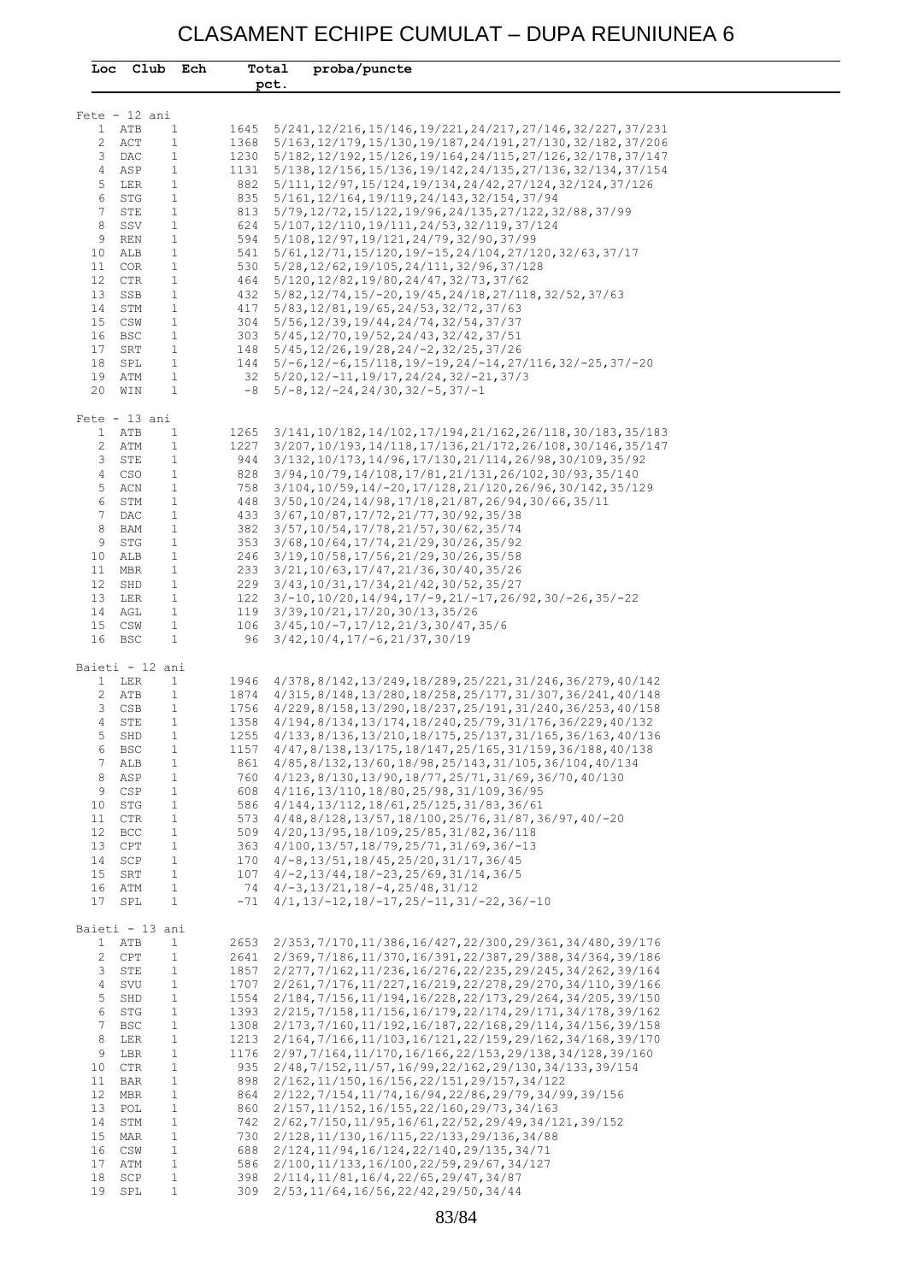## CLASAMENT ECHIPE CUMULAT – DUPA REUNIUNEA 6

|                                 |                   | Loc Club Ech                 |              | proba/puncte<br>Total                                                                                                    |
|---------------------------------|-------------------|------------------------------|--------------|--------------------------------------------------------------------------------------------------------------------------|
|                                 |                   |                              |              | pct.                                                                                                                     |
|                                 |                   |                              |              |                                                                                                                          |
| $Fete - 12 ani$<br>$\mathbf{1}$ | ATB               | $\mathbf{1}$                 | 1645         | 5/241, 12/216, 15/146, 19/221, 24/217, 27/146, 32/227, 37/231                                                            |
| $\overline{2}$                  | ACT               | $\mathbf{1}$                 | 1368         | 5/163, 12/179, 15/130, 19/187, 24/191, 27/130, 32/182, 37/206                                                            |
|                                 | 3 DAC             | $\mathbf{1}$                 | 1230         | 5/182, 12/192, 15/126, 19/164, 24/115, 27/126, 32/178, 37/147                                                            |
|                                 | 4 ASP             | $\mathbf{1}$                 | 1131         | 5/138, 12/156, 15/136, 19/142, 24/135, 27/136, 32/134, 37/154                                                            |
| 5                               | LER               | $\mathbf{1}$                 | 882          | 5/111, 12/97, 15/124, 19/134, 24/42, 27/124, 32/124, 37/126                                                              |
| 6                               | STG               | $\mathbf{1}$                 | 835          | 5/161, 12/164, 19/119, 24/143, 32/154, 37/94                                                                             |
| $7\phantom{.0}$<br>8            | STE<br>SSV        | $\mathbf{1}$<br>$\mathbf{1}$ | 813<br>624   | 5/79, 12/72, 15/122, 19/96, 24/135, 27/122, 32/88, 37/99<br>5/107, 12/110, 19/111, 24/53, 32/119, 37/124                 |
| 9                               | REN               | $\mathbf{1}$                 | 594          | 5/108, 12/97, 19/121, 24/79, 32/90, 37/99                                                                                |
| 10 ALB                          |                   | $\mathbf{1}$                 | 541          | 5/61, 12/71, 15/120, 19/-15, 24/104, 27/120, 32/63, 37/17                                                                |
| 11 COR                          |                   | $\mathbf{1}$                 | 530          | 5/28, 12/62, 19/105, 24/111, 32/96, 37/128                                                                               |
| 12 CTR                          |                   | $\mathbf{1}$                 | 464          | 5/120, 12/82, 19/80, 24/47, 32/73, 37/62                                                                                 |
| 13<br>14                        | SSB               | $\mathbf{1}$                 | 432          | 5/82, 12/74, 15/-20, 19/45, 24/18, 27/118, 32/52, 37/63                                                                  |
| 15                              | STM<br>CSW        | $\mathbf{1}$<br>$\mathbf{1}$ | 417          | 5/83, 12/81, 19/65, 24/53, 32/72, 37/63<br>304 5/56, 12/39, 19/44, 24/74, 32/54, 37/37                                   |
| 16 BSC                          |                   | $\mathbf{1}$                 |              | 303 5/45, 12/70, 19/52, 24/43, 32/42, 37/51                                                                              |
| 17                              | SRT               | $\mathbf{1}$                 |              | $148$ 5/45, 12/26, 19/28, 24/-2, 32/25, 37/26                                                                            |
| 18                              | SPL               | $\mathbf{1}$                 |              | $144$ $5/-6$ , $12/-6$ , $15/118$ , $19/-19$ , $24/-14$ , $27/116$ , $32/-25$ , $37/-20$                                 |
| 19                              | ATM               | $\mathbf{1}$                 |              | $32\quad 5/20$ , $12/-11$ , $19/17$ , $24/24$ , $32/-21$ , $37/3$                                                        |
| 20                              | WIN               | $\mathbf{1}$                 |              | $-8$ 5/-8, 12/-24, 24/30, 32/-5, 37/-1                                                                                   |
| $Fete - 13 ani$                 |                   |                              |              |                                                                                                                          |
|                                 | 1 ATB             | 1                            | 1265         | 3/141, 10/182, 14/102, 17/194, 21/162, 26/118, 30/183, 35/183                                                            |
|                                 | 2 ATM             | $\mathbf{1}$                 | 1227         | 3/207, 10/193, 14/118, 17/136, 21/172, 26/108, 30/146, 35/147                                                            |
| $\mathcal{S}$                   | STE               | $\mathbf{1}$                 | 944          | 3/132, 10/173, 14/96, 17/130, 21/114, 26/98, 30/109, 35/92                                                               |
| $4\overline{ }$<br>5            | CSO<br>ACN        | $\mathbf{1}$<br>$\mathbf{1}$ | 828<br>758   | 3/94, 10/79, 14/108, 17/81, 21/131, 26/102, 30/93, 35/140<br>3/104, 10/59, 14/-20, 17/128, 21/120, 26/96, 30/142, 35/129 |
| 6                               | STM               | $\mathbf{1}$                 | 448          | 3/50, 10/24, 14/98, 17/18, 21/87, 26/94, 30/66, 35/11                                                                    |
| $7\phantom{.0}$                 | DAC               | $\mathbf{1}$                 |              | 433 3/67, 10/87, 17/72, 21/77, 30/92, 35/38                                                                              |
| 8                               | BAM               | $\mathbf{1}$                 | 382          | 3/57, 10/54, 17/78, 21/57, 30/62, 35/74                                                                                  |
| 9                               | STG               | $\mathbf{1}$                 | 353          | 3/68, 10/64, 17/74, 21/29, 30/26, 35/92                                                                                  |
| 10 ALB                          |                   | $\mathbf{1}$                 | 246          | 3/19, 10/58, 17/56, 21/29, 30/26, 35/58                                                                                  |
| 11 MBR<br>12                    | SHD               | $\mathbf{1}$<br>$\mathbf{1}$ |              | 233 3/21, 10/63, 17/47, 21/36, 30/40, 35/26<br>229 3/43, 10/31, 17/34, 21/42, 30/52, 35/27                               |
| 13 LER                          |                   | $\mathbf{1}$                 |              | $122 \quad 3/-10, 10/20, 14/94, 17/-9, 21/-17, 26/92, 30/-26, 35/-22$                                                    |
| 14 AGL                          |                   | $\mathbf{1}$                 | 119          | 3/39, 10/21, 17/20, 30/13, 35/26                                                                                         |
| 15                              | CSW               | $\mathbf{1}$                 | 106          | 3/45, 10/-7, 17/12, 21/3, 30/47, 35/6                                                                                    |
| 16 BSC                          |                   | $\mathbf{1}$                 | 96           | 3/42,10/4,17/-6,21/37,30/19                                                                                              |
| Baieti - 12 ani                 |                   |                              |              |                                                                                                                          |
|                                 | 1 LER             | $\mathbf{1}$                 |              | 1946 $4/378, 8/142, 13/249, 18/289, 25/221, 31/246, 36/279, 40/142$                                                      |
|                                 | 2 ATB             | $\mathbf{1}$                 | 1874         | 4/315,8/148,13/280,18/258,25/177,31/307,36/241,40/148                                                                    |
| 3                               | CSB               | $\mathbf{1}$                 | 1756         | 4/229,8/158,13/290,18/237,25/191,31/240,36/253,40/158                                                                    |
| $\overline{4}$<br>5             | STE<br>SHD        | $\mathbf{1}$<br>$\mathbf{1}$ | 1358<br>1255 | 4/194,8/134,13/174,18/240,25/79,31/176,36/229,40/132<br>4/133, 8/136, 13/210, 18/175, 25/137, 31/165, 36/163, 40/136     |
| 6                               | BSC               | $\mathbf{1}$                 | 1157         | 4/47, 8/138, 13/175, 18/147, 25/165, 31/159, 36/188, 40/138                                                              |
| $7\phantom{.0}$                 | ALB               | $\mathbf{1}$                 | 861          | 4/85, 8/132, 13/60, 18/98, 25/143, 31/105, 36/104, 40/134                                                                |
| 8                               | ASP               | $\mathbf{1}$                 | 760          | 4/123, 8/130, 13/90, 18/77, 25/71, 31/69, 36/70, 40/130                                                                  |
| 9                               | CSP               | $\mathbf{1}$                 | 608          | 4/116, 13/110, 18/80, 25/98, 31/109, 36/95                                                                               |
| 10 <sub>1</sub>                 | STG               | $\mathbf{1}$                 | 586          | 4/144, 13/112, 18/61, 25/125, 31/83, 36/61                                                                               |
| 11<br>12 <sup>°</sup>           | CTR<br>BCC        | $\mathbf{1}$<br>$\mathbf{1}$ | 573<br>509   | $4/48, 8/128, 13/57, 18/100, 25/76, 31/87, 36/97, 40/-20$<br>4/20, 13/95, 18/109, 25/85, 31/82, 36/118                   |
| 13                              | <b>CPT</b>        | $\mathbf{1}$                 | 363          | $4/100$ , $13/57$ , $18/79$ , $25/71$ , $31/69$ , $36/-13$                                                               |
| 14                              | SCP               | $\mathbf{1}$                 | 170          | $4/-8, 13/51, 18/45, 25/20, 31/17, 36/45$                                                                                |
| 15                              | SRT               | $\mathbf{1}$                 | 107          | $4/-2, 13/44, 18/-23, 25/69, 31/14, 36/5$                                                                                |
| 16                              | ATM               | $\mathbf{1}$                 | 74           | $4/-3, 13/21, 18/-4, 25/48, 31/12$                                                                                       |
| 17                              | SPL               | $\mathbf{1}$                 | $-71$        | $4/1, 13/-12, 18/-17, 25/-11, 31/-22, 36/-10$                                                                            |
| Baieti - 13 ani                 |                   |                              |              |                                                                                                                          |
| $\mathbf{1}$                    | ATB               | 1                            | 2653         | 2/353, 7/170, 11/386, 16/427, 22/300, 29/361, 34/480, 39/176                                                             |
| $\overline{2}$                  | CPT               | $\mathbf{1}$                 | 2641         | 2/369, 7/186, 11/370, 16/391, 22/387, 29/388, 34/364, 39/186                                                             |
| 3                               | STE               | $\mathbf{1}$                 | 1857         | 2/277, 7/162, 11/236, 16/276, 22/235, 29/245, 34/262, 39/164                                                             |
| 4<br>5                          | SVU<br>SHD        | $\mathbf{1}$<br>$\mathbf{1}$ | 1707<br>1554 | 2/261, 7/176, 11/227, 16/219, 22/278, 29/270, 34/110, 39/166<br>2/184,7/156,11/194,16/228,22/173,29/264,34/205,39/150    |
| 6                               | STG               | $\mathbf{1}$                 | 1393         | $2/215, 7/158, 11/156, 16/179, 22/174, 29/171, 34/178, 39/162$                                                           |
| $7\phantom{.0}$                 | BSC               | $\mathbf{1}$                 | 1308         | 2/173,7/160,11/192,16/187,22/168,29/114,34/156,39/158                                                                    |
| 8                               | LER               | $\mathbf{1}$                 | 1213         | 2/164,7/166,11/103,16/121,22/159,29/162,34/168,39/170                                                                    |
| 9                               | LBR               | $\mathbf{1}$                 | 1176         | 2/97,7/164,11/170,16/166,22/153,29/138,34/128,39/160                                                                     |
| 10 <sup>°</sup>                 | <b>CTR</b>        | $\mathbf{1}$                 | 935          | 2/48, 7/152, 11/57, 16/99, 22/162, 29/130, 34/133, 39/154                                                                |
| 11<br>12                        | <b>BAR</b><br>MBR | $\mathbf{1}$<br>$\mathbf{1}$ | 898<br>864   | 2/162, 11/150, 16/156, 22/151, 29/157, 34/122<br>2/122, 7/154, 11/74, 16/94, 22/86, 29/79, 34/99, 39/156                 |
| 13                              | POL               | $\mathbf{1}$                 | 860          | 2/157, 11/152, 16/155, 22/160, 29/73, 34/163                                                                             |
| 14                              | STM               | $\mathbf{1}$                 | 742          | 2/62, 7/150, 11/95, 16/61, 22/52, 29/49, 34/121, 39/152                                                                  |
| 15                              | MAR               | $\mathbf{1}$                 | 730          | 2/128, 11/130, 16/115, 22/133, 29/136, 34/88                                                                             |
| 16                              | CSW               | $\mathbf{1}$                 | 688          | 2/124, 11/94, 16/124, 22/140, 29/135, 34/71                                                                              |
| 17                              | ATM               | $\mathbf{1}$                 | 586          | 2/100, 11/133, 16/100, 22/59, 29/67, 34/127                                                                              |
| 18                              | SCP               | $\mathbf{1}$                 | 398          | 2/114, 11/81, 16/4, 22/65, 29/47, 34/87                                                                                  |
| 19                              | SPL               | $\mathbf{1}$                 | 309          | 2/53, 11/64, 16/56, 22/42, 29/50, 34/44                                                                                  |